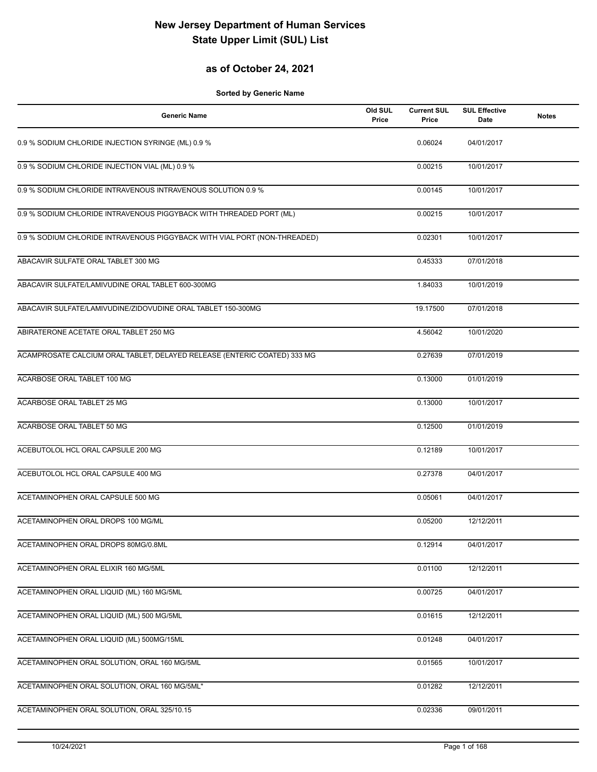## **as of October 24, 2021**

| <b>Generic Name</b>                                                       | Old SUL<br>Price | <b>Current SUL</b><br>Price | <b>SUL Effective</b><br>Date | <b>Notes</b> |
|---------------------------------------------------------------------------|------------------|-----------------------------|------------------------------|--------------|
| 0.9 % SODIUM CHLORIDE INJECTION SYRINGE (ML) 0.9 %                        |                  | 0.06024                     | 04/01/2017                   |              |
| 0.9 % SODIUM CHLORIDE INJECTION VIAL (ML) 0.9 %                           |                  | 0.00215                     | 10/01/2017                   |              |
| 0.9 % SODIUM CHLORIDE INTRAVENOUS INTRAVENOUS SOLUTION 0.9 %              |                  | 0.00145                     | 10/01/2017                   |              |
| 0.9 % SODIUM CHLORIDE INTRAVENOUS PIGGYBACK WITH THREADED PORT (ML)       |                  | 0.00215                     | 10/01/2017                   |              |
| 0.9 % SODIUM CHLORIDE INTRAVENOUS PIGGYBACK WITH VIAL PORT (NON-THREADED) |                  | 0.02301                     | 10/01/2017                   |              |
| ABACAVIR SULFATE ORAL TABLET 300 MG                                       |                  | 0.45333                     | 07/01/2018                   |              |
| ABACAVIR SULFATE/LAMIVUDINE ORAL TABLET 600-300MG                         |                  | 1.84033                     | 10/01/2019                   |              |
| ABACAVIR SULFATE/LAMIVUDINE/ZIDOVUDINE ORAL TABLET 150-300MG              |                  | 19.17500                    | 07/01/2018                   |              |
| ABIRATERONE ACETATE ORAL TABLET 250 MG                                    |                  | 4.56042                     | 10/01/2020                   |              |
| ACAMPROSATE CALCIUM ORAL TABLET, DELAYED RELEASE (ENTERIC COATED) 333 MG  |                  | 0.27639                     | 07/01/2019                   |              |
| ACARBOSE ORAL TABLET 100 MG                                               |                  | 0.13000                     | 01/01/2019                   |              |
| ACARBOSE ORAL TABLET 25 MG                                                |                  | 0.13000                     | 10/01/2017                   |              |
| ACARBOSE ORAL TABLET 50 MG                                                |                  | 0.12500                     | 01/01/2019                   |              |
| ACEBUTOLOL HCL ORAL CAPSULE 200 MG                                        |                  | 0.12189                     | 10/01/2017                   |              |
| ACEBUTOLOL HCL ORAL CAPSULE 400 MG                                        |                  | 0.27378                     | 04/01/2017                   |              |
| ACETAMINOPHEN ORAL CAPSULE 500 MG                                         |                  | 0.05061                     | 04/01/2017                   |              |
| ACETAMINOPHEN ORAL DROPS 100 MG/ML                                        |                  | 0.05200                     | 12/12/2011                   |              |
| ACETAMINOPHEN ORAL DROPS 80MG/0.8ML                                       |                  | 0.12914                     | 04/01/2017                   |              |
| ACETAMINOPHEN ORAL ELIXIR 160 MG/5ML                                      |                  | 0.01100                     | 12/12/2011                   |              |
| ACETAMINOPHEN ORAL LIQUID (ML) 160 MG/5ML                                 |                  | 0.00725                     | 04/01/2017                   |              |
| ACETAMINOPHEN ORAL LIQUID (ML) 500 MG/5ML                                 |                  | 0.01615                     | 12/12/2011                   |              |
| ACETAMINOPHEN ORAL LIQUID (ML) 500MG/15ML                                 |                  | 0.01248                     | 04/01/2017                   |              |
| ACETAMINOPHEN ORAL SOLUTION, ORAL 160 MG/5ML                              |                  | 0.01565                     | 10/01/2017                   |              |
| ACETAMINOPHEN ORAL SOLUTION, ORAL 160 MG/5ML"                             |                  | 0.01282                     | 12/12/2011                   |              |
| ACETAMINOPHEN ORAL SOLUTION, ORAL 325/10.15                               |                  | 0.02336                     | 09/01/2011                   |              |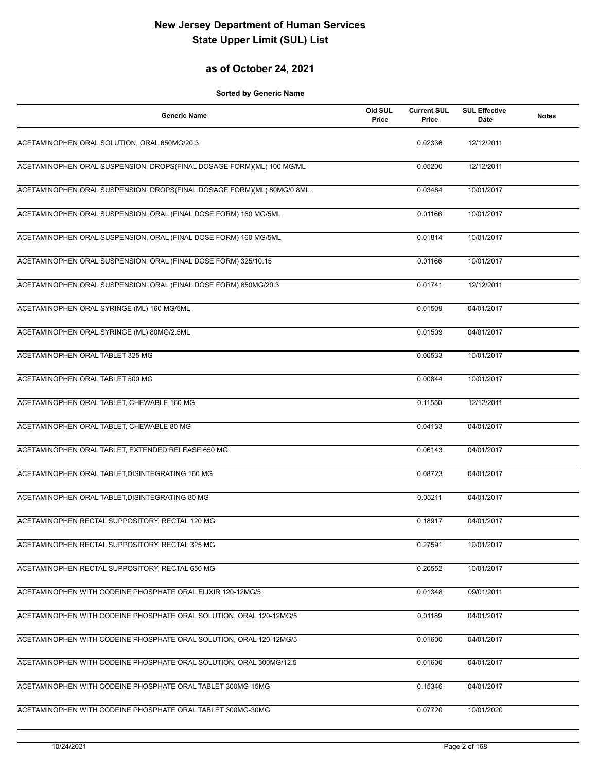## **as of October 24, 2021**

| <b>Generic Name</b>                                                    | Old SUL<br>Price | <b>Current SUL</b><br>Price | <b>SUL Effective</b><br><b>Date</b> | <b>Notes</b> |
|------------------------------------------------------------------------|------------------|-----------------------------|-------------------------------------|--------------|
| ACETAMINOPHEN ORAL SOLUTION, ORAL 650MG/20.3                           |                  | 0.02336                     | 12/12/2011                          |              |
| ACETAMINOPHEN ORAL SUSPENSION, DROPS(FINAL DOSAGE FORM)(ML) 100 MG/ML  |                  | 0.05200                     | 12/12/2011                          |              |
| ACETAMINOPHEN ORAL SUSPENSION, DROPS(FINAL DOSAGE FORM)(ML) 80MG/0.8ML |                  | 0.03484                     | 10/01/2017                          |              |
| ACETAMINOPHEN ORAL SUSPENSION, ORAL (FINAL DOSE FORM) 160 MG/5ML       |                  | 0.01166                     | 10/01/2017                          |              |
| ACETAMINOPHEN ORAL SUSPENSION, ORAL (FINAL DOSE FORM) 160 MG/5ML       |                  | 0.01814                     | 10/01/2017                          |              |
| ACETAMINOPHEN ORAL SUSPENSION, ORAL (FINAL DOSE FORM) 325/10.15        |                  | 0.01166                     | 10/01/2017                          |              |
| ACETAMINOPHEN ORAL SUSPENSION, ORAL (FINAL DOSE FORM) 650MG/20.3       |                  | 0.01741                     | 12/12/2011                          |              |
| ACETAMINOPHEN ORAL SYRINGE (ML) 160 MG/5ML                             |                  | 0.01509                     | 04/01/2017                          |              |
| ACETAMINOPHEN ORAL SYRINGE (ML) 80MG/2.5ML                             |                  | 0.01509                     | 04/01/2017                          |              |
| ACETAMINOPHEN ORAL TABLET 325 MG                                       |                  | 0.00533                     | 10/01/2017                          |              |
| ACETAMINOPHEN ORAL TABLET 500 MG                                       |                  | 0.00844                     | 10/01/2017                          |              |
| ACETAMINOPHEN ORAL TABLET, CHEWABLE 160 MG                             |                  | 0.11550                     | 12/12/2011                          |              |
| ACETAMINOPHEN ORAL TABLET, CHEWABLE 80 MG                              |                  | 0.04133                     | 04/01/2017                          |              |
| ACETAMINOPHEN ORAL TABLET, EXTENDED RELEASE 650 MG                     |                  | 0.06143                     | 04/01/2017                          |              |
| ACETAMINOPHEN ORAL TABLET, DISINTEGRATING 160 MG                       |                  | 0.08723                     | 04/01/2017                          |              |
| ACETAMINOPHEN ORAL TABLET, DISINTEGRATING 80 MG                        |                  | 0.05211                     | 04/01/2017                          |              |
| ACETAMINOPHEN RECTAL SUPPOSITORY, RECTAL 120 MG                        |                  | 0.18917                     | 04/01/2017                          |              |
| ACETAMINOPHEN RECTAL SUPPOSITORY, RECTAL 325 MG                        |                  | 0.27591                     | 10/01/2017                          |              |
| ACETAMINOPHEN RECTAL SUPPOSITORY, RECTAL 650 MG                        |                  | 0.20552                     | 10/01/2017                          |              |
| ACETAMINOPHEN WITH CODEINE PHOSPHATE ORAL ELIXIR 120-12MG/5            |                  | 0.01348                     | 09/01/2011                          |              |
| ACETAMINOPHEN WITH CODEINE PHOSPHATE ORAL SOLUTION, ORAL 120-12MG/5    |                  | 0.01189                     | 04/01/2017                          |              |
| ACETAMINOPHEN WITH CODEINE PHOSPHATE ORAL SOLUTION, ORAL 120-12MG/5    |                  | 0.01600                     | 04/01/2017                          |              |
| ACETAMINOPHEN WITH CODEINE PHOSPHATE ORAL SOLUTION, ORAL 300MG/12.5    |                  | 0.01600                     | 04/01/2017                          |              |
| ACETAMINOPHEN WITH CODEINE PHOSPHATE ORAL TABLET 300MG-15MG            |                  | 0.15346                     | 04/01/2017                          |              |
| ACETAMINOPHEN WITH CODEINE PHOSPHATE ORAL TABLET 300MG-30MG            |                  | 0.07720                     | 10/01/2020                          |              |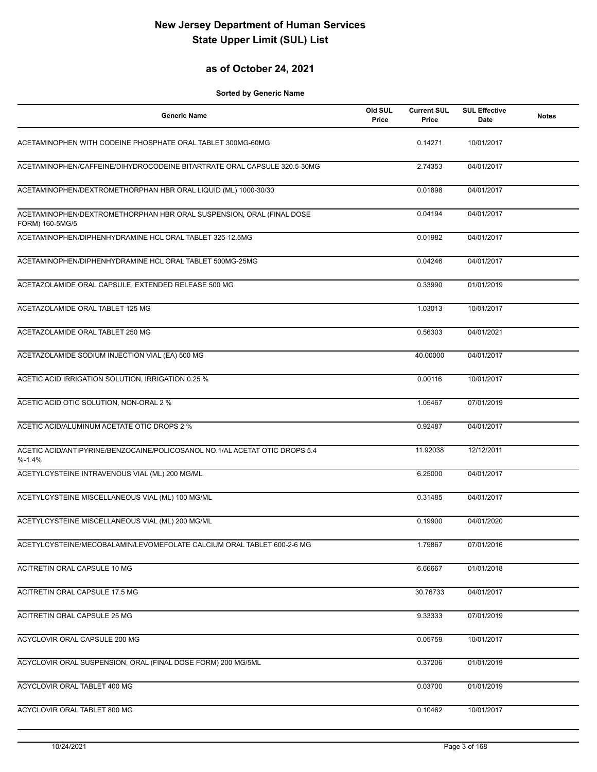## **as of October 24, 2021**

| <b>Generic Name</b>                                                                      | Old SUL<br>Price | <b>Current SUL</b><br>Price | <b>SUL Effective</b><br>Date | <b>Notes</b> |
|------------------------------------------------------------------------------------------|------------------|-----------------------------|------------------------------|--------------|
| ACETAMINOPHEN WITH CODEINE PHOSPHATE ORAL TABLET 300MG-60MG                              |                  | 0.14271                     | 10/01/2017                   |              |
| ACETAMINOPHEN/CAFFEINE/DIHYDROCODEINE BITARTRATE ORAL CAPSULE 320.5-30MG                 |                  | 2.74353                     | 04/01/2017                   |              |
| ACETAMINOPHEN/DEXTROMETHORPHAN HBR ORAL LIQUID (ML) 1000-30/30                           |                  | 0.01898                     | 04/01/2017                   |              |
| ACETAMINOPHEN/DEXTROMETHORPHAN HBR ORAL SUSPENSION, ORAL (FINAL DOSE<br>FORM) 160-5MG/5  |                  | 0.04194                     | 04/01/2017                   |              |
| ACETAMINOPHEN/DIPHENHYDRAMINE HCL ORAL TABLET 325-12.5MG                                 |                  | 0.01982                     | 04/01/2017                   |              |
| ACETAMINOPHEN/DIPHENHYDRAMINE HCL ORAL TABLET 500MG-25MG                                 |                  | 0.04246                     | 04/01/2017                   |              |
| ACETAZOLAMIDE ORAL CAPSULE, EXTENDED RELEASE 500 MG                                      |                  | 0.33990                     | 01/01/2019                   |              |
| ACETAZOLAMIDE ORAL TABLET 125 MG                                                         |                  | 1.03013                     | 10/01/2017                   |              |
| ACETAZOLAMIDE ORAL TABLET 250 MG                                                         |                  | 0.56303                     | 04/01/2021                   |              |
| ACETAZOLAMIDE SODIUM INJECTION VIAL (EA) 500 MG                                          |                  | 40.00000                    | 04/01/2017                   |              |
| ACETIC ACID IRRIGATION SOLUTION, IRRIGATION 0.25 %                                       |                  | 0.00116                     | 10/01/2017                   |              |
| ACETIC ACID OTIC SOLUTION, NON-ORAL 2 %                                                  |                  | 1.05467                     | 07/01/2019                   |              |
| ACETIC ACID/ALUMINUM ACETATE OTIC DROPS 2 %                                              |                  | 0.92487                     | 04/01/2017                   |              |
| ACETIC ACID/ANTIPYRINE/BENZOCAINE/POLICOSANOL NO.1/AL ACETAT OTIC DROPS 5.4<br>$% -1.4%$ |                  | 11.92038                    | 12/12/2011                   |              |
| ACETYLCYSTEINE INTRAVENOUS VIAL (ML) 200 MG/ML                                           |                  | 6.25000                     | 04/01/2017                   |              |
| ACETYLCYSTEINE MISCELLANEOUS VIAL (ML) 100 MG/ML                                         |                  | 0.31485                     | 04/01/2017                   |              |
| ACETYLCYSTEINE MISCELLANEOUS VIAL (ML) 200 MG/ML                                         |                  | 0.19900                     | 04/01/2020                   |              |
| ACETYLCYSTEINE/MECOBALAMIN/LEVOMEFOLATE CALCIUM ORAL TABLET 600-2-6 MG                   |                  | 1.79867                     | 07/01/2016                   |              |
| ACITRETIN ORAL CAPSULE 10 MG                                                             |                  | 6.66667                     | 01/01/2018                   |              |
| ACITRETIN ORAL CAPSULE 17.5 MG                                                           |                  | 30.76733                    | 04/01/2017                   |              |
| <b>ACITRETIN ORAL CAPSULE 25 MG</b>                                                      |                  | 9.33333                     | 07/01/2019                   |              |
| ACYCLOVIR ORAL CAPSULE 200 MG                                                            |                  | 0.05759                     | 10/01/2017                   |              |
| ACYCLOVIR ORAL SUSPENSION, ORAL (FINAL DOSE FORM) 200 MG/5ML                             |                  | 0.37206                     | 01/01/2019                   |              |
| ACYCLOVIR ORAL TABLET 400 MG                                                             |                  | 0.03700                     | 01/01/2019                   |              |
| ACYCLOVIR ORAL TABLET 800 MG                                                             |                  | 0.10462                     | 10/01/2017                   |              |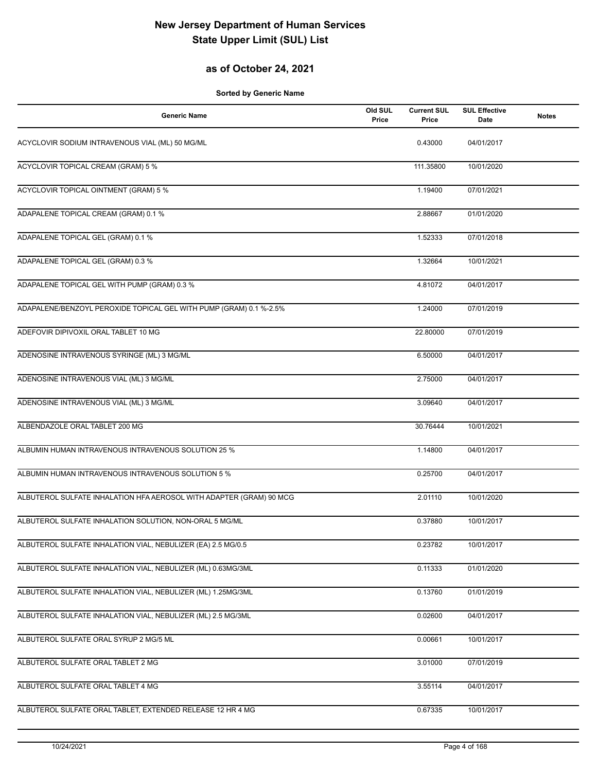## **as of October 24, 2021**

| <b>Generic Name</b>                                                 | Old SUL<br>Price | <b>Current SUL</b><br>Price | <b>SUL Effective</b><br>Date | <b>Notes</b> |
|---------------------------------------------------------------------|------------------|-----------------------------|------------------------------|--------------|
| ACYCLOVIR SODIUM INTRAVENOUS VIAL (ML) 50 MG/ML                     |                  | 0.43000                     | 04/01/2017                   |              |
| ACYCLOVIR TOPICAL CREAM (GRAM) 5 %                                  |                  | 111.35800                   | 10/01/2020                   |              |
| <b>ACYCLOVIR TOPICAL OINTMENT (GRAM) 5 %</b>                        |                  | 1.19400                     | 07/01/2021                   |              |
| ADAPALENE TOPICAL CREAM (GRAM) 0.1 %                                |                  | 2.88667                     | 01/01/2020                   |              |
| ADAPALENE TOPICAL GEL (GRAM) 0.1 %                                  |                  | 1.52333                     | 07/01/2018                   |              |
| ADAPALENE TOPICAL GEL (GRAM) 0.3 %                                  |                  | 1.32664                     | 10/01/2021                   |              |
| ADAPALENE TOPICAL GEL WITH PUMP (GRAM) 0.3 %                        |                  | 4.81072                     | 04/01/2017                   |              |
| ADAPALENE/BENZOYL PEROXIDE TOPICAL GEL WITH PUMP (GRAM) 0.1 %-2.5%  |                  | 1.24000                     | 07/01/2019                   |              |
| ADEFOVIR DIPIVOXIL ORAL TABLET 10 MG                                |                  | 22.80000                    | 07/01/2019                   |              |
| ADENOSINE INTRAVENOUS SYRINGE (ML) 3 MG/ML                          |                  | 6.50000                     | 04/01/2017                   |              |
| ADENOSINE INTRAVENOUS VIAL (ML) 3 MG/ML                             |                  | 2.75000                     | 04/01/2017                   |              |
| ADENOSINE INTRAVENOUS VIAL (ML) 3 MG/ML                             |                  | 3.09640                     | 04/01/2017                   |              |
| ALBENDAZOLE ORAL TABLET 200 MG                                      |                  | 30.76444                    | 10/01/2021                   |              |
| ALBUMIN HUMAN INTRAVENOUS INTRAVENOUS SOLUTION 25 %                 |                  | 1.14800                     | 04/01/2017                   |              |
| ALBUMIN HUMAN INTRAVENOUS INTRAVENOUS SOLUTION 5 %                  |                  | 0.25700                     | 04/01/2017                   |              |
| ALBUTEROL SULFATE INHALATION HFA AEROSOL WITH ADAPTER (GRAM) 90 MCG |                  | 2.01110                     | 10/01/2020                   |              |
| ALBUTEROL SULFATE INHALATION SOLUTION, NON-ORAL 5 MG/ML             |                  | 0.37880                     | 10/01/2017                   |              |
| ALBUTEROL SULFATE INHALATION VIAL, NEBULIZER (EA) 2.5 MG/0.5        |                  | 0.23782                     | 10/01/2017                   |              |
| ALBUTEROL SULFATE INHALATION VIAL, NEBULIZER (ML) 0.63MG/3ML        |                  | 0.11333                     | 01/01/2020                   |              |
| ALBUTEROL SULFATE INHALATION VIAL, NEBULIZER (ML) 1.25MG/3ML        |                  | 0.13760                     | 01/01/2019                   |              |
| ALBUTEROL SULFATE INHALATION VIAL, NEBULIZER (ML) 2.5 MG/3ML        |                  | 0.02600                     | 04/01/2017                   |              |
| ALBUTEROL SULFATE ORAL SYRUP 2 MG/5 ML                              |                  | 0.00661                     | 10/01/2017                   |              |
| ALBUTEROL SULFATE ORAL TABLET 2 MG                                  |                  | 3.01000                     | 07/01/2019                   |              |
| ALBUTEROL SULFATE ORAL TABLET 4 MG                                  |                  | 3.55114                     | 04/01/2017                   |              |
| ALBUTEROL SULFATE ORAL TABLET, EXTENDED RELEASE 12 HR 4 MG          |                  | 0.67335                     | 10/01/2017                   |              |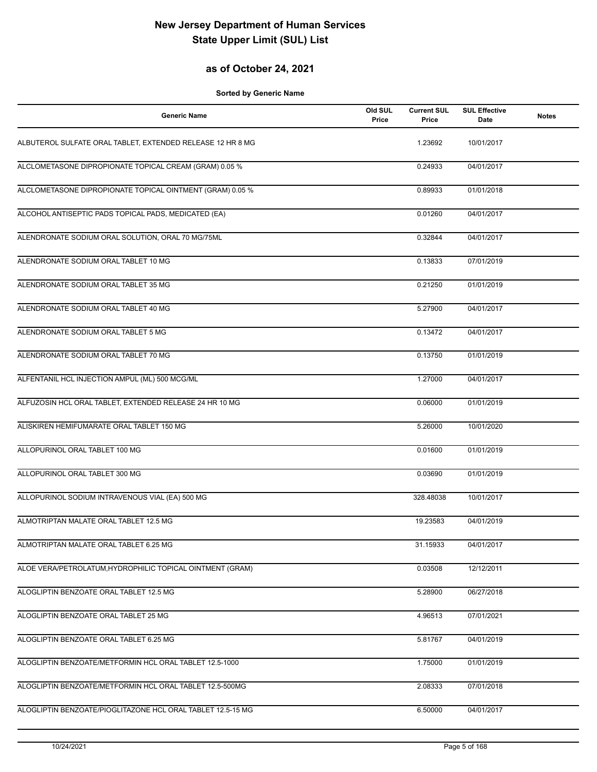## **as of October 24, 2021**

| <b>Generic Name</b>                                         | Old SUL<br>Price | <b>Current SUL</b><br>Price | <b>SUL Effective</b><br>Date | <b>Notes</b> |
|-------------------------------------------------------------|------------------|-----------------------------|------------------------------|--------------|
| ALBUTEROL SULFATE ORAL TABLET, EXTENDED RELEASE 12 HR 8 MG  |                  | 1.23692                     | 10/01/2017                   |              |
| ALCLOMETASONE DIPROPIONATE TOPICAL CREAM (GRAM) 0.05 %      |                  | 0.24933                     | 04/01/2017                   |              |
| ALCLOMETASONE DIPROPIONATE TOPICAL OINTMENT (GRAM) 0.05 %   |                  | 0.89933                     | 01/01/2018                   |              |
| ALCOHOL ANTISEPTIC PADS TOPICAL PADS, MEDICATED (EA)        |                  | 0.01260                     | 04/01/2017                   |              |
| ALENDRONATE SODIUM ORAL SOLUTION, ORAL 70 MG/75ML           |                  | 0.32844                     | 04/01/2017                   |              |
| ALENDRONATE SODIUM ORAL TABLET 10 MG                        |                  | 0.13833                     | 07/01/2019                   |              |
| ALENDRONATE SODIUM ORAL TABLET 35 MG                        |                  | 0.21250                     | 01/01/2019                   |              |
| ALENDRONATE SODIUM ORAL TABLET 40 MG                        |                  | 5.27900                     | 04/01/2017                   |              |
| ALENDRONATE SODIUM ORAL TABLET 5 MG                         |                  | 0.13472                     | 04/01/2017                   |              |
| ALENDRONATE SODIUM ORAL TABLET 70 MG                        |                  | 0.13750                     | 01/01/2019                   |              |
| ALFENTANIL HCL INJECTION AMPUL (ML) 500 MCG/ML              |                  | 1.27000                     | 04/01/2017                   |              |
| ALFUZOSIN HCL ORAL TABLET, EXTENDED RELEASE 24 HR 10 MG     |                  | 0.06000                     | 01/01/2019                   |              |
| ALISKIREN HEMIFUMARATE ORAL TABLET 150 MG                   |                  | 5.26000                     | 10/01/2020                   |              |
| ALLOPURINOL ORAL TABLET 100 MG                              |                  | 0.01600                     | 01/01/2019                   |              |
| ALLOPURINOL ORAL TABLET 300 MG                              |                  | 0.03690                     | 01/01/2019                   |              |
| ALLOPURINOL SODIUM INTRAVENOUS VIAL (EA) 500 MG             |                  | 328.48038                   | 10/01/2017                   |              |
| ALMOTRIPTAN MALATE ORAL TABLET 12.5 MG                      |                  | 19.23583                    | 04/01/2019                   |              |
| ALMOTRIPTAN MALATE ORAL TABLET 6.25 MG                      |                  | 31.15933                    | 04/01/2017                   |              |
| ALOE VERA/PETROLATUM, HYDROPHILIC TOPICAL OINTMENT (GRAM)   |                  | 0.03508                     | 12/12/2011                   |              |
| ALOGLIPTIN BENZOATE ORAL TABLET 12.5 MG                     |                  | 5.28900                     | 06/27/2018                   |              |
| ALOGLIPTIN BENZOATE ORAL TABLET 25 MG                       |                  | 4.96513                     | 07/01/2021                   |              |
| ALOGLIPTIN BENZOATE ORAL TABLET 6.25 MG                     |                  | 5.81767                     | 04/01/2019                   |              |
| ALOGLIPTIN BENZOATE/METFORMIN HCL ORAL TABLET 12.5-1000     |                  | 1.75000                     | 01/01/2019                   |              |
| ALOGLIPTIN BENZOATE/METFORMIN HCL ORAL TABLET 12.5-500MG    |                  | 2.08333                     | 07/01/2018                   |              |
| ALOGLIPTIN BENZOATE/PIOGLITAZONE HCL ORAL TABLET 12.5-15 MG |                  | 6.50000                     | 04/01/2017                   |              |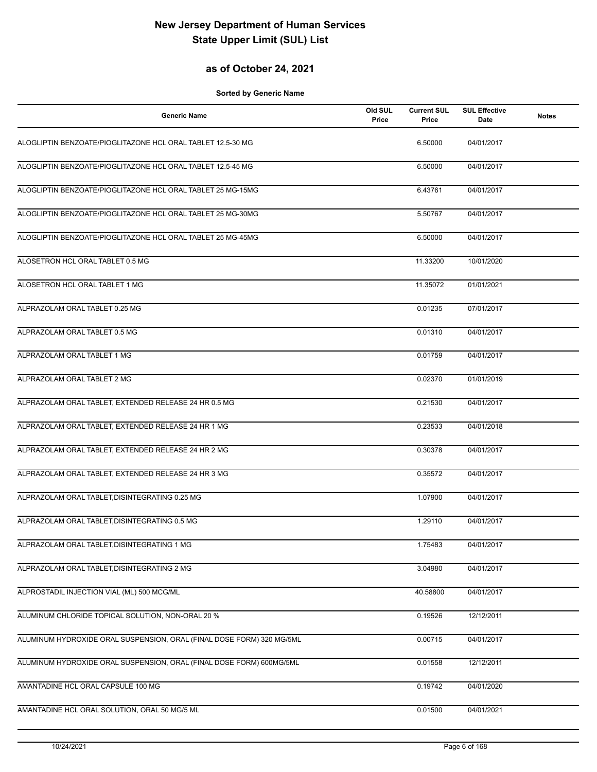## **as of October 24, 2021**

| <b>Generic Name</b>                                                   | Old SUL<br>Price | <b>Current SUL</b><br>Price | <b>SUL Effective</b><br>Date | <b>Notes</b> |
|-----------------------------------------------------------------------|------------------|-----------------------------|------------------------------|--------------|
| ALOGLIPTIN BENZOATE/PIOGLITAZONE HCL ORAL TABLET 12.5-30 MG           |                  | 6.50000                     | 04/01/2017                   |              |
| ALOGLIPTIN BENZOATE/PIOGLITAZONE HCL ORAL TABLET 12.5-45 MG           |                  | 6.50000                     | 04/01/2017                   |              |
| ALOGLIPTIN BENZOATE/PIOGLITAZONE HCL ORAL TABLET 25 MG-15MG           |                  | 6.43761                     | 04/01/2017                   |              |
| ALOGLIPTIN BENZOATE/PIOGLITAZONE HCL ORAL TABLET 25 MG-30MG           |                  | 5.50767                     | 04/01/2017                   |              |
| ALOGLIPTIN BENZOATE/PIOGLITAZONE HCL ORAL TABLET 25 MG-45MG           |                  | 6.50000                     | 04/01/2017                   |              |
| ALOSETRON HCL ORAL TABLET 0.5 MG                                      |                  | 11.33200                    | 10/01/2020                   |              |
| ALOSETRON HCL ORAL TABLET 1 MG                                        |                  | 11.35072                    | 01/01/2021                   |              |
| ALPRAZOLAM ORAL TABLET 0.25 MG                                        |                  | 0.01235                     | 07/01/2017                   |              |
| ALPRAZOLAM ORAL TABLET 0.5 MG                                         |                  | 0.01310                     | 04/01/2017                   |              |
| ALPRAZOLAM ORAL TABLET 1 MG                                           |                  | 0.01759                     | 04/01/2017                   |              |
| ALPRAZOLAM ORAL TABLET 2 MG                                           |                  | 0.02370                     | 01/01/2019                   |              |
| ALPRAZOLAM ORAL TABLET, EXTENDED RELEASE 24 HR 0.5 MG                 |                  | 0.21530                     | 04/01/2017                   |              |
| ALPRAZOLAM ORAL TABLET, EXTENDED RELEASE 24 HR 1 MG                   |                  | 0.23533                     | 04/01/2018                   |              |
| ALPRAZOLAM ORAL TABLET, EXTENDED RELEASE 24 HR 2 MG                   |                  | 0.30378                     | 04/01/2017                   |              |
| ALPRAZOLAM ORAL TABLET, EXTENDED RELEASE 24 HR 3 MG                   |                  | 0.35572                     | 04/01/2017                   |              |
| ALPRAZOLAM ORAL TABLET, DISINTEGRATING 0.25 MG                        |                  | 1.07900                     | 04/01/2017                   |              |
| ALPRAZOLAM ORAL TABLET.DISINTEGRATING 0.5 MG                          |                  | 1.29110                     | 04/01/2017                   |              |
| ALPRAZOLAM ORAL TABLET, DISINTEGRATING 1 MG                           |                  | 1.75483                     | 04/01/2017                   |              |
| ALPRAZOLAM ORAL TABLET, DISINTEGRATING 2 MG                           |                  | 3.04980                     | 04/01/2017                   |              |
| ALPROSTADIL INJECTION VIAL (ML) 500 MCG/ML                            |                  | 40.58800                    | 04/01/2017                   |              |
| ALUMINUM CHLORIDE TOPICAL SOLUTION, NON-ORAL 20 %                     |                  | 0.19526                     | 12/12/2011                   |              |
| ALUMINUM HYDROXIDE ORAL SUSPENSION, ORAL (FINAL DOSE FORM) 320 MG/5ML |                  | 0.00715                     | 04/01/2017                   |              |
| ALUMINUM HYDROXIDE ORAL SUSPENSION, ORAL (FINAL DOSE FORM) 600MG/5ML  |                  | 0.01558                     | 12/12/2011                   |              |
| AMANTADINE HCL ORAL CAPSULE 100 MG                                    |                  | 0.19742                     | 04/01/2020                   |              |
| AMANTADINE HCL ORAL SOLUTION, ORAL 50 MG/5 ML                         |                  | 0.01500                     | 04/01/2021                   |              |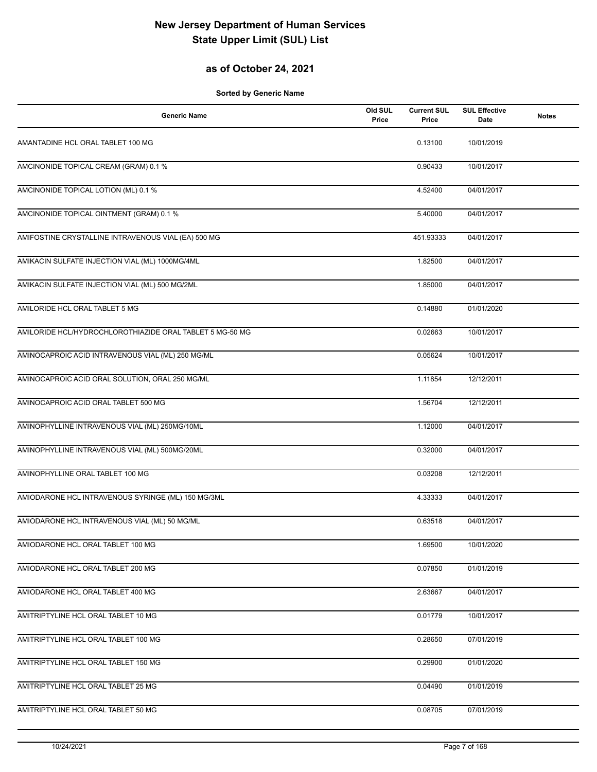## **as of October 24, 2021**

| <b>Generic Name</b>                                      | Old SUL<br>Price | <b>Current SUL</b><br>Price | <b>SUL Effective</b><br>Date | <b>Notes</b> |
|----------------------------------------------------------|------------------|-----------------------------|------------------------------|--------------|
| AMANTADINE HCL ORAL TABLET 100 MG                        |                  | 0.13100                     | 10/01/2019                   |              |
| AMCINONIDE TOPICAL CREAM (GRAM) 0.1 %                    |                  | 0.90433                     | 10/01/2017                   |              |
| AMCINONIDE TOPICAL LOTION (ML) 0.1 %                     |                  | 4.52400                     | 04/01/2017                   |              |
| AMCINONIDE TOPICAL OINTMENT (GRAM) 0.1 %                 |                  | 5.40000                     | 04/01/2017                   |              |
| AMIFOSTINE CRYSTALLINE INTRAVENOUS VIAL (EA) 500 MG      |                  | 451.93333                   | 04/01/2017                   |              |
| AMIKACIN SULFATE INJECTION VIAL (ML) 1000MG/4ML          |                  | 1.82500                     | 04/01/2017                   |              |
| AMIKACIN SULFATE INJECTION VIAL (ML) 500 MG/2ML          |                  | 1.85000                     | 04/01/2017                   |              |
| AMILORIDE HCL ORAL TABLET 5 MG                           |                  | 0.14880                     | 01/01/2020                   |              |
| AMILORIDE HCL/HYDROCHLOROTHIAZIDE ORAL TABLET 5 MG-50 MG |                  | 0.02663                     | 10/01/2017                   |              |
| AMINOCAPROIC ACID INTRAVENOUS VIAL (ML) 250 MG/ML        |                  | 0.05624                     | 10/01/2017                   |              |
| AMINOCAPROIC ACID ORAL SOLUTION, ORAL 250 MG/ML          |                  | 1.11854                     | 12/12/2011                   |              |
| AMINOCAPROIC ACID ORAL TABLET 500 MG                     |                  | 1.56704                     | 12/12/2011                   |              |
| AMINOPHYLLINE INTRAVENOUS VIAL (ML) 250MG/10ML           |                  | 1.12000                     | 04/01/2017                   |              |
| AMINOPHYLLINE INTRAVENOUS VIAL (ML) 500MG/20ML           |                  | 0.32000                     | 04/01/2017                   |              |
| AMINOPHYLLINE ORAL TABLET 100 MG                         |                  | 0.03208                     | 12/12/2011                   |              |
| AMIODARONE HCL INTRAVENOUS SYRINGE (ML) 150 MG/3ML       |                  | 4.33333                     | 04/01/2017                   |              |
| AMIODARONE HCL INTRAVENOUS VIAL (ML) 50 MG/ML            |                  | 0.63518                     | 04/01/2017                   |              |
| AMIODARONE HCL ORAL TABLET 100 MG                        |                  | 1.69500                     | 10/01/2020                   |              |
| AMIODARONE HCL ORAL TABLET 200 MG                        |                  | 0.07850                     | 01/01/2019                   |              |
| AMIODARONE HCL ORAL TABLET 400 MG                        |                  | 2.63667                     | 04/01/2017                   |              |
| AMITRIPTYLINE HCL ORAL TABLET 10 MG                      |                  | 0.01779                     | 10/01/2017                   |              |
| AMITRIPTYLINE HCL ORAL TABLET 100 MG                     |                  | 0.28650                     | 07/01/2019                   |              |
| AMITRIPTYLINE HCL ORAL TABLET 150 MG                     |                  | 0.29900                     | 01/01/2020                   |              |
| AMITRIPTYLINE HCL ORAL TABLET 25 MG                      |                  | 0.04490                     | 01/01/2019                   |              |
| AMITRIPTYLINE HCL ORAL TABLET 50 MG                      |                  | 0.08705                     | 07/01/2019                   |              |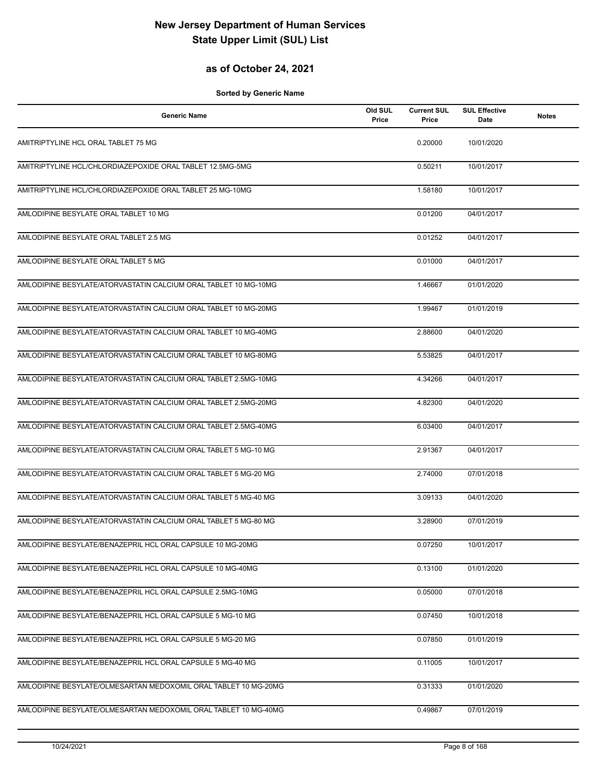## **as of October 24, 2021**

| <b>Generic Name</b>                                             | Old SUL<br>Price | <b>Current SUL</b><br>Price | <b>SUL Effective</b><br>Date | <b>Notes</b> |
|-----------------------------------------------------------------|------------------|-----------------------------|------------------------------|--------------|
| AMITRIPTYLINE HCL ORAL TABLET 75 MG                             |                  | 0.20000                     | 10/01/2020                   |              |
| AMITRIPTYLINE HCL/CHLORDIAZEPOXIDE ORAL TABLET 12.5MG-5MG       |                  | 0.50211                     | 10/01/2017                   |              |
| AMITRIPTYLINE HCL/CHLORDIAZEPOXIDE ORAL TABLET 25 MG-10MG       |                  | 1.58180                     | 10/01/2017                   |              |
| AMLODIPINE BESYLATE ORAL TABLET 10 MG                           |                  | 0.01200                     | 04/01/2017                   |              |
| AMLODIPINE BESYLATE ORAL TABLET 2.5 MG                          |                  | 0.01252                     | 04/01/2017                   |              |
| AMLODIPINE BESYLATE ORAL TABLET 5 MG                            |                  | 0.01000                     | 04/01/2017                   |              |
| AMLODIPINE BESYLATE/ATORVASTATIN CALCIUM ORAL TABLET 10 MG-10MG |                  | 1.46667                     | 01/01/2020                   |              |
| AMLODIPINE BESYLATE/ATORVASTATIN CALCIUM ORAL TABLET 10 MG-20MG |                  | 1.99467                     | 01/01/2019                   |              |
| AMLODIPINE BESYLATE/ATORVASTATIN CALCIUM ORAL TABLET 10 MG-40MG |                  | 2.88600                     | 04/01/2020                   |              |
| AMLODIPINE BESYLATE/ATORVASTATIN CALCIUM ORAL TABLET 10 MG-80MG |                  | 5.53825                     | 04/01/2017                   |              |
| AMLODIPINE BESYLATE/ATORVASTATIN CALCIUM ORAL TABLET 2.5MG-10MG |                  | 4.34266                     | 04/01/2017                   |              |
| AMLODIPINE BESYLATE/ATORVASTATIN CALCIUM ORAL TABLET 2.5MG-20MG |                  | 4.82300                     | 04/01/2020                   |              |
| AMLODIPINE BESYLATE/ATORVASTATIN CALCIUM ORAL TABLET 2.5MG-40MG |                  | 6.03400                     | 04/01/2017                   |              |
| AMLODIPINE BESYLATE/ATORVASTATIN CALCIUM ORAL TABLET 5 MG-10 MG |                  | 2.91367                     | 04/01/2017                   |              |
| AMLODIPINE BESYLATE/ATORVASTATIN CALCIUM ORAL TABLET 5 MG-20 MG |                  | 2.74000                     | 07/01/2018                   |              |
| AMLODIPINE BESYLATE/ATORVASTATIN CALCIUM ORAL TABLET 5 MG-40 MG |                  | 3.09133                     | 04/01/2020                   |              |
| AMLODIPINE BESYLATE/ATORVASTATIN CALCIUM ORAL TABLET 5 MG-80 MG |                  | 3.28900                     | 07/01/2019                   |              |
| AMLODIPINE BESYLATE/BENAZEPRIL HCL ORAL CAPSULE 10 MG-20MG      |                  | 0.07250                     | 10/01/2017                   |              |
| AMLODIPINE BESYLATE/BENAZEPRIL HCL ORAL CAPSULE 10 MG-40MG      |                  | 0.13100                     | 01/01/2020                   |              |
| AMLODIPINE BESYLATE/BENAZEPRIL HCL ORAL CAPSULE 2.5MG-10MG      |                  | 0.05000                     | 07/01/2018                   |              |
| AMLODIPINE BESYLATE/BENAZEPRIL HCL ORAL CAPSULE 5 MG-10 MG      |                  | 0.07450                     | 10/01/2018                   |              |
| AMLODIPINE BESYLATE/BENAZEPRIL HCL ORAL CAPSULE 5 MG-20 MG      |                  | 0.07850                     | 01/01/2019                   |              |
| AMLODIPINE BESYLATE/BENAZEPRIL HCL ORAL CAPSULE 5 MG-40 MG      |                  | 0.11005                     | 10/01/2017                   |              |
| AMLODIPINE BESYLATE/OLMESARTAN MEDOXOMIL ORAL TABLET 10 MG-20MG |                  | 0.31333                     | 01/01/2020                   |              |
| AMLODIPINE BESYLATE/OLMESARTAN MEDOXOMIL ORAL TABLET 10 MG-40MG |                  | 0.49867                     | 07/01/2019                   |              |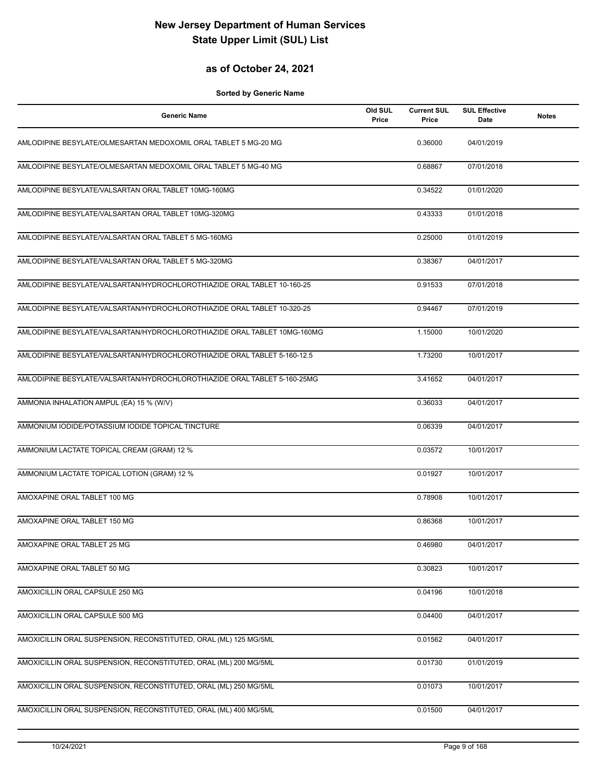### **as of October 24, 2021**

| <b>Generic Name</b>                                                      | Old SUL<br>Price | <b>Current SUL</b><br>Price | <b>SUL Effective</b><br>Date | <b>Notes</b> |
|--------------------------------------------------------------------------|------------------|-----------------------------|------------------------------|--------------|
| AMLODIPINE BESYLATE/OLMESARTAN MEDOXOMIL ORAL TABLET 5 MG-20 MG          |                  | 0.36000                     | 04/01/2019                   |              |
| AMLODIPINE BESYLATE/OLMESARTAN MEDOXOMIL ORAL TABLET 5 MG-40 MG          |                  | 0.68867                     | 07/01/2018                   |              |
| AMLODIPINE BESYLATE/VALSARTAN ORAL TABLET 10MG-160MG                     |                  | 0.34522                     | 01/01/2020                   |              |
| AMLODIPINE BESYLATE/VALSARTAN ORAL TABLET 10MG-320MG                     |                  | 0.43333                     | 01/01/2018                   |              |
| AMLODIPINE BESYLATE/VALSARTAN ORAL TABLET 5 MG-160MG                     |                  | 0.25000                     | 01/01/2019                   |              |
| AMLODIPINE BESYLATE/VALSARTAN ORAL TABLET 5 MG-320MG                     |                  | 0.38367                     | 04/01/2017                   |              |
| AMLODIPINE BESYLATE/VALSARTAN/HYDROCHLOROTHIAZIDE ORAL TABLET 10-160-25  |                  | 0.91533                     | 07/01/2018                   |              |
| AMLODIPINE BESYLATE/VALSARTAN/HYDROCHLOROTHIAZIDE ORAL TABLET 10-320-25  |                  | 0.94467                     | 07/01/2019                   |              |
| AMLODIPINE BESYLATE/VALSARTAN/HYDROCHLOROTHIAZIDE ORAL TABLET 10MG-160MG |                  | 1.15000                     | 10/01/2020                   |              |
| AMLODIPINE BESYLATE/VALSARTAN/HYDROCHLOROTHIAZIDE ORAL TABLET 5-160-12.5 |                  | 1.73200                     | 10/01/2017                   |              |
| AMLODIPINE BESYLATE/VALSARTAN/HYDROCHLOROTHIAZIDE ORAL TABLET 5-160-25MG |                  | 3.41652                     | 04/01/2017                   |              |
| AMMONIA INHALATION AMPUL (EA) 15 % (W/V)                                 |                  | 0.36033                     | 04/01/2017                   |              |
| AMMONIUM IODIDE/POTASSIUM IODIDE TOPICAL TINCTURE                        |                  | 0.06339                     | 04/01/2017                   |              |
| AMMONIUM LACTATE TOPICAL CREAM (GRAM) 12 %                               |                  | 0.03572                     | 10/01/2017                   |              |
| AMMONIUM LACTATE TOPICAL LOTION (GRAM) 12 %                              |                  | 0.01927                     | 10/01/2017                   |              |
| AMOXAPINE ORAL TABLET 100 MG                                             |                  | 0.78908                     | 10/01/2017                   |              |
| AMOXAPINE ORAL TABLET 150 MG                                             |                  | 0.86368                     | 10/01/2017                   |              |
| AMOXAPINE ORAL TABLET 25 MG                                              |                  | 0.46980                     | 04/01/2017                   |              |
| AMOXAPINE ORAL TABLET 50 MG                                              |                  | 0.30823                     | 10/01/2017                   |              |
| AMOXICILLIN ORAL CAPSULE 250 MG                                          |                  | 0.04196                     | 10/01/2018                   |              |
| AMOXICILLIN ORAL CAPSULE 500 MG                                          |                  | 0.04400                     | 04/01/2017                   |              |
| AMOXICILLIN ORAL SUSPENSION, RECONSTITUTED, ORAL (ML) 125 MG/5ML         |                  | 0.01562                     | 04/01/2017                   |              |
| AMOXICILLIN ORAL SUSPENSION, RECONSTITUTED, ORAL (ML) 200 MG/5ML         |                  | 0.01730                     | 01/01/2019                   |              |
| AMOXICILLIN ORAL SUSPENSION, RECONSTITUTED, ORAL (ML) 250 MG/5ML         |                  | 0.01073                     | 10/01/2017                   |              |
| AMOXICILLIN ORAL SUSPENSION, RECONSTITUTED, ORAL (ML) 400 MG/5ML         |                  | 0.01500                     | 04/01/2017                   |              |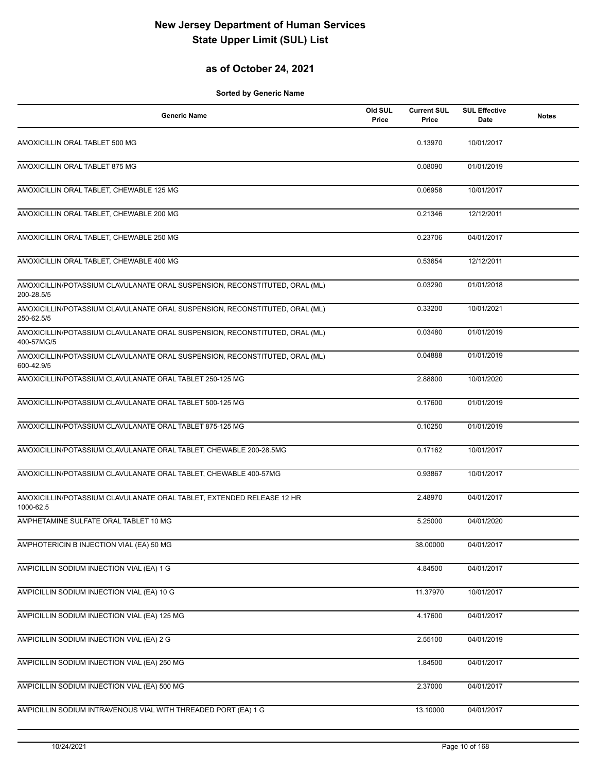## **as of October 24, 2021**

| <b>Generic Name</b>                                                                       | Old SUL<br>Price | <b>Current SUL</b><br>Price | <b>SUL Effective</b><br>Date | <b>Notes</b> |
|-------------------------------------------------------------------------------------------|------------------|-----------------------------|------------------------------|--------------|
| AMOXICILLIN ORAL TABLET 500 MG                                                            |                  | 0.13970                     | 10/01/2017                   |              |
| AMOXICILLIN ORAL TABLET 875 MG                                                            |                  | 0.08090                     | 01/01/2019                   |              |
| AMOXICILLIN ORAL TABLET, CHEWABLE 125 MG                                                  |                  | 0.06958                     | 10/01/2017                   |              |
| AMOXICILLIN ORAL TABLET, CHEWABLE 200 MG                                                  |                  | 0.21346                     | 12/12/2011                   |              |
| AMOXICILLIN ORAL TABLET, CHEWABLE 250 MG                                                  |                  | 0.23706                     | 04/01/2017                   |              |
| AMOXICILLIN ORAL TABLET, CHEWABLE 400 MG                                                  |                  | 0.53654                     | 12/12/2011                   |              |
| AMOXICILLIN/POTASSIUM CLAVULANATE ORAL SUSPENSION, RECONSTITUTED, ORAL (ML)<br>200-28.5/5 |                  | 0.03290                     | 01/01/2018                   |              |
| AMOXICILLIN/POTASSIUM CLAVULANATE ORAL SUSPENSION, RECONSTITUTED, ORAL (ML)<br>250-62.5/5 |                  | 0.33200                     | 10/01/2021                   |              |
| AMOXICILLIN/POTASSIUM CLAVULANATE ORAL SUSPENSION, RECONSTITUTED, ORAL (ML)<br>400-57MG/5 |                  | 0.03480                     | 01/01/2019                   |              |
| AMOXICILLIN/POTASSIUM CLAVULANATE ORAL SUSPENSION, RECONSTITUTED, ORAL (ML)<br>600-42.9/5 |                  | 0.04888                     | 01/01/2019                   |              |
| AMOXICILLIN/POTASSIUM CLAVULANATE ORAL TABLET 250-125 MG                                  |                  | 2.88800                     | 10/01/2020                   |              |
| AMOXICILLIN/POTASSIUM CLAVULANATE ORAL TABLET 500-125 MG                                  |                  | 0.17600                     | 01/01/2019                   |              |
| AMOXICILLIN/POTASSIUM CLAVULANATE ORAL TABLET 875-125 MG                                  |                  | 0.10250                     | 01/01/2019                   |              |
| AMOXICILLIN/POTASSIUM CLAVULANATE ORAL TABLET, CHEWABLE 200-28.5MG                        |                  | 0.17162                     | 10/01/2017                   |              |
| AMOXICILLIN/POTASSIUM CLAVULANATE ORAL TABLET, CHEWABLE 400-57MG                          |                  | 0.93867                     | 10/01/2017                   |              |
| AMOXICILLIN/POTASSIUM CLAVULANATE ORAL TABLET, EXTENDED RELEASE 12 HR<br>1000-62.5        |                  | 2.48970                     | 04/01/2017                   |              |
| AMPHETAMINE SULFATE ORAL TABLET 10 MG                                                     |                  | 5.25000                     | 04/01/2020                   |              |
| AMPHOTERICIN B INJECTION VIAL (EA) 50 MG                                                  |                  | 38.00000                    | 04/01/2017                   |              |
| AMPICILLIN SODIUM INJECTION VIAL (EA) 1 G                                                 |                  | 4.84500                     | 04/01/2017                   |              |
| AMPICILLIN SODIUM INJECTION VIAL (EA) 10 G                                                |                  | 11.37970                    | 10/01/2017                   |              |
| AMPICILLIN SODIUM INJECTION VIAL (EA) 125 MG                                              |                  | 4.17600                     | 04/01/2017                   |              |
| AMPICILLIN SODIUM INJECTION VIAL (EA) 2 G                                                 |                  | 2.55100                     | 04/01/2019                   |              |
| AMPICILLIN SODIUM INJECTION VIAL (EA) 250 MG                                              |                  | 1.84500                     | 04/01/2017                   |              |
| AMPICILLIN SODIUM INJECTION VIAL (EA) 500 MG                                              |                  | 2.37000                     | 04/01/2017                   |              |
| AMPICILLIN SODIUM INTRAVENOUS VIAL WITH THREADED PORT (EA) 1 G                            |                  | 13.10000                    | 04/01/2017                   |              |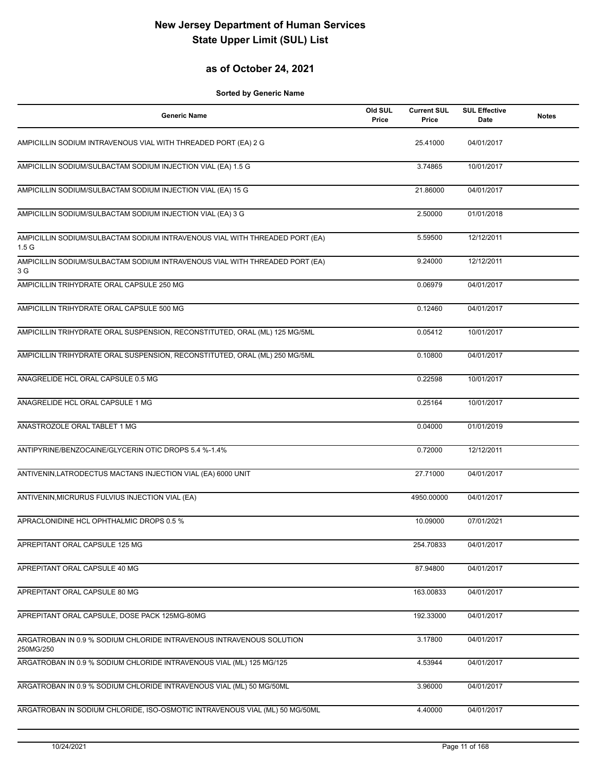## **as of October 24, 2021**

| <b>Generic Name</b>                                                                             | Old SUL<br>Price | <b>Current SUL</b><br>Price | <b>SUL Effective</b><br>Date | <b>Notes</b> |
|-------------------------------------------------------------------------------------------------|------------------|-----------------------------|------------------------------|--------------|
| AMPICILLIN SODIUM INTRAVENOUS VIAL WITH THREADED PORT (EA) 2 G                                  |                  | 25.41000                    | 04/01/2017                   |              |
| AMPICILLIN SODIUM/SULBACTAM SODIUM INJECTION VIAL (EA) 1.5 G                                    |                  | 3.74865                     | 10/01/2017                   |              |
| AMPICILLIN SODIUM/SULBACTAM SODIUM INJECTION VIAL (EA) 15 G                                     |                  | 21.86000                    | 04/01/2017                   |              |
| AMPICILLIN SODIUM/SULBACTAM SODIUM INJECTION VIAL (EA) 3 G                                      |                  | 2.50000                     | 01/01/2018                   |              |
| AMPICILLIN SODIUM/SULBACTAM SODIUM INTRAVENOUS VIAL WITH THREADED PORT (EA)<br>1.5 <sub>G</sub> |                  | 5.59500                     | 12/12/2011                   |              |
| AMPICILLIN SODIUM/SULBACTAM SODIUM INTRAVENOUS VIAL WITH THREADED PORT (EA)<br>3 G              |                  | 9.24000                     | 12/12/2011                   |              |
| AMPICILLIN TRIHYDRATE ORAL CAPSULE 250 MG                                                       |                  | 0.06979                     | 04/01/2017                   |              |
| AMPICILLIN TRIHYDRATE ORAL CAPSULE 500 MG                                                       |                  | 0.12460                     | 04/01/2017                   |              |
| AMPICILLIN TRIHYDRATE ORAL SUSPENSION, RECONSTITUTED, ORAL (ML) 125 MG/5ML                      |                  | 0.05412                     | 10/01/2017                   |              |
| AMPICILLIN TRIHYDRATE ORAL SUSPENSION, RECONSTITUTED, ORAL (ML) 250 MG/5ML                      |                  | 0.10800                     | 04/01/2017                   |              |
| ANAGRELIDE HCL ORAL CAPSULE 0.5 MG                                                              |                  | 0.22598                     | 10/01/2017                   |              |
| ANAGRELIDE HCL ORAL CAPSULE 1 MG                                                                |                  | 0.25164                     | 10/01/2017                   |              |
| ANASTROZOLE ORAL TABLET 1 MG                                                                    |                  | 0.04000                     | 01/01/2019                   |              |
| ANTIPYRINE/BENZOCAINE/GLYCERIN OTIC DROPS 5.4 %-1.4%                                            |                  | 0.72000                     | 12/12/2011                   |              |
| ANTIVENIN, LATRODECTUS MACTANS INJECTION VIAL (EA) 6000 UNIT                                    |                  | 27.71000                    | 04/01/2017                   |              |
| ANTIVENIN, MICRURUS FULVIUS INJECTION VIAL (EA)                                                 |                  | 4950.00000                  | 04/01/2017                   |              |
| APRACLONIDINE HCL OPHTHALMIC DROPS 0.5 %                                                        |                  | 10.09000                    | 07/01/2021                   |              |
| APREPITANT ORAL CAPSULE 125 MG                                                                  |                  | 254.70833                   | 04/01/2017                   |              |
| APREPITANT ORAL CAPSULE 40 MG                                                                   |                  | 87.94800                    | 04/01/2017                   |              |
| APREPITANT ORAL CAPSULE 80 MG                                                                   |                  | 163.00833                   | 04/01/2017                   |              |
| APREPITANT ORAL CAPSULE, DOSE PACK 125MG-80MG                                                   |                  | 192.33000                   | 04/01/2017                   |              |
| ARGATROBAN IN 0.9 % SODIUM CHLORIDE INTRAVENOUS INTRAVENOUS SOLUTION<br>250MG/250               |                  | 3.17800                     | 04/01/2017                   |              |
| ARGATROBAN IN 0.9 % SODIUM CHLORIDE INTRAVENOUS VIAL (ML) 125 MG/125                            |                  | 4.53944                     | 04/01/2017                   |              |
| ARGATROBAN IN 0.9 % SODIUM CHLORIDE INTRAVENOUS VIAL (ML) 50 MG/50ML                            |                  | 3.96000                     | 04/01/2017                   |              |
| ARGATROBAN IN SODIUM CHLORIDE, ISO-OSMOTIC INTRAVENOUS VIAL (ML) 50 MG/50ML                     |                  | 4.40000                     | 04/01/2017                   |              |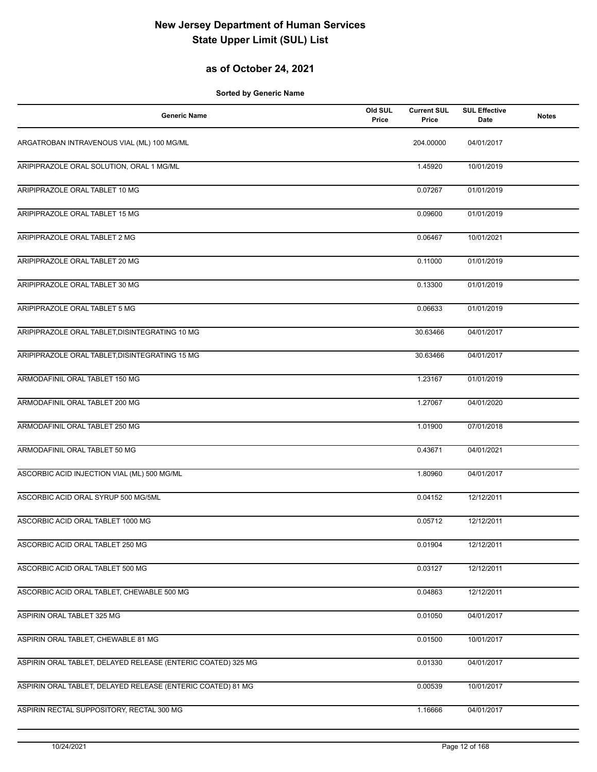## **as of October 24, 2021**

| <b>Generic Name</b>                                          | Old SUL<br>Price | <b>Current SUL</b><br>Price | <b>SUL Effective</b><br>Date | <b>Notes</b> |
|--------------------------------------------------------------|------------------|-----------------------------|------------------------------|--------------|
| ARGATROBAN INTRAVENOUS VIAL (ML) 100 MG/ML                   |                  | 204.00000                   | 04/01/2017                   |              |
| ARIPIPRAZOLE ORAL SOLUTION, ORAL 1 MG/ML                     |                  | 1.45920                     | 10/01/2019                   |              |
| ARIPIPRAZOLE ORAL TABLET 10 MG                               |                  | 0.07267                     | 01/01/2019                   |              |
| ARIPIPRAZOLE ORAL TABLET 15 MG                               |                  | 0.09600                     | 01/01/2019                   |              |
| ARIPIPRAZOLE ORAL TABLET 2 MG                                |                  | 0.06467                     | 10/01/2021                   |              |
| ARIPIPRAZOLE ORAL TABLET 20 MG                               |                  | 0.11000                     | 01/01/2019                   |              |
| ARIPIPRAZOLE ORAL TABLET 30 MG                               |                  | 0.13300                     | 01/01/2019                   |              |
| ARIPIPRAZOLE ORAL TABLET 5 MG                                |                  | 0.06633                     | 01/01/2019                   |              |
| ARIPIPRAZOLE ORAL TABLET, DISINTEGRATING 10 MG               |                  | 30.63466                    | 04/01/2017                   |              |
| ARIPIPRAZOLE ORAL TABLET, DISINTEGRATING 15 MG               |                  | 30.63466                    | 04/01/2017                   |              |
| ARMODAFINIL ORAL TABLET 150 MG                               |                  | 1.23167                     | 01/01/2019                   |              |
| ARMODAFINIL ORAL TABLET 200 MG                               |                  | 1.27067                     | 04/01/2020                   |              |
| ARMODAFINIL ORAL TABLET 250 MG                               |                  | 1.01900                     | 07/01/2018                   |              |
| ARMODAFINIL ORAL TABLET 50 MG                                |                  | 0.43671                     | 04/01/2021                   |              |
| ASCORBIC ACID INJECTION VIAL (ML) 500 MG/ML                  |                  | 1.80960                     | 04/01/2017                   |              |
| ASCORBIC ACID ORAL SYRUP 500 MG/5ML                          |                  | 0.04152                     | 12/12/2011                   |              |
| ASCORBIC ACID ORAL TABLET 1000 MG                            |                  | 0.05712                     | 12/12/2011                   |              |
| ASCORBIC ACID ORAL TABLET 250 MG                             |                  | 0.01904                     | 12/12/2011                   |              |
| ASCORBIC ACID ORAL TABLET 500 MG                             |                  | 0.03127                     | 12/12/2011                   |              |
| ASCORBIC ACID ORAL TABLET, CHEWABLE 500 MG                   |                  | 0.04863                     | 12/12/2011                   |              |
| ASPIRIN ORAL TABLET 325 MG                                   |                  | 0.01050                     | 04/01/2017                   |              |
| ASPIRIN ORAL TABLET, CHEWABLE 81 MG                          |                  | 0.01500                     | 10/01/2017                   |              |
| ASPIRIN ORAL TABLET, DELAYED RELEASE (ENTERIC COATED) 325 MG |                  | 0.01330                     | 04/01/2017                   |              |
| ASPIRIN ORAL TABLET, DELAYED RELEASE (ENTERIC COATED) 81 MG  |                  | 0.00539                     | 10/01/2017                   |              |
| ASPIRIN RECTAL SUPPOSITORY, RECTAL 300 MG                    |                  | 1.16666                     | 04/01/2017                   |              |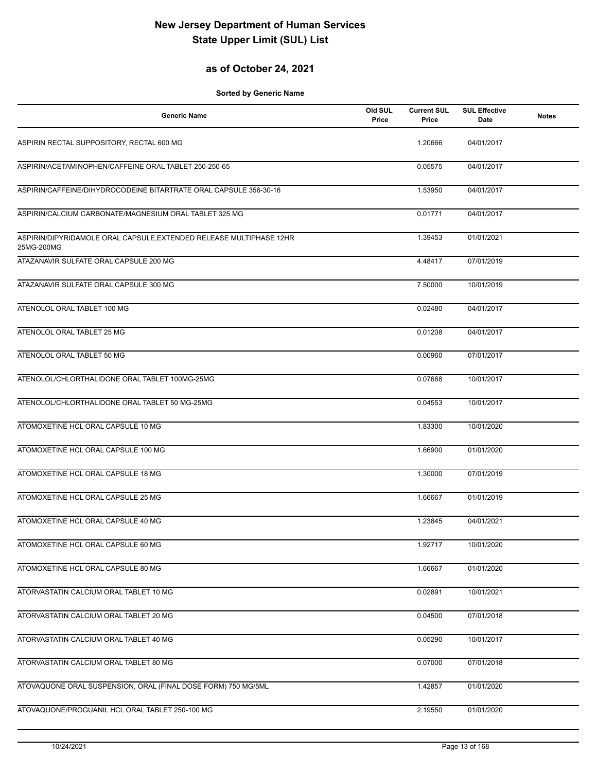## **as of October 24, 2021**

| <b>Generic Name</b>                                                               | Old SUL<br>Price | <b>Current SUL</b><br>Price | <b>SUL Effective</b><br>Date | <b>Notes</b> |
|-----------------------------------------------------------------------------------|------------------|-----------------------------|------------------------------|--------------|
| ASPIRIN RECTAL SUPPOSITORY, RECTAL 600 MG                                         |                  | 1.20666                     | 04/01/2017                   |              |
| ASPIRIN/ACETAMINOPHEN/CAFFEINE ORAL TABLET 250-250-65                             |                  | 0.05575                     | 04/01/2017                   |              |
| ASPIRIN/CAFFEINE/DIHYDROCODEINE BITARTRATE ORAL CAPSULE 356-30-16                 |                  | 1.53950                     | 04/01/2017                   |              |
| ASPIRIN/CALCIUM CARBONATE/MAGNESIUM ORAL TABLET 325 MG                            |                  | 0.01771                     | 04/01/2017                   |              |
| ASPIRIN/DIPYRIDAMOLE ORAL CAPSULE, EXTENDED RELEASE MULTIPHASE 12HR<br>25MG-200MG |                  | 1.39453                     | 01/01/2021                   |              |
| ATAZANAVIR SULFATE ORAL CAPSULE 200 MG                                            |                  | 4.48417                     | 07/01/2019                   |              |
| ATAZANAVIR SULFATE ORAL CAPSULE 300 MG                                            |                  | 7.50000                     | 10/01/2019                   |              |
| ATENOLOL ORAL TABLET 100 MG                                                       |                  | 0.02480                     | 04/01/2017                   |              |
| ATENOLOL ORAL TABLET 25 MG                                                        |                  | 0.01208                     | 04/01/2017                   |              |
| ATENOLOL ORAL TABLET 50 MG                                                        |                  | 0.00960                     | 07/01/2017                   |              |
| ATENOLOL/CHLORTHALIDONE ORAL TABLET 100MG-25MG                                    |                  | 0.07688                     | 10/01/2017                   |              |
| ATENOLOL/CHLORTHALIDONE ORAL TABLET 50 MG-25MG                                    |                  | 0.04553                     | 10/01/2017                   |              |
| ATOMOXETINE HCL ORAL CAPSULE 10 MG                                                |                  | 1.83300                     | 10/01/2020                   |              |
| ATOMOXETINE HCL ORAL CAPSULE 100 MG                                               |                  | 1.66900                     | 01/01/2020                   |              |
| ATOMOXETINE HCL ORAL CAPSULE 18 MG                                                |                  | 1.30000                     | 07/01/2019                   |              |
| ATOMOXETINE HCL ORAL CAPSULE 25 MG                                                |                  | 1.66667                     | 01/01/2019                   |              |
| ATOMOXETINE HCL ORAL CAPSULE 40 MG                                                |                  | 1.23845                     | 04/01/2021                   |              |
| ATOMOXETINE HCL ORAL CAPSULE 60 MG                                                |                  | 1.92717                     | 10/01/2020                   |              |
| ATOMOXETINE HCL ORAL CAPSULE 80 MG                                                |                  | 1.66667                     | 01/01/2020                   |              |
| ATORVASTATIN CALCIUM ORAL TABLET 10 MG                                            |                  | 0.02891                     | 10/01/2021                   |              |
| ATORVASTATIN CALCIUM ORAL TABLET 20 MG                                            |                  | 0.04500                     | 07/01/2018                   |              |
| ATORVASTATIN CALCIUM ORAL TABLET 40 MG                                            |                  | 0.05290                     | 10/01/2017                   |              |
| ATORVASTATIN CALCIUM ORAL TABLET 80 MG                                            |                  | 0.07000                     | 07/01/2018                   |              |
| ATOVAQUONE ORAL SUSPENSION, ORAL (FINAL DOSE FORM) 750 MG/5ML                     |                  | 1.42857                     | 01/01/2020                   |              |
| ATOVAQUONE/PROGUANIL HCL ORAL TABLET 250-100 MG                                   |                  | 2.19550                     | 01/01/2020                   |              |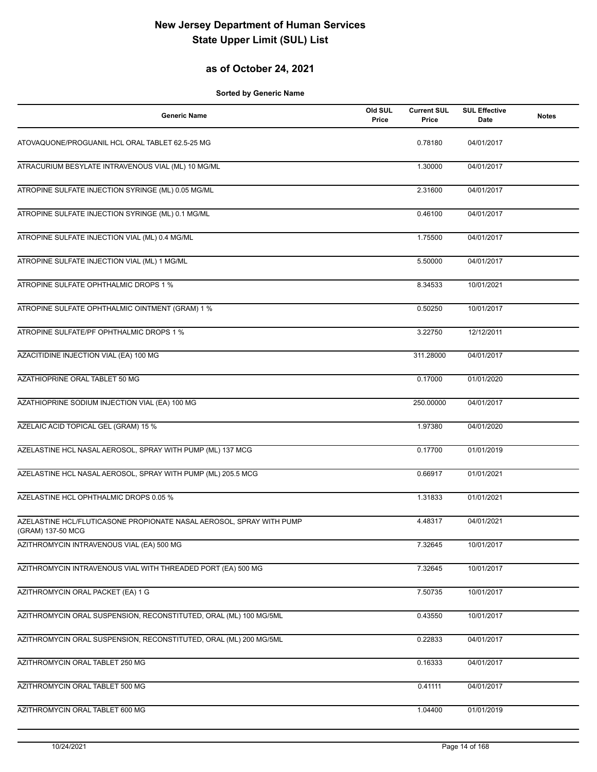## **as of October 24, 2021**

| <b>Generic Name</b>                                                                       | Old SUL<br>Price | <b>Current SUL</b><br>Price | <b>SUL Effective</b><br>Date | <b>Notes</b> |
|-------------------------------------------------------------------------------------------|------------------|-----------------------------|------------------------------|--------------|
| ATOVAQUONE/PROGUANIL HCL ORAL TABLET 62.5-25 MG                                           |                  | 0.78180                     | 04/01/2017                   |              |
| ATRACURIUM BESYLATE INTRAVENOUS VIAL (ML) 10 MG/ML                                        |                  | 1.30000                     | 04/01/2017                   |              |
| ATROPINE SULFATE INJECTION SYRINGE (ML) 0.05 MG/ML                                        |                  | 2.31600                     | 04/01/2017                   |              |
| ATROPINE SULFATE INJECTION SYRINGE (ML) 0.1 MG/ML                                         |                  | 0.46100                     | 04/01/2017                   |              |
| ATROPINE SULFATE INJECTION VIAL (ML) 0.4 MG/ML                                            |                  | 1.75500                     | 04/01/2017                   |              |
| ATROPINE SULFATE INJECTION VIAL (ML) 1 MG/ML                                              |                  | 5.50000                     | 04/01/2017                   |              |
| ATROPINE SULFATE OPHTHALMIC DROPS 1 %                                                     |                  | 8.34533                     | 10/01/2021                   |              |
| ATROPINE SULFATE OPHTHALMIC OINTMENT (GRAM) 1 %                                           |                  | 0.50250                     | 10/01/2017                   |              |
| ATROPINE SULFATE/PF OPHTHALMIC DROPS 1 %                                                  |                  | 3.22750                     | 12/12/2011                   |              |
| AZACITIDINE INJECTION VIAL (EA) 100 MG                                                    |                  | 311.28000                   | 04/01/2017                   |              |
| AZATHIOPRINE ORAL TABLET 50 MG                                                            |                  | 0.17000                     | 01/01/2020                   |              |
| AZATHIOPRINE SODIUM INJECTION VIAL (EA) 100 MG                                            |                  | 250.00000                   | 04/01/2017                   |              |
| AZELAIC ACID TOPICAL GEL (GRAM) 15 %                                                      |                  | 1.97380                     | 04/01/2020                   |              |
| AZELASTINE HCL NASAL AEROSOL, SPRAY WITH PUMP (ML) 137 MCG                                |                  | 0.17700                     | 01/01/2019                   |              |
| AZELASTINE HCL NASAL AEROSOL, SPRAY WITH PUMP (ML) 205.5 MCG                              |                  | 0.66917                     | 01/01/2021                   |              |
| AZELASTINE HCL OPHTHALMIC DROPS 0.05 %                                                    |                  | 1.31833                     | 01/01/2021                   |              |
| AZELASTINE HCL/FLUTICASONE PROPIONATE NASAL AEROSOL, SPRAY WITH PUMP<br>(GRAM) 137-50 MCG |                  | 4.48317                     | 04/01/2021                   |              |
| AZITHROMYCIN INTRAVENOUS VIAL (EA) 500 MG                                                 |                  | 7.32645                     | 10/01/2017                   |              |
| AZITHROMYCIN INTRAVENOUS VIAL WITH THREADED PORT (EA) 500 MG                              |                  | 7.32645                     | 10/01/2017                   |              |
| AZITHROMYCIN ORAL PACKET (EA) 1 G                                                         |                  | 7.50735                     | 10/01/2017                   |              |
| AZITHROMYCIN ORAL SUSPENSION, RECONSTITUTED, ORAL (ML) 100 MG/5ML                         |                  | 0.43550                     | 10/01/2017                   |              |
| AZITHROMYCIN ORAL SUSPENSION, RECONSTITUTED, ORAL (ML) 200 MG/5ML                         |                  | 0.22833                     | 04/01/2017                   |              |
| AZITHROMYCIN ORAL TABLET 250 MG                                                           |                  | 0.16333                     | 04/01/2017                   |              |
| AZITHROMYCIN ORAL TABLET 500 MG                                                           |                  | 0.41111                     | 04/01/2017                   |              |
| AZITHROMYCIN ORAL TABLET 600 MG                                                           |                  | 1.04400                     | 01/01/2019                   |              |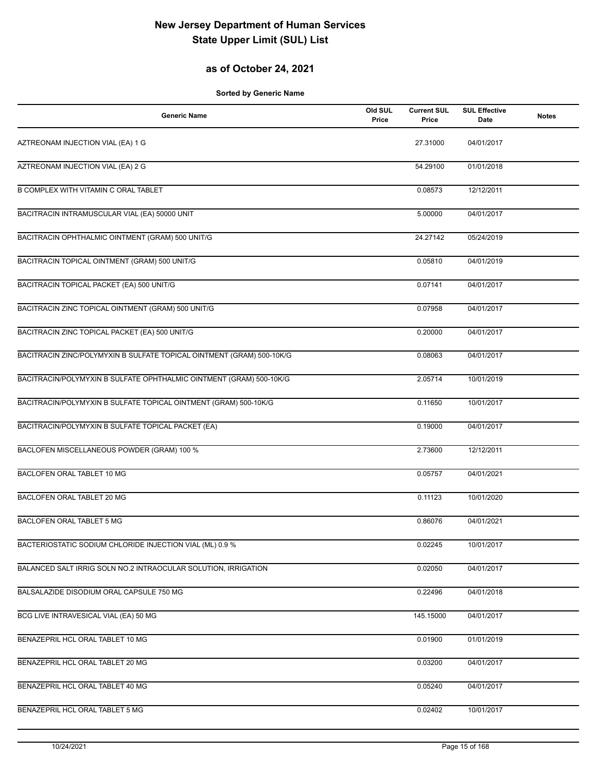## **as of October 24, 2021**

| <b>Generic Name</b>                                                   | Old SUL<br>Price | <b>Current SUL</b><br>Price | <b>SUL Effective</b><br>Date | <b>Notes</b> |
|-----------------------------------------------------------------------|------------------|-----------------------------|------------------------------|--------------|
| AZTREONAM INJECTION VIAL (EA) 1 G                                     |                  | 27.31000                    | 04/01/2017                   |              |
| AZTREONAM INJECTION VIAL (EA) 2 G                                     |                  | 54.29100                    | 01/01/2018                   |              |
| <b>B COMPLEX WITH VITAMIN C ORAL TABLET</b>                           |                  | 0.08573                     | 12/12/2011                   |              |
| BACITRACIN INTRAMUSCULAR VIAL (EA) 50000 UNIT                         |                  | 5.00000                     | 04/01/2017                   |              |
| BACITRACIN OPHTHALMIC OINTMENT (GRAM) 500 UNIT/G                      |                  | 24.27142                    | 05/24/2019                   |              |
| BACITRACIN TOPICAL OINTMENT (GRAM) 500 UNIT/G                         |                  | 0.05810                     | 04/01/2019                   |              |
| BACITRACIN TOPICAL PACKET (EA) 500 UNIT/G                             |                  | 0.07141                     | 04/01/2017                   |              |
| BACITRACIN ZINC TOPICAL OINTMENT (GRAM) 500 UNIT/G                    |                  | 0.07958                     | 04/01/2017                   |              |
| BACITRACIN ZINC TOPICAL PACKET (EA) 500 UNIT/G                        |                  | 0.20000                     | 04/01/2017                   |              |
| BACITRACIN ZINC/POLYMYXIN B SULFATE TOPICAL OINTMENT (GRAM) 500-10K/G |                  | 0.08063                     | 04/01/2017                   |              |
| BACITRACIN/POLYMYXIN B SULFATE OPHTHALMIC OINTMENT (GRAM) 500-10K/G   |                  | 2.05714                     | 10/01/2019                   |              |
| BACITRACIN/POLYMYXIN B SULFATE TOPICAL OINTMENT (GRAM) 500-10K/G      |                  | 0.11650                     | 10/01/2017                   |              |
| BACITRACIN/POLYMYXIN B SULFATE TOPICAL PACKET (EA)                    |                  | 0.19000                     | 04/01/2017                   |              |
| BACLOFEN MISCELLANEOUS POWDER (GRAM) 100 %                            |                  | 2.73600                     | 12/12/2011                   |              |
| BACLOFEN ORAL TABLET 10 MG                                            |                  | 0.05757                     | 04/01/2021                   |              |
| BACLOFEN ORAL TABLET 20 MG                                            |                  | 0.11123                     | 10/01/2020                   |              |
| BACLOFEN ORAL TABLET 5 MG                                             |                  | 0.86076                     | 04/01/2021                   |              |
| BACTERIOSTATIC SODIUM CHLORIDE INJECTION VIAL (ML) 0.9 %              |                  | 0.02245                     | 10/01/2017                   |              |
| BALANCED SALT IRRIG SOLN NO.2 INTRAOCULAR SOLUTION, IRRIGATION        |                  | 0.02050                     | 04/01/2017                   |              |
| BALSALAZIDE DISODIUM ORAL CAPSULE 750 MG                              |                  | 0.22496                     | 04/01/2018                   |              |
| BCG LIVE INTRAVESICAL VIAL (EA) 50 MG                                 |                  | 145.15000                   | 04/01/2017                   |              |
| BENAZEPRIL HCL ORAL TABLET 10 MG                                      |                  | 0.01900                     | 01/01/2019                   |              |
| BENAZEPRIL HCL ORAL TABLET 20 MG                                      |                  | 0.03200                     | 04/01/2017                   |              |
| BENAZEPRIL HCL ORAL TABLET 40 MG                                      |                  | 0.05240                     | 04/01/2017                   |              |
| BENAZEPRIL HCL ORAL TABLET 5 MG                                       |                  | 0.02402                     | 10/01/2017                   |              |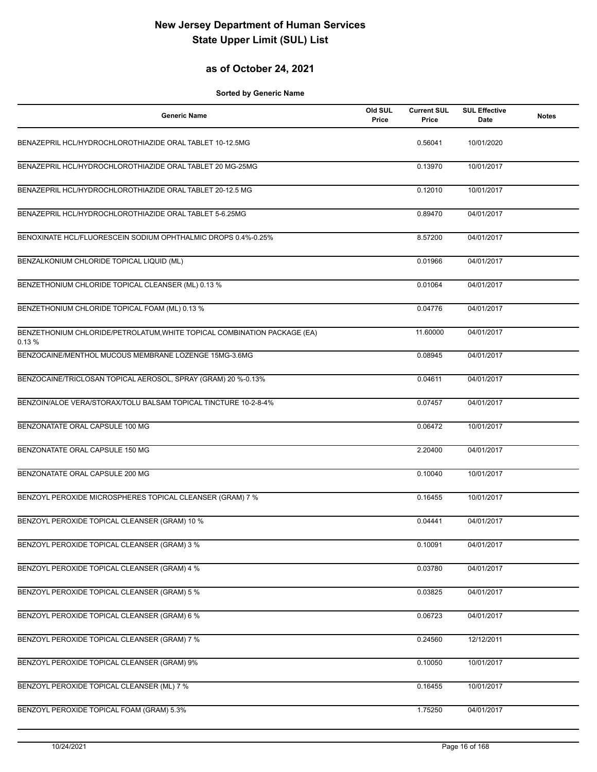## **as of October 24, 2021**

| <b>Generic Name</b>                                                               | Old SUL<br>Price | <b>Current SUL</b><br>Price | <b>SUL Effective</b><br><b>Date</b> | <b>Notes</b> |
|-----------------------------------------------------------------------------------|------------------|-----------------------------|-------------------------------------|--------------|
| BENAZEPRIL HCL/HYDROCHLOROTHIAZIDE ORAL TABLET 10-12.5MG                          |                  | 0.56041                     | 10/01/2020                          |              |
| BENAZEPRIL HCL/HYDROCHLOROTHIAZIDE ORAL TABLET 20 MG-25MG                         |                  | 0.13970                     | 10/01/2017                          |              |
| BENAZEPRIL HCL/HYDROCHLOROTHIAZIDE ORAL TABLET 20-12.5 MG                         |                  | 0.12010                     | 10/01/2017                          |              |
| BENAZEPRIL HCL/HYDROCHLOROTHIAZIDE ORAL TABLET 5-6.25MG                           |                  | 0.89470                     | 04/01/2017                          |              |
| BENOXINATE HCL/FLUORESCEIN SODIUM OPHTHALMIC DROPS 0.4%-0.25%                     |                  | 8.57200                     | 04/01/2017                          |              |
| BENZALKONIUM CHLORIDE TOPICAL LIQUID (ML)                                         |                  | 0.01966                     | 04/01/2017                          |              |
| BENZETHONIUM CHLORIDE TOPICAL CLEANSER (ML) 0.13 %                                |                  | 0.01064                     | 04/01/2017                          |              |
| BENZETHONIUM CHLORIDE TOPICAL FOAM (ML) 0.13 %                                    |                  | 0.04776                     | 04/01/2017                          |              |
| BENZETHONIUM CHLORIDE/PETROLATUM, WHITE TOPICAL COMBINATION PACKAGE (EA)<br>0.13% |                  | 11.60000                    | 04/01/2017                          |              |
| BENZOCAINE/MENTHOL MUCOUS MEMBRANE LOZENGE 15MG-3.6MG                             |                  | 0.08945                     | 04/01/2017                          |              |
| BENZOCAINE/TRICLOSAN TOPICAL AEROSOL, SPRAY (GRAM) 20 %-0.13%                     |                  | 0.04611                     | 04/01/2017                          |              |
| BENZOIN/ALOE VERA/STORAX/TOLU BALSAM TOPICAL TINCTURE 10-2-8-4%                   |                  | 0.07457                     | 04/01/2017                          |              |
| BENZONATATE ORAL CAPSULE 100 MG                                                   |                  | 0.06472                     | 10/01/2017                          |              |
| BENZONATATE ORAL CAPSULE 150 MG                                                   |                  | 2.20400                     | 04/01/2017                          |              |
| BENZONATATE ORAL CAPSULE 200 MG                                                   |                  | 0.10040                     | 10/01/2017                          |              |
| BENZOYL PEROXIDE MICROSPHERES TOPICAL CLEANSER (GRAM) 7 %                         |                  | 0.16455                     | 10/01/2017                          |              |
| BENZOYL PEROXIDE TOPICAL CLEANSER (GRAM) 10 %                                     |                  | 0.04441                     | 04/01/2017                          |              |
| BENZOYL PEROXIDE TOPICAL CLEANSER (GRAM) 3 %                                      |                  | 0.10091                     | 04/01/2017                          |              |
| BENZOYL PEROXIDE TOPICAL CLEANSER (GRAM) 4 %                                      |                  | 0.03780                     | 04/01/2017                          |              |
| BENZOYL PEROXIDE TOPICAL CLEANSER (GRAM) 5 %                                      |                  | 0.03825                     | 04/01/2017                          |              |
| BENZOYL PEROXIDE TOPICAL CLEANSER (GRAM) 6 %                                      |                  | 0.06723                     | 04/01/2017                          |              |
| BENZOYL PEROXIDE TOPICAL CLEANSER (GRAM) 7 %                                      |                  | 0.24560                     | 12/12/2011                          |              |
| BENZOYL PEROXIDE TOPICAL CLEANSER (GRAM) 9%                                       |                  | 0.10050                     | 10/01/2017                          |              |
| BENZOYL PEROXIDE TOPICAL CLEANSER (ML) 7 %                                        |                  | 0.16455                     | 10/01/2017                          |              |
| BENZOYL PEROXIDE TOPICAL FOAM (GRAM) 5.3%                                         |                  | 1.75250                     | 04/01/2017                          |              |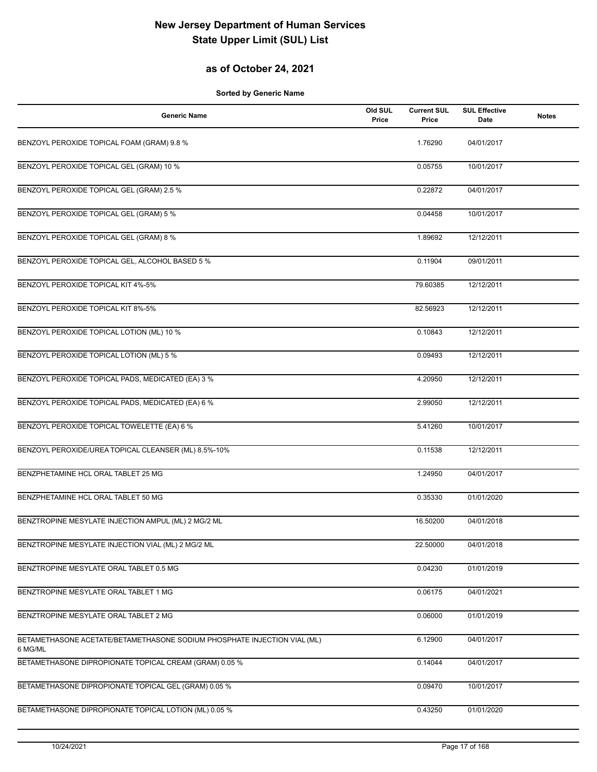## **as of October 24, 2021**

| <b>Generic Name</b>                                                                 | Old SUL<br>Price | <b>Current SUL</b><br>Price | <b>SUL Effective</b><br>Date | <b>Notes</b> |
|-------------------------------------------------------------------------------------|------------------|-----------------------------|------------------------------|--------------|
| BENZOYL PEROXIDE TOPICAL FOAM (GRAM) 9.8 %                                          |                  | 1.76290                     | 04/01/2017                   |              |
| BENZOYL PEROXIDE TOPICAL GEL (GRAM) 10 %                                            |                  | 0.05755                     | 10/01/2017                   |              |
| BENZOYL PEROXIDE TOPICAL GEL (GRAM) 2.5 %                                           |                  | 0.22872                     | 04/01/2017                   |              |
| BENZOYL PEROXIDE TOPICAL GEL (GRAM) 5 %                                             |                  | 0.04458                     | 10/01/2017                   |              |
| BENZOYL PEROXIDE TOPICAL GEL (GRAM) 8 %                                             |                  | 1.89692                     | 12/12/2011                   |              |
| BENZOYL PEROXIDE TOPICAL GEL, ALCOHOL BASED 5 %                                     |                  | 0.11904                     | 09/01/2011                   |              |
| BENZOYL PEROXIDE TOPICAL KIT 4%-5%                                                  |                  | 79.60385                    | 12/12/2011                   |              |
| BENZOYL PEROXIDE TOPICAL KIT 8%-5%                                                  |                  | 82.56923                    | 12/12/2011                   |              |
| BENZOYL PEROXIDE TOPICAL LOTION (ML) 10 %                                           |                  | 0.10843                     | 12/12/2011                   |              |
| BENZOYL PEROXIDE TOPICAL LOTION (ML) 5 %                                            |                  | 0.09493                     | 12/12/2011                   |              |
| BENZOYL PEROXIDE TOPICAL PADS, MEDICATED (EA) 3 %                                   |                  | 4.20950                     | 12/12/2011                   |              |
| BENZOYL PEROXIDE TOPICAL PADS, MEDICATED (EA) 6 %                                   |                  | 2.99050                     | 12/12/2011                   |              |
| BENZOYL PEROXIDE TOPICAL TOWELETTE (EA) 6 %                                         |                  | 5.41260                     | 10/01/2017                   |              |
| BENZOYL PEROXIDE/UREA TOPICAL CLEANSER (ML) 8.5%-10%                                |                  | 0.11538                     | 12/12/2011                   |              |
| BENZPHETAMINE HCL ORAL TABLET 25 MG                                                 |                  | 1.24950                     | 04/01/2017                   |              |
| BENZPHETAMINE HCL ORAL TABLET 50 MG                                                 |                  | 0.35330                     | 01/01/2020                   |              |
| BENZTROPINE MESYLATE INJECTION AMPUL (ML) 2 MG/2 ML                                 |                  | 16.50200                    | 04/01/2018                   |              |
| BENZTROPINE MESYLATE INJECTION VIAL (ML) 2 MG/2 ML                                  |                  | 22.50000                    | 04/01/2018                   |              |
| BENZTROPINE MESYLATE ORAL TABLET 0.5 MG                                             |                  | 0.04230                     | 01/01/2019                   |              |
| BENZTROPINE MESYLATE ORAL TABLET 1 MG                                               |                  | 0.06175                     | 04/01/2021                   |              |
| BENZTROPINE MESYLATE ORAL TABLET 2 MG                                               |                  | 0.06000                     | 01/01/2019                   |              |
| BETAMETHASONE ACETATE/BETAMETHASONE SODIUM PHOSPHATE INJECTION VIAL (ML)<br>6 MG/ML |                  | 6.12900                     | 04/01/2017                   |              |
| BETAMETHASONE DIPROPIONATE TOPICAL CREAM (GRAM) 0.05 %                              |                  | 0.14044                     | 04/01/2017                   |              |
| BETAMETHASONE DIPROPIONATE TOPICAL GEL (GRAM) 0.05 %                                |                  | 0.09470                     | 10/01/2017                   |              |
| BETAMETHASONE DIPROPIONATE TOPICAL LOTION (ML) 0.05 %                               |                  | 0.43250                     | 01/01/2020                   |              |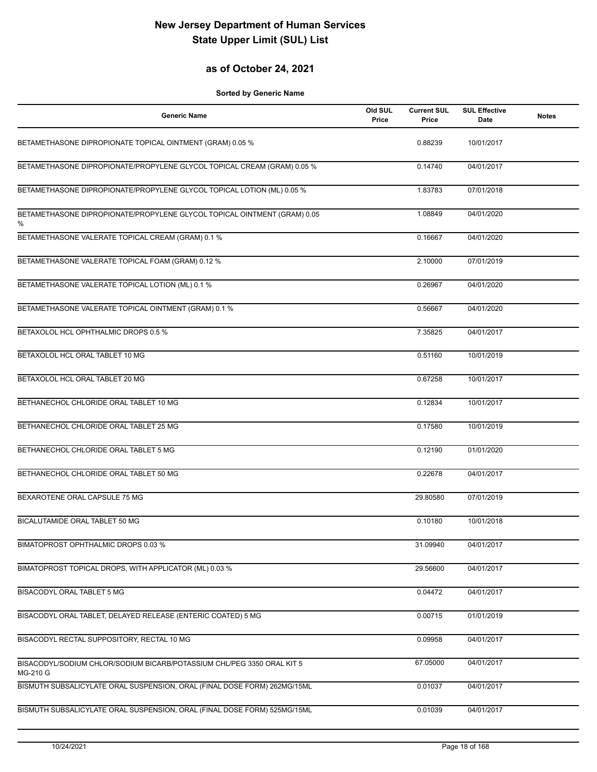## **as of October 24, 2021**

| <b>Generic Name</b>                                                                | Old SUL<br>Price | <b>Current SUL</b><br>Price | <b>SUL Effective</b><br>Date | <b>Notes</b> |
|------------------------------------------------------------------------------------|------------------|-----------------------------|------------------------------|--------------|
| BETAMETHASONE DIPROPIONATE TOPICAL OINTMENT (GRAM) 0.05 %                          |                  | 0.88239                     | 10/01/2017                   |              |
| BETAMETHASONE DIPROPIONATE/PROPYLENE GLYCOL TOPICAL CREAM (GRAM) 0.05 %            |                  | 0.14740                     | 04/01/2017                   |              |
| BETAMETHASONE DIPROPIONATE/PROPYLENE GLYCOL TOPICAL LOTION (ML) 0.05 %             |                  | 1.83783                     | 07/01/2018                   |              |
| BETAMETHASONE DIPROPIONATE/PROPYLENE GLYCOL TOPICAL OINTMENT (GRAM) 0.05<br>%      |                  | 1.08849                     | 04/01/2020                   |              |
| BETAMETHASONE VALERATE TOPICAL CREAM (GRAM) 0.1 %                                  |                  | 0.16667                     | 04/01/2020                   |              |
| BETAMETHASONE VALERATE TOPICAL FOAM (GRAM) 0.12 %                                  |                  | 2.10000                     | 07/01/2019                   |              |
| BETAMETHASONE VALERATE TOPICAL LOTION (ML) 0.1 %                                   |                  | 0.26967                     | 04/01/2020                   |              |
| BETAMETHASONE VALERATE TOPICAL OINTMENT (GRAM) 0.1 %                               |                  | 0.56667                     | 04/01/2020                   |              |
| BETAXOLOL HCL OPHTHALMIC DROPS 0.5 %                                               |                  | 7.35825                     | 04/01/2017                   |              |
| BETAXOLOL HCL ORAL TABLET 10 MG                                                    |                  | 0.51160                     | 10/01/2019                   |              |
| BETAXOLOL HCL ORAL TABLET 20 MG                                                    |                  | 0.67258                     | 10/01/2017                   |              |
| BETHANECHOL CHLORIDE ORAL TABLET 10 MG                                             |                  | 0.12834                     | 10/01/2017                   |              |
| BETHANECHOL CHLORIDE ORAL TABLET 25 MG                                             |                  | 0.17580                     | 10/01/2019                   |              |
| BETHANECHOL CHLORIDE ORAL TABLET 5 MG                                              |                  | 0.12190                     | 01/01/2020                   |              |
| BETHANECHOL CHLORIDE ORAL TABLET 50 MG                                             |                  | 0.22678                     | 04/01/2017                   |              |
| BEXAROTENE ORAL CAPSULE 75 MG                                                      |                  | 29.80580                    | 07/01/2019                   |              |
| BICALUTAMIDE ORAL TABLET 50 MG                                                     |                  | 0.10180                     | 10/01/2018                   |              |
| BIMATOPROST OPHTHALMIC DROPS 0.03 %                                                |                  | 31.09940                    | 04/01/2017                   |              |
| BIMATOPROST TOPICAL DROPS, WITH APPLICATOR (ML) 0.03 %                             |                  | 29.56600                    | 04/01/2017                   |              |
| BISACODYL ORAL TABLET 5 MG                                                         |                  | 0.04472                     | 04/01/2017                   |              |
| BISACODYL ORAL TABLET, DELAYED RELEASE (ENTERIC COATED) 5 MG                       |                  | 0.00715                     | 01/01/2019                   |              |
| BISACODYL RECTAL SUPPOSITORY, RECTAL 10 MG                                         |                  | 0.09958                     | 04/01/2017                   |              |
| BISACODYL/SODIUM CHLOR/SODIUM BICARB/POTASSIUM CHL/PEG 3350 ORAL KIT 5<br>MG-210 G |                  | 67.05000                    | 04/01/2017                   |              |
| BISMUTH SUBSALICYLATE ORAL SUSPENSION, ORAL (FINAL DOSE FORM) 262MG/15ML           |                  | 0.01037                     | 04/01/2017                   |              |
| BISMUTH SUBSALICYLATE ORAL SUSPENSION, ORAL (FINAL DOSE FORM) 525MG/15ML           |                  | 0.01039                     | 04/01/2017                   |              |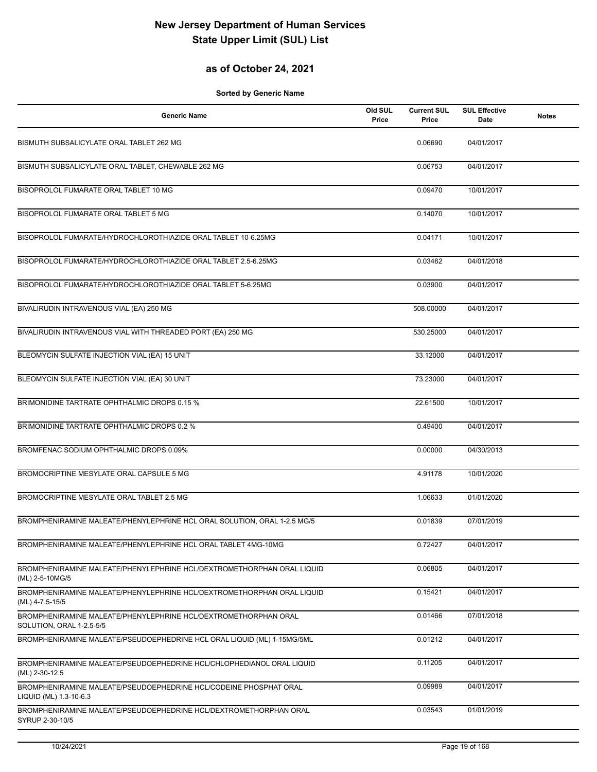## **as of October 24, 2021**

| <b>Generic Name</b>                                                                         | Old SUL<br>Price | <b>Current SUL</b><br>Price | <b>SUL Effective</b><br>Date | <b>Notes</b> |
|---------------------------------------------------------------------------------------------|------------------|-----------------------------|------------------------------|--------------|
| BISMUTH SUBSALICYLATE ORAL TABLET 262 MG                                                    |                  | 0.06690                     | 04/01/2017                   |              |
| BISMUTH SUBSALICYLATE ORAL TABLET, CHEWABLE 262 MG                                          |                  | 0.06753                     | 04/01/2017                   |              |
| BISOPROLOL FUMARATE ORAL TABLET 10 MG                                                       |                  | 0.09470                     | 10/01/2017                   |              |
| BISOPROLOL FUMARATE ORAL TABLET 5 MG                                                        |                  | 0.14070                     | 10/01/2017                   |              |
| BISOPROLOL FUMARATE/HYDROCHLOROTHIAZIDE ORAL TABLET 10-6.25MG                               |                  | 0.04171                     | 10/01/2017                   |              |
| BISOPROLOL FUMARATE/HYDROCHLOROTHIAZIDE ORAL TABLET 2.5-6.25MG                              |                  | 0.03462                     | 04/01/2018                   |              |
| BISOPROLOL FUMARATE/HYDROCHLOROTHIAZIDE ORAL TABLET 5-6.25MG                                |                  | 0.03900                     | 04/01/2017                   |              |
| BIVALIRUDIN INTRAVENOUS VIAL (EA) 250 MG                                                    |                  | 508.00000                   | 04/01/2017                   |              |
| BIVALIRUDIN INTRAVENOUS VIAL WITH THREADED PORT (EA) 250 MG                                 |                  | 530.25000                   | 04/01/2017                   |              |
| BLEOMYCIN SULFATE INJECTION VIAL (EA) 15 UNIT                                               |                  | 33.12000                    | 04/01/2017                   |              |
| BLEOMYCIN SULFATE INJECTION VIAL (EA) 30 UNIT                                               |                  | 73.23000                    | 04/01/2017                   |              |
| BRIMONIDINE TARTRATE OPHTHALMIC DROPS 0.15 %                                                |                  | 22.61500                    | 10/01/2017                   |              |
| BRIMONIDINE TARTRATE OPHTHALMIC DROPS 0.2 %                                                 |                  | 0.49400                     | 04/01/2017                   |              |
| BROMFENAC SODIUM OPHTHALMIC DROPS 0.09%                                                     |                  | 0.00000                     | 04/30/2013                   |              |
| BROMOCRIPTINE MESYLATE ORAL CAPSULE 5 MG                                                    |                  | 4.91178                     | 10/01/2020                   |              |
| BROMOCRIPTINE MESYLATE ORAL TABLET 2.5 MG                                                   |                  | 1.06633                     | 01/01/2020                   |              |
| BROMPHENIRAMINE MALEATE/PHENYLEPHRINE HCL ORAL SOLUTION, ORAL 1-2.5 MG/5                    |                  | 0.01839                     | 07/01/2019                   |              |
| BROMPHENIRAMINE MALEATE/PHENYLEPHRINE HCL ORAL TABLET 4MG-10MG                              |                  | 0.72427                     | 04/01/2017                   |              |
| BROMPHENIRAMINE MALEATE/PHENYLEPHRINE HCL/DEXTROMETHORPHAN ORAL LIQUID<br>(ML) 2-5-10MG/5   |                  | 0.06805                     | 04/01/2017                   |              |
| BROMPHENIRAMINE MALEATE/PHENYLEPHRINE HCL/DEXTROMETHORPHAN ORAL LIQUID<br>(ML) 4-7.5-15/5   |                  | 0.15421                     | 04/01/2017                   |              |
| BROMPHENIRAMINE MALEATE/PHENYLEPHRINE HCL/DEXTROMETHORPHAN ORAL<br>SOLUTION, ORAL 1-2.5-5/5 |                  | 0.01466                     | 07/01/2018                   |              |
| BROMPHENIRAMINE MALEATE/PSEUDOEPHEDRINE HCL ORAL LIQUID (ML) 1-15MG/5ML                     |                  | 0.01212                     | 04/01/2017                   |              |
| BROMPHENIRAMINE MALEATE/PSEUDOEPHEDRINE HCL/CHLOPHEDIANOL ORAL LIQUID<br>(ML) 2-30-12.5     |                  | 0.11205                     | 04/01/2017                   |              |
| BROMPHENIRAMINE MALEATE/PSEUDOEPHEDRINE HCL/CODEINE PHOSPHAT ORAL<br>LIQUID (ML) 1.3-10-6.3 |                  | 0.09989                     | 04/01/2017                   |              |
| BROMPHENIRAMINE MALEATE/PSEUDOEPHEDRINE HCL/DEXTROMETHORPHAN ORAL<br>SYRUP 2-30-10/5        |                  | 0.03543                     | 01/01/2019                   |              |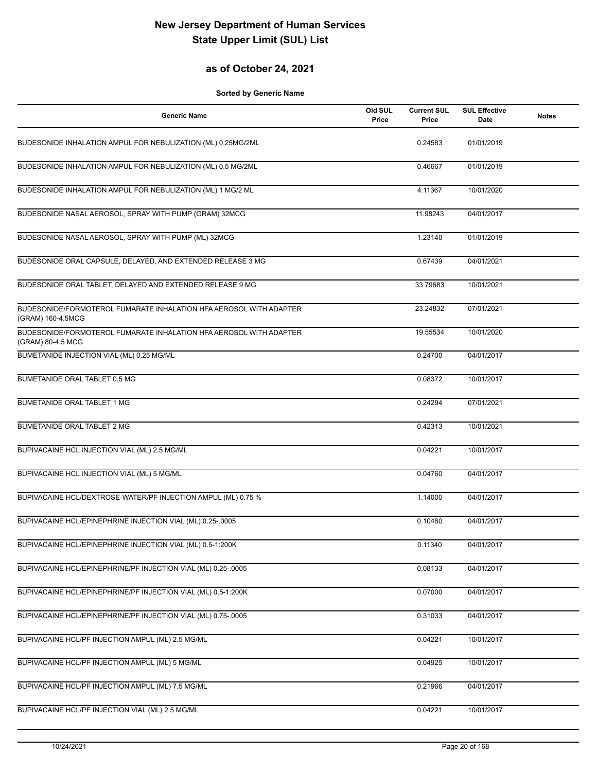## **as of October 24, 2021**

| <b>Generic Name</b>                                                                     | Old SUL<br>Price | <b>Current SUL</b><br>Price | <b>SUL Effective</b><br>Date | <b>Notes</b> |
|-----------------------------------------------------------------------------------------|------------------|-----------------------------|------------------------------|--------------|
| BUDESONIDE INHALATION AMPUL FOR NEBULIZATION (ML) 0.25MG/2ML                            |                  | 0.24583                     | 01/01/2019                   |              |
| BUDESONIDE INHALATION AMPUL FOR NEBULIZATION (ML) 0.5 MG/2ML                            |                  | 0.46667                     | 01/01/2019                   |              |
| BUDESONIDE INHALATION AMPUL FOR NEBULIZATION (ML) 1 MG/2 ML                             |                  | 4.11367                     | 10/01/2020                   |              |
| BUDESONIDE NASAL AEROSOL, SPRAY WITH PUMP (GRAM) 32MCG                                  |                  | 11.98243                    | 04/01/2017                   |              |
| BUDESONIDE NASAL AEROSOL, SPRAY WITH PUMP (ML) 32MCG                                    |                  | 1.23140                     | 01/01/2019                   |              |
| BUDESONIDE ORAL CAPSULE, DELAYED, AND EXTENDED RELEASE 3 MG                             |                  | 0.67439                     | 04/01/2021                   |              |
| BUDESONIDE ORAL TABLET, DELAYED AND EXTENDED RELEASE 9 MG                               |                  | 33.79683                    | 10/01/2021                   |              |
| BUDESONIDE/FORMOTEROL FUMARATE INHALATION HFA AEROSOL WITH ADAPTER<br>(GRAM) 160-4.5MCG |                  | 23.24832                    | 07/01/2021                   |              |
| BUDESONIDE/FORMOTEROL FUMARATE INHALATION HFA AEROSOL WITH ADAPTER<br>(GRAM) 80-4.5 MCG |                  | 19.55534                    | 10/01/2020                   |              |
| BUMETANIDE INJECTION VIAL (ML) 0.25 MG/ML                                               |                  | 0.24700                     | 04/01/2017                   |              |
| BUMETANIDE ORAL TABLET 0.5 MG                                                           |                  | 0.08372                     | 10/01/2017                   |              |
| <b>BUMETANIDE ORAL TABLET 1 MG</b>                                                      |                  | 0.24294                     | 07/01/2021                   |              |
| <b>BUMETANIDE ORAL TABLET 2 MG</b>                                                      |                  | 0.42313                     | 10/01/2021                   |              |
| BUPIVACAINE HCL INJECTION VIAL (ML) 2.5 MG/ML                                           |                  | 0.04221                     | 10/01/2017                   |              |
| BUPIVACAINE HCL INJECTION VIAL (ML) 5 MG/ML                                             |                  | 0.04760                     | 04/01/2017                   |              |
| BUPIVACAINE HCL/DEXTROSE-WATER/PF INJECTION AMPUL (ML) 0.75 %                           |                  | 1.14000                     | 04/01/2017                   |              |
| BUPIVACAINE HCL/EPINEPHRINE INJECTION VIAL (ML) 0.25-.0005                              |                  | 0.10480                     | 04/01/2017                   |              |
| BUPIVACAINE HCL/EPINEPHRINE INJECTION VIAL (ML) 0.5-1:200K                              |                  | 0.11340                     | 04/01/2017                   |              |
| BUPIVACAINE HCL/EPINEPHRINE/PF INJECTION VIAL (ML) 0.25-.0005                           |                  | 0.08133                     | 04/01/2017                   |              |
| BUPIVACAINE HCL/EPINEPHRINE/PF INJECTION VIAL (ML) 0.5-1:200K                           |                  | 0.07000                     | 04/01/2017                   |              |
| BUPIVACAINE HCL/EPINEPHRINE/PF INJECTION VIAL (ML) 0.75-.0005                           |                  | 0.31033                     | 04/01/2017                   |              |
| BUPIVACAINE HCL/PF INJECTION AMPUL (ML) 2.5 MG/ML                                       |                  | 0.04221                     | 10/01/2017                   |              |
| BUPIVACAINE HCL/PF INJECTION AMPUL (ML) 5 MG/ML                                         |                  | 0.04925                     | 10/01/2017                   |              |
| BUPIVACAINE HCL/PF INJECTION AMPUL (ML) 7.5 MG/ML                                       |                  | 0.21966                     | 04/01/2017                   |              |
| BUPIVACAINE HCL/PF INJECTION VIAL (ML) 2.5 MG/ML                                        |                  | 0.04221                     | 10/01/2017                   |              |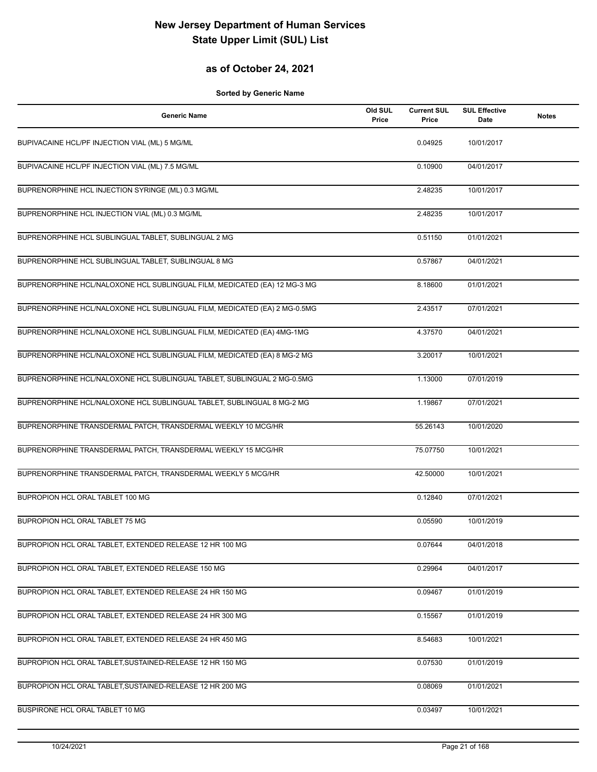## **as of October 24, 2021**

| <b>Generic Name</b>                                                       | Old SUL<br>Price | <b>Current SUL</b><br>Price | <b>SUL Effective</b><br>Date | <b>Notes</b> |
|---------------------------------------------------------------------------|------------------|-----------------------------|------------------------------|--------------|
| BUPIVACAINE HCL/PF INJECTION VIAL (ML) 5 MG/ML                            |                  | 0.04925                     | 10/01/2017                   |              |
| BUPIVACAINE HCL/PF INJECTION VIAL (ML) 7.5 MG/ML                          |                  | 0.10900                     | 04/01/2017                   |              |
| BUPRENORPHINE HCL INJECTION SYRINGE (ML) 0.3 MG/ML                        |                  | 2.48235                     | 10/01/2017                   |              |
| BUPRENORPHINE HCL INJECTION VIAL (ML) 0.3 MG/ML                           |                  | 2.48235                     | 10/01/2017                   |              |
| BUPRENORPHINE HCL SUBLINGUAL TABLET, SUBLINGUAL 2 MG                      |                  | 0.51150                     | 01/01/2021                   |              |
| BUPRENORPHINE HCL SUBLINGUAL TABLET, SUBLINGUAL 8 MG                      |                  | 0.57867                     | 04/01/2021                   |              |
| BUPRENORPHINE HCL/NALOXONE HCL SUBLINGUAL FILM, MEDICATED (EA) 12 MG-3 MG |                  | 8.18600                     | 01/01/2021                   |              |
| BUPRENORPHINE HCL/NALOXONE HCL SUBLINGUAL FILM, MEDICATED (EA) 2 MG-0.5MG |                  | 2.43517                     | 07/01/2021                   |              |
| BUPRENORPHINE HCL/NALOXONE HCL SUBLINGUAL FILM, MEDICATED (EA) 4MG-1MG    |                  | 4.37570                     | 04/01/2021                   |              |
| BUPRENORPHINE HCL/NALOXONE HCL SUBLINGUAL FILM, MEDICATED (EA) 8 MG-2 MG  |                  | 3.20017                     | 10/01/2021                   |              |
| BUPRENORPHINE HCL/NALOXONE HCL SUBLINGUAL TABLET, SUBLINGUAL 2 MG-0.5MG   |                  | 1.13000                     | 07/01/2019                   |              |
| BUPRENORPHINE HCL/NALOXONE HCL SUBLINGUAL TABLET, SUBLINGUAL 8 MG-2 MG    |                  | 1.19867                     | 07/01/2021                   |              |
| BUPRENORPHINE TRANSDERMAL PATCH, TRANSDERMAL WEEKLY 10 MCG/HR             |                  | 55.26143                    | 10/01/2020                   |              |
| BUPRENORPHINE TRANSDERMAL PATCH, TRANSDERMAL WEEKLY 15 MCG/HR             |                  | 75.07750                    | 10/01/2021                   |              |
| BUPRENORPHINE TRANSDERMAL PATCH, TRANSDERMAL WEEKLY 5 MCG/HR              |                  | 42.50000                    | 10/01/2021                   |              |
| BUPROPION HCL ORAL TABLET 100 MG                                          |                  | 0.12840                     | 07/01/2021                   |              |
| BUPROPION HCL ORAL TABLET 75 MG                                           |                  | 0.05590                     | 10/01/2019                   |              |
| BUPROPION HCL ORAL TABLET, EXTENDED RELEASE 12 HR 100 MG                  |                  | 0.07644                     | 04/01/2018                   |              |
| BUPROPION HCL ORAL TABLET, EXTENDED RELEASE 150 MG                        |                  | 0.29964                     | 04/01/2017                   |              |
| BUPROPION HCL ORAL TABLET, EXTENDED RELEASE 24 HR 150 MG                  |                  | 0.09467                     | 01/01/2019                   |              |
| BUPROPION HCL ORAL TABLET, EXTENDED RELEASE 24 HR 300 MG                  |                  | 0.15567                     | 01/01/2019                   |              |
| BUPROPION HCL ORAL TABLET, EXTENDED RELEASE 24 HR 450 MG                  |                  | 8.54683                     | 10/01/2021                   |              |
| BUPROPION HCL ORAL TABLET, SUSTAINED-RELEASE 12 HR 150 MG                 |                  | 0.07530                     | 01/01/2019                   |              |
| BUPROPION HCL ORAL TABLET, SUSTAINED-RELEASE 12 HR 200 MG                 |                  | 0.08069                     | 01/01/2021                   |              |
| BUSPIRONE HCL ORAL TABLET 10 MG                                           |                  | 0.03497                     | 10/01/2021                   |              |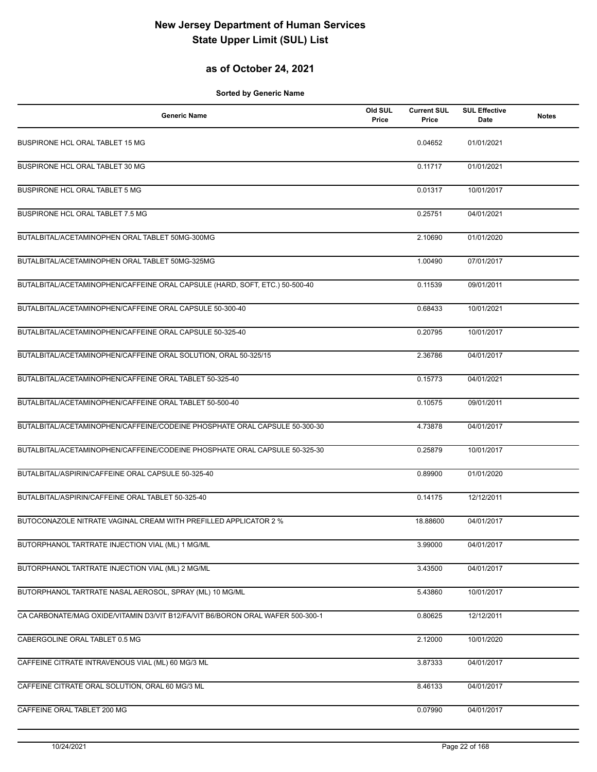## **as of October 24, 2021**

| <b>Generic Name</b>                                                            | Old SUL<br>Price | <b>Current SUL</b><br>Price | <b>SUL Effective</b><br>Date | <b>Notes</b> |
|--------------------------------------------------------------------------------|------------------|-----------------------------|------------------------------|--------------|
| BUSPIRONE HCL ORAL TABLET 15 MG                                                |                  | 0.04652                     | 01/01/2021                   |              |
| BUSPIRONE HCL ORAL TABLET 30 MG                                                |                  | 0.11717                     | 01/01/2021                   |              |
| BUSPIRONE HCL ORAL TABLET 5 MG                                                 |                  | 0.01317                     | 10/01/2017                   |              |
| BUSPIRONE HCL ORAL TABLET 7.5 MG                                               |                  | 0.25751                     | 04/01/2021                   |              |
| BUTALBITAL/ACETAMINOPHEN ORAL TABLET 50MG-300MG                                |                  | 2.10690                     | 01/01/2020                   |              |
| BUTALBITAL/ACETAMINOPHEN ORAL TABLET 50MG-325MG                                |                  | 1.00490                     | 07/01/2017                   |              |
| BUTALBITAL/ACETAMINOPHEN/CAFFEINE ORAL CAPSULE (HARD, SOFT, ETC.) 50-500-40    |                  | 0.11539                     | 09/01/2011                   |              |
| BUTALBITAL/ACETAMINOPHEN/CAFFEINE ORAL CAPSULE 50-300-40                       |                  | 0.68433                     | 10/01/2021                   |              |
| BUTALBITAL/ACETAMINOPHEN/CAFFEINE ORAL CAPSULE 50-325-40                       |                  | 0.20795                     | 10/01/2017                   |              |
| BUTALBITAL/ACETAMINOPHEN/CAFFEINE ORAL SOLUTION, ORAL 50-325/15                |                  | 2.36786                     | 04/01/2017                   |              |
| BUTALBITAL/ACETAMINOPHEN/CAFFEINE ORAL TABLET 50-325-40                        |                  | 0.15773                     | 04/01/2021                   |              |
| BUTALBITAL/ACETAMINOPHEN/CAFFEINE ORAL TABLET 50-500-40                        |                  | 0.10575                     | 09/01/2011                   |              |
| BUTALBITAL/ACETAMINOPHEN/CAFFEINE/CODEINE PHOSPHATE ORAL CAPSULE 50-300-30     |                  | 4.73878                     | 04/01/2017                   |              |
| BUTALBITAL/ACETAMINOPHEN/CAFFEINE/CODEINE PHOSPHATE ORAL CAPSULE 50-325-30     |                  | 0.25879                     | 10/01/2017                   |              |
| BUTALBITAL/ASPIRIN/CAFFEINE ORAL CAPSULE 50-325-40                             |                  | 0.89900                     | 01/01/2020                   |              |
| BUTALBITAL/ASPIRIN/CAFFEINE ORAL TABLET 50-325-40                              |                  | 0.14175                     | 12/12/2011                   |              |
| BUTOCONAZOLE NITRATE VAGINAL CREAM WITH PREFILLED APPLICATOR 2 %               |                  | 18.88600                    | 04/01/2017                   |              |
| BUTORPHANOL TARTRATE INJECTION VIAL (ML) 1 MG/ML                               |                  | 3.99000                     | 04/01/2017                   |              |
| BUTORPHANOL TARTRATE INJECTION VIAL (ML) 2 MG/ML                               |                  | 3.43500                     | 04/01/2017                   |              |
| BUTORPHANOL TARTRATE NASAL AEROSOL, SPRAY (ML) 10 MG/ML                        |                  | 5.43860                     | 10/01/2017                   |              |
| CA CARBONATE/MAG OXIDE/VITAMIN D3/VIT B12/FA/VIT B6/BORON ORAL WAFER 500-300-1 |                  | 0.80625                     | 12/12/2011                   |              |
| CABERGOLINE ORAL TABLET 0.5 MG                                                 |                  | 2.12000                     | 10/01/2020                   |              |
| CAFFEINE CITRATE INTRAVENOUS VIAL (ML) 60 MG/3 ML                              |                  | 3.87333                     | 04/01/2017                   |              |
| CAFFEINE CITRATE ORAL SOLUTION, ORAL 60 MG/3 ML                                |                  | 8.46133                     | 04/01/2017                   |              |
| CAFFEINE ORAL TABLET 200 MG                                                    |                  | 0.07990                     | 04/01/2017                   |              |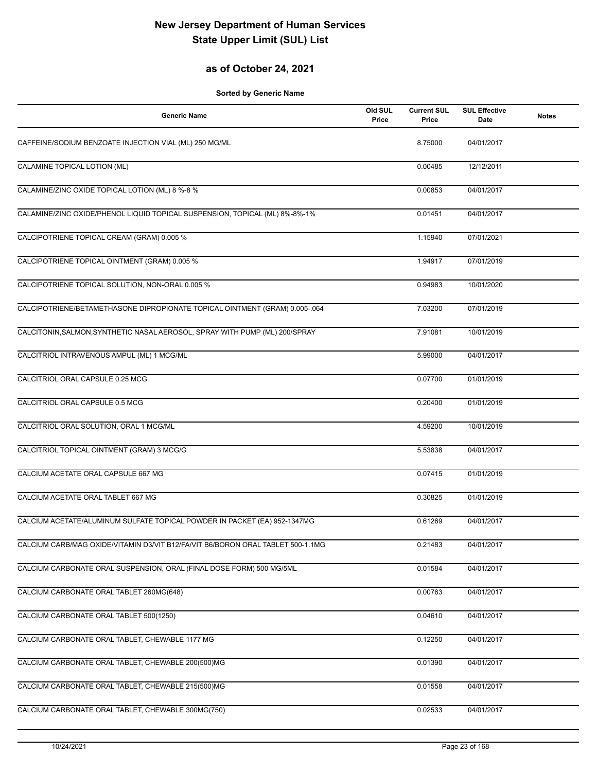## **as of October 24, 2021**

| <b>Generic Name</b>                                                             | Old SUL<br>Price | <b>Current SUL</b><br>Price | <b>SUL Effective</b><br>Date | <b>Notes</b> |
|---------------------------------------------------------------------------------|------------------|-----------------------------|------------------------------|--------------|
| CAFFEINE/SODIUM BENZOATE INJECTION VIAL (ML) 250 MG/ML                          |                  | 8.75000                     | 04/01/2017                   |              |
| CALAMINE TOPICAL LOTION (ML)                                                    |                  | 0.00485                     | 12/12/2011                   |              |
| CALAMINE/ZINC OXIDE TOPICAL LOTION (ML) 8 %-8 %                                 |                  | 0.00853                     | 04/01/2017                   |              |
| CALAMINE/ZINC OXIDE/PHENOL LIQUID TOPICAL SUSPENSION, TOPICAL (ML) 8%-8%-1%     |                  | 0.01451                     | 04/01/2017                   |              |
| CALCIPOTRIENE TOPICAL CREAM (GRAM) 0.005 %                                      |                  | 1.15940                     | 07/01/2021                   |              |
| CALCIPOTRIENE TOPICAL OINTMENT (GRAM) 0.005 %                                   |                  | 1.94917                     | 07/01/2019                   |              |
| CALCIPOTRIENE TOPICAL SOLUTION, NON-ORAL 0.005 %                                |                  | 0.94983                     | 10/01/2020                   |              |
| CALCIPOTRIENE/BETAMETHASONE DIPROPIONATE TOPICAL OINTMENT (GRAM) 0.005-.064     |                  | 7.03200                     | 07/01/2019                   |              |
| CALCITONIN, SALMON, SYNTHETIC NASAL AEROSOL, SPRAY WITH PUMP (ML) 200/SPRAY     |                  | 7.91081                     | 10/01/2019                   |              |
| CALCITRIOL INTRAVENOUS AMPUL (ML) 1 MCG/ML                                      |                  | 5.99000                     | 04/01/2017                   |              |
| CALCITRIOL ORAL CAPSULE 0.25 MCG                                                |                  | 0.07700                     | 01/01/2019                   |              |
| CALCITRIOL ORAL CAPSULE 0.5 MCG                                                 |                  | 0.20400                     | 01/01/2019                   |              |
| CALCITRIOL ORAL SOLUTION, ORAL 1 MCG/ML                                         |                  | 4.59200                     | 10/01/2019                   |              |
| CALCITRIOL TOPICAL OINTMENT (GRAM) 3 MCG/G                                      |                  | 5.53838                     | 04/01/2017                   |              |
| CALCIUM ACETATE ORAL CAPSULE 667 MG                                             |                  | 0.07415                     | 01/01/2019                   |              |
| CALCIUM ACETATE ORAL TABLET 667 MG                                              |                  | 0.30825                     | 01/01/2019                   |              |
| CALCIUM ACETATE/ALUMINUM SULFATE TOPICAL POWDER IN PACKET (EA) 952-1347MG       |                  | 0.61269                     | 04/01/2017                   |              |
| CALCIUM CARB/MAG OXIDE/VITAMIN D3/VIT B12/FA/VIT B6/BORON ORAL TABLET 500-1.1MG |                  | 0.21483                     | 04/01/2017                   |              |
| CALCIUM CARBONATE ORAL SUSPENSION, ORAL (FINAL DOSE FORM) 500 MG/5ML            |                  | 0.01584                     | 04/01/2017                   |              |
| CALCIUM CARBONATE ORAL TABLET 260MG(648)                                        |                  | 0.00763                     | 04/01/2017                   |              |
| CALCIUM CARBONATE ORAL TABLET 500(1250)                                         |                  | 0.04610                     | 04/01/2017                   |              |
| CALCIUM CARBONATE ORAL TABLET, CHEWABLE 1177 MG                                 |                  | 0.12250                     | 04/01/2017                   |              |
| CALCIUM CARBONATE ORAL TABLET, CHEWABLE 200(500)MG                              |                  | 0.01390                     | 04/01/2017                   |              |
| CALCIUM CARBONATE ORAL TABLET, CHEWABLE 215(500)MG                              |                  | 0.01558                     | 04/01/2017                   |              |
| CALCIUM CARBONATE ORAL TABLET, CHEWABLE 300MG(750)                              |                  | 0.02533                     | 04/01/2017                   |              |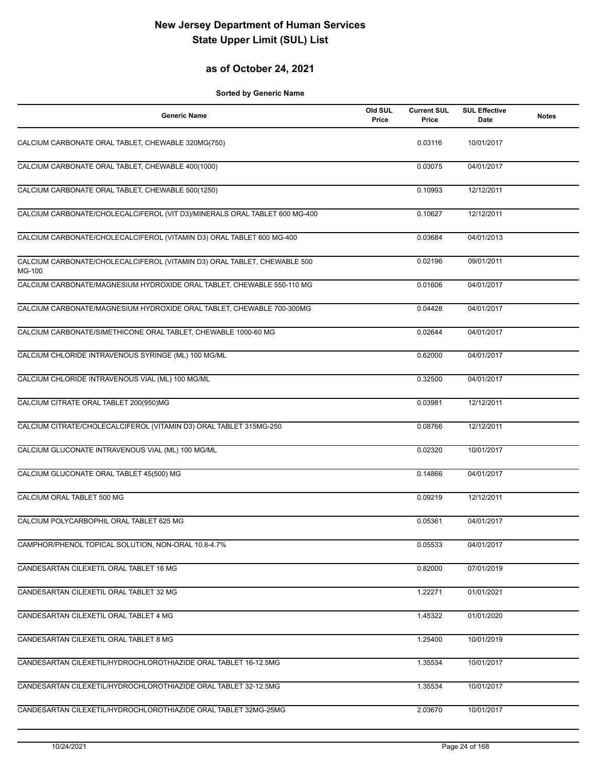## **as of October 24, 2021**

| <b>Generic Name</b>                                                                | Old SUL<br>Price | <b>Current SUL</b><br>Price | <b>SUL Effective</b><br>Date | <b>Notes</b> |
|------------------------------------------------------------------------------------|------------------|-----------------------------|------------------------------|--------------|
| CALCIUM CARBONATE ORAL TABLET, CHEWABLE 320MG(750)                                 |                  | 0.03116                     | 10/01/2017                   |              |
| CALCIUM CARBONATE ORAL TABLET, CHEWABLE 400(1000)                                  |                  | 0.03075                     | 04/01/2017                   |              |
| CALCIUM CARBONATE ORAL TABLET, CHEWABLE 500(1250)                                  |                  | 0.10993                     | 12/12/2011                   |              |
| CALCIUM CARBONATE/CHOLECALCIFEROL (VIT D3)/MINERALS ORAL TABLET 600 MG-400         |                  | 0.10627                     | 12/12/2011                   |              |
| CALCIUM CARBONATE/CHOLECALCIFEROL (VITAMIN D3) ORAL TABLET 600 MG-400              |                  | 0.03684                     | 04/01/2013                   |              |
| CALCIUM CARBONATE/CHOLECALCIFEROL (VITAMIN D3) ORAL TABLET, CHEWABLE 500<br>MG-100 |                  | 0.02196                     | 09/01/2011                   |              |
| CALCIUM CARBONATE/MAGNESIUM HYDROXIDE ORAL TABLET, CHEWABLE 550-110 MG             |                  | 0.01606                     | 04/01/2017                   |              |
| CALCIUM CARBONATE/MAGNESIUM HYDROXIDE ORAL TABLET, CHEWABLE 700-300MG              |                  | 0.04428                     | 04/01/2017                   |              |
| CALCIUM CARBONATE/SIMETHICONE ORAL TABLET, CHEWABLE 1000-60 MG                     |                  | 0.02644                     | 04/01/2017                   |              |
| CALCIUM CHLORIDE INTRAVENOUS SYRINGE (ML) 100 MG/ML                                |                  | 0.62000                     | 04/01/2017                   |              |
| CALCIUM CHLORIDE INTRAVENOUS VIAL (ML) 100 MG/ML                                   |                  | 0.32500                     | 04/01/2017                   |              |
| CALCIUM CITRATE ORAL TABLET 200(950)MG                                             |                  | 0.03981                     | 12/12/2011                   |              |
| CALCIUM CITRATE/CHOLECALCIFEROL (VITAMIN D3) ORAL TABLET 315MG-250                 |                  | 0.08766                     | 12/12/2011                   |              |
| CALCIUM GLUCONATE INTRAVENOUS VIAL (ML) 100 MG/ML                                  |                  | 0.02320                     | 10/01/2017                   |              |
| CALCIUM GLUCONATE ORAL TABLET 45(500) MG                                           |                  | 0.14866                     | 04/01/2017                   |              |
| CALCIUM ORAL TABLET 500 MG                                                         |                  | 0.09219                     | 12/12/2011                   |              |
| CALCIUM POLYCARBOPHIL ORAL TABLET 625 MG                                           |                  | 0.05361                     | 04/01/2017                   |              |
| CAMPHOR/PHENOL TOPICAL SOLUTION, NON-ORAL 10.8-4.7%                                |                  | 0.05533                     | 04/01/2017                   |              |
| CANDESARTAN CILEXETIL ORAL TABLET 16 MG                                            |                  | 0.82000                     | 07/01/2019                   |              |
| CANDESARTAN CILEXETIL ORAL TABLET 32 MG                                            |                  | 1.22271                     | 01/01/2021                   |              |
| CANDESARTAN CILEXETIL ORAL TABLET 4 MG                                             |                  | 1.45322                     | 01/01/2020                   |              |
| CANDESARTAN CILEXETIL ORAL TABLET 8 MG                                             |                  | 1.25400                     | 10/01/2019                   |              |
| CANDESARTAN CILEXETIL/HYDROCHLOROTHIAZIDE ORAL TABLET 16-12.5MG                    |                  | 1.35534                     | 10/01/2017                   |              |
| CANDESARTAN CILEXETIL/HYDROCHLOROTHIAZIDE ORAL TABLET 32-12.5MG                    |                  | 1.35534                     | 10/01/2017                   |              |
| CANDESARTAN CILEXETIL/HYDROCHLOROTHIAZIDE ORAL TABLET 32MG-25MG                    |                  | 2.03670                     | 10/01/2017                   |              |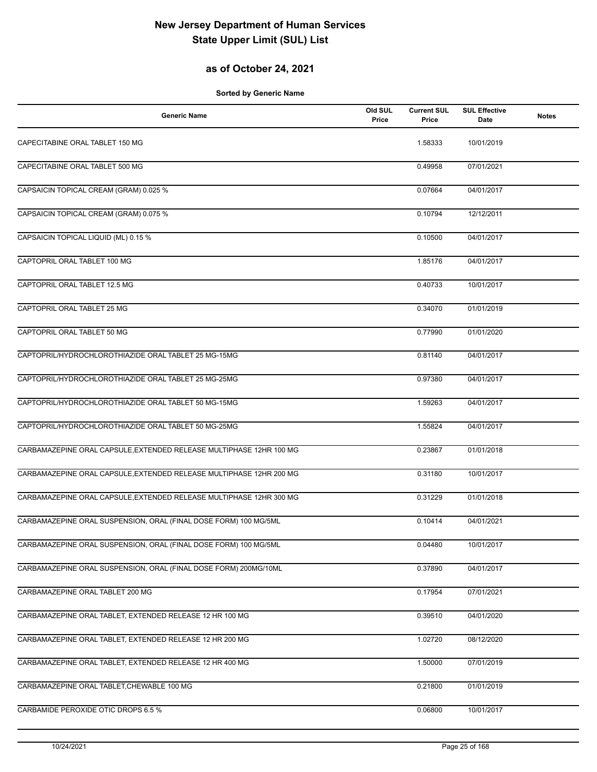## **as of October 24, 2021**

| <b>Generic Name</b>                                                 | Old SUL<br>Price | <b>Current SUL</b><br>Price | <b>SUL Effective</b><br>Date | <b>Notes</b> |
|---------------------------------------------------------------------|------------------|-----------------------------|------------------------------|--------------|
| CAPECITABINE ORAL TABLET 150 MG                                     |                  | 1.58333                     | 10/01/2019                   |              |
| CAPECITABINE ORAL TABLET 500 MG                                     |                  | 0.49958                     | 07/01/2021                   |              |
| CAPSAICIN TOPICAL CREAM (GRAM) 0.025 %                              |                  | 0.07664                     | 04/01/2017                   |              |
| CAPSAICIN TOPICAL CREAM (GRAM) 0.075 %                              |                  | 0.10794                     | 12/12/2011                   |              |
| CAPSAICIN TOPICAL LIQUID (ML) 0.15 %                                |                  | 0.10500                     | 04/01/2017                   |              |
| CAPTOPRIL ORAL TABLET 100 MG                                        |                  | 1.85176                     | 04/01/2017                   |              |
| CAPTOPRIL ORAL TABLET 12.5 MG                                       |                  | 0.40733                     | 10/01/2017                   |              |
| CAPTOPRIL ORAL TABLET 25 MG                                         |                  | 0.34070                     | 01/01/2019                   |              |
| CAPTOPRIL ORAL TABLET 50 MG                                         |                  | 0.77990                     | 01/01/2020                   |              |
| CAPTOPRIL/HYDROCHLOROTHIAZIDE ORAL TABLET 25 MG-15MG                |                  | 0.81140                     | 04/01/2017                   |              |
| CAPTOPRIL/HYDROCHLOROTHIAZIDE ORAL TABLET 25 MG-25MG                |                  | 0.97380                     | 04/01/2017                   |              |
| CAPTOPRIL/HYDROCHLOROTHIAZIDE ORAL TABLET 50 MG-15MG                |                  | 1.59263                     | 04/01/2017                   |              |
| CAPTOPRIL/HYDROCHLOROTHIAZIDE ORAL TABLET 50 MG-25MG                |                  | 1.55824                     | 04/01/2017                   |              |
| CARBAMAZEPINE ORAL CAPSULE, EXTENDED RELEASE MULTIPHASE 12HR 100 MG |                  | 0.23867                     | 01/01/2018                   |              |
| CARBAMAZEPINE ORAL CAPSULE, EXTENDED RELEASE MULTIPHASE 12HR 200 MG |                  | 0.31180                     | 10/01/2017                   |              |
| CARBAMAZEPINE ORAL CAPSULE, EXTENDED RELEASE MULTIPHASE 12HR 300 MG |                  | 0.31229                     | 01/01/2018                   |              |
| CARBAMAZEPINE ORAL SUSPENSION, ORAL (FINAL DOSE FORM) 100 MG/5ML    |                  | 0.10414                     | 04/01/2021                   |              |
| CARBAMAZEPINE ORAL SUSPENSION, ORAL (FINAL DOSE FORM) 100 MG/5ML    |                  | 0.04480                     | 10/01/2017                   |              |
| CARBAMAZEPINE ORAL SUSPENSION, ORAL (FINAL DOSE FORM) 200MG/10ML    |                  | 0.37890                     | 04/01/2017                   |              |
| CARBAMAZEPINE ORAL TABLET 200 MG                                    |                  | 0.17954                     | 07/01/2021                   |              |
| CARBAMAZEPINE ORAL TABLET, EXTENDED RELEASE 12 HR 100 MG            |                  | 0.39510                     | 04/01/2020                   |              |
| CARBAMAZEPINE ORAL TABLET, EXTENDED RELEASE 12 HR 200 MG            |                  | 1.02720                     | 08/12/2020                   |              |
| CARBAMAZEPINE ORAL TABLET, EXTENDED RELEASE 12 HR 400 MG            |                  | 1.50000                     | 07/01/2019                   |              |
| CARBAMAZEPINE ORAL TABLET, CHEWABLE 100 MG                          |                  | 0.21800                     | 01/01/2019                   |              |
| CARBAMIDE PEROXIDE OTIC DROPS 6.5 %                                 |                  | 0.06800                     | 10/01/2017                   |              |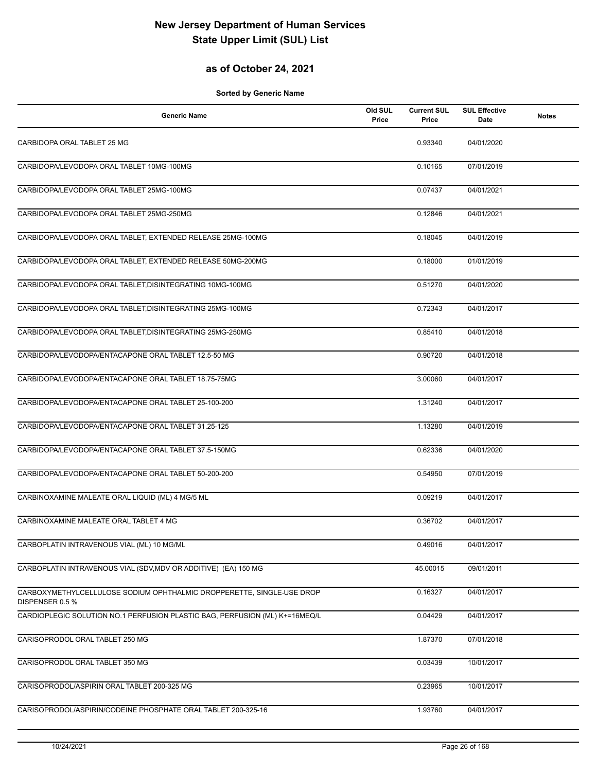## **as of October 24, 2021**

| <b>Generic Name</b>                                                                      | Old SUL<br>Price | <b>Current SUL</b><br>Price | <b>SUL Effective</b><br>Date | <b>Notes</b> |
|------------------------------------------------------------------------------------------|------------------|-----------------------------|------------------------------|--------------|
| CARBIDOPA ORAL TABLET 25 MG                                                              |                  | 0.93340                     | 04/01/2020                   |              |
| CARBIDOPA/LEVODOPA ORAL TABLET 10MG-100MG                                                |                  | 0.10165                     | 07/01/2019                   |              |
| CARBIDOPA/LEVODOPA ORAL TABLET 25MG-100MG                                                |                  | 0.07437                     | 04/01/2021                   |              |
| CARBIDOPA/LEVODOPA ORAL TABLET 25MG-250MG                                                |                  | 0.12846                     | 04/01/2021                   |              |
| CARBIDOPA/LEVODOPA ORAL TABLET, EXTENDED RELEASE 25MG-100MG                              |                  | 0.18045                     | 04/01/2019                   |              |
| CARBIDOPA/LEVODOPA ORAL TABLET, EXTENDED RELEASE 50MG-200MG                              |                  | 0.18000                     | 01/01/2019                   |              |
| CARBIDOPA/LEVODOPA ORAL TABLET, DISINTEGRATING 10MG-100MG                                |                  | 0.51270                     | 04/01/2020                   |              |
| CARBIDOPA/LEVODOPA ORAL TABLET, DISINTEGRATING 25MG-100MG                                |                  | 0.72343                     | 04/01/2017                   |              |
| CARBIDOPA/LEVODOPA ORAL TABLET, DISINTEGRATING 25MG-250MG                                |                  | 0.85410                     | 04/01/2018                   |              |
| CARBIDOPA/LEVODOPA/ENTACAPONE ORAL TABLET 12.5-50 MG                                     |                  | 0.90720                     | 04/01/2018                   |              |
| CARBIDOPA/LEVODOPA/ENTACAPONE ORAL TABLET 18.75-75MG                                     |                  | 3.00060                     | 04/01/2017                   |              |
| CARBIDOPA/LEVODOPA/ENTACAPONE ORAL TABLET 25-100-200                                     |                  | 1.31240                     | 04/01/2017                   |              |
| CARBIDOPA/LEVODOPA/ENTACAPONE ORAL TABLET 31.25-125                                      |                  | 1.13280                     | 04/01/2019                   |              |
| CARBIDOPA/LEVODOPA/ENTACAPONE ORAL TABLET 37.5-150MG                                     |                  | 0.62336                     | 04/01/2020                   |              |
| CARBIDOPA/LEVODOPA/ENTACAPONE ORAL TABLET 50-200-200                                     |                  | 0.54950                     | 07/01/2019                   |              |
| CARBINOXAMINE MALEATE ORAL LIQUID (ML) 4 MG/5 ML                                         |                  | 0.09219                     | 04/01/2017                   |              |
| CARBINOXAMINE MALEATE ORAL TABLET 4 MG                                                   |                  | 0.36702                     | 04/01/2017                   |              |
| CARBOPLATIN INTRAVENOUS VIAL (ML) 10 MG/ML                                               |                  | 0.49016                     | 04/01/2017                   |              |
| CARBOPLATIN INTRAVENOUS VIAL (SDV, MDV OR ADDITIVE) (EA) 150 MG                          |                  | 45.00015                    | 09/01/2011                   |              |
| CARBOXYMETHYLCELLULOSE SODIUM OPHTHALMIC DROPPERETTE, SINGLE-USE DROP<br>DISPENSER 0.5 % |                  | 0.16327                     | 04/01/2017                   |              |
| CARDIOPLEGIC SOLUTION NO.1 PERFUSION PLASTIC BAG, PERFUSION (ML) K+=16MEQ/L              |                  | 0.04429                     | 04/01/2017                   |              |
| CARISOPRODOL ORAL TABLET 250 MG                                                          |                  | 1.87370                     | 07/01/2018                   |              |
| CARISOPRODOL ORAL TABLET 350 MG                                                          |                  | 0.03439                     | 10/01/2017                   |              |
| CARISOPRODOL/ASPIRIN ORAL TABLET 200-325 MG                                              |                  | 0.23965                     | 10/01/2017                   |              |
| CARISOPRODOL/ASPIRIN/CODEINE PHOSPHATE ORAL TABLET 200-325-16                            |                  | 1.93760                     | 04/01/2017                   |              |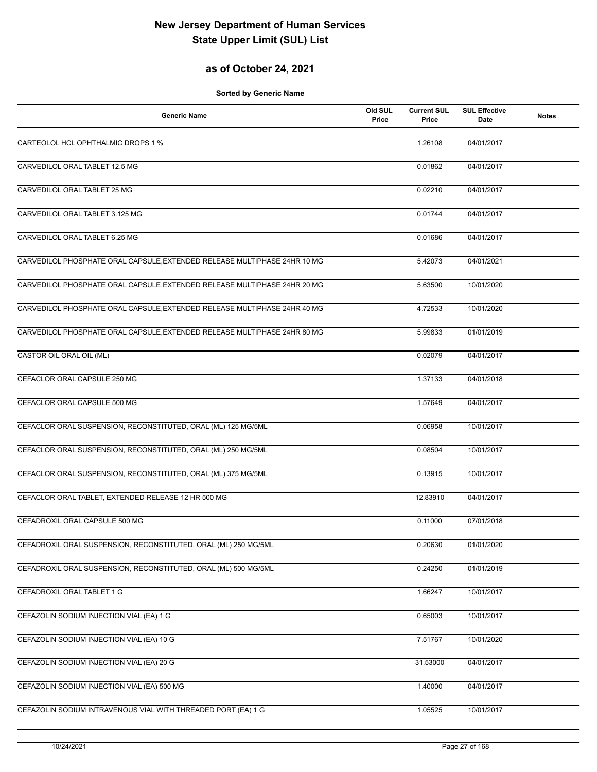## **as of October 24, 2021**

| <b>Generic Name</b>                                                       | Old SUL<br>Price | <b>Current SUL</b><br>Price | <b>SUL Effective</b><br>Date | <b>Notes</b> |
|---------------------------------------------------------------------------|------------------|-----------------------------|------------------------------|--------------|
| CARTEOLOL HCL OPHTHALMIC DROPS 1 %                                        |                  | 1.26108                     | 04/01/2017                   |              |
| CARVEDILOL ORAL TABLET 12.5 MG                                            |                  | 0.01862                     | 04/01/2017                   |              |
| CARVEDILOL ORAL TABLET 25 MG                                              |                  | 0.02210                     | 04/01/2017                   |              |
| CARVEDILOL ORAL TABLET 3.125 MG                                           |                  | 0.01744                     | 04/01/2017                   |              |
| CARVEDILOL ORAL TABLET 6.25 MG                                            |                  | 0.01686                     | 04/01/2017                   |              |
| CARVEDILOL PHOSPHATE ORAL CAPSULE, EXTENDED RELEASE MULTIPHASE 24HR 10 MG |                  | 5.42073                     | 04/01/2021                   |              |
| CARVEDILOL PHOSPHATE ORAL CAPSULE, EXTENDED RELEASE MULTIPHASE 24HR 20 MG |                  | 5.63500                     | 10/01/2020                   |              |
| CARVEDILOL PHOSPHATE ORAL CAPSULE, EXTENDED RELEASE MULTIPHASE 24HR 40 MG |                  | 4.72533                     | 10/01/2020                   |              |
| CARVEDILOL PHOSPHATE ORAL CAPSULE, EXTENDED RELEASE MULTIPHASE 24HR 80 MG |                  | 5.99833                     | 01/01/2019                   |              |
| CASTOR OIL ORAL OIL (ML)                                                  |                  | 0.02079                     | 04/01/2017                   |              |
| CEFACLOR ORAL CAPSULE 250 MG                                              |                  | 1.37133                     | 04/01/2018                   |              |
| CEFACLOR ORAL CAPSULE 500 MG                                              |                  | 1.57649                     | 04/01/2017                   |              |
| CEFACLOR ORAL SUSPENSION, RECONSTITUTED, ORAL (ML) 125 MG/5ML             |                  | 0.06958                     | 10/01/2017                   |              |
| CEFACLOR ORAL SUSPENSION, RECONSTITUTED, ORAL (ML) 250 MG/5ML             |                  | 0.08504                     | 10/01/2017                   |              |
| CEFACLOR ORAL SUSPENSION, RECONSTITUTED, ORAL (ML) 375 MG/5ML             |                  | 0.13915                     | 10/01/2017                   |              |
| CEFACLOR ORAL TABLET, EXTENDED RELEASE 12 HR 500 MG                       |                  | 12.83910                    | 04/01/2017                   |              |
| CEFADROXIL ORAL CAPSULE 500 MG                                            |                  | 0.11000                     | 07/01/2018                   |              |
| CEFADROXIL ORAL SUSPENSION, RECONSTITUTED, ORAL (ML) 250 MG/5ML           |                  | 0.20630                     | 01/01/2020                   |              |
| CEFADROXIL ORAL SUSPENSION, RECONSTITUTED, ORAL (ML) 500 MG/5ML           |                  | 0.24250                     | 01/01/2019                   |              |
| CEFADROXIL ORAL TABLET 1 G                                                |                  | 1.66247                     | 10/01/2017                   |              |
| CEFAZOLIN SODIUM INJECTION VIAL (EA) 1 G                                  |                  | 0.65003                     | 10/01/2017                   |              |
| CEFAZOLIN SODIUM INJECTION VIAL (EA) 10 G                                 |                  | 7.51767                     | 10/01/2020                   |              |
| CEFAZOLIN SODIUM INJECTION VIAL (EA) 20 G                                 |                  | 31.53000                    | 04/01/2017                   |              |
| CEFAZOLIN SODIUM INJECTION VIAL (EA) 500 MG                               |                  | 1.40000                     | 04/01/2017                   |              |
| CEFAZOLIN SODIUM INTRAVENOUS VIAL WITH THREADED PORT (EA) 1 G             |                  | 1.05525                     | 10/01/2017                   |              |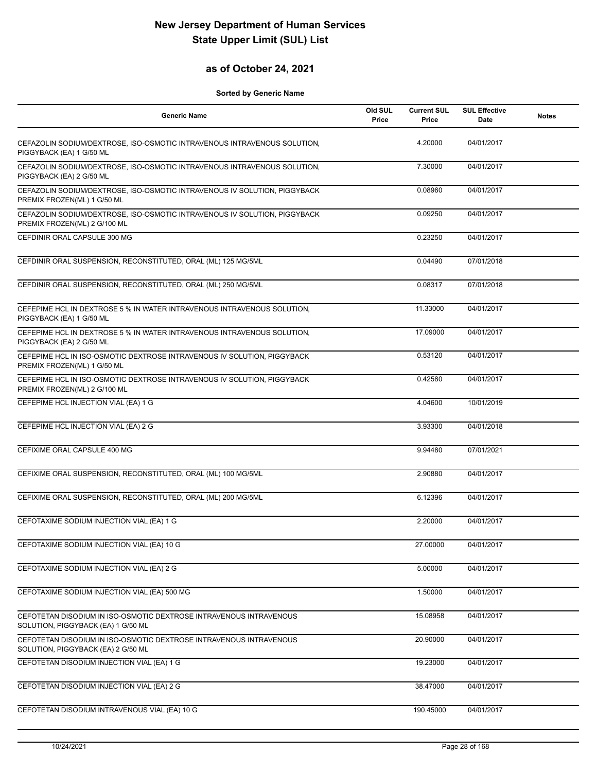## **as of October 24, 2021**

| <b>Generic Name</b>                                                                                       | Old SUL<br>Price | <b>Current SUL</b><br>Price | <b>SUL Effective</b><br>Date | <b>Notes</b> |
|-----------------------------------------------------------------------------------------------------------|------------------|-----------------------------|------------------------------|--------------|
| CEFAZOLIN SODIUM/DEXTROSE, ISO-OSMOTIC INTRAVENOUS INTRAVENOUS SOLUTION,<br>PIGGYBACK (EA) 1 G/50 ML      |                  | 4.20000                     | 04/01/2017                   |              |
| CEFAZOLIN SODIUM/DEXTROSE, ISO-OSMOTIC INTRAVENOUS INTRAVENOUS SOLUTION,<br>PIGGYBACK (EA) 2 G/50 ML      |                  | 7.30000                     | 04/01/2017                   |              |
| CEFAZOLIN SODIUM/DEXTROSE, ISO-OSMOTIC INTRAVENOUS IV SOLUTION, PIGGYBACK<br>PREMIX FROZEN(ML) 1 G/50 ML  |                  | 0.08960                     | 04/01/2017                   |              |
| CEFAZOLIN SODIUM/DEXTROSE, ISO-OSMOTIC INTRAVENOUS IV SOLUTION, PIGGYBACK<br>PREMIX FROZEN(ML) 2 G/100 ML |                  | 0.09250                     | 04/01/2017                   |              |
| CEFDINIR ORAL CAPSULE 300 MG                                                                              |                  | 0.23250                     | 04/01/2017                   |              |
| CEFDINIR ORAL SUSPENSION, RECONSTITUTED, ORAL (ML) 125 MG/5ML                                             |                  | 0.04490                     | 07/01/2018                   |              |
| CEFDINIR ORAL SUSPENSION, RECONSTITUTED, ORAL (ML) 250 MG/5ML                                             |                  | 0.08317                     | 07/01/2018                   |              |
| CEFEPIME HCL IN DEXTROSE 5 % IN WATER INTRAVENOUS INTRAVENOUS SOLUTION,<br>PIGGYBACK (EA) 1 G/50 ML       |                  | 11.33000                    | 04/01/2017                   |              |
| CEFEPIME HCL IN DEXTROSE 5 % IN WATER INTRAVENOUS INTRAVENOUS SOLUTION,<br>PIGGYBACK (EA) 2 G/50 ML       |                  | 17.09000                    | 04/01/2017                   |              |
| CEFEPIME HCL IN ISO-OSMOTIC DEXTROSE INTRAVENOUS IV SOLUTION, PIGGYBACK<br>PREMIX FROZEN(ML) 1 G/50 ML    |                  | 0.53120                     | 04/01/2017                   |              |
| CEFEPIME HCL IN ISO-OSMOTIC DEXTROSE INTRAVENOUS IV SOLUTION, PIGGYBACK<br>PREMIX FROZEN(ML) 2 G/100 ML   |                  | 0.42580                     | 04/01/2017                   |              |
| CEFEPIME HCL INJECTION VIAL (EA) 1 G                                                                      |                  | 4.04600                     | 10/01/2019                   |              |
| CEFEPIME HCL INJECTION VIAL (EA) 2 G                                                                      |                  | 3.93300                     | 04/01/2018                   |              |
| CEFIXIME ORAL CAPSULE 400 MG                                                                              |                  | 9.94480                     | 07/01/2021                   |              |
| CEFIXIME ORAL SUSPENSION, RECONSTITUTED, ORAL (ML) 100 MG/5ML                                             |                  | 2.90880                     | 04/01/2017                   |              |
| CEFIXIME ORAL SUSPENSION, RECONSTITUTED, ORAL (ML) 200 MG/5ML                                             |                  | 6.12396                     | 04/01/2017                   |              |
| CEFOTAXIME SODIUM INJECTION VIAL (EA) 1 G                                                                 |                  | 2.20000                     | 04/01/2017                   |              |
| CEFOTAXIME SODIUM INJECTION VIAL (EA) 10 G                                                                |                  | 27.00000                    | 04/01/2017                   |              |
| CEFOTAXIME SODIUM INJECTION VIAL (EA) 2 G                                                                 |                  | 5.00000                     | 04/01/2017                   |              |
| CEFOTAXIME SODIUM INJECTION VIAL (EA) 500 MG                                                              |                  | 1.50000                     | 04/01/2017                   |              |
| CEFOTETAN DISODIUM IN ISO-OSMOTIC DEXTROSE INTRAVENOUS INTRAVENOUS<br>SOLUTION, PIGGYBACK (EA) 1 G/50 ML  |                  | 15.08958                    | 04/01/2017                   |              |
| CEFOTETAN DISODIUM IN ISO-OSMOTIC DEXTROSE INTRAVENOUS INTRAVENOUS<br>SOLUTION, PIGGYBACK (EA) 2 G/50 ML  |                  | 20.90000                    | 04/01/2017                   |              |
| CEFOTETAN DISODIUM INJECTION VIAL (EA) 1 G                                                                |                  | 19.23000                    | 04/01/2017                   |              |
| CEFOTETAN DISODIUM INJECTION VIAL (EA) 2 G                                                                |                  | 38.47000                    | 04/01/2017                   |              |
| CEFOTETAN DISODIUM INTRAVENOUS VIAL (EA) 10 G                                                             |                  | 190.45000                   | 04/01/2017                   |              |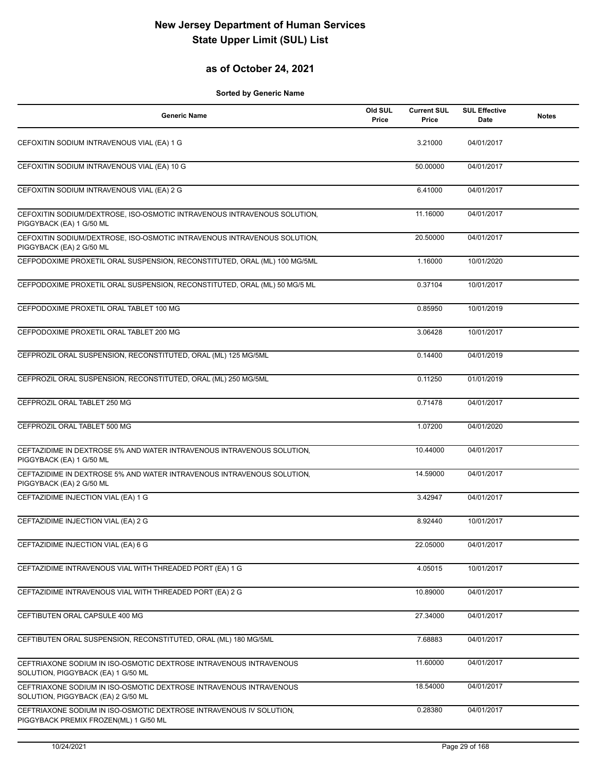## **as of October 24, 2021**

| <b>Generic Name</b>                                                                                          | Old SUL<br>Price | <b>Current SUL</b><br>Price | <b>SUL Effective</b><br>Date | <b>Notes</b> |
|--------------------------------------------------------------------------------------------------------------|------------------|-----------------------------|------------------------------|--------------|
| CEFOXITIN SODIUM INTRAVENOUS VIAL (EA) 1 G                                                                   |                  | 3.21000                     | 04/01/2017                   |              |
| CEFOXITIN SODIUM INTRAVENOUS VIAL (EA) 10 G                                                                  |                  | 50.00000                    | 04/01/2017                   |              |
| CEFOXITIN SODIUM INTRAVENOUS VIAL (EA) 2 G                                                                   |                  | 6.41000                     | 04/01/2017                   |              |
| CEFOXITIN SODIUM/DEXTROSE, ISO-OSMOTIC INTRAVENOUS INTRAVENOUS SOLUTION,<br>PIGGYBACK (EA) 1 G/50 ML         |                  | 11.16000                    | 04/01/2017                   |              |
| CEFOXITIN SODIUM/DEXTROSE, ISO-OSMOTIC INTRAVENOUS INTRAVENOUS SOLUTION,<br>PIGGYBACK (EA) 2 G/50 ML         |                  | 20.50000                    | 04/01/2017                   |              |
| CEFPODOXIME PROXETIL ORAL SUSPENSION, RECONSTITUTED, ORAL (ML) 100 MG/5ML                                    |                  | 1.16000                     | 10/01/2020                   |              |
| CEFPODOXIME PROXETIL ORAL SUSPENSION, RECONSTITUTED, ORAL (ML) 50 MG/5 ML                                    |                  | 0.37104                     | 10/01/2017                   |              |
| CEFPODOXIME PROXETIL ORAL TABLET 100 MG                                                                      |                  | 0.85950                     | 10/01/2019                   |              |
| CEFPODOXIME PROXETIL ORAL TABLET 200 MG                                                                      |                  | 3.06428                     | 10/01/2017                   |              |
| CEFPROZIL ORAL SUSPENSION, RECONSTITUTED, ORAL (ML) 125 MG/5ML                                               |                  | 0.14400                     | 04/01/2019                   |              |
| CEFPROZIL ORAL SUSPENSION, RECONSTITUTED, ORAL (ML) 250 MG/5ML                                               |                  | 0.11250                     | 01/01/2019                   |              |
| CEFPROZIL ORAL TABLET 250 MG                                                                                 |                  | 0.71478                     | 04/01/2017                   |              |
| CEFPROZIL ORAL TABLET 500 MG                                                                                 |                  | 1.07200                     | 04/01/2020                   |              |
| CEFTAZIDIME IN DEXTROSE 5% AND WATER INTRAVENOUS INTRAVENOUS SOLUTION,<br>PIGGYBACK (EA) 1 G/50 ML           |                  | 10.44000                    | 04/01/2017                   |              |
| CEFTAZIDIME IN DEXTROSE 5% AND WATER INTRAVENOUS INTRAVENOUS SOLUTION,<br>PIGGYBACK (EA) 2 G/50 ML           |                  | 14.59000                    | 04/01/2017                   |              |
| CEFTAZIDIME INJECTION VIAL (EA) 1 G                                                                          |                  | 3.42947                     | 04/01/2017                   |              |
| CEFTAZIDIME INJECTION VIAL (EA) 2 G                                                                          |                  | 8.92440                     | 10/01/2017                   |              |
| CEFTAZIDIME INJECTION VIAL (EA) 6 G                                                                          |                  | 22.05000                    | 04/01/2017                   |              |
| CEFTAZIDIME INTRAVENOUS VIAL WITH THREADED PORT (EA) 1 G                                                     |                  | 4.05015                     | 10/01/2017                   |              |
| CEFTAZIDIME INTRAVENOUS VIAL WITH THREADED PORT (EA) 2 G                                                     |                  | 10.89000                    | 04/01/2017                   |              |
| CEFTIBUTEN ORAL CAPSULE 400 MG                                                                               |                  | 27.34000                    | 04/01/2017                   |              |
| CEFTIBUTEN ORAL SUSPENSION, RECONSTITUTED, ORAL (ML) 180 MG/5ML                                              |                  | 7.68883                     | 04/01/2017                   |              |
| CEFTRIAXONE SODIUM IN ISO-OSMOTIC DEXTROSE INTRAVENOUS INTRAVENOUS<br>SOLUTION, PIGGYBACK (EA) 1 G/50 ML     |                  | 11.60000                    | 04/01/2017                   |              |
| CEFTRIAXONE SODIUM IN ISO-OSMOTIC DEXTROSE INTRAVENOUS INTRAVENOUS<br>SOLUTION, PIGGYBACK (EA) 2 G/50 ML     |                  | 18.54000                    | 04/01/2017                   |              |
| CEFTRIAXONE SODIUM IN ISO-OSMOTIC DEXTROSE INTRAVENOUS IV SOLUTION,<br>PIGGYBACK PREMIX FROZEN(ML) 1 G/50 ML |                  | 0.28380                     | 04/01/2017                   |              |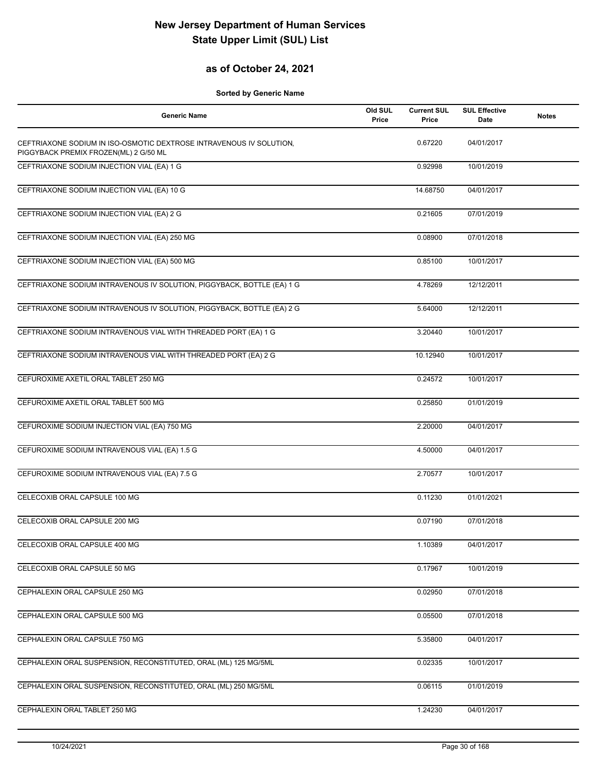## **as of October 24, 2021**

| <b>Generic Name</b>                                                                                          | Old SUL<br>Price | <b>Current SUL</b><br>Price | <b>SUL Effective</b><br>Date | <b>Notes</b> |
|--------------------------------------------------------------------------------------------------------------|------------------|-----------------------------|------------------------------|--------------|
| CEFTRIAXONE SODIUM IN ISO-OSMOTIC DEXTROSE INTRAVENOUS IV SOLUTION,<br>PIGGYBACK PREMIX FROZEN(ML) 2 G/50 ML |                  | 0.67220                     | 04/01/2017                   |              |
| CEFTRIAXONE SODIUM INJECTION VIAL (EA) 1 G                                                                   |                  | 0.92998                     | 10/01/2019                   |              |
| CEFTRIAXONE SODIUM INJECTION VIAL (EA) 10 G                                                                  |                  | 14.68750                    | 04/01/2017                   |              |
| CEFTRIAXONE SODIUM INJECTION VIAL (EA) 2 G                                                                   |                  | 0.21605                     | 07/01/2019                   |              |
| CEFTRIAXONE SODIUM INJECTION VIAL (EA) 250 MG                                                                |                  | 0.08900                     | 07/01/2018                   |              |
| CEFTRIAXONE SODIUM INJECTION VIAL (EA) 500 MG                                                                |                  | 0.85100                     | 10/01/2017                   |              |
| CEFTRIAXONE SODIUM INTRAVENOUS IV SOLUTION, PIGGYBACK, BOTTLE (EA) 1 G                                       |                  | 4.78269                     | 12/12/2011                   |              |
| CEFTRIAXONE SODIUM INTRAVENOUS IV SOLUTION, PIGGYBACK, BOTTLE (EA) 2 G                                       |                  | 5.64000                     | 12/12/2011                   |              |
| CEFTRIAXONE SODIUM INTRAVENOUS VIAL WITH THREADED PORT (EA) 1 G                                              |                  | 3.20440                     | 10/01/2017                   |              |
| CEFTRIAXONE SODIUM INTRAVENOUS VIAL WITH THREADED PORT (EA) 2 G                                              |                  | 10.12940                    | 10/01/2017                   |              |
| CEFUROXIME AXETIL ORAL TABLET 250 MG                                                                         |                  | 0.24572                     | 10/01/2017                   |              |
| CEFUROXIME AXETIL ORAL TABLET 500 MG                                                                         |                  | 0.25850                     | 01/01/2019                   |              |
| CEFUROXIME SODIUM INJECTION VIAL (EA) 750 MG                                                                 |                  | 2.20000                     | 04/01/2017                   |              |
| CEFUROXIME SODIUM INTRAVENOUS VIAL (EA) 1.5 G                                                                |                  | 4.50000                     | 04/01/2017                   |              |
| CEFUROXIME SODIUM INTRAVENOUS VIAL (EA) 7.5 G                                                                |                  | 2.70577                     | 10/01/2017                   |              |
| CELECOXIB ORAL CAPSULE 100 MG                                                                                |                  | 0.11230                     | 01/01/2021                   |              |
| CELECOXIB ORAL CAPSULE 200 MG                                                                                |                  | 0.07190                     | 07/01/2018                   |              |
| CELECOXIB ORAL CAPSULE 400 MG                                                                                |                  | 1.10389                     | 04/01/2017                   |              |
| CELECOXIB ORAL CAPSULE 50 MG                                                                                 |                  | 0.17967                     | 10/01/2019                   |              |
| CEPHALEXIN ORAL CAPSULE 250 MG                                                                               |                  | 0.02950                     | 07/01/2018                   |              |
| CEPHALEXIN ORAL CAPSULE 500 MG                                                                               |                  | 0.05500                     | 07/01/2018                   |              |
| CEPHALEXIN ORAL CAPSULE 750 MG                                                                               |                  | 5.35800                     | 04/01/2017                   |              |
| CEPHALEXIN ORAL SUSPENSION, RECONSTITUTED, ORAL (ML) 125 MG/5ML                                              |                  | 0.02335                     | 10/01/2017                   |              |
| CEPHALEXIN ORAL SUSPENSION, RECONSTITUTED, ORAL (ML) 250 MG/5ML                                              |                  | 0.06115                     | 01/01/2019                   |              |
| CEPHALEXIN ORAL TABLET 250 MG                                                                                |                  | 1.24230                     | 04/01/2017                   |              |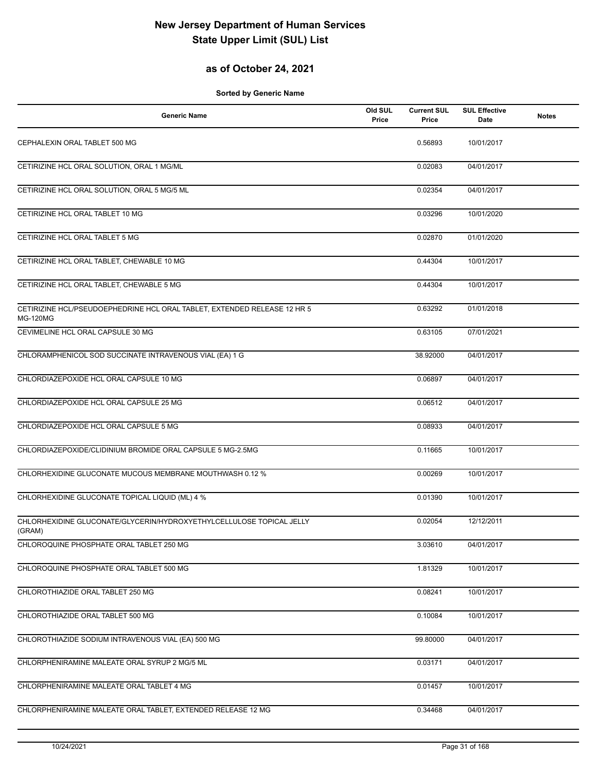## **as of October 24, 2021**

| <b>Generic Name</b>                                                                         | Old SUL<br>Price | <b>Current SUL</b><br>Price | <b>SUL Effective</b><br>Date | <b>Notes</b> |
|---------------------------------------------------------------------------------------------|------------------|-----------------------------|------------------------------|--------------|
| CEPHALEXIN ORAL TABLET 500 MG                                                               |                  | 0.56893                     | 10/01/2017                   |              |
| CETIRIZINE HCL ORAL SOLUTION, ORAL 1 MG/ML                                                  |                  | 0.02083                     | 04/01/2017                   |              |
| CETIRIZINE HCL ORAL SOLUTION, ORAL 5 MG/5 ML                                                |                  | 0.02354                     | 04/01/2017                   |              |
| CETIRIZINE HCL ORAL TABLET 10 MG                                                            |                  | 0.03296                     | 10/01/2020                   |              |
| CETIRIZINE HCL ORAL TABLET 5 MG                                                             |                  | 0.02870                     | 01/01/2020                   |              |
| CETIRIZINE HCL ORAL TABLET, CHEWABLE 10 MG                                                  |                  | 0.44304                     | 10/01/2017                   |              |
| CETIRIZINE HCL ORAL TABLET, CHEWABLE 5 MG                                                   |                  | 0.44304                     | 10/01/2017                   |              |
| CETIRIZINE HCL/PSEUDOEPHEDRINE HCL ORAL TABLET, EXTENDED RELEASE 12 HR 5<br><b>MG-120MG</b> |                  | 0.63292                     | 01/01/2018                   |              |
| CEVIMELINE HCL ORAL CAPSULE 30 MG                                                           |                  | 0.63105                     | 07/01/2021                   |              |
| CHLORAMPHENICOL SOD SUCCINATE INTRAVENOUS VIAL (EA) 1 G                                     |                  | 38.92000                    | 04/01/2017                   |              |
| CHLORDIAZEPOXIDE HCL ORAL CAPSULE 10 MG                                                     |                  | 0.06897                     | 04/01/2017                   |              |
| CHLORDIAZEPOXIDE HCL ORAL CAPSULE 25 MG                                                     |                  | 0.06512                     | 04/01/2017                   |              |
| CHLORDIAZEPOXIDE HCL ORAL CAPSULE 5 MG                                                      |                  | 0.08933                     | 04/01/2017                   |              |
| CHLORDIAZEPOXIDE/CLIDINIUM BROMIDE ORAL CAPSULE 5 MG-2.5MG                                  |                  | 0.11665                     | 10/01/2017                   |              |
| CHLORHEXIDINE GLUCONATE MUCOUS MEMBRANE MOUTHWASH 0.12 %                                    |                  | 0.00269                     | 10/01/2017                   |              |
| CHLORHEXIDINE GLUCONATE TOPICAL LIQUID (ML) 4 %                                             |                  | 0.01390                     | 10/01/2017                   |              |
| CHLORHEXIDINE GLUCONATE/GLYCERIN/HYDROXYETHYLCELLULOSE TOPICAL JELLY<br>(GRAM)              |                  | 0.02054                     | 12/12/2011                   |              |
| CHLOROQUINE PHOSPHATE ORAL TABLET 250 MG                                                    |                  | 3.03610                     | 04/01/2017                   |              |
| CHLOROQUINE PHOSPHATE ORAL TABLET 500 MG                                                    |                  | 1.81329                     | 10/01/2017                   |              |
| CHLOROTHIAZIDE ORAL TABLET 250 MG                                                           |                  | 0.08241                     | 10/01/2017                   |              |
| CHLOROTHIAZIDE ORAL TABLET 500 MG                                                           |                  | 0.10084                     | 10/01/2017                   |              |
| CHLOROTHIAZIDE SODIUM INTRAVENOUS VIAL (EA) 500 MG                                          |                  | 99.80000                    | 04/01/2017                   |              |
| CHLORPHENIRAMINE MALEATE ORAL SYRUP 2 MG/5 ML                                               |                  | 0.03171                     | 04/01/2017                   |              |
| CHLORPHENIRAMINE MALEATE ORAL TABLET 4 MG                                                   |                  | 0.01457                     | 10/01/2017                   |              |
| CHLORPHENIRAMINE MALEATE ORAL TABLET, EXTENDED RELEASE 12 MG                                |                  | 0.34468                     | 04/01/2017                   |              |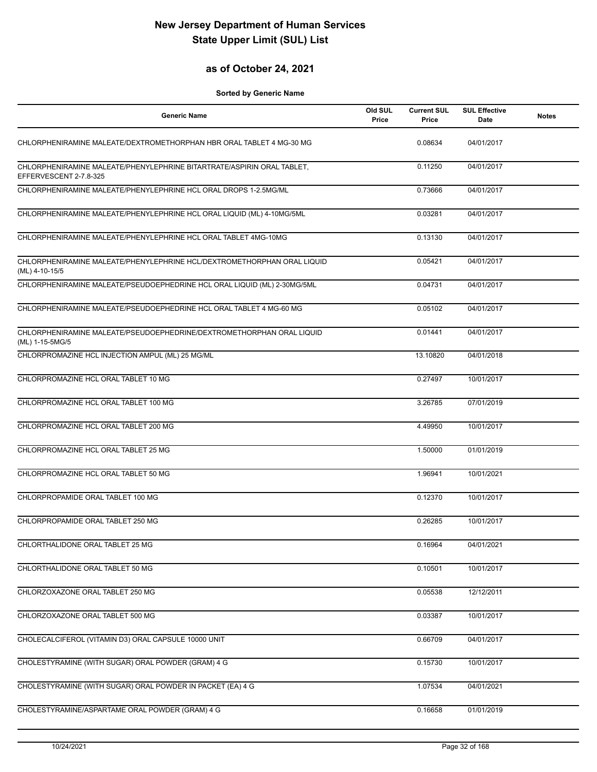## **as of October 24, 2021**

| <b>Generic Name</b>                                                                              | Old SUL<br>Price | <b>Current SUL</b><br>Price | <b>SUL Effective</b><br>Date | <b>Notes</b> |
|--------------------------------------------------------------------------------------------------|------------------|-----------------------------|------------------------------|--------------|
| CHLORPHENIRAMINE MALEATE/DEXTROMETHORPHAN HBR ORAL TABLET 4 MG-30 MG                             |                  | 0.08634                     | 04/01/2017                   |              |
| CHLORPHENIRAMINE MALEATE/PHENYLEPHRINE BITARTRATE/ASPIRIN ORAL TABLET,<br>EFFERVESCENT 2-7.8-325 |                  | 0.11250                     | 04/01/2017                   |              |
| CHLORPHENIRAMINE MALEATE/PHENYLEPHRINE HCL ORAL DROPS 1-2.5MG/ML                                 |                  | 0.73666                     | 04/01/2017                   |              |
| CHLORPHENIRAMINE MALEATE/PHENYLEPHRINE HCL ORAL LIQUID (ML) 4-10MG/5ML                           |                  | 0.03281                     | 04/01/2017                   |              |
| CHLORPHENIRAMINE MALEATE/PHENYLEPHRINE HCL ORAL TABLET 4MG-10MG                                  |                  | 0.13130                     | 04/01/2017                   |              |
| CHLORPHENIRAMINE MALEATE/PHENYLEPHRINE HCL/DEXTROMETHORPHAN ORAL LIQUID<br>(ML) 4-10-15/5        |                  | 0.05421                     | 04/01/2017                   |              |
| CHLORPHENIRAMINE MALEATE/PSEUDOEPHEDRINE HCL ORAL LIQUID (ML) 2-30MG/5ML                         |                  | 0.04731                     | 04/01/2017                   |              |
| CHLORPHENIRAMINE MALEATE/PSEUDOEPHEDRINE HCL ORAL TABLET 4 MG-60 MG                              |                  | 0.05102                     | 04/01/2017                   |              |
| CHLORPHENIRAMINE MALEATE/PSEUDOEPHEDRINE/DEXTROMETHORPHAN ORAL LIQUID<br>(ML) 1-15-5MG/5         |                  | 0.01441                     | 04/01/2017                   |              |
| CHLORPROMAZINE HCL INJECTION AMPUL (ML) 25 MG/ML                                                 |                  | 13.10820                    | 04/01/2018                   |              |
| CHLORPROMAZINE HCL ORAL TABLET 10 MG                                                             |                  | 0.27497                     | 10/01/2017                   |              |
| CHLORPROMAZINE HCL ORAL TABLET 100 MG                                                            |                  | 3.26785                     | 07/01/2019                   |              |
| CHLORPROMAZINE HCL ORAL TABLET 200 MG                                                            |                  | 4.49950                     | 10/01/2017                   |              |
| CHLORPROMAZINE HCL ORAL TABLET 25 MG                                                             |                  | 1.50000                     | 01/01/2019                   |              |
| CHLORPROMAZINE HCL ORAL TABLET 50 MG                                                             |                  | 1.96941                     | 10/01/2021                   |              |
| CHLORPROPAMIDE ORAL TABLET 100 MG                                                                |                  | 0.12370                     | 10/01/2017                   |              |
| CHLORPROPAMIDE ORAL TABLET 250 MG                                                                |                  | 0.26285                     | 10/01/2017                   |              |
| CHLORTHALIDONE ORAL TABLET 25 MG                                                                 |                  | 0.16964                     | 04/01/2021                   |              |
| CHLORTHALIDONE ORAL TABLET 50 MG                                                                 |                  | 0.10501                     | 10/01/2017                   |              |
| CHLORZOXAZONE ORAL TABLET 250 MG                                                                 |                  | 0.05538                     | 12/12/2011                   |              |
| CHLORZOXAZONE ORAL TABLET 500 MG                                                                 |                  | 0.03387                     | 10/01/2017                   |              |
| CHOLECALCIFEROL (VITAMIN D3) ORAL CAPSULE 10000 UNIT                                             |                  | 0.66709                     | 04/01/2017                   |              |
| CHOLESTYRAMINE (WITH SUGAR) ORAL POWDER (GRAM) 4 G                                               |                  | 0.15730                     | 10/01/2017                   |              |
| CHOLESTYRAMINE (WITH SUGAR) ORAL POWDER IN PACKET (EA) 4 G                                       |                  | 1.07534                     | 04/01/2021                   |              |
| CHOLESTYRAMINE/ASPARTAME ORAL POWDER (GRAM) 4 G                                                  |                  | 0.16658                     | 01/01/2019                   |              |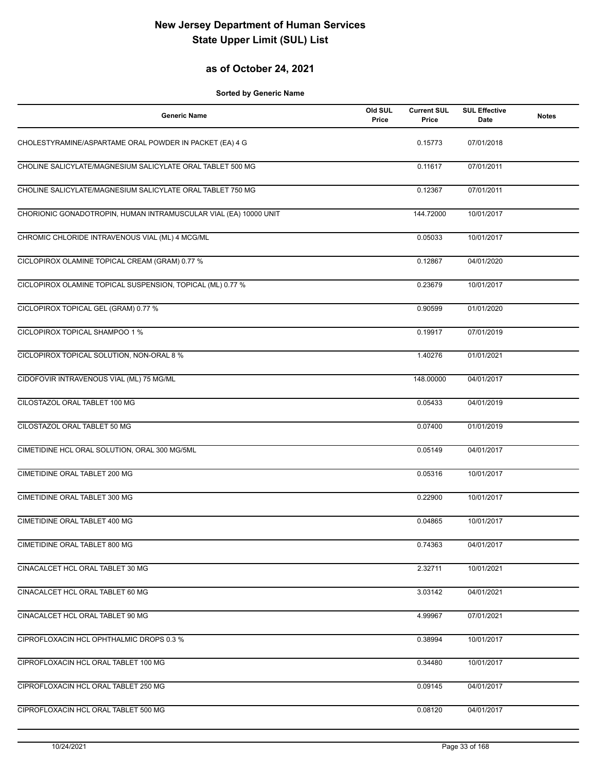## **as of October 24, 2021**

| <b>Generic Name</b>                                              | Old SUL<br>Price | <b>Current SUL</b><br>Price | <b>SUL Effective</b><br><b>Date</b> | <b>Notes</b> |
|------------------------------------------------------------------|------------------|-----------------------------|-------------------------------------|--------------|
| CHOLESTYRAMINE/ASPARTAME ORAL POWDER IN PACKET (EA) 4 G          |                  | 0.15773                     | 07/01/2018                          |              |
| CHOLINE SALICYLATE/MAGNESIUM SALICYLATE ORAL TABLET 500 MG       |                  | 0.11617                     | 07/01/2011                          |              |
| CHOLINE SALICYLATE/MAGNESIUM SALICYLATE ORAL TABLET 750 MG       |                  | 0.12367                     | 07/01/2011                          |              |
| CHORIONIC GONADOTROPIN, HUMAN INTRAMUSCULAR VIAL (EA) 10000 UNIT |                  | 144.72000                   | 10/01/2017                          |              |
| CHROMIC CHLORIDE INTRAVENOUS VIAL (ML) 4 MCG/ML                  |                  | 0.05033                     | 10/01/2017                          |              |
| CICLOPIROX OLAMINE TOPICAL CREAM (GRAM) 0.77 %                   |                  | 0.12867                     | 04/01/2020                          |              |
| CICLOPIROX OLAMINE TOPICAL SUSPENSION, TOPICAL (ML) 0.77 %       |                  | 0.23679                     | 10/01/2017                          |              |
| CICLOPIROX TOPICAL GEL (GRAM) 0.77 %                             |                  | 0.90599                     | 01/01/2020                          |              |
| CICLOPIROX TOPICAL SHAMPOO 1 %                                   |                  | 0.19917                     | 07/01/2019                          |              |
| CICLOPIROX TOPICAL SOLUTION, NON-ORAL 8 %                        |                  | 1.40276                     | 01/01/2021                          |              |
| CIDOFOVIR INTRAVENOUS VIAL (ML) 75 MG/ML                         |                  | 148.00000                   | 04/01/2017                          |              |
| CILOSTAZOL ORAL TABLET 100 MG                                    |                  | 0.05433                     | 04/01/2019                          |              |
| CILOSTAZOL ORAL TABLET 50 MG                                     |                  | 0.07400                     | 01/01/2019                          |              |
| CIMETIDINE HCL ORAL SOLUTION, ORAL 300 MG/5ML                    |                  | 0.05149                     | 04/01/2017                          |              |
| <b>CIMETIDINE ORAL TABLET 200 MG</b>                             |                  | 0.05316                     | 10/01/2017                          |              |
| CIMETIDINE ORAL TABLET 300 MG                                    |                  | 0.22900                     | 10/01/2017                          |              |
| CIMETIDINE ORAL TABLET 400 MG                                    |                  | 0.04865                     | 10/01/2017                          |              |
| CIMETIDINE ORAL TABLET 800 MG                                    |                  | 0.74363                     | 04/01/2017                          |              |
| CINACALCET HCL ORAL TABLET 30 MG                                 |                  | 2.32711                     | 10/01/2021                          |              |
| CINACALCET HCL ORAL TABLET 60 MG                                 |                  | 3.03142                     | 04/01/2021                          |              |
| CINACALCET HCL ORAL TABLET 90 MG                                 |                  | 4.99967                     | 07/01/2021                          |              |
| CIPROFLOXACIN HCL OPHTHALMIC DROPS 0.3 %                         |                  | 0.38994                     | 10/01/2017                          |              |
| CIPROFLOXACIN HCL ORAL TABLET 100 MG                             |                  | 0.34480                     | 10/01/2017                          |              |
| CIPROFLOXACIN HCL ORAL TABLET 250 MG                             |                  | 0.09145                     | 04/01/2017                          |              |
| CIPROFLOXACIN HCL ORAL TABLET 500 MG                             |                  | 0.08120                     | 04/01/2017                          |              |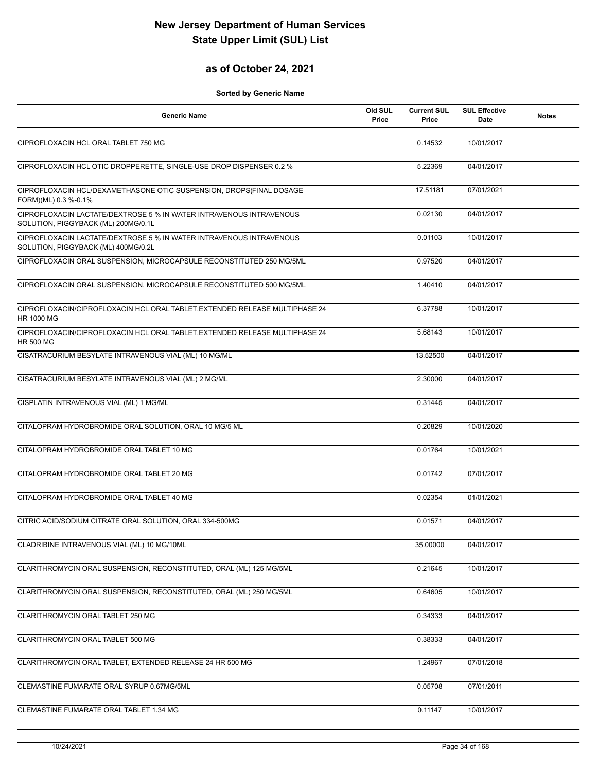## **as of October 24, 2021**

| <b>Generic Name</b>                                                                                        | Old SUL<br>Price | <b>Current SUL</b><br>Price | <b>SUL Effective</b><br><b>Date</b> | <b>Notes</b> |
|------------------------------------------------------------------------------------------------------------|------------------|-----------------------------|-------------------------------------|--------------|
| CIPROFLOXACIN HCL ORAL TABLET 750 MG                                                                       |                  | 0.14532                     | 10/01/2017                          |              |
| CIPROFLOXACIN HCL OTIC DROPPERETTE, SINGLE-USE DROP DISPENSER 0.2 %                                        |                  | 5.22369                     | 04/01/2017                          |              |
| CIPROFLOXACIN HCL/DEXAMETHASONE OTIC SUSPENSION, DROPS(FINAL DOSAGE<br>FORM)(ML) 0.3 %-0.1%                |                  | 17.51181                    | 07/01/2021                          |              |
| CIPROFLOXACIN LACTATE/DEXTROSE 5 % IN WATER INTRAVENOUS INTRAVENOUS<br>SOLUTION, PIGGYBACK (ML) 200MG/0.1L |                  | 0.02130                     | 04/01/2017                          |              |
| CIPROFLOXACIN LACTATE/DEXTROSE 5 % IN WATER INTRAVENOUS INTRAVENOUS<br>SOLUTION, PIGGYBACK (ML) 400MG/0.2L |                  | 0.01103                     | 10/01/2017                          |              |
| CIPROFLOXACIN ORAL SUSPENSION, MICROCAPSULE RECONSTITUTED 250 MG/5ML                                       |                  | 0.97520                     | 04/01/2017                          |              |
| CIPROFLOXACIN ORAL SUSPENSION, MICROCAPSULE RECONSTITUTED 500 MG/5ML                                       |                  | 1.40410                     | 04/01/2017                          |              |
| CIPROFLOXACIN/CIPROFLOXACIN HCL ORAL TABLET, EXTENDED RELEASE MULTIPHASE 24<br><b>HR 1000 MG</b>           |                  | 6.37788                     | 10/01/2017                          |              |
| CIPROFLOXACIN/CIPROFLOXACIN HCL ORAL TABLET, EXTENDED RELEASE MULTIPHASE 24<br><b>HR 500 MG</b>            |                  | 5.68143                     | 10/01/2017                          |              |
| CISATRACURIUM BESYLATE INTRAVENOUS VIAL (ML) 10 MG/ML                                                      |                  | 13.52500                    | 04/01/2017                          |              |
| CISATRACURIUM BESYLATE INTRAVENOUS VIAL (ML) 2 MG/ML                                                       |                  | 2.30000                     | 04/01/2017                          |              |
| CISPLATIN INTRAVENOUS VIAL (ML) 1 MG/ML                                                                    |                  | 0.31445                     | 04/01/2017                          |              |
| CITALOPRAM HYDROBROMIDE ORAL SOLUTION, ORAL 10 MG/5 ML                                                     |                  | 0.20829                     | 10/01/2020                          |              |
| CITALOPRAM HYDROBROMIDE ORAL TABLET 10 MG                                                                  |                  | 0.01764                     | 10/01/2021                          |              |
| CITALOPRAM HYDROBROMIDE ORAL TABLET 20 MG                                                                  |                  | 0.01742                     | 07/01/2017                          |              |
| CITALOPRAM HYDROBROMIDE ORAL TABLET 40 MG                                                                  |                  | 0.02354                     | 01/01/2021                          |              |
| CITRIC ACID/SODIUM CITRATE ORAL SOLUTION, ORAL 334-500MG                                                   |                  | 0.01571                     | 04/01/2017                          |              |
| CLADRIBINE INTRAVENOUS VIAL (ML) 10 MG/10ML                                                                |                  | 35.00000                    | 04/01/2017                          |              |
| CLARITHROMYCIN ORAL SUSPENSION, RECONSTITUTED, ORAL (ML) 125 MG/5ML                                        |                  | 0.21645                     | 10/01/2017                          |              |
| CLARITHROMYCIN ORAL SUSPENSION, RECONSTITUTED, ORAL (ML) 250 MG/5ML                                        |                  | 0.64605                     | 10/01/2017                          |              |
| CLARITHROMYCIN ORAL TABLET 250 MG                                                                          |                  | 0.34333                     | 04/01/2017                          |              |
| CLARITHROMYCIN ORAL TABLET 500 MG                                                                          |                  | 0.38333                     | 04/01/2017                          |              |
| CLARITHROMYCIN ORAL TABLET, EXTENDED RELEASE 24 HR 500 MG                                                  |                  | 1.24967                     | 07/01/2018                          |              |
| CLEMASTINE FUMARATE ORAL SYRUP 0.67MG/5ML                                                                  |                  | 0.05708                     | 07/01/2011                          |              |
| CLEMASTINE FUMARATE ORAL TABLET 1.34 MG                                                                    |                  | 0.11147                     | 10/01/2017                          |              |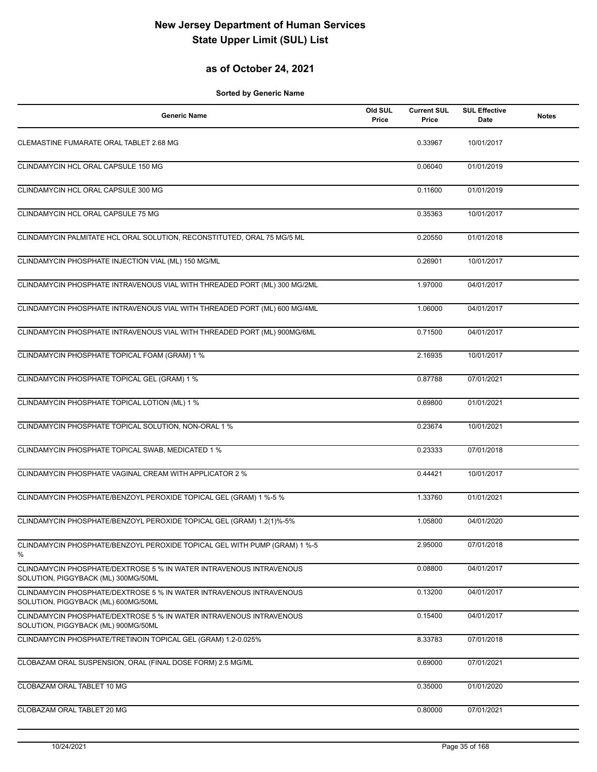## **as of October 24, 2021**

| <b>Generic Name</b>                                                                                        | Old SUL<br>Price | <b>Current SUL</b><br>Price | <b>SUL Effective</b><br><b>Date</b> | <b>Notes</b> |
|------------------------------------------------------------------------------------------------------------|------------------|-----------------------------|-------------------------------------|--------------|
| CLEMASTINE FUMARATE ORAL TABLET 2.68 MG                                                                    |                  | 0.33967                     | 10/01/2017                          |              |
| CLINDAMYCIN HCL ORAL CAPSULE 150 MG                                                                        |                  | 0.06040                     | 01/01/2019                          |              |
| CLINDAMYCIN HCL ORAL CAPSULE 300 MG                                                                        |                  | 0.11600                     | 01/01/2019                          |              |
| CLINDAMYCIN HCL ORAL CAPSULE 75 MG                                                                         |                  | 0.35363                     | 10/01/2017                          |              |
| CLINDAMYCIN PALMITATE HCL ORAL SOLUTION, RECONSTITUTED, ORAL 75 MG/5 ML                                    |                  | 0.20550                     | 01/01/2018                          |              |
| CLINDAMYCIN PHOSPHATE INJECTION VIAL (ML) 150 MG/ML                                                        |                  | 0.26901                     | 10/01/2017                          |              |
| CLINDAMYCIN PHOSPHATE INTRAVENOUS VIAL WITH THREADED PORT (ML) 300 MG/2ML                                  |                  | 1.97000                     | 04/01/2017                          |              |
| CLINDAMYCIN PHOSPHATE INTRAVENOUS VIAL WITH THREADED PORT (ML) 600 MG/4ML                                  |                  | 1.06000                     | 04/01/2017                          |              |
| CLINDAMYCIN PHOSPHATE INTRAVENOUS VIAL WITH THREADED PORT (ML) 900MG/6ML                                   |                  | 0.71500                     | 04/01/2017                          |              |
| CLINDAMYCIN PHOSPHATE TOPICAL FOAM (GRAM) 1 %                                                              |                  | 2.16935                     | 10/01/2017                          |              |
| CLINDAMYCIN PHOSPHATE TOPICAL GEL (GRAM) 1 %                                                               |                  | 0.87788                     | 07/01/2021                          |              |
| CLINDAMYCIN PHOSPHATE TOPICAL LOTION (ML) 1 %                                                              |                  | 0.69800                     | 01/01/2021                          |              |
| CLINDAMYCIN PHOSPHATE TOPICAL SOLUTION, NON-ORAL 1 %                                                       |                  | 0.23674                     | 10/01/2021                          |              |
| CLINDAMYCIN PHOSPHATE TOPICAL SWAB, MEDICATED 1 %                                                          |                  | 0.23333                     | 07/01/2018                          |              |
| CLINDAMYCIN PHOSPHATE VAGINAL CREAM WITH APPLICATOR 2 %                                                    |                  | 0.44421                     | 10/01/2017                          |              |
| CLINDAMYCIN PHOSPHATE/BENZOYL PEROXIDE TOPICAL GEL (GRAM) 1 %-5 %                                          |                  | 1.33760                     | 01/01/2021                          |              |
| CLINDAMYCIN PHOSPHATE/BENZOYL PEROXIDE TOPICAL GEL (GRAM) 1.2(1)%-5%                                       |                  | 1.05800                     | 04/01/2020                          |              |
| CLINDAMYCIN PHOSPHATE/BENZOYL PEROXIDE TOPICAL GEL WITH PUMP (GRAM) 1 %-5<br>%                             |                  | 2.95000                     | 07/01/2018                          |              |
| CLINDAMYCIN PHOSPHATE/DEXTROSE 5 % IN WATER INTRAVENOUS INTRAVENOUS<br>SOLUTION, PIGGYBACK (ML) 300MG/50ML |                  | 0.08800                     | 04/01/2017                          |              |
| CLINDAMYCIN PHOSPHATE/DEXTROSE 5 % IN WATER INTRAVENOUS INTRAVENOUS<br>SOLUTION, PIGGYBACK (ML) 600MG/50ML |                  | 0.13200                     | 04/01/2017                          |              |
| CLINDAMYCIN PHOSPHATE/DEXTROSE 5 % IN WATER INTRAVENOUS INTRAVENOUS<br>SOLUTION, PIGGYBACK (ML) 900MG/50ML |                  | 0.15400                     | 04/01/2017                          |              |
| CLINDAMYCIN PHOSPHATE/TRETINOIN TOPICAL GEL (GRAM) 1.2-0.025%                                              |                  | 8.33783                     | 07/01/2018                          |              |
| CLOBAZAM ORAL SUSPENSION, ORAL (FINAL DOSE FORM) 2.5 MG/ML                                                 |                  | 0.69000                     | 07/01/2021                          |              |
| CLOBAZAM ORAL TABLET 10 MG                                                                                 |                  | 0.35000                     | 01/01/2020                          |              |
| CLOBAZAM ORAL TABLET 20 MG                                                                                 |                  | 0.80000                     | 07/01/2021                          |              |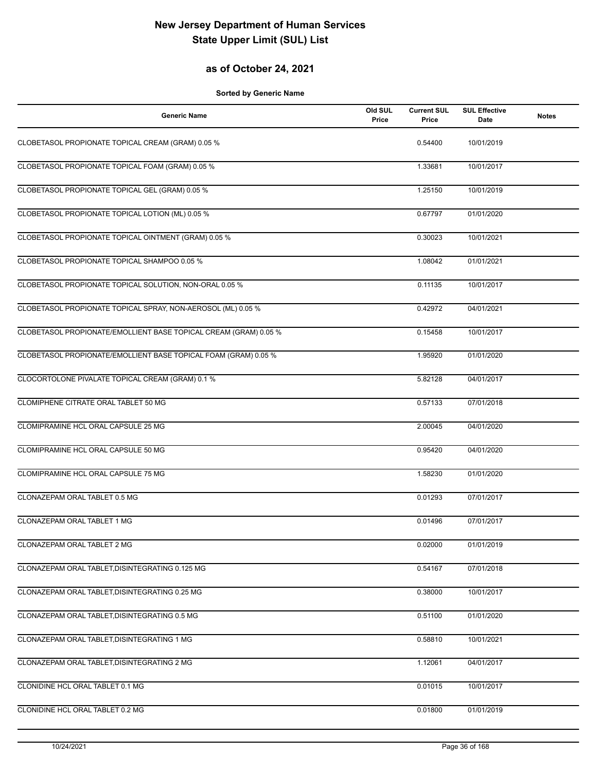## **as of October 24, 2021**

| <b>Generic Name</b>                                              | Old SUL<br>Price | <b>Current SUL</b><br>Price | <b>SUL Effective</b><br>Date | <b>Notes</b> |
|------------------------------------------------------------------|------------------|-----------------------------|------------------------------|--------------|
| CLOBETASOL PROPIONATE TOPICAL CREAM (GRAM) 0.05 %                |                  | 0.54400                     | 10/01/2019                   |              |
| CLOBETASOL PROPIONATE TOPICAL FOAM (GRAM) 0.05 %                 |                  | 1.33681                     | 10/01/2017                   |              |
| CLOBETASOL PROPIONATE TOPICAL GEL (GRAM) 0.05 %                  |                  | 1.25150                     | 10/01/2019                   |              |
| CLOBETASOL PROPIONATE TOPICAL LOTION (ML) 0.05 %                 |                  | 0.67797                     | 01/01/2020                   |              |
| CLOBETASOL PROPIONATE TOPICAL OINTMENT (GRAM) 0.05 %             |                  | 0.30023                     | 10/01/2021                   |              |
| CLOBETASOL PROPIONATE TOPICAL SHAMPOO 0.05 %                     |                  | 1.08042                     | 01/01/2021                   |              |
| CLOBETASOL PROPIONATE TOPICAL SOLUTION, NON-ORAL 0.05 %          |                  | 0.11135                     | 10/01/2017                   |              |
| CLOBETASOL PROPIONATE TOPICAL SPRAY, NON-AEROSOL (ML) 0.05 %     |                  | 0.42972                     | 04/01/2021                   |              |
| CLOBETASOL PROPIONATE/EMOLLIENT BASE TOPICAL CREAM (GRAM) 0.05 % |                  | 0.15458                     | 10/01/2017                   |              |
| CLOBETASOL PROPIONATE/EMOLLIENT BASE TOPICAL FOAM (GRAM) 0.05 %  |                  | 1.95920                     | 01/01/2020                   |              |
| CLOCORTOLONE PIVALATE TOPICAL CREAM (GRAM) 0.1 %                 |                  | 5.82128                     | 04/01/2017                   |              |
| CLOMIPHENE CITRATE ORAL TABLET 50 MG                             |                  | 0.57133                     | 07/01/2018                   |              |
| CLOMIPRAMINE HCL ORAL CAPSULE 25 MG                              |                  | 2.00045                     | 04/01/2020                   |              |
| CLOMIPRAMINE HCL ORAL CAPSULE 50 MG                              |                  | 0.95420                     | 04/01/2020                   |              |
| CLOMIPRAMINE HCL ORAL CAPSULE 75 MG                              |                  | 1.58230                     | 01/01/2020                   |              |
| CLONAZEPAM ORAL TABLET 0.5 MG                                    |                  | 0.01293                     | 07/01/2017                   |              |
| CLONAZEPAM ORAL TABLET 1 MG                                      |                  | 0.01496                     | 07/01/2017                   |              |
| CLONAZEPAM ORAL TABLET 2 MG                                      |                  | 0.02000                     | 01/01/2019                   |              |
| CLONAZEPAM ORAL TABLET, DISINTEGRATING 0.125 MG                  |                  | 0.54167                     | 07/01/2018                   |              |
| CLONAZEPAM ORAL TABLET, DISINTEGRATING 0.25 MG                   |                  | 0.38000                     | 10/01/2017                   |              |
| CLONAZEPAM ORAL TABLET, DISINTEGRATING 0.5 MG                    |                  | 0.51100                     | 01/01/2020                   |              |
| CLONAZEPAM ORAL TABLET, DISINTEGRATING 1 MG                      |                  | 0.58810                     | 10/01/2021                   |              |
| CLONAZEPAM ORAL TABLET, DISINTEGRATING 2 MG                      |                  | 1.12061                     | 04/01/2017                   |              |
| CLONIDINE HCL ORAL TABLET 0.1 MG                                 |                  | 0.01015                     | 10/01/2017                   |              |
| CLONIDINE HCL ORAL TABLET 0.2 MG                                 |                  | 0.01800                     | 01/01/2019                   |              |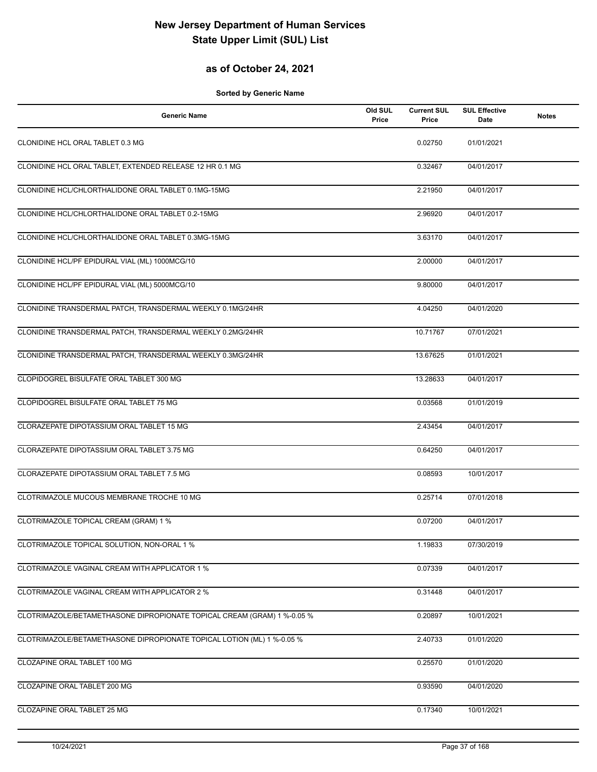## **as of October 24, 2021**

| <b>Generic Name</b>                                                     | Old SUL<br>Price | <b>Current SUL</b><br>Price | <b>SUL Effective</b><br>Date | <b>Notes</b> |
|-------------------------------------------------------------------------|------------------|-----------------------------|------------------------------|--------------|
| CLONIDINE HCL ORAL TABLET 0.3 MG                                        |                  | 0.02750                     | 01/01/2021                   |              |
| CLONIDINE HCL ORAL TABLET, EXTENDED RELEASE 12 HR 0.1 MG                |                  | 0.32467                     | 04/01/2017                   |              |
| CLONIDINE HCL/CHLORTHALIDONE ORAL TABLET 0.1MG-15MG                     |                  | 2.21950                     | 04/01/2017                   |              |
| CLONIDINE HCL/CHLORTHALIDONE ORAL TABLET 0.2-15MG                       |                  | 2.96920                     | 04/01/2017                   |              |
| CLONIDINE HCL/CHLORTHALIDONE ORAL TABLET 0.3MG-15MG                     |                  | 3.63170                     | 04/01/2017                   |              |
| CLONIDINE HCL/PF EPIDURAL VIAL (ML) 1000MCG/10                          |                  | 2.00000                     | 04/01/2017                   |              |
| CLONIDINE HCL/PF EPIDURAL VIAL (ML) 5000MCG/10                          |                  | 9.80000                     | 04/01/2017                   |              |
| CLONIDINE TRANSDERMAL PATCH, TRANSDERMAL WEEKLY 0.1MG/24HR              |                  | 4.04250                     | 04/01/2020                   |              |
| CLONIDINE TRANSDERMAL PATCH, TRANSDERMAL WEEKLY 0.2MG/24HR              |                  | 10.71767                    | 07/01/2021                   |              |
| CLONIDINE TRANSDERMAL PATCH, TRANSDERMAL WEEKLY 0.3MG/24HR              |                  | 13.67625                    | 01/01/2021                   |              |
| CLOPIDOGREL BISULFATE ORAL TABLET 300 MG                                |                  | 13.28633                    | 04/01/2017                   |              |
| CLOPIDOGREL BISULFATE ORAL TABLET 75 MG                                 |                  | 0.03568                     | 01/01/2019                   |              |
| CLORAZEPATE DIPOTASSIUM ORAL TABLET 15 MG                               |                  | 2.43454                     | 04/01/2017                   |              |
| CLORAZEPATE DIPOTASSIUM ORAL TABLET 3.75 MG                             |                  | 0.64250                     | 04/01/2017                   |              |
| CLORAZEPATE DIPOTASSIUM ORAL TABLET 7.5 MG                              |                  | 0.08593                     | 10/01/2017                   |              |
| CLOTRIMAZOLE MUCOUS MEMBRANE TROCHE 10 MG                               |                  | 0.25714                     | 07/01/2018                   |              |
| CLOTRIMAZOLE TOPICAL CREAM (GRAM) 1 %                                   |                  | 0.07200                     | 04/01/2017                   |              |
| CLOTRIMAZOLE TOPICAL SOLUTION, NON-ORAL 1 %                             |                  | 1.19833                     | 07/30/2019                   |              |
| CLOTRIMAZOLE VAGINAL CREAM WITH APPLICATOR 1 %                          |                  | 0.07339                     | 04/01/2017                   |              |
| CLOTRIMAZOLE VAGINAL CREAM WITH APPLICATOR 2 %                          |                  | 0.31448                     | 04/01/2017                   |              |
| CLOTRIMAZOLE/BETAMETHASONE DIPROPIONATE TOPICAL CREAM (GRAM) 1 %-0.05 % |                  | 0.20897                     | 10/01/2021                   |              |
| CLOTRIMAZOLE/BETAMETHASONE DIPROPIONATE TOPICAL LOTION (ML) 1 %-0.05 %  |                  | 2.40733                     | 01/01/2020                   |              |
| CLOZAPINE ORAL TABLET 100 MG                                            |                  | 0.25570                     | 01/01/2020                   |              |
| CLOZAPINE ORAL TABLET 200 MG                                            |                  | 0.93590                     | 04/01/2020                   |              |
| CLOZAPINE ORAL TABLET 25 MG                                             |                  | 0.17340                     | 10/01/2021                   |              |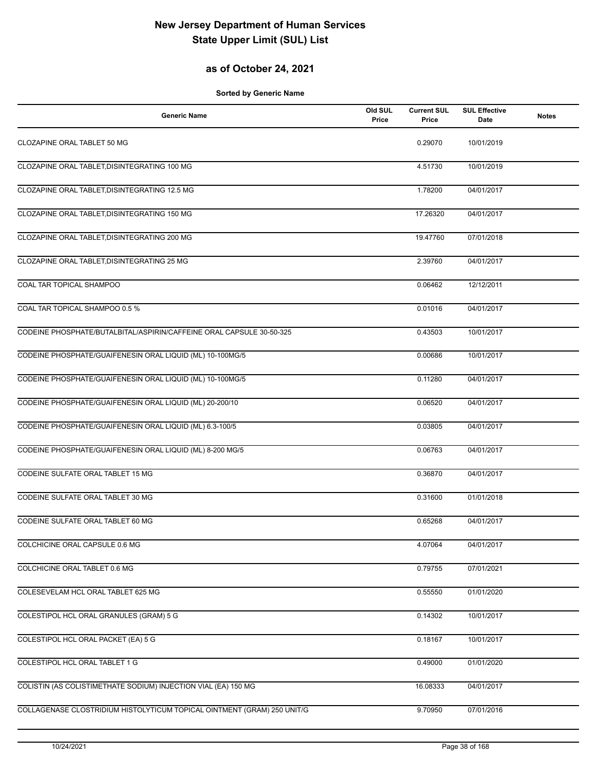## **as of October 24, 2021**

| <b>Generic Name</b>                                                     | Old SUL<br>Price | <b>Current SUL</b><br>Price | <b>SUL Effective</b><br>Date | <b>Notes</b> |
|-------------------------------------------------------------------------|------------------|-----------------------------|------------------------------|--------------|
| CLOZAPINE ORAL TABLET 50 MG                                             |                  | 0.29070                     | 10/01/2019                   |              |
| CLOZAPINE ORAL TABLET, DISINTEGRATING 100 MG                            |                  | 4.51730                     | 10/01/2019                   |              |
| CLOZAPINE ORAL TABLET, DISINTEGRATING 12.5 MG                           |                  | 1.78200                     | 04/01/2017                   |              |
| CLOZAPINE ORAL TABLET, DISINTEGRATING 150 MG                            |                  | 17.26320                    | 04/01/2017                   |              |
| CLOZAPINE ORAL TABLET, DISINTEGRATING 200 MG                            |                  | 19.47760                    | 07/01/2018                   |              |
| CLOZAPINE ORAL TABLET, DISINTEGRATING 25 MG                             |                  | 2.39760                     | 04/01/2017                   |              |
| COAL TAR TOPICAL SHAMPOO                                                |                  | 0.06462                     | 12/12/2011                   |              |
| COAL TAR TOPICAL SHAMPOO 0.5 %                                          |                  | 0.01016                     | 04/01/2017                   |              |
| CODEINE PHOSPHATE/BUTALBITAL/ASPIRIN/CAFFEINE ORAL CAPSULE 30-50-325    |                  | 0.43503                     | 10/01/2017                   |              |
| CODEINE PHOSPHATE/GUAIFENESIN ORAL LIQUID (ML) 10-100MG/5               |                  | 0.00686                     | 10/01/2017                   |              |
| CODEINE PHOSPHATE/GUAIFENESIN ORAL LIQUID (ML) 10-100MG/5               |                  | 0.11280                     | 04/01/2017                   |              |
| CODEINE PHOSPHATE/GUAIFENESIN ORAL LIQUID (ML) 20-200/10                |                  | 0.06520                     | 04/01/2017                   |              |
| CODEINE PHOSPHATE/GUAIFENESIN ORAL LIQUID (ML) 6.3-100/5                |                  | 0.03805                     | 04/01/2017                   |              |
| CODEINE PHOSPHATE/GUAIFENESIN ORAL LIQUID (ML) 8-200 MG/5               |                  | 0.06763                     | 04/01/2017                   |              |
| CODEINE SULFATE ORAL TABLET 15 MG                                       |                  | 0.36870                     | 04/01/2017                   |              |
| CODEINE SULFATE ORAL TABLET 30 MG                                       |                  | 0.31600                     | 01/01/2018                   |              |
| CODEINE SULFATE ORAL TABLET 60 MG                                       |                  | 0.65268                     | 04/01/2017                   |              |
| COLCHICINE ORAL CAPSULE 0.6 MG                                          |                  | 4.07064                     | 04/01/2017                   |              |
| COLCHICINE ORAL TABLET 0.6 MG                                           |                  | 0.79755                     | 07/01/2021                   |              |
| COLESEVELAM HCL ORAL TABLET 625 MG                                      |                  | 0.55550                     | 01/01/2020                   |              |
| COLESTIPOL HCL ORAL GRANULES (GRAM) 5 G                                 |                  | 0.14302                     | 10/01/2017                   |              |
| COLESTIPOL HCL ORAL PACKET (EA) 5 G                                     |                  | 0.18167                     | 10/01/2017                   |              |
| COLESTIPOL HCL ORAL TABLET 1 G                                          |                  | 0.49000                     | 01/01/2020                   |              |
| COLISTIN (AS COLISTIMETHATE SODIUM) INJECTION VIAL (EA) 150 MG          |                  | 16.08333                    | 04/01/2017                   |              |
| COLLAGENASE CLOSTRIDIUM HISTOLYTICUM TOPICAL OINTMENT (GRAM) 250 UNIT/G |                  | 9.70950                     | 07/01/2016                   |              |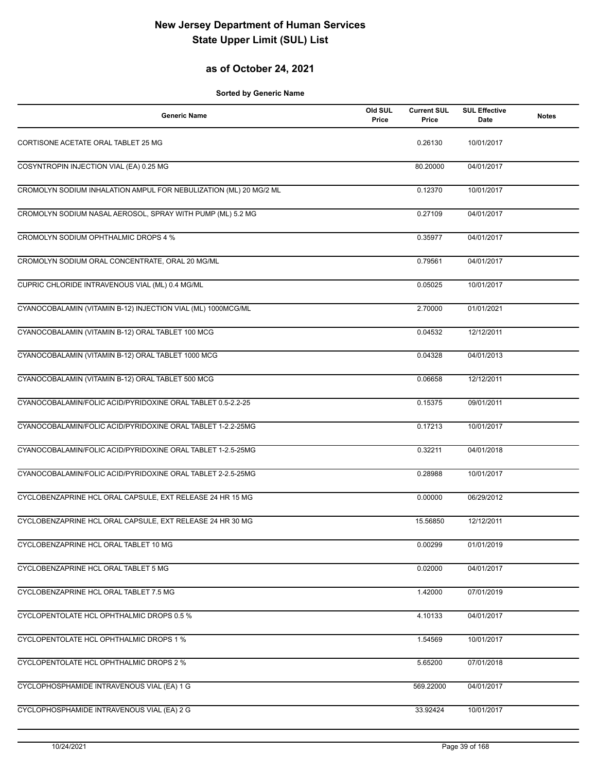## **as of October 24, 2021**

| <b>Generic Name</b>                                               | Old SUL<br>Price | <b>Current SUL</b><br>Price | <b>SUL Effective</b><br>Date | <b>Notes</b> |
|-------------------------------------------------------------------|------------------|-----------------------------|------------------------------|--------------|
| CORTISONE ACETATE ORAL TABLET 25 MG                               |                  | 0.26130                     | 10/01/2017                   |              |
| COSYNTROPIN INJECTION VIAL (EA) 0.25 MG                           |                  | 80.20000                    | 04/01/2017                   |              |
| CROMOLYN SODIUM INHALATION AMPUL FOR NEBULIZATION (ML) 20 MG/2 ML |                  | 0.12370                     | 10/01/2017                   |              |
| CROMOLYN SODIUM NASAL AEROSOL, SPRAY WITH PUMP (ML) 5.2 MG        |                  | 0.27109                     | 04/01/2017                   |              |
| CROMOLYN SODIUM OPHTHALMIC DROPS 4 %                              |                  | 0.35977                     | 04/01/2017                   |              |
| CROMOLYN SODIUM ORAL CONCENTRATE, ORAL 20 MG/ML                   |                  | 0.79561                     | 04/01/2017                   |              |
| CUPRIC CHLORIDE INTRAVENOUS VIAL (ML) 0.4 MG/ML                   |                  | 0.05025                     | 10/01/2017                   |              |
| CYANOCOBALAMIN (VITAMIN B-12) INJECTION VIAL (ML) 1000MCG/ML      |                  | 2.70000                     | 01/01/2021                   |              |
| CYANOCOBALAMIN (VITAMIN B-12) ORAL TABLET 100 MCG                 |                  | 0.04532                     | 12/12/2011                   |              |
| CYANOCOBALAMIN (VITAMIN B-12) ORAL TABLET 1000 MCG                |                  | 0.04328                     | 04/01/2013                   |              |
| CYANOCOBALAMIN (VITAMIN B-12) ORAL TABLET 500 MCG                 |                  | 0.06658                     | 12/12/2011                   |              |
| CYANOCOBALAMIN/FOLIC ACID/PYRIDOXINE ORAL TABLET 0.5-2.2-25       |                  | 0.15375                     | 09/01/2011                   |              |
| CYANOCOBALAMIN/FOLIC ACID/PYRIDOXINE ORAL TABLET 1-2.2-25MG       |                  | 0.17213                     | 10/01/2017                   |              |
| CYANOCOBALAMIN/FOLIC ACID/PYRIDOXINE ORAL TABLET 1-2.5-25MG       |                  | 0.32211                     | 04/01/2018                   |              |
| CYANOCOBALAMIN/FOLIC ACID/PYRIDOXINE ORAL TABLET 2-2.5-25MG       |                  | 0.28988                     | 10/01/2017                   |              |
| CYCLOBENZAPRINE HCL ORAL CAPSULE, EXT RELEASE 24 HR 15 MG         |                  | 0.00000                     | 06/29/2012                   |              |
| CYCLOBENZAPRINE HCL ORAL CAPSULE, EXT RELEASE 24 HR 30 MG         |                  | 15.56850                    | 12/12/2011                   |              |
| CYCLOBENZAPRINE HCL ORAL TABLET 10 MG                             |                  | 0.00299                     | 01/01/2019                   |              |
| CYCLOBENZAPRINE HCL ORAL TABLET 5 MG                              |                  | 0.02000                     | 04/01/2017                   |              |
| CYCLOBENZAPRINE HCL ORAL TABLET 7.5 MG                            |                  | 1.42000                     | 07/01/2019                   |              |
| CYCLOPENTOLATE HCL OPHTHALMIC DROPS 0.5 %                         |                  | 4.10133                     | 04/01/2017                   |              |
| CYCLOPENTOLATE HCL OPHTHALMIC DROPS 1 %                           |                  | 1.54569                     | 10/01/2017                   |              |
| CYCLOPENTOLATE HCL OPHTHALMIC DROPS 2 %                           |                  | 5.65200                     | 07/01/2018                   |              |
| CYCLOPHOSPHAMIDE INTRAVENOUS VIAL (EA) 1 G                        |                  | 569.22000                   | 04/01/2017                   |              |
| CYCLOPHOSPHAMIDE INTRAVENOUS VIAL (EA) 2 G                        |                  | 33.92424                    | 10/01/2017                   |              |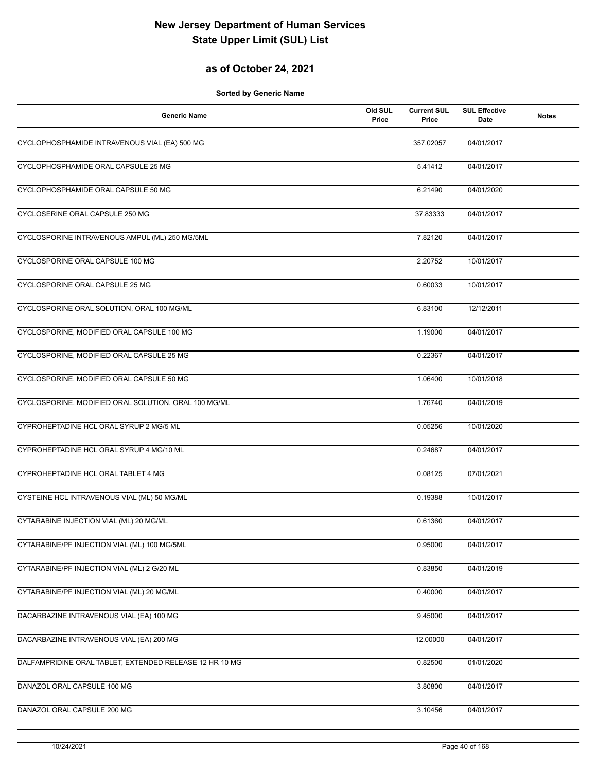## **as of October 24, 2021**

| <b>Generic Name</b>                                     | Old SUL<br>Price | <b>Current SUL</b><br>Price | <b>SUL Effective</b><br><b>Date</b> | <b>Notes</b> |
|---------------------------------------------------------|------------------|-----------------------------|-------------------------------------|--------------|
| CYCLOPHOSPHAMIDE INTRAVENOUS VIAL (EA) 500 MG           |                  | 357.02057                   | 04/01/2017                          |              |
| CYCLOPHOSPHAMIDE ORAL CAPSULE 25 MG                     |                  | 5.41412                     | 04/01/2017                          |              |
| CYCLOPHOSPHAMIDE ORAL CAPSULE 50 MG                     |                  | 6.21490                     | 04/01/2020                          |              |
| CYCLOSERINE ORAL CAPSULE 250 MG                         |                  | 37.83333                    | 04/01/2017                          |              |
| CYCLOSPORINE INTRAVENOUS AMPUL (ML) 250 MG/5ML          |                  | 7.82120                     | 04/01/2017                          |              |
| CYCLOSPORINE ORAL CAPSULE 100 MG                        |                  | 2.20752                     | 10/01/2017                          |              |
| CYCLOSPORINE ORAL CAPSULE 25 MG                         |                  | 0.60033                     | 10/01/2017                          |              |
| CYCLOSPORINE ORAL SOLUTION, ORAL 100 MG/ML              |                  | 6.83100                     | 12/12/2011                          |              |
| CYCLOSPORINE, MODIFIED ORAL CAPSULE 100 MG              |                  | 1.19000                     | 04/01/2017                          |              |
| CYCLOSPORINE, MODIFIED ORAL CAPSULE 25 MG               |                  | 0.22367                     | 04/01/2017                          |              |
| CYCLOSPORINE, MODIFIED ORAL CAPSULE 50 MG               |                  | 1.06400                     | 10/01/2018                          |              |
| CYCLOSPORINE, MODIFIED ORAL SOLUTION, ORAL 100 MG/ML    |                  | 1.76740                     | 04/01/2019                          |              |
| CYPROHEPTADINE HCL ORAL SYRUP 2 MG/5 ML                 |                  | 0.05256                     | 10/01/2020                          |              |
| CYPROHEPTADINE HCL ORAL SYRUP 4 MG/10 ML                |                  | 0.24687                     | 04/01/2017                          |              |
| CYPROHEPTADINE HCL ORAL TABLET 4 MG                     |                  | 0.08125                     | 07/01/2021                          |              |
| CYSTEINE HCL INTRAVENOUS VIAL (ML) 50 MG/ML             |                  | 0.19388                     | 10/01/2017                          |              |
| CYTARABINE INJECTION VIAL (ML) 20 MG/ML                 |                  | 0.61360                     | 04/01/2017                          |              |
| CYTARABINE/PF INJECTION VIAL (ML) 100 MG/5ML            |                  | 0.95000                     | 04/01/2017                          |              |
| CYTARABINE/PF INJECTION VIAL (ML) 2 G/20 ML             |                  | 0.83850                     | 04/01/2019                          |              |
| CYTARABINE/PF INJECTION VIAL (ML) 20 MG/ML              |                  | 0.40000                     | 04/01/2017                          |              |
| DACARBAZINE INTRAVENOUS VIAL (EA) 100 MG                |                  | 9.45000                     | 04/01/2017                          |              |
| DACARBAZINE INTRAVENOUS VIAL (EA) 200 MG                |                  | 12.00000                    | 04/01/2017                          |              |
| DALFAMPRIDINE ORAL TABLET, EXTENDED RELEASE 12 HR 10 MG |                  | 0.82500                     | 01/01/2020                          |              |
| DANAZOL ORAL CAPSULE 100 MG                             |                  | 3.80800                     | 04/01/2017                          |              |
| DANAZOL ORAL CAPSULE 200 MG                             |                  | 3.10456                     | 04/01/2017                          |              |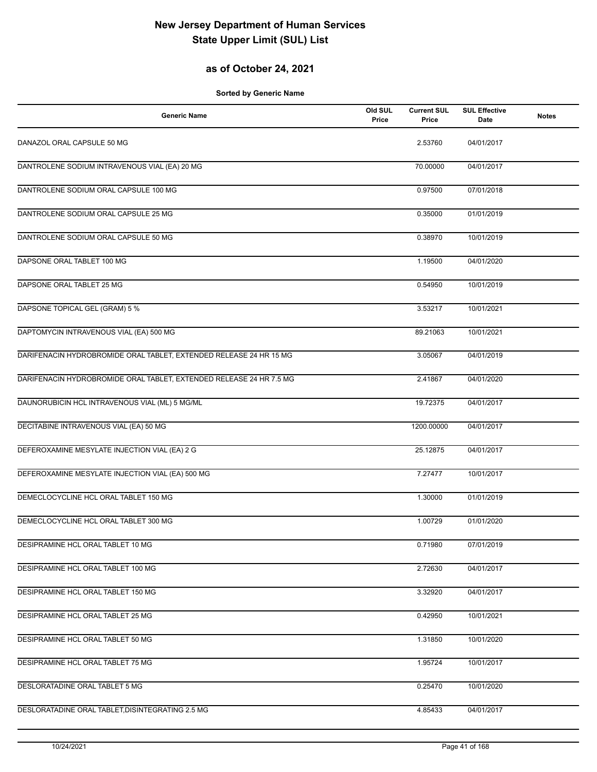## **as of October 24, 2021**

| <b>Generic Name</b>                                                 | Old SUL<br>Price | <b>Current SUL</b><br>Price | <b>SUL Effective</b><br><b>Date</b> | <b>Notes</b> |
|---------------------------------------------------------------------|------------------|-----------------------------|-------------------------------------|--------------|
| DANAZOL ORAL CAPSULE 50 MG                                          |                  | 2.53760                     | 04/01/2017                          |              |
| DANTROLENE SODIUM INTRAVENOUS VIAL (EA) 20 MG                       |                  | 70.00000                    | 04/01/2017                          |              |
| DANTROLENE SODIUM ORAL CAPSULE 100 MG                               |                  | 0.97500                     | 07/01/2018                          |              |
| DANTROLENE SODIUM ORAL CAPSULE 25 MG                                |                  | 0.35000                     | 01/01/2019                          |              |
| DANTROLENE SODIUM ORAL CAPSULE 50 MG                                |                  | 0.38970                     | 10/01/2019                          |              |
| DAPSONE ORAL TABLET 100 MG                                          |                  | 1.19500                     | 04/01/2020                          |              |
| DAPSONE ORAL TABLET 25 MG                                           |                  | 0.54950                     | 10/01/2019                          |              |
| DAPSONE TOPICAL GEL (GRAM) 5 %                                      |                  | 3.53217                     | 10/01/2021                          |              |
| DAPTOMYCIN INTRAVENOUS VIAL (EA) 500 MG                             |                  | 89.21063                    | 10/01/2021                          |              |
| DARIFENACIN HYDROBROMIDE ORAL TABLET, EXTENDED RELEASE 24 HR 15 MG  |                  | 3.05067                     | 04/01/2019                          |              |
| DARIFENACIN HYDROBROMIDE ORAL TABLET, EXTENDED RELEASE 24 HR 7.5 MG |                  | 2.41867                     | 04/01/2020                          |              |
| DAUNORUBICIN HCL INTRAVENOUS VIAL (ML) 5 MG/ML                      |                  | 19.72375                    | 04/01/2017                          |              |
| DECITABINE INTRAVENOUS VIAL (EA) 50 MG                              |                  | 1200.00000                  | 04/01/2017                          |              |
| DEFEROXAMINE MESYLATE INJECTION VIAL (EA) 2 G                       |                  | 25.12875                    | 04/01/2017                          |              |
| DEFEROXAMINE MESYLATE INJECTION VIAL (EA) 500 MG                    |                  | 7.27477                     | 10/01/2017                          |              |
| DEMECLOCYCLINE HCL ORAL TABLET 150 MG                               |                  | 1.30000                     | 01/01/2019                          |              |
| DEMECLOCYCLINE HCL ORAL TABLET 300 MG                               |                  | 1.00729                     | 01/01/2020                          |              |
| DESIPRAMINE HCL ORAL TABLET 10 MG                                   |                  | 0.71980                     | 07/01/2019                          |              |
| DESIPRAMINE HCL ORAL TABLET 100 MG                                  |                  | 2.72630                     | 04/01/2017                          |              |
| DESIPRAMINE HCL ORAL TABLET 150 MG                                  |                  | 3.32920                     | 04/01/2017                          |              |
| DESIPRAMINE HCL ORAL TABLET 25 MG                                   |                  | 0.42950                     | 10/01/2021                          |              |
| DESIPRAMINE HCL ORAL TABLET 50 MG                                   |                  | 1.31850                     | 10/01/2020                          |              |
| DESIPRAMINE HCL ORAL TABLET 75 MG                                   |                  | 1.95724                     | 10/01/2017                          |              |
| DESLORATADINE ORAL TABLET 5 MG                                      |                  | 0.25470                     | 10/01/2020                          |              |
| DESLORATADINE ORAL TABLET, DISINTEGRATING 2.5 MG                    |                  | 4.85433                     | 04/01/2017                          |              |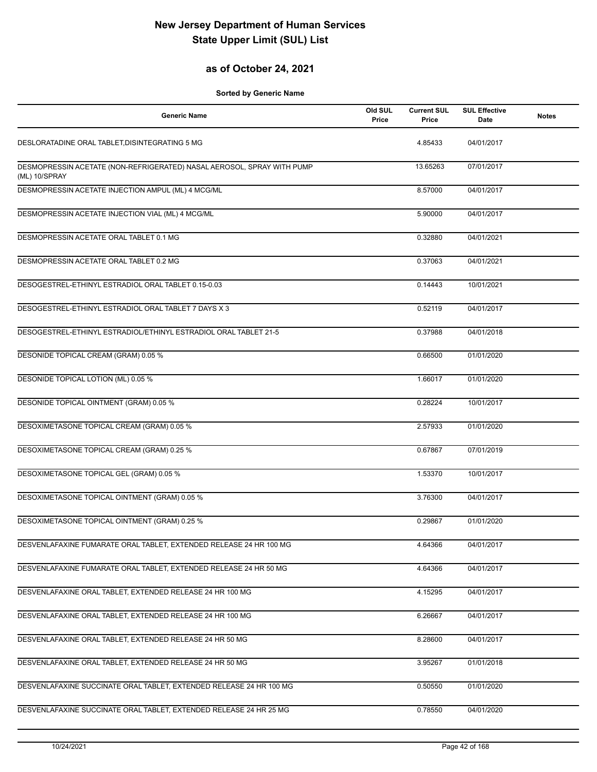## **as of October 24, 2021**

| <b>Generic Name</b>                                                                     | Old SUL<br>Price | <b>Current SUL</b><br>Price | <b>SUL Effective</b><br><b>Date</b> | <b>Notes</b> |
|-----------------------------------------------------------------------------------------|------------------|-----------------------------|-------------------------------------|--------------|
| DESLORATADINE ORAL TABLET, DISINTEGRATING 5 MG                                          |                  | 4.85433                     | 04/01/2017                          |              |
| DESMOPRESSIN ACETATE (NON-REFRIGERATED) NASAL AEROSOL, SPRAY WITH PUMP<br>(ML) 10/SPRAY |                  | 13.65263                    | 07/01/2017                          |              |
| DESMOPRESSIN ACETATE INJECTION AMPUL (ML) 4 MCG/ML                                      |                  | 8.57000                     | 04/01/2017                          |              |
| DESMOPRESSIN ACETATE INJECTION VIAL (ML) 4 MCG/ML                                       |                  | 5.90000                     | 04/01/2017                          |              |
| DESMOPRESSIN ACETATE ORAL TABLET 0.1 MG                                                 |                  | 0.32880                     | 04/01/2021                          |              |
| DESMOPRESSIN ACETATE ORAL TABLET 0.2 MG                                                 |                  | 0.37063                     | 04/01/2021                          |              |
| DESOGESTREL-ETHINYL ESTRADIOL ORAL TABLET 0.15-0.03                                     |                  | 0.14443                     | 10/01/2021                          |              |
| DESOGESTREL-ETHINYL ESTRADIOL ORAL TABLET 7 DAYS X 3                                    |                  | 0.52119                     | 04/01/2017                          |              |
| DESOGESTREL-ETHINYL ESTRADIOL/ETHINYL ESTRADIOL ORAL TABLET 21-5                        |                  | 0.37988                     | 04/01/2018                          |              |
| DESONIDE TOPICAL CREAM (GRAM) 0.05 %                                                    |                  | 0.66500                     | 01/01/2020                          |              |
| DESONIDE TOPICAL LOTION (ML) 0.05 %                                                     |                  | 1.66017                     | 01/01/2020                          |              |
| DESONIDE TOPICAL OINTMENT (GRAM) 0.05 %                                                 |                  | 0.28224                     | 10/01/2017                          |              |
| DESOXIMETASONE TOPICAL CREAM (GRAM) 0.05 %                                              |                  | 2.57933                     | 01/01/2020                          |              |
| DESOXIMETASONE TOPICAL CREAM (GRAM) 0.25 %                                              |                  | 0.67867                     | 07/01/2019                          |              |
| DESOXIMETASONE TOPICAL GEL (GRAM) 0.05 %                                                |                  | 1.53370                     | 10/01/2017                          |              |
| DESOXIMETASONE TOPICAL OINTMENT (GRAM) 0.05 %                                           |                  | 3.76300                     | 04/01/2017                          |              |
| DESOXIMETASONE TOPICAL OINTMENT (GRAM) 0.25 %                                           |                  | 0.29867                     | 01/01/2020                          |              |
| DESVENLAFAXINE FUMARATE ORAL TABLET, EXTENDED RELEASE 24 HR 100 MG                      |                  | 4.64366                     | 04/01/2017                          |              |
| DESVENLAFAXINE FUMARATE ORAL TABLET, EXTENDED RELEASE 24 HR 50 MG                       |                  | 4.64366                     | 04/01/2017                          |              |
| DESVENLAFAXINE ORAL TABLET, EXTENDED RELEASE 24 HR 100 MG                               |                  | 4.15295                     | 04/01/2017                          |              |
| DESVENLAFAXINE ORAL TABLET, EXTENDED RELEASE 24 HR 100 MG                               |                  | 6.26667                     | 04/01/2017                          |              |
| DESVENLAFAXINE ORAL TABLET, EXTENDED RELEASE 24 HR 50 MG                                |                  | 8.28600                     | 04/01/2017                          |              |
| DESVENLAFAXINE ORAL TABLET, EXTENDED RELEASE 24 HR 50 MG                                |                  | 3.95267                     | 01/01/2018                          |              |
| DESVENLAFAXINE SUCCINATE ORAL TABLET, EXTENDED RELEASE 24 HR 100 MG                     |                  | 0.50550                     | 01/01/2020                          |              |
| DESVENLAFAXINE SUCCINATE ORAL TABLET, EXTENDED RELEASE 24 HR 25 MG                      |                  | 0.78550                     | 04/01/2020                          |              |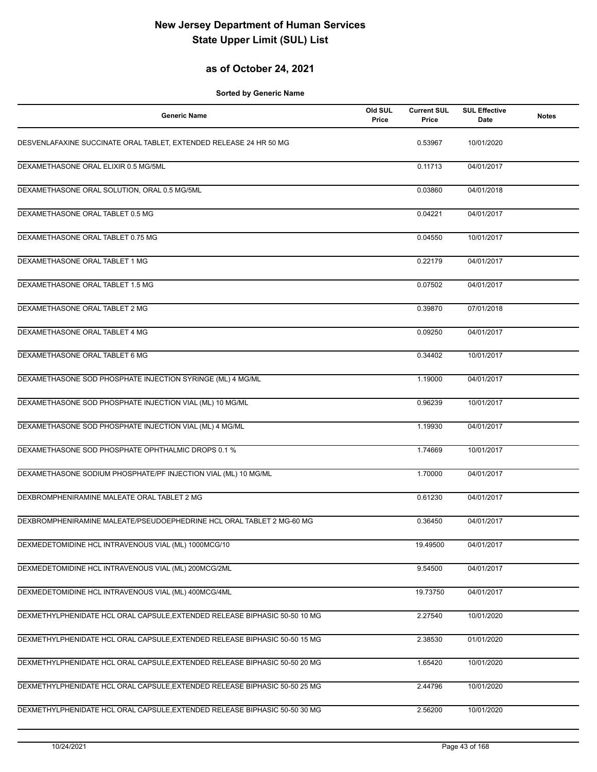## **as of October 24, 2021**

| <b>Generic Name</b>                                                        | Old SUL<br>Price | <b>Current SUL</b><br>Price | <b>SUL Effective</b><br>Date | <b>Notes</b> |
|----------------------------------------------------------------------------|------------------|-----------------------------|------------------------------|--------------|
| DESVENLAFAXINE SUCCINATE ORAL TABLET, EXTENDED RELEASE 24 HR 50 MG         |                  | 0.53967                     | 10/01/2020                   |              |
| DEXAMETHASONE ORAL ELIXIR 0.5 MG/5ML                                       |                  | 0.11713                     | 04/01/2017                   |              |
| DEXAMETHASONE ORAL SOLUTION, ORAL 0.5 MG/5ML                               |                  | 0.03860                     | 04/01/2018                   |              |
| DEXAMETHASONE ORAL TABLET 0.5 MG                                           |                  | 0.04221                     | 04/01/2017                   |              |
| DEXAMETHASONE ORAL TABLET 0.75 MG                                          |                  | 0.04550                     | 10/01/2017                   |              |
| DEXAMETHASONE ORAL TABLET 1 MG                                             |                  | 0.22179                     | 04/01/2017                   |              |
| DEXAMETHASONE ORAL TABLET 1.5 MG                                           |                  | 0.07502                     | 04/01/2017                   |              |
| DEXAMETHASONE ORAL TABLET 2 MG                                             |                  | 0.39870                     | 07/01/2018                   |              |
| DEXAMETHASONE ORAL TABLET 4 MG                                             |                  | 0.09250                     | 04/01/2017                   |              |
| DEXAMETHASONE ORAL TABLET 6 MG                                             |                  | 0.34402                     | 10/01/2017                   |              |
| DEXAMETHASONE SOD PHOSPHATE INJECTION SYRINGE (ML) 4 MG/ML                 |                  | 1.19000                     | 04/01/2017                   |              |
| DEXAMETHASONE SOD PHOSPHATE INJECTION VIAL (ML) 10 MG/ML                   |                  | 0.96239                     | 10/01/2017                   |              |
| DEXAMETHASONE SOD PHOSPHATE INJECTION VIAL (ML) 4 MG/ML                    |                  | 1.19930                     | 04/01/2017                   |              |
| DEXAMETHASONE SOD PHOSPHATE OPHTHALMIC DROPS 0.1 %                         |                  | 1.74669                     | 10/01/2017                   |              |
| DEXAMETHASONE SODIUM PHOSPHATE/PF INJECTION VIAL (ML) 10 MG/ML             |                  | 1.70000                     | 04/01/2017                   |              |
| DEXBROMPHENIRAMINE MALEATE ORAL TABLET 2 MG                                |                  | 0.61230                     | 04/01/2017                   |              |
| DEXBROMPHENIRAMINE MALEATE/PSEUDOEPHEDRINE HCL ORAL TABLET 2 MG-60 MG      |                  | 0.36450                     | 04/01/2017                   |              |
| DEXMEDETOMIDINE HCL INTRAVENOUS VIAL (ML) 1000MCG/10                       |                  | 19.49500                    | 04/01/2017                   |              |
| DEXMEDETOMIDINE HCL INTRAVENOUS VIAL (ML) 200MCG/2ML                       |                  | 9.54500                     | 04/01/2017                   |              |
| DEXMEDETOMIDINE HCL INTRAVENOUS VIAL (ML) 400MCG/4ML                       |                  | 19.73750                    | 04/01/2017                   |              |
| DEXMETHYLPHENIDATE HCL ORAL CAPSULE, EXTENDED RELEASE BIPHASIC 50-50 10 MG |                  | 2.27540                     | 10/01/2020                   |              |
| DEXMETHYLPHENIDATE HCL ORAL CAPSULE, EXTENDED RELEASE BIPHASIC 50-50 15 MG |                  | 2.38530                     | 01/01/2020                   |              |
| DEXMETHYLPHENIDATE HCL ORAL CAPSULE, EXTENDED RELEASE BIPHASIC 50-50 20 MG |                  | 1.65420                     | 10/01/2020                   |              |
| DEXMETHYLPHENIDATE HCL ORAL CAPSULE, EXTENDED RELEASE BIPHASIC 50-50 25 MG |                  | 2.44796                     | 10/01/2020                   |              |
| DEXMETHYLPHENIDATE HCL ORAL CAPSULE, EXTENDED RELEASE BIPHASIC 50-50 30 MG |                  | 2.56200                     | 10/01/2020                   |              |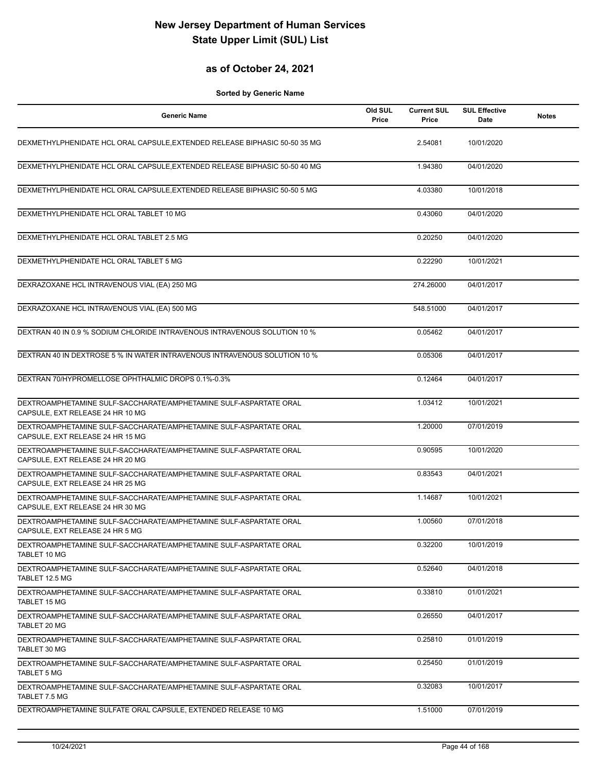## **as of October 24, 2021**

| <b>Generic Name</b>                                                                                   | Old SUL<br>Price | <b>Current SUL</b><br>Price | <b>SUL Effective</b><br>Date | <b>Notes</b> |
|-------------------------------------------------------------------------------------------------------|------------------|-----------------------------|------------------------------|--------------|
| DEXMETHYLPHENIDATE HCL ORAL CAPSULE, EXTENDED RELEASE BIPHASIC 50-50 35 MG                            |                  | 2.54081                     | 10/01/2020                   |              |
| DEXMETHYLPHENIDATE HCL ORAL CAPSULE, EXTENDED RELEASE BIPHASIC 50-50 40 MG                            |                  | 1.94380                     | 04/01/2020                   |              |
| DEXMETHYLPHENIDATE HCL ORAL CAPSULE, EXTENDED RELEASE BIPHASIC 50-50 5 MG                             |                  | 4.03380                     | 10/01/2018                   |              |
| DEXMETHYLPHENIDATE HCL ORAL TABLET 10 MG                                                              |                  | 0.43060                     | 04/01/2020                   |              |
| DEXMETHYLPHENIDATE HCL ORAL TABLET 2.5 MG                                                             |                  | 0.20250                     | 04/01/2020                   |              |
| DEXMETHYLPHENIDATE HCL ORAL TABLET 5 MG                                                               |                  | 0.22290                     | 10/01/2021                   |              |
| DEXRAZOXANE HCL INTRAVENOUS VIAL (EA) 250 MG                                                          |                  | 274.26000                   | 04/01/2017                   |              |
| DEXRAZOXANE HCL INTRAVENOUS VIAL (EA) 500 MG                                                          |                  | 548.51000                   | 04/01/2017                   |              |
| DEXTRAN 40 IN 0.9 % SODIUM CHLORIDE INTRAVENOUS INTRAVENOUS SOLUTION 10 %                             |                  | 0.05462                     | 04/01/2017                   |              |
| DEXTRAN 40 IN DEXTROSE 5 % IN WATER INTRAVENOUS INTRAVENOUS SOLUTION 10 %                             |                  | 0.05306                     | 04/01/2017                   |              |
| DEXTRAN 70/HYPROMELLOSE OPHTHALMIC DROPS 0.1%-0.3%                                                    |                  | 0.12464                     | 04/01/2017                   |              |
| DEXTROAMPHETAMINE SULF-SACCHARATE/AMPHETAMINE SULF-ASPARTATE ORAL<br>CAPSULE, EXT RELEASE 24 HR 10 MG |                  | 1.03412                     | 10/01/2021                   |              |
| DEXTROAMPHETAMINE SULF-SACCHARATE/AMPHETAMINE SULF-ASPARTATE ORAL<br>CAPSULE, EXT RELEASE 24 HR 15 MG |                  | 1.20000                     | 07/01/2019                   |              |
| DEXTROAMPHETAMINE SULF-SACCHARATE/AMPHETAMINE SULF-ASPARTATE ORAL<br>CAPSULE, EXT RELEASE 24 HR 20 MG |                  | 0.90595                     | 10/01/2020                   |              |
| DEXTROAMPHETAMINE SULF-SACCHARATE/AMPHETAMINE SULF-ASPARTATE ORAL<br>CAPSULE, EXT RELEASE 24 HR 25 MG |                  | 0.83543                     | 04/01/2021                   |              |
| DEXTROAMPHETAMINE SULF-SACCHARATE/AMPHETAMINE SULF-ASPARTATE ORAL<br>CAPSULE, EXT RELEASE 24 HR 30 MG |                  | 1.14687                     | 10/01/2021                   |              |
| DEXTROAMPHETAMINE SULF-SACCHARATE/AMPHETAMINE SULF-ASPARTATE ORAL<br>CAPSULE, EXT RELEASE 24 HR 5 MG  |                  | 1.00560                     | 07/01/2018                   |              |
| DEXTROAMPHETAMINE SULF-SACCHARATE/AMPHETAMINE SULF-ASPARTATE ORAL<br>TABLET 10 MG                     |                  | 0.32200                     | 10/01/2019                   |              |
| DEXTROAMPHETAMINE SULF-SACCHARATE/AMPHETAMINE SULF-ASPARTATE ORAL<br>TABLET 12.5 MG                   |                  | 0.52640                     | 04/01/2018                   |              |
| DEXTROAMPHETAMINE SULF-SACCHARATE/AMPHETAMINE SULF-ASPARTATE ORAL<br><b>TABLET 15 MG</b>              |                  | 0.33810                     | 01/01/2021                   |              |
| DEXTROAMPHETAMINE SULF-SACCHARATE/AMPHETAMINE SULF-ASPARTATE ORAL<br>TABLET 20 MG                     |                  | 0.26550                     | 04/01/2017                   |              |
| DEXTROAMPHETAMINE SULF-SACCHARATE/AMPHETAMINE SULF-ASPARTATE ORAL<br>TABLET 30 MG                     |                  | 0.25810                     | 01/01/2019                   |              |
| DEXTROAMPHETAMINE SULF-SACCHARATE/AMPHETAMINE SULF-ASPARTATE ORAL<br><b>TABLET 5 MG</b>               |                  | 0.25450                     | 01/01/2019                   |              |
| DEXTROAMPHETAMINE SULF-SACCHARATE/AMPHETAMINE SULF-ASPARTATE ORAL<br>TABLET 7.5 MG                    |                  | 0.32083                     | 10/01/2017                   |              |
| DEXTROAMPHETAMINE SULFATE ORAL CAPSULE, EXTENDED RELEASE 10 MG                                        |                  | 1.51000                     | 07/01/2019                   |              |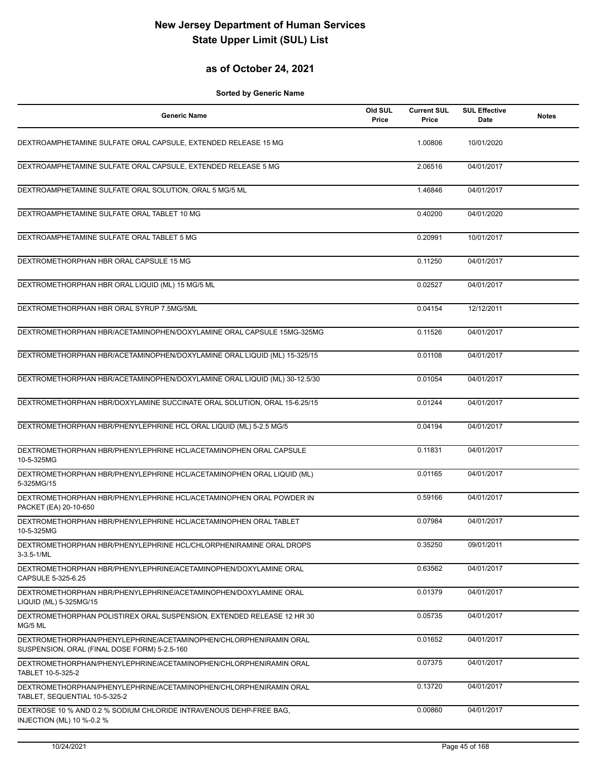## **as of October 24, 2021**

| <b>Generic Name</b>                                                                                               | Old SUL<br>Price | <b>Current SUL</b><br>Price | <b>SUL Effective</b><br>Date | <b>Notes</b> |
|-------------------------------------------------------------------------------------------------------------------|------------------|-----------------------------|------------------------------|--------------|
| DEXTROAMPHETAMINE SULFATE ORAL CAPSULE, EXTENDED RELEASE 15 MG                                                    |                  | 1.00806                     | 10/01/2020                   |              |
| DEXTROAMPHETAMINE SULFATE ORAL CAPSULE, EXTENDED RELEASE 5 MG                                                     |                  | 2.06516                     | 04/01/2017                   |              |
| DEXTROAMPHETAMINE SULFATE ORAL SOLUTION, ORAL 5 MG/5 ML                                                           |                  | 1.46846                     | 04/01/2017                   |              |
| DEXTROAMPHETAMINE SULFATE ORAL TABLET 10 MG                                                                       |                  | 0.40200                     | 04/01/2020                   |              |
| DEXTROAMPHETAMINE SULFATE ORAL TABLET 5 MG                                                                        |                  | 0.20991                     | 10/01/2017                   |              |
| DEXTROMETHORPHAN HBR ORAL CAPSULE 15 MG                                                                           |                  | 0.11250                     | 04/01/2017                   |              |
| DEXTROMETHORPHAN HBR ORAL LIQUID (ML) 15 MG/5 ML                                                                  |                  | 0.02527                     | 04/01/2017                   |              |
| DEXTROMETHORPHAN HBR ORAL SYRUP 7.5MG/5ML                                                                         |                  | 0.04154                     | 12/12/2011                   |              |
| DEXTROMETHORPHAN HBR/ACETAMINOPHEN/DOXYLAMINE ORAL CAPSULE 15MG-325MG                                             |                  | 0.11526                     | 04/01/2017                   |              |
| DEXTROMETHORPHAN HBR/ACETAMINOPHEN/DOXYLAMINE ORAL LIQUID (ML) 15-325/15                                          |                  | 0.01108                     | 04/01/2017                   |              |
| DEXTROMETHORPHAN HBR/ACETAMINOPHEN/DOXYLAMINE ORAL LIQUID (ML) 30-12.5/30                                         |                  | 0.01054                     | 04/01/2017                   |              |
| DEXTROMETHORPHAN HBR/DOXYLAMINE SUCCINATE ORAL SOLUTION, ORAL 15-6.25/15                                          |                  | 0.01244                     | 04/01/2017                   |              |
| DEXTROMETHORPHAN HBR/PHENYLEPHRINE HCL ORAL LIQUID (ML) 5-2.5 MG/5                                                |                  | 0.04194                     | 04/01/2017                   |              |
| DEXTROMETHORPHAN HBR/PHENYLEPHRINE HCL/ACETAMINOPHEN ORAL CAPSULE<br>10-5-325MG                                   |                  | 0.11831                     | 04/01/2017                   |              |
| DEXTROMETHORPHAN HBR/PHENYLEPHRINE HCL/ACETAMINOPHEN ORAL LIQUID (ML)<br>5-325MG/15                               |                  | 0.01165                     | 04/01/2017                   |              |
| DEXTROMETHORPHAN HBR/PHENYLEPHRINE HCL/ACETAMINOPHEN ORAL POWDER IN<br>PACKET (EA) 20-10-650                      |                  | 0.59166                     | 04/01/2017                   |              |
| DEXTROMETHORPHAN HBR/PHENYLEPHRINE HCL/ACETAMINOPHEN ORAL TABLET<br>10-5-325MG                                    |                  | 0.07984                     | 04/01/2017                   |              |
| DEXTROMETHORPHAN HBR/PHENYLEPHRINE HCL/CHLORPHENIRAMINE ORAL DROPS<br>3-3.5-1/ML                                  |                  | 0.35250                     | 09/01/2011                   |              |
| DEXTROMETHORPHAN HBR/PHENYLEPHRINE/ACETAMINOPHEN/DOXYLAMINE ORAL<br>CAPSULE 5-325-6.25                            |                  | 0.63562                     | 04/01/2017                   |              |
| DEXTROMETHORPHAN HBR/PHENYLEPHRINE/ACETAMINOPHEN/DOXYLAMINE ORAL<br>LIQUID (ML) 5-325MG/15                        |                  | 0.01379                     | 04/01/2017                   |              |
| DEXTROMETHORPHAN POLISTIREX ORAL SUSPENSION, EXTENDED RELEASE 12 HR 30<br>MG/5 ML                                 |                  | 0.05735                     | 04/01/2017                   |              |
| DEXTROMETHORPHAN/PHENYLEPHRINE/ACETAMINOPHEN/CHLORPHENIRAMIN ORAL<br>SUSPENSION, ORAL (FINAL DOSE FORM) 5-2.5-160 |                  | 0.01652                     | 04/01/2017                   |              |
| DEXTROMETHORPHAN/PHENYLEPHRINE/ACETAMINOPHEN/CHLORPHENIRAMIN ORAL<br>TABLET 10-5-325-2                            |                  | 0.07375                     | 04/01/2017                   |              |
| DEXTROMETHORPHAN/PHENYLEPHRINE/ACETAMINOPHEN/CHLORPHENIRAMIN ORAL<br>TABLET, SEQUENTIAL 10-5-325-2                |                  | 0.13720                     | 04/01/2017                   |              |
| DEXTROSE 10 % AND 0.2 % SODIUM CHLORIDE INTRAVENOUS DEHP-FREE BAG,<br>INJECTION (ML) 10 %-0.2 %                   |                  | 0.00860                     | 04/01/2017                   |              |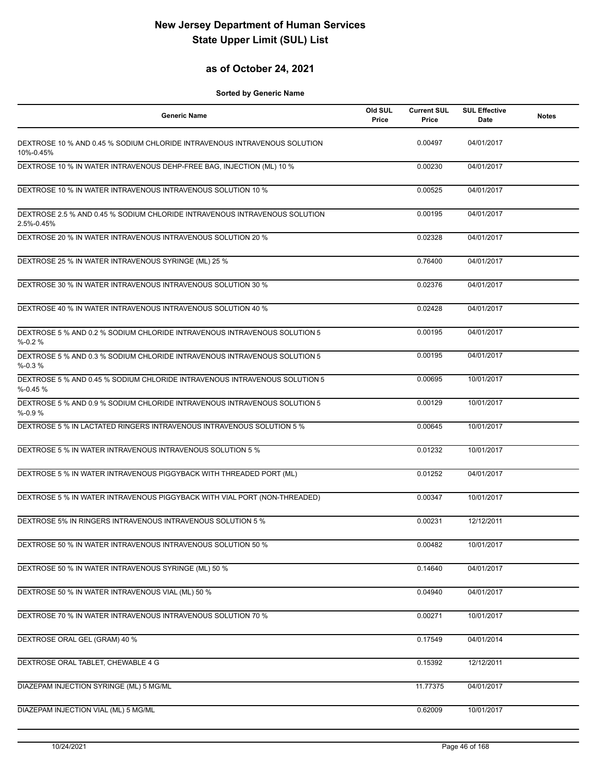## **as of October 24, 2021**

| <b>Generic Name</b>                                                                      | Old SUL<br>Price | <b>Current SUL</b><br>Price | <b>SUL Effective</b><br>Date | <b>Notes</b> |
|------------------------------------------------------------------------------------------|------------------|-----------------------------|------------------------------|--------------|
| DEXTROSE 10 % AND 0.45 % SODIUM CHLORIDE INTRAVENOUS INTRAVENOUS SOLUTION<br>10%-0.45%   |                  | 0.00497                     | 04/01/2017                   |              |
| DEXTROSE 10 % IN WATER INTRAVENOUS DEHP-FREE BAG, INJECTION (ML) 10 %                    |                  | 0.00230                     | 04/01/2017                   |              |
| DEXTROSE 10 % IN WATER INTRAVENOUS INTRAVENOUS SOLUTION 10 %                             |                  | 0.00525                     | 04/01/2017                   |              |
| DEXTROSE 2.5 % AND 0.45 % SODIUM CHLORIDE INTRAVENOUS INTRAVENOUS SOLUTION<br>2.5%-0.45% |                  | 0.00195                     | 04/01/2017                   |              |
| DEXTROSE 20 % IN WATER INTRAVENOUS INTRAVENOUS SOLUTION 20 %                             |                  | 0.02328                     | 04/01/2017                   |              |
| DEXTROSE 25 % IN WATER INTRAVENOUS SYRINGE (ML) 25 %                                     |                  | 0.76400                     | 04/01/2017                   |              |
| DEXTROSE 30 % IN WATER INTRAVENOUS INTRAVENOUS SOLUTION 30 %                             |                  | 0.02376                     | 04/01/2017                   |              |
| DEXTROSE 40 % IN WATER INTRAVENOUS INTRAVENOUS SOLUTION 40 %                             |                  | 0.02428                     | 04/01/2017                   |              |
| DEXTROSE 5 % AND 0.2 % SODIUM CHLORIDE INTRAVENOUS INTRAVENOUS SOLUTION 5<br>$% -0.2%$   |                  | 0.00195                     | 04/01/2017                   |              |
| DEXTROSE 5 % AND 0.3 % SODIUM CHLORIDE INTRAVENOUS INTRAVENOUS SOLUTION 5<br>$% -0.3%$   |                  | 0.00195                     | 04/01/2017                   |              |
| DEXTROSE 5 % AND 0.45 % SODIUM CHLORIDE INTRAVENOUS INTRAVENOUS SOLUTION 5<br>$% -0.45%$ |                  | 0.00695                     | 10/01/2017                   |              |
| DEXTROSE 5 % AND 0.9 % SODIUM CHLORIDE INTRAVENOUS INTRAVENOUS SOLUTION 5<br>$% -0.9%$   |                  | 0.00129                     | 10/01/2017                   |              |
| DEXTROSE 5 % IN LACTATED RINGERS INTRAVENOUS INTRAVENOUS SOLUTION 5 %                    |                  | 0.00645                     | 10/01/2017                   |              |
| DEXTROSE 5 % IN WATER INTRAVENOUS INTRAVENOUS SOLUTION 5 %                               |                  | 0.01232                     | 10/01/2017                   |              |
| DEXTROSE 5 % IN WATER INTRAVENOUS PIGGYBACK WITH THREADED PORT (ML)                      |                  | 0.01252                     | 04/01/2017                   |              |
| DEXTROSE 5 % IN WATER INTRAVENOUS PIGGYBACK WITH VIAL PORT (NON-THREADED)                |                  | 0.00347                     | 10/01/2017                   |              |
| DEXTROSE 5% IN RINGERS INTRAVENOUS INTRAVENOUS SOLUTION 5 %                              |                  | 0.00231                     | 12/12/2011                   |              |
| DEXTROSE 50 % IN WATER INTRAVENOUS INTRAVENOUS SOLUTION 50 %                             |                  | 0.00482                     | 10/01/2017                   |              |
| DEXTROSE 50 % IN WATER INTRAVENOUS SYRINGE (ML) 50 %                                     |                  | 0.14640                     | 04/01/2017                   |              |
| DEXTROSE 50 % IN WATER INTRAVENOUS VIAL (ML) 50 %                                        |                  | 0.04940                     | 04/01/2017                   |              |
| DEXTROSE 70 % IN WATER INTRAVENOUS INTRAVENOUS SOLUTION 70 %                             |                  | 0.00271                     | 10/01/2017                   |              |
| DEXTROSE ORAL GEL (GRAM) 40 %                                                            |                  | 0.17549                     | 04/01/2014                   |              |
| DEXTROSE ORAL TABLET, CHEWABLE 4 G                                                       |                  | 0.15392                     | 12/12/2011                   |              |
| DIAZEPAM INJECTION SYRINGE (ML) 5 MG/ML                                                  |                  | 11.77375                    | 04/01/2017                   |              |
| DIAZEPAM INJECTION VIAL (ML) 5 MG/ML                                                     |                  | 0.62009                     | 10/01/2017                   |              |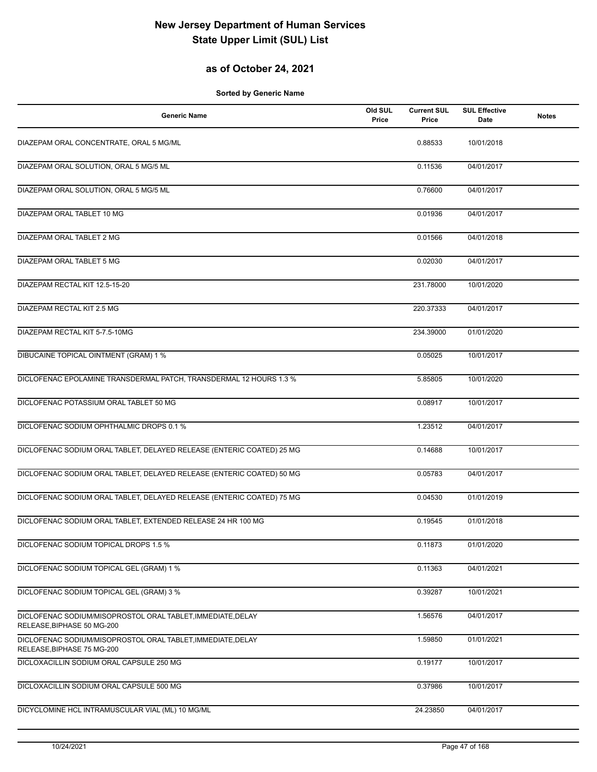## **as of October 24, 2021**

| <b>Generic Name</b>                                                                       | Old SUL<br>Price | <b>Current SUL</b><br>Price | <b>SUL Effective</b><br>Date | <b>Notes</b> |
|-------------------------------------------------------------------------------------------|------------------|-----------------------------|------------------------------|--------------|
| DIAZEPAM ORAL CONCENTRATE, ORAL 5 MG/ML                                                   |                  | 0.88533                     | 10/01/2018                   |              |
| DIAZEPAM ORAL SOLUTION, ORAL 5 MG/5 ML                                                    |                  | 0.11536                     | 04/01/2017                   |              |
| DIAZEPAM ORAL SOLUTION, ORAL 5 MG/5 ML                                                    |                  | 0.76600                     | 04/01/2017                   |              |
| DIAZEPAM ORAL TABLET 10 MG                                                                |                  | 0.01936                     | 04/01/2017                   |              |
| DIAZEPAM ORAL TABLET 2 MG                                                                 |                  | 0.01566                     | 04/01/2018                   |              |
| DIAZEPAM ORAL TABLET 5 MG                                                                 |                  | 0.02030                     | 04/01/2017                   |              |
| DIAZEPAM RECTAL KIT 12.5-15-20                                                            |                  | 231.78000                   | 10/01/2020                   |              |
| DIAZEPAM RECTAL KIT 2.5 MG                                                                |                  | 220.37333                   | 04/01/2017                   |              |
| DIAZEPAM RECTAL KIT 5-7.5-10MG                                                            |                  | 234.39000                   | 01/01/2020                   |              |
| DIBUCAINE TOPICAL OINTMENT (GRAM) 1 %                                                     |                  | 0.05025                     | 10/01/2017                   |              |
| DICLOFENAC EPOLAMINE TRANSDERMAL PATCH, TRANSDERMAL 12 HOURS 1.3 %                        |                  | 5.85805                     | 10/01/2020                   |              |
| DICLOFENAC POTASSIUM ORAL TABLET 50 MG                                                    |                  | 0.08917                     | 10/01/2017                   |              |
| DICLOFENAC SODIUM OPHTHALMIC DROPS 0.1 %                                                  |                  | 1.23512                     | 04/01/2017                   |              |
| DICLOFENAC SODIUM ORAL TABLET, DELAYED RELEASE (ENTERIC COATED) 25 MG                     |                  | 0.14688                     | 10/01/2017                   |              |
| DICLOFENAC SODIUM ORAL TABLET, DELAYED RELEASE (ENTERIC COATED) 50 MG                     |                  | 0.05783                     | 04/01/2017                   |              |
| DICLOFENAC SODIUM ORAL TABLET, DELAYED RELEASE (ENTERIC COATED) 75 MG                     |                  | 0.04530                     | 01/01/2019                   |              |
| DICLOFENAC SODIUM ORAL TABLET, EXTENDED RELEASE 24 HR 100 MG                              |                  | 0.19545                     | 01/01/2018                   |              |
| DICLOFENAC SODIUM TOPICAL DROPS 1.5 %                                                     |                  | 0.11873                     | 01/01/2020                   |              |
| DICLOFENAC SODIUM TOPICAL GEL (GRAM) 1 %                                                  |                  | 0.11363                     | 04/01/2021                   |              |
| DICLOFENAC SODIUM TOPICAL GEL (GRAM) 3 %                                                  |                  | 0.39287                     | 10/01/2021                   |              |
| DICLOFENAC SODIUM/MISOPROSTOL ORAL TABLET, IMMEDIATE, DELAY<br>RELEASE, BIPHASE 50 MG-200 |                  | 1.56576                     | 04/01/2017                   |              |
| DICLOFENAC SODIUM/MISOPROSTOL ORAL TABLET, IMMEDIATE, DELAY<br>RELEASE, BIPHASE 75 MG-200 |                  | 1.59850                     | 01/01/2021                   |              |
| DICLOXACILLIN SODIUM ORAL CAPSULE 250 MG                                                  |                  | 0.19177                     | 10/01/2017                   |              |
| DICLOXACILLIN SODIUM ORAL CAPSULE 500 MG                                                  |                  | 0.37986                     | 10/01/2017                   |              |
| DICYCLOMINE HCL INTRAMUSCULAR VIAL (ML) 10 MG/ML                                          |                  | 24.23850                    | 04/01/2017                   |              |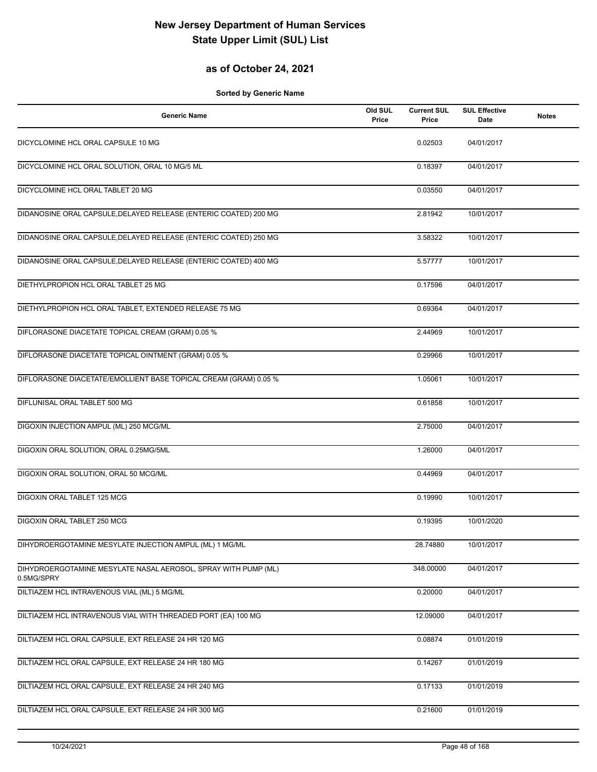## **as of October 24, 2021**

| <b>Generic Name</b>                                                          | Old SUL<br>Price | <b>Current SUL</b><br>Price | <b>SUL Effective</b><br>Date | <b>Notes</b> |
|------------------------------------------------------------------------------|------------------|-----------------------------|------------------------------|--------------|
| DICYCLOMINE HCL ORAL CAPSULE 10 MG                                           |                  | 0.02503                     | 04/01/2017                   |              |
| DICYCLOMINE HCL ORAL SOLUTION, ORAL 10 MG/5 ML                               |                  | 0.18397                     | 04/01/2017                   |              |
| DICYCLOMINE HCL ORAL TABLET 20 MG                                            |                  | 0.03550                     | 04/01/2017                   |              |
| DIDANOSINE ORAL CAPSULE, DELAYED RELEASE (ENTERIC COATED) 200 MG             |                  | 2.81942                     | 10/01/2017                   |              |
| DIDANOSINE ORAL CAPSULE, DELAYED RELEASE (ENTERIC COATED) 250 MG             |                  | 3.58322                     | 10/01/2017                   |              |
| DIDANOSINE ORAL CAPSULE, DELAYED RELEASE (ENTERIC COATED) 400 MG             |                  | 5.57777                     | 10/01/2017                   |              |
| DIETHYLPROPION HCL ORAL TABLET 25 MG                                         |                  | 0.17596                     | 04/01/2017                   |              |
| DIETHYLPROPION HCL ORAL TABLET, EXTENDED RELEASE 75 MG                       |                  | 0.69364                     | 04/01/2017                   |              |
| DIFLORASONE DIACETATE TOPICAL CREAM (GRAM) 0.05 %                            |                  | 2.44969                     | 10/01/2017                   |              |
| DIFLORASONE DIACETATE TOPICAL OINTMENT (GRAM) 0.05 %                         |                  | 0.29966                     | 10/01/2017                   |              |
| DIFLORASONE DIACETATE/EMOLLIENT BASE TOPICAL CREAM (GRAM) 0.05 %             |                  | 1.05061                     | 10/01/2017                   |              |
| DIFLUNISAL ORAL TABLET 500 MG                                                |                  | 0.61858                     | 10/01/2017                   |              |
| DIGOXIN INJECTION AMPUL (ML) 250 MCG/ML                                      |                  | 2.75000                     | 04/01/2017                   |              |
| DIGOXIN ORAL SOLUTION, ORAL 0.25MG/5ML                                       |                  | 1.26000                     | 04/01/2017                   |              |
| DIGOXIN ORAL SOLUTION, ORAL 50 MCG/ML                                        |                  | 0.44969                     | 04/01/2017                   |              |
| <b>DIGOXIN ORAL TABLET 125 MCG</b>                                           |                  | 0.19990                     | 10/01/2017                   |              |
| DIGOXIN ORAL TABLET 250 MCG                                                  |                  | 0.19395                     | 10/01/2020                   |              |
| DIHYDROERGOTAMINE MESYLATE INJECTION AMPUL (ML) 1 MG/ML                      |                  | 28.74880                    | 10/01/2017                   |              |
| DIHYDROERGOTAMINE MESYLATE NASAL AEROSOL, SPRAY WITH PUMP (ML)<br>0.5MG/SPRY |                  | 348.00000                   | 04/01/2017                   |              |
| DILTIAZEM HCL INTRAVENOUS VIAL (ML) 5 MG/ML                                  |                  | 0.20000                     | 04/01/2017                   |              |
| DILTIAZEM HCL INTRAVENOUS VIAL WITH THREADED PORT (EA) 100 MG                |                  | 12.09000                    | 04/01/2017                   |              |
| DILTIAZEM HCL ORAL CAPSULE, EXT RELEASE 24 HR 120 MG                         |                  | 0.08874                     | 01/01/2019                   |              |
| DILTIAZEM HCL ORAL CAPSULE, EXT RELEASE 24 HR 180 MG                         |                  | 0.14267                     | 01/01/2019                   |              |
| DILTIAZEM HCL ORAL CAPSULE, EXT RELEASE 24 HR 240 MG                         |                  | 0.17133                     | 01/01/2019                   |              |
| DILTIAZEM HCL ORAL CAPSULE, EXT RELEASE 24 HR 300 MG                         |                  | 0.21600                     | 01/01/2019                   |              |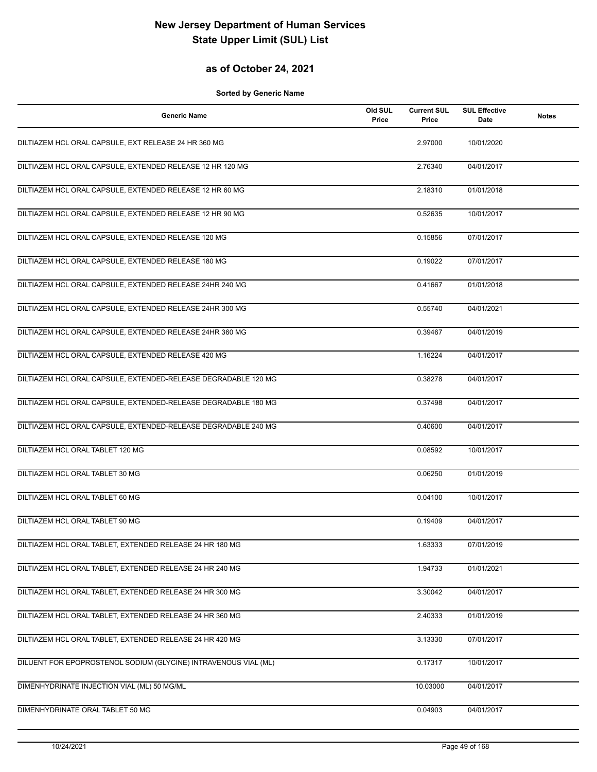## **as of October 24, 2021**

| <b>Generic Name</b>                                             | Old SUL<br>Price | <b>Current SUL</b><br>Price | <b>SUL Effective</b><br>Date | <b>Notes</b> |
|-----------------------------------------------------------------|------------------|-----------------------------|------------------------------|--------------|
| DILTIAZEM HCL ORAL CAPSULE, EXT RELEASE 24 HR 360 MG            |                  | 2.97000                     | 10/01/2020                   |              |
| DILTIAZEM HCL ORAL CAPSULE, EXTENDED RELEASE 12 HR 120 MG       |                  | 2.76340                     | 04/01/2017                   |              |
| DILTIAZEM HCL ORAL CAPSULE, EXTENDED RELEASE 12 HR 60 MG        |                  | 2.18310                     | 01/01/2018                   |              |
| DILTIAZEM HCL ORAL CAPSULE, EXTENDED RELEASE 12 HR 90 MG        |                  | 0.52635                     | 10/01/2017                   |              |
| DILTIAZEM HCL ORAL CAPSULE, EXTENDED RELEASE 120 MG             |                  | 0.15856                     | 07/01/2017                   |              |
| DILTIAZEM HCL ORAL CAPSULE, EXTENDED RELEASE 180 MG             |                  | 0.19022                     | 07/01/2017                   |              |
| DILTIAZEM HCL ORAL CAPSULE, EXTENDED RELEASE 24HR 240 MG        |                  | 0.41667                     | 01/01/2018                   |              |
| DILTIAZEM HCL ORAL CAPSULE, EXTENDED RELEASE 24HR 300 MG        |                  | 0.55740                     | 04/01/2021                   |              |
| DILTIAZEM HCL ORAL CAPSULE, EXTENDED RELEASE 24HR 360 MG        |                  | 0.39467                     | 04/01/2019                   |              |
| DILTIAZEM HCL ORAL CAPSULE, EXTENDED RELEASE 420 MG             |                  | 1.16224                     | 04/01/2017                   |              |
| DILTIAZEM HCL ORAL CAPSULE, EXTENDED-RELEASE DEGRADABLE 120 MG  |                  | 0.38278                     | 04/01/2017                   |              |
| DILTIAZEM HCL ORAL CAPSULE, EXTENDED-RELEASE DEGRADABLE 180 MG  |                  | 0.37498                     | 04/01/2017                   |              |
| DILTIAZEM HCL ORAL CAPSULE, EXTENDED-RELEASE DEGRADABLE 240 MG  |                  | 0.40600                     | 04/01/2017                   |              |
| DILTIAZEM HCL ORAL TABLET 120 MG                                |                  | 0.08592                     | 10/01/2017                   |              |
| DILTIAZEM HCL ORAL TABLET 30 MG                                 |                  | 0.06250                     | 01/01/2019                   |              |
| DILTIAZEM HCL ORAL TABLET 60 MG                                 |                  | 0.04100                     | 10/01/2017                   |              |
| DILTIAZEM HCL ORAL TABLET 90 MG                                 |                  | 0.19409                     | 04/01/2017                   |              |
| DILTIAZEM HCL ORAL TABLET, EXTENDED RELEASE 24 HR 180 MG        |                  | 1.63333                     | 07/01/2019                   |              |
| DILTIAZEM HCL ORAL TABLET, EXTENDED RELEASE 24 HR 240 MG        |                  | 1.94733                     | 01/01/2021                   |              |
| DILTIAZEM HCL ORAL TABLET, EXTENDED RELEASE 24 HR 300 MG        |                  | $3.\overline{30042}$        | 04/01/2017                   |              |
| DILTIAZEM HCL ORAL TABLET, EXTENDED RELEASE 24 HR 360 MG        |                  | 2.40333                     | 01/01/2019                   |              |
| DILTIAZEM HCL ORAL TABLET, EXTENDED RELEASE 24 HR 420 MG        |                  | 3.13330                     | 07/01/2017                   |              |
| DILUENT FOR EPOPROSTENOL SODIUM (GLYCINE) INTRAVENOUS VIAL (ML) |                  | 0.17317                     | 10/01/2017                   |              |
| DIMENHYDRINATE INJECTION VIAL (ML) 50 MG/ML                     |                  | 10.03000                    | 04/01/2017                   |              |
| DIMENHYDRINATE ORAL TABLET 50 MG                                |                  | 0.04903                     | 04/01/2017                   |              |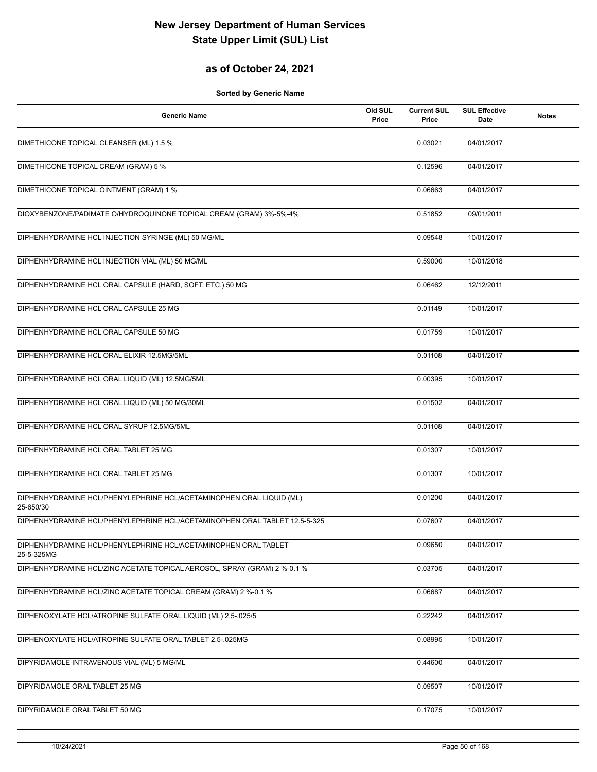## **as of October 24, 2021**

| <b>Generic Name</b>                                                               | Old SUL<br>Price | <b>Current SUL</b><br>Price | <b>SUL Effective</b><br><b>Date</b> | <b>Notes</b> |
|-----------------------------------------------------------------------------------|------------------|-----------------------------|-------------------------------------|--------------|
| DIMETHICONE TOPICAL CLEANSER (ML) 1.5 %                                           |                  | 0.03021                     | 04/01/2017                          |              |
| DIMETHICONE TOPICAL CREAM (GRAM) 5 %                                              |                  | 0.12596                     | 04/01/2017                          |              |
| DIMETHICONE TOPICAL OINTMENT (GRAM) 1 %                                           |                  | 0.06663                     | 04/01/2017                          |              |
| DIOXYBENZONE/PADIMATE O/HYDROQUINONE TOPICAL CREAM (GRAM) 3%-5%-4%                |                  | 0.51852                     | 09/01/2011                          |              |
| DIPHENHYDRAMINE HCL INJECTION SYRINGE (ML) 50 MG/ML                               |                  | 0.09548                     | 10/01/2017                          |              |
| DIPHENHYDRAMINE HCL INJECTION VIAL (ML) 50 MG/ML                                  |                  | 0.59000                     | 10/01/2018                          |              |
| DIPHENHYDRAMINE HCL ORAL CAPSULE (HARD, SOFT, ETC.) 50 MG                         |                  | 0.06462                     | 12/12/2011                          |              |
| DIPHENHYDRAMINE HCL ORAL CAPSULE 25 MG                                            |                  | 0.01149                     | 10/01/2017                          |              |
| DIPHENHYDRAMINE HCL ORAL CAPSULE 50 MG                                            |                  | 0.01759                     | 10/01/2017                          |              |
| DIPHENHYDRAMINE HCL ORAL ELIXIR 12.5MG/5ML                                        |                  | 0.01108                     | 04/01/2017                          |              |
| DIPHENHYDRAMINE HCL ORAL LIQUID (ML) 12.5MG/5ML                                   |                  | 0.00395                     | 10/01/2017                          |              |
| DIPHENHYDRAMINE HCL ORAL LIQUID (ML) 50 MG/30ML                                   |                  | 0.01502                     | 04/01/2017                          |              |
| DIPHENHYDRAMINE HCL ORAL SYRUP 12.5MG/5ML                                         |                  | 0.01108                     | 04/01/2017                          |              |
| DIPHENHYDRAMINE HCL ORAL TABLET 25 MG                                             |                  | 0.01307                     | 10/01/2017                          |              |
| DIPHENHYDRAMINE HCL ORAL TABLET 25 MG                                             |                  | 0.01307                     | 10/01/2017                          |              |
| DIPHENHYDRAMINE HCL/PHENYLEPHRINE HCL/ACETAMINOPHEN ORAL LIQUID (ML)<br>25-650/30 |                  | 0.01200                     | 04/01/2017                          |              |
| DIPHENHYDRAMINE HCL/PHENYLEPHRINE HCL/ACETAMINOPHEN ORAL TABLET 12.5-5-325        |                  | 0.07607                     | 04/01/2017                          |              |
| DIPHENHYDRAMINE HCL/PHENYLEPHRINE HCL/ACETAMINOPHEN ORAL TABLET<br>25-5-325MG     |                  | 0.09650                     | 04/01/2017                          |              |
| DIPHENHYDRAMINE HCL/ZINC ACETATE TOPICAL AEROSOL, SPRAY (GRAM) 2 %-0.1 %          |                  | 0.03705                     | 04/01/2017                          |              |
| DIPHENHYDRAMINE HCL/ZINC ACETATE TOPICAL CREAM (GRAM) 2 %-0.1 %                   |                  | 0.06687                     | 04/01/2017                          |              |
| DIPHENOXYLATE HCL/ATROPINE SULFATE ORAL LIQUID (ML) 2.5-.025/5                    |                  | 0.22242                     | 04/01/2017                          |              |
| DIPHENOXYLATE HCL/ATROPINE SULFATE ORAL TABLET 2.5-.025MG                         |                  | 0.08995                     | 10/01/2017                          |              |
| DIPYRIDAMOLE INTRAVENOUS VIAL (ML) 5 MG/ML                                        |                  | 0.44600                     | 04/01/2017                          |              |
| DIPYRIDAMOLE ORAL TABLET 25 MG                                                    |                  | 0.09507                     | 10/01/2017                          |              |
| DIPYRIDAMOLE ORAL TABLET 50 MG                                                    |                  | 0.17075                     | 10/01/2017                          |              |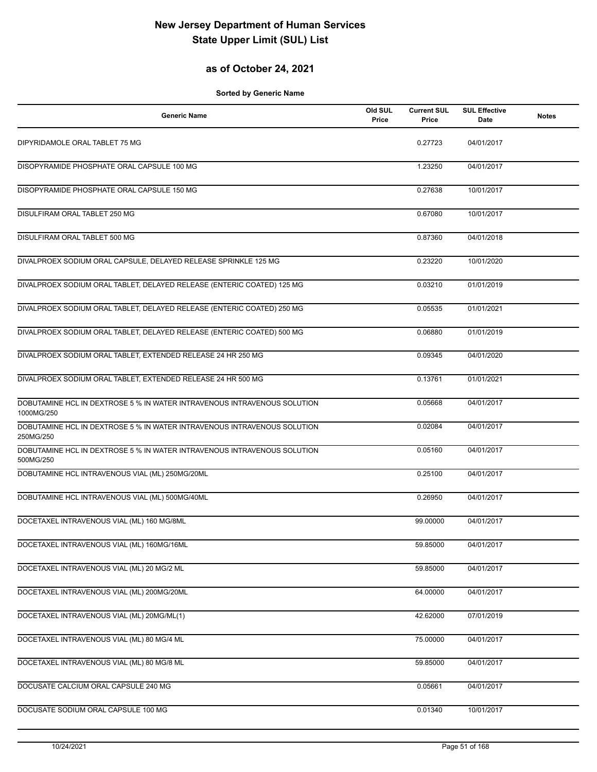## **as of October 24, 2021**

| <b>Generic Name</b>                                                                    | Old SUL<br>Price | <b>Current SUL</b><br>Price | <b>SUL Effective</b><br><b>Date</b> | <b>Notes</b> |
|----------------------------------------------------------------------------------------|------------------|-----------------------------|-------------------------------------|--------------|
| DIPYRIDAMOLE ORAL TABLET 75 MG                                                         |                  | 0.27723                     | 04/01/2017                          |              |
| DISOPYRAMIDE PHOSPHATE ORAL CAPSULE 100 MG                                             |                  | 1.23250                     | 04/01/2017                          |              |
| DISOPYRAMIDE PHOSPHATE ORAL CAPSULE 150 MG                                             |                  | 0.27638                     | 10/01/2017                          |              |
| DISULFIRAM ORAL TABLET 250 MG                                                          |                  | 0.67080                     | 10/01/2017                          |              |
| DISULFIRAM ORAL TABLET 500 MG                                                          |                  | 0.87360                     | 04/01/2018                          |              |
| DIVALPROEX SODIUM ORAL CAPSULE, DELAYED RELEASE SPRINKLE 125 MG                        |                  | 0.23220                     | 10/01/2020                          |              |
| DIVALPROEX SODIUM ORAL TABLET, DELAYED RELEASE (ENTERIC COATED) 125 MG                 |                  | 0.03210                     | 01/01/2019                          |              |
| DIVALPROEX SODIUM ORAL TABLET, DELAYED RELEASE (ENTERIC COATED) 250 MG                 |                  | 0.05535                     | 01/01/2021                          |              |
| DIVALPROEX SODIUM ORAL TABLET, DELAYED RELEASE (ENTERIC COATED) 500 MG                 |                  | 0.06880                     | 01/01/2019                          |              |
| DIVALPROEX SODIUM ORAL TABLET, EXTENDED RELEASE 24 HR 250 MG                           |                  | 0.09345                     | 04/01/2020                          |              |
| DIVALPROEX SODIUM ORAL TABLET, EXTENDED RELEASE 24 HR 500 MG                           |                  | 0.13761                     | 01/01/2021                          |              |
| DOBUTAMINE HCL IN DEXTROSE 5 % IN WATER INTRAVENOUS INTRAVENOUS SOLUTION<br>1000MG/250 |                  | 0.05668                     | 04/01/2017                          |              |
| DOBUTAMINE HCL IN DEXTROSE 5 % IN WATER INTRAVENOUS INTRAVENOUS SOLUTION<br>250MG/250  |                  | 0.02084                     | 04/01/2017                          |              |
| DOBUTAMINE HCL IN DEXTROSE 5 % IN WATER INTRAVENOUS INTRAVENOUS SOLUTION<br>500MG/250  |                  | 0.05160                     | 04/01/2017                          |              |
| DOBUTAMINE HCL INTRAVENOUS VIAL (ML) 250MG/20ML                                        |                  | 0.25100                     | 04/01/2017                          |              |
| DOBUTAMINE HCL INTRAVENOUS VIAL (ML) 500MG/40ML                                        |                  | 0.26950                     | 04/01/2017                          |              |
| DOCETAXEL INTRAVENOUS VIAL (ML) 160 MG/8ML                                             |                  | 99.00000                    | 04/01/2017                          |              |
| DOCETAXEL INTRAVENOUS VIAL (ML) 160MG/16ML                                             |                  | 59.85000                    | 04/01/2017                          |              |
| DOCETAXEL INTRAVENOUS VIAL (ML) 20 MG/2 ML                                             |                  | 59.85000                    | 04/01/2017                          |              |
| DOCETAXEL INTRAVENOUS VIAL (ML) 200MG/20ML                                             |                  | 64.00000                    | 04/01/2017                          |              |
| DOCETAXEL INTRAVENOUS VIAL (ML) 20MG/ML(1)                                             |                  | 42.62000                    | 07/01/2019                          |              |
| DOCETAXEL INTRAVENOUS VIAL (ML) 80 MG/4 ML                                             |                  | 75.00000                    | 04/01/2017                          |              |
| DOCETAXEL INTRAVENOUS VIAL (ML) 80 MG/8 ML                                             |                  | 59.85000                    | 04/01/2017                          |              |
| DOCUSATE CALCIUM ORAL CAPSULE 240 MG                                                   |                  | 0.05661                     | 04/01/2017                          |              |
| DOCUSATE SODIUM ORAL CAPSULE 100 MG                                                    |                  | 0.01340                     | 10/01/2017                          |              |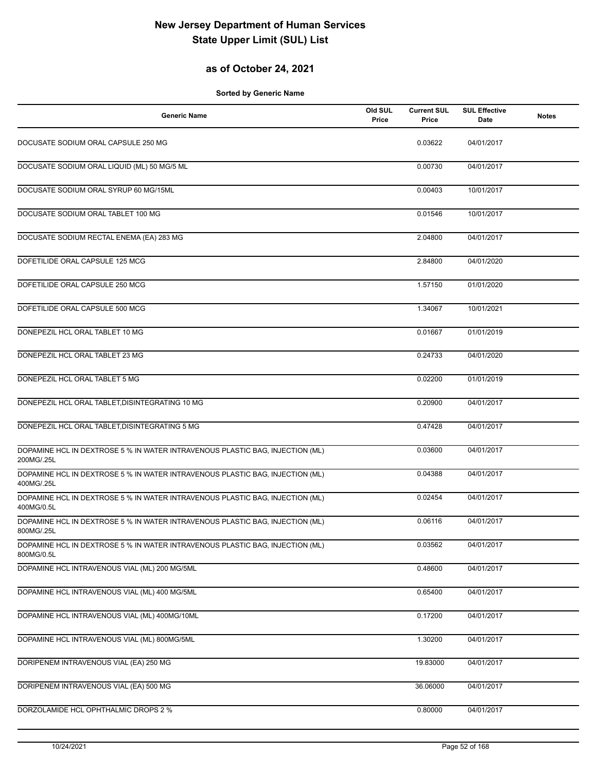## **as of October 24, 2021**

| <b>Generic Name</b>                                                                         | Old SUL<br>Price | <b>Current SUL</b><br>Price | <b>SUL Effective</b><br>Date | <b>Notes</b> |
|---------------------------------------------------------------------------------------------|------------------|-----------------------------|------------------------------|--------------|
| DOCUSATE SODIUM ORAL CAPSULE 250 MG                                                         |                  | 0.03622                     | 04/01/2017                   |              |
| DOCUSATE SODIUM ORAL LIQUID (ML) 50 MG/5 ML                                                 |                  | 0.00730                     | 04/01/2017                   |              |
| DOCUSATE SODIUM ORAL SYRUP 60 MG/15ML                                                       |                  | 0.00403                     | 10/01/2017                   |              |
| DOCUSATE SODIUM ORAL TABLET 100 MG                                                          |                  | 0.01546                     | 10/01/2017                   |              |
| DOCUSATE SODIUM RECTAL ENEMA (EA) 283 MG                                                    |                  | 2.04800                     | 04/01/2017                   |              |
| DOFETILIDE ORAL CAPSULE 125 MCG                                                             |                  | 2.84800                     | 04/01/2020                   |              |
| DOFETILIDE ORAL CAPSULE 250 MCG                                                             |                  | 1.57150                     | 01/01/2020                   |              |
| DOFETILIDE ORAL CAPSULE 500 MCG                                                             |                  | 1.34067                     | 10/01/2021                   |              |
| DONEPEZIL HCL ORAL TABLET 10 MG                                                             |                  | 0.01667                     | 01/01/2019                   |              |
| DONEPEZIL HCL ORAL TABLET 23 MG                                                             |                  | 0.24733                     | 04/01/2020                   |              |
| DONEPEZIL HCL ORAL TABLET 5 MG                                                              |                  | 0.02200                     | 01/01/2019                   |              |
| DONEPEZIL HCL ORAL TABLET, DISINTEGRATING 10 MG                                             |                  | 0.20900                     | 04/01/2017                   |              |
| DONEPEZIL HCL ORAL TABLET, DISINTEGRATING 5 MG                                              |                  | 0.47428                     | 04/01/2017                   |              |
| DOPAMINE HCL IN DEXTROSE 5 % IN WATER INTRAVENOUS PLASTIC BAG, INJECTION (ML)<br>200MG/.25L |                  | 0.03600                     | 04/01/2017                   |              |
| DOPAMINE HCL IN DEXTROSE 5 % IN WATER INTRAVENOUS PLASTIC BAG, INJECTION (ML)<br>400MG/.25L |                  | 0.04388                     | 04/01/2017                   |              |
| DOPAMINE HCL IN DEXTROSE 5 % IN WATER INTRAVENOUS PLASTIC BAG, INJECTION (ML)<br>400MG/0.5L |                  | 0.02454                     | 04/01/2017                   |              |
| DOPAMINE HCL IN DEXTROSE 5 % IN WATER INTRAVENOUS PLASTIC BAG, INJECTION (ML)<br>800MG/.25L |                  | 0.06116                     | 04/01/2017                   |              |
| DOPAMINE HCL IN DEXTROSE 5 % IN WATER INTRAVENOUS PLASTIC BAG, INJECTION (ML)<br>800MG/0.5L |                  | 0.03562                     | 04/01/2017                   |              |
| DOPAMINE HCL INTRAVENOUS VIAL (ML) 200 MG/5ML                                               |                  | 0.48600                     | 04/01/2017                   |              |
| DOPAMINE HCL INTRAVENOUS VIAL (ML) 400 MG/5ML                                               |                  | 0.65400                     | 04/01/2017                   |              |
| DOPAMINE HCL INTRAVENOUS VIAL (ML) 400MG/10ML                                               |                  | 0.17200                     | 04/01/2017                   |              |
| DOPAMINE HCL INTRAVENOUS VIAL (ML) 800MG/5ML                                                |                  | 1.30200                     | 04/01/2017                   |              |
| DORIPENEM INTRAVENOUS VIAL (EA) 250 MG                                                      |                  | 19.83000                    | 04/01/2017                   |              |
| DORIPENEM INTRAVENOUS VIAL (EA) 500 MG                                                      |                  | 36.06000                    | 04/01/2017                   |              |
| DORZOLAMIDE HCL OPHTHALMIC DROPS 2 %                                                        |                  | 0.80000                     | 04/01/2017                   |              |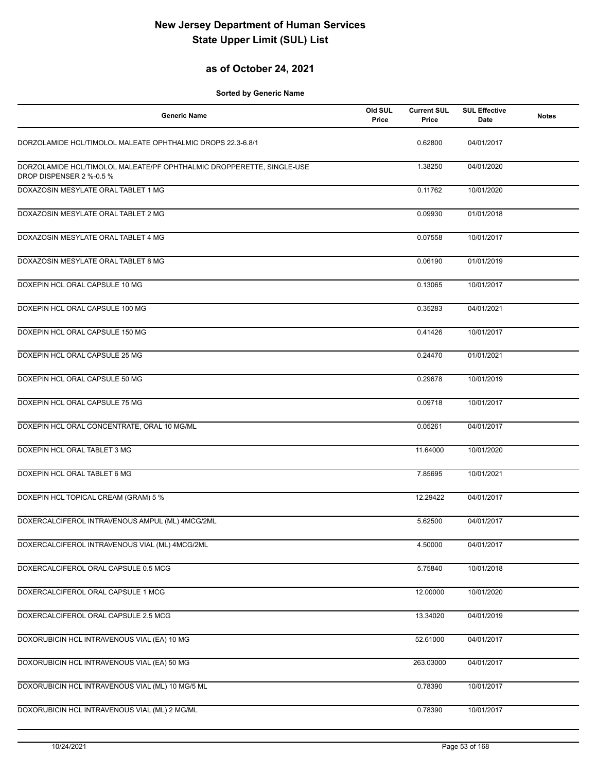#### **as of October 24, 2021**

| <b>Generic Name</b>                                                                               | Old SUL<br>Price | <b>Current SUL</b><br>Price | <b>SUL Effective</b><br>Date | <b>Notes</b> |
|---------------------------------------------------------------------------------------------------|------------------|-----------------------------|------------------------------|--------------|
| DORZOLAMIDE HCL/TIMOLOL MALEATE OPHTHALMIC DROPS 22.3-6.8/1                                       |                  | 0.62800                     | 04/01/2017                   |              |
| DORZOLAMIDE HCL/TIMOLOL MALEATE/PF OPHTHALMIC DROPPERETTE, SINGLE-USE<br>DROP DISPENSER 2 %-0.5 % |                  | 1.38250                     | 04/01/2020                   |              |
| DOXAZOSIN MESYLATE ORAL TABLET 1 MG                                                               |                  | 0.11762                     | 10/01/2020                   |              |
| DOXAZOSIN MESYLATE ORAL TABLET 2 MG                                                               |                  | 0.09930                     | 01/01/2018                   |              |
| DOXAZOSIN MESYLATE ORAL TABLET 4 MG                                                               |                  | 0.07558                     | 10/01/2017                   |              |
| DOXAZOSIN MESYLATE ORAL TABLET 8 MG                                                               |                  | 0.06190                     | 01/01/2019                   |              |
| DOXEPIN HCL ORAL CAPSULE 10 MG                                                                    |                  | 0.13065                     | 10/01/2017                   |              |
| DOXEPIN HCL ORAL CAPSULE 100 MG                                                                   |                  | 0.35283                     | 04/01/2021                   |              |
| DOXEPIN HCL ORAL CAPSULE 150 MG                                                                   |                  | 0.41426                     | 10/01/2017                   |              |
| DOXEPIN HCL ORAL CAPSULE 25 MG                                                                    |                  | 0.24470                     | 01/01/2021                   |              |
| DOXEPIN HCL ORAL CAPSULE 50 MG                                                                    |                  | 0.29678                     | 10/01/2019                   |              |
| DOXEPIN HCL ORAL CAPSULE 75 MG                                                                    |                  | 0.09718                     | 10/01/2017                   |              |
| DOXEPIN HCL ORAL CONCENTRATE, ORAL 10 MG/ML                                                       |                  | 0.05261                     | 04/01/2017                   |              |
| DOXEPIN HCL ORAL TABLET 3 MG                                                                      |                  | 11.64000                    | 10/01/2020                   |              |
| DOXEPIN HCL ORAL TABLET 6 MG                                                                      |                  | 7.85695                     | 10/01/2021                   |              |
| DOXEPIN HCL TOPICAL CREAM (GRAM) 5 %                                                              |                  | 12.29422                    | 04/01/2017                   |              |
| DOXERCALCIFEROL INTRAVENOUS AMPUL (ML) 4MCG/2ML                                                   |                  | 5.62500                     | 04/01/2017                   |              |
| DOXERCALCIFEROL INTRAVENOUS VIAL (ML) 4MCG/2ML                                                    |                  | 4.50000                     | 04/01/2017                   |              |
| DOXERCALCIFEROL ORAL CAPSULE 0.5 MCG                                                              |                  | 5.75840                     | 10/01/2018                   |              |
| DOXERCALCIFEROL ORAL CAPSULE 1 MCG                                                                |                  | 12.00000                    | 10/01/2020                   |              |
| DOXERCALCIFEROL ORAL CAPSULE 2.5 MCG                                                              |                  | 13.34020                    | 04/01/2019                   |              |
| DOXORUBICIN HCL INTRAVENOUS VIAL (EA) 10 MG                                                       |                  | 52.61000                    | 04/01/2017                   |              |
| DOXORUBICIN HCL INTRAVENOUS VIAL (EA) 50 MG                                                       |                  | 263.03000                   | 04/01/2017                   |              |
| DOXORUBICIN HCL INTRAVENOUS VIAL (ML) 10 MG/5 ML                                                  |                  | 0.78390                     | 10/01/2017                   |              |
| DOXORUBICIN HCL INTRAVENOUS VIAL (ML) 2 MG/ML                                                     |                  | 0.78390                     | 10/01/2017                   |              |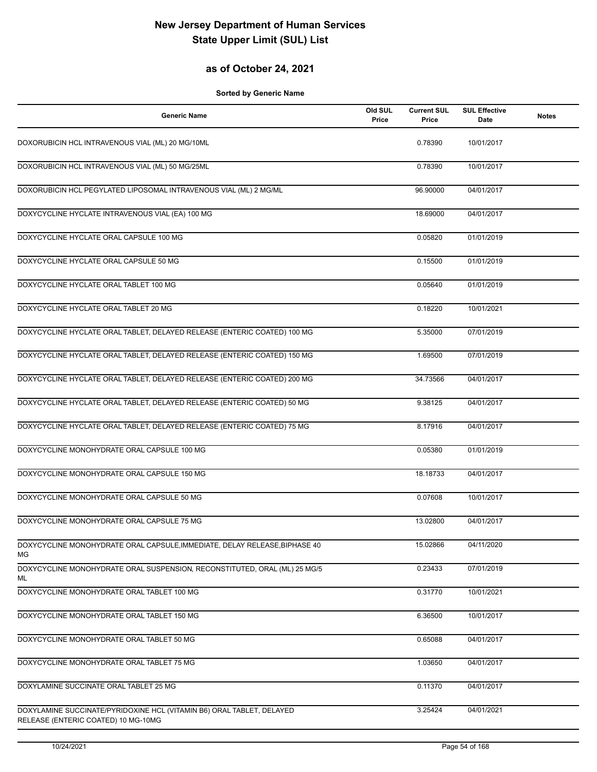#### **as of October 24, 2021**

| <b>Generic Name</b>                                                                                          | Old SUL<br>Price | <b>Current SUL</b><br>Price | <b>SUL Effective</b><br>Date | <b>Notes</b> |
|--------------------------------------------------------------------------------------------------------------|------------------|-----------------------------|------------------------------|--------------|
| DOXORUBICIN HCL INTRAVENOUS VIAL (ML) 20 MG/10ML                                                             |                  | 0.78390                     | 10/01/2017                   |              |
| DOXORUBICIN HCL INTRAVENOUS VIAL (ML) 50 MG/25ML                                                             |                  | 0.78390                     | 10/01/2017                   |              |
| DOXORUBICIN HCL PEGYLATED LIPOSOMAL INTRAVENOUS VIAL (ML) 2 MG/ML                                            |                  | 96.90000                    | 04/01/2017                   |              |
| DOXYCYCLINE HYCLATE INTRAVENOUS VIAL (EA) 100 MG                                                             |                  | 18.69000                    | 04/01/2017                   |              |
| DOXYCYCLINE HYCLATE ORAL CAPSULE 100 MG                                                                      |                  | 0.05820                     | 01/01/2019                   |              |
| DOXYCYCLINE HYCLATE ORAL CAPSULE 50 MG                                                                       |                  | 0.15500                     | 01/01/2019                   |              |
| DOXYCYCLINE HYCLATE ORAL TABLET 100 MG                                                                       |                  | 0.05640                     | 01/01/2019                   |              |
| DOXYCYCLINE HYCLATE ORAL TABLET 20 MG                                                                        |                  | 0.18220                     | 10/01/2021                   |              |
| DOXYCYCLINE HYCLATE ORAL TABLET, DELAYED RELEASE (ENTERIC COATED) 100 MG                                     |                  | 5.35000                     | 07/01/2019                   |              |
| DOXYCYCLINE HYCLATE ORAL TABLET, DELAYED RELEASE (ENTERIC COATED) 150 MG                                     |                  | 1.69500                     | 07/01/2019                   |              |
| DOXYCYCLINE HYCLATE ORAL TABLET, DELAYED RELEASE (ENTERIC COATED) 200 MG                                     |                  | 34.73566                    | 04/01/2017                   |              |
| DOXYCYCLINE HYCLATE ORAL TABLET, DELAYED RELEASE (ENTERIC COATED) 50 MG                                      |                  | 9.38125                     | 04/01/2017                   |              |
| DOXYCYCLINE HYCLATE ORAL TABLET, DELAYED RELEASE (ENTERIC COATED) 75 MG                                      |                  | 8.17916                     | 04/01/2017                   |              |
| DOXYCYCLINE MONOHYDRATE ORAL CAPSULE 100 MG                                                                  |                  | 0.05380                     | 01/01/2019                   |              |
| DOXYCYCLINE MONOHYDRATE ORAL CAPSULE 150 MG                                                                  |                  | 18.18733                    | 04/01/2017                   |              |
| DOXYCYCLINE MONOHYDRATE ORAL CAPSULE 50 MG                                                                   |                  | 0.07608                     | 10/01/2017                   |              |
| DOXYCYCLINE MONOHYDRATE ORAL CAPSULE 75 MG                                                                   |                  | 13.02800                    | 04/01/2017                   |              |
| DOXYCYCLINE MONOHYDRATE ORAL CAPSULE, IMMEDIATE, DELAY RELEASE, BIPHASE 40<br>МG                             |                  | 15.02866                    | 04/11/2020                   |              |
| DOXYCYCLINE MONOHYDRATE ORAL SUSPENSION, RECONSTITUTED, ORAL (ML) 25 MG/5<br>ML                              |                  | 0.23433                     | 07/01/2019                   |              |
| DOXYCYCLINE MONOHYDRATE ORAL TABLET 100 MG                                                                   |                  | 0.31770                     | 10/01/2021                   |              |
| DOXYCYCLINE MONOHYDRATE ORAL TABLET 150 MG                                                                   |                  | 6.36500                     | 10/01/2017                   |              |
| DOXYCYCLINE MONOHYDRATE ORAL TABLET 50 MG                                                                    |                  | 0.65088                     | 04/01/2017                   |              |
| DOXYCYCLINE MONOHYDRATE ORAL TABLET 75 MG                                                                    |                  | 1.03650                     | 04/01/2017                   |              |
| DOXYLAMINE SUCCINATE ORAL TABLET 25 MG                                                                       |                  | 0.11370                     | 04/01/2017                   |              |
| DOXYLAMINE SUCCINATE/PYRIDOXINE HCL (VITAMIN B6) ORAL TABLET, DELAYED<br>RELEASE (ENTERIC COATED) 10 MG-10MG |                  | 3.25424                     | 04/01/2021                   |              |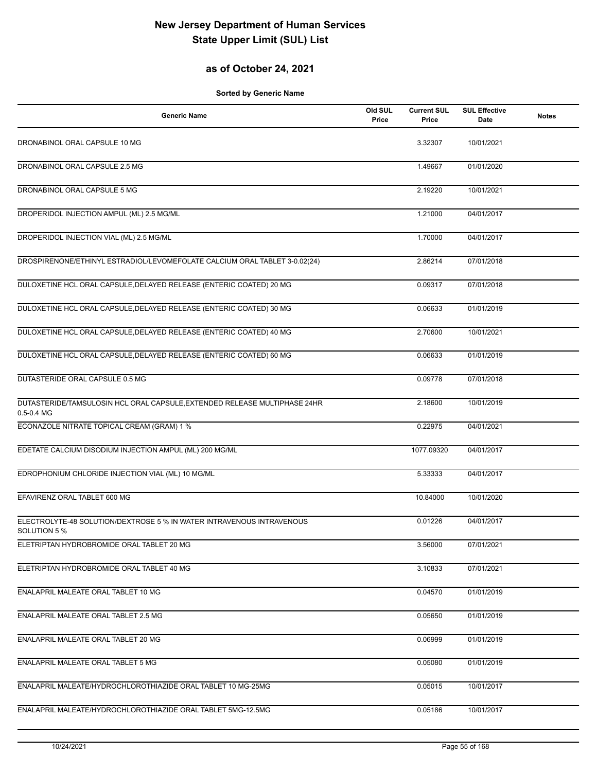## **as of October 24, 2021**

| <b>Generic Name</b>                                                                         | Old SUL<br>Price | <b>Current SUL</b><br>Price | <b>SUL Effective</b><br>Date | <b>Notes</b> |
|---------------------------------------------------------------------------------------------|------------------|-----------------------------|------------------------------|--------------|
| DRONABINOL ORAL CAPSULE 10 MG                                                               |                  | 3.32307                     | 10/01/2021                   |              |
| DRONABINOL ORAL CAPSULE 2.5 MG                                                              |                  | 1.49667                     | 01/01/2020                   |              |
| DRONABINOL ORAL CAPSULE 5 MG                                                                |                  | 2.19220                     | 10/01/2021                   |              |
| DROPERIDOL INJECTION AMPUL (ML) 2.5 MG/ML                                                   |                  | 1.21000                     | 04/01/2017                   |              |
| DROPERIDOL INJECTION VIAL (ML) 2.5 MG/ML                                                    |                  | 1.70000                     | 04/01/2017                   |              |
| DROSPIRENONE/ETHINYL ESTRADIOL/LEVOMEFOLATE CALCIUM ORAL TABLET 3-0.02(24)                  |                  | 2.86214                     | 07/01/2018                   |              |
| DULOXETINE HCL ORAL CAPSULE, DELAYED RELEASE (ENTERIC COATED) 20 MG                         |                  | 0.09317                     | 07/01/2018                   |              |
| DULOXETINE HCL ORAL CAPSULE, DELAYED RELEASE (ENTERIC COATED) 30 MG                         |                  | 0.06633                     | 01/01/2019                   |              |
| DULOXETINE HCL ORAL CAPSULE, DELAYED RELEASE (ENTERIC COATED) 40 MG                         |                  | 2.70600                     | 10/01/2021                   |              |
| DULOXETINE HCL ORAL CAPSULE, DELAYED RELEASE (ENTERIC COATED) 60 MG                         |                  | 0.06633                     | 01/01/2019                   |              |
| DUTASTERIDE ORAL CAPSULE 0.5 MG                                                             |                  | 0.09778                     | 07/01/2018                   |              |
| DUTASTERIDE/TAMSULOSIN HCL ORAL CAPSULE, EXTENDED RELEASE MULTIPHASE 24HR<br>$0.5 - 0.4$ MG |                  | 2.18600                     | 10/01/2019                   |              |
| ECONAZOLE NITRATE TOPICAL CREAM (GRAM) 1 %                                                  |                  | 0.22975                     | 04/01/2021                   |              |
| EDETATE CALCIUM DISODIUM INJECTION AMPUL (ML) 200 MG/ML                                     |                  | 1077.09320                  | 04/01/2017                   |              |
| EDROPHONIUM CHLORIDE INJECTION VIAL (ML) 10 MG/ML                                           |                  | 5.33333                     | 04/01/2017                   |              |
| EFAVIRENZ ORAL TABLET 600 MG                                                                |                  | 10.84000                    | 10/01/2020                   |              |
| ELECTROLYTE-48 SOLUTION/DEXTROSE 5 % IN WATER INTRAVENOUS INTRAVENOUS<br>SOLUTION 5 %       |                  | 0.01226                     | 04/01/2017                   |              |
| ELETRIPTAN HYDROBROMIDE ORAL TABLET 20 MG                                                   |                  | 3.56000                     | 07/01/2021                   |              |
| ELETRIPTAN HYDROBROMIDE ORAL TABLET 40 MG                                                   |                  | 3.10833                     | 07/01/2021                   |              |
| ENALAPRIL MALEATE ORAL TABLET 10 MG                                                         |                  | 0.04570                     | 01/01/2019                   |              |
| ENALAPRIL MALEATE ORAL TABLET 2.5 MG                                                        |                  | 0.05650                     | 01/01/2019                   |              |
| ENALAPRIL MALEATE ORAL TABLET 20 MG                                                         |                  | 0.06999                     | 01/01/2019                   |              |
| ENALAPRIL MALEATE ORAL TABLET 5 MG                                                          |                  | 0.05080                     | 01/01/2019                   |              |
| ENALAPRIL MALEATE/HYDROCHLOROTHIAZIDE ORAL TABLET 10 MG-25MG                                |                  | 0.05015                     | 10/01/2017                   |              |
| ENALAPRIL MALEATE/HYDROCHLOROTHIAZIDE ORAL TABLET 5MG-12.5MG                                |                  | 0.05186                     | 10/01/2017                   |              |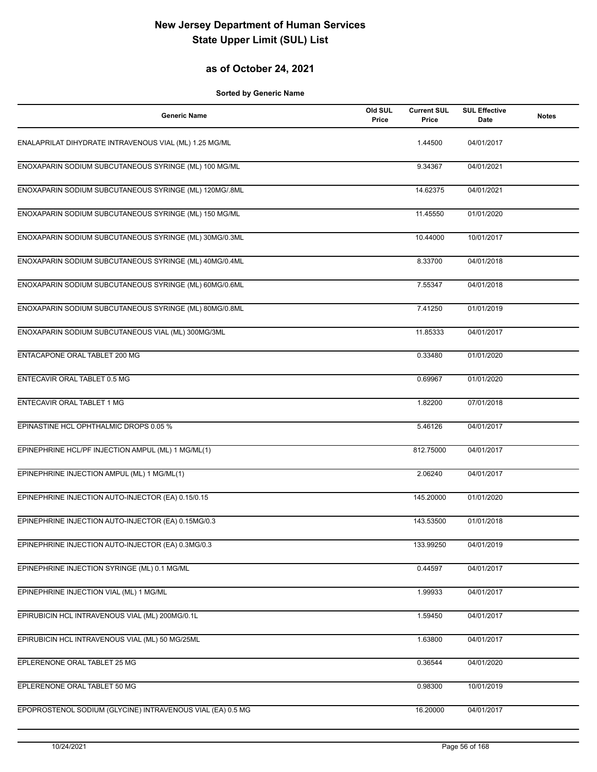## **as of October 24, 2021**

| <b>Generic Name</b>                                        | Old SUL<br>Price | <b>Current SUL</b><br>Price | <b>SUL Effective</b><br>Date | <b>Notes</b> |
|------------------------------------------------------------|------------------|-----------------------------|------------------------------|--------------|
| ENALAPRILAT DIHYDRATE INTRAVENOUS VIAL (ML) 1.25 MG/ML     |                  | 1.44500                     | 04/01/2017                   |              |
| ENOXAPARIN SODIUM SUBCUTANEOUS SYRINGE (ML) 100 MG/ML      |                  | 9.34367                     | 04/01/2021                   |              |
| ENOXAPARIN SODIUM SUBCUTANEOUS SYRINGE (ML) 120MG/.8ML     |                  | 14.62375                    | 04/01/2021                   |              |
| ENOXAPARIN SODIUM SUBCUTANEOUS SYRINGE (ML) 150 MG/ML      |                  | 11.45550                    | 01/01/2020                   |              |
| ENOXAPARIN SODIUM SUBCUTANEOUS SYRINGE (ML) 30MG/0.3ML     |                  | 10.44000                    | 10/01/2017                   |              |
| ENOXAPARIN SODIUM SUBCUTANEOUS SYRINGE (ML) 40MG/0.4ML     |                  | 8.33700                     | 04/01/2018                   |              |
| ENOXAPARIN SODIUM SUBCUTANEOUS SYRINGE (ML) 60MG/0.6ML     |                  | 7.55347                     | 04/01/2018                   |              |
| ENOXAPARIN SODIUM SUBCUTANEOUS SYRINGE (ML) 80MG/0.8ML     |                  | 7.41250                     | 01/01/2019                   |              |
| ENOXAPARIN SODIUM SUBCUTANEOUS VIAL (ML) 300MG/3ML         |                  | 11.85333                    | 04/01/2017                   |              |
| ENTACAPONE ORAL TABLET 200 MG                              |                  | 0.33480                     | 01/01/2020                   |              |
| ENTECAVIR ORAL TABLET 0.5 MG                               |                  | 0.69967                     | 01/01/2020                   |              |
| ENTECAVIR ORAL TABLET 1 MG                                 |                  | 1.82200                     | 07/01/2018                   |              |
| EPINASTINE HCL OPHTHALMIC DROPS 0.05 %                     |                  | 5.46126                     | 04/01/2017                   |              |
| EPINEPHRINE HCL/PF INJECTION AMPUL (ML) 1 MG/ML(1)         |                  | 812.75000                   | 04/01/2017                   |              |
| EPINEPHRINE INJECTION AMPUL (ML) 1 MG/ML(1)                |                  | 2.06240                     | 04/01/2017                   |              |
| EPINEPHRINE INJECTION AUTO-INJECTOR (EA) 0.15/0.15         |                  | 145.20000                   | 01/01/2020                   |              |
| EPINEPHRINE INJECTION AUTO-INJECTOR (EA) 0.15MG/0.3        |                  | 143.53500                   | 01/01/2018                   |              |
| EPINEPHRINE INJECTION AUTO-INJECTOR (EA) 0.3MG/0.3         |                  | 133.99250                   | 04/01/2019                   |              |
| EPINEPHRINE INJECTION SYRINGE (ML) 0.1 MG/ML               |                  | 0.44597                     | 04/01/2017                   |              |
| EPINEPHRINE INJECTION VIAL (ML) 1 MG/ML                    |                  | 1.99933                     | 04/01/2017                   |              |
| EPIRUBICIN HCL INTRAVENOUS VIAL (ML) 200MG/0.1L            |                  | 1.59450                     | 04/01/2017                   |              |
| EPIRUBICIN HCL INTRAVENOUS VIAL (ML) 50 MG/25ML            |                  | 1.63800                     | 04/01/2017                   |              |
| EPLERENONE ORAL TABLET 25 MG                               |                  | 0.36544                     | 04/01/2020                   |              |
| EPLERENONE ORAL TABLET 50 MG                               |                  | 0.98300                     | 10/01/2019                   |              |
| EPOPROSTENOL SODIUM (GLYCINE) INTRAVENOUS VIAL (EA) 0.5 MG |                  | 16.20000                    | 04/01/2017                   |              |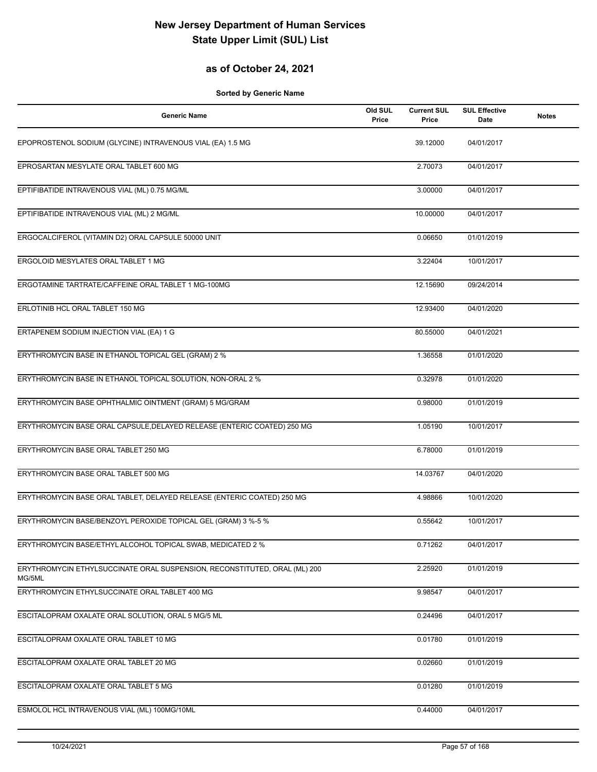## **as of October 24, 2021**

| <b>Generic Name</b>                                                                 | Old SUL<br>Price | <b>Current SUL</b><br>Price | <b>SUL Effective</b><br><b>Date</b> | <b>Notes</b> |
|-------------------------------------------------------------------------------------|------------------|-----------------------------|-------------------------------------|--------------|
| EPOPROSTENOL SODIUM (GLYCINE) INTRAVENOUS VIAL (EA) 1.5 MG                          |                  | 39.12000                    | 04/01/2017                          |              |
| EPROSARTAN MESYLATE ORAL TABLET 600 MG                                              |                  | 2.70073                     | 04/01/2017                          |              |
| EPTIFIBATIDE INTRAVENOUS VIAL (ML) 0.75 MG/ML                                       |                  | 3.00000                     | 04/01/2017                          |              |
| EPTIFIBATIDE INTRAVENOUS VIAL (ML) 2 MG/ML                                          |                  | 10.00000                    | 04/01/2017                          |              |
| ERGOCALCIFEROL (VITAMIN D2) ORAL CAPSULE 50000 UNIT                                 |                  | 0.06650                     | 01/01/2019                          |              |
| ERGOLOID MESYLATES ORAL TABLET 1 MG                                                 |                  | 3.22404                     | 10/01/2017                          |              |
| ERGOTAMINE TARTRATE/CAFFEINE ORAL TABLET 1 MG-100MG                                 |                  | 12.15690                    | 09/24/2014                          |              |
| ERLOTINIB HCL ORAL TABLET 150 MG                                                    |                  | 12.93400                    | 04/01/2020                          |              |
| ERTAPENEM SODIUM INJECTION VIAL (EA) 1 G                                            |                  | 80.55000                    | 04/01/2021                          |              |
| ERYTHROMYCIN BASE IN ETHANOL TOPICAL GEL (GRAM) 2 %                                 |                  | 1.36558                     | 01/01/2020                          |              |
| ERYTHROMYCIN BASE IN ETHANOL TOPICAL SOLUTION, NON-ORAL 2 %                         |                  | 0.32978                     | 01/01/2020                          |              |
| ERYTHROMYCIN BASE OPHTHALMIC OINTMENT (GRAM) 5 MG/GRAM                              |                  | 0.98000                     | 01/01/2019                          |              |
| ERYTHROMYCIN BASE ORAL CAPSULE, DELAYED RELEASE (ENTERIC COATED) 250 MG             |                  | 1.05190                     | 10/01/2017                          |              |
| ERYTHROMYCIN BASE ORAL TABLET 250 MG                                                |                  | 6.78000                     | 01/01/2019                          |              |
| ERYTHROMYCIN BASE ORAL TABLET 500 MG                                                |                  | 14.03767                    | 04/01/2020                          |              |
| ERYTHROMYCIN BASE ORAL TABLET, DELAYED RELEASE (ENTERIC COATED) 250 MG              |                  | 4.98866                     | 10/01/2020                          |              |
| ERYTHROMYCIN BASE/BENZOYL PEROXIDE TOPICAL GEL (GRAM) 3 %-5 %                       |                  | 0.55642                     | 10/01/2017                          |              |
| ERYTHROMYCIN BASE/ETHYL ALCOHOL TOPICAL SWAB, MEDICATED 2 %                         |                  | 0.71262                     | 04/01/2017                          |              |
| ERYTHROMYCIN ETHYLSUCCINATE ORAL SUSPENSION, RECONSTITUTED, ORAL (ML) 200<br>MG/5ML |                  | 2.25920                     | 01/01/2019                          |              |
| ERYTHROMYCIN ETHYLSUCCINATE ORAL TABLET 400 MG                                      |                  | 9.98547                     | 04/01/2017                          |              |
| ESCITALOPRAM OXALATE ORAL SOLUTION, ORAL 5 MG/5 ML                                  |                  | 0.24496                     | 04/01/2017                          |              |
| ESCITALOPRAM OXALATE ORAL TABLET 10 MG                                              |                  | 0.01780                     | 01/01/2019                          |              |
| ESCITALOPRAM OXALATE ORAL TABLET 20 MG                                              |                  | 0.02660                     | 01/01/2019                          |              |
| ESCITALOPRAM OXALATE ORAL TABLET 5 MG                                               |                  | 0.01280                     | 01/01/2019                          |              |
| ESMOLOL HCL INTRAVENOUS VIAL (ML) 100MG/10ML                                        |                  | 0.44000                     | 04/01/2017                          |              |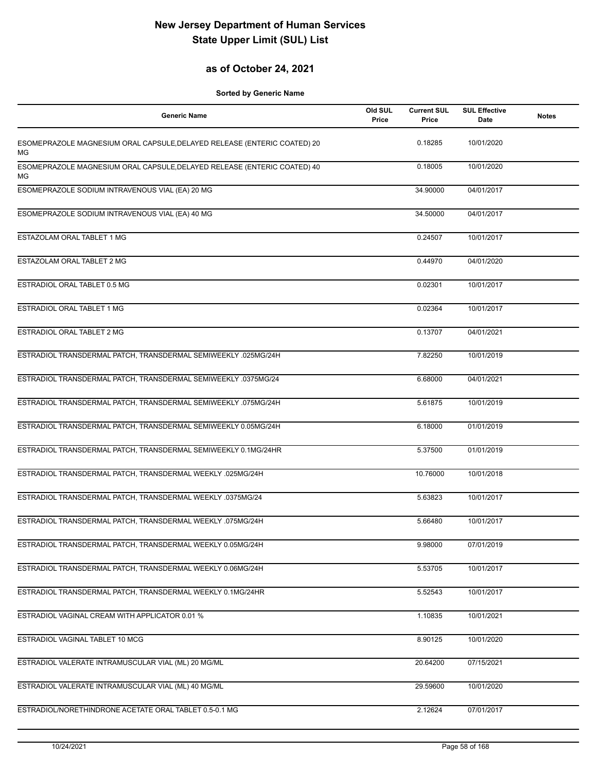## **as of October 24, 2021**

| <b>Generic Name</b>                                                                   | Old SUL<br>Price | <b>Current SUL</b><br>Price | <b>SUL Effective</b><br>Date | <b>Notes</b> |
|---------------------------------------------------------------------------------------|------------------|-----------------------------|------------------------------|--------------|
| ESOMEPRAZOLE MAGNESIUM ORAL CAPSULE, DELAYED RELEASE (ENTERIC COATED) 20<br><b>MG</b> |                  | 0.18285                     | 10/01/2020                   |              |
| ESOMEPRAZOLE MAGNESIUM ORAL CAPSULE, DELAYED RELEASE (ENTERIC COATED) 40<br>МG        |                  | 0.18005                     | 10/01/2020                   |              |
| ESOMEPRAZOLE SODIUM INTRAVENOUS VIAL (EA) 20 MG                                       |                  | 34.90000                    | 04/01/2017                   |              |
| ESOMEPRAZOLE SODIUM INTRAVENOUS VIAL (EA) 40 MG                                       |                  | 34.50000                    | 04/01/2017                   |              |
| ESTAZOLAM ORAL TABLET 1 MG                                                            |                  | 0.24507                     | 10/01/2017                   |              |
| ESTAZOLAM ORAL TABLET 2 MG                                                            |                  | 0.44970                     | 04/01/2020                   |              |
| ESTRADIOL ORAL TABLET 0.5 MG                                                          |                  | 0.02301                     | 10/01/2017                   |              |
| ESTRADIOL ORAL TABLET 1 MG                                                            |                  | 0.02364                     | 10/01/2017                   |              |
| ESTRADIOL ORAL TABLET 2 MG                                                            |                  | 0.13707                     | 04/01/2021                   |              |
| ESTRADIOL TRANSDERMAL PATCH, TRANSDERMAL SEMIWEEKLY .025MG/24H                        |                  | 7.82250                     | 10/01/2019                   |              |
| ESTRADIOL TRANSDERMAL PATCH, TRANSDERMAL SEMIWEEKLY .0375MG/24                        |                  | 6.68000                     | 04/01/2021                   |              |
| ESTRADIOL TRANSDERMAL PATCH, TRANSDERMAL SEMIWEEKLY .075MG/24H                        |                  | 5.61875                     | 10/01/2019                   |              |
| ESTRADIOL TRANSDERMAL PATCH, TRANSDERMAL SEMIWEEKLY 0.05MG/24H                        |                  | 6.18000                     | 01/01/2019                   |              |
| ESTRADIOL TRANSDERMAL PATCH, TRANSDERMAL SEMIWEEKLY 0.1MG/24HR                        |                  | 5.37500                     | 01/01/2019                   |              |
| ESTRADIOL TRANSDERMAL PATCH, TRANSDERMAL WEEKLY .025MG/24H                            |                  | 10.76000                    | 10/01/2018                   |              |
| ESTRADIOL TRANSDERMAL PATCH, TRANSDERMAL WEEKLY .0375MG/24                            |                  | 5.63823                     | 10/01/2017                   |              |
| ESTRADIOL TRANSDERMAL PATCH, TRANSDERMAL WEEKLY .075MG/24H                            |                  | 5.66480                     | 10/01/2017                   |              |
| ESTRADIOL TRANSDERMAL PATCH, TRANSDERMAL WEEKLY 0.05MG/24H                            |                  | 9.98000                     | 07/01/2019                   |              |
| ESTRADIOL TRANSDERMAL PATCH, TRANSDERMAL WEEKLY 0.06MG/24H                            |                  | 5.53705                     | 10/01/2017                   |              |
| ESTRADIOL TRANSDERMAL PATCH, TRANSDERMAL WEEKLY 0.1MG/24HR                            |                  | 5.52543                     | 10/01/2017                   |              |
| ESTRADIOL VAGINAL CREAM WITH APPLICATOR 0.01 %                                        |                  | 1.10835                     | 10/01/2021                   |              |
| ESTRADIOL VAGINAL TABLET 10 MCG                                                       |                  | 8.90125                     | 10/01/2020                   |              |
| ESTRADIOL VALERATE INTRAMUSCULAR VIAL (ML) 20 MG/ML                                   |                  | 20.64200                    | 07/15/2021                   |              |
| ESTRADIOL VALERATE INTRAMUSCULAR VIAL (ML) 40 MG/ML                                   |                  | 29.59600                    | 10/01/2020                   |              |
| ESTRADIOL/NORETHINDRONE ACETATE ORAL TABLET 0.5-0.1 MG                                |                  | 2.12624                     | 07/01/2017                   |              |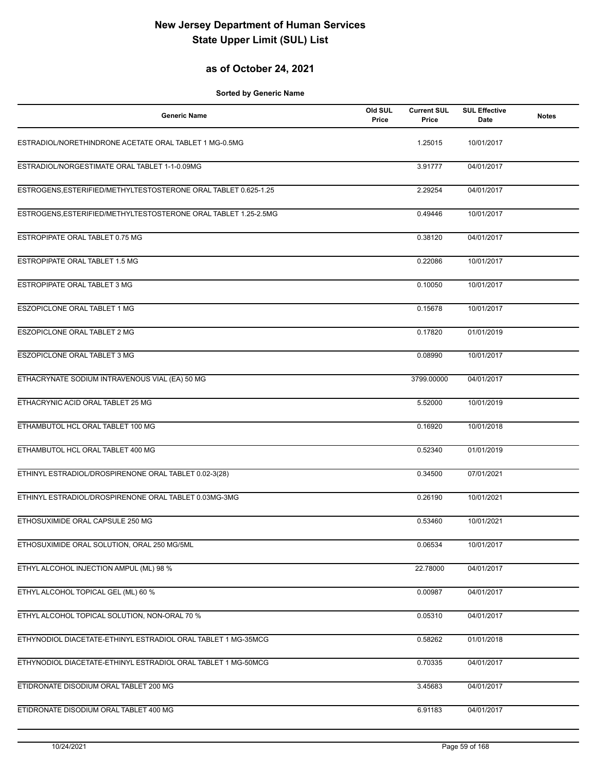#### **as of October 24, 2021**

| <b>Generic Name</b>                                             | Old SUL<br>Price | <b>Current SUL</b><br>Price | <b>SUL Effective</b><br>Date | <b>Notes</b> |
|-----------------------------------------------------------------|------------------|-----------------------------|------------------------------|--------------|
| ESTRADIOL/NORETHINDRONE ACETATE ORAL TABLET 1 MG-0.5MG          |                  | 1.25015                     | 10/01/2017                   |              |
| ESTRADIOL/NORGESTIMATE ORAL TABLET 1-1-0.09MG                   |                  | 3.91777                     | 04/01/2017                   |              |
| ESTROGENS, ESTERIFIED/METHYLTESTOSTERONE ORAL TABLET 0.625-1.25 |                  | 2.29254                     | 04/01/2017                   |              |
| ESTROGENS, ESTERIFIED/METHYLTESTOSTERONE ORAL TABLET 1.25-2.5MG |                  | 0.49446                     | 10/01/2017                   |              |
| ESTROPIPATE ORAL TABLET 0.75 MG                                 |                  | 0.38120                     | 04/01/2017                   |              |
| ESTROPIPATE ORAL TABLET 1.5 MG                                  |                  | 0.22086                     | 10/01/2017                   |              |
| ESTROPIPATE ORAL TABLET 3 MG                                    |                  | 0.10050                     | 10/01/2017                   |              |
| ESZOPICLONE ORAL TABLET 1 MG                                    |                  | 0.15678                     | 10/01/2017                   |              |
| ESZOPICLONE ORAL TABLET 2 MG                                    |                  | 0.17820                     | 01/01/2019                   |              |
| ESZOPICLONE ORAL TABLET 3 MG                                    |                  | 0.08990                     | 10/01/2017                   |              |
| ETHACRYNATE SODIUM INTRAVENOUS VIAL (EA) 50 MG                  |                  | 3799.00000                  | 04/01/2017                   |              |
| ETHACRYNIC ACID ORAL TABLET 25 MG                               |                  | 5.52000                     | 10/01/2019                   |              |
| ETHAMBUTOL HCL ORAL TABLET 100 MG                               |                  | 0.16920                     | 10/01/2018                   |              |
| ETHAMBUTOL HCL ORAL TABLET 400 MG                               |                  | 0.52340                     | 01/01/2019                   |              |
| ETHINYL ESTRADIOL/DROSPIRENONE ORAL TABLET 0.02-3(28)           |                  | 0.34500                     | 07/01/2021                   |              |
| ETHINYL ESTRADIOL/DROSPIRENONE ORAL TABLET 0.03MG-3MG           |                  | 0.26190                     | 10/01/2021                   |              |
| ETHOSUXIMIDE ORAL CAPSULE 250 MG                                |                  | 0.53460                     | 10/01/2021                   |              |
| ETHOSUXIMIDE ORAL SOLUTION, ORAL 250 MG/5ML                     |                  | 0.06534                     | 10/01/2017                   |              |
| ETHYL ALCOHOL INJECTION AMPUL (ML) 98 %                         |                  | 22.78000                    | 04/01/2017                   |              |
| ETHYL ALCOHOL TOPICAL GEL (ML) 60 %                             |                  | 0.00987                     | 04/01/2017                   |              |
| ETHYL ALCOHOL TOPICAL SOLUTION, NON-ORAL 70 %                   |                  | 0.05310                     | 04/01/2017                   |              |
| ETHYNODIOL DIACETATE-ETHINYL ESTRADIOL ORAL TABLET 1 MG-35MCG   |                  | 0.58262                     | 01/01/2018                   |              |
| ETHYNODIOL DIACETATE-ETHINYL ESTRADIOL ORAL TABLET 1 MG-50MCG   |                  | 0.70335                     | 04/01/2017                   |              |
| ETIDRONATE DISODIUM ORAL TABLET 200 MG                          |                  | 3.45683                     | 04/01/2017                   |              |
| ETIDRONATE DISODIUM ORAL TABLET 400 MG                          |                  | 6.91183                     | 04/01/2017                   |              |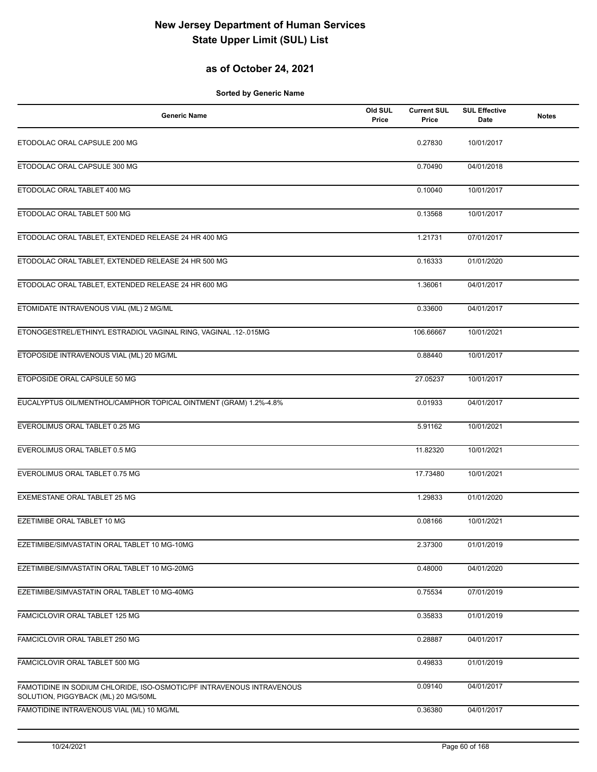## **as of October 24, 2021**

| <b>Generic Name</b>                                                                                          | Old SUL<br>Price | <b>Current SUL</b><br>Price | <b>SUL Effective</b><br>Date | <b>Notes</b> |
|--------------------------------------------------------------------------------------------------------------|------------------|-----------------------------|------------------------------|--------------|
| ETODOLAC ORAL CAPSULE 200 MG                                                                                 |                  | 0.27830                     | 10/01/2017                   |              |
| ETODOLAC ORAL CAPSULE 300 MG                                                                                 |                  | 0.70490                     | 04/01/2018                   |              |
| ETODOLAC ORAL TABLET 400 MG                                                                                  |                  | 0.10040                     | 10/01/2017                   |              |
| ETODOLAC ORAL TABLET 500 MG                                                                                  |                  | 0.13568                     | 10/01/2017                   |              |
| ETODOLAC ORAL TABLET, EXTENDED RELEASE 24 HR 400 MG                                                          |                  | 1.21731                     | 07/01/2017                   |              |
| ETODOLAC ORAL TABLET, EXTENDED RELEASE 24 HR 500 MG                                                          |                  | 0.16333                     | 01/01/2020                   |              |
| ETODOLAC ORAL TABLET, EXTENDED RELEASE 24 HR 600 MG                                                          |                  | 1.36061                     | 04/01/2017                   |              |
| ETOMIDATE INTRAVENOUS VIAL (ML) 2 MG/ML                                                                      |                  | 0.33600                     | 04/01/2017                   |              |
| ETONOGESTREL/ETHINYL ESTRADIOL VAGINAL RING, VAGINAL .12-.015MG                                              |                  | 106.66667                   | 10/01/2021                   |              |
| ETOPOSIDE INTRAVENOUS VIAL (ML) 20 MG/ML                                                                     |                  | 0.88440                     | 10/01/2017                   |              |
| ETOPOSIDE ORAL CAPSULE 50 MG                                                                                 |                  | 27.05237                    | 10/01/2017                   |              |
| EUCALYPTUS OIL/MENTHOL/CAMPHOR TOPICAL OINTMENT (GRAM) 1.2%-4.8%                                             |                  | 0.01933                     | 04/01/2017                   |              |
| EVEROLIMUS ORAL TABLET 0.25 MG                                                                               |                  | 5.91162                     | 10/01/2021                   |              |
| EVEROLIMUS ORAL TABLET 0.5 MG                                                                                |                  | 11.82320                    | 10/01/2021                   |              |
| EVEROLIMUS ORAL TABLET 0.75 MG                                                                               |                  | 17.73480                    | 10/01/2021                   |              |
| EXEMESTANE ORAL TABLET 25 MG                                                                                 |                  | 1.29833                     | 01/01/2020                   |              |
| EZETIMIBE ORAL TABLET 10 MG                                                                                  |                  | 0.08166                     | 10/01/2021                   |              |
| EZETIMIBE/SIMVASTATIN ORAL TABLET 10 MG-10MG                                                                 |                  | 2.37300                     | 01/01/2019                   |              |
| EZETIMIBE/SIMVASTATIN ORAL TABLET 10 MG-20MG                                                                 |                  | 0.48000                     | 04/01/2020                   |              |
| EZETIMIBE/SIMVASTATIN ORAL TABLET 10 MG-40MG                                                                 |                  | 0.75534                     | 07/01/2019                   |              |
| FAMCICLOVIR ORAL TABLET 125 MG                                                                               |                  | 0.35833                     | 01/01/2019                   |              |
| FAMCICLOVIR ORAL TABLET 250 MG                                                                               |                  | 0.28887                     | 04/01/2017                   |              |
| FAMCICLOVIR ORAL TABLET 500 MG                                                                               |                  | 0.49833                     | 01/01/2019                   |              |
| FAMOTIDINE IN SODIUM CHLORIDE, ISO-OSMOTIC/PF INTRAVENOUS INTRAVENOUS<br>SOLUTION, PIGGYBACK (ML) 20 MG/50ML |                  | 0.09140                     | 04/01/2017                   |              |
| FAMOTIDINE INTRAVENOUS VIAL (ML) 10 MG/ML                                                                    |                  | 0.36380                     | 04/01/2017                   |              |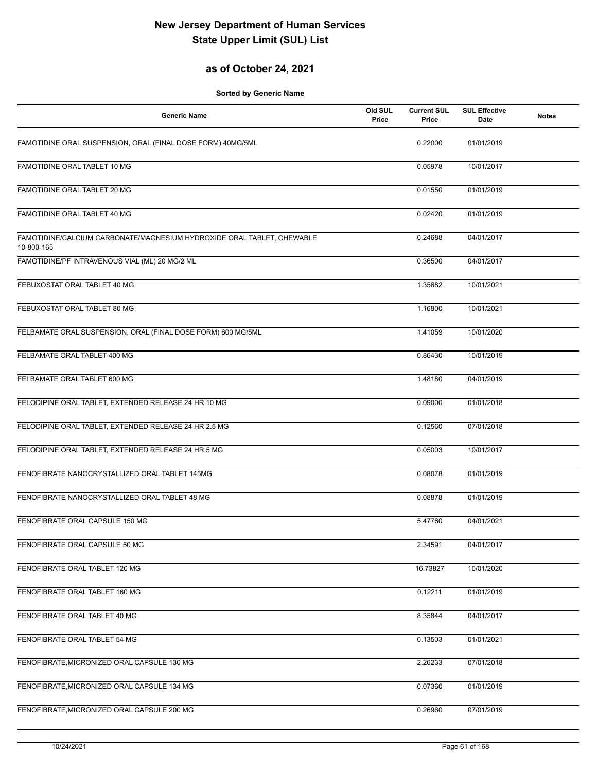## **as of October 24, 2021**

| <b>Generic Name</b>                                                                  | Old SUL<br>Price | <b>Current SUL</b><br>Price | <b>SUL Effective</b><br>Date | <b>Notes</b> |
|--------------------------------------------------------------------------------------|------------------|-----------------------------|------------------------------|--------------|
| FAMOTIDINE ORAL SUSPENSION, ORAL (FINAL DOSE FORM) 40MG/5ML                          |                  | 0.22000                     | 01/01/2019                   |              |
| FAMOTIDINE ORAL TABLET 10 MG                                                         |                  | 0.05978                     | 10/01/2017                   |              |
| FAMOTIDINE ORAL TABLET 20 MG                                                         |                  | 0.01550                     | 01/01/2019                   |              |
| FAMOTIDINE ORAL TABLET 40 MG                                                         |                  | 0.02420                     | 01/01/2019                   |              |
| FAMOTIDINE/CALCIUM CARBONATE/MAGNESIUM HYDROXIDE ORAL TABLET, CHEWABLE<br>10-800-165 |                  | 0.24688                     | 04/01/2017                   |              |
| FAMOTIDINE/PF INTRAVENOUS VIAL (ML) 20 MG/2 ML                                       |                  | 0.36500                     | 04/01/2017                   |              |
| FEBUXOSTAT ORAL TABLET 40 MG                                                         |                  | 1.35682                     | 10/01/2021                   |              |
| FEBUXOSTAT ORAL TABLET 80 MG                                                         |                  | 1.16900                     | 10/01/2021                   |              |
| FELBAMATE ORAL SUSPENSION, ORAL (FINAL DOSE FORM) 600 MG/5ML                         |                  | 1.41059                     | 10/01/2020                   |              |
| FELBAMATE ORAL TABLET 400 MG                                                         |                  | 0.86430                     | 10/01/2019                   |              |
| FELBAMATE ORAL TABLET 600 MG                                                         |                  | 1.48180                     | 04/01/2019                   |              |
| FELODIPINE ORAL TABLET, EXTENDED RELEASE 24 HR 10 MG                                 |                  | 0.09000                     | 01/01/2018                   |              |
| FELODIPINE ORAL TABLET, EXTENDED RELEASE 24 HR 2.5 MG                                |                  | 0.12560                     | 07/01/2018                   |              |
| FELODIPINE ORAL TABLET, EXTENDED RELEASE 24 HR 5 MG                                  |                  | 0.05003                     | 10/01/2017                   |              |
| FENOFIBRATE NANOCRYSTALLIZED ORAL TABLET 145MG                                       |                  | 0.08078                     | 01/01/2019                   |              |
| FENOFIBRATE NANOCRYSTALLIZED ORAL TABLET 48 MG                                       |                  | 0.08878                     | 01/01/2019                   |              |
| FENOFIBRATE ORAL CAPSULE 150 MG                                                      |                  | 5.47760                     | 04/01/2021                   |              |
| FENOFIBRATE ORAL CAPSULE 50 MG                                                       |                  | 2.34591                     | 04/01/2017                   |              |
| FENOFIBRATE ORAL TABLET 120 MG                                                       |                  | 16.73827                    | 10/01/2020                   |              |
| FENOFIBRATE ORAL TABLET 160 MG                                                       |                  | 0.12211                     | 01/01/2019                   |              |
| FENOFIBRATE ORAL TABLET 40 MG                                                        |                  | 8.35844                     | 04/01/2017                   |              |
| FENOFIBRATE ORAL TABLET 54 MG                                                        |                  | 0.13503                     | 01/01/2021                   |              |
| FENOFIBRATE, MICRONIZED ORAL CAPSULE 130 MG                                          |                  | 2.26233                     | 07/01/2018                   |              |
| FENOFIBRATE, MICRONIZED ORAL CAPSULE 134 MG                                          |                  | 0.07360                     | 01/01/2019                   |              |
| FENOFIBRATE, MICRONIZED ORAL CAPSULE 200 MG                                          |                  | 0.26960                     | 07/01/2019                   |              |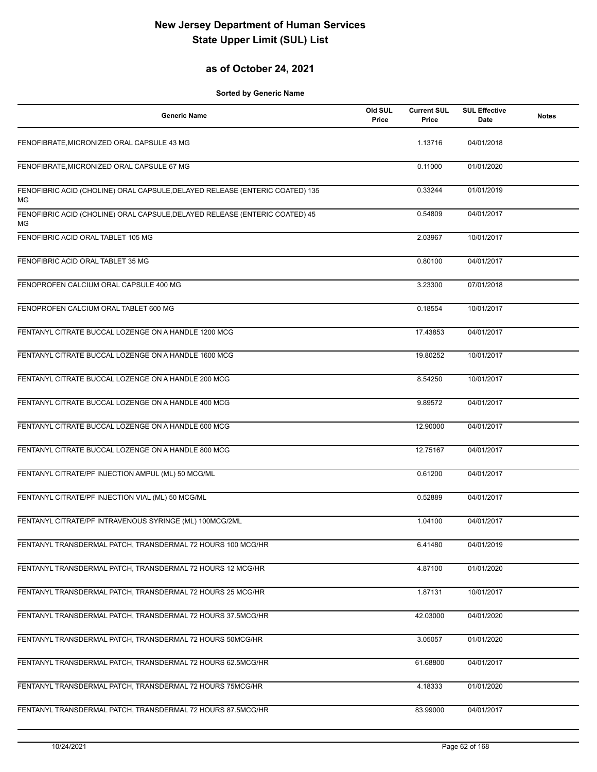## **as of October 24, 2021**

| <b>Generic Name</b>                                                                | Old SUL<br>Price | <b>Current SUL</b><br>Price | <b>SUL Effective</b><br>Date | <b>Notes</b> |
|------------------------------------------------------------------------------------|------------------|-----------------------------|------------------------------|--------------|
| FENOFIBRATE, MICRONIZED ORAL CAPSULE 43 MG                                         |                  | 1.13716                     | 04/01/2018                   |              |
| FENOFIBRATE, MICRONIZED ORAL CAPSULE 67 MG                                         |                  | 0.11000                     | 01/01/2020                   |              |
| FENOFIBRIC ACID (CHOLINE) ORAL CAPSULE, DELAYED RELEASE (ENTERIC COATED) 135<br>ΜG |                  | 0.33244                     | 01/01/2019                   |              |
| FENOFIBRIC ACID (CHOLINE) ORAL CAPSULE, DELAYED RELEASE (ENTERIC COATED) 45<br>МG  |                  | 0.54809                     | 04/01/2017                   |              |
| FENOFIBRIC ACID ORAL TABLET 105 MG                                                 |                  | 2.03967                     | 10/01/2017                   |              |
| FENOFIBRIC ACID ORAL TABLET 35 MG                                                  |                  | 0.80100                     | 04/01/2017                   |              |
| FENOPROFEN CALCIUM ORAL CAPSULE 400 MG                                             |                  | 3.23300                     | 07/01/2018                   |              |
| FENOPROFEN CALCIUM ORAL TABLET 600 MG                                              |                  | 0.18554                     | 10/01/2017                   |              |
| FENTANYL CITRATE BUCCAL LOZENGE ON A HANDLE 1200 MCG                               |                  | 17.43853                    | 04/01/2017                   |              |
| FENTANYL CITRATE BUCCAL LOZENGE ON A HANDLE 1600 MCG                               |                  | 19.80252                    | 10/01/2017                   |              |
| FENTANYL CITRATE BUCCAL LOZENGE ON A HANDLE 200 MCG                                |                  | 8.54250                     | 10/01/2017                   |              |
| FENTANYL CITRATE BUCCAL LOZENGE ON A HANDLE 400 MCG                                |                  | 9.89572                     | 04/01/2017                   |              |
| FENTANYL CITRATE BUCCAL LOZENGE ON A HANDLE 600 MCG                                |                  | 12.90000                    | 04/01/2017                   |              |
| FENTANYL CITRATE BUCCAL LOZENGE ON A HANDLE 800 MCG                                |                  | 12.75167                    | 04/01/2017                   |              |
| FENTANYL CITRATE/PF INJECTION AMPUL (ML) 50 MCG/ML                                 |                  | 0.61200                     | 04/01/2017                   |              |
| FENTANYL CITRATE/PF INJECTION VIAL (ML) 50 MCG/ML                                  |                  | 0.52889                     | 04/01/2017                   |              |
| FENTANYL CITRATE/PF INTRAVENOUS SYRINGE (ML) 100MCG/2ML                            |                  | 1.04100                     | 04/01/2017                   |              |
| FENTANYL TRANSDERMAL PATCH, TRANSDERMAL 72 HOURS 100 MCG/HR                        |                  | 6.41480                     | 04/01/2019                   |              |
| FENTANYL TRANSDERMAL PATCH, TRANSDERMAL 72 HOURS 12 MCG/HR                         |                  | 4.87100                     | 01/01/2020                   |              |
| FENTANYL TRANSDERMAL PATCH, TRANSDERMAL 72 HOURS 25 MCG/HR                         |                  | 1.87131                     | 10/01/2017                   |              |
| FENTANYL TRANSDERMAL PATCH, TRANSDERMAL 72 HOURS 37.5MCG/HR                        |                  | 42.03000                    | 04/01/2020                   |              |
| FENTANYL TRANSDERMAL PATCH, TRANSDERMAL 72 HOURS 50MCG/HR                          |                  | 3.05057                     | 01/01/2020                   |              |
| FENTANYL TRANSDERMAL PATCH, TRANSDERMAL 72 HOURS 62.5MCG/HR                        |                  | 61.68800                    | 04/01/2017                   |              |
| FENTANYL TRANSDERMAL PATCH, TRANSDERMAL 72 HOURS 75MCG/HR                          |                  | 4.18333                     | 01/01/2020                   |              |
| FENTANYL TRANSDERMAL PATCH, TRANSDERMAL 72 HOURS 87.5MCG/HR                        |                  | 83.99000                    | 04/01/2017                   |              |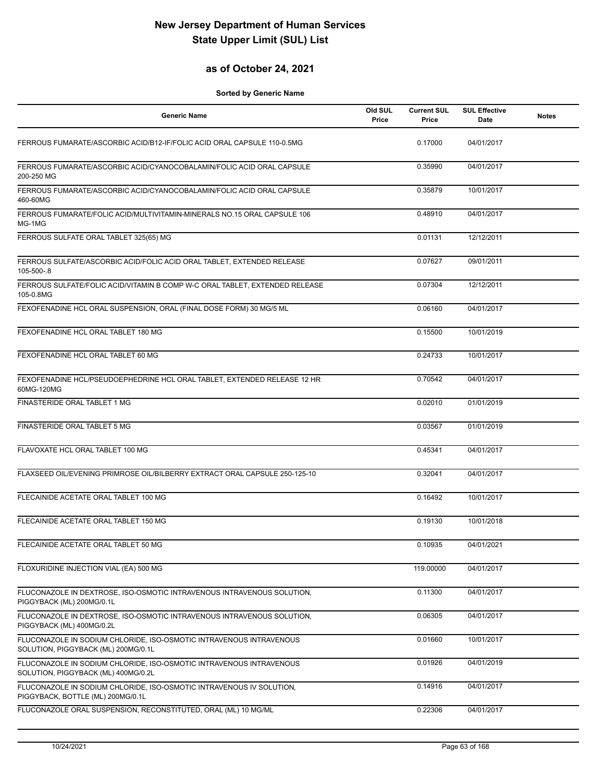## **as of October 24, 2021**

| <b>Generic Name</b>                                                                                        | Old SUL<br>Price | <b>Current SUL</b><br>Price | <b>SUL Effective</b><br>Date | <b>Notes</b> |
|------------------------------------------------------------------------------------------------------------|------------------|-----------------------------|------------------------------|--------------|
| FERROUS FUMARATE/ASCORBIC ACID/B12-IF/FOLIC ACID ORAL CAPSULE 110-0.5MG                                    |                  | 0.17000                     | 04/01/2017                   |              |
| FERROUS FUMARATE/ASCORBIC ACID/CYANOCOBALAMIN/FOLIC ACID ORAL CAPSULE<br>200-250 MG                        |                  | 0.35990                     | 04/01/2017                   |              |
| FERROUS FUMARATE/ASCORBIC ACID/CYANOCOBALAMIN/FOLIC ACID ORAL CAPSULE<br>460-60MG                          |                  | 0.35879                     | 10/01/2017                   |              |
| FERROUS FUMARATE/FOLIC ACID/MULTIVITAMIN-MINERALS NO.15 ORAL CAPSULE 106<br>MG-1MG                         |                  | 0.48910                     | 04/01/2017                   |              |
| FERROUS SULFATE ORAL TABLET 325(65) MG                                                                     |                  | 0.01131                     | 12/12/2011                   |              |
| FERROUS SULFATE/ASCORBIC ACID/FOLIC ACID ORAL TABLET, EXTENDED RELEASE<br>105-500-.8                       |                  | 0.07627                     | 09/01/2011                   |              |
| FERROUS SULFATE/FOLIC ACID/VITAMIN B COMP W-C ORAL TABLET, EXTENDED RELEASE<br>105-0.8MG                   |                  | 0.07304                     | 12/12/2011                   |              |
| FEXOFENADINE HCL ORAL SUSPENSION, ORAL (FINAL DOSE FORM) 30 MG/5 ML                                        |                  | 0.06160                     | 04/01/2017                   |              |
| FEXOFENADINE HCL ORAL TABLET 180 MG                                                                        |                  | 0.15500                     | 10/01/2019                   |              |
| FEXOFENADINE HCL ORAL TABLET 60 MG                                                                         |                  | 0.24733                     | 10/01/2017                   |              |
| FEXOFENADINE HCL/PSEUDOEPHEDRINE HCL ORAL TABLET, EXTENDED RELEASE 12 HR<br>60MG-120MG                     |                  | 0.70542                     | 04/01/2017                   |              |
| FINASTERIDE ORAL TABLET 1 MG                                                                               |                  | 0.02010                     | 01/01/2019                   |              |
| FINASTERIDE ORAL TABLET 5 MG                                                                               |                  | 0.03567                     | 01/01/2019                   |              |
| FLAVOXATE HCL ORAL TABLET 100 MG                                                                           |                  | 0.45341                     | 04/01/2017                   |              |
| FLAXSEED OIL/EVENING PRIMROSE OIL/BILBERRY EXTRACT ORAL CAPSULE 250-125-10                                 |                  | 0.32041                     | 04/01/2017                   |              |
| FLECAINIDE ACETATE ORAL TABLET 100 MG                                                                      |                  | 0.16492                     | 10/01/2017                   |              |
| FLECAINIDE ACETATE ORAL TABLET 150 MG                                                                      |                  | 0.19130                     | 10/01/2018                   |              |
| FLECAINIDE ACETATE ORAL TABLET 50 MG                                                                       |                  | 0.10935                     | 04/01/2021                   |              |
| FLOXURIDINE INJECTION VIAL (EA) 500 MG                                                                     |                  | 119.00000                   | 04/01/2017                   |              |
| FLUCONAZOLE IN DEXTROSE, ISO-OSMOTIC INTRAVENOUS INTRAVENOUS SOLUTION,<br>PIGGYBACK (ML) 200MG/0.1L        |                  | 0.11300                     | 04/01/2017                   |              |
| FLUCONAZOLE IN DEXTROSE, ISO-OSMOTIC INTRAVENOUS INTRAVENOUS SOLUTION,<br>PIGGYBACK (ML) 400MG/0.2L        |                  | 0.06305                     | 04/01/2017                   |              |
| FLUCONAZOLE IN SODIUM CHLORIDE, ISO-OSMOTIC INTRAVENOUS INTRAVENOUS<br>SOLUTION, PIGGYBACK (ML) 200MG/0.1L |                  | 0.01660                     | 10/01/2017                   |              |
| FLUCONAZOLE IN SODIUM CHLORIDE, ISO-OSMOTIC INTRAVENOUS INTRAVENOUS<br>SOLUTION, PIGGYBACK (ML) 400MG/0.2L |                  | 0.01926                     | 04/01/2019                   |              |
| FLUCONAZOLE IN SODIUM CHLORIDE, ISO-OSMOTIC INTRAVENOUS IV SOLUTION,<br>PIGGYBACK, BOTTLE (ML) 200MG/0.1L  |                  | 0.14916                     | 04/01/2017                   |              |
| FLUCONAZOLE ORAL SUSPENSION, RECONSTITUTED, ORAL (ML) 10 MG/ML                                             |                  | 0.22306                     | 04/01/2017                   |              |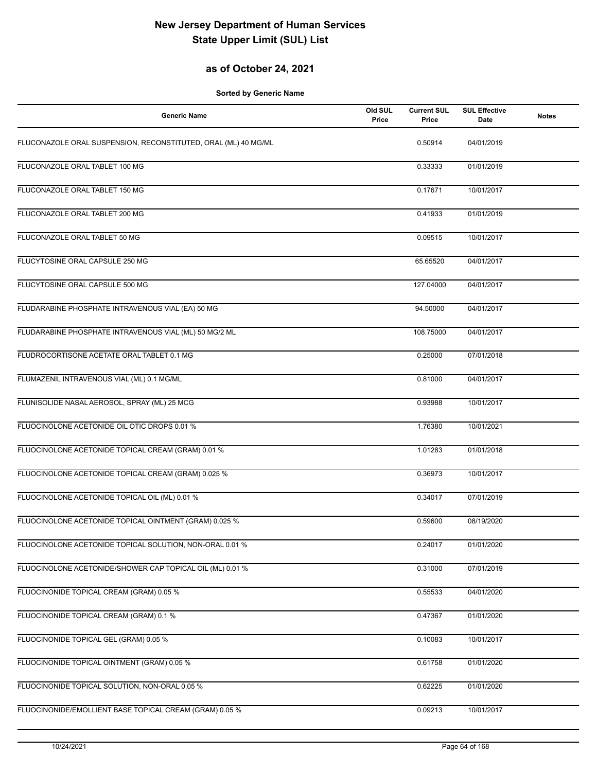## **as of October 24, 2021**

| <b>Generic Name</b>                                            | Old SUL<br>Price | <b>Current SUL</b><br>Price | <b>SUL Effective</b><br><b>Date</b> | <b>Notes</b> |
|----------------------------------------------------------------|------------------|-----------------------------|-------------------------------------|--------------|
| FLUCONAZOLE ORAL SUSPENSION, RECONSTITUTED, ORAL (ML) 40 MG/ML |                  | 0.50914                     | 04/01/2019                          |              |
| FLUCONAZOLE ORAL TABLET 100 MG                                 |                  | 0.33333                     | 01/01/2019                          |              |
| FLUCONAZOLE ORAL TABLET 150 MG                                 |                  | 0.17671                     | 10/01/2017                          |              |
| FLUCONAZOLE ORAL TABLET 200 MG                                 |                  | 0.41933                     | 01/01/2019                          |              |
| FLUCONAZOLE ORAL TABLET 50 MG                                  |                  | 0.09515                     | 10/01/2017                          |              |
| FLUCYTOSINE ORAL CAPSULE 250 MG                                |                  | 65.65520                    | 04/01/2017                          |              |
| FLUCYTOSINE ORAL CAPSULE 500 MG                                |                  | 127.04000                   | 04/01/2017                          |              |
| FLUDARABINE PHOSPHATE INTRAVENOUS VIAL (EA) 50 MG              |                  | 94.50000                    | 04/01/2017                          |              |
| FLUDARABINE PHOSPHATE INTRAVENOUS VIAL (ML) 50 MG/2 ML         |                  | 108.75000                   | 04/01/2017                          |              |
| FLUDROCORTISONE ACETATE ORAL TABLET 0.1 MG                     |                  | 0.25000                     | 07/01/2018                          |              |
| FLUMAZENIL INTRAVENOUS VIAL (ML) 0.1 MG/ML                     |                  | 0.81000                     | 04/01/2017                          |              |
| FLUNISOLIDE NASAL AEROSOL, SPRAY (ML) 25 MCG                   |                  | 0.93988                     | 10/01/2017                          |              |
| FLUOCINOLONE ACETONIDE OIL OTIC DROPS 0.01 %                   |                  | 1.76380                     | 10/01/2021                          |              |
| FLUOCINOLONE ACETONIDE TOPICAL CREAM (GRAM) 0.01 %             |                  | 1.01283                     | 01/01/2018                          |              |
| FLUOCINOLONE ACETONIDE TOPICAL CREAM (GRAM) 0.025 %            |                  | 0.36973                     | 10/01/2017                          |              |
| FLUOCINOLONE ACETONIDE TOPICAL OIL (ML) 0.01 %                 |                  | 0.34017                     | 07/01/2019                          |              |
| FLUOCINOLONE ACETONIDE TOPICAL OINTMENT (GRAM) 0.025 %         |                  | 0.59600                     | 08/19/2020                          |              |
| FLUOCINOLONE ACETONIDE TOPICAL SOLUTION, NON-ORAL 0.01 %       |                  | 0.24017                     | 01/01/2020                          |              |
| FLUOCINOLONE ACETONIDE/SHOWER CAP TOPICAL OIL (ML) 0.01 %      |                  | 0.31000                     | 07/01/2019                          |              |
| FLUOCINONIDE TOPICAL CREAM (GRAM) 0.05 %                       |                  | 0.55533                     | 04/01/2020                          |              |
| FLUOCINONIDE TOPICAL CREAM (GRAM) 0.1 %                        |                  | 0.47367                     | 01/01/2020                          |              |
| FLUOCINONIDE TOPICAL GEL (GRAM) 0.05 %                         |                  | 0.10083                     | 10/01/2017                          |              |
| FLUOCINONIDE TOPICAL OINTMENT (GRAM) 0.05 %                    |                  | 0.61758                     | 01/01/2020                          |              |
| FLUOCINONIDE TOPICAL SOLUTION, NON-ORAL 0.05 %                 |                  | 0.62225                     | 01/01/2020                          |              |
| FLUOCINONIDE/EMOLLIENT BASE TOPICAL CREAM (GRAM) 0.05 %        |                  | 0.09213                     | 10/01/2017                          |              |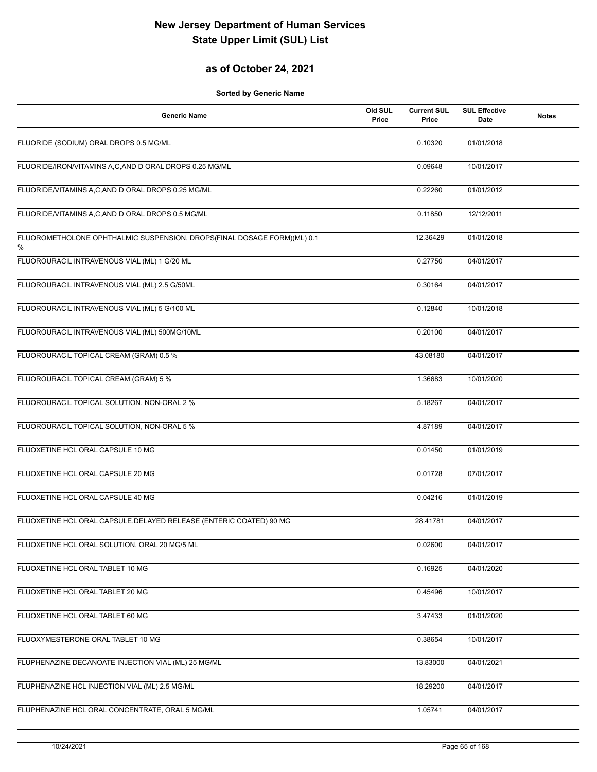## **as of October 24, 2021**

| <b>Generic Name</b>                                                          | Old SUL<br>Price | <b>Current SUL</b><br>Price | <b>SUL Effective</b><br><b>Date</b> | <b>Notes</b> |
|------------------------------------------------------------------------------|------------------|-----------------------------|-------------------------------------|--------------|
| FLUORIDE (SODIUM) ORAL DROPS 0.5 MG/ML                                       |                  | 0.10320                     | 01/01/2018                          |              |
| FLUORIDE/IRON/VITAMINS A,C,AND D ORAL DROPS 0.25 MG/ML                       |                  | 0.09648                     | 10/01/2017                          |              |
| FLUORIDE/VITAMINS A,C,AND D ORAL DROPS 0.25 MG/ML                            |                  | 0.22260                     | 01/01/2012                          |              |
| FLUORIDE/VITAMINS A,C,AND D ORAL DROPS 0.5 MG/ML                             |                  | 0.11850                     | 12/12/2011                          |              |
| FLUOROMETHOLONE OPHTHALMIC SUSPENSION, DROPS(FINAL DOSAGE FORM)(ML) 0.1<br>% |                  | 12.36429                    | 01/01/2018                          |              |
| FLUOROURACIL INTRAVENOUS VIAL (ML) 1 G/20 ML                                 |                  | 0.27750                     | 04/01/2017                          |              |
| FLUOROURACIL INTRAVENOUS VIAL (ML) 2.5 G/50ML                                |                  | 0.30164                     | 04/01/2017                          |              |
| FLUOROURACIL INTRAVENOUS VIAL (ML) 5 G/100 ML                                |                  | 0.12840                     | 10/01/2018                          |              |
| FLUOROURACIL INTRAVENOUS VIAL (ML) 500MG/10ML                                |                  | 0.20100                     | 04/01/2017                          |              |
| FLUOROURACIL TOPICAL CREAM (GRAM) 0.5 %                                      |                  | 43.08180                    | 04/01/2017                          |              |
| FLUOROURACIL TOPICAL CREAM (GRAM) 5 %                                        |                  | 1.36683                     | 10/01/2020                          |              |
| FLUOROURACIL TOPICAL SOLUTION, NON-ORAL 2 %                                  |                  | 5.18267                     | 04/01/2017                          |              |
| FLUOROURACIL TOPICAL SOLUTION, NON-ORAL 5 %                                  |                  | 4.87189                     | 04/01/2017                          |              |
| FLUOXETINE HCL ORAL CAPSULE 10 MG                                            |                  | 0.01450                     | 01/01/2019                          |              |
| FLUOXETINE HCL ORAL CAPSULE 20 MG                                            |                  | 0.01728                     | 07/01/2017                          |              |
| FLUOXETINE HCL ORAL CAPSULE 40 MG                                            |                  | 0.04216                     | 01/01/2019                          |              |
| FLUOXETINE HCL ORAL CAPSULE, DELAYED RELEASE (ENTERIC COATED) 90 MG          |                  | 28.41781                    | 04/01/2017                          |              |
| FLUOXETINE HCL ORAL SOLUTION, ORAL 20 MG/5 ML                                |                  | 0.02600                     | 04/01/2017                          |              |
| FLUOXETINE HCL ORAL TABLET 10 MG                                             |                  | 0.16925                     | 04/01/2020                          |              |
| FLUOXETINE HCL ORAL TABLET 20 MG                                             |                  | 0.45496                     | 10/01/2017                          |              |
| FLUOXETINE HCL ORAL TABLET 60 MG                                             |                  | 3.47433                     | 01/01/2020                          |              |
| FLUOXYMESTERONE ORAL TABLET 10 MG                                            |                  | 0.38654                     | 10/01/2017                          |              |
| FLUPHENAZINE DECANOATE INJECTION VIAL (ML) 25 MG/ML                          |                  | 13.83000                    | 04/01/2021                          |              |
| FLUPHENAZINE HCL INJECTION VIAL (ML) 2.5 MG/ML                               |                  | 18.29200                    | 04/01/2017                          |              |
| FLUPHENAZINE HCL ORAL CONCENTRATE, ORAL 5 MG/ML                              |                  | 1.05741                     | 04/01/2017                          |              |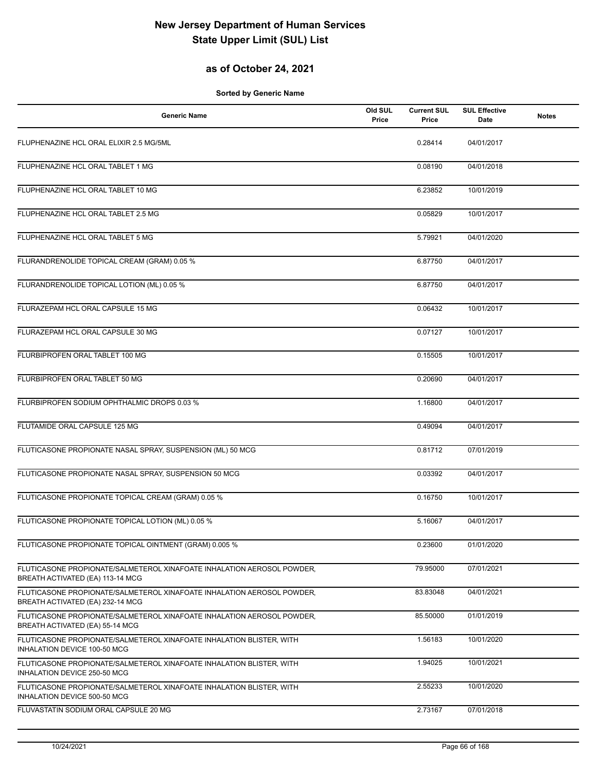## **as of October 24, 2021**

| <b>Generic Name</b>                                                                                        | Old SUL<br>Price | <b>Current SUL</b><br>Price | <b>SUL Effective</b><br>Date | <b>Notes</b> |
|------------------------------------------------------------------------------------------------------------|------------------|-----------------------------|------------------------------|--------------|
| FLUPHENAZINE HCL ORAL ELIXIR 2.5 MG/5ML                                                                    |                  | 0.28414                     | 04/01/2017                   |              |
| FLUPHENAZINE HCL ORAL TABLET 1 MG                                                                          |                  | 0.08190                     | 04/01/2018                   |              |
| FLUPHENAZINE HCL ORAL TABLET 10 MG                                                                         |                  | 6.23852                     | 10/01/2019                   |              |
| FLUPHENAZINE HCL ORAL TABLET 2.5 MG                                                                        |                  | 0.05829                     | 10/01/2017                   |              |
| FLUPHENAZINE HCL ORAL TABLET 5 MG                                                                          |                  | 5.79921                     | 04/01/2020                   |              |
| FLURANDRENOLIDE TOPICAL CREAM (GRAM) 0.05 %                                                                |                  | 6.87750                     | 04/01/2017                   |              |
| FLURANDRENOLIDE TOPICAL LOTION (ML) 0.05 %                                                                 |                  | 6.87750                     | 04/01/2017                   |              |
| FLURAZEPAM HCL ORAL CAPSULE 15 MG                                                                          |                  | 0.06432                     | 10/01/2017                   |              |
| FLURAZEPAM HCL ORAL CAPSULE 30 MG                                                                          |                  | 0.07127                     | 10/01/2017                   |              |
| FLURBIPROFEN ORAL TABLET 100 MG                                                                            |                  | 0.15505                     | 10/01/2017                   |              |
| FLURBIPROFEN ORAL TABLET 50 MG                                                                             |                  | 0.20690                     | 04/01/2017                   |              |
| FLURBIPROFEN SODIUM OPHTHALMIC DROPS 0.03 %                                                                |                  | 1.16800                     | 04/01/2017                   |              |
| FLUTAMIDE ORAL CAPSULE 125 MG                                                                              |                  | 0.49094                     | 04/01/2017                   |              |
| FLUTICASONE PROPIONATE NASAL SPRAY, SUSPENSION (ML) 50 MCG                                                 |                  | 0.81712                     | 07/01/2019                   |              |
| FLUTICASONE PROPIONATE NASAL SPRAY, SUSPENSION 50 MCG                                                      |                  | 0.03392                     | 04/01/2017                   |              |
| FLUTICASONE PROPIONATE TOPICAL CREAM (GRAM) 0.05 %                                                         |                  | 0.16750                     | 10/01/2017                   |              |
| FLUTICASONE PROPIONATE TOPICAL LOTION (ML) 0.05 %                                                          |                  | 5.16067                     | 04/01/2017                   |              |
| FLUTICASONE PROPIONATE TOPICAL OINTMENT (GRAM) 0.005 %                                                     |                  | 0.23600                     | 01/01/2020                   |              |
| FLUTICASONE PROPIONATE/SALMETEROL XINAFOATE INHALATION AEROSOL POWDER,<br>BREATH ACTIVATED (EA) 113-14 MCG |                  | 79.95000                    | 07/01/2021                   |              |
| FLUTICASONE PROPIONATE/SALMETEROL XINAFOATE INHALATION AEROSOL POWDER,<br>BREATH ACTIVATED (EA) 232-14 MCG |                  | 83.83048                    | 04/01/2021                   |              |
| FLUTICASONE PROPIONATE/SALMETEROL XINAFOATE INHALATION AEROSOL POWDER,<br>BREATH ACTIVATED (EA) 55-14 MCG  |                  | 85.50000                    | 01/01/2019                   |              |
| FLUTICASONE PROPIONATE/SALMETEROL XINAFOATE INHALATION BLISTER, WITH<br>INHALATION DEVICE 100-50 MCG       |                  | 1.56183                     | 10/01/2020                   |              |
| FLUTICASONE PROPIONATE/SALMETEROL XINAFOATE INHALATION BLISTER, WITH<br>INHALATION DEVICE 250-50 MCG       |                  | 1.94025                     | 10/01/2021                   |              |
| FLUTICASONE PROPIONATE/SALMETEROL XINAFOATE INHALATION BLISTER, WITH<br>INHALATION DEVICE 500-50 MCG       |                  | 2.55233                     | 10/01/2020                   |              |
| FLUVASTATIN SODIUM ORAL CAPSULE 20 MG                                                                      |                  | 2.73167                     | 07/01/2018                   |              |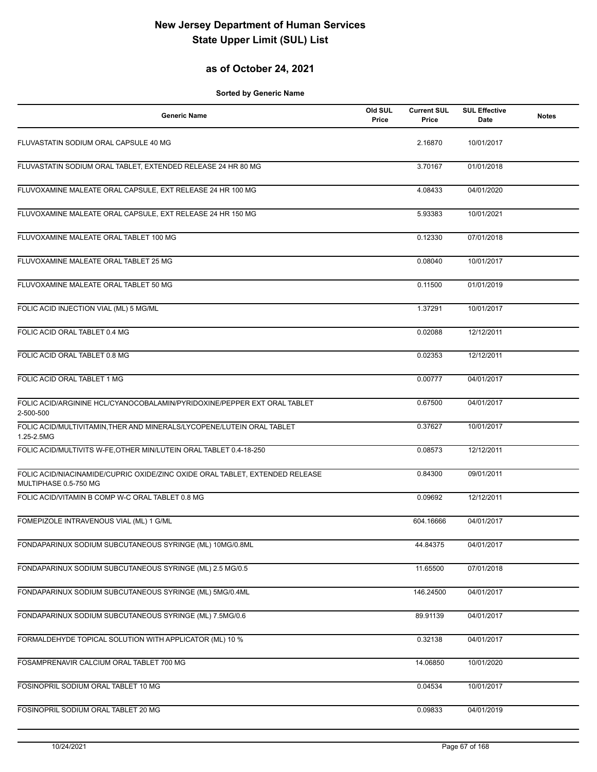#### **as of October 24, 2021**

| <b>Generic Name</b>                                                                                   | Old SUL<br>Price | <b>Current SUL</b><br>Price | <b>SUL Effective</b><br>Date | <b>Notes</b> |
|-------------------------------------------------------------------------------------------------------|------------------|-----------------------------|------------------------------|--------------|
| FLUVASTATIN SODIUM ORAL CAPSULE 40 MG                                                                 |                  | 2.16870                     | 10/01/2017                   |              |
| FLUVASTATIN SODIUM ORAL TABLET, EXTENDED RELEASE 24 HR 80 MG                                          |                  | 3.70167                     | 01/01/2018                   |              |
| FLUVOXAMINE MALEATE ORAL CAPSULE, EXT RELEASE 24 HR 100 MG                                            |                  | 4.08433                     | 04/01/2020                   |              |
| FLUVOXAMINE MALEATE ORAL CAPSULE, EXT RELEASE 24 HR 150 MG                                            |                  | 5.93383                     | 10/01/2021                   |              |
| FLUVOXAMINE MALEATE ORAL TABLET 100 MG                                                                |                  | 0.12330                     | 07/01/2018                   |              |
| FLUVOXAMINE MALEATE ORAL TABLET 25 MG                                                                 |                  | 0.08040                     | 10/01/2017                   |              |
| FLUVOXAMINE MALEATE ORAL TABLET 50 MG                                                                 |                  | 0.11500                     | 01/01/2019                   |              |
| FOLIC ACID INJECTION VIAL (ML) 5 MG/ML                                                                |                  | 1.37291                     | 10/01/2017                   |              |
| FOLIC ACID ORAL TABLET 0.4 MG                                                                         |                  | 0.02088                     | 12/12/2011                   |              |
| FOLIC ACID ORAL TABLET 0.8 MG                                                                         |                  | 0.02353                     | 12/12/2011                   |              |
| FOLIC ACID ORAL TABLET 1 MG                                                                           |                  | 0.00777                     | 04/01/2017                   |              |
| FOLIC ACID/ARGININE HCL/CYANOCOBALAMIN/PYRIDOXINE/PEPPER EXT ORAL TABLET<br>2-500-500                 |                  | 0.67500                     | 04/01/2017                   |              |
| FOLIC ACID/MULTIVITAMIN, THER AND MINERALS/LYCOPENE/LUTEIN ORAL TABLET<br>1.25-2.5MG                  |                  | 0.37627                     | 10/01/2017                   |              |
| FOLIC ACID/MULTIVITS W-FE, OTHER MIN/LUTEIN ORAL TABLET 0.4-18-250                                    |                  | 0.08573                     | 12/12/2011                   |              |
| FOLIC ACID/NIACINAMIDE/CUPRIC OXIDE/ZINC OXIDE ORAL TABLET, EXTENDED RELEASE<br>MULTIPHASE 0.5-750 MG |                  | 0.84300                     | 09/01/2011                   |              |
| FOLIC ACID/VITAMIN B COMP W-C ORAL TABLET 0.8 MG                                                      |                  | 0.09692                     | 12/12/2011                   |              |
| FOMEPIZOLE INTRAVENOUS VIAL (ML) 1 G/ML                                                               |                  | 604.16666                   | 04/01/2017                   |              |
| FONDAPARINUX SODIUM SUBCUTANEOUS SYRINGE (ML) 10MG/0.8ML                                              |                  | 44.84375                    | 04/01/2017                   |              |
| FONDAPARINUX SODIUM SUBCUTANEOUS SYRINGE (ML) 2.5 MG/0.5                                              |                  | 11.65500                    | 07/01/2018                   |              |
| FONDAPARINUX SODIUM SUBCUTANEOUS SYRINGE (ML) 5MG/0.4ML                                               |                  | 146.24500                   | 04/01/2017                   |              |
| FONDAPARINUX SODIUM SUBCUTANEOUS SYRINGE (ML) 7.5MG/0.6                                               |                  | 89.91139                    | 04/01/2017                   |              |
| FORMALDEHYDE TOPICAL SOLUTION WITH APPLICATOR (ML) 10 %                                               |                  | 0.32138                     | 04/01/2017                   |              |
| FOSAMPRENAVIR CALCIUM ORAL TABLET 700 MG                                                              |                  | 14.06850                    | 10/01/2020                   |              |
| FOSINOPRIL SODIUM ORAL TABLET 10 MG                                                                   |                  | 0.04534                     | 10/01/2017                   |              |
| FOSINOPRIL SODIUM ORAL TABLET 20 MG                                                                   |                  | 0.09833                     | 04/01/2019                   |              |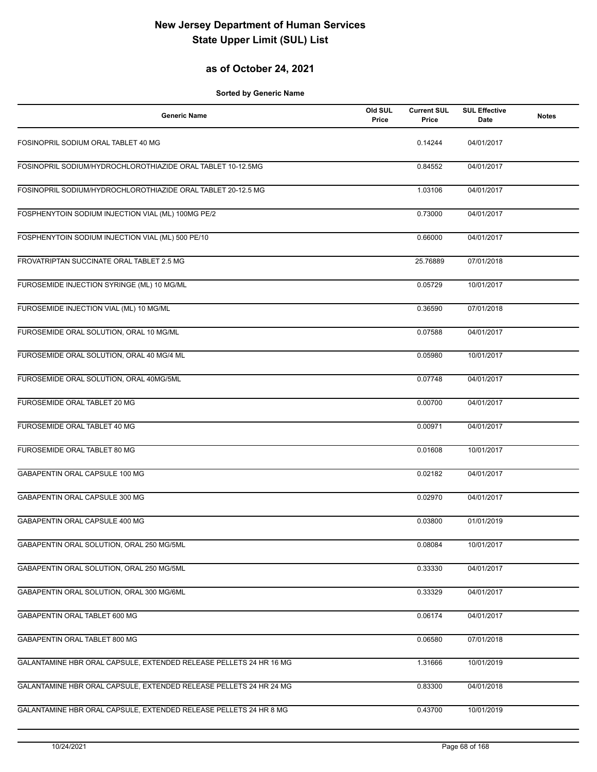## **as of October 24, 2021**

| <b>Generic Name</b>                                                | Old SUL<br>Price | <b>Current SUL</b><br>Price | <b>SUL Effective</b><br>Date | <b>Notes</b> |
|--------------------------------------------------------------------|------------------|-----------------------------|------------------------------|--------------|
| FOSINOPRIL SODIUM ORAL TABLET 40 MG                                |                  | 0.14244                     | 04/01/2017                   |              |
| FOSINOPRIL SODIUM/HYDROCHLOROTHIAZIDE ORAL TABLET 10-12.5MG        |                  | 0.84552                     | 04/01/2017                   |              |
| FOSINOPRIL SODIUM/HYDROCHLOROTHIAZIDE ORAL TABLET 20-12.5 MG       |                  | 1.03106                     | 04/01/2017                   |              |
| FOSPHENYTOIN SODIUM INJECTION VIAL (ML) 100MG PE/2                 |                  | 0.73000                     | 04/01/2017                   |              |
| FOSPHENYTOIN SODIUM INJECTION VIAL (ML) 500 PE/10                  |                  | 0.66000                     | 04/01/2017                   |              |
| FROVATRIPTAN SUCCINATE ORAL TABLET 2.5 MG                          |                  | 25.76889                    | 07/01/2018                   |              |
| FUROSEMIDE INJECTION SYRINGE (ML) 10 MG/ML                         |                  | 0.05729                     | 10/01/2017                   |              |
| FUROSEMIDE INJECTION VIAL (ML) 10 MG/ML                            |                  | 0.36590                     | 07/01/2018                   |              |
| FUROSEMIDE ORAL SOLUTION, ORAL 10 MG/ML                            |                  | 0.07588                     | 04/01/2017                   |              |
| FUROSEMIDE ORAL SOLUTION, ORAL 40 MG/4 ML                          |                  | 0.05980                     | 10/01/2017                   |              |
| FUROSEMIDE ORAL SOLUTION, ORAL 40MG/5ML                            |                  | 0.07748                     | 04/01/2017                   |              |
| FUROSEMIDE ORAL TABLET 20 MG                                       |                  | 0.00700                     | 04/01/2017                   |              |
| FUROSEMIDE ORAL TABLET 40 MG                                       |                  | 0.00971                     | 04/01/2017                   |              |
| FUROSEMIDE ORAL TABLET 80 MG                                       |                  | 0.01608                     | 10/01/2017                   |              |
| GABAPENTIN ORAL CAPSULE 100 MG                                     |                  | 0.02182                     | 04/01/2017                   |              |
| GABAPENTIN ORAL CAPSULE 300 MG                                     |                  | 0.02970                     | 04/01/2017                   |              |
| <b>GABAPENTIN ORAL CAPSULE 400 MG</b>                              |                  | 0.03800                     | 01/01/2019                   |              |
| GABAPENTIN ORAL SOLUTION, ORAL 250 MG/5ML                          |                  | 0.08084                     | 10/01/2017                   |              |
| GABAPENTIN ORAL SOLUTION, ORAL 250 MG/5ML                          |                  | 0.33330                     | 04/01/2017                   |              |
| GABAPENTIN ORAL SOLUTION, ORAL 300 MG/6ML                          |                  | 0.33329                     | 04/01/2017                   |              |
| GABAPENTIN ORAL TABLET 600 MG                                      |                  | 0.06174                     | 04/01/2017                   |              |
| GABAPENTIN ORAL TABLET 800 MG                                      |                  | 0.06580                     | 07/01/2018                   |              |
| GALANTAMINE HBR ORAL CAPSULE, EXTENDED RELEASE PELLETS 24 HR 16 MG |                  | 1.31666                     | 10/01/2019                   |              |
| GALANTAMINE HBR ORAL CAPSULE, EXTENDED RELEASE PELLETS 24 HR 24 MG |                  | 0.83300                     | 04/01/2018                   |              |
| GALANTAMINE HBR ORAL CAPSULE, EXTENDED RELEASE PELLETS 24 HR 8 MG  |                  | 0.43700                     | 10/01/2019                   |              |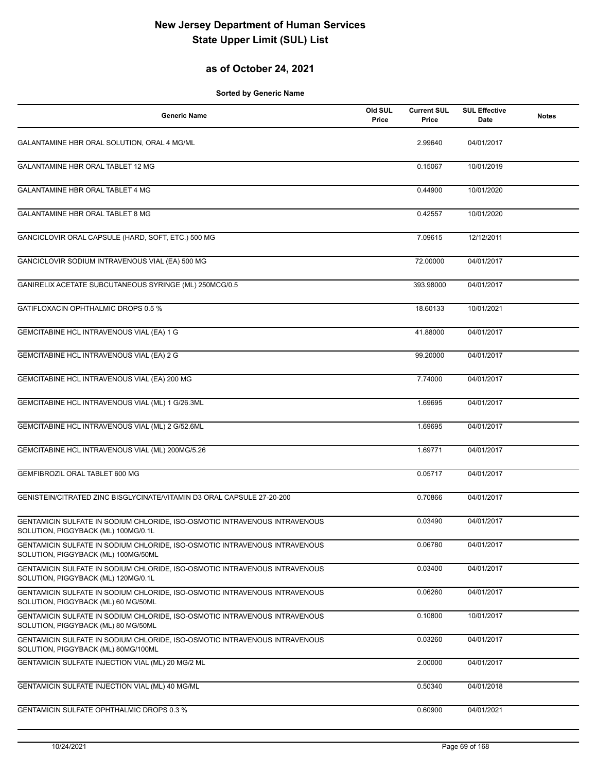## **as of October 24, 2021**

| <b>Generic Name</b>                                                                                               | Old SUL<br>Price | <b>Current SUL</b><br>Price | <b>SUL Effective</b><br>Date | <b>Notes</b> |
|-------------------------------------------------------------------------------------------------------------------|------------------|-----------------------------|------------------------------|--------------|
| GALANTAMINE HBR ORAL SOLUTION, ORAL 4 MG/ML                                                                       |                  | 2.99640                     | 04/01/2017                   |              |
| GALANTAMINE HBR ORAL TABLET 12 MG                                                                                 |                  | 0.15067                     | 10/01/2019                   |              |
| GALANTAMINE HBR ORAL TABLET 4 MG                                                                                  |                  | 0.44900                     | 10/01/2020                   |              |
| GALANTAMINE HBR ORAL TABLET 8 MG                                                                                  |                  | 0.42557                     | 10/01/2020                   |              |
| GANCICLOVIR ORAL CAPSULE (HARD, SOFT, ETC.) 500 MG                                                                |                  | 7.09615                     | 12/12/2011                   |              |
| GANCICLOVIR SODIUM INTRAVENOUS VIAL (EA) 500 MG                                                                   |                  | 72.00000                    | 04/01/2017                   |              |
| GANIRELIX ACETATE SUBCUTANEOUS SYRINGE (ML) 250MCG/0.5                                                            |                  | 393.98000                   | 04/01/2017                   |              |
| GATIFLOXACIN OPHTHALMIC DROPS 0.5 %                                                                               |                  | 18.60133                    | 10/01/2021                   |              |
| GEMCITABINE HCL INTRAVENOUS VIAL (EA) 1 G                                                                         |                  | 41.88000                    | 04/01/2017                   |              |
| GEMCITABINE HCL INTRAVENOUS VIAL (EA) 2 G                                                                         |                  | 99.20000                    | 04/01/2017                   |              |
| GEMCITABINE HCL INTRAVENOUS VIAL (EA) 200 MG                                                                      |                  | 7.74000                     | 04/01/2017                   |              |
| GEMCITABINE HCL INTRAVENOUS VIAL (ML) 1 G/26.3ML                                                                  |                  | 1.69695                     | 04/01/2017                   |              |
| GEMCITABINE HCL INTRAVENOUS VIAL (ML) 2 G/52.6ML                                                                  |                  | 1.69695                     | 04/01/2017                   |              |
| GEMCITABINE HCL INTRAVENOUS VIAL (ML) 200MG/5.26                                                                  |                  | 1.69771                     | 04/01/2017                   |              |
| GEMFIBROZIL ORAL TABLET 600 MG                                                                                    |                  | 0.05717                     | 04/01/2017                   |              |
| GENISTEIN/CITRATED ZINC BISGLYCINATE/VITAMIN D3 ORAL CAPSULE 27-20-200                                            |                  | 0.70866                     | 04/01/2017                   |              |
| GENTAMICIN SULFATE IN SODIUM CHLORIDE, ISO-OSMOTIC INTRAVENOUS INTRAVENOUS<br>SOLUTION, PIGGYBACK (ML) 100MG/0.1L |                  | 0.03490                     | 04/01/2017                   |              |
| GENTAMICIN SULFATE IN SODIUM CHLORIDE, ISO-OSMOTIC INTRAVENOUS INTRAVENOUS<br>SOLUTION, PIGGYBACK (ML) 100MG/50ML |                  | 0.06780                     | 04/01/2017                   |              |
| GENTAMICIN SULFATE IN SODIUM CHLORIDE, ISO-OSMOTIC INTRAVENOUS INTRAVENOUS<br>SOLUTION, PIGGYBACK (ML) 120MG/0.1L |                  | 0.03400                     | 04/01/2017                   |              |
| GENTAMICIN SULFATE IN SODIUM CHLORIDE, ISO-OSMOTIC INTRAVENOUS INTRAVENOUS<br>SOLUTION, PIGGYBACK (ML) 60 MG/50ML |                  | 0.06260                     | 04/01/2017                   |              |
| GENTAMICIN SULFATE IN SODIUM CHLORIDE, ISO-OSMOTIC INTRAVENOUS INTRAVENOUS<br>SOLUTION, PIGGYBACK (ML) 80 MG/50ML |                  | 0.10800                     | 10/01/2017                   |              |
| GENTAMICIN SULFATE IN SODIUM CHLORIDE, ISO-OSMOTIC INTRAVENOUS INTRAVENOUS<br>SOLUTION, PIGGYBACK (ML) 80MG/100ML |                  | 0.03260                     | 04/01/2017                   |              |
| GENTAMICIN SULFATE INJECTION VIAL (ML) 20 MG/2 ML                                                                 |                  | 2.00000                     | 04/01/2017                   |              |
| GENTAMICIN SULFATE INJECTION VIAL (ML) 40 MG/ML                                                                   |                  | 0.50340                     | 04/01/2018                   |              |
| <b>GENTAMICIN SULFATE OPHTHALMIC DROPS 0.3 %</b>                                                                  |                  | 0.60900                     | 04/01/2021                   |              |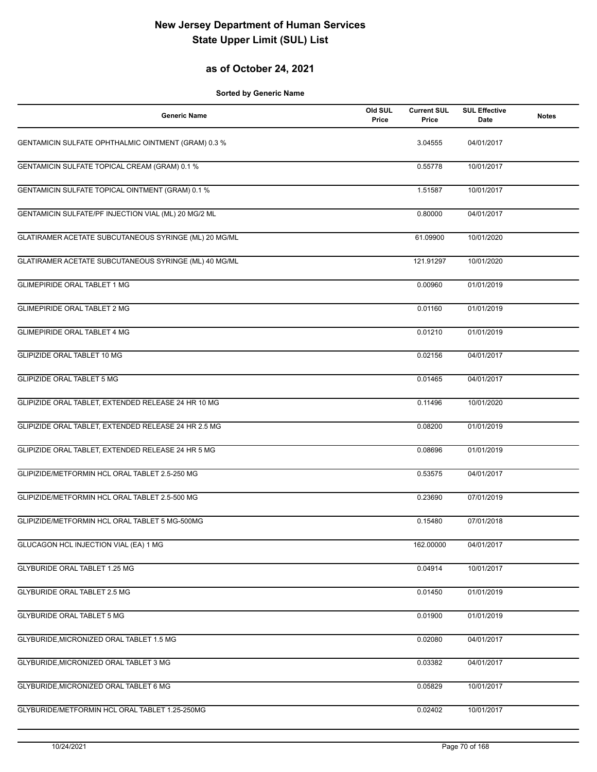## **as of October 24, 2021**

| <b>Generic Name</b>                                   | Old SUL<br>Price | <b>Current SUL</b><br>Price | <b>SUL Effective</b><br>Date | <b>Notes</b> |
|-------------------------------------------------------|------------------|-----------------------------|------------------------------|--------------|
| GENTAMICIN SULFATE OPHTHALMIC OINTMENT (GRAM) 0.3 %   |                  | 3.04555                     | 04/01/2017                   |              |
| GENTAMICIN SULFATE TOPICAL CREAM (GRAM) 0.1 %         |                  | 0.55778                     | 10/01/2017                   |              |
| GENTAMICIN SULFATE TOPICAL OINTMENT (GRAM) 0.1 %      |                  | 1.51587                     | 10/01/2017                   |              |
| GENTAMICIN SULFATE/PF INJECTION VIAL (ML) 20 MG/2 ML  |                  | 0.80000                     | 04/01/2017                   |              |
| GLATIRAMER ACETATE SUBCUTANEOUS SYRINGE (ML) 20 MG/ML |                  | 61.09900                    | 10/01/2020                   |              |
| GLATIRAMER ACETATE SUBCUTANEOUS SYRINGE (ML) 40 MG/ML |                  | 121.91297                   | 10/01/2020                   |              |
| <b>GLIMEPIRIDE ORAL TABLET 1 MG</b>                   |                  | 0.00960                     | 01/01/2019                   |              |
| <b>GLIMEPIRIDE ORAL TABLET 2 MG</b>                   |                  | 0.01160                     | 01/01/2019                   |              |
| <b>GLIMEPIRIDE ORAL TABLET 4 MG</b>                   |                  | 0.01210                     | 01/01/2019                   |              |
| GLIPIZIDE ORAL TABLET 10 MG                           |                  | 0.02156                     | 04/01/2017                   |              |
| <b>GLIPIZIDE ORAL TABLET 5 MG</b>                     |                  | 0.01465                     | 04/01/2017                   |              |
| GLIPIZIDE ORAL TABLET, EXTENDED RELEASE 24 HR 10 MG   |                  | 0.11496                     | 10/01/2020                   |              |
| GLIPIZIDE ORAL TABLET, EXTENDED RELEASE 24 HR 2.5 MG  |                  | 0.08200                     | 01/01/2019                   |              |
| GLIPIZIDE ORAL TABLET, EXTENDED RELEASE 24 HR 5 MG    |                  | 0.08696                     | 01/01/2019                   |              |
| GLIPIZIDE/METFORMIN HCL ORAL TABLET 2.5-250 MG        |                  | 0.53575                     | 04/01/2017                   |              |
| GLIPIZIDE/METFORMIN HCL ORAL TABLET 2.5-500 MG        |                  | 0.23690                     | 07/01/2019                   |              |
| GLIPIZIDE/METFORMIN HCL ORAL TABLET 5 MG-500MG        |                  | 0.15480                     | 07/01/2018                   |              |
| GLUCAGON HCL INJECTION VIAL (EA) 1 MG                 |                  | 162.00000                   | 04/01/2017                   |              |
| <b>GLYBURIDE ORAL TABLET 1.25 MG</b>                  |                  | 0.04914                     | 10/01/2017                   |              |
| <b>GLYBURIDE ORAL TABLET 2.5 MG</b>                   |                  | 0.01450                     | 01/01/2019                   |              |
| <b>GLYBURIDE ORAL TABLET 5 MG</b>                     |                  | 0.01900                     | 01/01/2019                   |              |
| GLYBURIDE, MICRONIZED ORAL TABLET 1.5 MG              |                  | 0.02080                     | 04/01/2017                   |              |
| GLYBURIDE, MICRONIZED ORAL TABLET 3 MG                |                  | 0.03382                     | 04/01/2017                   |              |
| GLYBURIDE, MICRONIZED ORAL TABLET 6 MG                |                  | 0.05829                     | 10/01/2017                   |              |
| GLYBURIDE/METFORMIN HCL ORAL TABLET 1.25-250MG        |                  | 0.02402                     | 10/01/2017                   |              |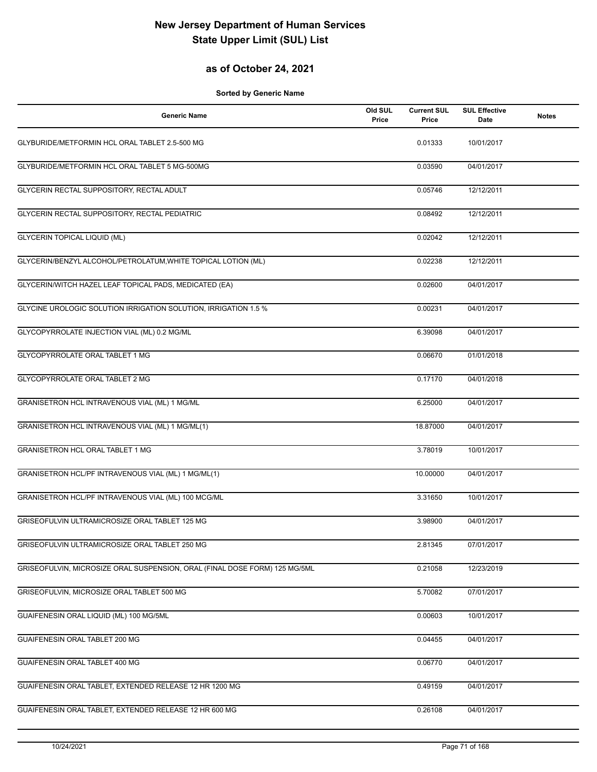## **as of October 24, 2021**

| <b>Generic Name</b>                                                        | Old SUL<br>Price | <b>Current SUL</b><br>Price | <b>SUL Effective</b><br>Date | <b>Notes</b> |
|----------------------------------------------------------------------------|------------------|-----------------------------|------------------------------|--------------|
| GLYBURIDE/METFORMIN HCL ORAL TABLET 2.5-500 MG                             |                  | 0.01333                     | 10/01/2017                   |              |
| GLYBURIDE/METFORMIN HCL ORAL TABLET 5 MG-500MG                             |                  | 0.03590                     | 04/01/2017                   |              |
| GLYCERIN RECTAL SUPPOSITORY, RECTAL ADULT                                  |                  | 0.05746                     | 12/12/2011                   |              |
| GLYCERIN RECTAL SUPPOSITORY, RECTAL PEDIATRIC                              |                  | 0.08492                     | 12/12/2011                   |              |
| <b>GLYCERIN TOPICAL LIQUID (ML)</b>                                        |                  | 0.02042                     | 12/12/2011                   |              |
| GLYCERIN/BENZYL ALCOHOL/PETROLATUM, WHITE TOPICAL LOTION (ML)              |                  | 0.02238                     | 12/12/2011                   |              |
| GLYCERIN/WITCH HAZEL LEAF TOPICAL PADS, MEDICATED (EA)                     |                  | 0.02600                     | 04/01/2017                   |              |
| GLYCINE UROLOGIC SOLUTION IRRIGATION SOLUTION, IRRIGATION 1.5 %            |                  | 0.00231                     | 04/01/2017                   |              |
| GLYCOPYRROLATE INJECTION VIAL (ML) 0.2 MG/ML                               |                  | 6.39098                     | 04/01/2017                   |              |
| GLYCOPYRROLATE ORAL TABLET 1 MG                                            |                  | 0.06670                     | 01/01/2018                   |              |
| GLYCOPYRROLATE ORAL TABLET 2 MG                                            |                  | 0.17170                     | 04/01/2018                   |              |
| GRANISETRON HCL INTRAVENOUS VIAL (ML) 1 MG/ML                              |                  | 6.25000                     | 04/01/2017                   |              |
| GRANISETRON HCL INTRAVENOUS VIAL (ML) 1 MG/ML(1)                           |                  | 18.87000                    | 04/01/2017                   |              |
| <b>GRANISETRON HCL ORAL TABLET 1 MG</b>                                    |                  | 3.78019                     | 10/01/2017                   |              |
| GRANISETRON HCL/PF INTRAVENOUS VIAL (ML) 1 MG/ML(1)                        |                  | 10.00000                    | 04/01/2017                   |              |
| GRANISETRON HCL/PF INTRAVENOUS VIAL (ML) 100 MCG/ML                        |                  | 3.31650                     | 10/01/2017                   |              |
| GRISEOFULVIN ULTRAMICROSIZE ORAL TABLET 125 MG                             |                  | 3.98900                     | 04/01/2017                   |              |
| GRISEOFULVIN ULTRAMICROSIZE ORAL TABLET 250 MG                             |                  | 2.81345                     | 07/01/2017                   |              |
| GRISEOFULVIN, MICROSIZE ORAL SUSPENSION, ORAL (FINAL DOSE FORM) 125 MG/5ML |                  | 0.21058                     | 12/23/2019                   |              |
| GRISEOFULVIN, MICROSIZE ORAL TABLET 500 MG                                 |                  | 5.70082                     | 07/01/2017                   |              |
| GUAIFENESIN ORAL LIQUID (ML) 100 MG/5ML                                    |                  | 0.00603                     | 10/01/2017                   |              |
| GUAIFENESIN ORAL TABLET 200 MG                                             |                  | 0.04455                     | 04/01/2017                   |              |
| GUAIFENESIN ORAL TABLET 400 MG                                             |                  | 0.06770                     | 04/01/2017                   |              |
| GUAIFENESIN ORAL TABLET, EXTENDED RELEASE 12 HR 1200 MG                    |                  | 0.49159                     | 04/01/2017                   |              |
| GUAIFENESIN ORAL TABLET, EXTENDED RELEASE 12 HR 600 MG                     |                  | 0.26108                     | 04/01/2017                   |              |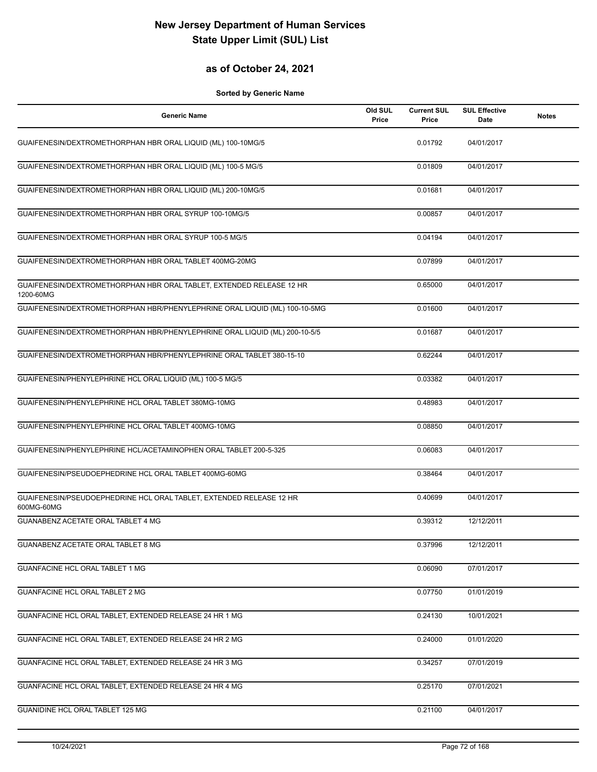## **as of October 24, 2021**

| <b>Generic Name</b>                                                               | Old SUL<br>Price | <b>Current SUL</b><br>Price | <b>SUL Effective</b><br>Date | <b>Notes</b> |
|-----------------------------------------------------------------------------------|------------------|-----------------------------|------------------------------|--------------|
| GUAIFENESIN/DEXTROMETHORPHAN HBR ORAL LIQUID (ML) 100-10MG/5                      |                  | 0.01792                     | 04/01/2017                   |              |
| GUAIFENESIN/DEXTROMETHORPHAN HBR ORAL LIQUID (ML) 100-5 MG/5                      |                  | 0.01809                     | 04/01/2017                   |              |
| GUAIFENESIN/DEXTROMETHORPHAN HBR ORAL LIQUID (ML) 200-10MG/5                      |                  | 0.01681                     | 04/01/2017                   |              |
| GUAIFENESIN/DEXTROMETHORPHAN HBR ORAL SYRUP 100-10MG/5                            |                  | 0.00857                     | 04/01/2017                   |              |
| GUAIFENESIN/DEXTROMETHORPHAN HBR ORAL SYRUP 100-5 MG/5                            |                  | 0.04194                     | 04/01/2017                   |              |
| GUAIFENESIN/DEXTROMETHORPHAN HBR ORAL TABLET 400MG-20MG                           |                  | 0.07899                     | 04/01/2017                   |              |
| GUAIFENESIN/DEXTROMETHORPHAN HBR ORAL TABLET, EXTENDED RELEASE 12 HR<br>1200-60MG |                  | 0.65000                     | 04/01/2017                   |              |
| GUAIFENESIN/DEXTROMETHORPHAN HBR/PHENYLEPHRINE ORAL LIQUID (ML) 100-10-5MG        |                  | 0.01600                     | 04/01/2017                   |              |
| GUAIFENESIN/DEXTROMETHORPHAN HBR/PHENYLEPHRINE ORAL LIQUID (ML) 200-10-5/5        |                  | 0.01687                     | 04/01/2017                   |              |
| GUAIFENESIN/DEXTROMETHORPHAN HBR/PHENYLEPHRINE ORAL TABLET 380-15-10              |                  | 0.62244                     | 04/01/2017                   |              |
| GUAIFENESIN/PHENYLEPHRINE HCL ORAL LIQUID (ML) 100-5 MG/5                         |                  | 0.03382                     | 04/01/2017                   |              |
| GUAIFENESIN/PHENYLEPHRINE HCL ORAL TABLET 380MG-10MG                              |                  | 0.48983                     | 04/01/2017                   |              |
| GUAIFENESIN/PHENYLEPHRINE HCL ORAL TABLET 400MG-10MG                              |                  | 0.08850                     | 04/01/2017                   |              |
| GUAIFENESIN/PHENYLEPHRINE HCL/ACETAMINOPHEN ORAL TABLET 200-5-325                 |                  | 0.06083                     | 04/01/2017                   |              |
| GUAIFENESIN/PSEUDOEPHEDRINE HCL ORAL TABLET 400MG-60MG                            |                  | 0.38464                     | 04/01/2017                   |              |
| GUAIFENESIN/PSEUDOEPHEDRINE HCL ORAL TABLET, EXTENDED RELEASE 12 HR<br>600MG-60MG |                  | 0.40699                     | 04/01/2017                   |              |
| GUANABENZ ACETATE ORAL TABLET 4 MG                                                |                  | 0.39312                     | 12/12/2011                   |              |
| GUANABENZ ACETATE ORAL TABLET 8 MG                                                |                  | 0.37996                     | 12/12/2011                   |              |
| <b>GUANFACINE HCL ORAL TABLET 1 MG</b>                                            |                  | 0.06090                     | 07/01/2017                   |              |
| GUANFACINE HCL ORAL TABLET 2 MG                                                   |                  | 0.07750                     | 01/01/2019                   |              |
| GUANFACINE HCL ORAL TABLET, EXTENDED RELEASE 24 HR 1 MG                           |                  | 0.24130                     | 10/01/2021                   |              |
| GUANFACINE HCL ORAL TABLET, EXTENDED RELEASE 24 HR 2 MG                           |                  | 0.24000                     | 01/01/2020                   |              |
| GUANFACINE HCL ORAL TABLET, EXTENDED RELEASE 24 HR 3 MG                           |                  | 0.34257                     | 07/01/2019                   |              |
| GUANFACINE HCL ORAL TABLET, EXTENDED RELEASE 24 HR 4 MG                           |                  | 0.25170                     | 07/01/2021                   |              |
| GUANIDINE HCL ORAL TABLET 125 MG                                                  |                  | 0.21100                     | 04/01/2017                   |              |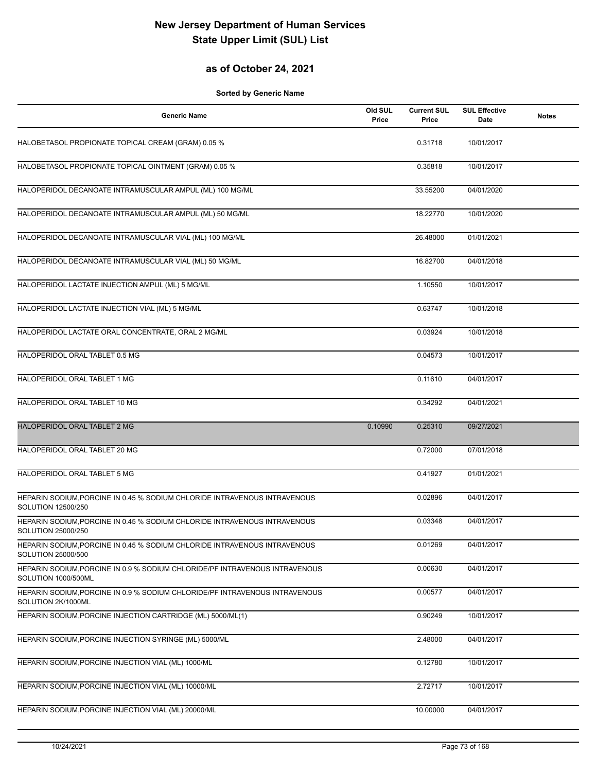## **as of October 24, 2021**

| <b>Generic Name</b>                                                                                | Old SUL<br>Price | <b>Current SUL</b><br>Price | <b>SUL Effective</b><br>Date | <b>Notes</b> |
|----------------------------------------------------------------------------------------------------|------------------|-----------------------------|------------------------------|--------------|
| HALOBETASOL PROPIONATE TOPICAL CREAM (GRAM) 0.05 %                                                 |                  | 0.31718                     | 10/01/2017                   |              |
| HALOBETASOL PROPIONATE TOPICAL OINTMENT (GRAM) 0.05 %                                              |                  | 0.35818                     | 10/01/2017                   |              |
| HALOPERIDOL DECANOATE INTRAMUSCULAR AMPUL (ML) 100 MG/ML                                           |                  | 33.55200                    | 04/01/2020                   |              |
| HALOPERIDOL DECANOATE INTRAMUSCULAR AMPUL (ML) 50 MG/ML                                            |                  | 18.22770                    | 10/01/2020                   |              |
| HALOPERIDOL DECANOATE INTRAMUSCULAR VIAL (ML) 100 MG/ML                                            |                  | 26.48000                    | 01/01/2021                   |              |
| HALOPERIDOL DECANOATE INTRAMUSCULAR VIAL (ML) 50 MG/ML                                             |                  | 16.82700                    | 04/01/2018                   |              |
| HALOPERIDOL LACTATE INJECTION AMPUL (ML) 5 MG/ML                                                   |                  | 1.10550                     | 10/01/2017                   |              |
| HALOPERIDOL LACTATE INJECTION VIAL (ML) 5 MG/ML                                                    |                  | 0.63747                     | 10/01/2018                   |              |
| HALOPERIDOL LACTATE ORAL CONCENTRATE, ORAL 2 MG/ML                                                 |                  | 0.03924                     | 10/01/2018                   |              |
| HALOPERIDOL ORAL TABLET 0.5 MG                                                                     |                  | 0.04573                     | 10/01/2017                   |              |
| HALOPERIDOL ORAL TABLET 1 MG                                                                       |                  | 0.11610                     | 04/01/2017                   |              |
| HALOPERIDOL ORAL TABLET 10 MG                                                                      |                  | 0.34292                     | 04/01/2021                   |              |
| <b>HALOPERIDOL ORAL TABLET 2 MG</b>                                                                | 0.10990          | 0.25310                     | 09/27/2021                   |              |
| HALOPERIDOL ORAL TABLET 20 MG                                                                      |                  | 0.72000                     | 07/01/2018                   |              |
| HALOPERIDOL ORAL TABLET 5 MG                                                                       |                  | 0.41927                     | 01/01/2021                   |              |
| HEPARIN SODIUM, PORCINE IN 0.45 % SODIUM CHLORIDE INTRAVENOUS INTRAVENOUS<br>SOLUTION 12500/250    |                  | 0.02896                     | 04/01/2017                   |              |
| HEPARIN SODIUM, PORCINE IN 0.45 % SODIUM CHLORIDE INTRAVENOUS INTRAVENOUS<br>SOLUTION 25000/250    |                  | 0.03348                     | 04/01/2017                   |              |
| HEPARIN SODIUM, PORCINE IN 0.45 % SODIUM CHLORIDE INTRAVENOUS INTRAVENOUS<br>SOLUTION 25000/500    |                  | 0.01269                     | 04/01/2017                   |              |
| HEPARIN SODIUM, PORCINE IN 0.9 % SODIUM CHLORIDE/PF INTRAVENOUS INTRAVENOUS<br>SOLUTION 1000/500ML |                  | 0.00630                     | 04/01/2017                   |              |
| HEPARIN SODIUM, PORCINE IN 0.9 % SODIUM CHLORIDE/PF INTRAVENOUS INTRAVENOUS<br>SOLUTION 2K/1000ML  |                  | 0.00577                     | 04/01/2017                   |              |
| HEPARIN SODIUM, PORCINE INJECTION CARTRIDGE (ML) 5000/ML(1)                                        |                  | 0.90249                     | 10/01/2017                   |              |
| HEPARIN SODIUM, PORCINE INJECTION SYRINGE (ML) 5000/ML                                             |                  | 2.48000                     | 04/01/2017                   |              |
| HEPARIN SODIUM, PORCINE INJECTION VIAL (ML) 1000/ML                                                |                  | 0.12780                     | 10/01/2017                   |              |
| HEPARIN SODIUM, PORCINE INJECTION VIAL (ML) 10000/ML                                               |                  | 2.72717                     | 10/01/2017                   |              |
| HEPARIN SODIUM, PORCINE INJECTION VIAL (ML) 20000/ML                                               |                  | 10.00000                    | 04/01/2017                   |              |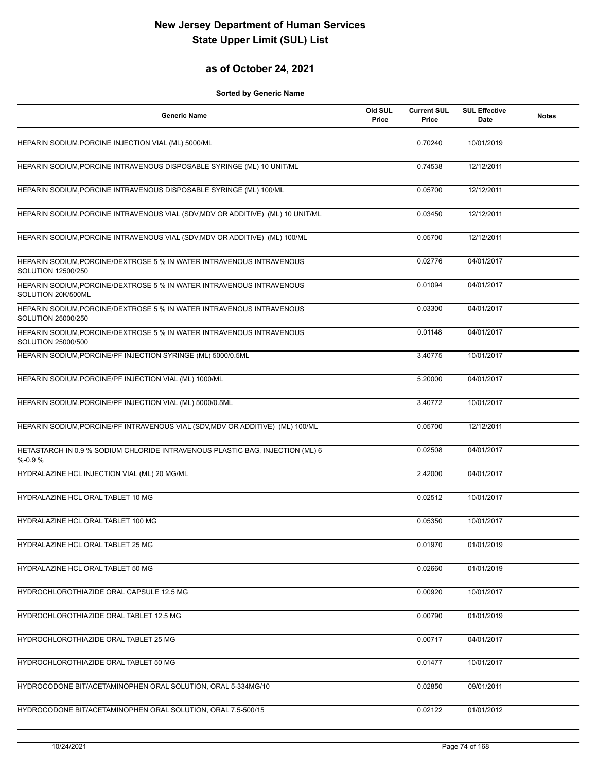## **as of October 24, 2021**

| <b>Generic Name</b>                                                                         | Old SUL<br>Price | <b>Current SUL</b><br>Price | <b>SUL Effective</b><br>Date | <b>Notes</b> |
|---------------------------------------------------------------------------------------------|------------------|-----------------------------|------------------------------|--------------|
| HEPARIN SODIUM, PORCINE INJECTION VIAL (ML) 5000/ML                                         |                  | 0.70240                     | 10/01/2019                   |              |
| HEPARIN SODIUM, PORCINE INTRAVENOUS DISPOSABLE SYRINGE (ML) 10 UNIT/ML                      |                  | 0.74538                     | 12/12/2011                   |              |
| HEPARIN SODIUM, PORCINE INTRAVENOUS DISPOSABLE SYRINGE (ML) 100/ML                          |                  | 0.05700                     | 12/12/2011                   |              |
| HEPARIN SODIUM, PORCINE INTRAVENOUS VIAL (SDV, MDV OR ADDITIVE) (ML) 10 UNIT/ML             |                  | 0.03450                     | 12/12/2011                   |              |
| HEPARIN SODIUM, PORCINE INTRAVENOUS VIAL (SDV, MDV OR ADDITIVE) (ML) 100/ML                 |                  | 0.05700                     | 12/12/2011                   |              |
| HEPARIN SODIUM, PORCINE/DEXTROSE 5 % IN WATER INTRAVENOUS INTRAVENOUS<br>SOLUTION 12500/250 |                  | 0.02776                     | 04/01/2017                   |              |
| HEPARIN SODIUM, PORCINE/DEXTROSE 5 % IN WATER INTRAVENOUS INTRAVENOUS<br>SOLUTION 20K/500ML |                  | 0.01094                     | 04/01/2017                   |              |
| HEPARIN SODIUM, PORCINE/DEXTROSE 5 % IN WATER INTRAVENOUS INTRAVENOUS<br>SOLUTION 25000/250 |                  | 0.03300                     | 04/01/2017                   |              |
| HEPARIN SODIUM, PORCINE/DEXTROSE 5 % IN WATER INTRAVENOUS INTRAVENOUS<br>SOLUTION 25000/500 |                  | 0.01148                     | 04/01/2017                   |              |
| HEPARIN SODIUM, PORCINE/PF INJECTION SYRINGE (ML) 5000/0.5ML                                |                  | 3.40775                     | 10/01/2017                   |              |
| HEPARIN SODIUM, PORCINE/PF INJECTION VIAL (ML) 1000/ML                                      |                  | 5.20000                     | 04/01/2017                   |              |
| HEPARIN SODIUM, PORCINE/PF INJECTION VIAL (ML) 5000/0.5ML                                   |                  | 3.40772                     | 10/01/2017                   |              |
| HEPARIN SODIUM, PORCINE/PF INTRAVENOUS VIAL (SDV, MDV OR ADDITIVE) (ML) 100/ML              |                  | 0.05700                     | 12/12/2011                   |              |
| HETASTARCH IN 0.9 % SODIUM CHLORIDE INTRAVENOUS PLASTIC BAG, INJECTION (ML) 6<br>$% -0.9%$  |                  | 0.02508                     | 04/01/2017                   |              |
| HYDRALAZINE HCL INJECTION VIAL (ML) 20 MG/ML                                                |                  | 2.42000                     | 04/01/2017                   |              |
| HYDRALAZINE HCL ORAL TABLET 10 MG                                                           |                  | 0.02512                     | 10/01/2017                   |              |
| HYDRALAZINE HCL ORAL TABLET 100 MG                                                          |                  | 0.05350                     | 10/01/2017                   |              |
| <b>HYDRALAZINE HCL ORAL TABLET 25 MG</b>                                                    |                  | 0.01970                     | 01/01/2019                   |              |
| HYDRALAZINE HCL ORAL TABLET 50 MG                                                           |                  | 0.02660                     | 01/01/2019                   |              |
| HYDROCHLOROTHIAZIDE ORAL CAPSULE 12.5 MG                                                    |                  | 0.00920                     | 10/01/2017                   |              |
| HYDROCHLOROTHIAZIDE ORAL TABLET 12.5 MG                                                     |                  | 0.00790                     | 01/01/2019                   |              |
| HYDROCHLOROTHIAZIDE ORAL TABLET 25 MG                                                       |                  | 0.00717                     | 04/01/2017                   |              |
| HYDROCHLOROTHIAZIDE ORAL TABLET 50 MG                                                       |                  | 0.01477                     | 10/01/2017                   |              |
| HYDROCODONE BIT/ACETAMINOPHEN ORAL SOLUTION, ORAL 5-334MG/10                                |                  | 0.02850                     | 09/01/2011                   |              |
| HYDROCODONE BIT/ACETAMINOPHEN ORAL SOLUTION, ORAL 7.5-500/15                                |                  | 0.02122                     | 01/01/2012                   |              |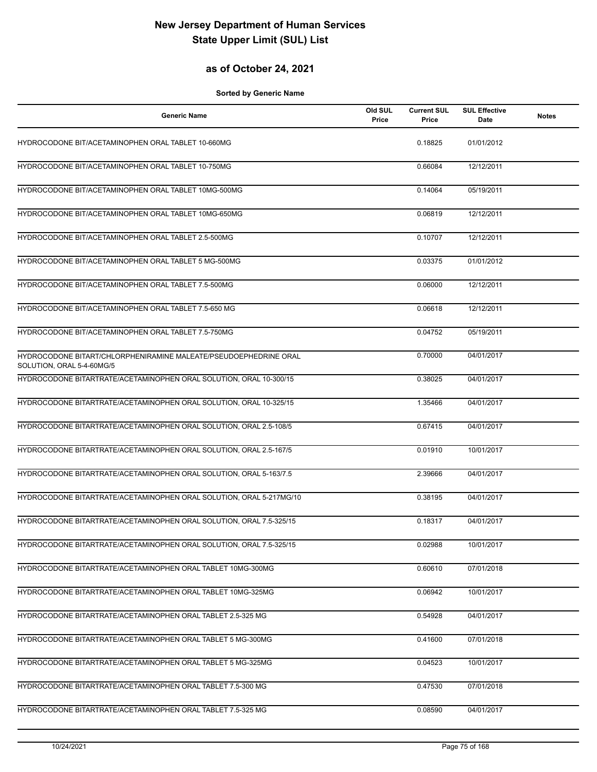#### **as of October 24, 2021**

| <b>Generic Name</b>                                                                           | Old SUL<br>Price | <b>Current SUL</b><br>Price | <b>SUL Effective</b><br>Date | <b>Notes</b> |
|-----------------------------------------------------------------------------------------------|------------------|-----------------------------|------------------------------|--------------|
| HYDROCODONE BIT/ACETAMINOPHEN ORAL TABLET 10-660MG                                            |                  | 0.18825                     | 01/01/2012                   |              |
| HYDROCODONE BIT/ACETAMINOPHEN ORAL TABLET 10-750MG                                            |                  | 0.66084                     | 12/12/2011                   |              |
| HYDROCODONE BIT/ACETAMINOPHEN ORAL TABLET 10MG-500MG                                          |                  | 0.14064                     | 05/19/2011                   |              |
| HYDROCODONE BIT/ACETAMINOPHEN ORAL TABLET 10MG-650MG                                          |                  | 0.06819                     | 12/12/2011                   |              |
| HYDROCODONE BIT/ACETAMINOPHEN ORAL TABLET 2.5-500MG                                           |                  | 0.10707                     | 12/12/2011                   |              |
| HYDROCODONE BIT/ACETAMINOPHEN ORAL TABLET 5 MG-500MG                                          |                  | 0.03375                     | 01/01/2012                   |              |
| HYDROCODONE BIT/ACETAMINOPHEN ORAL TABLET 7.5-500MG                                           |                  | 0.06000                     | 12/12/2011                   |              |
| HYDROCODONE BIT/ACETAMINOPHEN ORAL TABLET 7.5-650 MG                                          |                  | 0.06618                     | 12/12/2011                   |              |
| HYDROCODONE BIT/ACETAMINOPHEN ORAL TABLET 7.5-750MG                                           |                  | 0.04752                     | 05/19/2011                   |              |
| HYDROCODONE BITART/CHLORPHENIRAMINE MALEATE/PSEUDOEPHEDRINE ORAL<br>SOLUTION, ORAL 5-4-60MG/5 |                  | 0.70000                     | 04/01/2017                   |              |
| HYDROCODONE BITARTRATE/ACETAMINOPHEN ORAL SOLUTION, ORAL 10-300/15                            |                  | 0.38025                     | 04/01/2017                   |              |
| HYDROCODONE BITARTRATE/ACETAMINOPHEN ORAL SOLUTION, ORAL 10-325/15                            |                  | 1.35466                     | 04/01/2017                   |              |
| HYDROCODONE BITARTRATE/ACETAMINOPHEN ORAL SOLUTION, ORAL 2.5-108/5                            |                  | 0.67415                     | 04/01/2017                   |              |
| HYDROCODONE BITARTRATE/ACETAMINOPHEN ORAL SOLUTION, ORAL 2.5-167/5                            |                  | 0.01910                     | 10/01/2017                   |              |
| HYDROCODONE BITARTRATE/ACETAMINOPHEN ORAL SOLUTION, ORAL 5-163/7.5                            |                  | 2.39666                     | 04/01/2017                   |              |
| HYDROCODONE BITARTRATE/ACETAMINOPHEN ORAL SOLUTION, ORAL 5-217MG/10                           |                  | 0.38195                     | 04/01/2017                   |              |
| HYDROCODONE BITARTRATE/ACETAMINOPHEN ORAL SOLUTION, ORAL 7.5-325/15                           |                  | 0.18317                     | 04/01/2017                   |              |
| HYDROCODONE BITARTRATE/ACETAMINOPHEN ORAL SOLUTION, ORAL 7.5-325/15                           |                  | 0.02988                     | 10/01/2017                   |              |
| HYDROCODONE BITARTRATE/ACETAMINOPHEN ORAL TABLET 10MG-300MG                                   |                  | 0.60610                     | 07/01/2018                   |              |
| HYDROCODONE BITARTRATE/ACETAMINOPHEN ORAL TABLET 10MG-325MG                                   |                  | 0.06942                     | 10/01/2017                   |              |
| HYDROCODONE BITARTRATE/ACETAMINOPHEN ORAL TABLET 2.5-325 MG                                   |                  | 0.54928                     | 04/01/2017                   |              |
| HYDROCODONE BITARTRATE/ACETAMINOPHEN ORAL TABLET 5 MG-300MG                                   |                  | 0.41600                     | 07/01/2018                   |              |
| HYDROCODONE BITARTRATE/ACETAMINOPHEN ORAL TABLET 5 MG-325MG                                   |                  | 0.04523                     | 10/01/2017                   |              |
| HYDROCODONE BITARTRATE/ACETAMINOPHEN ORAL TABLET 7.5-300 MG                                   |                  | 0.47530                     | 07/01/2018                   |              |
| HYDROCODONE BITARTRATE/ACETAMINOPHEN ORAL TABLET 7.5-325 MG                                   |                  | 0.08590                     | 04/01/2017                   |              |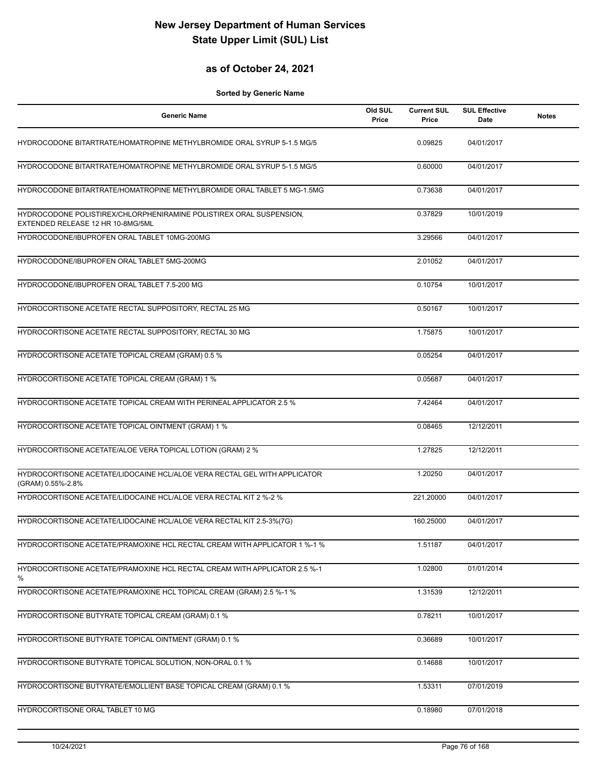### **as of October 24, 2021**

| <b>Generic Name</b>                                                                                      | Old SUL<br>Price | <b>Current SUL</b><br>Price | <b>SUL Effective</b><br>Date | <b>Notes</b> |
|----------------------------------------------------------------------------------------------------------|------------------|-----------------------------|------------------------------|--------------|
| HYDROCODONE BITARTRATE/HOMATROPINE METHYLBROMIDE ORAL SYRUP 5-1.5 MG/5                                   |                  | 0.09825                     | 04/01/2017                   |              |
| HYDROCODONE BITARTRATE/HOMATROPINE METHYLBROMIDE ORAL SYRUP 5-1.5 MG/5                                   |                  | 0.60000                     | 04/01/2017                   |              |
| HYDROCODONE BITARTRATE/HOMATROPINE METHYLBROMIDE ORAL TABLET 5 MG-1.5MG                                  |                  | 0.73638                     | 04/01/2017                   |              |
| HYDROCODONE POLISTIREX/CHLORPHENIRAMINE POLISTIREX ORAL SUSPENSION,<br>EXTENDED RELEASE 12 HR 10-8MG/5ML |                  | 0.37829                     | 10/01/2019                   |              |
| HYDROCODONE/IBUPROFEN ORAL TABLET 10MG-200MG                                                             |                  | 3.29566                     | 04/01/2017                   |              |
| HYDROCODONE/IBUPROFEN ORAL TABLET 5MG-200MG                                                              |                  | 2.01052                     | 04/01/2017                   |              |
| HYDROCODONE/IBUPROFEN ORAL TABLET 7.5-200 MG                                                             |                  | 0.10754                     | 10/01/2017                   |              |
| HYDROCORTISONE ACETATE RECTAL SUPPOSITORY, RECTAL 25 MG                                                  |                  | 0.50167                     | 10/01/2017                   |              |
| HYDROCORTISONE ACETATE RECTAL SUPPOSITORY, RECTAL 30 MG                                                  |                  | 1.75875                     | 10/01/2017                   |              |
| HYDROCORTISONE ACETATE TOPICAL CREAM (GRAM) 0.5 %                                                        |                  | 0.05254                     | 04/01/2017                   |              |
| HYDROCORTISONE ACETATE TOPICAL CREAM (GRAM) 1 %                                                          |                  | 0.05687                     | 04/01/2017                   |              |
| HYDROCORTISONE ACETATE TOPICAL CREAM WITH PERINEAL APPLICATOR 2.5 %                                      |                  | 7.42464                     | 04/01/2017                   |              |
| HYDROCORTISONE ACETATE TOPICAL OINTMENT (GRAM) 1 %                                                       |                  | 0.08465                     | 12/12/2011                   |              |
| HYDROCORTISONE ACETATE/ALOE VERA TOPICAL LOTION (GRAM) 2 %                                               |                  | 1.27825                     | 12/12/2011                   |              |
| HYDROCORTISONE ACETATE/LIDOCAINE HCL/ALOE VERA RECTAL GEL WITH APPLICATOR<br>(GRAM) 0.55%-2.8%           |                  | 1.20250                     | 04/01/2017                   |              |
| HYDROCORTISONE ACETATE/LIDOCAINE HCL/ALOE VERA RECTAL KIT 2 %-2 %                                        |                  | 221.20000                   | 04/01/2017                   |              |
| HYDROCORTISONE ACETATE/LIDOCAINE HCL/ALOE VERA RECTAL KIT 2.5-3%(7G)                                     |                  | 160.25000                   | 04/01/2017                   |              |
| HYDROCORTISONE ACETATE/PRAMOXINE HCL RECTAL CREAM WITH APPLICATOR 1 %-1 %                                |                  | 1.51187                     | 04/01/2017                   |              |
| HYDROCORTISONE ACETATE/PRAMOXINE HCL RECTAL CREAM WITH APPLICATOR 2.5 %-1<br>$\%$                        |                  | 1.02800                     | 01/01/2014                   |              |
| HYDROCORTISONE ACETATE/PRAMOXINE HCL TOPICAL CREAM (GRAM) 2.5 %-1 %                                      |                  | 1.31539                     | 12/12/2011                   |              |
| HYDROCORTISONE BUTYRATE TOPICAL CREAM (GRAM) 0.1 %                                                       |                  | 0.78211                     | 10/01/2017                   |              |
| HYDROCORTISONE BUTYRATE TOPICAL OINTMENT (GRAM) 0.1 %                                                    |                  | 0.36689                     | 10/01/2017                   |              |
| HYDROCORTISONE BUTYRATE TOPICAL SOLUTION, NON-ORAL 0.1 %                                                 |                  | 0.14688                     | 10/01/2017                   |              |
| HYDROCORTISONE BUTYRATE/EMOLLIENT BASE TOPICAL CREAM (GRAM) 0.1 %                                        |                  | 1.53311                     | 07/01/2019                   |              |
| HYDROCORTISONE ORAL TABLET 10 MG                                                                         |                  | 0.18980                     | 07/01/2018                   |              |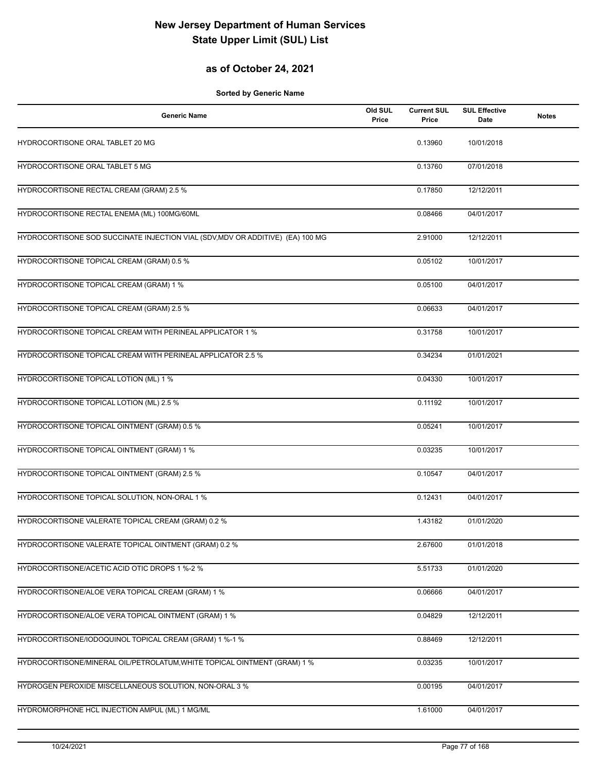## **as of October 24, 2021**

| <b>Generic Name</b>                                                            | Old SUL<br>Price | <b>Current SUL</b><br>Price | <b>SUL Effective</b><br><b>Date</b> | <b>Notes</b> |
|--------------------------------------------------------------------------------|------------------|-----------------------------|-------------------------------------|--------------|
| HYDROCORTISONE ORAL TABLET 20 MG                                               |                  | 0.13960                     | 10/01/2018                          |              |
| HYDROCORTISONE ORAL TABLET 5 MG                                                |                  | 0.13760                     | 07/01/2018                          |              |
| HYDROCORTISONE RECTAL CREAM (GRAM) 2.5 %                                       |                  | 0.17850                     | 12/12/2011                          |              |
| HYDROCORTISONE RECTAL ENEMA (ML) 100MG/60ML                                    |                  | 0.08466                     | 04/01/2017                          |              |
| HYDROCORTISONE SOD SUCCINATE INJECTION VIAL (SDV, MDV OR ADDITIVE) (EA) 100 MG |                  | 2.91000                     | 12/12/2011                          |              |
| HYDROCORTISONE TOPICAL CREAM (GRAM) 0.5 %                                      |                  | 0.05102                     | 10/01/2017                          |              |
| HYDROCORTISONE TOPICAL CREAM (GRAM) 1 %                                        |                  | 0.05100                     | 04/01/2017                          |              |
| HYDROCORTISONE TOPICAL CREAM (GRAM) 2.5 %                                      |                  | 0.06633                     | 04/01/2017                          |              |
| HYDROCORTISONE TOPICAL CREAM WITH PERINEAL APPLICATOR 1 %                      |                  | 0.31758                     | 10/01/2017                          |              |
| HYDROCORTISONE TOPICAL CREAM WITH PERINEAL APPLICATOR 2.5 %                    |                  | 0.34234                     | 01/01/2021                          |              |
| HYDROCORTISONE TOPICAL LOTION (ML) 1 %                                         |                  | 0.04330                     | 10/01/2017                          |              |
| HYDROCORTISONE TOPICAL LOTION (ML) 2.5 %                                       |                  | 0.11192                     | 10/01/2017                          |              |
| HYDROCORTISONE TOPICAL OINTMENT (GRAM) 0.5 %                                   |                  | 0.05241                     | 10/01/2017                          |              |
| HYDROCORTISONE TOPICAL OINTMENT (GRAM) 1 %                                     |                  | 0.03235                     | 10/01/2017                          |              |
| HYDROCORTISONE TOPICAL OINTMENT (GRAM) 2.5 %                                   |                  | 0.10547                     | 04/01/2017                          |              |
| HYDROCORTISONE TOPICAL SOLUTION, NON-ORAL 1 %                                  |                  | 0.12431                     | 04/01/2017                          |              |
| HYDROCORTISONE VALERATE TOPICAL CREAM (GRAM) 0.2 %                             |                  | 1.43182                     | 01/01/2020                          |              |
| HYDROCORTISONE VALERATE TOPICAL OINTMENT (GRAM) 0.2 %                          |                  | 2.67600                     | 01/01/2018                          |              |
| HYDROCORTISONE/ACETIC ACID OTIC DROPS 1 %-2 %                                  |                  | 5.51733                     | 01/01/2020                          |              |
| HYDROCORTISONE/ALOE VERA TOPICAL CREAM (GRAM) 1 %                              |                  | 0.06666                     | 04/01/2017                          |              |
| HYDROCORTISONE/ALOE VERA TOPICAL OINTMENT (GRAM) 1 %                           |                  | 0.04829                     | 12/12/2011                          |              |
| HYDROCORTISONE/IODOQUINOL TOPICAL CREAM (GRAM) 1 %-1 %                         |                  | 0.88469                     | 12/12/2011                          |              |
| HYDROCORTISONE/MINERAL OIL/PETROLATUM, WHITE TOPICAL OINTMENT (GRAM) 1 %       |                  | 0.03235                     | 10/01/2017                          |              |
| HYDROGEN PEROXIDE MISCELLANEOUS SOLUTION, NON-ORAL 3 %                         |                  | 0.00195                     | 04/01/2017                          |              |
| HYDROMORPHONE HCL INJECTION AMPUL (ML) 1 MG/ML                                 |                  | 1.61000                     | 04/01/2017                          |              |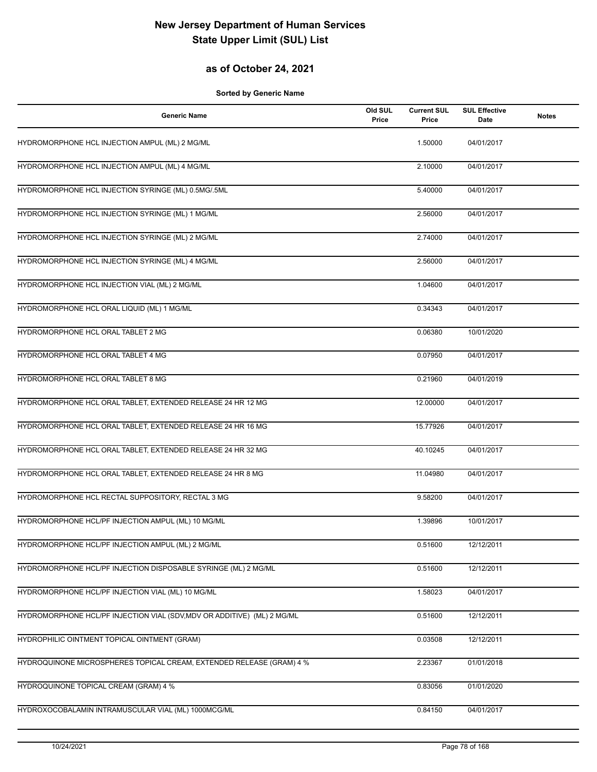## **as of October 24, 2021**

| <b>Generic Name</b>                                                     | Old SUL<br>Price | <b>Current SUL</b><br>Price | <b>SUL Effective</b><br>Date | <b>Notes</b> |
|-------------------------------------------------------------------------|------------------|-----------------------------|------------------------------|--------------|
| HYDROMORPHONE HCL INJECTION AMPUL (ML) 2 MG/ML                          |                  | 1.50000                     | 04/01/2017                   |              |
| HYDROMORPHONE HCL INJECTION AMPUL (ML) 4 MG/ML                          |                  | 2.10000                     | 04/01/2017                   |              |
| HYDROMORPHONE HCL INJECTION SYRINGE (ML) 0.5MG/.5ML                     |                  | 5.40000                     | 04/01/2017                   |              |
| HYDROMORPHONE HCL INJECTION SYRINGE (ML) 1 MG/ML                        |                  | 2.56000                     | 04/01/2017                   |              |
| HYDROMORPHONE HCL INJECTION SYRINGE (ML) 2 MG/ML                        |                  | 2.74000                     | 04/01/2017                   |              |
| HYDROMORPHONE HCL INJECTION SYRINGE (ML) 4 MG/ML                        |                  | 2.56000                     | 04/01/2017                   |              |
| HYDROMORPHONE HCL INJECTION VIAL (ML) 2 MG/ML                           |                  | 1.04600                     | 04/01/2017                   |              |
| HYDROMORPHONE HCL ORAL LIQUID (ML) 1 MG/ML                              |                  | 0.34343                     | 04/01/2017                   |              |
| HYDROMORPHONE HCL ORAL TABLET 2 MG                                      |                  | 0.06380                     | 10/01/2020                   |              |
| HYDROMORPHONE HCL ORAL TABLET 4 MG                                      |                  | 0.07950                     | 04/01/2017                   |              |
| HYDROMORPHONE HCL ORAL TABLET 8 MG                                      |                  | 0.21960                     | 04/01/2019                   |              |
| HYDROMORPHONE HCL ORAL TABLET, EXTENDED RELEASE 24 HR 12 MG             |                  | 12.00000                    | 04/01/2017                   |              |
| HYDROMORPHONE HCL ORAL TABLET, EXTENDED RELEASE 24 HR 16 MG             |                  | 15.77926                    | 04/01/2017                   |              |
| HYDROMORPHONE HCL ORAL TABLET, EXTENDED RELEASE 24 HR 32 MG             |                  | 40.10245                    | 04/01/2017                   |              |
| HYDROMORPHONE HCL ORAL TABLET, EXTENDED RELEASE 24 HR 8 MG              |                  | 11.04980                    | 04/01/2017                   |              |
| HYDROMORPHONE HCL RECTAL SUPPOSITORY, RECTAL 3 MG                       |                  | 9.58200                     | 04/01/2017                   |              |
| HYDROMORPHONE HCL/PF INJECTION AMPUL (ML) 10 MG/ML                      |                  | 1.39896                     | 10/01/2017                   |              |
| HYDROMORPHONE HCL/PF INJECTION AMPUL (ML) 2 MG/ML                       |                  | 0.51600                     | 12/12/2011                   |              |
| HYDROMORPHONE HCL/PF INJECTION DISPOSABLE SYRINGE (ML) 2 MG/ML          |                  | 0.51600                     | 12/12/2011                   |              |
| HYDROMORPHONE HCL/PF INJECTION VIAL (ML) 10 MG/ML                       |                  | 1.58023                     | 04/01/2017                   |              |
| HYDROMORPHONE HCL/PF INJECTION VIAL (SDV, MDV OR ADDITIVE) (ML) 2 MG/ML |                  | 0.51600                     | 12/12/2011                   |              |
| HYDROPHILIC OINTMENT TOPICAL OINTMENT (GRAM)                            |                  | 0.03508                     | 12/12/2011                   |              |
| HYDROQUINONE MICROSPHERES TOPICAL CREAM, EXTENDED RELEASE (GRAM) 4 %    |                  | 2.23367                     | 01/01/2018                   |              |
| HYDROQUINONE TOPICAL CREAM (GRAM) 4 %                                   |                  | 0.83056                     | 01/01/2020                   |              |
| HYDROXOCOBALAMIN INTRAMUSCULAR VIAL (ML) 1000MCG/ML                     |                  | 0.84150                     | 04/01/2017                   |              |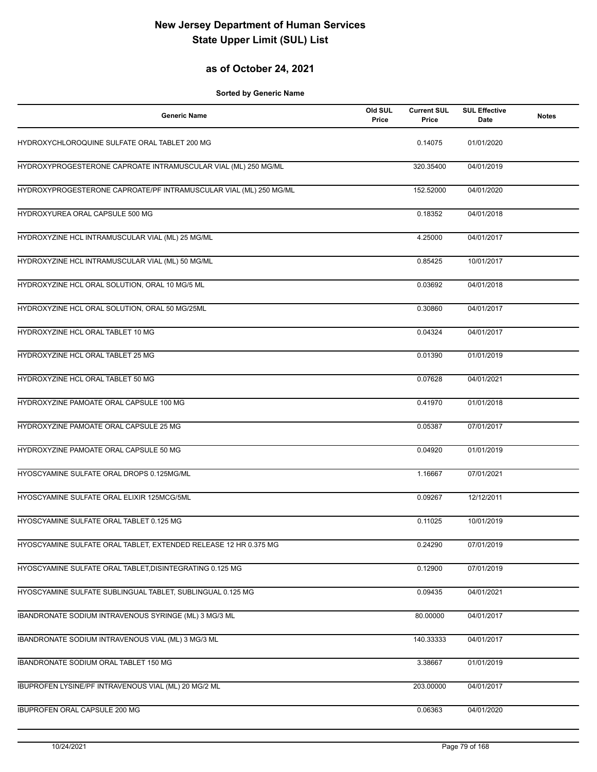#### **as of October 24, 2021**

| <b>Generic Name</b>                                               | Old SUL<br>Price | <b>Current SUL</b><br>Price | <b>SUL Effective</b><br>Date | <b>Notes</b> |
|-------------------------------------------------------------------|------------------|-----------------------------|------------------------------|--------------|
| HYDROXYCHLOROQUINE SULFATE ORAL TABLET 200 MG                     |                  | 0.14075                     | 01/01/2020                   |              |
| HYDROXYPROGESTERONE CAPROATE INTRAMUSCULAR VIAL (ML) 250 MG/ML    |                  | 320.35400                   | 04/01/2019                   |              |
| HYDROXYPROGESTERONE CAPROATE/PF INTRAMUSCULAR VIAL (ML) 250 MG/ML |                  | 152.52000                   | 04/01/2020                   |              |
| HYDROXYUREA ORAL CAPSULE 500 MG                                   |                  | 0.18352                     | 04/01/2018                   |              |
| HYDROXYZINE HCL INTRAMUSCULAR VIAL (ML) 25 MG/ML                  |                  | 4.25000                     | 04/01/2017                   |              |
| HYDROXYZINE HCL INTRAMUSCULAR VIAL (ML) 50 MG/ML                  |                  | 0.85425                     | 10/01/2017                   |              |
| HYDROXYZINE HCL ORAL SOLUTION, ORAL 10 MG/5 ML                    |                  | 0.03692                     | 04/01/2018                   |              |
| HYDROXYZINE HCL ORAL SOLUTION, ORAL 50 MG/25ML                    |                  | 0.30860                     | 04/01/2017                   |              |
| HYDROXYZINE HCL ORAL TABLET 10 MG                                 |                  | 0.04324                     | 04/01/2017                   |              |
| HYDROXYZINE HCL ORAL TABLET 25 MG                                 |                  | 0.01390                     | 01/01/2019                   |              |
| HYDROXYZINE HCL ORAL TABLET 50 MG                                 |                  | 0.07628                     | 04/01/2021                   |              |
| HYDROXYZINE PAMOATE ORAL CAPSULE 100 MG                           |                  | 0.41970                     | 01/01/2018                   |              |
| HYDROXYZINE PAMOATE ORAL CAPSULE 25 MG                            |                  | 0.05387                     | 07/01/2017                   |              |
| HYDROXYZINE PAMOATE ORAL CAPSULE 50 MG                            |                  | 0.04920                     | 01/01/2019                   |              |
| HYOSCYAMINE SULFATE ORAL DROPS 0.125MG/ML                         |                  | 1.16667                     | 07/01/2021                   |              |
| HYOSCYAMINE SULFATE ORAL ELIXIR 125MCG/5ML                        |                  | 0.09267                     | 12/12/2011                   |              |
| HYOSCYAMINE SULFATE ORAL TABLET 0.125 MG                          |                  | 0.11025                     | 10/01/2019                   |              |
| HYOSCYAMINE SULFATE ORAL TABLET, EXTENDED RELEASE 12 HR 0.375 MG  |                  | 0.24290                     | 07/01/2019                   |              |
| HYOSCYAMINE SULFATE ORAL TABLET, DISINTEGRATING 0.125 MG          |                  | 0.12900                     | 07/01/2019                   |              |
| HYOSCYAMINE SULFATE SUBLINGUAL TABLET, SUBLINGUAL 0.125 MG        |                  | 0.09435                     | 04/01/2021                   |              |
| IBANDRONATE SODIUM INTRAVENOUS SYRINGE (ML) 3 MG/3 ML             |                  | 80.00000                    | 04/01/2017                   |              |
| IBANDRONATE SODIUM INTRAVENOUS VIAL (ML) 3 MG/3 ML                |                  | 140.33333                   | 04/01/2017                   |              |
| IBANDRONATE SODIUM ORAL TABLET 150 MG                             |                  | 3.38667                     | 01/01/2019                   |              |
| IBUPROFEN LYSINE/PF INTRAVENOUS VIAL (ML) 20 MG/2 ML              |                  | 203.00000                   | 04/01/2017                   |              |
| IBUPROFEN ORAL CAPSULE 200 MG                                     |                  | 0.06363                     | 04/01/2020                   |              |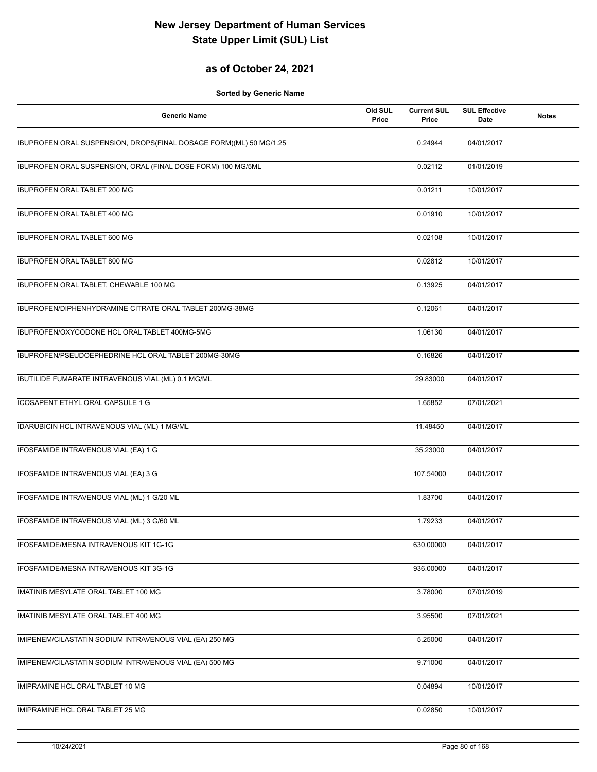## **as of October 24, 2021**

| <b>Generic Name</b>                                                | Old SUL<br>Price | <b>Current SUL</b><br>Price | <b>SUL Effective</b><br>Date | <b>Notes</b> |
|--------------------------------------------------------------------|------------------|-----------------------------|------------------------------|--------------|
| IBUPROFEN ORAL SUSPENSION, DROPS(FINAL DOSAGE FORM)(ML) 50 MG/1.25 |                  | 0.24944                     | 04/01/2017                   |              |
| IBUPROFEN ORAL SUSPENSION, ORAL (FINAL DOSE FORM) 100 MG/5ML       |                  | 0.02112                     | 01/01/2019                   |              |
| <b>IBUPROFEN ORAL TABLET 200 MG</b>                                |                  | 0.01211                     | 10/01/2017                   |              |
| IBUPROFEN ORAL TABLET 400 MG                                       |                  | 0.01910                     | 10/01/2017                   |              |
| IBUPROFEN ORAL TABLET 600 MG                                       |                  | 0.02108                     | 10/01/2017                   |              |
| IBUPROFEN ORAL TABLET 800 MG                                       |                  | 0.02812                     | 10/01/2017                   |              |
| IBUPROFEN ORAL TABLET, CHEWABLE 100 MG                             |                  | 0.13925                     | 04/01/2017                   |              |
| IBUPROFEN/DIPHENHYDRAMINE CITRATE ORAL TABLET 200MG-38MG           |                  | 0.12061                     | 04/01/2017                   |              |
| IBUPROFEN/OXYCODONE HCL ORAL TABLET 400MG-5MG                      |                  | 1.06130                     | 04/01/2017                   |              |
| IBUPROFEN/PSEUDOEPHEDRINE HCL ORAL TABLET 200MG-30MG               |                  | 0.16826                     | 04/01/2017                   |              |
| IBUTILIDE FUMARATE INTRAVENOUS VIAL (ML) 0.1 MG/ML                 |                  | 29.83000                    | 04/01/2017                   |              |
| ICOSAPENT ETHYL ORAL CAPSULE 1 G                                   |                  | 1.65852                     | 07/01/2021                   |              |
| IDARUBICIN HCL INTRAVENOUS VIAL (ML) 1 MG/ML                       |                  | 11.48450                    | 04/01/2017                   |              |
| IFOSFAMIDE INTRAVENOUS VIAL (EA) 1 G                               |                  | 35.23000                    | 04/01/2017                   |              |
| IFOSFAMIDE INTRAVENOUS VIAL (EA) 3 G                               |                  | 107.54000                   | 04/01/2017                   |              |
| IFOSFAMIDE INTRAVENOUS VIAL (ML) 1 G/20 ML                         |                  | 1.83700                     | 04/01/2017                   |              |
| IFOSFAMIDE INTRAVENOUS VIAL (ML) 3 G/60 ML                         |                  | 1.79233                     | 04/01/2017                   |              |
| IFOSFAMIDE/MESNA INTRAVENOUS KIT 1G-1G                             |                  | 630.00000                   | 04/01/2017                   |              |
| IFOSFAMIDE/MESNA INTRAVENOUS KIT 3G-1G                             |                  | 936.00000                   | 04/01/2017                   |              |
| IMATINIB MESYLATE ORAL TABLET 100 MG                               |                  | 3.78000                     | 07/01/2019                   |              |
| IMATINIB MESYLATE ORAL TABLET 400 MG                               |                  | 3.95500                     | 07/01/2021                   |              |
| IMIPENEM/CILASTATIN SODIUM INTRAVENOUS VIAL (EA) 250 MG            |                  | 5.25000                     | 04/01/2017                   |              |
| IMIPENEM/CILASTATIN SODIUM INTRAVENOUS VIAL (EA) 500 MG            |                  | 9.71000                     | 04/01/2017                   |              |
| IMIPRAMINE HCL ORAL TABLET 10 MG                                   |                  | 0.04894                     | 10/01/2017                   |              |
| IMIPRAMINE HCL ORAL TABLET 25 MG                                   |                  | 0.02850                     | 10/01/2017                   |              |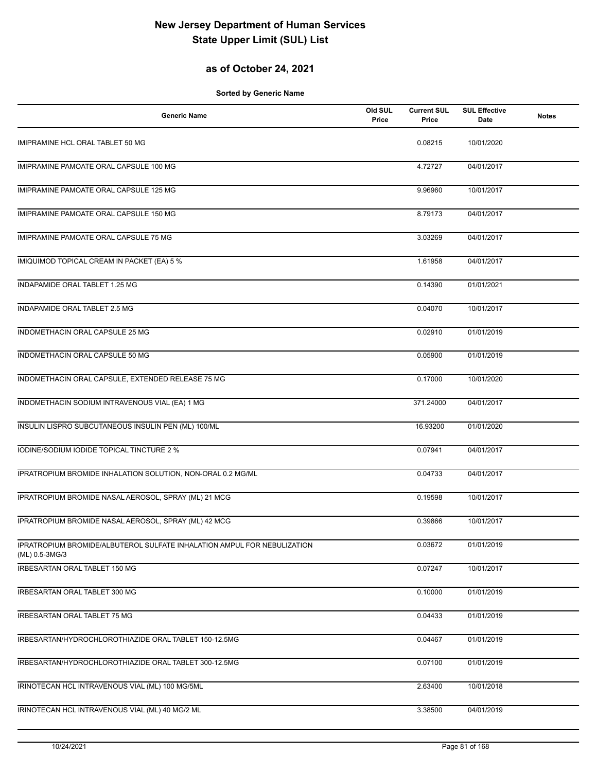## **as of October 24, 2021**

| <b>Generic Name</b>                                                                       | Old SUL<br>Price | <b>Current SUL</b><br>Price | <b>SUL Effective</b><br>Date | <b>Notes</b> |
|-------------------------------------------------------------------------------------------|------------------|-----------------------------|------------------------------|--------------|
| IMIPRAMINE HCL ORAL TABLET 50 MG                                                          |                  | 0.08215                     | 10/01/2020                   |              |
| IMIPRAMINE PAMOATE ORAL CAPSULE 100 MG                                                    |                  | 4.72727                     | 04/01/2017                   |              |
| IMIPRAMINE PAMOATE ORAL CAPSULE 125 MG                                                    |                  | 9.96960                     | 10/01/2017                   |              |
| IMIPRAMINE PAMOATE ORAL CAPSULE 150 MG                                                    |                  | 8.79173                     | 04/01/2017                   |              |
| IMIPRAMINE PAMOATE ORAL CAPSULE 75 MG                                                     |                  | 3.03269                     | 04/01/2017                   |              |
| IMIQUIMOD TOPICAL CREAM IN PACKET (EA) 5 %                                                |                  | 1.61958                     | 04/01/2017                   |              |
| INDAPAMIDE ORAL TABLET 1.25 MG                                                            |                  | 0.14390                     | 01/01/2021                   |              |
| INDAPAMIDE ORAL TABLET 2.5 MG                                                             |                  | 0.04070                     | 10/01/2017                   |              |
| INDOMETHACIN ORAL CAPSULE 25 MG                                                           |                  | 0.02910                     | 01/01/2019                   |              |
| INDOMETHACIN ORAL CAPSULE 50 MG                                                           |                  | 0.05900                     | 01/01/2019                   |              |
| INDOMETHACIN ORAL CAPSULE, EXTENDED RELEASE 75 MG                                         |                  | 0.17000                     | 10/01/2020                   |              |
| INDOMETHACIN SODIUM INTRAVENOUS VIAL (EA) 1 MG                                            |                  | 371.24000                   | 04/01/2017                   |              |
| INSULIN LISPRO SUBCUTANEOUS INSULIN PEN (ML) 100/ML                                       |                  | 16.93200                    | 01/01/2020                   |              |
| IODINE/SODIUM IODIDE TOPICAL TINCTURE 2 %                                                 |                  | 0.07941                     | 04/01/2017                   |              |
| IPRATROPIUM BROMIDE INHALATION SOLUTION, NON-ORAL 0.2 MG/ML                               |                  | 0.04733                     | 04/01/2017                   |              |
| IPRATROPIUM BROMIDE NASAL AEROSOL, SPRAY (ML) 21 MCG                                      |                  | 0.19598                     | 10/01/2017                   |              |
| IPRATROPIUM BROMIDE NASAL AEROSOL, SPRAY (ML) 42 MCG                                      |                  | 0.39866                     | 10/01/2017                   |              |
| IPRATROPIUM BROMIDE/ALBUTEROL SULFATE INHALATION AMPUL FOR NEBULIZATION<br>(ML) 0.5-3MG/3 |                  | 0.03672                     | 01/01/2019                   |              |
| IRBESARTAN ORAL TABLET 150 MG                                                             |                  | 0.07247                     | 10/01/2017                   |              |
| IRBESARTAN ORAL TABLET 300 MG                                                             |                  | 0.10000                     | 01/01/2019                   |              |
| IRBESARTAN ORAL TABLET 75 MG                                                              |                  | 0.04433                     | 01/01/2019                   |              |
| IRBESARTAN/HYDROCHLOROTHIAZIDE ORAL TABLET 150-12.5MG                                     |                  | 0.04467                     | 01/01/2019                   |              |
| IRBESARTAN/HYDROCHLOROTHIAZIDE ORAL TABLET 300-12.5MG                                     |                  | 0.07100                     | 01/01/2019                   |              |
| IRINOTECAN HCL INTRAVENOUS VIAL (ML) 100 MG/5ML                                           |                  | 2.63400                     | 10/01/2018                   |              |
| IRINOTECAN HCL INTRAVENOUS VIAL (ML) 40 MG/2 ML                                           |                  | 3.38500                     | 04/01/2019                   |              |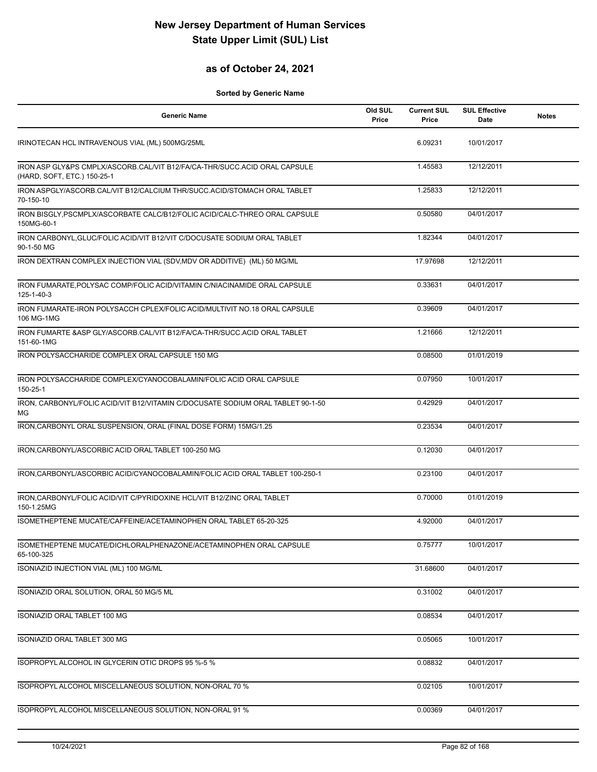## **as of October 24, 2021**

| <b>Generic Name</b>                                                                                      | Old SUL<br>Price | <b>Current SUL</b><br>Price | <b>SUL Effective</b><br>Date | <b>Notes</b> |
|----------------------------------------------------------------------------------------------------------|------------------|-----------------------------|------------------------------|--------------|
| IRINOTECAN HCL INTRAVENOUS VIAL (ML) 500MG/25ML                                                          |                  | 6.09231                     | 10/01/2017                   |              |
| IRON ASP GLY&PS CMPLX/ASCORB.CAL/VIT B12/FA/CA-THR/SUCC.ACID ORAL CAPSULE<br>(HARD, SOFT, ETC.) 150-25-1 |                  | 1.45583                     | 12/12/2011                   |              |
| IRON ASPGLY/ASCORB.CAL/VIT B12/CALCIUM THR/SUCC.ACID/STOMACH ORAL TABLET<br>70-150-10                    |                  | 1.25833                     | 12/12/2011                   |              |
| IRON BISGLY, PSCMPLX/ASCORBATE CALC/B12/FOLIC ACID/CALC-THREO ORAL CAPSULE<br>150MG-60-1                 |                  | 0.50580                     | 04/01/2017                   |              |
| IRON CARBONYL, GLUC/FOLIC ACID/VIT B12/VIT C/DOCUSATE SODIUM ORAL TABLET<br>90-1-50 MG                   |                  | 1.82344                     | 04/01/2017                   |              |
| IRON DEXTRAN COMPLEX INJECTION VIAL (SDV, MDV OR ADDITIVE) (ML) 50 MG/ML                                 |                  | 17.97698                    | 12/12/2011                   |              |
| IRON FUMARATE, POLYSAC COMP/FOLIC ACID/VITAMIN C/NIACINAMIDE ORAL CAPSULE<br>125-1-40-3                  |                  | 0.33631                     | 04/01/2017                   |              |
| IRON FUMARATE-IRON POLYSACCH CPLEX/FOLIC ACID/MULTIVIT NO.18 ORAL CAPSULE<br>106 MG-1MG                  |                  | 0.39609                     | 04/01/2017                   |              |
| IRON FUMARTE & ASP GLY/ASCORB.CAL/VIT B12/FA/CA-THR/SUCC.ACID ORAL TABLET<br>151-60-1MG                  |                  | 1.21666                     | 12/12/2011                   |              |
| IRON POLYSACCHARIDE COMPLEX ORAL CAPSULE 150 MG                                                          |                  | 0.08500                     | 01/01/2019                   |              |
| IRON POLYSACCHARIDE COMPLEX/CYANOCOBALAMIN/FOLIC ACID ORAL CAPSULE<br>150-25-1                           |                  | 0.07950                     | 10/01/2017                   |              |
| IRON, CARBONYL/FOLIC ACID/VIT B12/VITAMIN C/DOCUSATE SODIUM ORAL TABLET 90-1-50<br>ΜG                    |                  | 0.42929                     | 04/01/2017                   |              |
| IRON, CARBONYL ORAL SUSPENSION, ORAL (FINAL DOSE FORM) 15MG/1.25                                         |                  | 0.23534                     | 04/01/2017                   |              |
| IRON, CARBONYL/ASCORBIC ACID ORAL TABLET 100-250 MG                                                      |                  | 0.12030                     | 04/01/2017                   |              |
| IRON, CARBONYL/ASCORBIC ACID/CYANOCOBALAMIN/FOLIC ACID ORAL TABLET 100-250-1                             |                  | 0.23100                     | 04/01/2017                   |              |
| IRON, CARBONYL/FOLIC ACID/VIT C/PYRIDOXINE HCL/VIT B12/ZINC ORAL TABLET<br>150-1.25MG                    |                  | 0.70000                     | 01/01/2019                   |              |
| ISOMETHEPTENE MUCATE/CAFFEINE/ACETAMINOPHEN ORAL TABLET 65-20-325                                        |                  | 4.92000                     | 04/01/2017                   |              |
| ISOMETHEPTENE MUCATE/DICHLORALPHENAZONE/ACETAMINOPHEN ORAL CAPSULE<br>65-100-325                         |                  | 0.75777                     | 10/01/2017                   |              |
| ISONIAZID INJECTION VIAL (ML) 100 MG/ML                                                                  |                  | 31.68600                    | 04/01/2017                   |              |
| ISONIAZID ORAL SOLUTION, ORAL 50 MG/5 ML                                                                 |                  | 0.31002                     | 04/01/2017                   |              |
| ISONIAZID ORAL TABLET 100 MG                                                                             |                  | 0.08534                     | 04/01/2017                   |              |
| ISONIAZID ORAL TABLET 300 MG                                                                             |                  | 0.05065                     | 10/01/2017                   |              |
| ISOPROPYL ALCOHOL IN GLYCERIN OTIC DROPS 95 %-5 %                                                        |                  | 0.08832                     | 04/01/2017                   |              |
| ISOPROPYL ALCOHOL MISCELLANEOUS SOLUTION, NON-ORAL 70 %                                                  |                  | 0.02105                     | 10/01/2017                   |              |
| ISOPROPYL ALCOHOL MISCELLANEOUS SOLUTION, NON-ORAL 91 %                                                  |                  | 0.00369                     | 04/01/2017                   |              |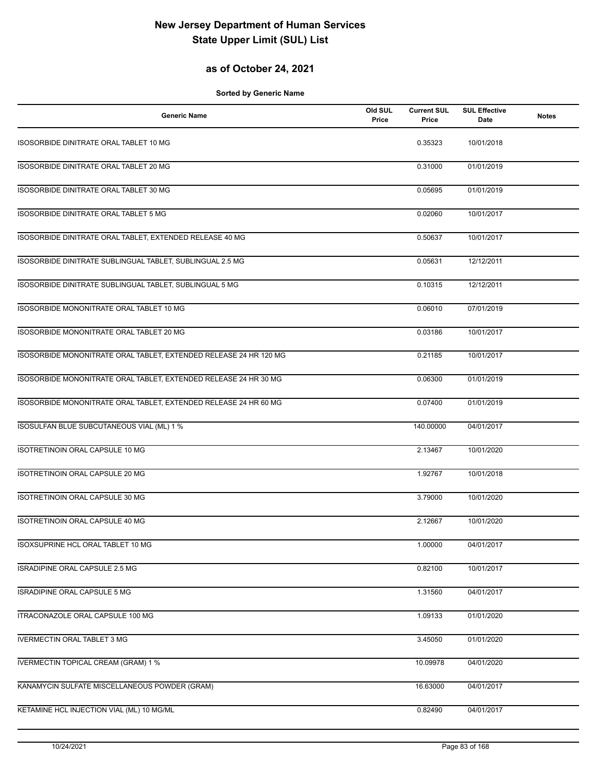## **as of October 24, 2021**

| <b>Generic Name</b>                                               | Old SUL<br>Price | <b>Current SUL</b><br>Price | <b>SUL Effective</b><br>Date | <b>Notes</b> |
|-------------------------------------------------------------------|------------------|-----------------------------|------------------------------|--------------|
| ISOSORBIDE DINITRATE ORAL TABLET 10 MG                            |                  | 0.35323                     | 10/01/2018                   |              |
| ISOSORBIDE DINITRATE ORAL TABLET 20 MG                            |                  | 0.31000                     | 01/01/2019                   |              |
| ISOSORBIDE DINITRATE ORAL TABLET 30 MG                            |                  | 0.05695                     | 01/01/2019                   |              |
| ISOSORBIDE DINITRATE ORAL TABLET 5 MG                             |                  | 0.02060                     | 10/01/2017                   |              |
| ISOSORBIDE DINITRATE ORAL TABLET, EXTENDED RELEASE 40 MG          |                  | 0.50637                     | 10/01/2017                   |              |
| ISOSORBIDE DINITRATE SUBLINGUAL TABLET, SUBLINGUAL 2.5 MG         |                  | 0.05631                     | 12/12/2011                   |              |
| ISOSORBIDE DINITRATE SUBLINGUAL TABLET, SUBLINGUAL 5 MG           |                  | 0.10315                     | 12/12/2011                   |              |
| ISOSORBIDE MONONITRATE ORAL TABLET 10 MG                          |                  | 0.06010                     | 07/01/2019                   |              |
| ISOSORBIDE MONONITRATE ORAL TABLET 20 MG                          |                  | 0.03186                     | 10/01/2017                   |              |
| ISOSORBIDE MONONITRATE ORAL TABLET, EXTENDED RELEASE 24 HR 120 MG |                  | 0.21185                     | 10/01/2017                   |              |
| ISOSORBIDE MONONITRATE ORAL TABLET, EXTENDED RELEASE 24 HR 30 MG  |                  | 0.06300                     | 01/01/2019                   |              |
| ISOSORBIDE MONONITRATE ORAL TABLET, EXTENDED RELEASE 24 HR 60 MG  |                  | 0.07400                     | 01/01/2019                   |              |
| ISOSULFAN BLUE SUBCUTANEOUS VIAL (ML) 1 %                         |                  | 140.00000                   | 04/01/2017                   |              |
| ISOTRETINOIN ORAL CAPSULE 10 MG                                   |                  | 2.13467                     | 10/01/2020                   |              |
| ISOTRETINOIN ORAL CAPSULE 20 MG                                   |                  | 1.92767                     | 10/01/2018                   |              |
| <b>ISOTRETINOIN ORAL CAPSULE 30 MG</b>                            |                  | 3.79000                     | 10/01/2020                   |              |
| ISOTRETINOIN ORAL CAPSULE 40 MG                                   |                  | 2.12667                     | 10/01/2020                   |              |
| ISOXSUPRINE HCL ORAL TABLET 10 MG                                 |                  | 1.00000                     | 04/01/2017                   |              |
| ISRADIPINE ORAL CAPSULE 2.5 MG                                    |                  | 0.82100                     | 10/01/2017                   |              |
| ISRADIPINE ORAL CAPSULE 5 MG                                      |                  | 1.31560                     | 04/01/2017                   |              |
| ITRACONAZOLE ORAL CAPSULE 100 MG                                  |                  | 1.09133                     | 01/01/2020                   |              |
| <b>IVERMECTIN ORAL TABLET 3 MG</b>                                |                  | 3.45050                     | 01/01/2020                   |              |
| <b>IVERMECTIN TOPICAL CREAM (GRAM) 1 %</b>                        |                  | 10.09978                    | 04/01/2020                   |              |
| KANAMYCIN SULFATE MISCELLANEOUS POWDER (GRAM)                     |                  | 16.63000                    | 04/01/2017                   |              |
| KETAMINE HCL INJECTION VIAL (ML) 10 MG/ML                         |                  | 0.82490                     | 04/01/2017                   |              |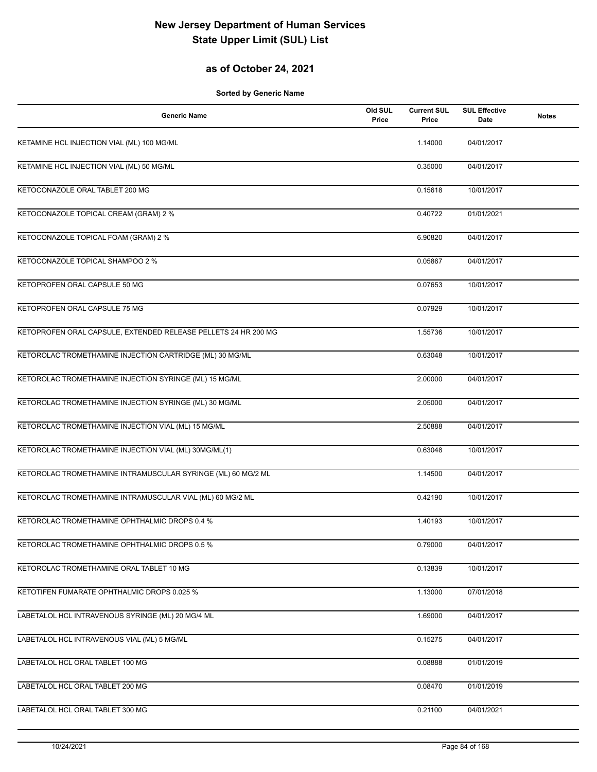## **as of October 24, 2021**

| <b>Generic Name</b>                                            | Old SUL<br>Price | <b>Current SUL</b><br>Price | <b>SUL Effective</b><br>Date | <b>Notes</b> |
|----------------------------------------------------------------|------------------|-----------------------------|------------------------------|--------------|
| KETAMINE HCL INJECTION VIAL (ML) 100 MG/ML                     |                  | 1.14000                     | 04/01/2017                   |              |
| KETAMINE HCL INJECTION VIAL (ML) 50 MG/ML                      |                  | 0.35000                     | 04/01/2017                   |              |
| KETOCONAZOLE ORAL TABLET 200 MG                                |                  | 0.15618                     | 10/01/2017                   |              |
| KETOCONAZOLE TOPICAL CREAM (GRAM) 2 %                          |                  | 0.40722                     | 01/01/2021                   |              |
| KETOCONAZOLE TOPICAL FOAM (GRAM) 2 %                           |                  | 6.90820                     | 04/01/2017                   |              |
| KETOCONAZOLE TOPICAL SHAMPOO 2 %                               |                  | 0.05867                     | 04/01/2017                   |              |
| KETOPROFEN ORAL CAPSULE 50 MG                                  |                  | 0.07653                     | 10/01/2017                   |              |
| KETOPROFEN ORAL CAPSULE 75 MG                                  |                  | 0.07929                     | 10/01/2017                   |              |
| KETOPROFEN ORAL CAPSULE, EXTENDED RELEASE PELLETS 24 HR 200 MG |                  | 1.55736                     | 10/01/2017                   |              |
| KETOROLAC TROMETHAMINE INJECTION CARTRIDGE (ML) 30 MG/ML       |                  | 0.63048                     | 10/01/2017                   |              |
| KETOROLAC TROMETHAMINE INJECTION SYRINGE (ML) 15 MG/ML         |                  | 2.00000                     | 04/01/2017                   |              |
| KETOROLAC TROMETHAMINE INJECTION SYRINGE (ML) 30 MG/ML         |                  | 2.05000                     | 04/01/2017                   |              |
| KETOROLAC TROMETHAMINE INJECTION VIAL (ML) 15 MG/ML            |                  | 2.50888                     | 04/01/2017                   |              |
| KETOROLAC TROMETHAMINE INJECTION VIAL (ML) 30MG/ML(1)          |                  | 0.63048                     | 10/01/2017                   |              |
| KETOROLAC TROMETHAMINE INTRAMUSCULAR SYRINGE (ML) 60 MG/2 ML   |                  | 1.14500                     | 04/01/2017                   |              |
| KETOROLAC TROMETHAMINE INTRAMUSCULAR VIAL (ML) 60 MG/2 ML      |                  | 0.42190                     | 10/01/2017                   |              |
| KETOROLAC TROMETHAMINE OPHTHALMIC DROPS 0.4 %                  |                  | 1.40193                     | 10/01/2017                   |              |
| KETOROLAC TROMETHAMINE OPHTHALMIC DROPS 0.5 %                  |                  | 0.79000                     | 04/01/2017                   |              |
| KETOROLAC TROMETHAMINE ORAL TABLET 10 MG                       |                  | 0.13839                     | 10/01/2017                   |              |
| KETOTIFEN FUMARATE OPHTHALMIC DROPS 0.025 %                    |                  | 1.13000                     | 07/01/2018                   |              |
| LABETALOL HCL INTRAVENOUS SYRINGE (ML) 20 MG/4 ML              |                  | 1.69000                     | 04/01/2017                   |              |
| LABETALOL HCL INTRAVENOUS VIAL (ML) 5 MG/ML                    |                  | 0.15275                     | 04/01/2017                   |              |
| LABETALOL HCL ORAL TABLET 100 MG                               |                  | 0.08888                     | 01/01/2019                   |              |
| LABETALOL HCL ORAL TABLET 200 MG                               |                  | 0.08470                     | 01/01/2019                   |              |
| LABETALOL HCL ORAL TABLET 300 MG                               |                  | 0.21100                     | 04/01/2021                   |              |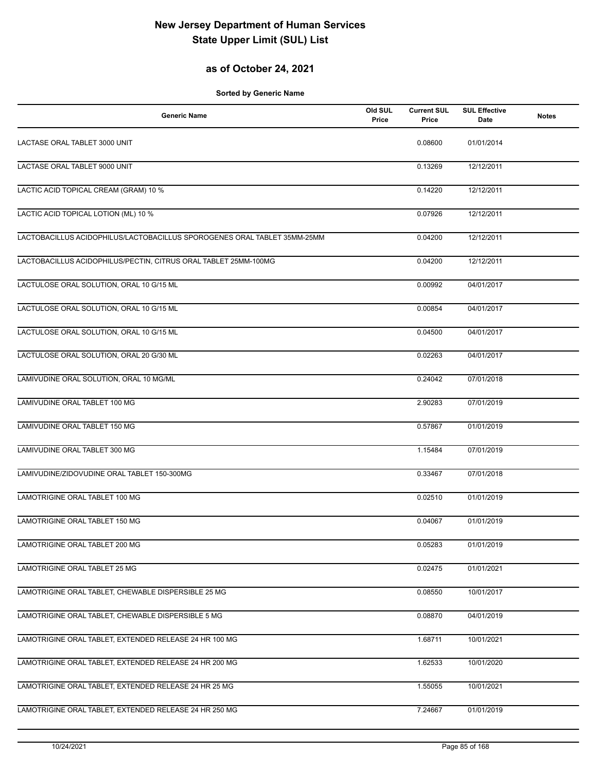## **as of October 24, 2021**

| <b>Generic Name</b>                                                      | Old SUL<br>Price | <b>Current SUL</b><br>Price | <b>SUL Effective</b><br>Date | <b>Notes</b> |
|--------------------------------------------------------------------------|------------------|-----------------------------|------------------------------|--------------|
| LACTASE ORAL TABLET 3000 UNIT                                            |                  | 0.08600                     | 01/01/2014                   |              |
| LACTASE ORAL TABLET 9000 UNIT                                            |                  | 0.13269                     | 12/12/2011                   |              |
| LACTIC ACID TOPICAL CREAM (GRAM) 10 %                                    |                  | 0.14220                     | 12/12/2011                   |              |
| LACTIC ACID TOPICAL LOTION (ML) 10 %                                     |                  | 0.07926                     | 12/12/2011                   |              |
| LACTOBACILLUS ACIDOPHILUS/LACTOBACILLUS SPOROGENES ORAL TABLET 35MM-25MM |                  | 0.04200                     | 12/12/2011                   |              |
| LACTOBACILLUS ACIDOPHILUS/PECTIN, CITRUS ORAL TABLET 25MM-100MG          |                  | 0.04200                     | 12/12/2011                   |              |
| LACTULOSE ORAL SOLUTION, ORAL 10 G/15 ML                                 |                  | 0.00992                     | 04/01/2017                   |              |
| LACTULOSE ORAL SOLUTION, ORAL 10 G/15 ML                                 |                  | 0.00854                     | 04/01/2017                   |              |
| LACTULOSE ORAL SOLUTION, ORAL 10 G/15 ML                                 |                  | 0.04500                     | 04/01/2017                   |              |
| LACTULOSE ORAL SOLUTION, ORAL 20 G/30 ML                                 |                  | 0.02263                     | 04/01/2017                   |              |
| LAMIVUDINE ORAL SOLUTION, ORAL 10 MG/ML                                  |                  | 0.24042                     | 07/01/2018                   |              |
| LAMIVUDINE ORAL TABLET 100 MG                                            |                  | 2.90283                     | 07/01/2019                   |              |
| LAMIVUDINE ORAL TABLET 150 MG                                            |                  | 0.57867                     | 01/01/2019                   |              |
| LAMIVUDINE ORAL TABLET 300 MG                                            |                  | 1.15484                     | 07/01/2019                   |              |
| LAMIVUDINE/ZIDOVUDINE ORAL TABLET 150-300MG                              |                  | 0.33467                     | 07/01/2018                   |              |
| LAMOTRIGINE ORAL TABLET 100 MG                                           |                  | 0.02510                     | 01/01/2019                   |              |
| LAMOTRIGINE ORAL TABLET 150 MG                                           |                  | 0.04067                     | 01/01/2019                   |              |
| LAMOTRIGINE ORAL TABLET 200 MG                                           |                  | 0.05283                     | 01/01/2019                   |              |
| <b>LAMOTRIGINE ORAL TABLET 25 MG</b>                                     |                  | 0.02475                     | 01/01/2021                   |              |
| LAMOTRIGINE ORAL TABLET, CHEWABLE DISPERSIBLE 25 MG                      |                  | 0.08550                     | 10/01/2017                   |              |
| LAMOTRIGINE ORAL TABLET, CHEWABLE DISPERSIBLE 5 MG                       |                  | 0.08870                     | 04/01/2019                   |              |
| LAMOTRIGINE ORAL TABLET, EXTENDED RELEASE 24 HR 100 MG                   |                  | 1.68711                     | 10/01/2021                   |              |
| LAMOTRIGINE ORAL TABLET, EXTENDED RELEASE 24 HR 200 MG                   |                  | 1.62533                     | 10/01/2020                   |              |
| LAMOTRIGINE ORAL TABLET, EXTENDED RELEASE 24 HR 25 MG                    |                  | 1.55055                     | 10/01/2021                   |              |
| LAMOTRIGINE ORAL TABLET, EXTENDED RELEASE 24 HR 250 MG                   |                  | 7.24667                     | 01/01/2019                   |              |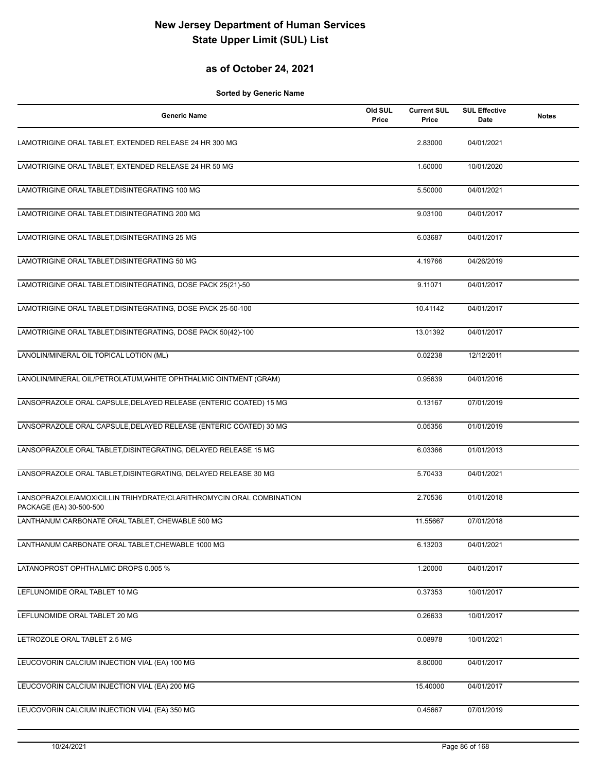#### **as of October 24, 2021**

| <b>Generic Name</b>                                                                            | Old SUL<br>Price | <b>Current SUL</b><br>Price | <b>SUL Effective</b><br>Date | <b>Notes</b> |
|------------------------------------------------------------------------------------------------|------------------|-----------------------------|------------------------------|--------------|
| LAMOTRIGINE ORAL TABLET, EXTENDED RELEASE 24 HR 300 MG                                         |                  | 2.83000                     | 04/01/2021                   |              |
| LAMOTRIGINE ORAL TABLET, EXTENDED RELEASE 24 HR 50 MG                                          |                  | 1.60000                     | 10/01/2020                   |              |
| LAMOTRIGINE ORAL TABLET, DISINTEGRATING 100 MG                                                 |                  | 5.50000                     | 04/01/2021                   |              |
| LAMOTRIGINE ORAL TABLET, DISINTEGRATING 200 MG                                                 |                  | 9.03100                     | 04/01/2017                   |              |
| LAMOTRIGINE ORAL TABLET, DISINTEGRATING 25 MG                                                  |                  | 6.03687                     | 04/01/2017                   |              |
| LAMOTRIGINE ORAL TABLET, DISINTEGRATING 50 MG                                                  |                  | 4.19766                     | 04/26/2019                   |              |
| LAMOTRIGINE ORAL TABLET, DISINTEGRATING, DOSE PACK 25(21)-50                                   |                  | 9.11071                     | 04/01/2017                   |              |
| LAMOTRIGINE ORAL TABLET, DISINTEGRATING, DOSE PACK 25-50-100                                   |                  | 10.41142                    | 04/01/2017                   |              |
| LAMOTRIGINE ORAL TABLET, DISINTEGRATING, DOSE PACK 50(42)-100                                  |                  | 13.01392                    | 04/01/2017                   |              |
| LANOLIN/MINERAL OIL TOPICAL LOTION (ML)                                                        |                  | 0.02238                     | 12/12/2011                   |              |
| LANOLIN/MINERAL OIL/PETROLATUM, WHITE OPHTHALMIC OINTMENT (GRAM)                               |                  | 0.95639                     | 04/01/2016                   |              |
| LANSOPRAZOLE ORAL CAPSULE, DELAYED RELEASE (ENTERIC COATED) 15 MG                              |                  | 0.13167                     | 07/01/2019                   |              |
| LANSOPRAZOLE ORAL CAPSULE, DELAYED RELEASE (ENTERIC COATED) 30 MG                              |                  | 0.05356                     | 01/01/2019                   |              |
| LANSOPRAZOLE ORAL TABLET, DISINTEGRATING, DELAYED RELEASE 15 MG                                |                  | 6.03366                     | 01/01/2013                   |              |
| LANSOPRAZOLE ORAL TABLET, DISINTEGRATING, DELAYED RELEASE 30 MG                                |                  | 5.70433                     | 04/01/2021                   |              |
| LANSOPRAZOLE/AMOXICILLIN TRIHYDRATE/CLARITHROMYCIN ORAL COMBINATION<br>PACKAGE (EA) 30-500-500 |                  | 2.70536                     | 01/01/2018                   |              |
| LANTHANUM CARBONATE ORAL TABLET, CHEWABLE 500 MG                                               |                  | 11.55667                    | 07/01/2018                   |              |
| LANTHANUM CARBONATE ORAL TABLET, CHEWABLE 1000 MG                                              |                  | 6.13203                     | 04/01/2021                   |              |
| LATANOPROST OPHTHALMIC DROPS 0.005 %                                                           |                  | 1.20000                     | 04/01/2017                   |              |
| LEFLUNOMIDE ORAL TABLET 10 MG                                                                  |                  | 0.37353                     | 10/01/2017                   |              |
| LEFLUNOMIDE ORAL TABLET 20 MG                                                                  |                  | 0.26633                     | 10/01/2017                   |              |
| LETROZOLE ORAL TABLET 2.5 MG                                                                   |                  | 0.08978                     | 10/01/2021                   |              |
| LEUCOVORIN CALCIUM INJECTION VIAL (EA) 100 MG                                                  |                  | 8.80000                     | 04/01/2017                   |              |
| LEUCOVORIN CALCIUM INJECTION VIAL (EA) 200 MG                                                  |                  | 15.40000                    | 04/01/2017                   |              |
| LEUCOVORIN CALCIUM INJECTION VIAL (EA) 350 MG                                                  |                  | 0.45667                     | 07/01/2019                   |              |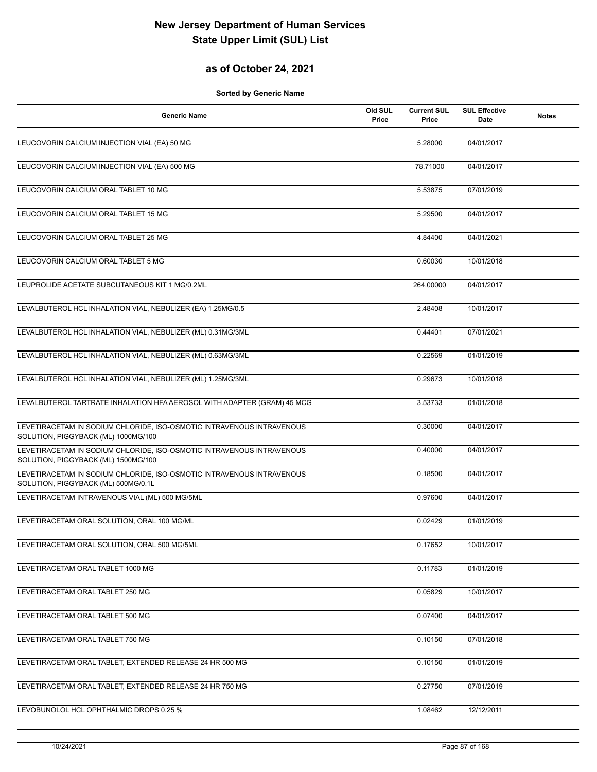## **as of October 24, 2021**

| <b>Generic Name</b>                                                                                          | Old SUL<br>Price | <b>Current SUL</b><br>Price | <b>SUL Effective</b><br><b>Date</b> | <b>Notes</b> |
|--------------------------------------------------------------------------------------------------------------|------------------|-----------------------------|-------------------------------------|--------------|
| LEUCOVORIN CALCIUM INJECTION VIAL (EA) 50 MG                                                                 |                  | 5.28000                     | 04/01/2017                          |              |
| LEUCOVORIN CALCIUM INJECTION VIAL (EA) 500 MG                                                                |                  | 78.71000                    | 04/01/2017                          |              |
| LEUCOVORIN CALCIUM ORAL TABLET 10 MG                                                                         |                  | 5.53875                     | 07/01/2019                          |              |
| LEUCOVORIN CALCIUM ORAL TABLET 15 MG                                                                         |                  | 5.29500                     | 04/01/2017                          |              |
| LEUCOVORIN CALCIUM ORAL TABLET 25 MG                                                                         |                  | 4.84400                     | 04/01/2021                          |              |
| LEUCOVORIN CALCIUM ORAL TABLET 5 MG                                                                          |                  | 0.60030                     | 10/01/2018                          |              |
| LEUPROLIDE ACETATE SUBCUTANEOUS KIT 1 MG/0.2ML                                                               |                  | 264.00000                   | 04/01/2017                          |              |
| LEVALBUTEROL HCL INHALATION VIAL, NEBULIZER (EA) 1.25MG/0.5                                                  |                  | 2.48408                     | 10/01/2017                          |              |
| LEVALBUTEROL HCL INHALATION VIAL, NEBULIZER (ML) 0.31MG/3ML                                                  |                  | 0.44401                     | 07/01/2021                          |              |
| LEVALBUTEROL HCL INHALATION VIAL, NEBULIZER (ML) 0.63MG/3ML                                                  |                  | 0.22569                     | 01/01/2019                          |              |
| LEVALBUTEROL HCL INHALATION VIAL, NEBULIZER (ML) 1.25MG/3ML                                                  |                  | 0.29673                     | 10/01/2018                          |              |
| LEVALBUTEROL TARTRATE INHALATION HFA AEROSOL WITH ADAPTER (GRAM) 45 MCG                                      |                  | 3.53733                     | 01/01/2018                          |              |
| LEVETIRACETAM IN SODIUM CHLORIDE, ISO-OSMOTIC INTRAVENOUS INTRAVENOUS<br>SOLUTION, PIGGYBACK (ML) 1000MG/100 |                  | 0.30000                     | 04/01/2017                          |              |
| LEVETIRACETAM IN SODIUM CHLORIDE, ISO-OSMOTIC INTRAVENOUS INTRAVENOUS<br>SOLUTION, PIGGYBACK (ML) 1500MG/100 |                  | 0.40000                     | 04/01/2017                          |              |
| LEVETIRACETAM IN SODIUM CHLORIDE, ISO-OSMOTIC INTRAVENOUS INTRAVENOUS<br>SOLUTION, PIGGYBACK (ML) 500MG/0.1L |                  | 0.18500                     | 04/01/2017                          |              |
| LEVETIRACETAM INTRAVENOUS VIAL (ML) 500 MG/5ML                                                               |                  | 0.97600                     | 04/01/2017                          |              |
| LEVETIRACETAM ORAL SOLUTION, ORAL 100 MG/ML                                                                  |                  | 0.02429                     | 01/01/2019                          |              |
| LEVETIRACETAM ORAL SOLUTION, ORAL 500 MG/5ML                                                                 |                  | 0.17652                     | 10/01/2017                          |              |
| LEVETIRACETAM ORAL TABLET 1000 MG                                                                            |                  | 0.11783                     | 01/01/2019                          |              |
| LEVETIRACETAM ORAL TABLET 250 MG                                                                             |                  | 0.05829                     | 10/01/2017                          |              |
| LEVETIRACETAM ORAL TABLET 500 MG                                                                             |                  | 0.07400                     | 04/01/2017                          |              |
| LEVETIRACETAM ORAL TABLET 750 MG                                                                             |                  | 0.10150                     | 07/01/2018                          |              |
| LEVETIRACETAM ORAL TABLET, EXTENDED RELEASE 24 HR 500 MG                                                     |                  | 0.10150                     | 01/01/2019                          |              |
| LEVETIRACETAM ORAL TABLET, EXTENDED RELEASE 24 HR 750 MG                                                     |                  | 0.27750                     | 07/01/2019                          |              |
| LEVOBUNOLOL HCL OPHTHALMIC DROPS 0.25 %                                                                      |                  | 1.08462                     | 12/12/2011                          |              |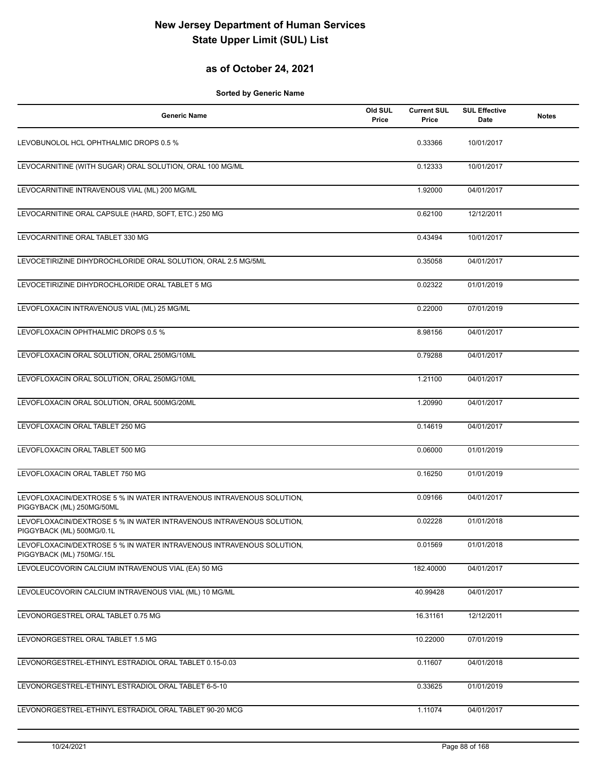## **as of October 24, 2021**

| <b>Generic Name</b>                                                                               | Old SUL<br>Price | <b>Current SUL</b><br>Price | <b>SUL Effective</b><br>Date | <b>Notes</b> |
|---------------------------------------------------------------------------------------------------|------------------|-----------------------------|------------------------------|--------------|
| LEVOBUNOLOL HCL OPHTHALMIC DROPS 0.5 %                                                            |                  | 0.33366                     | 10/01/2017                   |              |
| LEVOCARNITINE (WITH SUGAR) ORAL SOLUTION, ORAL 100 MG/ML                                          |                  | 0.12333                     | 10/01/2017                   |              |
| LEVOCARNITINE INTRAVENOUS VIAL (ML) 200 MG/ML                                                     |                  | 1.92000                     | 04/01/2017                   |              |
| LEVOCARNITINE ORAL CAPSULE (HARD, SOFT, ETC.) 250 MG                                              |                  | 0.62100                     | 12/12/2011                   |              |
| LEVOCARNITINE ORAL TABLET 330 MG                                                                  |                  | 0.43494                     | 10/01/2017                   |              |
| LEVOCETIRIZINE DIHYDROCHLORIDE ORAL SOLUTION, ORAL 2.5 MG/5ML                                     |                  | 0.35058                     | 04/01/2017                   |              |
| LEVOCETIRIZINE DIHYDROCHLORIDE ORAL TABLET 5 MG                                                   |                  | 0.02322                     | 01/01/2019                   |              |
| LEVOFLOXACIN INTRAVENOUS VIAL (ML) 25 MG/ML                                                       |                  | 0.22000                     | 07/01/2019                   |              |
| LEVOFLOXACIN OPHTHALMIC DROPS 0.5 %                                                               |                  | 8.98156                     | 04/01/2017                   |              |
| LEVOFLOXACIN ORAL SOLUTION, ORAL 250MG/10ML                                                       |                  | 0.79288                     | 04/01/2017                   |              |
| LEVOFLOXACIN ORAL SOLUTION, ORAL 250MG/10ML                                                       |                  | 1.21100                     | 04/01/2017                   |              |
| LEVOFLOXACIN ORAL SOLUTION, ORAL 500MG/20ML                                                       |                  | 1.20990                     | 04/01/2017                   |              |
| LEVOFLOXACIN ORAL TABLET 250 MG                                                                   |                  | 0.14619                     | 04/01/2017                   |              |
| LEVOFLOXACIN ORAL TABLET 500 MG                                                                   |                  | 0.06000                     | 01/01/2019                   |              |
| LEVOFLOXACIN ORAL TABLET 750 MG                                                                   |                  | 0.16250                     | 01/01/2019                   |              |
| LEVOFLOXACIN/DEXTROSE 5 % IN WATER INTRAVENOUS INTRAVENOUS SOLUTION,<br>PIGGYBACK (ML) 250MG/50ML |                  | 0.09166                     | 04/01/2017                   |              |
| LEVOFLOXACIN/DEXTROSE 5 % IN WATER INTRAVENOUS INTRAVENOUS SOLUTION,<br>PIGGYBACK (ML) 500MG/0.1L |                  | 0.02228                     | 01/01/2018                   |              |
| LEVOFLOXACIN/DEXTROSE 5 % IN WATER INTRAVENOUS INTRAVENOUS SOLUTION,<br>PIGGYBACK (ML) 750MG/.15L |                  | 0.01569                     | 01/01/2018                   |              |
| LEVOLEUCOVORIN CALCIUM INTRAVENOUS VIAL (EA) 50 MG                                                |                  | 182.40000                   | 04/01/2017                   |              |
| LEVOLEUCOVORIN CALCIUM INTRAVENOUS VIAL (ML) 10 MG/ML                                             |                  | 40.99428                    | 04/01/2017                   |              |
| LEVONORGESTREL ORAL TABLET 0.75 MG                                                                |                  | 16.31161                    | 12/12/2011                   |              |
| LEVONORGESTREL ORAL TABLET 1.5 MG                                                                 |                  | 10.22000                    | 07/01/2019                   |              |
| LEVONORGESTREL-ETHINYL ESTRADIOL ORAL TABLET 0.15-0.03                                            |                  | 0.11607                     | 04/01/2018                   |              |
| LEVONORGESTREL-ETHINYL ESTRADIOL ORAL TABLET 6-5-10                                               |                  | 0.33625                     | 01/01/2019                   |              |
| LEVONORGESTREL-ETHINYL ESTRADIOL ORAL TABLET 90-20 MCG                                            |                  | 1.11074                     | 04/01/2017                   |              |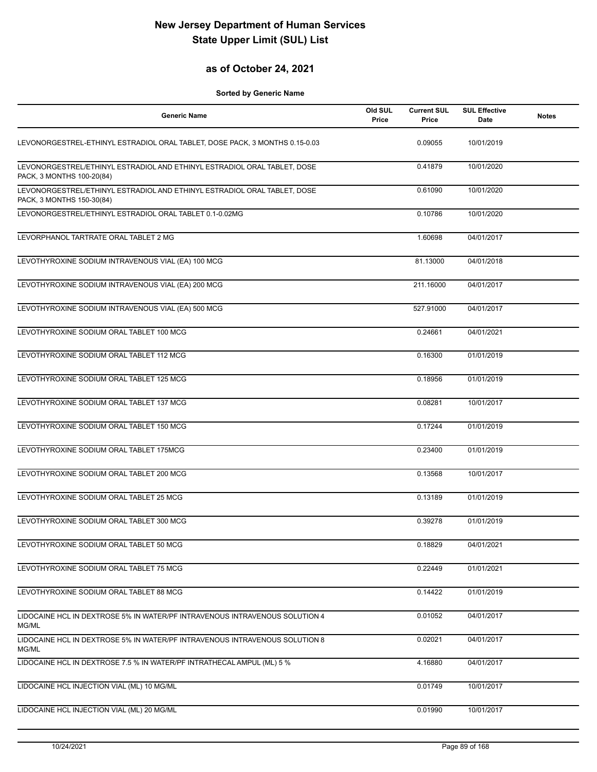#### **as of October 24, 2021**

| <b>Generic Name</b>                                                                                   | Old SUL<br>Price | <b>Current SUL</b><br>Price | <b>SUL Effective</b><br><b>Date</b> | <b>Notes</b> |
|-------------------------------------------------------------------------------------------------------|------------------|-----------------------------|-------------------------------------|--------------|
| LEVONORGESTREL-ETHINYL ESTRADIOL ORAL TABLET, DOSE PACK, 3 MONTHS 0.15-0.03                           |                  | 0.09055                     | 10/01/2019                          |              |
| LEVONORGESTREL/ETHINYL ESTRADIOL AND ETHINYL ESTRADIOL ORAL TABLET, DOSE<br>PACK, 3 MONTHS 100-20(84) |                  | 0.41879                     | 10/01/2020                          |              |
| LEVONORGESTREL/ETHINYL ESTRADIOL AND ETHINYL ESTRADIOL ORAL TABLET, DOSE<br>PACK, 3 MONTHS 150-30(84) |                  | 0.61090                     | 10/01/2020                          |              |
| LEVONORGESTREL/ETHINYL ESTRADIOL ORAL TABLET 0.1-0.02MG                                               |                  | 0.10786                     | 10/01/2020                          |              |
| LEVORPHANOL TARTRATE ORAL TABLET 2 MG                                                                 |                  | 1.60698                     | 04/01/2017                          |              |
| LEVOTHYROXINE SODIUM INTRAVENOUS VIAL (EA) 100 MCG                                                    |                  | 81.13000                    | 04/01/2018                          |              |
| LEVOTHYROXINE SODIUM INTRAVENOUS VIAL (EA) 200 MCG                                                    |                  | 211.16000                   | 04/01/2017                          |              |
| LEVOTHYROXINE SODIUM INTRAVENOUS VIAL (EA) 500 MCG                                                    |                  | 527.91000                   | 04/01/2017                          |              |
| LEVOTHYROXINE SODIUM ORAL TABLET 100 MCG                                                              |                  | 0.24661                     | 04/01/2021                          |              |
| LEVOTHYROXINE SODIUM ORAL TABLET 112 MCG                                                              |                  | 0.16300                     | 01/01/2019                          |              |
| LEVOTHYROXINE SODIUM ORAL TABLET 125 MCG                                                              |                  | 0.18956                     | 01/01/2019                          |              |
| LEVOTHYROXINE SODIUM ORAL TABLET 137 MCG                                                              |                  | 0.08281                     | 10/01/2017                          |              |
| LEVOTHYROXINE SODIUM ORAL TABLET 150 MCG                                                              |                  | 0.17244                     | 01/01/2019                          |              |
| LEVOTHYROXINE SODIUM ORAL TABLET 175MCG                                                               |                  | 0.23400                     | 01/01/2019                          |              |
| LEVOTHYROXINE SODIUM ORAL TABLET 200 MCG                                                              |                  | 0.13568                     | 10/01/2017                          |              |
| LEVOTHYROXINE SODIUM ORAL TABLET 25 MCG                                                               |                  | 0.13189                     | 01/01/2019                          |              |
| LEVOTHYROXINE SODIUM ORAL TABLET 300 MCG                                                              |                  | 0.39278                     | 01/01/2019                          |              |
| LEVOTHYROXINE SODIUM ORAL TABLET 50 MCG                                                               |                  | 0.18829                     | 04/01/2021                          |              |
| LEVOTHYROXINE SODIUM ORAL TABLET 75 MCG                                                               |                  | 0.22449                     | 01/01/2021                          |              |
| LEVOTHYROXINE SODIUM ORAL TABLET 88 MCG                                                               |                  | 0.14422                     | 01/01/2019                          |              |
| LIDOCAINE HCL IN DEXTROSE 5% IN WATER/PF INTRAVENOUS INTRAVENOUS SOLUTION 4<br>MG/ML                  |                  | 0.01052                     | 04/01/2017                          |              |
| LIDOCAINE HCL IN DEXTROSE 5% IN WATER/PF INTRAVENOUS INTRAVENOUS SOLUTION 8<br>MG/ML                  |                  | 0.02021                     | 04/01/2017                          |              |
| LIDOCAINE HCL IN DEXTROSE 7.5 % IN WATER/PF INTRATHECAL AMPUL (ML) 5 %                                |                  | 4.16880                     | 04/01/2017                          |              |
| LIDOCAINE HCL INJECTION VIAL (ML) 10 MG/ML                                                            |                  | 0.01749                     | 10/01/2017                          |              |
| LIDOCAINE HCL INJECTION VIAL (ML) 20 MG/ML                                                            |                  | 0.01990                     | 10/01/2017                          |              |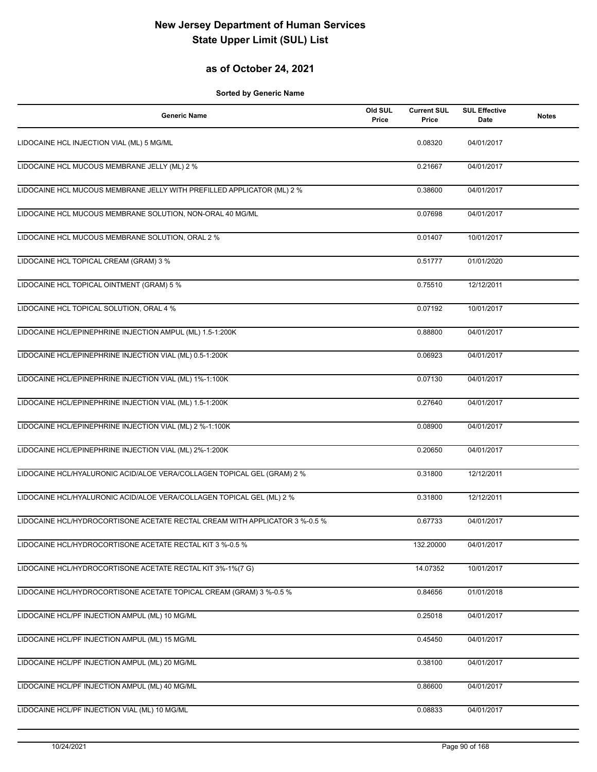## **as of October 24, 2021**

| <b>Generic Name</b>                                                         | Old SUL<br>Price | <b>Current SUL</b><br>Price | <b>SUL Effective</b><br><b>Date</b> | <b>Notes</b> |
|-----------------------------------------------------------------------------|------------------|-----------------------------|-------------------------------------|--------------|
| LIDOCAINE HCL INJECTION VIAL (ML) 5 MG/ML                                   |                  | 0.08320                     | 04/01/2017                          |              |
| LIDOCAINE HCL MUCOUS MEMBRANE JELLY (ML) 2 %                                |                  | 0.21667                     | 04/01/2017                          |              |
| LIDOCAINE HCL MUCOUS MEMBRANE JELLY WITH PREFILLED APPLICATOR (ML) 2 %      |                  | 0.38600                     | 04/01/2017                          |              |
| LIDOCAINE HCL MUCOUS MEMBRANE SOLUTION, NON-ORAL 40 MG/ML                   |                  | 0.07698                     | 04/01/2017                          |              |
| LIDOCAINE HCL MUCOUS MEMBRANE SOLUTION, ORAL 2 %                            |                  | 0.01407                     | 10/01/2017                          |              |
| LIDOCAINE HCL TOPICAL CREAM (GRAM) 3 %                                      |                  | 0.51777                     | 01/01/2020                          |              |
| LIDOCAINE HCL TOPICAL OINTMENT (GRAM) 5 %                                   |                  | 0.75510                     | 12/12/2011                          |              |
| LIDOCAINE HCL TOPICAL SOLUTION, ORAL 4 %                                    |                  | 0.07192                     | 10/01/2017                          |              |
| LIDOCAINE HCL/EPINEPHRINE INJECTION AMPUL (ML) 1.5-1:200K                   |                  | 0.88800                     | 04/01/2017                          |              |
| LIDOCAINE HCL/EPINEPHRINE INJECTION VIAL (ML) 0.5-1:200K                    |                  | 0.06923                     | 04/01/2017                          |              |
| LIDOCAINE HCL/EPINEPHRINE INJECTION VIAL (ML) 1%-1:100K                     |                  | 0.07130                     | 04/01/2017                          |              |
| LIDOCAINE HCL/EPINEPHRINE INJECTION VIAL (ML) 1.5-1:200K                    |                  | 0.27640                     | 04/01/2017                          |              |
| LIDOCAINE HCL/EPINEPHRINE INJECTION VIAL (ML) 2 %-1:100K                    |                  | 0.08900                     | 04/01/2017                          |              |
| LIDOCAINE HCL/EPINEPHRINE INJECTION VIAL (ML) 2%-1:200K                     |                  | 0.20650                     | 04/01/2017                          |              |
| LIDOCAINE HCL/HYALURONIC ACID/ALOE VERA/COLLAGEN TOPICAL GEL (GRAM) 2 %     |                  | 0.31800                     | 12/12/2011                          |              |
| LIDOCAINE HCL/HYALURONIC ACID/ALOE VERA/COLLAGEN TOPICAL GEL (ML) 2 %       |                  | 0.31800                     | 12/12/2011                          |              |
| LIDOCAINE HCL/HYDROCORTISONE ACETATE RECTAL CREAM WITH APPLICATOR 3 %-0.5 % |                  | 0.67733                     | 04/01/2017                          |              |
| LIDOCAINE HCL/HYDROCORTISONE ACETATE RECTAL KIT 3 %-0.5 %                   |                  | 132.20000                   | 04/01/2017                          |              |
| LIDOCAINE HCL/HYDROCORTISONE ACETATE RECTAL KIT 3%-1%(7 G)                  |                  | 14.07352                    | 10/01/2017                          |              |
| LIDOCAINE HCL/HYDROCORTISONE ACETATE TOPICAL CREAM (GRAM) 3 %-0.5 %         |                  | 0.84656                     | 01/01/2018                          |              |
| LIDOCAINE HCL/PF INJECTION AMPUL (ML) 10 MG/ML                              |                  | 0.25018                     | 04/01/2017                          |              |
| LIDOCAINE HCL/PF INJECTION AMPUL (ML) 15 MG/ML                              |                  | 0.45450                     | 04/01/2017                          |              |
| LIDOCAINE HCL/PF INJECTION AMPUL (ML) 20 MG/ML                              |                  | 0.38100                     | 04/01/2017                          |              |
| LIDOCAINE HCL/PF INJECTION AMPUL (ML) 40 MG/ML                              |                  | 0.86600                     | 04/01/2017                          |              |
| LIDOCAINE HCL/PF INJECTION VIAL (ML) 10 MG/ML                               |                  | 0.08833                     | 04/01/2017                          |              |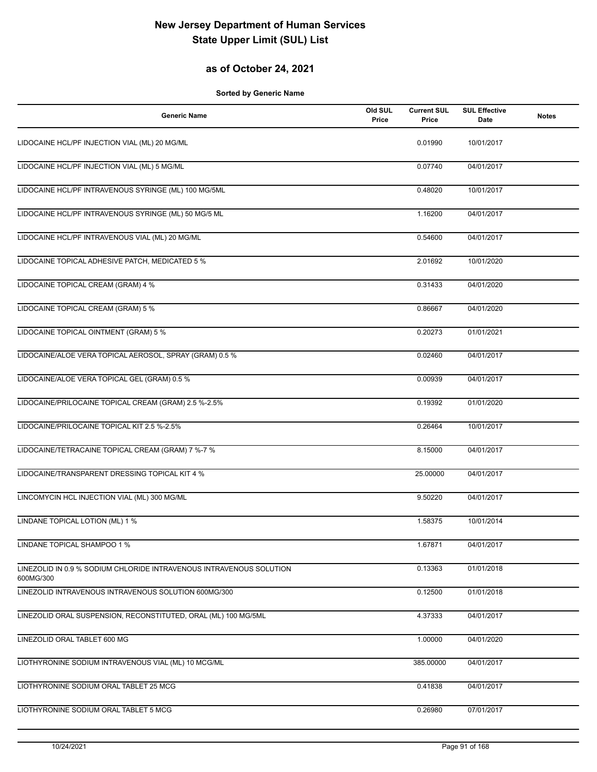## **as of October 24, 2021**

| <b>Generic Name</b>                                                              | Old SUL<br>Price | <b>Current SUL</b><br>Price | <b>SUL Effective</b><br>Date | <b>Notes</b> |
|----------------------------------------------------------------------------------|------------------|-----------------------------|------------------------------|--------------|
| LIDOCAINE HCL/PF INJECTION VIAL (ML) 20 MG/ML                                    |                  | 0.01990                     | 10/01/2017                   |              |
| LIDOCAINE HCL/PF INJECTION VIAL (ML) 5 MG/ML                                     |                  | 0.07740                     | 04/01/2017                   |              |
| LIDOCAINE HCL/PF INTRAVENOUS SYRINGE (ML) 100 MG/5ML                             |                  | 0.48020                     | 10/01/2017                   |              |
| LIDOCAINE HCL/PF INTRAVENOUS SYRINGE (ML) 50 MG/5 ML                             |                  | 1.16200                     | 04/01/2017                   |              |
| LIDOCAINE HCL/PF INTRAVENOUS VIAL (ML) 20 MG/ML                                  |                  | 0.54600                     | 04/01/2017                   |              |
| LIDOCAINE TOPICAL ADHESIVE PATCH, MEDICATED 5 %                                  |                  | 2.01692                     | 10/01/2020                   |              |
| LIDOCAINE TOPICAL CREAM (GRAM) 4 %                                               |                  | 0.31433                     | 04/01/2020                   |              |
| LIDOCAINE TOPICAL CREAM (GRAM) 5 %                                               |                  | 0.86667                     | 04/01/2020                   |              |
| LIDOCAINE TOPICAL OINTMENT (GRAM) 5 %                                            |                  | 0.20273                     | 01/01/2021                   |              |
| LIDOCAINE/ALOE VERA TOPICAL AEROSOL, SPRAY (GRAM) 0.5 %                          |                  | 0.02460                     | 04/01/2017                   |              |
| LIDOCAINE/ALOE VERA TOPICAL GEL (GRAM) 0.5 %                                     |                  | 0.00939                     | 04/01/2017                   |              |
| LIDOCAINE/PRILOCAINE TOPICAL CREAM (GRAM) 2.5 %-2.5%                             |                  | 0.19392                     | 01/01/2020                   |              |
| LIDOCAINE/PRILOCAINE TOPICAL KIT 2.5 %-2.5%                                      |                  | 0.26464                     | 10/01/2017                   |              |
| LIDOCAINE/TETRACAINE TOPICAL CREAM (GRAM) 7 %-7 %                                |                  | 8.15000                     | 04/01/2017                   |              |
| LIDOCAINE/TRANSPARENT DRESSING TOPICAL KIT 4 %                                   |                  | 25.00000                    | 04/01/2017                   |              |
| LINCOMYCIN HCL INJECTION VIAL (ML) 300 MG/ML                                     |                  | 9.50220                     | 04/01/2017                   |              |
| LINDANE TOPICAL LOTION (ML) 1 %                                                  |                  | 1.58375                     | 10/01/2014                   |              |
| LINDANE TOPICAL SHAMPOO 1 %                                                      |                  | 1.67871                     | 04/01/2017                   |              |
| LINEZOLID IN 0.9 % SODIUM CHLORIDE INTRAVENOUS INTRAVENOUS SOLUTION<br>600MG/300 |                  | 0.13363                     | 01/01/2018                   |              |
| LINEZOLID INTRAVENOUS INTRAVENOUS SOLUTION 600MG/300                             |                  | 0.12500                     | 01/01/2018                   |              |
| LINEZOLID ORAL SUSPENSION, RECONSTITUTED, ORAL (ML) 100 MG/5ML                   |                  | 4.37333                     | 04/01/2017                   |              |
| LINEZOLID ORAL TABLET 600 MG                                                     |                  | 1.00000                     | 04/01/2020                   |              |
| LIOTHYRONINE SODIUM INTRAVENOUS VIAL (ML) 10 MCG/ML                              |                  | 385.00000                   | 04/01/2017                   |              |
| LIOTHYRONINE SODIUM ORAL TABLET 25 MCG                                           |                  | 0.41838                     | 04/01/2017                   |              |
| LIOTHYRONINE SODIUM ORAL TABLET 5 MCG                                            |                  | 0.26980                     | 07/01/2017                   |              |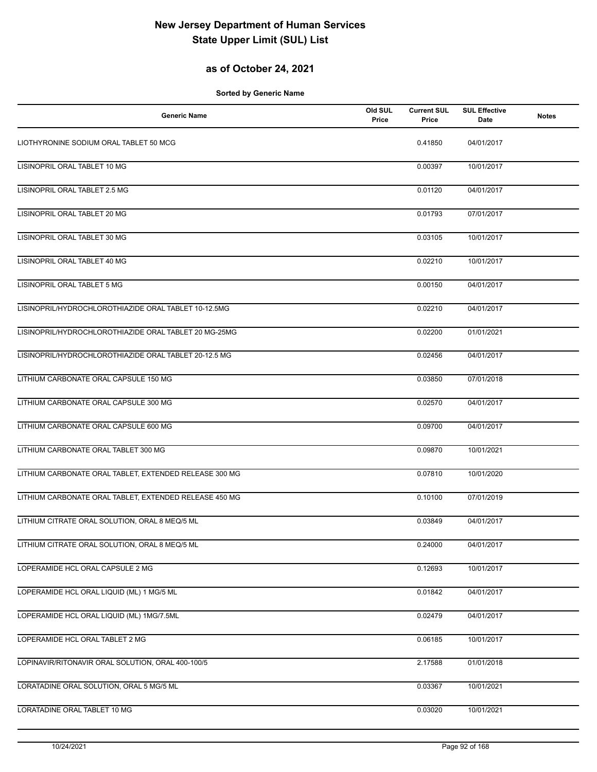## **as of October 24, 2021**

| <b>Generic Name</b>                                    | Old SUL<br>Price | <b>Current SUL</b><br>Price | <b>SUL Effective</b><br>Date | <b>Notes</b> |
|--------------------------------------------------------|------------------|-----------------------------|------------------------------|--------------|
| LIOTHYRONINE SODIUM ORAL TABLET 50 MCG                 |                  | 0.41850                     | 04/01/2017                   |              |
| LISINOPRIL ORAL TABLET 10 MG                           |                  | 0.00397                     | 10/01/2017                   |              |
| LISINOPRIL ORAL TABLET 2.5 MG                          |                  | 0.01120                     | 04/01/2017                   |              |
| LISINOPRIL ORAL TABLET 20 MG                           |                  | 0.01793                     | 07/01/2017                   |              |
| LISINOPRIL ORAL TABLET 30 MG                           |                  | 0.03105                     | 10/01/2017                   |              |
| LISINOPRIL ORAL TABLET 40 MG                           |                  | 0.02210                     | 10/01/2017                   |              |
| LISINOPRIL ORAL TABLET 5 MG                            |                  | 0.00150                     | 04/01/2017                   |              |
| LISINOPRIL/HYDROCHLOROTHIAZIDE ORAL TABLET 10-12.5MG   |                  | 0.02210                     | 04/01/2017                   |              |
| LISINOPRIL/HYDROCHLOROTHIAZIDE ORAL TABLET 20 MG-25MG  |                  | 0.02200                     | 01/01/2021                   |              |
| LISINOPRIL/HYDROCHLOROTHIAZIDE ORAL TABLET 20-12.5 MG  |                  | 0.02456                     | 04/01/2017                   |              |
| LITHIUM CARBONATE ORAL CAPSULE 150 MG                  |                  | 0.03850                     | 07/01/2018                   |              |
| LITHIUM CARBONATE ORAL CAPSULE 300 MG                  |                  | 0.02570                     | 04/01/2017                   |              |
| LITHIUM CARBONATE ORAL CAPSULE 600 MG                  |                  | 0.09700                     | 04/01/2017                   |              |
| LITHIUM CARBONATE ORAL TABLET 300 MG                   |                  | 0.09870                     | 10/01/2021                   |              |
| LITHIUM CARBONATE ORAL TABLET, EXTENDED RELEASE 300 MG |                  | 0.07810                     | 10/01/2020                   |              |
| LITHIUM CARBONATE ORAL TABLET, EXTENDED RELEASE 450 MG |                  | 0.10100                     | 07/01/2019                   |              |
| LITHIUM CITRATE ORAL SOLUTION, ORAL 8 MEQ/5 ML         |                  | 0.03849                     | 04/01/2017                   |              |
| LITHIUM CITRATE ORAL SOLUTION, ORAL 8 MEQ/5 ML         |                  | 0.24000                     | 04/01/2017                   |              |
| LOPERAMIDE HCL ORAL CAPSULE 2 MG                       |                  | 0.12693                     | 10/01/2017                   |              |
| LOPERAMIDE HCL ORAL LIQUID (ML) 1 MG/5 ML              |                  | 0.01842                     | 04/01/2017                   |              |
| LOPERAMIDE HCL ORAL LIQUID (ML) 1MG/7.5ML              |                  | 0.02479                     | 04/01/2017                   |              |
| LOPERAMIDE HCL ORAL TABLET 2 MG                        |                  | 0.06185                     | 10/01/2017                   |              |
| LOPINAVIR/RITONAVIR ORAL SOLUTION, ORAL 400-100/5      |                  | 2.17588                     | 01/01/2018                   |              |
| LORATADINE ORAL SOLUTION, ORAL 5 MG/5 ML               |                  | 0.03367                     | 10/01/2021                   |              |
| LORATADINE ORAL TABLET 10 MG                           |                  | 0.03020                     | 10/01/2021                   |              |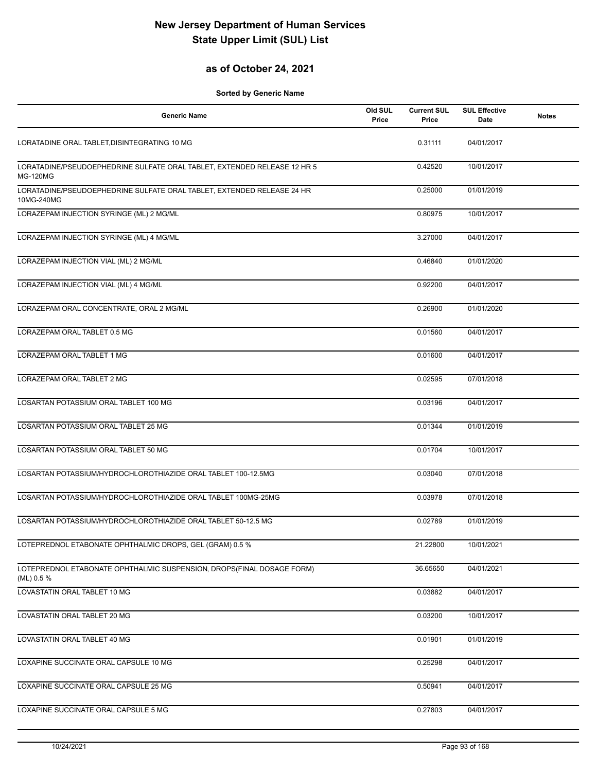## **as of October 24, 2021**

| <b>Generic Name</b>                                                                         | Old SUL<br>Price | <b>Current SUL</b><br>Price | <b>SUL Effective</b><br>Date | <b>Notes</b> |
|---------------------------------------------------------------------------------------------|------------------|-----------------------------|------------------------------|--------------|
| LORATADINE ORAL TABLET, DISINTEGRATING 10 MG                                                |                  | 0.31111                     | 04/01/2017                   |              |
| LORATADINE/PSEUDOEPHEDRINE SULFATE ORAL TABLET, EXTENDED RELEASE 12 HR 5<br><b>MG-120MG</b> |                  | 0.42520                     | 10/01/2017                   |              |
| LORATADINE/PSEUDOEPHEDRINE SULFATE ORAL TABLET, EXTENDED RELEASE 24 HR<br>10MG-240MG        |                  | 0.25000                     | 01/01/2019                   |              |
| LORAZEPAM INJECTION SYRINGE (ML) 2 MG/ML                                                    |                  | 0.80975                     | 10/01/2017                   |              |
| LORAZEPAM INJECTION SYRINGE (ML) 4 MG/ML                                                    |                  | 3.27000                     | 04/01/2017                   |              |
| LORAZEPAM INJECTION VIAL (ML) 2 MG/ML                                                       |                  | 0.46840                     | 01/01/2020                   |              |
| LORAZEPAM INJECTION VIAL (ML) 4 MG/ML                                                       |                  | 0.92200                     | 04/01/2017                   |              |
| LORAZEPAM ORAL CONCENTRATE, ORAL 2 MG/ML                                                    |                  | 0.26900                     | 01/01/2020                   |              |
| LORAZEPAM ORAL TABLET 0.5 MG                                                                |                  | 0.01560                     | 04/01/2017                   |              |
| LORAZEPAM ORAL TABLET 1 MG                                                                  |                  | 0.01600                     | 04/01/2017                   |              |
| LORAZEPAM ORAL TABLET 2 MG                                                                  |                  | 0.02595                     | 07/01/2018                   |              |
| LOSARTAN POTASSIUM ORAL TABLET 100 MG                                                       |                  | 0.03196                     | 04/01/2017                   |              |
| LOSARTAN POTASSIUM ORAL TABLET 25 MG                                                        |                  | 0.01344                     | 01/01/2019                   |              |
| LOSARTAN POTASSIUM ORAL TABLET 50 MG                                                        |                  | 0.01704                     | 10/01/2017                   |              |
| LOSARTAN POTASSIUM/HYDROCHLOROTHIAZIDE ORAL TABLET 100-12.5MG                               |                  | 0.03040                     | 07/01/2018                   |              |
| LOSARTAN POTASSIUM/HYDROCHLOROTHIAZIDE ORAL TABLET 100MG-25MG                               |                  | 0.03978                     | 07/01/2018                   |              |
| LOSARTAN POTASSIUM/HYDROCHLOROTHIAZIDE ORAL TABLET 50-12.5 MG                               |                  | 0.02789                     | 01/01/2019                   |              |
| LOTEPREDNOL ETABONATE OPHTHALMIC DROPS, GEL (GRAM) 0.5 %                                    |                  | 21.22800                    | 10/01/2021                   |              |
| LOTEPREDNOL ETABONATE OPHTHALMIC SUSPENSION, DROPS(FINAL DOSAGE FORM)<br>(ML) 0.5 %         |                  | 36.65650                    | 04/01/2021                   |              |
| LOVASTATIN ORAL TABLET 10 MG                                                                |                  | 0.03882                     | 04/01/2017                   |              |
| LOVASTATIN ORAL TABLET 20 MG                                                                |                  | 0.03200                     | 10/01/2017                   |              |
| LOVASTATIN ORAL TABLET 40 MG                                                                |                  | 0.01901                     | 01/01/2019                   |              |
| LOXAPINE SUCCINATE ORAL CAPSULE 10 MG                                                       |                  | 0.25298                     | 04/01/2017                   |              |
| LOXAPINE SUCCINATE ORAL CAPSULE 25 MG                                                       |                  | 0.50941                     | 04/01/2017                   |              |
| LOXAPINE SUCCINATE ORAL CAPSULE 5 MG                                                        |                  | 0.27803                     | 04/01/2017                   |              |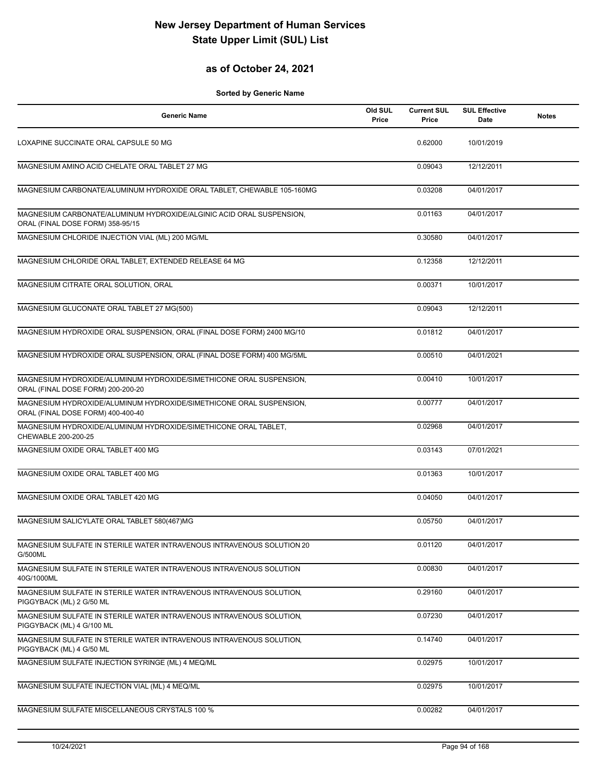## **as of October 24, 2021**

| <b>Generic Name</b>                                                                                      | Old SUL<br>Price | <b>Current SUL</b><br>Price | <b>SUL Effective</b><br>Date | <b>Notes</b> |
|----------------------------------------------------------------------------------------------------------|------------------|-----------------------------|------------------------------|--------------|
| LOXAPINE SUCCINATE ORAL CAPSULE 50 MG                                                                    |                  | 0.62000                     | 10/01/2019                   |              |
| MAGNESIUM AMINO ACID CHELATE ORAL TABLET 27 MG                                                           |                  | 0.09043                     | 12/12/2011                   |              |
| MAGNESIUM CARBONATE/ALUMINUM HYDROXIDE ORAL TABLET, CHEWABLE 105-160MG                                   |                  | 0.03208                     | 04/01/2017                   |              |
| MAGNESIUM CARBONATE/ALUMINUM HYDROXIDE/ALGINIC ACID ORAL SUSPENSION,<br>ORAL (FINAL DOSE FORM) 358-95/15 |                  | 0.01163                     | 04/01/2017                   |              |
| MAGNESIUM CHLORIDE INJECTION VIAL (ML) 200 MG/ML                                                         |                  | 0.30580                     | 04/01/2017                   |              |
| MAGNESIUM CHLORIDE ORAL TABLET, EXTENDED RELEASE 64 MG                                                   |                  | 0.12358                     | 12/12/2011                   |              |
| MAGNESIUM CITRATE ORAL SOLUTION, ORAL                                                                    |                  | 0.00371                     | 10/01/2017                   |              |
| MAGNESIUM GLUCONATE ORAL TABLET 27 MG(500)                                                               |                  | 0.09043                     | 12/12/2011                   |              |
| MAGNESIUM HYDROXIDE ORAL SUSPENSION, ORAL (FINAL DOSE FORM) 2400 MG/10                                   |                  | 0.01812                     | 04/01/2017                   |              |
| MAGNESIUM HYDROXIDE ORAL SUSPENSION, ORAL (FINAL DOSE FORM) 400 MG/5ML                                   |                  | 0.00510                     | 04/01/2021                   |              |
| MAGNESIUM HYDROXIDE/ALUMINUM HYDROXIDE/SIMETHICONE ORAL SUSPENSION,<br>ORAL (FINAL DOSE FORM) 200-200-20 |                  | 0.00410                     | 10/01/2017                   |              |
| MAGNESIUM HYDROXIDE/ALUMINUM HYDROXIDE/SIMETHICONE ORAL SUSPENSION,<br>ORAL (FINAL DOSE FORM) 400-400-40 |                  | 0.00777                     | 04/01/2017                   |              |
| MAGNESIUM HYDROXIDE/ALUMINUM HYDROXIDE/SIMETHICONE ORAL TABLET,<br>CHEWABLE 200-200-25                   |                  | 0.02968                     | 04/01/2017                   |              |
| MAGNESIUM OXIDE ORAL TABLET 400 MG                                                                       |                  | 0.03143                     | 07/01/2021                   |              |
| MAGNESIUM OXIDE ORAL TABLET 400 MG                                                                       |                  | 0.01363                     | 10/01/2017                   |              |
| MAGNESIUM OXIDE ORAL TABLET 420 MG                                                                       |                  | 0.04050                     | 04/01/2017                   |              |
| MAGNESIUM SALICYLATE ORAL TABLET 580(467)MG                                                              |                  | 0.05750                     | 04/01/2017                   |              |
| MAGNESIUM SULFATE IN STERILE WATER INTRAVENOUS INTRAVENOUS SOLUTION 20<br>G/500ML                        |                  | 0.01120                     | 04/01/2017                   |              |
| MAGNESIUM SULFATE IN STERILE WATER INTRAVENOUS INTRAVENOUS SOLUTION<br>40G/1000ML                        |                  | 0.00830                     | 04/01/2017                   |              |
| MAGNESIUM SULFATE IN STERILE WATER INTRAVENOUS INTRAVENOUS SOLUTION.<br>PIGGYBACK (ML) 2 G/50 ML         |                  | 0.29160                     | 04/01/2017                   |              |
| MAGNESIUM SULFATE IN STERILE WATER INTRAVENOUS INTRAVENOUS SOLUTION,<br>PIGGYBACK (ML) 4 G/100 ML        |                  | 0.07230                     | 04/01/2017                   |              |
| MAGNESIUM SULFATE IN STERILE WATER INTRAVENOUS INTRAVENOUS SOLUTION,<br>PIGGYBACK (ML) 4 G/50 ML         |                  | 0.14740                     | 04/01/2017                   |              |
| MAGNESIUM SULFATE INJECTION SYRINGE (ML) 4 MEQ/ML                                                        |                  | 0.02975                     | 10/01/2017                   |              |
| MAGNESIUM SULFATE INJECTION VIAL (ML) 4 MEQ/ML                                                           |                  | 0.02975                     | 10/01/2017                   |              |
| MAGNESIUM SULFATE MISCELLANEOUS CRYSTALS 100 %                                                           |                  | 0.00282                     | 04/01/2017                   |              |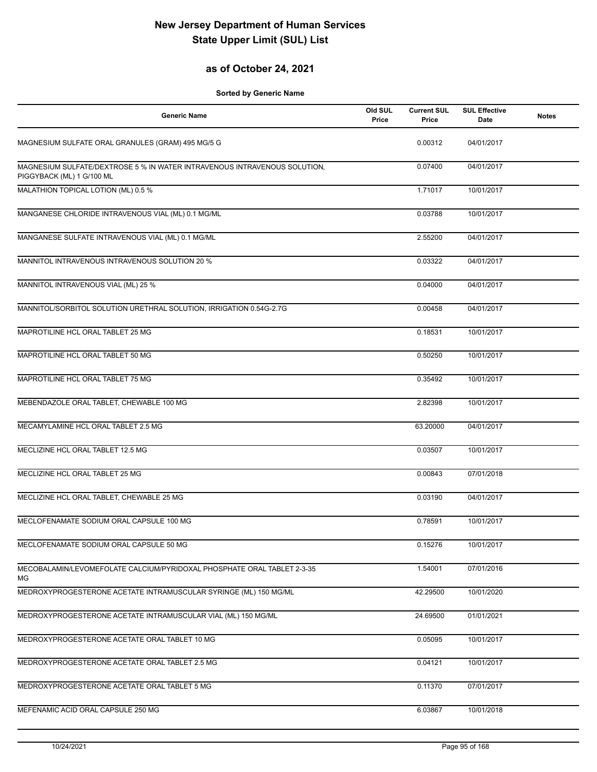## **as of October 24, 2021**

| <b>Generic Name</b>                                                                                    | Old SUL<br>Price | <b>Current SUL</b><br>Price | <b>SUL Effective</b><br><b>Date</b> | <b>Notes</b> |
|--------------------------------------------------------------------------------------------------------|------------------|-----------------------------|-------------------------------------|--------------|
| MAGNESIUM SULFATE ORAL GRANULES (GRAM) 495 MG/5 G                                                      |                  | 0.00312                     | 04/01/2017                          |              |
| MAGNESIUM SULFATE/DEXTROSE 5 % IN WATER INTRAVENOUS INTRAVENOUS SOLUTION,<br>PIGGYBACK (ML) 1 G/100 ML |                  | 0.07400                     | 04/01/2017                          |              |
| MALATHION TOPICAL LOTION (ML) 0.5 %                                                                    |                  | 1.71017                     | 10/01/2017                          |              |
| MANGANESE CHLORIDE INTRAVENOUS VIAL (ML) 0.1 MG/ML                                                     |                  | 0.03788                     | 10/01/2017                          |              |
| MANGANESE SULFATE INTRAVENOUS VIAL (ML) 0.1 MG/ML                                                      |                  | 2.55200                     | 04/01/2017                          |              |
| MANNITOL INTRAVENOUS INTRAVENOUS SOLUTION 20 %                                                         |                  | 0.03322                     | 04/01/2017                          |              |
| MANNITOL INTRAVENOUS VIAL (ML) 25 %                                                                    |                  | 0.04000                     | 04/01/2017                          |              |
| MANNITOL/SORBITOL SOLUTION URETHRAL SOLUTION, IRRIGATION 0.54G-2.7G                                    |                  | 0.00458                     | 04/01/2017                          |              |
| MAPROTILINE HCL ORAL TABLET 25 MG                                                                      |                  | 0.18531                     | 10/01/2017                          |              |
| MAPROTILINE HCL ORAL TABLET 50 MG                                                                      |                  | 0.50250                     | 10/01/2017                          |              |
| MAPROTILINE HCL ORAL TABLET 75 MG                                                                      |                  | 0.35492                     | 10/01/2017                          |              |
| MEBENDAZOLE ORAL TABLET, CHEWABLE 100 MG                                                               |                  | 2.82398                     | 10/01/2017                          |              |
| MECAMYLAMINE HCL ORAL TABLET 2.5 MG                                                                    |                  | 63.20000                    | 04/01/2017                          |              |
| MECLIZINE HCL ORAL TABLET 12.5 MG                                                                      |                  | 0.03507                     | 10/01/2017                          |              |
| MECLIZINE HCL ORAL TABLET 25 MG                                                                        |                  | 0.00843                     | 07/01/2018                          |              |
| MECLIZINE HCL ORAL TABLET, CHEWABLE 25 MG                                                              |                  | 0.03190                     | 04/01/2017                          |              |
| MECLOFENAMATE SODIUM ORAL CAPSULE 100 MG                                                               |                  | 0.78591                     | 10/01/2017                          |              |
| MECLOFENAMATE SODIUM ORAL CAPSULE 50 MG                                                                |                  | 0.15276                     | 10/01/2017                          |              |
| MECOBALAMIN/LEVOMEFOLATE CALCIUM/PYRIDOXAL PHOSPHATE ORAL TABLET 2-3-35<br>МG                          |                  | 1.54001                     | 07/01/2016                          |              |
| MEDROXYPROGESTERONE ACETATE INTRAMUSCULAR SYRINGE (ML) 150 MG/ML                                       |                  | 42.29500                    | 10/01/2020                          |              |
| MEDROXYPROGESTERONE ACETATE INTRAMUSCULAR VIAL (ML) 150 MG/ML                                          |                  | 24.69500                    | 01/01/2021                          |              |
| MEDROXYPROGESTERONE ACETATE ORAL TABLET 10 MG                                                          |                  | 0.05095                     | 10/01/2017                          |              |
| MEDROXYPROGESTERONE ACETATE ORAL TABLET 2.5 MG                                                         |                  | 0.04121                     | 10/01/2017                          |              |
| MEDROXYPROGESTERONE ACETATE ORAL TABLET 5 MG                                                           |                  | 0.11370                     | 07/01/2017                          |              |
| MEFENAMIC ACID ORAL CAPSULE 250 MG                                                                     |                  | 6.03867                     | 10/01/2018                          |              |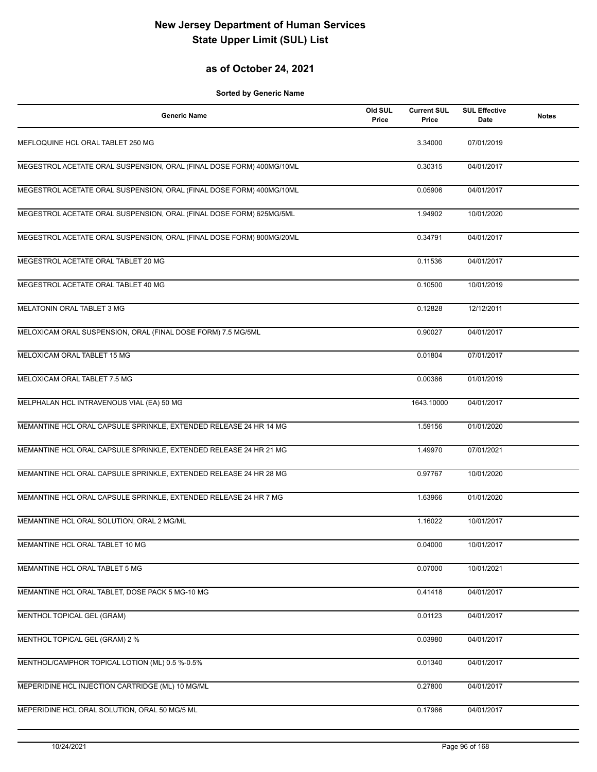## **as of October 24, 2021**

| <b>Generic Name</b>                                                  | Old SUL<br>Price | <b>Current SUL</b><br>Price | <b>SUL Effective</b><br>Date | <b>Notes</b> |
|----------------------------------------------------------------------|------------------|-----------------------------|------------------------------|--------------|
| MEFLOQUINE HCL ORAL TABLET 250 MG                                    |                  | 3.34000                     | 07/01/2019                   |              |
| MEGESTROL ACETATE ORAL SUSPENSION, ORAL (FINAL DOSE FORM) 400MG/10ML |                  | 0.30315                     | 04/01/2017                   |              |
| MEGESTROL ACETATE ORAL SUSPENSION, ORAL (FINAL DOSE FORM) 400MG/10ML |                  | 0.05906                     | 04/01/2017                   |              |
| MEGESTROL ACETATE ORAL SUSPENSION, ORAL (FINAL DOSE FORM) 625MG/5ML  |                  | 1.94902                     | 10/01/2020                   |              |
| MEGESTROL ACETATE ORAL SUSPENSION, ORAL (FINAL DOSE FORM) 800MG/20ML |                  | 0.34791                     | 04/01/2017                   |              |
| MEGESTROL ACETATE ORAL TABLET 20 MG                                  |                  | 0.11536                     | 04/01/2017                   |              |
| MEGESTROL ACETATE ORAL TABLET 40 MG                                  |                  | 0.10500                     | 10/01/2019                   |              |
| MELATONIN ORAL TABLET 3 MG                                           |                  | 0.12828                     | 12/12/2011                   |              |
| MELOXICAM ORAL SUSPENSION, ORAL (FINAL DOSE FORM) 7.5 MG/5ML         |                  | 0.90027                     | 04/01/2017                   |              |
| MELOXICAM ORAL TABLET 15 MG                                          |                  | 0.01804                     | 07/01/2017                   |              |
| MELOXICAM ORAL TABLET 7.5 MG                                         |                  | 0.00386                     | 01/01/2019                   |              |
| MELPHALAN HCL INTRAVENOUS VIAL (EA) 50 MG                            |                  | 1643.10000                  | 04/01/2017                   |              |
| MEMANTINE HCL ORAL CAPSULE SPRINKLE, EXTENDED RELEASE 24 HR 14 MG    |                  | 1.59156                     | 01/01/2020                   |              |
| MEMANTINE HCL ORAL CAPSULE SPRINKLE, EXTENDED RELEASE 24 HR 21 MG    |                  | 1.49970                     | 07/01/2021                   |              |
| MEMANTINE HCL ORAL CAPSULE SPRINKLE, EXTENDED RELEASE 24 HR 28 MG    |                  | 0.97767                     | 10/01/2020                   |              |
| MEMANTINE HCL ORAL CAPSULE SPRINKLE, EXTENDED RELEASE 24 HR 7 MG     |                  | 1.63966                     | 01/01/2020                   |              |
| MEMANTINE HCL ORAL SOLUTION, ORAL 2 MG/ML                            |                  | 1.16022                     | 10/01/2017                   |              |
| MEMANTINE HCL ORAL TABLET 10 MG                                      |                  | 0.04000                     | 10/01/2017                   |              |
| MEMANTINE HCL ORAL TABLET 5 MG                                       |                  | 0.07000                     | 10/01/2021                   |              |
| MEMANTINE HCL ORAL TABLET, DOSE PACK 5 MG-10 MG                      |                  | 0.41418                     | 04/01/2017                   |              |
| MENTHOL TOPICAL GEL (GRAM)                                           |                  | 0.01123                     | 04/01/2017                   |              |
| MENTHOL TOPICAL GEL (GRAM) 2 %                                       |                  | 0.03980                     | 04/01/2017                   |              |
| MENTHOL/CAMPHOR TOPICAL LOTION (ML) 0.5 %-0.5%                       |                  | 0.01340                     | 04/01/2017                   |              |
| MEPERIDINE HCL INJECTION CARTRIDGE (ML) 10 MG/ML                     |                  | 0.27800                     | 04/01/2017                   |              |
| MEPERIDINE HCL ORAL SOLUTION, ORAL 50 MG/5 ML                        |                  | 0.17986                     | 04/01/2017                   |              |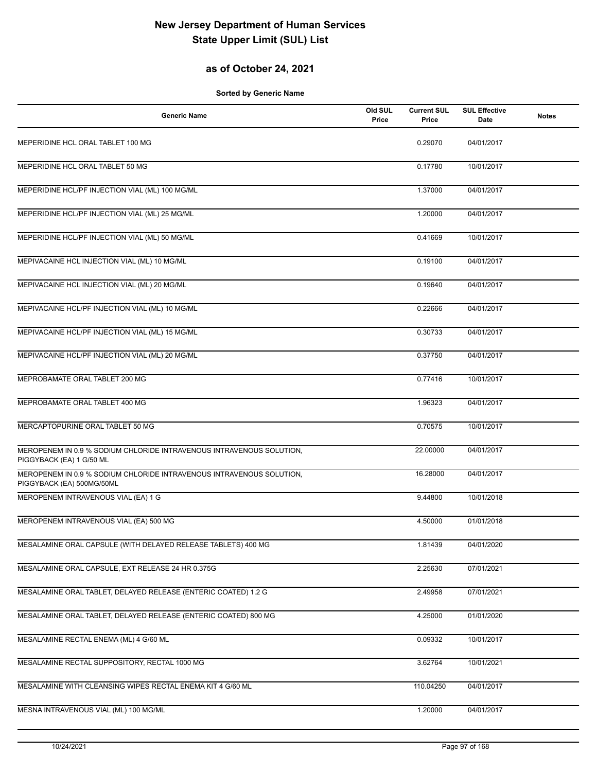## **as of October 24, 2021**

| <b>Generic Name</b>                                                                               | Old SUL<br>Price | <b>Current SUL</b><br>Price | <b>SUL Effective</b><br>Date | <b>Notes</b> |
|---------------------------------------------------------------------------------------------------|------------------|-----------------------------|------------------------------|--------------|
| MEPERIDINE HCL ORAL TABLET 100 MG                                                                 |                  | 0.29070                     | 04/01/2017                   |              |
| MEPERIDINE HCL ORAL TABLET 50 MG                                                                  |                  | 0.17780                     | 10/01/2017                   |              |
| MEPERIDINE HCL/PF INJECTION VIAL (ML) 100 MG/ML                                                   |                  | 1.37000                     | 04/01/2017                   |              |
| MEPERIDINE HCL/PF INJECTION VIAL (ML) 25 MG/ML                                                    |                  | 1.20000                     | 04/01/2017                   |              |
| MEPERIDINE HCL/PF INJECTION VIAL (ML) 50 MG/ML                                                    |                  | 0.41669                     | 10/01/2017                   |              |
| MEPIVACAINE HCL INJECTION VIAL (ML) 10 MG/ML                                                      |                  | 0.19100                     | 04/01/2017                   |              |
| MEPIVACAINE HCL INJECTION VIAL (ML) 20 MG/ML                                                      |                  | 0.19640                     | 04/01/2017                   |              |
| MEPIVACAINE HCL/PF INJECTION VIAL (ML) 10 MG/ML                                                   |                  | 0.22666                     | 04/01/2017                   |              |
| MEPIVACAINE HCL/PF INJECTION VIAL (ML) 15 MG/ML                                                   |                  | 0.30733                     | 04/01/2017                   |              |
| MEPIVACAINE HCL/PF INJECTION VIAL (ML) 20 MG/ML                                                   |                  | 0.37750                     | 04/01/2017                   |              |
| MEPROBAMATE ORAL TABLET 200 MG                                                                    |                  | 0.77416                     | 10/01/2017                   |              |
| MEPROBAMATE ORAL TABLET 400 MG                                                                    |                  | 1.96323                     | 04/01/2017                   |              |
| MERCAPTOPURINE ORAL TABLET 50 MG                                                                  |                  | 0.70575                     | 10/01/2017                   |              |
| MEROPENEM IN 0.9 % SODIUM CHLORIDE INTRAVENOUS INTRAVENOUS SOLUTION,<br>PIGGYBACK (EA) 1 G/50 ML  |                  | 22.00000                    | 04/01/2017                   |              |
| MEROPENEM IN 0.9 % SODIUM CHLORIDE INTRAVENOUS INTRAVENOUS SOLUTION,<br>PIGGYBACK (EA) 500MG/50ML |                  | 16.28000                    | 04/01/2017                   |              |
| MEROPENEM INTRAVENOUS VIAL (EA) 1 G                                                               |                  | 9.44800                     | 10/01/2018                   |              |
| MEROPENEM INTRAVENOUS VIAL (EA) 500 MG                                                            |                  | 4.50000                     | 01/01/2018                   |              |
| MESALAMINE ORAL CAPSULE (WITH DELAYED RELEASE TABLETS) 400 MG                                     |                  | 1.81439                     | 04/01/2020                   |              |
| MESALAMINE ORAL CAPSULE, EXT RELEASE 24 HR 0.375G                                                 |                  | 2.25630                     | 07/01/2021                   |              |
| MESALAMINE ORAL TABLET, DELAYED RELEASE (ENTERIC COATED) 1.2 G                                    |                  | 2.49958                     | 07/01/2021                   |              |
| MESALAMINE ORAL TABLET, DELAYED RELEASE (ENTERIC COATED) 800 MG                                   |                  | 4.25000                     | 01/01/2020                   |              |
| MESALAMINE RECTAL ENEMA (ML) 4 G/60 ML                                                            |                  | 0.09332                     | 10/01/2017                   |              |
| MESALAMINE RECTAL SUPPOSITORY, RECTAL 1000 MG                                                     |                  | 3.62764                     | 10/01/2021                   |              |
| MESALAMINE WITH CLEANSING WIPES RECTAL ENEMA KIT 4 G/60 ML                                        |                  | 110.04250                   | 04/01/2017                   |              |
| MESNA INTRAVENOUS VIAL (ML) 100 MG/ML                                                             |                  | 1.20000                     | 04/01/2017                   |              |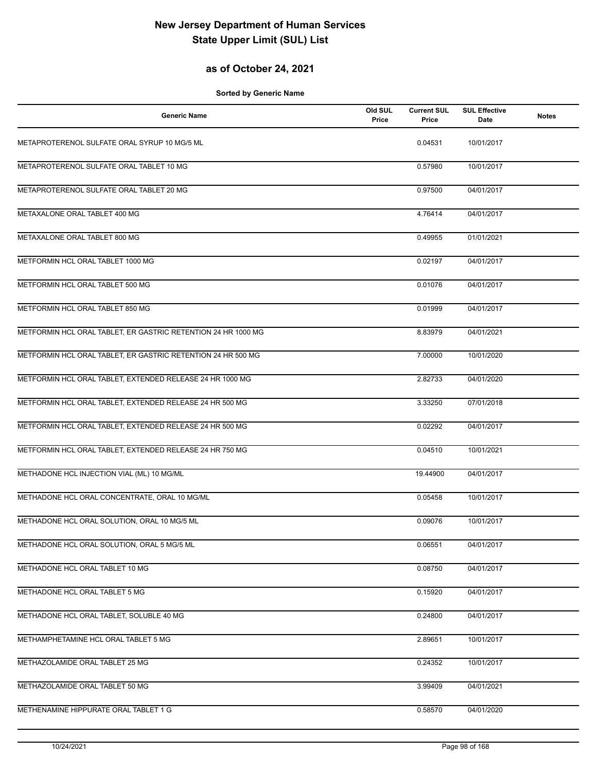## **as of October 24, 2021**

| <b>Generic Name</b>                                           | Old SUL<br>Price | <b>Current SUL</b><br>Price | <b>SUL Effective</b><br>Date | <b>Notes</b> |
|---------------------------------------------------------------|------------------|-----------------------------|------------------------------|--------------|
| METAPROTERENOL SULFATE ORAL SYRUP 10 MG/5 ML                  |                  | 0.04531                     | 10/01/2017                   |              |
| METAPROTERENOL SULFATE ORAL TABLET 10 MG                      |                  | 0.57980                     | 10/01/2017                   |              |
| METAPROTERENOL SULFATE ORAL TABLET 20 MG                      |                  | 0.97500                     | 04/01/2017                   |              |
| METAXALONE ORAL TABLET 400 MG                                 |                  | 4.76414                     | 04/01/2017                   |              |
| METAXALONE ORAL TABLET 800 MG                                 |                  | 0.49955                     | 01/01/2021                   |              |
| METFORMIN HCL ORAL TABLET 1000 MG                             |                  | 0.02197                     | 04/01/2017                   |              |
| METFORMIN HCL ORAL TABLET 500 MG                              |                  | 0.01076                     | 04/01/2017                   |              |
| METFORMIN HCL ORAL TABLET 850 MG                              |                  | 0.01999                     | 04/01/2017                   |              |
| METFORMIN HCL ORAL TABLET, ER GASTRIC RETENTION 24 HR 1000 MG |                  | 8.83979                     | 04/01/2021                   |              |
| METFORMIN HCL ORAL TABLET, ER GASTRIC RETENTION 24 HR 500 MG  |                  | 7.00000                     | 10/01/2020                   |              |
| METFORMIN HCL ORAL TABLET, EXTENDED RELEASE 24 HR 1000 MG     |                  | 2.82733                     | 04/01/2020                   |              |
| METFORMIN HCL ORAL TABLET, EXTENDED RELEASE 24 HR 500 MG      |                  | 3.33250                     | 07/01/2018                   |              |
| METFORMIN HCL ORAL TABLET, EXTENDED RELEASE 24 HR 500 MG      |                  | 0.02292                     | 04/01/2017                   |              |
| METFORMIN HCL ORAL TABLET, EXTENDED RELEASE 24 HR 750 MG      |                  | 0.04510                     | 10/01/2021                   |              |
| METHADONE HCL INJECTION VIAL (ML) 10 MG/ML                    |                  | 19.44900                    | 04/01/2017                   |              |
| METHADONE HCL ORAL CONCENTRATE, ORAL 10 MG/ML                 |                  | 0.05458                     | 10/01/2017                   |              |
| METHADONE HCL ORAL SOLUTION, ORAL 10 MG/5 ML                  |                  | 0.09076                     | 10/01/2017                   |              |
| METHADONE HCL ORAL SOLUTION, ORAL 5 MG/5 ML                   |                  | 0.06551                     | 04/01/2017                   |              |
| METHADONE HCL ORAL TABLET 10 MG                               |                  | 0.08750                     | 04/01/2017                   |              |
| METHADONE HCL ORAL TABLET 5 MG                                |                  | 0.15920                     | 04/01/2017                   |              |
| METHADONE HCL ORAL TABLET, SOLUBLE 40 MG                      |                  | 0.24800                     | 04/01/2017                   |              |
| METHAMPHETAMINE HCL ORAL TABLET 5 MG                          |                  | 2.89651                     | 10/01/2017                   |              |
| METHAZOLAMIDE ORAL TABLET 25 MG                               |                  | 0.24352                     | 10/01/2017                   |              |
| METHAZOLAMIDE ORAL TABLET 50 MG                               |                  | 3.99409                     | 04/01/2021                   |              |
| METHENAMINE HIPPURATE ORAL TABLET 1 G                         |                  | 0.58570                     | 04/01/2020                   |              |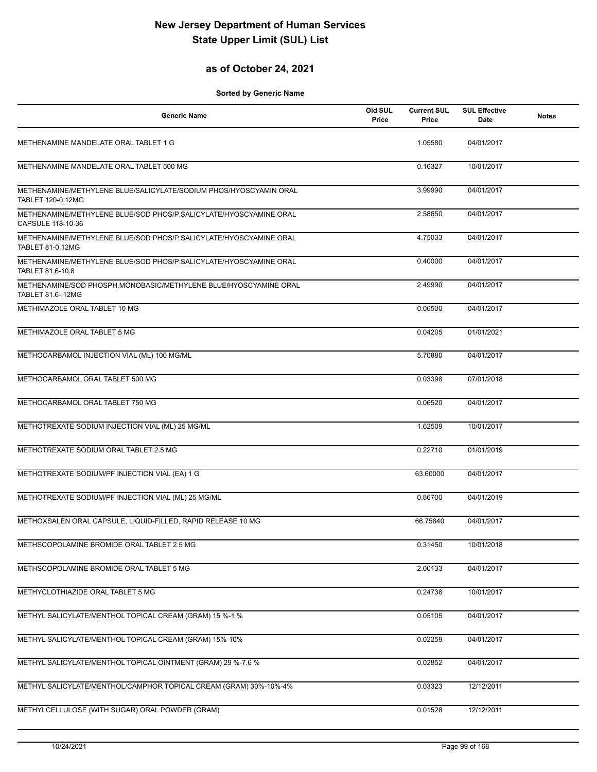## **as of October 24, 2021**

| <b>Generic Name</b>                                                                          | Old SUL<br>Price | <b>Current SUL</b><br>Price | <b>SUL Effective</b><br>Date | <b>Notes</b> |
|----------------------------------------------------------------------------------------------|------------------|-----------------------------|------------------------------|--------------|
| METHENAMINE MANDELATE ORAL TABLET 1 G                                                        |                  | 1.05580                     | 04/01/2017                   |              |
| METHENAMINE MANDELATE ORAL TABLET 500 MG                                                     |                  | 0.16327                     | 10/01/2017                   |              |
| METHENAMINE/METHYLENE BLUE/SALICYLATE/SODIUM PHOS/HYOSCYAMIN ORAL<br>TABLET 120-0.12MG       |                  | 3.99990                     | 04/01/2017                   |              |
| METHENAMINE/METHYLENE BLUE/SOD PHOS/P.SALICYLATE/HYOSCYAMINE ORAL<br>CAPSULE 118-10-36       |                  | 2.58650                     | 04/01/2017                   |              |
| METHENAMINE/METHYLENE BLUE/SOD PHOS/P.SALICYLATE/HYOSCYAMINE ORAL<br><b>TABLET 81-0.12MG</b> |                  | 4.75033                     | 04/01/2017                   |              |
| METHENAMINE/METHYLENE BLUE/SOD PHOS/P.SALICYLATE/HYOSCYAMINE ORAL<br>TABLET 81.6-10.8        |                  | 0.40000                     | 04/01/2017                   |              |
| METHENAMINE/SOD PHOSPH, MONOBASIC/METHYLENE BLUE/HYOSCYAMINE ORAL<br>TABLET 81.6-.12MG       |                  | 2.49990                     | 04/01/2017                   |              |
| METHIMAZOLE ORAL TABLET 10 MG                                                                |                  | 0.06500                     | 04/01/2017                   |              |
| METHIMAZOLE ORAL TABLET 5 MG                                                                 |                  | 0.04205                     | 01/01/2021                   |              |
| METHOCARBAMOL INJECTION VIAL (ML) 100 MG/ML                                                  |                  | 5.70880                     | 04/01/2017                   |              |
| METHOCARBAMOL ORAL TABLET 500 MG                                                             |                  | 0.03398                     | 07/01/2018                   |              |
| METHOCARBAMOL ORAL TABLET 750 MG                                                             |                  | 0.06520                     | 04/01/2017                   |              |
| METHOTREXATE SODIUM INJECTION VIAL (ML) 25 MG/ML                                             |                  | 1.62509                     | 10/01/2017                   |              |
| METHOTREXATE SODIUM ORAL TABLET 2.5 MG                                                       |                  | 0.22710                     | 01/01/2019                   |              |
| METHOTREXATE SODIUM/PF INJECTION VIAL (EA) 1 G                                               |                  | 63.60000                    | 04/01/2017                   |              |
| METHOTREXATE SODIUM/PF INJECTION VIAL (ML) 25 MG/ML                                          |                  | 0.86700                     | 04/01/2019                   |              |
| METHOXSALEN ORAL CAPSULE, LIQUID-FILLED, RAPID RELEASE 10 MG                                 |                  | 66.75840                    | 04/01/2017                   |              |
| METHSCOPOLAMINE BROMIDE ORAL TABLET 2.5 MG                                                   |                  | 0.31450                     | 10/01/2018                   |              |
| METHSCOPOLAMINE BROMIDE ORAL TABLET 5 MG                                                     |                  | 2.00133                     | 04/01/2017                   |              |
| METHYCLOTHIAZIDE ORAL TABLET 5 MG                                                            |                  | 0.24738                     | 10/01/2017                   |              |
| METHYL SALICYLATE/MENTHOL TOPICAL CREAM (GRAM) 15 %-1 %                                      |                  | 0.05105                     | 04/01/2017                   |              |
| METHYL SALICYLATE/MENTHOL TOPICAL CREAM (GRAM) 15%-10%                                       |                  | 0.02259                     | 04/01/2017                   |              |
| METHYL SALICYLATE/MENTHOL TOPICAL OINTMENT (GRAM) 29 %-7.6 %                                 |                  | 0.02852                     | 04/01/2017                   |              |
| METHYL SALICYLATE/MENTHOL/CAMPHOR TOPICAL CREAM (GRAM) 30%-10%-4%                            |                  | 0.03323                     | 12/12/2011                   |              |
| METHYLCELLULOSE (WITH SUGAR) ORAL POWDER (GRAM)                                              |                  | 0.01528                     | 12/12/2011                   |              |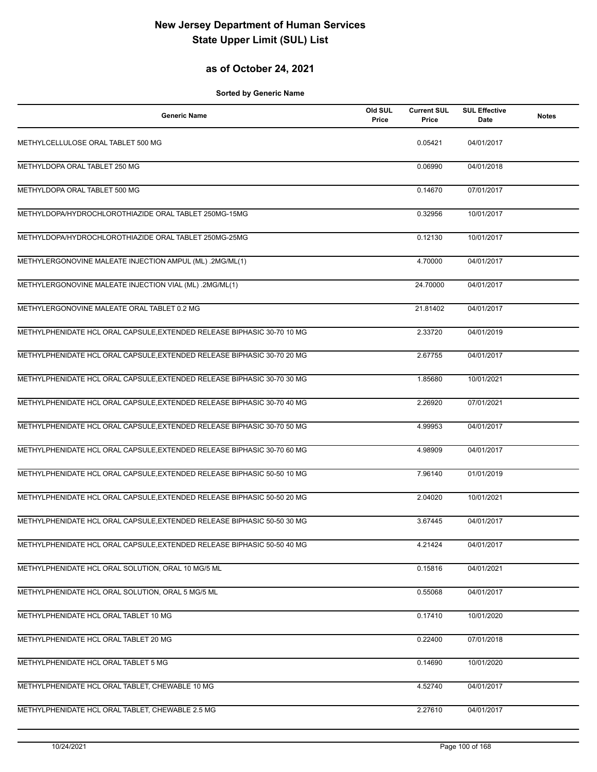## **as of October 24, 2021**

| <b>Generic Name</b>                                                     | Old SUL<br>Price | <b>Current SUL</b><br>Price | <b>SUL Effective</b><br>Date | <b>Notes</b> |
|-------------------------------------------------------------------------|------------------|-----------------------------|------------------------------|--------------|
| METHYLCELLULOSE ORAL TABLET 500 MG                                      |                  | 0.05421                     | 04/01/2017                   |              |
| METHYLDOPA ORAL TABLET 250 MG                                           |                  | 0.06990                     | 04/01/2018                   |              |
| METHYLDOPA ORAL TABLET 500 MG                                           |                  | 0.14670                     | 07/01/2017                   |              |
| METHYLDOPA/HYDROCHLOROTHIAZIDE ORAL TABLET 250MG-15MG                   |                  | 0.32956                     | 10/01/2017                   |              |
| METHYLDOPA/HYDROCHLOROTHIAZIDE ORAL TABLET 250MG-25MG                   |                  | 0.12130                     | 10/01/2017                   |              |
| METHYLERGONOVINE MALEATE INJECTION AMPUL (ML) .2MG/ML(1)                |                  | 4.70000                     | 04/01/2017                   |              |
| METHYLERGONOVINE MALEATE INJECTION VIAL (ML) .2MG/ML(1)                 |                  | 24.70000                    | 04/01/2017                   |              |
| METHYLERGONOVINE MALEATE ORAL TABLET 0.2 MG                             |                  | 21.81402                    | 04/01/2017                   |              |
| METHYLPHENIDATE HCL ORAL CAPSULE, EXTENDED RELEASE BIPHASIC 30-70 10 MG |                  | 2.33720                     | 04/01/2019                   |              |
| METHYLPHENIDATE HCL ORAL CAPSULE, EXTENDED RELEASE BIPHASIC 30-70 20 MG |                  | 2.67755                     | 04/01/2017                   |              |
| METHYLPHENIDATE HCL ORAL CAPSULE, EXTENDED RELEASE BIPHASIC 30-70 30 MG |                  | 1.85680                     | 10/01/2021                   |              |
| METHYLPHENIDATE HCL ORAL CAPSULE, EXTENDED RELEASE BIPHASIC 30-70 40 MG |                  | 2.26920                     | 07/01/2021                   |              |
| METHYLPHENIDATE HCL ORAL CAPSULE, EXTENDED RELEASE BIPHASIC 30-70 50 MG |                  | 4.99953                     | 04/01/2017                   |              |
| METHYLPHENIDATE HCL ORAL CAPSULE, EXTENDED RELEASE BIPHASIC 30-70 60 MG |                  | 4.98909                     | 04/01/2017                   |              |
| METHYLPHENIDATE HCL ORAL CAPSULE, EXTENDED RELEASE BIPHASIC 50-50 10 MG |                  | 7.96140                     | 01/01/2019                   |              |
| METHYLPHENIDATE HCL ORAL CAPSULE, EXTENDED RELEASE BIPHASIC 50-50 20 MG |                  | 2.04020                     | 10/01/2021                   |              |
| METHYLPHENIDATE HCL ORAL CAPSULE, EXTENDED RELEASE BIPHASIC 50-50 30 MG |                  | 3.67445                     | 04/01/2017                   |              |
| METHYLPHENIDATE HCL ORAL CAPSULE, EXTENDED RELEASE BIPHASIC 50-50 40 MG |                  | 4.21424                     | 04/01/2017                   |              |
| METHYLPHENIDATE HCL ORAL SOLUTION, ORAL 10 MG/5 ML                      |                  | 0.15816                     | 04/01/2021                   |              |
| METHYLPHENIDATE HCL ORAL SOLUTION, ORAL 5 MG/5 ML                       |                  | 0.55068                     | 04/01/2017                   |              |
| METHYLPHENIDATE HCL ORAL TABLET 10 MG                                   |                  | 0.17410                     | 10/01/2020                   |              |
| METHYLPHENIDATE HCL ORAL TABLET 20 MG                                   |                  | 0.22400                     | 07/01/2018                   |              |
| METHYLPHENIDATE HCL ORAL TABLET 5 MG                                    |                  | 0.14690                     | 10/01/2020                   |              |
| METHYLPHENIDATE HCL ORAL TABLET, CHEWABLE 10 MG                         |                  | 4.52740                     | 04/01/2017                   |              |
| METHYLPHENIDATE HCL ORAL TABLET, CHEWABLE 2.5 MG                        |                  | 2.27610                     | 04/01/2017                   |              |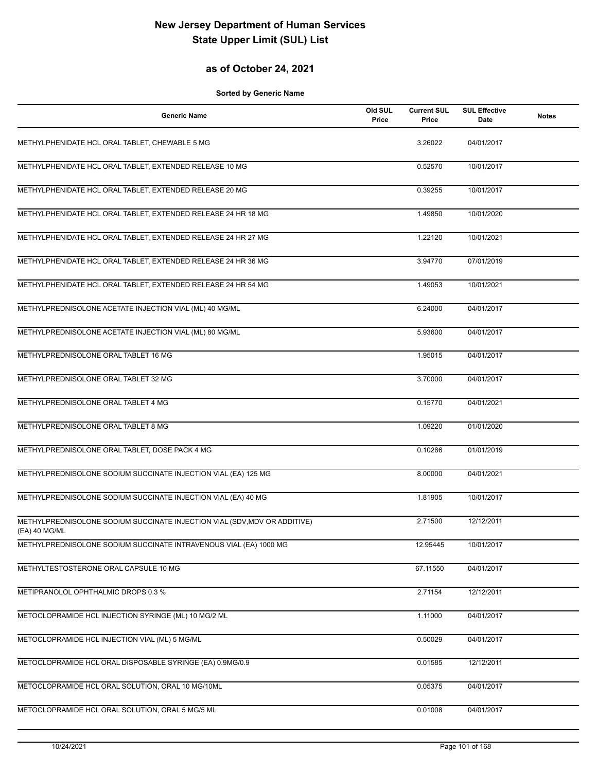#### **as of October 24, 2021**

| <b>Generic Name</b>                                                                        | Old SUL<br>Price | <b>Current SUL</b><br>Price | <b>SUL Effective</b><br>Date | <b>Notes</b> |
|--------------------------------------------------------------------------------------------|------------------|-----------------------------|------------------------------|--------------|
| METHYLPHENIDATE HCL ORAL TABLET, CHEWABLE 5 MG                                             |                  | 3.26022                     | 04/01/2017                   |              |
| METHYLPHENIDATE HCL ORAL TABLET, EXTENDED RELEASE 10 MG                                    |                  | 0.52570                     | 10/01/2017                   |              |
| METHYLPHENIDATE HCL ORAL TABLET, EXTENDED RELEASE 20 MG                                    |                  | 0.39255                     | 10/01/2017                   |              |
| METHYLPHENIDATE HCL ORAL TABLET, EXTENDED RELEASE 24 HR 18 MG                              |                  | 1.49850                     | 10/01/2020                   |              |
| METHYLPHENIDATE HCL ORAL TABLET, EXTENDED RELEASE 24 HR 27 MG                              |                  | 1.22120                     | 10/01/2021                   |              |
| METHYLPHENIDATE HCL ORAL TABLET, EXTENDED RELEASE 24 HR 36 MG                              |                  | 3.94770                     | 07/01/2019                   |              |
| METHYLPHENIDATE HCL ORAL TABLET, EXTENDED RELEASE 24 HR 54 MG                              |                  | 1.49053                     | 10/01/2021                   |              |
| METHYLPREDNISOLONE ACETATE INJECTION VIAL (ML) 40 MG/ML                                    |                  | 6.24000                     | 04/01/2017                   |              |
| METHYLPREDNISOLONE ACETATE INJECTION VIAL (ML) 80 MG/ML                                    |                  | 5.93600                     | 04/01/2017                   |              |
| METHYLPREDNISOLONE ORAL TABLET 16 MG                                                       |                  | 1.95015                     | 04/01/2017                   |              |
| METHYLPREDNISOLONE ORAL TABLET 32 MG                                                       |                  | 3.70000                     | 04/01/2017                   |              |
| METHYLPREDNISOLONE ORAL TABLET 4 MG                                                        |                  | 0.15770                     | 04/01/2021                   |              |
| METHYLPREDNISOLONE ORAL TABLET 8 MG                                                        |                  | 1.09220                     | 01/01/2020                   |              |
| METHYLPREDNISOLONE ORAL TABLET, DOSE PACK 4 MG                                             |                  | 0.10286                     | 01/01/2019                   |              |
| METHYLPREDNISOLONE SODIUM SUCCINATE INJECTION VIAL (EA) 125 MG                             |                  | 8.00000                     | 04/01/2021                   |              |
| METHYLPREDNISOLONE SODIUM SUCCINATE INJECTION VIAL (EA) 40 MG                              |                  | 1.81905                     | 10/01/2017                   |              |
| METHYLPREDNISOLONE SODIUM SUCCINATE INJECTION VIAL (SDV, MDV OR ADDITIVE)<br>(EA) 40 MG/ML |                  | 2.71500                     | 12/12/2011                   |              |
| METHYLPREDNISOLONE SODIUM SUCCINATE INTRAVENOUS VIAL (EA) 1000 MG                          |                  | 12.95445                    | 10/01/2017                   |              |
| METHYLTESTOSTERONE ORAL CAPSULE 10 MG                                                      |                  | 67.11550                    | 04/01/2017                   |              |
| METIPRANOLOL OPHTHALMIC DROPS 0.3 %                                                        |                  | 2.71154                     | 12/12/2011                   |              |
| METOCLOPRAMIDE HCL INJECTION SYRINGE (ML) 10 MG/2 ML                                       |                  | 1.11000                     | 04/01/2017                   |              |
| METOCLOPRAMIDE HCL INJECTION VIAL (ML) 5 MG/ML                                             |                  | 0.50029                     | 04/01/2017                   |              |
| METOCLOPRAMIDE HCL ORAL DISPOSABLE SYRINGE (EA) 0.9MG/0.9                                  |                  | 0.01585                     | 12/12/2011                   |              |
| METOCLOPRAMIDE HCL ORAL SOLUTION, ORAL 10 MG/10ML                                          |                  | 0.05375                     | 04/01/2017                   |              |
| METOCLOPRAMIDE HCL ORAL SOLUTION, ORAL 5 MG/5 ML                                           |                  | 0.01008                     | 04/01/2017                   |              |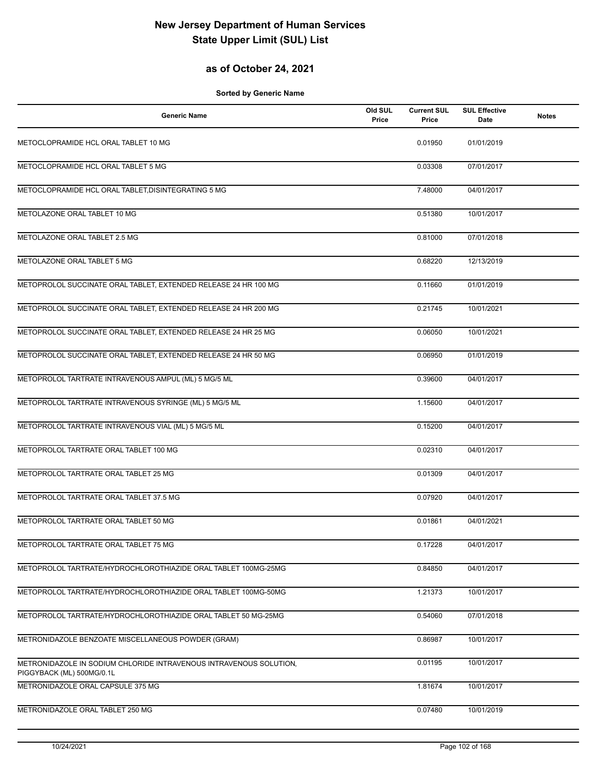## **as of October 24, 2021**

| <b>Generic Name</b>                                                | Old SUL<br>Price | <b>Current SUL</b><br>Price | <b>SUL Effective</b><br>Date | <b>Notes</b> |
|--------------------------------------------------------------------|------------------|-----------------------------|------------------------------|--------------|
| METOCLOPRAMIDE HCL ORAL TABLET 10 MG                               |                  | 0.01950                     | 01/01/2019                   |              |
| METOCLOPRAMIDE HCL ORAL TABLET 5 MG                                |                  | 0.03308                     | 07/01/2017                   |              |
| METOCLOPRAMIDE HCL ORAL TABLET, DISINTEGRATING 5 MG                |                  | 7.48000                     | 04/01/2017                   |              |
| METOLAZONE ORAL TABLET 10 MG                                       |                  | 0.51380                     | 10/01/2017                   |              |
| METOLAZONE ORAL TABLET 2.5 MG                                      |                  | 0.81000                     | 07/01/2018                   |              |
| METOLAZONE ORAL TABLET 5 MG                                        |                  | 0.68220                     | 12/13/2019                   |              |
| METOPROLOL SUCCINATE ORAL TABLET, EXTENDED RELEASE 24 HR 100 MG    |                  | 0.11660                     | 01/01/2019                   |              |
| METOPROLOL SUCCINATE ORAL TABLET, EXTENDED RELEASE 24 HR 200 MG    |                  | 0.21745                     | 10/01/2021                   |              |
| METOPROLOL SUCCINATE ORAL TABLET, EXTENDED RELEASE 24 HR 25 MG     |                  | 0.06050                     | 10/01/2021                   |              |
| METOPROLOL SUCCINATE ORAL TABLET, EXTENDED RELEASE 24 HR 50 MG     |                  | 0.06950                     | 01/01/2019                   |              |
| METOPROLOL TARTRATE INTRAVENOUS AMPUL (ML) 5 MG/5 ML               |                  | 0.39600                     | 04/01/2017                   |              |
| METOPROLOL TARTRATE INTRAVENOUS SYRINGE (ML) 5 MG/5 ML             |                  | 1.15600                     | 04/01/2017                   |              |
| METOPROLOL TARTRATE INTRAVENOUS VIAL (ML) 5 MG/5 ML                |                  | 0.15200                     | 04/01/2017                   |              |
| METOPROLOL TARTRATE ORAL TABLET 100 MG                             |                  | 0.02310                     | 04/01/2017                   |              |
| METOPROLOL TARTRATE ORAL TABLET 25 MG                              |                  | 0.01309                     | 04/01/2017                   |              |
| METOPROLOL TARTRATE ORAL TABLET 37.5 MG                            |                  | 0.07920                     | 04/01/2017                   |              |
| METOPROLOL TARTRATE ORAL TABLET 50 MG                              |                  | 0.01861                     | 04/01/2021                   |              |
| METOPROLOL TARTRATE ORAL TABLET 75 MG                              |                  | 0.17228                     | 04/01/2017                   |              |
| METOPROLOL TARTRATE/HYDROCHLOROTHIAZIDE ORAL TABLET 100MG-25MG     |                  | 0.84850                     | 04/01/2017                   |              |
| METOPROLOL TARTRATE/HYDROCHLOROTHIAZIDE ORAL TABLET 100MG-50MG     |                  | 1.21373                     | 10/01/2017                   |              |
| METOPROLOL TARTRATE/HYDROCHLOROTHIAZIDE ORAL TABLET 50 MG-25MG     |                  | 0.54060                     | 07/01/2018                   |              |
| METRONIDAZOLE BENZOATE MISCELLANEOUS POWDER (GRAM)                 |                  | 0.86987                     | 10/01/2017                   |              |
| METRONIDAZOLE IN SODIUM CHLORIDE INTRAVENOUS INTRAVENOUS SOLUTION. |                  | 0.01195                     | 10/01/2017                   |              |
| PIGGYBACK (ML) 500MG/0.1L<br>METRONIDAZOLE ORAL CAPSULE 375 MG     |                  | 1.81674                     | 10/01/2017                   |              |
| METRONIDAZOLE ORAL TABLET 250 MG                                   |                  | 0.07480                     | 10/01/2019                   |              |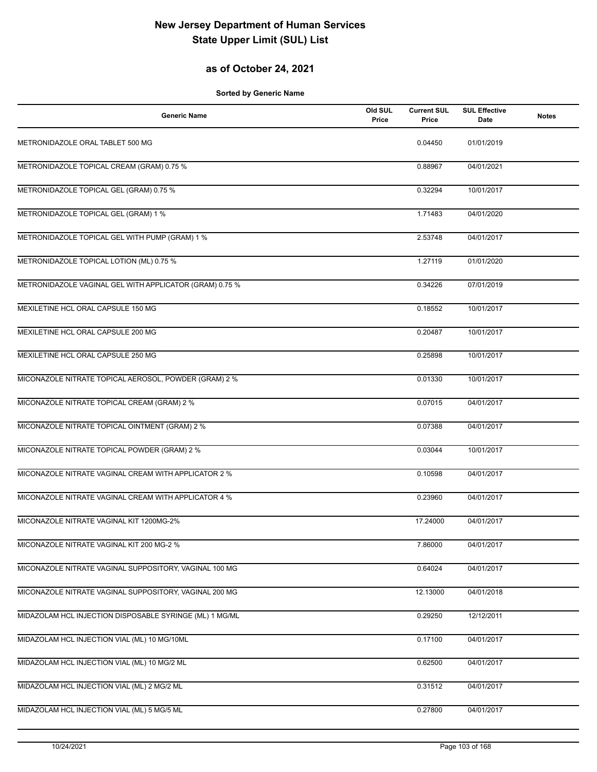## **as of October 24, 2021**

| <b>Generic Name</b>                                     | Old SUL<br>Price | <b>Current SUL</b><br>Price | <b>SUL Effective</b><br>Date | <b>Notes</b> |
|---------------------------------------------------------|------------------|-----------------------------|------------------------------|--------------|
| METRONIDAZOLE ORAL TABLET 500 MG                        |                  | 0.04450                     | 01/01/2019                   |              |
| METRONIDAZOLE TOPICAL CREAM (GRAM) 0.75 %               |                  | 0.88967                     | 04/01/2021                   |              |
| METRONIDAZOLE TOPICAL GEL (GRAM) 0.75 %                 |                  | 0.32294                     | 10/01/2017                   |              |
| METRONIDAZOLE TOPICAL GEL (GRAM) 1 %                    |                  | 1.71483                     | 04/01/2020                   |              |
| METRONIDAZOLE TOPICAL GEL WITH PUMP (GRAM) 1 %          |                  | 2.53748                     | 04/01/2017                   |              |
| METRONIDAZOLE TOPICAL LOTION (ML) 0.75 %                |                  | 1.27119                     | 01/01/2020                   |              |
| METRONIDAZOLE VAGINAL GEL WITH APPLICATOR (GRAM) 0.75 % |                  | 0.34226                     | 07/01/2019                   |              |
| MEXILETINE HCL ORAL CAPSULE 150 MG                      |                  | 0.18552                     | 10/01/2017                   |              |
| MEXILETINE HCL ORAL CAPSULE 200 MG                      |                  | 0.20487                     | 10/01/2017                   |              |
| MEXILETINE HCL ORAL CAPSULE 250 MG                      |                  | 0.25898                     | 10/01/2017                   |              |
| MICONAZOLE NITRATE TOPICAL AEROSOL, POWDER (GRAM) 2 %   |                  | 0.01330                     | 10/01/2017                   |              |
| MICONAZOLE NITRATE TOPICAL CREAM (GRAM) 2 %             |                  | 0.07015                     | 04/01/2017                   |              |
| MICONAZOLE NITRATE TOPICAL OINTMENT (GRAM) 2 %          |                  | 0.07388                     | 04/01/2017                   |              |
| MICONAZOLE NITRATE TOPICAL POWDER (GRAM) 2 %            |                  | 0.03044                     | 10/01/2017                   |              |
| MICONAZOLE NITRATE VAGINAL CREAM WITH APPLICATOR 2 %    |                  | 0.10598                     | 04/01/2017                   |              |
| MICONAZOLE NITRATE VAGINAL CREAM WITH APPLICATOR 4 %    |                  | 0.23960                     | 04/01/2017                   |              |
| MICONAZOLE NITRATE VAGINAL KIT 1200MG-2%                |                  | 17.24000                    | 04/01/2017                   |              |
| MICONAZOLE NITRATE VAGINAL KIT 200 MG-2 %               |                  | 7.86000                     | 04/01/2017                   |              |
| MICONAZOLE NITRATE VAGINAL SUPPOSITORY, VAGINAL 100 MG  |                  | 0.64024                     | 04/01/2017                   |              |
| MICONAZOLE NITRATE VAGINAL SUPPOSITORY, VAGINAL 200 MG  |                  | 12.13000                    | 04/01/2018                   |              |
| MIDAZOLAM HCL INJECTION DISPOSABLE SYRINGE (ML) 1 MG/ML |                  | 0.29250                     | 12/12/2011                   |              |
| MIDAZOLAM HCL INJECTION VIAL (ML) 10 MG/10ML            |                  | 0.17100                     | 04/01/2017                   |              |
| MIDAZOLAM HCL INJECTION VIAL (ML) 10 MG/2 ML            |                  | 0.62500                     | 04/01/2017                   |              |
| MIDAZOLAM HCL INJECTION VIAL (ML) 2 MG/2 ML             |                  | 0.31512                     | 04/01/2017                   |              |
| MIDAZOLAM HCL INJECTION VIAL (ML) 5 MG/5 ML             |                  | 0.27800                     | 04/01/2017                   |              |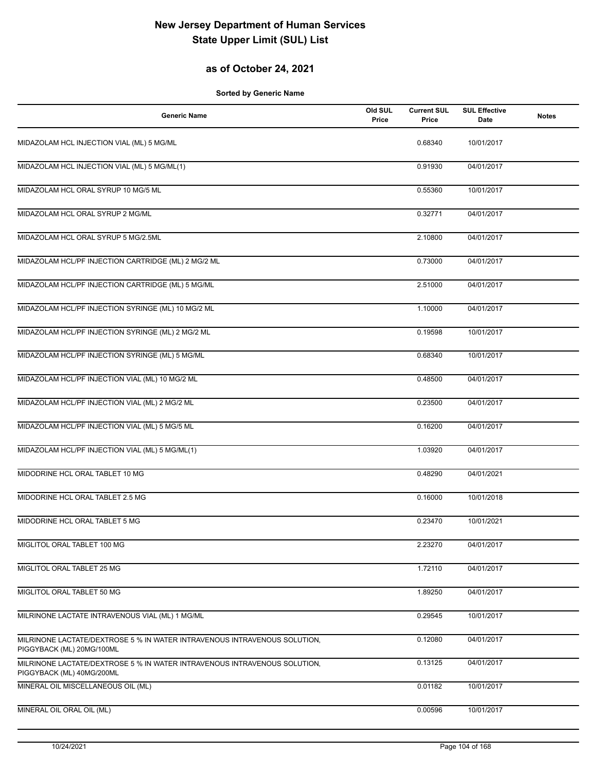## **as of October 24, 2021**

| <b>Generic Name</b>                                                                                    | Old SUL<br>Price | <b>Current SUL</b><br>Price | <b>SUL Effective</b><br>Date | <b>Notes</b> |
|--------------------------------------------------------------------------------------------------------|------------------|-----------------------------|------------------------------|--------------|
| MIDAZOLAM HCL INJECTION VIAL (ML) 5 MG/ML                                                              |                  | 0.68340                     | 10/01/2017                   |              |
| MIDAZOLAM HCL INJECTION VIAL (ML) 5 MG/ML(1)                                                           |                  | 0.91930                     | 04/01/2017                   |              |
| MIDAZOLAM HCL ORAL SYRUP 10 MG/5 ML                                                                    |                  | 0.55360                     | 10/01/2017                   |              |
| MIDAZOLAM HCL ORAL SYRUP 2 MG/ML                                                                       |                  | 0.32771                     | 04/01/2017                   |              |
| MIDAZOLAM HCL ORAL SYRUP 5 MG/2.5ML                                                                    |                  | 2.10800                     | 04/01/2017                   |              |
| MIDAZOLAM HCL/PF INJECTION CARTRIDGE (ML) 2 MG/2 ML                                                    |                  | 0.73000                     | 04/01/2017                   |              |
| MIDAZOLAM HCL/PF INJECTION CARTRIDGE (ML) 5 MG/ML                                                      |                  | 2.51000                     | 04/01/2017                   |              |
| MIDAZOLAM HCL/PF INJECTION SYRINGE (ML) 10 MG/2 ML                                                     |                  | 1.10000                     | 04/01/2017                   |              |
| MIDAZOLAM HCL/PF INJECTION SYRINGE (ML) 2 MG/2 ML                                                      |                  | 0.19598                     | 10/01/2017                   |              |
| MIDAZOLAM HCL/PF INJECTION SYRINGE (ML) 5 MG/ML                                                        |                  | 0.68340                     | 10/01/2017                   |              |
| MIDAZOLAM HCL/PF INJECTION VIAL (ML) 10 MG/2 ML                                                        |                  | 0.48500                     | 04/01/2017                   |              |
| MIDAZOLAM HCL/PF INJECTION VIAL (ML) 2 MG/2 ML                                                         |                  | 0.23500                     | 04/01/2017                   |              |
| MIDAZOLAM HCL/PF INJECTION VIAL (ML) 5 MG/5 ML                                                         |                  | 0.16200                     | 04/01/2017                   |              |
| MIDAZOLAM HCL/PF INJECTION VIAL (ML) 5 MG/ML(1)                                                        |                  | 1.03920                     | 04/01/2017                   |              |
| MIDODRINE HCL ORAL TABLET 10 MG                                                                        |                  | 0.48290                     | 04/01/2021                   |              |
| MIDODRINE HCL ORAL TABLET 2.5 MG                                                                       |                  | 0.16000                     | 10/01/2018                   |              |
| MIDODRINE HCL ORAL TABLET 5 MG                                                                         |                  | 0.23470                     | 10/01/2021                   |              |
| MIGLITOL ORAL TABLET 100 MG                                                                            |                  | 2.23270                     | 04/01/2017                   |              |
| MIGLITOL ORAL TABLET 25 MG                                                                             |                  | 1.72110                     | 04/01/2017                   |              |
| MIGLITOL ORAL TABLET 50 MG                                                                             |                  | 1.89250                     | 04/01/2017                   |              |
| MILRINONE LACTATE INTRAVENOUS VIAL (ML) 1 MG/ML                                                        |                  | 0.29545                     | 10/01/2017                   |              |
| MILRINONE LACTATE/DEXTROSE 5 % IN WATER INTRAVENOUS INTRAVENOUS SOLUTION,<br>PIGGYBACK (ML) 20MG/100ML |                  | 0.12080                     | 04/01/2017                   |              |
| MILRINONE LACTATE/DEXTROSE 5 % IN WATER INTRAVENOUS INTRAVENOUS SOLUTION,<br>PIGGYBACK (ML) 40MG/200ML |                  | 0.13125                     | 04/01/2017                   |              |
| MINERAL OIL MISCELLANEOUS OIL (ML)                                                                     |                  | 0.01182                     | 10/01/2017                   |              |
| MINERAL OIL ORAL OIL (ML)                                                                              |                  | 0.00596                     | 10/01/2017                   |              |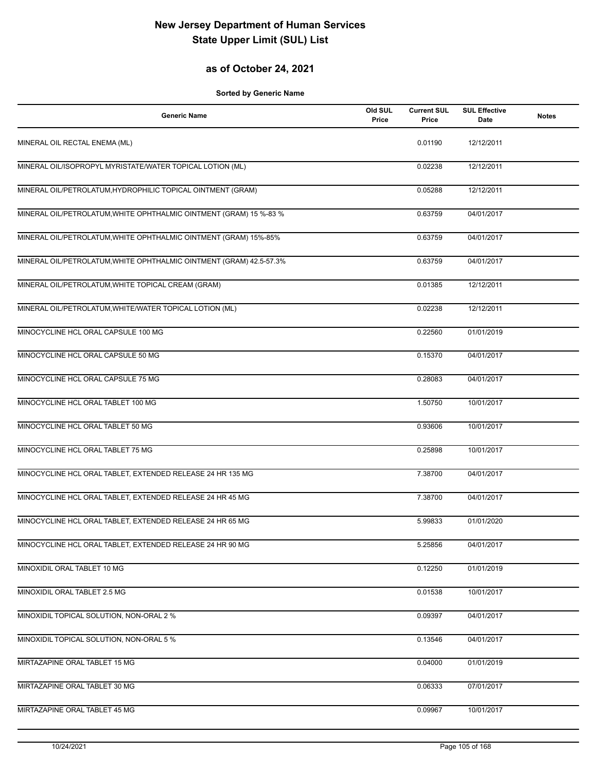## **as of October 24, 2021**

| <b>Generic Name</b>                                                 | Old SUL<br>Price | <b>Current SUL</b><br>Price | <b>SUL Effective</b><br>Date | <b>Notes</b> |
|---------------------------------------------------------------------|------------------|-----------------------------|------------------------------|--------------|
| MINERAL OIL RECTAL ENEMA (ML)                                       |                  | 0.01190                     | 12/12/2011                   |              |
| MINERAL OIL/ISOPROPYL MYRISTATE/WATER TOPICAL LOTION (ML)           |                  | 0.02238                     | 12/12/2011                   |              |
| MINERAL OIL/PETROLATUM, HYDROPHILIC TOPICAL OINTMENT (GRAM)         |                  | 0.05288                     | 12/12/2011                   |              |
| MINERAL OIL/PETROLATUM, WHITE OPHTHALMIC OINTMENT (GRAM) 15 %-83 %  |                  | 0.63759                     | 04/01/2017                   |              |
| MINERAL OIL/PETROLATUM, WHITE OPHTHALMIC OINTMENT (GRAM) 15%-85%    |                  | 0.63759                     | 04/01/2017                   |              |
| MINERAL OIL/PETROLATUM, WHITE OPHTHALMIC OINTMENT (GRAM) 42.5-57.3% |                  | 0.63759                     | 04/01/2017                   |              |
| MINERAL OIL/PETROLATUM, WHITE TOPICAL CREAM (GRAM)                  |                  | 0.01385                     | 12/12/2011                   |              |
| MINERAL OIL/PETROLATUM, WHITE/WATER TOPICAL LOTION (ML)             |                  | 0.02238                     | 12/12/2011                   |              |
| MINOCYCLINE HCL ORAL CAPSULE 100 MG                                 |                  | 0.22560                     | 01/01/2019                   |              |
| MINOCYCLINE HCL ORAL CAPSULE 50 MG                                  |                  | 0.15370                     | 04/01/2017                   |              |
| MINOCYCLINE HCL ORAL CAPSULE 75 MG                                  |                  | 0.28083                     | 04/01/2017                   |              |
| MINOCYCLINE HCL ORAL TABLET 100 MG                                  |                  | 1.50750                     | 10/01/2017                   |              |
| MINOCYCLINE HCL ORAL TABLET 50 MG                                   |                  | 0.93606                     | 10/01/2017                   |              |
| MINOCYCLINE HCL ORAL TABLET 75 MG                                   |                  | 0.25898                     | 10/01/2017                   |              |
| MINOCYCLINE HCL ORAL TABLET, EXTENDED RELEASE 24 HR 135 MG          |                  | 7.38700                     | 04/01/2017                   |              |
| MINOCYCLINE HCL ORAL TABLET, EXTENDED RELEASE 24 HR 45 MG           |                  | 7.38700                     | 04/01/2017                   |              |
| MINOCYCLINE HCL ORAL TABLET, EXTENDED RELEASE 24 HR 65 MG           |                  | 5.99833                     | 01/01/2020                   |              |
| MINOCYCLINE HCL ORAL TABLET, EXTENDED RELEASE 24 HR 90 MG           |                  | 5.25856                     | 04/01/2017                   |              |
| MINOXIDIL ORAL TABLET 10 MG                                         |                  | 0.12250                     | 01/01/2019                   |              |
| MINOXIDIL ORAL TABLET 2.5 MG                                        |                  | 0.01538                     | 10/01/2017                   |              |
| MINOXIDIL TOPICAL SOLUTION, NON-ORAL 2 %                            |                  | 0.09397                     | 04/01/2017                   |              |
| MINOXIDIL TOPICAL SOLUTION, NON-ORAL 5 %                            |                  | 0.13546                     | 04/01/2017                   |              |
| MIRTAZAPINE ORAL TABLET 15 MG                                       |                  | 0.04000                     | 01/01/2019                   |              |
| MIRTAZAPINE ORAL TABLET 30 MG                                       |                  | 0.06333                     | 07/01/2017                   |              |
| MIRTAZAPINE ORAL TABLET 45 MG                                       |                  | 0.09967                     | 10/01/2017                   |              |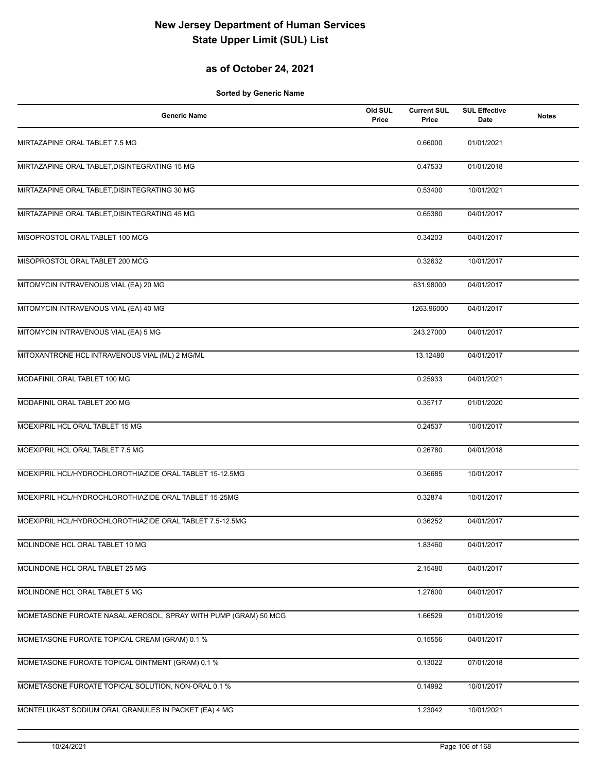## **as of October 24, 2021**

| <b>Generic Name</b>                                                                                              | Old SUL<br>Price | <b>Current SUL</b><br>Price | <b>SUL Effective</b><br>Date | <b>Notes</b> |
|------------------------------------------------------------------------------------------------------------------|------------------|-----------------------------|------------------------------|--------------|
| MIRTAZAPINE ORAL TABLET 7.5 MG                                                                                   |                  | 0.66000                     | 01/01/2021                   |              |
| MIRTAZAPINE ORAL TABLET, DISINTEGRATING 15 MG                                                                    |                  | 0.47533                     | 01/01/2018                   |              |
| MIRTAZAPINE ORAL TABLET, DISINTEGRATING 30 MG                                                                    |                  | 0.53400                     | 10/01/2021                   |              |
| MIRTAZAPINE ORAL TABLET, DISINTEGRATING 45 MG                                                                    |                  | 0.65380                     | 04/01/2017                   |              |
| MISOPROSTOL ORAL TABLET 100 MCG                                                                                  |                  | 0.34203                     | 04/01/2017                   |              |
| MISOPROSTOL ORAL TABLET 200 MCG                                                                                  |                  | 0.32632                     | 10/01/2017                   |              |
| MITOMYCIN INTRAVENOUS VIAL (EA) 20 MG                                                                            |                  | 631.98000                   | 04/01/2017                   |              |
| MITOMYCIN INTRAVENOUS VIAL (EA) 40 MG                                                                            |                  | 1263.96000                  | 04/01/2017                   |              |
| MITOMYCIN INTRAVENOUS VIAL (EA) 5 MG                                                                             |                  | 243.27000                   | 04/01/2017                   |              |
| MITOXANTRONE HCL INTRAVENOUS VIAL (ML) 2 MG/ML                                                                   |                  | 13.12480                    | 04/01/2017                   |              |
| MODAFINIL ORAL TABLET 100 MG                                                                                     |                  | 0.25933                     | 04/01/2021                   |              |
| MODAFINIL ORAL TABLET 200 MG                                                                                     |                  | 0.35717                     | 01/01/2020                   |              |
| MOEXIPRIL HCL ORAL TABLET 15 MG                                                                                  |                  | 0.24537                     | 10/01/2017                   |              |
| MOEXIPRIL HCL ORAL TABLET 7.5 MG                                                                                 |                  | 0.26780                     | 04/01/2018                   |              |
| MOEXIPRIL HCL/HYDROCHLOROTHIAZIDE ORAL TABLET 15-12.5MG<br>MOEXIPRIL HCL/HYDROCHLOROTHIAZIDE ORAL TABLET 15-25MG |                  | 0.36685                     | 10/01/2017                   |              |
| MOEXIPRIL HCL/HYDROCHLOROTHIAZIDE ORAL TABLET 7.5-12.5MG                                                         |                  | 0.32874                     | 10/01/2017                   |              |
|                                                                                                                  |                  | 0.36252                     | 04/01/2017                   |              |
| MOLINDONE HCL ORAL TABLET 10 MG<br>MOLINDONE HCL ORAL TABLET 25 MG                                               |                  | 1.83460<br>2.15480          | 04/01/2017<br>04/01/2017     |              |
| MOLINDONE HCL ORAL TABLET 5 MG                                                                                   |                  | 1.27600                     | 04/01/2017                   |              |
| MOMETASONE FUROATE NASAL AEROSOL, SPRAY WITH PUMP (GRAM) 50 MCG                                                  |                  | 1.66529                     | 01/01/2019                   |              |
| MOMETASONE FUROATE TOPICAL CREAM (GRAM) 0.1 %                                                                    |                  | 0.15556                     | 04/01/2017                   |              |
| MOMETASONE FUROATE TOPICAL OINTMENT (GRAM) 0.1 %                                                                 |                  | 0.13022                     | 07/01/2018                   |              |
|                                                                                                                  |                  | 0.14992                     | 10/01/2017                   |              |
| MOMETASONE FUROATE TOPICAL SOLUTION, NON-ORAL 0.1 %                                                              |                  |                             |                              |              |
| MONTELUKAST SODIUM ORAL GRANULES IN PACKET (EA) 4 MG                                                             |                  | 1.23042                     | 10/01/2021                   |              |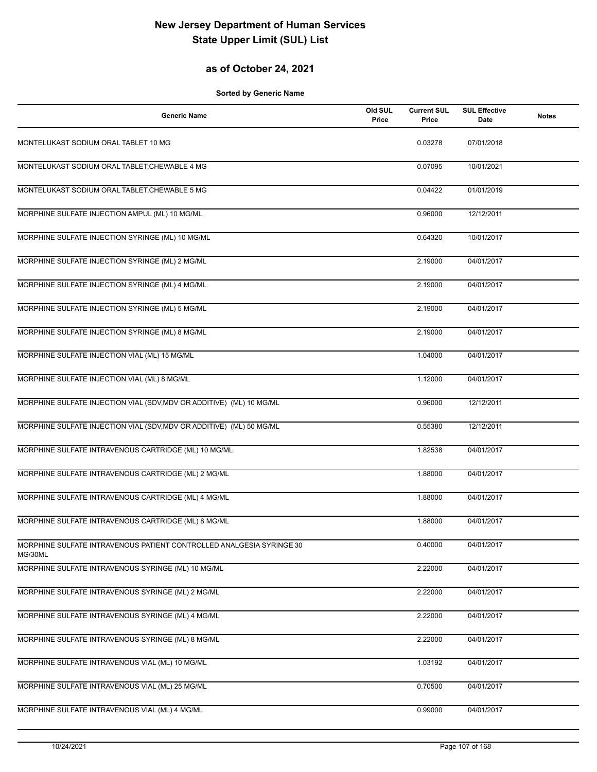## **as of October 24, 2021**

| <b>Generic Name</b>                                                             | Old SUL<br>Price | <b>Current SUL</b><br>Price | <b>SUL Effective</b><br>Date | <b>Notes</b> |
|---------------------------------------------------------------------------------|------------------|-----------------------------|------------------------------|--------------|
| MONTELUKAST SODIUM ORAL TABLET 10 MG                                            |                  | 0.03278                     | 07/01/2018                   |              |
| MONTELUKAST SODIUM ORAL TABLET, CHEWABLE 4 MG                                   |                  | 0.07095                     | 10/01/2021                   |              |
| MONTELUKAST SODIUM ORAL TABLET, CHEWABLE 5 MG                                   |                  | 0.04422                     | 01/01/2019                   |              |
| MORPHINE SULFATE INJECTION AMPUL (ML) 10 MG/ML                                  |                  | 0.96000                     | 12/12/2011                   |              |
| MORPHINE SULFATE INJECTION SYRINGE (ML) 10 MG/ML                                |                  | 0.64320                     | 10/01/2017                   |              |
| MORPHINE SULFATE INJECTION SYRINGE (ML) 2 MG/ML                                 |                  | 2.19000                     | 04/01/2017                   |              |
| MORPHINE SULFATE INJECTION SYRINGE (ML) 4 MG/ML                                 |                  | 2.19000                     | 04/01/2017                   |              |
| MORPHINE SULFATE INJECTION SYRINGE (ML) 5 MG/ML                                 |                  | 2.19000                     | 04/01/2017                   |              |
| MORPHINE SULFATE INJECTION SYRINGE (ML) 8 MG/ML                                 |                  | 2.19000                     | 04/01/2017                   |              |
| MORPHINE SULFATE INJECTION VIAL (ML) 15 MG/ML                                   |                  | 1.04000                     | 04/01/2017                   |              |
| MORPHINE SULFATE INJECTION VIAL (ML) 8 MG/ML                                    |                  | 1.12000                     | 04/01/2017                   |              |
| MORPHINE SULFATE INJECTION VIAL (SDV, MDV OR ADDITIVE) (ML) 10 MG/ML            |                  | 0.96000                     | 12/12/2011                   |              |
| MORPHINE SULFATE INJECTION VIAL (SDV, MDV OR ADDITIVE) (ML) 50 MG/ML            |                  | 0.55380                     | 12/12/2011                   |              |
| MORPHINE SULFATE INTRAVENOUS CARTRIDGE (ML) 10 MG/ML                            |                  | 1.82538                     | 04/01/2017                   |              |
| MORPHINE SULFATE INTRAVENOUS CARTRIDGE (ML) 2 MG/ML                             |                  | 1.88000                     | 04/01/2017                   |              |
| MORPHINE SULFATE INTRAVENOUS CARTRIDGE (ML) 4 MG/ML                             |                  | 1.88000                     | 04/01/2017                   |              |
| MORPHINE SULFATE INTRAVENOUS CARTRIDGE (ML) 8 MG/ML                             |                  | 1.88000                     | 04/01/2017                   |              |
| MORPHINE SULFATE INTRAVENOUS PATIENT CONTROLLED ANALGESIA SYRINGE 30<br>MG/30ML |                  | 0.40000                     | 04/01/2017                   |              |
| MORPHINE SULFATE INTRAVENOUS SYRINGE (ML) 10 MG/ML                              |                  | 2.22000                     | 04/01/2017                   |              |
| MORPHINE SULFATE INTRAVENOUS SYRINGE (ML) 2 MG/ML                               |                  | 2.22000                     | 04/01/2017                   |              |
| MORPHINE SULFATE INTRAVENOUS SYRINGE (ML) 4 MG/ML                               |                  | 2.22000                     | 04/01/2017                   |              |
| MORPHINE SULFATE INTRAVENOUS SYRINGE (ML) 8 MG/ML                               |                  | 2.22000                     | 04/01/2017                   |              |
| MORPHINE SULFATE INTRAVENOUS VIAL (ML) 10 MG/ML                                 |                  | 1.03192                     | 04/01/2017                   |              |
| MORPHINE SULFATE INTRAVENOUS VIAL (ML) 25 MG/ML                                 |                  | 0.70500                     | 04/01/2017                   |              |
| MORPHINE SULFATE INTRAVENOUS VIAL (ML) 4 MG/ML                                  |                  | 0.99000                     | 04/01/2017                   |              |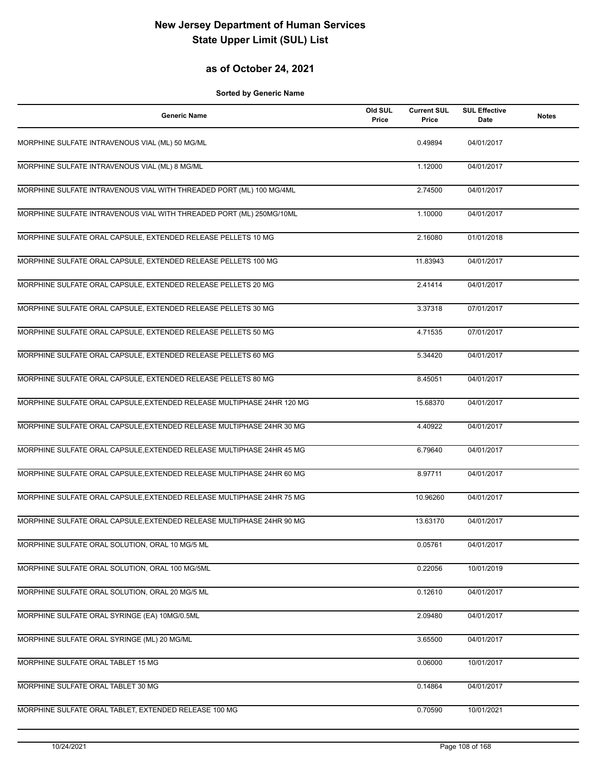## **as of October 24, 2021**

| <b>Generic Name</b>                                                    | Old SUL<br>Price | <b>Current SUL</b><br>Price | <b>SUL Effective</b><br>Date | <b>Notes</b> |
|------------------------------------------------------------------------|------------------|-----------------------------|------------------------------|--------------|
| MORPHINE SULFATE INTRAVENOUS VIAL (ML) 50 MG/ML                        |                  | 0.49894                     | 04/01/2017                   |              |
| MORPHINE SULFATE INTRAVENOUS VIAL (ML) 8 MG/ML                         |                  | 1.12000                     | 04/01/2017                   |              |
| MORPHINE SULFATE INTRAVENOUS VIAL WITH THREADED PORT (ML) 100 MG/4ML   |                  | 2.74500                     | 04/01/2017                   |              |
| MORPHINE SULFATE INTRAVENOUS VIAL WITH THREADED PORT (ML) 250MG/10ML   |                  | 1.10000                     | 04/01/2017                   |              |
| MORPHINE SULFATE ORAL CAPSULE, EXTENDED RELEASE PELLETS 10 MG          |                  | 2.16080                     | 01/01/2018                   |              |
| MORPHINE SULFATE ORAL CAPSULE, EXTENDED RELEASE PELLETS 100 MG         |                  | 11.83943                    | 04/01/2017                   |              |
| MORPHINE SULFATE ORAL CAPSULE, EXTENDED RELEASE PELLETS 20 MG          |                  | 2.41414                     | 04/01/2017                   |              |
| MORPHINE SULFATE ORAL CAPSULE, EXTENDED RELEASE PELLETS 30 MG          |                  | 3.37318                     | 07/01/2017                   |              |
| MORPHINE SULFATE ORAL CAPSULE, EXTENDED RELEASE PELLETS 50 MG          |                  | 4.71535                     | 07/01/2017                   |              |
| MORPHINE SULFATE ORAL CAPSULE, EXTENDED RELEASE PELLETS 60 MG          |                  | 5.34420                     | 04/01/2017                   |              |
| MORPHINE SULFATE ORAL CAPSULE, EXTENDED RELEASE PELLETS 80 MG          |                  | 8.45051                     | 04/01/2017                   |              |
| MORPHINE SULFATE ORAL CAPSULE, EXTENDED RELEASE MULTIPHASE 24HR 120 MG |                  | 15.68370                    | 04/01/2017                   |              |
| MORPHINE SULFATE ORAL CAPSULE, EXTENDED RELEASE MULTIPHASE 24HR 30 MG  |                  | 4.40922                     | 04/01/2017                   |              |
| MORPHINE SULFATE ORAL CAPSULE, EXTENDED RELEASE MULTIPHASE 24HR 45 MG  |                  | 6.79640                     | 04/01/2017                   |              |
| MORPHINE SULFATE ORAL CAPSULE, EXTENDED RELEASE MULTIPHASE 24HR 60 MG  |                  | 8.97711                     | 04/01/2017                   |              |
| MORPHINE SULFATE ORAL CAPSULE, EXTENDED RELEASE MULTIPHASE 24HR 75 MG  |                  | 10.96260                    | 04/01/2017                   |              |
| MORPHINE SULFATE ORAL CAPSULE, EXTENDED RELEASE MULTIPHASE 24HR 90 MG  |                  | 13.63170                    | 04/01/2017                   |              |
| MORPHINE SULFATE ORAL SOLUTION, ORAL 10 MG/5 ML                        |                  | 0.05761                     | 04/01/2017                   |              |
| MORPHINE SULFATE ORAL SOLUTION, ORAL 100 MG/5ML                        |                  | 0.22056                     | 10/01/2019                   |              |
| MORPHINE SULFATE ORAL SOLUTION, ORAL 20 MG/5 ML                        |                  | 0.12610                     | 04/01/2017                   |              |
| MORPHINE SULFATE ORAL SYRINGE (EA) 10MG/0.5ML                          |                  | 2.09480                     | 04/01/2017                   |              |
| MORPHINE SULFATE ORAL SYRINGE (ML) 20 MG/ML                            |                  | 3.65500                     | 04/01/2017                   |              |
| MORPHINE SULFATE ORAL TABLET 15 MG                                     |                  | 0.06000                     | 10/01/2017                   |              |
| MORPHINE SULFATE ORAL TABLET 30 MG                                     |                  | 0.14864                     | 04/01/2017                   |              |
| MORPHINE SULFATE ORAL TABLET, EXTENDED RELEASE 100 MG                  |                  | 0.70590                     | 10/01/2021                   |              |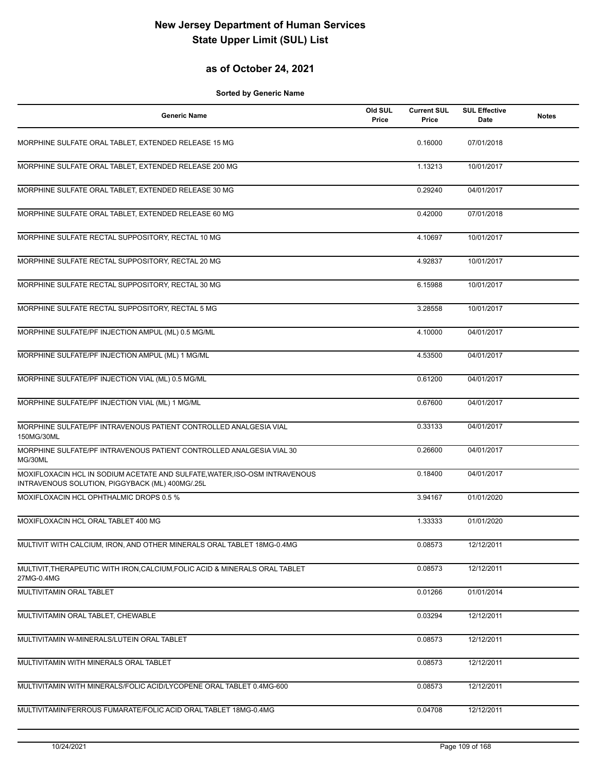## **as of October 24, 2021**

| <b>Generic Name</b>                                                                                                           | Old SUL<br>Price | <b>Current SUL</b><br>Price | <b>SUL Effective</b><br>Date | <b>Notes</b> |
|-------------------------------------------------------------------------------------------------------------------------------|------------------|-----------------------------|------------------------------|--------------|
| MORPHINE SULFATE ORAL TABLET, EXTENDED RELEASE 15 MG                                                                          |                  | 0.16000                     | 07/01/2018                   |              |
| MORPHINE SULFATE ORAL TABLET, EXTENDED RELEASE 200 MG                                                                         |                  | 1.13213                     | 10/01/2017                   |              |
| MORPHINE SULFATE ORAL TABLET, EXTENDED RELEASE 30 MG                                                                          |                  | 0.29240                     | 04/01/2017                   |              |
| MORPHINE SULFATE ORAL TABLET, EXTENDED RELEASE 60 MG                                                                          |                  | 0.42000                     | 07/01/2018                   |              |
| MORPHINE SULFATE RECTAL SUPPOSITORY, RECTAL 10 MG                                                                             |                  | 4.10697                     | 10/01/2017                   |              |
| MORPHINE SULFATE RECTAL SUPPOSITORY, RECTAL 20 MG                                                                             |                  | 4.92837                     | 10/01/2017                   |              |
| MORPHINE SULFATE RECTAL SUPPOSITORY, RECTAL 30 MG                                                                             |                  | 6.15988                     | 10/01/2017                   |              |
| MORPHINE SULFATE RECTAL SUPPOSITORY, RECTAL 5 MG                                                                              |                  | 3.28558                     | 10/01/2017                   |              |
| MORPHINE SULFATE/PF INJECTION AMPUL (ML) 0.5 MG/ML                                                                            |                  | 4.10000                     | 04/01/2017                   |              |
| MORPHINE SULFATE/PF INJECTION AMPUL (ML) 1 MG/ML                                                                              |                  | 4.53500                     | 04/01/2017                   |              |
| MORPHINE SULFATE/PF INJECTION VIAL (ML) 0.5 MG/ML                                                                             |                  | 0.61200                     | 04/01/2017                   |              |
| MORPHINE SULFATE/PF INJECTION VIAL (ML) 1 MG/ML                                                                               |                  | 0.67600                     | 04/01/2017                   |              |
| MORPHINE SULFATE/PF INTRAVENOUS PATIENT CONTROLLED ANALGESIA VIAL<br>150MG/30ML                                               |                  | 0.33133                     | 04/01/2017                   |              |
| MORPHINE SULFATE/PF INTRAVENOUS PATIENT CONTROLLED ANALGESIA VIAL 30<br>MG/30ML                                               |                  | 0.26600                     | 04/01/2017                   |              |
| MOXIFLOXACIN HCL IN SODIUM ACETATE AND SULFATE, WATER, ISO-OSM INTRAVENOUS<br>INTRAVENOUS SOLUTION, PIGGYBACK (ML) 400MG/.25L |                  | 0.18400                     | 04/01/2017                   |              |
| MOXIFLOXACIN HCL OPHTHALMIC DROPS 0.5 %                                                                                       |                  | 3.94167                     | 01/01/2020                   |              |
| MOXIFLOXACIN HCL ORAL TABLET 400 MG                                                                                           |                  | 1.33333                     | 01/01/2020                   |              |
| MULTIVIT WITH CALCIUM, IRON, AND OTHER MINERALS ORAL TABLET 18MG-0.4MG                                                        |                  | 0.08573                     | 12/12/2011                   |              |
| MULTIVIT, THERAPEUTIC WITH IRON, CALCIUM, FOLIC ACID & MINERALS ORAL TABLET<br>27MG-0.4MG                                     |                  | 0.08573                     | 12/12/2011                   |              |
| MULTIVITAMIN ORAL TABLET                                                                                                      |                  | 0.01266                     | 01/01/2014                   |              |
| MULTIVITAMIN ORAL TABLET, CHEWABLE                                                                                            |                  | 0.03294                     | 12/12/2011                   |              |
| MULTIVITAMIN W-MINERALS/LUTEIN ORAL TABLET                                                                                    |                  | 0.08573                     | 12/12/2011                   |              |
| MULTIVITAMIN WITH MINERALS ORAL TABLET                                                                                        |                  | 0.08573                     | 12/12/2011                   |              |
| MULTIVITAMIN WITH MINERALS/FOLIC ACID/LYCOPENE ORAL TABLET 0.4MG-600                                                          |                  | 0.08573                     | 12/12/2011                   |              |
| MULTIVITAMIN/FERROUS FUMARATE/FOLIC ACID ORAL TABLET 18MG-0.4MG                                                               |                  | 0.04708                     | 12/12/2011                   |              |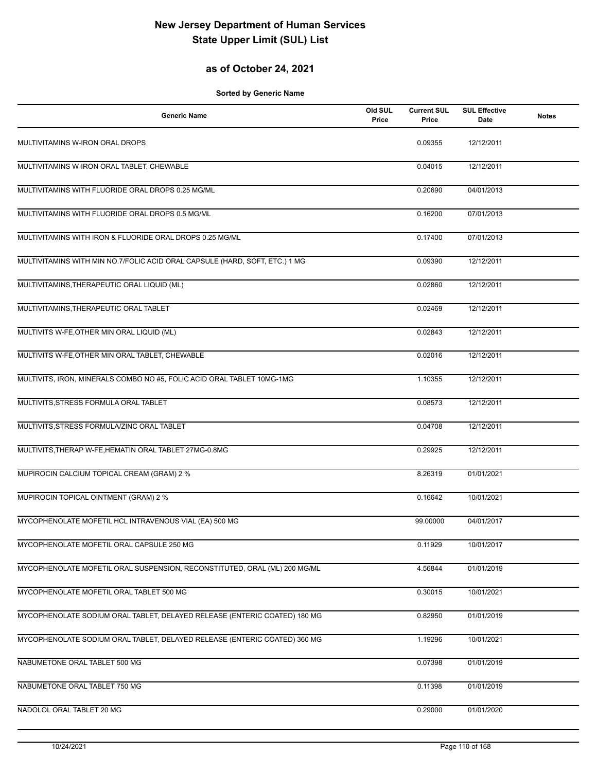## **as of October 24, 2021**

| <b>Generic Name</b>                                                         | Old SUL<br>Price | <b>Current SUL</b><br>Price | <b>SUL Effective</b><br>Date | <b>Notes</b> |
|-----------------------------------------------------------------------------|------------------|-----------------------------|------------------------------|--------------|
| MULTIVITAMINS W-IRON ORAL DROPS                                             |                  | 0.09355                     | 12/12/2011                   |              |
| MULTIVITAMINS W-IRON ORAL TABLET, CHEWABLE                                  |                  | 0.04015                     | 12/12/2011                   |              |
| MULTIVITAMINS WITH FLUORIDE ORAL DROPS 0.25 MG/ML                           |                  | 0.20690                     | 04/01/2013                   |              |
| MULTIVITAMINS WITH FLUORIDE ORAL DROPS 0.5 MG/ML                            |                  | 0.16200                     | 07/01/2013                   |              |
| MULTIVITAMINS WITH IRON & FLUORIDE ORAL DROPS 0.25 MG/ML                    |                  | 0.17400                     | 07/01/2013                   |              |
| MULTIVITAMINS WITH MIN NO.7/FOLIC ACID ORAL CAPSULE (HARD, SOFT, ETC.) 1 MG |                  | 0.09390                     | 12/12/2011                   |              |
| MULTIVITAMINS, THERAPEUTIC ORAL LIQUID (ML)                                 |                  | 0.02860                     | 12/12/2011                   |              |
| MULTIVITAMINS, THERAPEUTIC ORAL TABLET                                      |                  | 0.02469                     | 12/12/2011                   |              |
| MULTIVITS W-FE, OTHER MIN ORAL LIQUID (ML)                                  |                  | 0.02843                     | 12/12/2011                   |              |
| MULTIVITS W-FE, OTHER MIN ORAL TABLET, CHEWABLE                             |                  | 0.02016                     | 12/12/2011                   |              |
| MULTIVITS, IRON, MINERALS COMBO NO #5, FOLIC ACID ORAL TABLET 10MG-1MG      |                  | 1.10355                     | 12/12/2011                   |              |
| MULTIVITS, STRESS FORMULA ORAL TABLET                                       |                  | 0.08573                     | 12/12/2011                   |              |
| MULTIVITS, STRESS FORMULA/ZINC ORAL TABLET                                  |                  | 0.04708                     | 12/12/2011                   |              |
| MULTIVITS, THERAP W-FE, HEMATIN ORAL TABLET 27MG-0.8MG                      |                  | 0.29925                     | 12/12/2011                   |              |
| MUPIROCIN CALCIUM TOPICAL CREAM (GRAM) 2 %                                  |                  | 8.26319                     | 01/01/2021                   |              |
| MUPIROCIN TOPICAL OINTMENT (GRAM) 2 %                                       |                  | 0.16642                     | 10/01/2021                   |              |
| MYCOPHENOLATE MOFETIL HCL INTRAVENOUS VIAL (EA) 500 MG                      |                  | 99.00000                    | 04/01/2017                   |              |
| MYCOPHENOLATE MOFETIL ORAL CAPSULE 250 MG                                   |                  | 0.11929                     | 10/01/2017                   |              |
| MYCOPHENOLATE MOFETIL ORAL SUSPENSION, RECONSTITUTED, ORAL (ML) 200 MG/ML   |                  | 4.56844                     | 01/01/2019                   |              |
| MYCOPHENOLATE MOFETIL ORAL TABLET 500 MG                                    |                  | 0.30015                     | 10/01/2021                   |              |
| MYCOPHENOLATE SODIUM ORAL TABLET, DELAYED RELEASE (ENTERIC COATED) 180 MG   |                  | 0.82950                     | 01/01/2019                   |              |
| MYCOPHENOLATE SODIUM ORAL TABLET, DELAYED RELEASE (ENTERIC COATED) 360 MG   |                  | 1.19296                     | 10/01/2021                   |              |
| NABUMETONE ORAL TABLET 500 MG                                               |                  | 0.07398                     | 01/01/2019                   |              |
| NABUMETONE ORAL TABLET 750 MG                                               |                  | 0.11398                     | 01/01/2019                   |              |
| NADOLOL ORAL TABLET 20 MG                                                   |                  | 0.29000                     | 01/01/2020                   |              |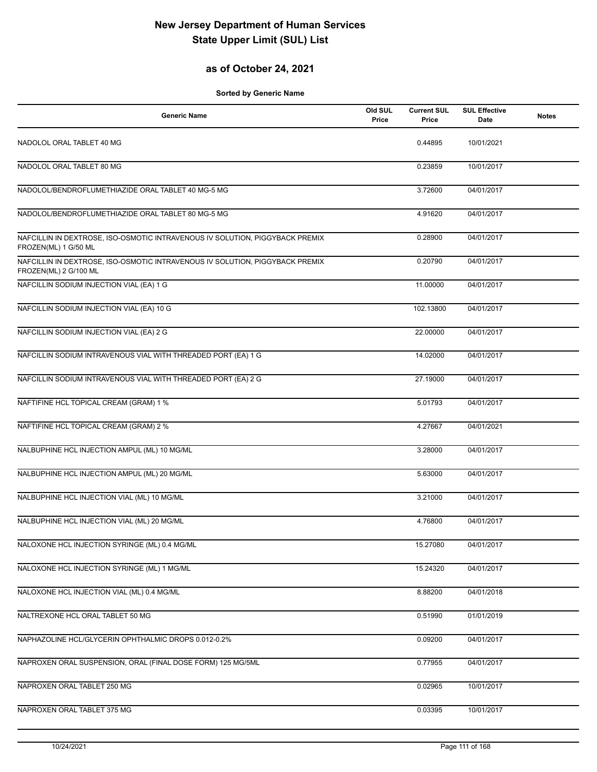## **as of October 24, 2021**

| <b>Generic Name</b>                                                                                   | Old SUL<br>Price | <b>Current SUL</b><br>Price | <b>SUL Effective</b><br>Date | <b>Notes</b> |
|-------------------------------------------------------------------------------------------------------|------------------|-----------------------------|------------------------------|--------------|
| NADOLOL ORAL TABLET 40 MG                                                                             |                  | 0.44895                     | 10/01/2021                   |              |
| NADOLOL ORAL TABLET 80 MG                                                                             |                  | 0.23859                     | 10/01/2017                   |              |
| NADOLOL/BENDROFLUMETHIAZIDE ORAL TABLET 40 MG-5 MG                                                    |                  | 3.72600                     | 04/01/2017                   |              |
| NADOLOL/BENDROFLUMETHIAZIDE ORAL TABLET 80 MG-5 MG                                                    |                  | 4.91620                     | 04/01/2017                   |              |
| NAFCILLIN IN DEXTROSE, ISO-OSMOTIC INTRAVENOUS IV SOLUTION, PIGGYBACK PREMIX<br>FROZEN(ML) 1 G/50 ML  |                  | 0.28900                     | 04/01/2017                   |              |
| NAFCILLIN IN DEXTROSE, ISO-OSMOTIC INTRAVENOUS IV SOLUTION, PIGGYBACK PREMIX<br>FROZEN(ML) 2 G/100 ML |                  | 0.20790                     | 04/01/2017                   |              |
| NAFCILLIN SODIUM INJECTION VIAL (EA) 1 G                                                              |                  | 11.00000                    | 04/01/2017                   |              |
| NAFCILLIN SODIUM INJECTION VIAL (EA) 10 G                                                             |                  | 102.13800                   | 04/01/2017                   |              |
| NAFCILLIN SODIUM INJECTION VIAL (EA) 2 G                                                              |                  | 22.00000                    | 04/01/2017                   |              |
| NAFCILLIN SODIUM INTRAVENOUS VIAL WITH THREADED PORT (EA) 1 G                                         |                  | 14.02000                    | 04/01/2017                   |              |
| NAFCILLIN SODIUM INTRAVENOUS VIAL WITH THREADED PORT (EA) 2 G                                         |                  | 27.19000                    | 04/01/2017                   |              |
| NAFTIFINE HCL TOPICAL CREAM (GRAM) 1 %                                                                |                  | 5.01793                     | 04/01/2017                   |              |
| NAFTIFINE HCL TOPICAL CREAM (GRAM) 2 %                                                                |                  | 4.27667                     | 04/01/2021                   |              |
| NALBUPHINE HCL INJECTION AMPUL (ML) 10 MG/ML                                                          |                  | 3.28000                     | 04/01/2017                   |              |
| NALBUPHINE HCL INJECTION AMPUL (ML) 20 MG/ML                                                          |                  | 5.63000                     | 04/01/2017                   |              |
| NALBUPHINE HCL INJECTION VIAL (ML) 10 MG/ML                                                           |                  | 3.21000                     | 04/01/2017                   |              |
| NALBUPHINE HCL INJECTION VIAL (ML) 20 MG/ML                                                           |                  | 4.76800                     | 04/01/2017                   |              |
| NALOXONE HCL INJECTION SYRINGE (ML) 0.4 MG/ML                                                         |                  | 15.27080                    | 04/01/2017                   |              |
| NALOXONE HCL INJECTION SYRINGE (ML) 1 MG/ML                                                           |                  | 15.24320                    | 04/01/2017                   |              |
| NALOXONE HCL INJECTION VIAL (ML) 0.4 MG/ML                                                            |                  | 8.88200                     | 04/01/2018                   |              |
| NALTREXONE HCL ORAL TABLET 50 MG                                                                      |                  | 0.51990                     | 01/01/2019                   |              |
| NAPHAZOLINE HCL/GLYCERIN OPHTHALMIC DROPS 0.012-0.2%                                                  |                  | 0.09200                     | 04/01/2017                   |              |
| NAPROXEN ORAL SUSPENSION, ORAL (FINAL DOSE FORM) 125 MG/5ML                                           |                  | 0.77955                     | 04/01/2017                   |              |
| NAPROXEN ORAL TABLET 250 MG                                                                           |                  | 0.02965                     | 10/01/2017                   |              |
| NAPROXEN ORAL TABLET 375 MG                                                                           |                  | 0.03395                     | 10/01/2017                   |              |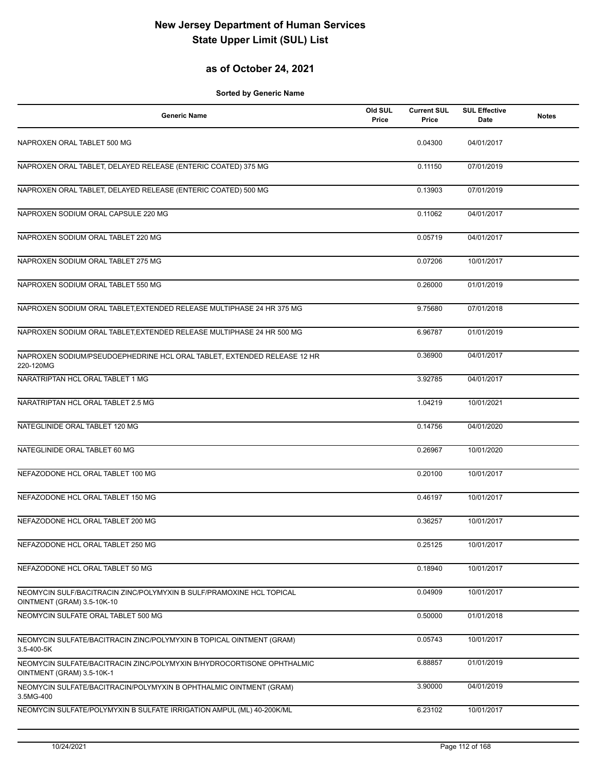## **as of October 24, 2021**

| <b>Generic Name</b>                                                                                 | Old SUL<br>Price | <b>Current SUL</b><br>Price | <b>SUL Effective</b><br>Date | <b>Notes</b> |
|-----------------------------------------------------------------------------------------------------|------------------|-----------------------------|------------------------------|--------------|
| NAPROXEN ORAL TABLET 500 MG                                                                         |                  | 0.04300                     | 04/01/2017                   |              |
| NAPROXEN ORAL TABLET, DELAYED RELEASE (ENTERIC COATED) 375 MG                                       |                  | 0.11150                     | 07/01/2019                   |              |
| NAPROXEN ORAL TABLET, DELAYED RELEASE (ENTERIC COATED) 500 MG                                       |                  | 0.13903                     | 07/01/2019                   |              |
| NAPROXEN SODIUM ORAL CAPSULE 220 MG                                                                 |                  | 0.11062                     | 04/01/2017                   |              |
| NAPROXEN SODIUM ORAL TABLET 220 MG                                                                  |                  | 0.05719                     | 04/01/2017                   |              |
| NAPROXEN SODIUM ORAL TABLET 275 MG                                                                  |                  | 0.07206                     | 10/01/2017                   |              |
| NAPROXEN SODIUM ORAL TABLET 550 MG                                                                  |                  | 0.26000                     | 01/01/2019                   |              |
| NAPROXEN SODIUM ORAL TABLET, EXTENDED RELEASE MULTIPHASE 24 HR 375 MG                               |                  | 9.75680                     | 07/01/2018                   |              |
| NAPROXEN SODIUM ORAL TABLET, EXTENDED RELEASE MULTIPHASE 24 HR 500 MG                               |                  | 6.96787                     | 01/01/2019                   |              |
| NAPROXEN SODIUM/PSEUDOEPHEDRINE HCL ORAL TABLET, EXTENDED RELEASE 12 HR<br>220-120MG                |                  | 0.36900                     | 04/01/2017                   |              |
| NARATRIPTAN HCL ORAL TABLET 1 MG                                                                    |                  | 3.92785                     | 04/01/2017                   |              |
| NARATRIPTAN HCL ORAL TABLET 2.5 MG                                                                  |                  | 1.04219                     | 10/01/2021                   |              |
| NATEGLINIDE ORAL TABLET 120 MG                                                                      |                  | 0.14756                     | 04/01/2020                   |              |
| NATEGLINIDE ORAL TABLET 60 MG                                                                       |                  | 0.26967                     | 10/01/2020                   |              |
| NEFAZODONE HCL ORAL TABLET 100 MG                                                                   |                  | 0.20100                     | 10/01/2017                   |              |
| NEFAZODONE HCL ORAL TABLET 150 MG                                                                   |                  | 0.46197                     | 10/01/2017                   |              |
| NEFAZODONE HCL ORAL TABLET 200 MG                                                                   |                  | 0.36257                     | 10/01/2017                   |              |
| NEFAZODONE HCL ORAL TABLET 250 MG                                                                   |                  | 0.25125                     | 10/01/2017                   |              |
| NEFAZODONE HCL ORAL TABLET 50 MG                                                                    |                  | 0.18940                     | 10/01/2017                   |              |
| NEOMYCIN SULF/BACITRACIN ZINC/POLYMYXIN B SULF/PRAMOXINE HCL TOPICAL<br>OINTMENT (GRAM) 3.5-10K-10  |                  | 0.04909                     | 10/01/2017                   |              |
| NEOMYCIN SULFATE ORAL TABLET 500 MG                                                                 |                  | 0.50000                     | 01/01/2018                   |              |
| NEOMYCIN SULFATE/BACITRACIN ZINC/POLYMYXIN B TOPICAL OINTMENT (GRAM)<br>3.5-400-5K                  |                  | 0.05743                     | 10/01/2017                   |              |
| NEOMYCIN SULFATE/BACITRACIN ZINC/POLYMYXIN B/HYDROCORTISONE OPHTHALMIC<br>OINTMENT (GRAM) 3.5-10K-1 |                  | 6.88857                     | 01/01/2019                   |              |
| NEOMYCIN SULFATE/BACITRACIN/POLYMYXIN B OPHTHALMIC OINTMENT (GRAM)<br>3.5MG-400                     |                  | 3.90000                     | 04/01/2019                   |              |
| NEOMYCIN SULFATE/POLYMYXIN B SULFATE IRRIGATION AMPUL (ML) 40-200K/ML                               |                  | 6.23102                     | 10/01/2017                   |              |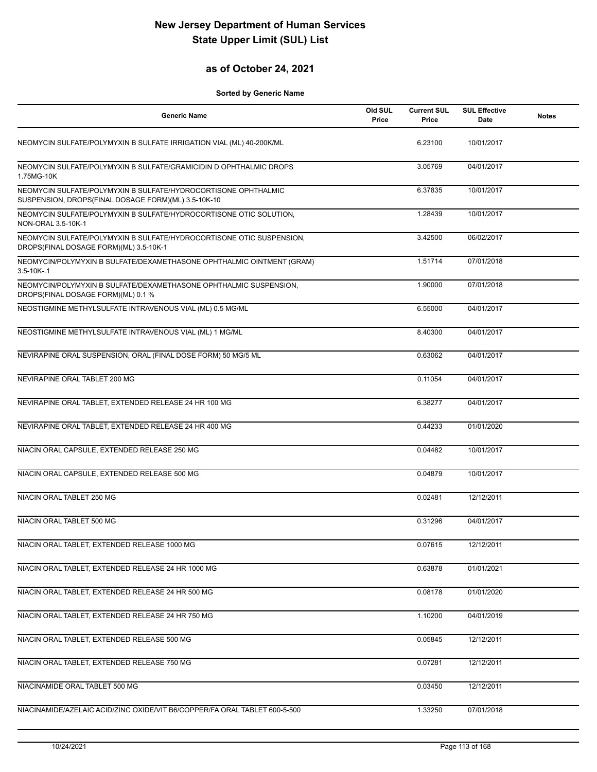## **as of October 24, 2021**

| <b>Generic Name</b>                                                                                                   | Old SUL<br>Price | <b>Current SUL</b><br>Price | <b>SUL Effective</b><br><b>Date</b> | <b>Notes</b> |
|-----------------------------------------------------------------------------------------------------------------------|------------------|-----------------------------|-------------------------------------|--------------|
| NEOMYCIN SULFATE/POLYMYXIN B SULFATE IRRIGATION VIAL (ML) 40-200K/ML                                                  |                  | 6.23100                     | 10/01/2017                          |              |
| NEOMYCIN SULFATE/POLYMYXIN B SULFATE/GRAMICIDIN D OPHTHALMIC DROPS<br>1.75MG-10K                                      |                  | 3.05769                     | 04/01/2017                          |              |
| NEOMYCIN SULFATE/POLYMYXIN B SULFATE/HYDROCORTISONE OPHTHALMIC<br>SUSPENSION, DROPS(FINAL DOSAGE FORM)(ML) 3.5-10K-10 |                  | 6.37835                     | 10/01/2017                          |              |
| NEOMYCIN SULFATE/POLYMYXIN B SULFATE/HYDROCORTISONE OTIC SOLUTION,<br>NON-ORAL 3.5-10K-1                              |                  | 1.28439                     | 10/01/2017                          |              |
| NEOMYCIN SULFATE/POLYMYXIN B SULFATE/HYDROCORTISONE OTIC SUSPENSION,<br>DROPS(FINAL DOSAGE FORM)(ML) 3.5-10K-1        |                  | 3.42500                     | 06/02/2017                          |              |
| NEOMYCIN/POLYMYXIN B SULFATE/DEXAMETHASONE OPHTHALMIC OINTMENT (GRAM)<br>$3.5 - 10K - 1$                              |                  | 1.51714                     | 07/01/2018                          |              |
| NEOMYCIN/POLYMYXIN B SULFATE/DEXAMETHASONE OPHTHALMIC SUSPENSION,<br>DROPS(FINAL DOSAGE FORM)(ML) 0.1 %               |                  | 1.90000                     | 07/01/2018                          |              |
| NEOSTIGMINE METHYLSULFATE INTRAVENOUS VIAL (ML) 0.5 MG/ML                                                             |                  | 6.55000                     | 04/01/2017                          |              |
| NEOSTIGMINE METHYLSULFATE INTRAVENOUS VIAL (ML) 1 MG/ML                                                               |                  | 8.40300                     | 04/01/2017                          |              |
| NEVIRAPINE ORAL SUSPENSION, ORAL (FINAL DOSE FORM) 50 MG/5 ML                                                         |                  | 0.63062                     | 04/01/2017                          |              |
| NEVIRAPINE ORAL TABLET 200 MG                                                                                         |                  | 0.11054                     | 04/01/2017                          |              |
| NEVIRAPINE ORAL TABLET, EXTENDED RELEASE 24 HR 100 MG                                                                 |                  | 6.38277                     | 04/01/2017                          |              |
| NEVIRAPINE ORAL TABLET, EXTENDED RELEASE 24 HR 400 MG                                                                 |                  | 0.44233                     | 01/01/2020                          |              |
| NIACIN ORAL CAPSULE, EXTENDED RELEASE 250 MG                                                                          |                  | 0.04482                     | 10/01/2017                          |              |
| NIACIN ORAL CAPSULE, EXTENDED RELEASE 500 MG                                                                          |                  | 0.04879                     | 10/01/2017                          |              |
| NIACIN ORAL TABLET 250 MG                                                                                             |                  | 0.02481                     | 12/12/2011                          |              |
| NIACIN ORAL TABLET 500 MG                                                                                             |                  | 0.31296                     | 04/01/2017                          |              |
| NIACIN ORAL TABLET, EXTENDED RELEASE 1000 MG                                                                          |                  | 0.07615                     | 12/12/2011                          |              |
| NIACIN ORAL TABLET, EXTENDED RELEASE 24 HR 1000 MG                                                                    |                  | 0.63878                     | 01/01/2021                          |              |
| NIACIN ORAL TABLET, EXTENDED RELEASE 24 HR 500 MG                                                                     |                  | 0.08178                     | 01/01/2020                          |              |
| NIACIN ORAL TABLET, EXTENDED RELEASE 24 HR 750 MG                                                                     |                  | 1.10200                     | 04/01/2019                          |              |
| NIACIN ORAL TABLET, EXTENDED RELEASE 500 MG                                                                           |                  | 0.05845                     | 12/12/2011                          |              |
| NIACIN ORAL TABLET, EXTENDED RELEASE 750 MG                                                                           |                  | 0.07281                     | 12/12/2011                          |              |
| NIACINAMIDE ORAL TABLET 500 MG                                                                                        |                  | 0.03450                     | 12/12/2011                          |              |
| NIACINAMIDE/AZELAIC ACID/ZINC OXIDE/VIT B6/COPPER/FA ORAL TABLET 600-5-500                                            |                  | 1.33250                     | 07/01/2018                          |              |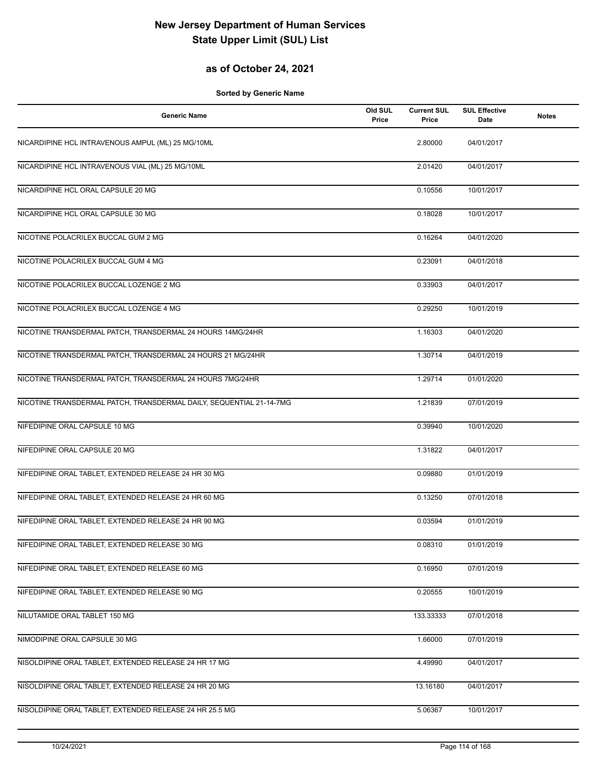## **as of October 24, 2021**

| <b>Generic Name</b>                                                 | Old SUL<br>Price | <b>Current SUL</b><br>Price | <b>SUL Effective</b><br>Date | <b>Notes</b> |
|---------------------------------------------------------------------|------------------|-----------------------------|------------------------------|--------------|
| NICARDIPINE HCL INTRAVENOUS AMPUL (ML) 25 MG/10ML                   |                  | 2.80000                     | 04/01/2017                   |              |
| NICARDIPINE HCL INTRAVENOUS VIAL (ML) 25 MG/10ML                    |                  | 2.01420                     | 04/01/2017                   |              |
| NICARDIPINE HCL ORAL CAPSULE 20 MG                                  |                  | 0.10556                     | 10/01/2017                   |              |
| NICARDIPINE HCL ORAL CAPSULE 30 MG                                  |                  | 0.18028                     | 10/01/2017                   |              |
| NICOTINE POLACRILEX BUCCAL GUM 2 MG                                 |                  | 0.16264                     | 04/01/2020                   |              |
| NICOTINE POLACRILEX BUCCAL GUM 4 MG                                 |                  | 0.23091                     | 04/01/2018                   |              |
| NICOTINE POLACRILEX BUCCAL LOZENGE 2 MG                             |                  | 0.33903                     | 04/01/2017                   |              |
| NICOTINE POLACRILEX BUCCAL LOZENGE 4 MG                             |                  | 0.29250                     | 10/01/2019                   |              |
| NICOTINE TRANSDERMAL PATCH, TRANSDERMAL 24 HOURS 14MG/24HR          |                  | 1.16303                     | 04/01/2020                   |              |
| NICOTINE TRANSDERMAL PATCH, TRANSDERMAL 24 HOURS 21 MG/24HR         |                  | 1.30714                     | 04/01/2019                   |              |
| NICOTINE TRANSDERMAL PATCH, TRANSDERMAL 24 HOURS 7MG/24HR           |                  | 1.29714                     | 01/01/2020                   |              |
| NICOTINE TRANSDERMAL PATCH, TRANSDERMAL DAILY, SEQUENTIAL 21-14-7MG |                  | 1.21839                     | 07/01/2019                   |              |
| NIFEDIPINE ORAL CAPSULE 10 MG                                       |                  | 0.39940                     | 10/01/2020                   |              |
| NIFEDIPINE ORAL CAPSULE 20 MG                                       |                  | 1.31822                     | 04/01/2017                   |              |
| NIFEDIPINE ORAL TABLET, EXTENDED RELEASE 24 HR 30 MG                |                  | 0.09880                     | 01/01/2019                   |              |
| NIFEDIPINE ORAL TABLET, EXTENDED RELEASE 24 HR 60 MG                |                  | 0.13250                     | 07/01/2018                   |              |
| NIFEDIPINE ORAL TABLET, EXTENDED RELEASE 24 HR 90 MG                |                  | 0.03594                     | 01/01/2019                   |              |
| NIFEDIPINE ORAL TABLET, EXTENDED RELEASE 30 MG                      |                  | 0.08310                     | 01/01/2019                   |              |
| NIFEDIPINE ORAL TABLET, EXTENDED RELEASE 60 MG                      |                  | 0.16950                     | 07/01/2019                   |              |
| NIFEDIPINE ORAL TABLET, EXTENDED RELEASE 90 MG                      |                  | 0.20555                     | 10/01/2019                   |              |
| NILUTAMIDE ORAL TABLET 150 MG                                       |                  | 133.33333                   | 07/01/2018                   |              |
| NIMODIPINE ORAL CAPSULE 30 MG                                       |                  | 1.66000                     | 07/01/2019                   |              |
| NISOLDIPINE ORAL TABLET, EXTENDED RELEASE 24 HR 17 MG               |                  | 4.49990                     | 04/01/2017                   |              |
| NISOLDIPINE ORAL TABLET, EXTENDED RELEASE 24 HR 20 MG               |                  | 13.16180                    | 04/01/2017                   |              |
| NISOLDIPINE ORAL TABLET, EXTENDED RELEASE 24 HR 25.5 MG             |                  | 5.06367                     | 10/01/2017                   |              |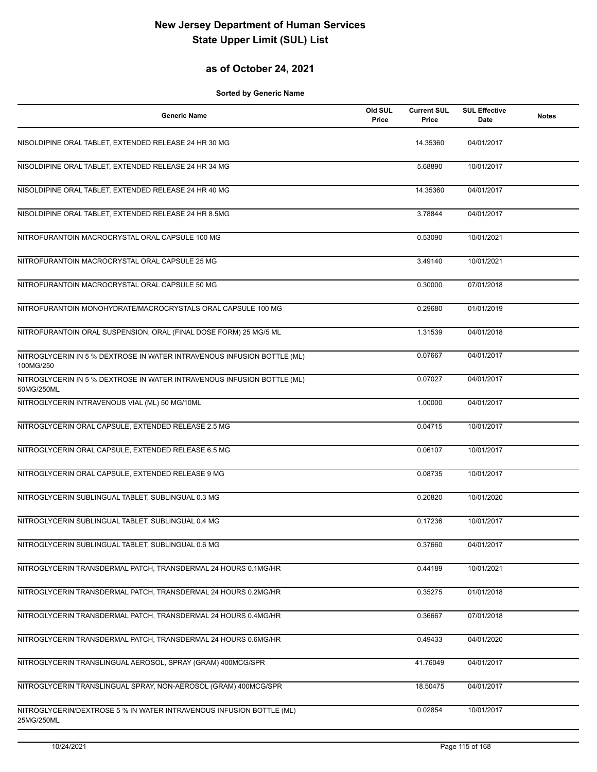#### **as of October 24, 2021**

| <b>Generic Name</b>                                                                   | Old SUL<br>Price | <b>Current SUL</b><br>Price | <b>SUL Effective</b><br>Date | <b>Notes</b> |
|---------------------------------------------------------------------------------------|------------------|-----------------------------|------------------------------|--------------|
| NISOLDIPINE ORAL TABLET, EXTENDED RELEASE 24 HR 30 MG                                 |                  | 14.35360                    | 04/01/2017                   |              |
| NISOLDIPINE ORAL TABLET, EXTENDED RELEASE 24 HR 34 MG                                 |                  | 5.68890                     | 10/01/2017                   |              |
| NISOLDIPINE ORAL TABLET, EXTENDED RELEASE 24 HR 40 MG                                 |                  | 14.35360                    | 04/01/2017                   |              |
| NISOLDIPINE ORAL TABLET, EXTENDED RELEASE 24 HR 8.5MG                                 |                  | 3.78844                     | 04/01/2017                   |              |
| NITROFURANTOIN MACROCRYSTAL ORAL CAPSULE 100 MG                                       |                  | 0.53090                     | 10/01/2021                   |              |
| NITROFURANTOIN MACROCRYSTAL ORAL CAPSULE 25 MG                                        |                  | 3.49140                     | 10/01/2021                   |              |
| NITROFURANTOIN MACROCRYSTAL ORAL CAPSULE 50 MG                                        |                  | 0.30000                     | 07/01/2018                   |              |
| NITROFURANTOIN MONOHYDRATE/MACROCRYSTALS ORAL CAPSULE 100 MG                          |                  | 0.29680                     | 01/01/2019                   |              |
| NITROFURANTOIN ORAL SUSPENSION, ORAL (FINAL DOSE FORM) 25 MG/5 ML                     |                  | 1.31539                     | 04/01/2018                   |              |
| NITROGLYCERIN IN 5 % DEXTROSE IN WATER INTRAVENOUS INFUSION BOTTLE (ML)<br>100MG/250  |                  | 0.07667                     | 04/01/2017                   |              |
| NITROGLYCERIN IN 5 % DEXTROSE IN WATER INTRAVENOUS INFUSION BOTTLE (ML)<br>50MG/250ML |                  | 0.07027                     | 04/01/2017                   |              |
| NITROGLYCERIN INTRAVENOUS VIAL (ML) 50 MG/10ML                                        |                  | 1.00000                     | 04/01/2017                   |              |
| NITROGLYCERIN ORAL CAPSULE, EXTENDED RELEASE 2.5 MG                                   |                  | 0.04715                     | 10/01/2017                   |              |
| NITROGLYCERIN ORAL CAPSULE, EXTENDED RELEASE 6.5 MG                                   |                  | 0.06107                     | 10/01/2017                   |              |
| NITROGLYCERIN ORAL CAPSULE, EXTENDED RELEASE 9 MG                                     |                  | 0.08735                     | 10/01/2017                   |              |
| NITROGLYCERIN SUBLINGUAL TABLET, SUBLINGUAL 0.3 MG                                    |                  | 0.20820                     | 10/01/2020                   |              |
| NITROGLYCERIN SUBLINGUAL TABLET, SUBLINGUAL 0.4 MG                                    |                  | 0.17236                     | 10/01/2017                   |              |
| NITROGLYCERIN SUBLINGUAL TABLET, SUBLINGUAL 0.6 MG                                    |                  | 0.37660                     | 04/01/2017                   |              |
| NITROGLYCERIN TRANSDERMAL PATCH, TRANSDERMAL 24 HOURS 0.1MG/HR                        |                  | 0.44189                     | 10/01/2021                   |              |
| NITROGLYCERIN TRANSDERMAL PATCH, TRANSDERMAL 24 HOURS 0.2MG/HR                        |                  | 0.35275                     | 01/01/2018                   |              |
| NITROGLYCERIN TRANSDERMAL PATCH, TRANSDERMAL 24 HOURS 0.4MG/HR                        |                  | 0.36667                     | 07/01/2018                   |              |
| NITROGLYCERIN TRANSDERMAL PATCH, TRANSDERMAL 24 HOURS 0.6MG/HR                        |                  | 0.49433                     | 04/01/2020                   |              |
| NITROGLYCERIN TRANSLINGUAL AEROSOL, SPRAY (GRAM) 400MCG/SPR                           |                  | 41.76049                    | 04/01/2017                   |              |
| NITROGLYCERIN TRANSLINGUAL SPRAY, NON-AEROSOL (GRAM) 400MCG/SPR                       |                  | 18.50475                    | 04/01/2017                   |              |
| NITROGLYCERIN/DEXTROSE 5 % IN WATER INTRAVENOUS INFUSION BOTTLE (ML)<br>25MG/250ML    |                  | 0.02854                     | 10/01/2017                   |              |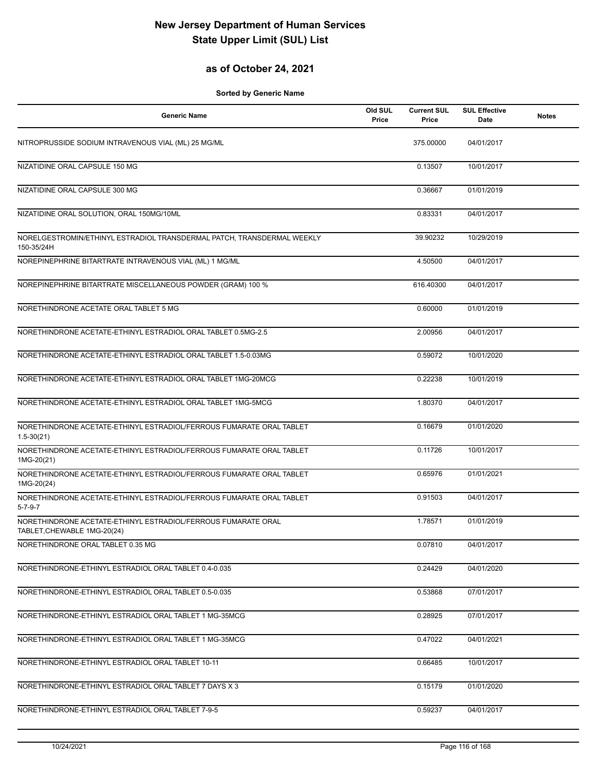## **as of October 24, 2021**

| <b>Generic Name</b>                                                                          | Old SUL<br>Price | <b>Current SUL</b><br>Price | <b>SUL Effective</b><br>Date | <b>Notes</b> |
|----------------------------------------------------------------------------------------------|------------------|-----------------------------|------------------------------|--------------|
| NITROPRUSSIDE SODIUM INTRAVENOUS VIAL (ML) 25 MG/ML                                          |                  | 375.00000                   | 04/01/2017                   |              |
| NIZATIDINE ORAL CAPSULE 150 MG                                                               |                  | 0.13507                     | 10/01/2017                   |              |
| NIZATIDINE ORAL CAPSULE 300 MG                                                               |                  | 0.36667                     | 01/01/2019                   |              |
| NIZATIDINE ORAL SOLUTION, ORAL 150MG/10ML                                                    |                  | 0.83331                     | 04/01/2017                   |              |
| NORELGESTROMIN/ETHINYL ESTRADIOL TRANSDERMAL PATCH, TRANSDERMAL WEEKLY<br>150-35/24H         |                  | 39.90232                    | 10/29/2019                   |              |
| NOREPINEPHRINE BITARTRATE INTRAVENOUS VIAL (ML) 1 MG/ML                                      |                  | 4.50500                     | 04/01/2017                   |              |
| NOREPINEPHRINE BITARTRATE MISCELLANEOUS POWDER (GRAM) 100 %                                  |                  | 616.40300                   | 04/01/2017                   |              |
| NORETHINDRONE ACETATE ORAL TABLET 5 MG                                                       |                  | 0.60000                     | 01/01/2019                   |              |
| NORETHINDRONE ACETATE-ETHINYL ESTRADIOL ORAL TABLET 0.5MG-2.5                                |                  | 2.00956                     | 04/01/2017                   |              |
| NORETHINDRONE ACETATE-ETHINYL ESTRADIOL ORAL TABLET 1.5-0.03MG                               |                  | 0.59072                     | 10/01/2020                   |              |
| NORETHINDRONE ACETATE-ETHINYL ESTRADIOL ORAL TABLET 1MG-20MCG                                |                  | 0.22238                     | 10/01/2019                   |              |
| NORETHINDRONE ACETATE-ETHINYL ESTRADIOL ORAL TABLET 1MG-5MCG                                 |                  | 1.80370                     | 04/01/2017                   |              |
| NORETHINDRONE ACETATE-ETHINYL ESTRADIOL/FERROUS FUMARATE ORAL TABLET<br>$1.5 - 30(21)$       |                  | 0.16679                     | 01/01/2020                   |              |
| NORETHINDRONE ACETATE-ETHINYL ESTRADIOL/FERROUS FUMARATE ORAL TABLET<br>1MG-20(21)           |                  | 0.11726                     | 10/01/2017                   |              |
| NORETHINDRONE ACETATE-ETHINYL ESTRADIOL/FERROUS FUMARATE ORAL TABLET<br>1MG-20(24)           |                  | 0.65976                     | 01/01/2021                   |              |
| NORETHINDRONE ACETATE-ETHINYL ESTRADIOL/FERROUS FUMARATE ORAL TABLET<br>$5 - 7 - 9 - 7$      |                  | 0.91503                     | 04/01/2017                   |              |
| NORETHINDRONE ACETATE-ETHINYL ESTRADIOL/FERROUS FUMARATE ORAL<br>TABLET, CHEWABLE 1MG-20(24) |                  | 1.78571                     | 01/01/2019                   |              |
| NORETHINDRONE ORAL TABLET 0.35 MG                                                            |                  | 0.07810                     | 04/01/2017                   |              |
| NORETHINDRONE-ETHINYL ESTRADIOL ORAL TABLET 0.4-0.035                                        |                  | 0.24429                     | 04/01/2020                   |              |
| NORETHINDRONE-ETHINYL ESTRADIOL ORAL TABLET 0.5-0.035                                        |                  | 0.53868                     | 07/01/2017                   |              |
| NORETHINDRONE-ETHINYL ESTRADIOL ORAL TABLET 1 MG-35MCG                                       |                  | 0.28925                     | 07/01/2017                   |              |
| NORETHINDRONE-ETHINYL ESTRADIOL ORAL TABLET 1 MG-35MCG                                       |                  | 0.47022                     | 04/01/2021                   |              |
| NORETHINDRONE-ETHINYL ESTRADIOL ORAL TABLET 10-11                                            |                  | 0.66485                     | 10/01/2017                   |              |
| NORETHINDRONE-ETHINYL ESTRADIOL ORAL TABLET 7 DAYS X 3                                       |                  | 0.15179                     | 01/01/2020                   |              |
| NORETHINDRONE-ETHINYL ESTRADIOL ORAL TABLET 7-9-5                                            |                  | 0.59237                     | 04/01/2017                   |              |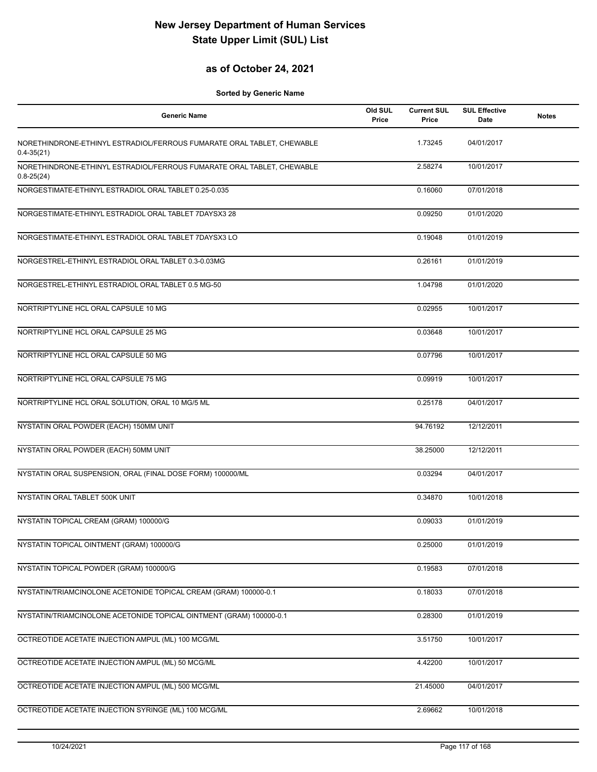## **as of October 24, 2021**

| <b>Generic Name</b>                                                                      | Old SUL<br>Price | <b>Current SUL</b><br>Price | <b>SUL Effective</b><br>Date | <b>Notes</b> |
|------------------------------------------------------------------------------------------|------------------|-----------------------------|------------------------------|--------------|
| NORETHINDRONE-ETHINYL ESTRADIOL/FERROUS FUMARATE ORAL TABLET, CHEWABLE<br>$0.4 - 35(21)$ |                  | 1.73245                     | 04/01/2017                   |              |
| NORETHINDRONE-ETHINYL ESTRADIOL/FERROUS FUMARATE ORAL TABLET, CHEWABLE<br>$0.8 - 25(24)$ |                  | 2.58274                     | 10/01/2017                   |              |
| NORGESTIMATE-ETHINYL ESTRADIOL ORAL TABLET 0.25-0.035                                    |                  | 0.16060                     | 07/01/2018                   |              |
| NORGESTIMATE-ETHINYL ESTRADIOL ORAL TABLET 7DAYSX3 28                                    |                  | 0.09250                     | 01/01/2020                   |              |
| NORGESTIMATE-ETHINYL ESTRADIOL ORAL TABLET 7DAYSX3 LO                                    |                  | 0.19048                     | 01/01/2019                   |              |
| NORGESTREL-ETHINYL ESTRADIOL ORAL TABLET 0.3-0.03MG                                      |                  | 0.26161                     | 01/01/2019                   |              |
| NORGESTREL-ETHINYL ESTRADIOL ORAL TABLET 0.5 MG-50                                       |                  | 1.04798                     | 01/01/2020                   |              |
| NORTRIPTYLINE HCL ORAL CAPSULE 10 MG                                                     |                  | 0.02955                     | 10/01/2017                   |              |
| NORTRIPTYLINE HCL ORAL CAPSULE 25 MG                                                     |                  | 0.03648                     | 10/01/2017                   |              |
| NORTRIPTYLINE HCL ORAL CAPSULE 50 MG                                                     |                  | 0.07796                     | 10/01/2017                   |              |
| NORTRIPTYLINE HCL ORAL CAPSULE 75 MG                                                     |                  | 0.09919                     | 10/01/2017                   |              |
| NORTRIPTYLINE HCL ORAL SOLUTION, ORAL 10 MG/5 ML                                         |                  | 0.25178                     | 04/01/2017                   |              |
| NYSTATIN ORAL POWDER (EACH) 150MM UNIT                                                   |                  | 94.76192                    | 12/12/2011                   |              |
| NYSTATIN ORAL POWDER (EACH) 50MM UNIT                                                    |                  | 38.25000                    | 12/12/2011                   |              |
| NYSTATIN ORAL SUSPENSION, ORAL (FINAL DOSE FORM) 100000/ML                               |                  | 0.03294                     | 04/01/2017                   |              |
| NYSTATIN ORAL TABLET 500K UNIT                                                           |                  | 0.34870                     | 10/01/2018                   |              |
| NYSTATIN TOPICAL CREAM (GRAM) 100000/G                                                   |                  | 0.09033                     | 01/01/2019                   |              |
| NYSTATIN TOPICAL OINTMENT (GRAM) 100000/G                                                |                  | 0.25000                     | 01/01/2019                   |              |
| NYSTATIN TOPICAL POWDER (GRAM) 100000/G                                                  |                  | 0.19583                     | 07/01/2018                   |              |
| NYSTATIN/TRIAMCINOLONE ACETONIDE TOPICAL CREAM (GRAM) 100000-0.1                         |                  | 0.18033                     | 07/01/2018                   |              |
| NYSTATIN/TRIAMCINOLONE ACETONIDE TOPICAL OINTMENT (GRAM) 100000-0.1                      |                  | 0.28300                     | 01/01/2019                   |              |
| OCTREOTIDE ACETATE INJECTION AMPUL (ML) 100 MCG/ML                                       |                  | 3.51750                     | 10/01/2017                   |              |
| OCTREOTIDE ACETATE INJECTION AMPUL (ML) 50 MCG/ML                                        |                  | 4.42200                     | 10/01/2017                   |              |
| OCTREOTIDE ACETATE INJECTION AMPUL (ML) 500 MCG/ML                                       |                  | 21.45000                    | 04/01/2017                   |              |
| OCTREOTIDE ACETATE INJECTION SYRINGE (ML) 100 MCG/ML                                     |                  | 2.69662                     | 10/01/2018                   |              |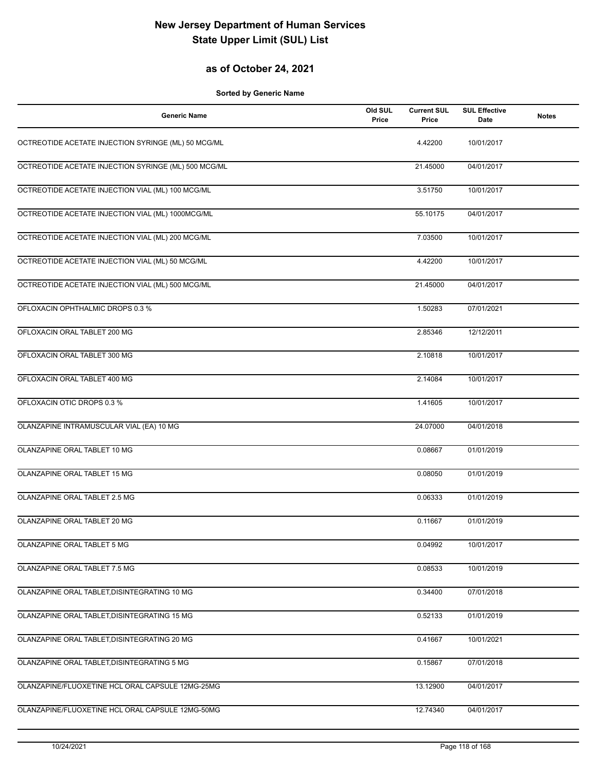## **as of October 24, 2021**

| <b>Generic Name</b>                                  | Old SUL<br>Price | <b>Current SUL</b><br>Price | <b>SUL Effective</b><br>Date | <b>Notes</b> |
|------------------------------------------------------|------------------|-----------------------------|------------------------------|--------------|
| OCTREOTIDE ACETATE INJECTION SYRINGE (ML) 50 MCG/ML  |                  | 4.42200                     | 10/01/2017                   |              |
| OCTREOTIDE ACETATE INJECTION SYRINGE (ML) 500 MCG/ML |                  | 21.45000                    | 04/01/2017                   |              |
| OCTREOTIDE ACETATE INJECTION VIAL (ML) 100 MCG/ML    |                  | 3.51750                     | 10/01/2017                   |              |
| OCTREOTIDE ACETATE INJECTION VIAL (ML) 1000MCG/ML    |                  | 55.10175                    | 04/01/2017                   |              |
| OCTREOTIDE ACETATE INJECTION VIAL (ML) 200 MCG/ML    |                  | 7.03500                     | 10/01/2017                   |              |
| OCTREOTIDE ACETATE INJECTION VIAL (ML) 50 MCG/ML     |                  | 4.42200                     | 10/01/2017                   |              |
| OCTREOTIDE ACETATE INJECTION VIAL (ML) 500 MCG/ML    |                  | 21.45000                    | 04/01/2017                   |              |
| OFLOXACIN OPHTHALMIC DROPS 0.3 %                     |                  | 1.50283                     | 07/01/2021                   |              |
| OFLOXACIN ORAL TABLET 200 MG                         |                  | 2.85346                     | 12/12/2011                   |              |
| OFLOXACIN ORAL TABLET 300 MG                         |                  | 2.10818                     | 10/01/2017                   |              |
| OFLOXACIN ORAL TABLET 400 MG                         |                  | 2.14084                     | 10/01/2017                   |              |
| OFLOXACIN OTIC DROPS 0.3 %                           |                  | 1.41605                     | 10/01/2017                   |              |
| OLANZAPINE INTRAMUSCULAR VIAL (EA) 10 MG             |                  | 24.07000                    | 04/01/2018                   |              |
| OLANZAPINE ORAL TABLET 10 MG                         |                  | 0.08667                     | 01/01/2019                   |              |
| OLANZAPINE ORAL TABLET 15 MG                         |                  | 0.08050                     | 01/01/2019                   |              |
| OLANZAPINE ORAL TABLET 2.5 MG                        |                  | 0.06333                     | 01/01/2019                   |              |
| OLANZAPINE ORAL TABLET 20 MG                         |                  | 0.11667                     | 01/01/2019                   |              |
| OLANZAPINE ORAL TABLET 5 MG                          |                  | 0.04992                     | 10/01/2017                   |              |
| OLANZAPINE ORAL TABLET 7.5 MG                        |                  | 0.08533                     | 10/01/2019                   |              |
| OLANZAPINE ORAL TABLET, DISINTEGRATING 10 MG         |                  | 0.34400                     | 07/01/2018                   |              |
| OLANZAPINE ORAL TABLET, DISINTEGRATING 15 MG         |                  | 0.52133                     | 01/01/2019                   |              |
| OLANZAPINE ORAL TABLET, DISINTEGRATING 20 MG         |                  | 0.41667                     | 10/01/2021                   |              |
| OLANZAPINE ORAL TABLET, DISINTEGRATING 5 MG          |                  | 0.15867                     | 07/01/2018                   |              |
| OLANZAPINE/FLUOXETINE HCL ORAL CAPSULE 12MG-25MG     |                  | 13.12900                    | 04/01/2017                   |              |
| OLANZAPINE/FLUOXETINE HCL ORAL CAPSULE 12MG-50MG     |                  | 12.74340                    | 04/01/2017                   |              |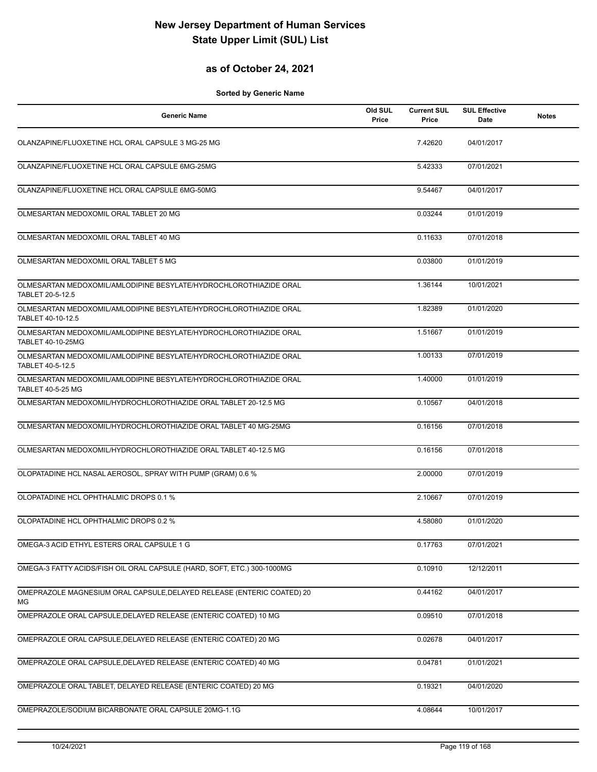#### **as of October 24, 2021**

| <b>Generic Name</b>                                                                           | Old SUL<br>Price | <b>Current SUL</b><br>Price | <b>SUL Effective</b><br>Date | <b>Notes</b> |
|-----------------------------------------------------------------------------------------------|------------------|-----------------------------|------------------------------|--------------|
| OLANZAPINE/FLUOXETINE HCL ORAL CAPSULE 3 MG-25 MG                                             |                  | 7.42620                     | 04/01/2017                   |              |
| OLANZAPINE/FLUOXETINE HCL ORAL CAPSULE 6MG-25MG                                               |                  | 5.42333                     | 07/01/2021                   |              |
| OLANZAPINE/FLUOXETINE HCL ORAL CAPSULE 6MG-50MG                                               |                  | 9.54467                     | 04/01/2017                   |              |
| OLMESARTAN MEDOXOMIL ORAL TABLET 20 MG                                                        |                  | 0.03244                     | 01/01/2019                   |              |
| OLMESARTAN MEDOXOMIL ORAL TABLET 40 MG                                                        |                  | 0.11633                     | 07/01/2018                   |              |
| OLMESARTAN MEDOXOMIL ORAL TABLET 5 MG                                                         |                  | 0.03800                     | 01/01/2019                   |              |
| OLMESARTAN MEDOXOMIL/AMLODIPINE BESYLATE/HYDROCHLOROTHIAZIDE ORAL<br>TABLET 20-5-12.5         |                  | 1.36144                     | 10/01/2021                   |              |
| OLMESARTAN MEDOXOMIL/AMLODIPINE BESYLATE/HYDROCHLOROTHIAZIDE ORAL<br>TABLET 40-10-12.5        |                  | 1.82389                     | 01/01/2020                   |              |
| OLMESARTAN MEDOXOMIL/AMLODIPINE BESYLATE/HYDROCHLOROTHIAZIDE ORAL<br>TABLET 40-10-25MG        |                  | 1.51667                     | 01/01/2019                   |              |
| OLMESARTAN MEDOXOMIL/AMLODIPINE BESYLATE/HYDROCHLOROTHIAZIDE ORAL<br>TABLET 40-5-12.5         |                  | 1.00133                     | 07/01/2019                   |              |
| OLMESARTAN MEDOXOMIL/AMLODIPINE BESYLATE/HYDROCHLOROTHIAZIDE ORAL<br><b>TABLET 40-5-25 MG</b> |                  | 1.40000                     | 01/01/2019                   |              |
| OLMESARTAN MEDOXOMIL/HYDROCHLOROTHIAZIDE ORAL TABLET 20-12.5 MG                               |                  | 0.10567                     | 04/01/2018                   |              |
| OLMESARTAN MEDOXOMIL/HYDROCHLOROTHIAZIDE ORAL TABLET 40 MG-25MG                               |                  | 0.16156                     | 07/01/2018                   |              |
| OLMESARTAN MEDOXOMIL/HYDROCHLOROTHIAZIDE ORAL TABLET 40-12.5 MG                               |                  | 0.16156                     | 07/01/2018                   |              |
| OLOPATADINE HCL NASAL AEROSOL, SPRAY WITH PUMP (GRAM) 0.6 %                                   |                  | 2.00000                     | 07/01/2019                   |              |
| OLOPATADINE HCL OPHTHALMIC DROPS 0.1 %                                                        |                  | 2.10667                     | 07/01/2019                   |              |
| OLOPATADINE HCL OPHTHALMIC DROPS 0.2 %                                                        |                  | 4.58080                     | 01/01/2020                   |              |
| OMEGA-3 ACID ETHYL ESTERS ORAL CAPSULE 1 G                                                    |                  | 0.17763                     | 07/01/2021                   |              |
| OMEGA-3 FATTY ACIDS/FISH OIL ORAL CAPSULE (HARD, SOFT, ETC.) 300-1000MG                       |                  | 0.10910                     | 12/12/2011                   |              |
| OMEPRAZOLE MAGNESIUM ORAL CAPSULE, DELAYED RELEASE (ENTERIC COATED) 20<br>МG                  |                  | 0.44162                     | 04/01/2017                   |              |
| OMEPRAZOLE ORAL CAPSULE, DELAYED RELEASE (ENTERIC COATED) 10 MG                               |                  | 0.09510                     | 07/01/2018                   |              |
| OMEPRAZOLE ORAL CAPSULE, DELAYED RELEASE (ENTERIC COATED) 20 MG                               |                  | 0.02678                     | 04/01/2017                   |              |
| OMEPRAZOLE ORAL CAPSULE, DELAYED RELEASE (ENTERIC COATED) 40 MG                               |                  | 0.04781                     | 01/01/2021                   |              |
| OMEPRAZOLE ORAL TABLET, DELAYED RELEASE (ENTERIC COATED) 20 MG                                |                  | 0.19321                     | 04/01/2020                   |              |
| OMEPRAZOLE/SODIUM BICARBONATE ORAL CAPSULE 20MG-1.1G                                          |                  | 4.08644                     | 10/01/2017                   |              |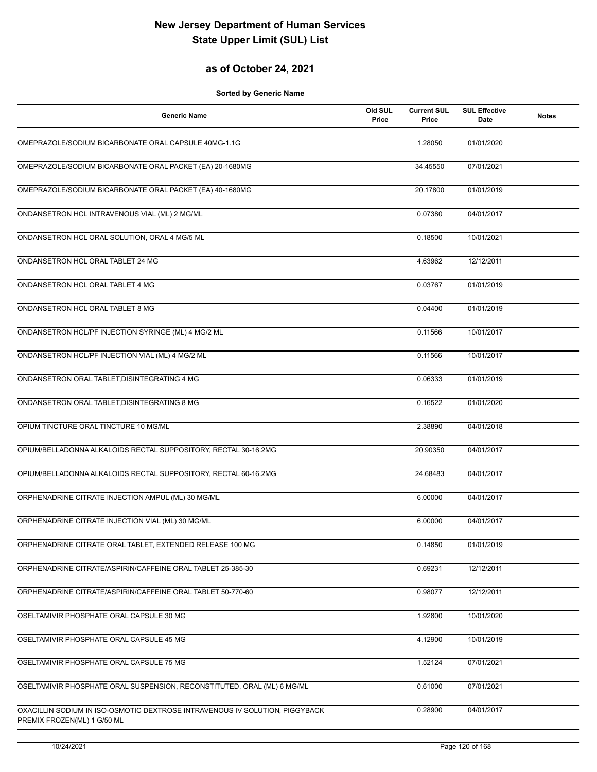#### **as of October 24, 2021**

| <b>Generic Name</b>                                                                                        | Old SUL<br>Price | <b>Current SUL</b><br>Price | <b>SUL Effective</b><br>Date | <b>Notes</b> |
|------------------------------------------------------------------------------------------------------------|------------------|-----------------------------|------------------------------|--------------|
| OMEPRAZOLE/SODIUM BICARBONATE ORAL CAPSULE 40MG-1.1G                                                       |                  | 1.28050                     | 01/01/2020                   |              |
| OMEPRAZOLE/SODIUM BICARBONATE ORAL PACKET (EA) 20-1680MG                                                   |                  | 34.45550                    | 07/01/2021                   |              |
| OMEPRAZOLE/SODIUM BICARBONATE ORAL PACKET (EA) 40-1680MG                                                   |                  | 20.17800                    | 01/01/2019                   |              |
| ONDANSETRON HCL INTRAVENOUS VIAL (ML) 2 MG/ML                                                              |                  | 0.07380                     | 04/01/2017                   |              |
| ONDANSETRON HCL ORAL SOLUTION, ORAL 4 MG/5 ML                                                              |                  | 0.18500                     | 10/01/2021                   |              |
| ONDANSETRON HCL ORAL TABLET 24 MG                                                                          |                  | 4.63962                     | 12/12/2011                   |              |
| ONDANSETRON HCL ORAL TABLET 4 MG                                                                           |                  | 0.03767                     | 01/01/2019                   |              |
| ONDANSETRON HCL ORAL TABLET 8 MG                                                                           |                  | 0.04400                     | 01/01/2019                   |              |
| ONDANSETRON HCL/PF INJECTION SYRINGE (ML) 4 MG/2 ML                                                        |                  | 0.11566                     | 10/01/2017                   |              |
| ONDANSETRON HCL/PF INJECTION VIAL (ML) 4 MG/2 ML                                                           |                  | 0.11566                     | 10/01/2017                   |              |
| ONDANSETRON ORAL TABLET, DISINTEGRATING 4 MG                                                               |                  | 0.06333                     | 01/01/2019                   |              |
| ONDANSETRON ORAL TABLET, DISINTEGRATING 8 MG                                                               |                  | 0.16522                     | 01/01/2020                   |              |
| OPIUM TINCTURE ORAL TINCTURE 10 MG/ML                                                                      |                  | 2.38890                     | 04/01/2018                   |              |
| OPIUM/BELLADONNA ALKALOIDS RECTAL SUPPOSITORY, RECTAL 30-16.2MG                                            |                  | 20.90350                    | 04/01/2017                   |              |
| OPIUM/BELLADONNA ALKALOIDS RECTAL SUPPOSITORY, RECTAL 60-16.2MG                                            |                  | 24.68483                    | 04/01/2017                   |              |
| ORPHENADRINE CITRATE INJECTION AMPUL (ML) 30 MG/ML                                                         |                  | 6.00000                     | 04/01/2017                   |              |
| ORPHENADRINE CITRATE INJECTION VIAL (ML) 30 MG/ML                                                          |                  | 6.00000                     | 04/01/2017                   |              |
| ORPHENADRINE CITRATE ORAL TABLET, EXTENDED RELEASE 100 MG                                                  |                  | 0.14850                     | 01/01/2019                   |              |
| ORPHENADRINE CITRATE/ASPIRIN/CAFFEINE ORAL TABLET 25-385-30                                                |                  | 0.69231                     | 12/12/2011                   |              |
| ORPHENADRINE CITRATE/ASPIRIN/CAFFEINE ORAL TABLET 50-770-60                                                |                  | 0.98077                     | 12/12/2011                   |              |
| OSELTAMIVIR PHOSPHATE ORAL CAPSULE 30 MG                                                                   |                  | 1.92800                     | 10/01/2020                   |              |
| OSELTAMIVIR PHOSPHATE ORAL CAPSULE 45 MG                                                                   |                  | 4.12900                     | 10/01/2019                   |              |
| OSELTAMIVIR PHOSPHATE ORAL CAPSULE 75 MG                                                                   |                  | 1.52124                     | 07/01/2021                   |              |
| OSELTAMIVIR PHOSPHATE ORAL SUSPENSION, RECONSTITUTED, ORAL (ML) 6 MG/ML                                    |                  | 0.61000                     | 07/01/2021                   |              |
| OXACILLIN SODIUM IN ISO-OSMOTIC DEXTROSE INTRAVENOUS IV SOLUTION, PIGGYBACK<br>PREMIX FROZEN(ML) 1 G/50 ML |                  | 0.28900                     | 04/01/2017                   |              |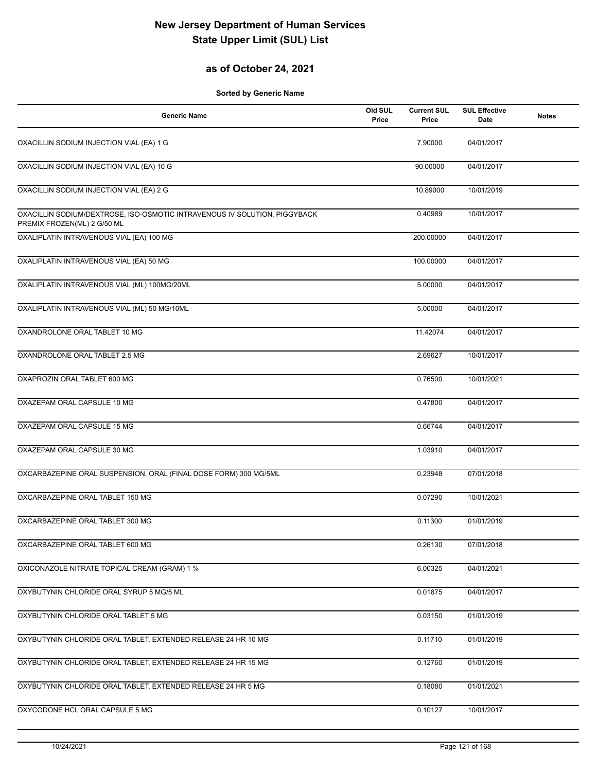## **as of October 24, 2021**

| <b>Generic Name</b>                                                                                      | Old SUL<br>Price | <b>Current SUL</b><br>Price | <b>SUL Effective</b><br>Date | <b>Notes</b> |
|----------------------------------------------------------------------------------------------------------|------------------|-----------------------------|------------------------------|--------------|
| OXACILLIN SODIUM INJECTION VIAL (EA) 1 G                                                                 |                  | 7.90000                     | 04/01/2017                   |              |
| OXACILLIN SODIUM INJECTION VIAL (EA) 10 G                                                                |                  | 90.00000                    | 04/01/2017                   |              |
| OXACILLIN SODIUM INJECTION VIAL (EA) 2 G                                                                 |                  | 10.89000                    | 10/01/2019                   |              |
| OXACILLIN SODIUM/DEXTROSE, ISO-OSMOTIC INTRAVENOUS IV SOLUTION, PIGGYBACK<br>PREMIX FROZEN(ML) 2 G/50 ML |                  | 0.40989                     | 10/01/2017                   |              |
| OXALIPLATIN INTRAVENOUS VIAL (EA) 100 MG                                                                 |                  | 200.00000                   | 04/01/2017                   |              |
| OXALIPLATIN INTRAVENOUS VIAL (EA) 50 MG                                                                  |                  | 100.00000                   | 04/01/2017                   |              |
| OXALIPLATIN INTRAVENOUS VIAL (ML) 100MG/20ML                                                             |                  | 5.00000                     | 04/01/2017                   |              |
| OXALIPLATIN INTRAVENOUS VIAL (ML) 50 MG/10ML                                                             |                  | 5.00000                     | 04/01/2017                   |              |
| OXANDROLONE ORAL TABLET 10 MG                                                                            |                  | 11.42074                    | 04/01/2017                   |              |
| OXANDROLONE ORAL TABLET 2.5 MG                                                                           |                  | 2.69627                     | 10/01/2017                   |              |
| OXAPROZIN ORAL TABLET 600 MG                                                                             |                  | 0.76500                     | 10/01/2021                   |              |
| OXAZEPAM ORAL CAPSULE 10 MG                                                                              |                  | 0.47800                     | 04/01/2017                   |              |
| OXAZEPAM ORAL CAPSULE 15 MG                                                                              |                  | 0.66744                     | 04/01/2017                   |              |
| OXAZEPAM ORAL CAPSULE 30 MG                                                                              |                  | 1.03910                     | 04/01/2017                   |              |
| OXCARBAZEPINE ORAL SUSPENSION, ORAL (FINAL DOSE FORM) 300 MG/5ML                                         |                  | 0.23948                     | 07/01/2018                   |              |
| OXCARBAZEPINE ORAL TABLET 150 MG                                                                         |                  | 0.07290                     | 10/01/2021                   |              |
| OXCARBAZEPINE ORAL TABLET 300 MG                                                                         |                  | 0.11300                     | 01/01/2019                   |              |
| OXCARBAZEPINE ORAL TABLET 600 MG                                                                         |                  | 0.26130                     | 07/01/2018                   |              |
| OXICONAZOLE NITRATE TOPICAL CREAM (GRAM) 1 %                                                             |                  | 6.00325                     | 04/01/2021                   |              |
| OXYBUTYNIN CHLORIDE ORAL SYRUP 5 MG/5 ML                                                                 |                  | 0.01875                     | 04/01/2017                   |              |
| OXYBUTYNIN CHLORIDE ORAL TABLET 5 MG                                                                     |                  | 0.03150                     | 01/01/2019                   |              |
| OXYBUTYNIN CHLORIDE ORAL TABLET, EXTENDED RELEASE 24 HR 10 MG                                            |                  | 0.11710                     | 01/01/2019                   |              |
| OXYBUTYNIN CHLORIDE ORAL TABLET, EXTENDED RELEASE 24 HR 15 MG                                            |                  | 0.12760                     | 01/01/2019                   |              |
| OXYBUTYNIN CHLORIDE ORAL TABLET, EXTENDED RELEASE 24 HR 5 MG                                             |                  | 0.18080                     | 01/01/2021                   |              |
| OXYCODONE HCL ORAL CAPSULE 5 MG                                                                          |                  | 0.10127                     | 10/01/2017                   |              |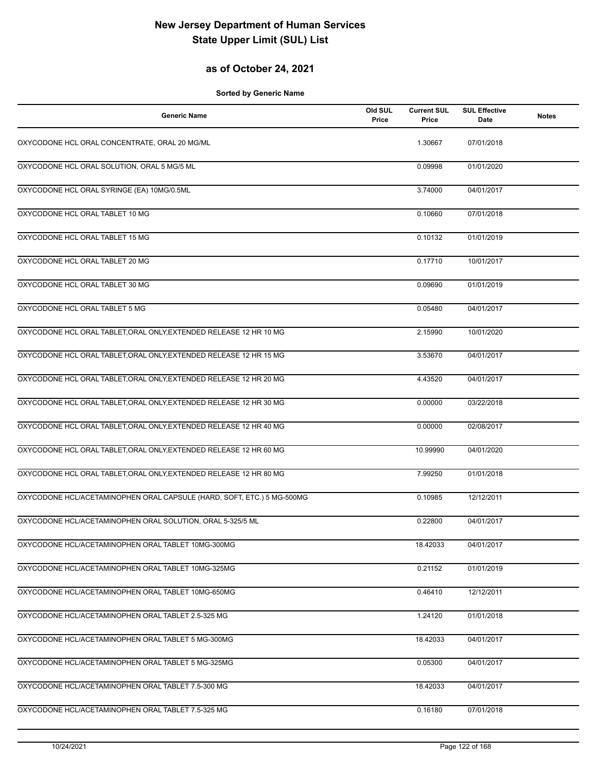## **as of October 24, 2021**

| <b>Generic Name</b>                                                    | Old SUL<br>Price | <b>Current SUL</b><br>Price | <b>SUL Effective</b><br>Date | <b>Notes</b> |
|------------------------------------------------------------------------|------------------|-----------------------------|------------------------------|--------------|
| OXYCODONE HCL ORAL CONCENTRATE, ORAL 20 MG/ML                          |                  | 1.30667                     | 07/01/2018                   |              |
| OXYCODONE HCL ORAL SOLUTION, ORAL 5 MG/5 ML                            |                  | 0.09998                     | 01/01/2020                   |              |
| OXYCODONE HCL ORAL SYRINGE (EA) 10MG/0.5ML                             |                  | 3.74000                     | 04/01/2017                   |              |
| OXYCODONE HCL ORAL TABLET 10 MG                                        |                  | 0.10660                     | 07/01/2018                   |              |
| OXYCODONE HCL ORAL TABLET 15 MG                                        |                  | 0.10132                     | 01/01/2019                   |              |
| OXYCODONE HCL ORAL TABLET 20 MG                                        |                  | 0.17710                     | 10/01/2017                   |              |
| OXYCODONE HCL ORAL TABLET 30 MG                                        |                  | 0.09690                     | 01/01/2019                   |              |
| OXYCODONE HCL ORAL TABLET 5 MG                                         |                  | 0.05480                     | 04/01/2017                   |              |
| OXYCODONE HCL ORAL TABLET, ORAL ONLY, EXTENDED RELEASE 12 HR 10 MG     |                  | 2.15990                     | 10/01/2020                   |              |
| OXYCODONE HCL ORAL TABLET, ORAL ONLY, EXTENDED RELEASE 12 HR 15 MG     |                  | 3.53670                     | 04/01/2017                   |              |
| OXYCODONE HCL ORAL TABLET, ORAL ONLY, EXTENDED RELEASE 12 HR 20 MG     |                  | 4.43520                     | 04/01/2017                   |              |
| OXYCODONE HCL ORAL TABLET, ORAL ONLY, EXTENDED RELEASE 12 HR 30 MG     |                  | 0.00000                     | 03/22/2018                   |              |
| OXYCODONE HCL ORAL TABLET, ORAL ONLY, EXTENDED RELEASE 12 HR 40 MG     |                  | 0.00000                     | 02/08/2017                   |              |
| OXYCODONE HCL ORAL TABLET, ORAL ONLY, EXTENDED RELEASE 12 HR 60 MG     |                  | 10.99990                    | 04/01/2020                   |              |
| OXYCODONE HCL ORAL TABLET, ORAL ONLY, EXTENDED RELEASE 12 HR 80 MG     |                  | 7.99250                     | 01/01/2018                   |              |
| OXYCODONE HCL/ACETAMINOPHEN ORAL CAPSULE (HARD, SOFT, ETC.) 5 MG-500MG |                  | 0.10985                     | 12/12/2011                   |              |
| OXYCODONE HCL/ACETAMINOPHEN ORAL SOLUTION, ORAL 5-325/5 ML             |                  | 0.22800                     | 04/01/2017                   |              |
| OXYCODONE HCL/ACETAMINOPHEN ORAL TABLET 10MG-300MG                     |                  | 18.42033                    | 04/01/2017                   |              |
| OXYCODONE HCL/ACETAMINOPHEN ORAL TABLET 10MG-325MG                     |                  | 0.21152                     | 01/01/2019                   |              |
| OXYCODONE HCL/ACETAMINOPHEN ORAL TABLET 10MG-650MG                     |                  | 0.46410                     | 12/12/2011                   |              |
| OXYCODONE HCL/ACETAMINOPHEN ORAL TABLET 2.5-325 MG                     |                  | 1.24120                     | 01/01/2018                   |              |
| OXYCODONE HCL/ACETAMINOPHEN ORAL TABLET 5 MG-300MG                     |                  | 18.42033                    | 04/01/2017                   |              |
| OXYCODONE HCL/ACETAMINOPHEN ORAL TABLET 5 MG-325MG                     |                  | 0.05300                     | 04/01/2017                   |              |
| OXYCODONE HCL/ACETAMINOPHEN ORAL TABLET 7.5-300 MG                     |                  | 18.42033                    | 04/01/2017                   |              |
| OXYCODONE HCL/ACETAMINOPHEN ORAL TABLET 7.5-325 MG                     |                  | 0.16180                     | 07/01/2018                   |              |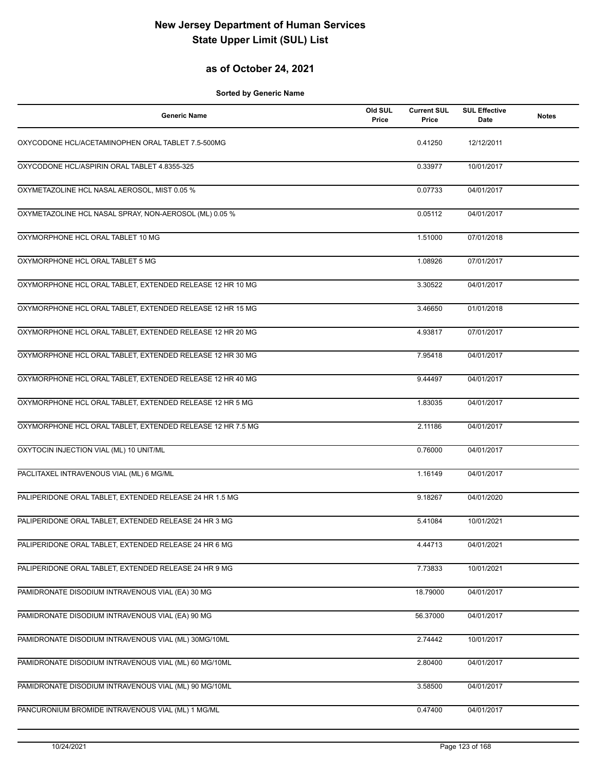## **as of October 24, 2021**

| Generic Name                                               | Old SUL<br>Price | <b>Current SUL</b><br>Price | <b>SUL Effective</b><br>Date | <b>Notes</b> |
|------------------------------------------------------------|------------------|-----------------------------|------------------------------|--------------|
| OXYCODONE HCL/ACETAMINOPHEN ORAL TABLET 7.5-500MG          |                  | 0.41250                     | 12/12/2011                   |              |
| OXYCODONE HCL/ASPIRIN ORAL TABLET 4.8355-325               |                  | 0.33977                     | 10/01/2017                   |              |
| OXYMETAZOLINE HCL NASAL AEROSOL, MIST 0.05 %               |                  | 0.07733                     | 04/01/2017                   |              |
| OXYMETAZOLINE HCL NASAL SPRAY, NON-AEROSOL (ML) 0.05 %     |                  | 0.05112                     | 04/01/2017                   |              |
| OXYMORPHONE HCL ORAL TABLET 10 MG                          |                  | 1.51000                     | 07/01/2018                   |              |
| OXYMORPHONE HCL ORAL TABLET 5 MG                           |                  | 1.08926                     | 07/01/2017                   |              |
| OXYMORPHONE HCL ORAL TABLET, EXTENDED RELEASE 12 HR 10 MG  |                  | 3.30522                     | 04/01/2017                   |              |
| OXYMORPHONE HCL ORAL TABLET, EXTENDED RELEASE 12 HR 15 MG  |                  | 3.46650                     | 01/01/2018                   |              |
| OXYMORPHONE HCL ORAL TABLET, EXTENDED RELEASE 12 HR 20 MG  |                  | 4.93817                     | 07/01/2017                   |              |
| OXYMORPHONE HCL ORAL TABLET, EXTENDED RELEASE 12 HR 30 MG  |                  | 7.95418                     | 04/01/2017                   |              |
| OXYMORPHONE HCL ORAL TABLET, EXTENDED RELEASE 12 HR 40 MG  |                  | 9.44497                     | 04/01/2017                   |              |
| OXYMORPHONE HCL ORAL TABLET, EXTENDED RELEASE 12 HR 5 MG   |                  | 1.83035                     | 04/01/2017                   |              |
| OXYMORPHONE HCL ORAL TABLET, EXTENDED RELEASE 12 HR 7.5 MG |                  | 2.11186                     | 04/01/2017                   |              |
| OXYTOCIN INJECTION VIAL (ML) 10 UNIT/ML                    |                  | 0.76000                     | 04/01/2017                   |              |
| PACLITAXEL INTRAVENOUS VIAL (ML) 6 MG/ML                   |                  | 1.16149                     | 04/01/2017                   |              |
| PALIPERIDONE ORAL TABLET, EXTENDED RELEASE 24 HR 1.5 MG    |                  | 9.18267                     | 04/01/2020                   |              |
| PALIPERIDONE ORAL TABLET, EXTENDED RELEASE 24 HR 3 MG      |                  | 5.41084                     | 10/01/2021                   |              |
| PALIPERIDONE ORAL TABLET, EXTENDED RELEASE 24 HR 6 MG      |                  | 4.44713                     | 04/01/2021                   |              |
| PALIPERIDONE ORAL TABLET, EXTENDED RELEASE 24 HR 9 MG      |                  | 7.73833                     | 10/01/2021                   |              |
| PAMIDRONATE DISODIUM INTRAVENOUS VIAL (EA) 30 MG           |                  | 18.79000                    | 04/01/2017                   |              |
| PAMIDRONATE DISODIUM INTRAVENOUS VIAL (EA) 90 MG           |                  | 56.37000                    | 04/01/2017                   |              |
| PAMIDRONATE DISODIUM INTRAVENOUS VIAL (ML) 30MG/10ML       |                  | 2.74442                     | 10/01/2017                   |              |
| PAMIDRONATE DISODIUM INTRAVENOUS VIAL (ML) 60 MG/10ML      |                  | 2.80400                     | 04/01/2017                   |              |
| PAMIDRONATE DISODIUM INTRAVENOUS VIAL (ML) 90 MG/10ML      |                  | 3.58500                     | 04/01/2017                   |              |
| PANCURONIUM BROMIDE INTRAVENOUS VIAL (ML) 1 MG/ML          |                  | 0.47400                     | 04/01/2017                   |              |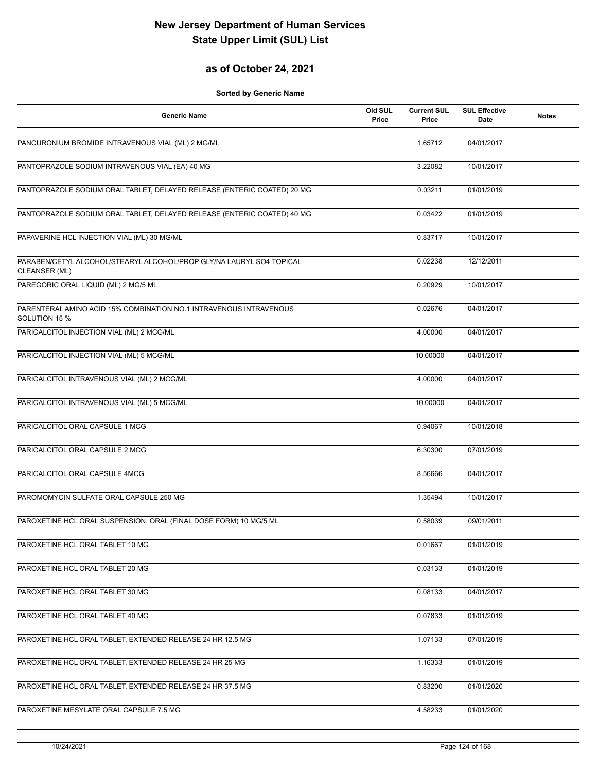## **as of October 24, 2021**

| <b>Generic Name</b>                                                                   | Old SUL<br>Price | <b>Current SUL</b><br>Price | <b>SUL Effective</b><br>Date | <b>Notes</b> |
|---------------------------------------------------------------------------------------|------------------|-----------------------------|------------------------------|--------------|
| PANCURONIUM BROMIDE INTRAVENOUS VIAL (ML) 2 MG/ML                                     |                  | 1.65712                     | 04/01/2017                   |              |
| PANTOPRAZOLE SODIUM INTRAVENOUS VIAL (EA) 40 MG                                       |                  | 3.22082                     | 10/01/2017                   |              |
| PANTOPRAZOLE SODIUM ORAL TABLET, DELAYED RELEASE (ENTERIC COATED) 20 MG               |                  | 0.03211                     | 01/01/2019                   |              |
| PANTOPRAZOLE SODIUM ORAL TABLET, DELAYED RELEASE (ENTERIC COATED) 40 MG               |                  | 0.03422                     | 01/01/2019                   |              |
| PAPAVERINE HCL INJECTION VIAL (ML) 30 MG/ML                                           |                  | 0.83717                     | 10/01/2017                   |              |
| PARABEN/CETYL ALCOHOL/STEARYL ALCOHOL/PROP GLY/NA LAURYL SO4 TOPICAL<br>CLEANSER (ML) |                  | 0.02238                     | 12/12/2011                   |              |
| PAREGORIC ORAL LIQUID (ML) 2 MG/5 ML                                                  |                  | 0.20929                     | 10/01/2017                   |              |
| PARENTERAL AMINO ACID 15% COMBINATION NO.1 INTRAVENOUS INTRAVENOUS<br>SOLUTION 15 %   |                  | 0.02676                     | 04/01/2017                   |              |
| PARICALCITOL INJECTION VIAL (ML) 2 MCG/ML                                             |                  | 4.00000                     | 04/01/2017                   |              |
| PARICALCITOL INJECTION VIAL (ML) 5 MCG/ML                                             |                  | 10.00000                    | 04/01/2017                   |              |
| PARICALCITOL INTRAVENOUS VIAL (ML) 2 MCG/ML                                           |                  | 4.00000                     | 04/01/2017                   |              |
| PARICALCITOL INTRAVENOUS VIAL (ML) 5 MCG/ML                                           |                  | 10.00000                    | 04/01/2017                   |              |
| PARICALCITOL ORAL CAPSULE 1 MCG                                                       |                  | 0.94067                     | 10/01/2018                   |              |
| PARICALCITOL ORAL CAPSULE 2 MCG                                                       |                  | 6.30300                     | 07/01/2019                   |              |
| PARICALCITOL ORAL CAPSULE 4MCG                                                        |                  | 8.56666                     | 04/01/2017                   |              |
| PAROMOMYCIN SULFATE ORAL CAPSULE 250 MG                                               |                  | 1.35494                     | 10/01/2017                   |              |
| PAROXETINE HCL ORAL SUSPENSION, ORAL (FINAL DOSE FORM) 10 MG/5 ML                     |                  | 0.58039                     | 09/01/2011                   |              |
| PAROXETINE HCL ORAL TABLET 10 MG                                                      |                  | 0.01667                     | 01/01/2019                   |              |
| PAROXETINE HCL ORAL TABLET 20 MG                                                      |                  | 0.03133                     | 01/01/2019                   |              |
| PAROXETINE HCL ORAL TABLET 30 MG                                                      |                  | 0.08133                     | 04/01/2017                   |              |
| PAROXETINE HCL ORAL TABLET 40 MG                                                      |                  | 0.07833                     | 01/01/2019                   |              |
| PAROXETINE HCL ORAL TABLET, EXTENDED RELEASE 24 HR 12.5 MG                            |                  | 1.07133                     | 07/01/2019                   |              |
| PAROXETINE HCL ORAL TABLET, EXTENDED RELEASE 24 HR 25 MG                              |                  | 1.16333                     | 01/01/2019                   |              |
| PAROXETINE HCL ORAL TABLET, EXTENDED RELEASE 24 HR 37.5 MG                            |                  | 0.83200                     | 01/01/2020                   |              |
| PAROXETINE MESYLATE ORAL CAPSULE 7.5 MG                                               |                  | 4.58233                     | 01/01/2020                   |              |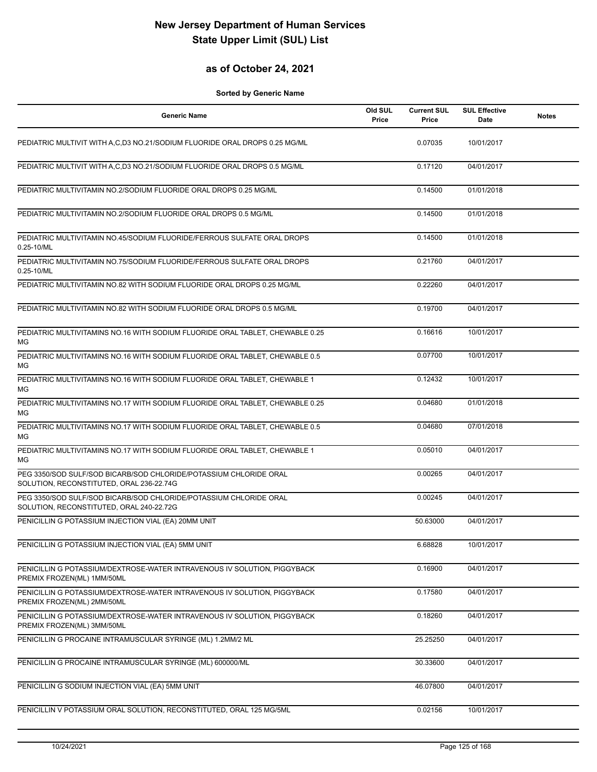#### **as of October 24, 2021**

| <b>Generic Name</b>                                                                                           | Old SUL<br>Price | <b>Current SUL</b><br>Price | <b>SUL Effective</b><br><b>Date</b> | <b>Notes</b> |
|---------------------------------------------------------------------------------------------------------------|------------------|-----------------------------|-------------------------------------|--------------|
| PEDIATRIC MULTIVIT WITH A,C,D3 NO.21/SODIUM FLUORIDE ORAL DROPS 0.25 MG/ML                                    |                  | 0.07035                     | 10/01/2017                          |              |
| PEDIATRIC MULTIVIT WITH A.C.D3 NO.21/SODIUM FLUORIDE ORAL DROPS 0.5 MG/ML                                     |                  | 0.17120                     | 04/01/2017                          |              |
| PEDIATRIC MULTIVITAMIN NO.2/SODIUM FLUORIDE ORAL DROPS 0.25 MG/ML                                             |                  | 0.14500                     | 01/01/2018                          |              |
| PEDIATRIC MULTIVITAMIN NO.2/SODIUM FLUORIDE ORAL DROPS 0.5 MG/ML                                              |                  | 0.14500                     | 01/01/2018                          |              |
| PEDIATRIC MULTIVITAMIN NO.45/SODIUM FLUORIDE/FERROUS SULFATE ORAL DROPS<br>0.25-10/ML                         |                  | 0.14500                     | 01/01/2018                          |              |
| PEDIATRIC MULTIVITAMIN NO.75/SODIUM FLUORIDE/FERROUS SULFATE ORAL DROPS<br>0.25-10/ML                         |                  | 0.21760                     | 04/01/2017                          |              |
| PEDIATRIC MULTIVITAMIN NO.82 WITH SODIUM FLUORIDE ORAL DROPS 0.25 MG/ML                                       |                  | 0.22260                     | 04/01/2017                          |              |
| PEDIATRIC MULTIVITAMIN NO.82 WITH SODIUM FLUORIDE ORAL DROPS 0.5 MG/ML                                        |                  | 0.19700                     | 04/01/2017                          |              |
| PEDIATRIC MULTIVITAMINS NO.16 WITH SODIUM FLUORIDE ORAL TABLET, CHEWABLE 0.25<br>MG                           |                  | 0.16616                     | 10/01/2017                          |              |
| PEDIATRIC MULTIVITAMINS NO.16 WITH SODIUM FLUORIDE ORAL TABLET, CHEWABLE 0.5<br>МG                            |                  | 0.07700                     | 10/01/2017                          |              |
| PEDIATRIC MULTIVITAMINS NO.16 WITH SODIUM FLUORIDE ORAL TABLET, CHEWABLE 1<br>МG                              |                  | 0.12432                     | 10/01/2017                          |              |
| PEDIATRIC MULTIVITAMINS NO.17 WITH SODIUM FLUORIDE ORAL TABLET, CHEWABLE 0.25<br>МG                           |                  | 0.04680                     | 01/01/2018                          |              |
| PEDIATRIC MULTIVITAMINS NO.17 WITH SODIUM FLUORIDE ORAL TABLET, CHEWABLE 0.5<br>МG                            |                  | 0.04680                     | 07/01/2018                          |              |
| PEDIATRIC MULTIVITAMINS NO.17 WITH SODIUM FLUORIDE ORAL TABLET, CHEWABLE 1<br>MG                              |                  | 0.05010                     | 04/01/2017                          |              |
| PEG 3350/SOD SULF/SOD BICARB/SOD CHLORIDE/POTASSIUM CHLORIDE ORAL<br>SOLUTION, RECONSTITUTED, ORAL 236-22.74G |                  | 0.00265                     | 04/01/2017                          |              |
| PEG 3350/SOD SULF/SOD BICARB/SOD CHLORIDE/POTASSIUM CHLORIDE ORAL<br>SOLUTION, RECONSTITUTED, ORAL 240-22.72G |                  | 0.00245                     | 04/01/2017                          |              |
| PENICILLIN G POTASSIUM INJECTION VIAL (EA) 20MM UNIT                                                          |                  | 50.63000                    | 04/01/2017                          |              |
| PENICILLIN G POTASSIUM INJECTION VIAL (EA) 5MM UNIT                                                           |                  | 6.68828                     | 10/01/2017                          |              |
| PENICILLIN G POTASSIUM/DEXTROSE-WATER INTRAVENOUS IV SOLUTION, PIGGYBACK<br>PREMIX FROZEN(ML) 1MM/50ML        |                  | 0.16900                     | 04/01/2017                          |              |
| PENICILLIN G POTASSIUM/DEXTROSE-WATER INTRAVENOUS IV SOLUTION, PIGGYBACK<br>PREMIX FROZEN(ML) 2MM/50ML        |                  | 0.17580                     | 04/01/2017                          |              |
| PENICILLIN G POTASSIUM/DEXTROSE-WATER INTRAVENOUS IV SOLUTION, PIGGYBACK<br>PREMIX FROZEN(ML) 3MM/50ML        |                  | 0.18260                     | 04/01/2017                          |              |
| PENICILLIN G PROCAINE INTRAMUSCULAR SYRINGE (ML) 1.2MM/2 ML                                                   |                  | 25.25250                    | 04/01/2017                          |              |
| PENICILLIN G PROCAINE INTRAMUSCULAR SYRINGE (ML) 600000/ML                                                    |                  | 30.33600                    | 04/01/2017                          |              |
| PENICILLIN G SODIUM INJECTION VIAL (EA) 5MM UNIT                                                              |                  | 46.07800                    | 04/01/2017                          |              |
| PENICILLIN V POTASSIUM ORAL SOLUTION, RECONSTITUTED, ORAL 125 MG/5ML                                          |                  | 0.02156                     | 10/01/2017                          |              |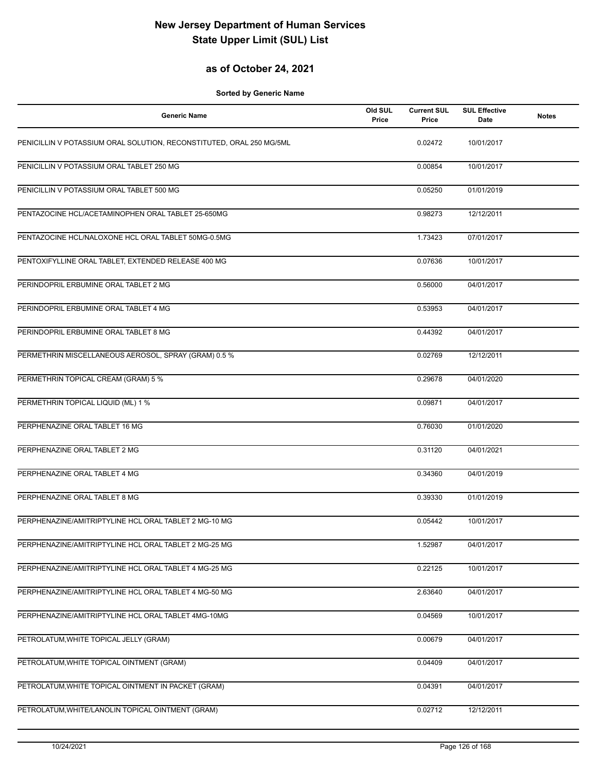## **as of October 24, 2021**

| <b>Generic Name</b>                                                  | Old SUL<br>Price | <b>Current SUL</b><br>Price | <b>SUL Effective</b><br>Date | <b>Notes</b> |
|----------------------------------------------------------------------|------------------|-----------------------------|------------------------------|--------------|
| PENICILLIN V POTASSIUM ORAL SOLUTION, RECONSTITUTED, ORAL 250 MG/5ML |                  | 0.02472                     | 10/01/2017                   |              |
| PENICILLIN V POTASSIUM ORAL TABLET 250 MG                            |                  | 0.00854                     | 10/01/2017                   |              |
| PENICILLIN V POTASSIUM ORAL TABLET 500 MG                            |                  | 0.05250                     | 01/01/2019                   |              |
| PENTAZOCINE HCL/ACETAMINOPHEN ORAL TABLET 25-650MG                   |                  | 0.98273                     | 12/12/2011                   |              |
| PENTAZOCINE HCL/NALOXONE HCL ORAL TABLET 50MG-0.5MG                  |                  | 1.73423                     | 07/01/2017                   |              |
| PENTOXIFYLLINE ORAL TABLET, EXTENDED RELEASE 400 MG                  |                  | 0.07636                     | 10/01/2017                   |              |
| PERINDOPRIL ERBUMINE ORAL TABLET 2 MG                                |                  | 0.56000                     | 04/01/2017                   |              |
| PERINDOPRIL ERBUMINE ORAL TABLET 4 MG                                |                  | 0.53953                     | 04/01/2017                   |              |
| PERINDOPRIL ERBUMINE ORAL TABLET 8 MG                                |                  | 0.44392                     | 04/01/2017                   |              |
| PERMETHRIN MISCELLANEOUS AEROSOL, SPRAY (GRAM) 0.5 %                 |                  | 0.02769                     | 12/12/2011                   |              |
| PERMETHRIN TOPICAL CREAM (GRAM) 5 %                                  |                  | 0.29678                     | 04/01/2020                   |              |
| PERMETHRIN TOPICAL LIQUID (ML) 1 %                                   |                  | 0.09871                     | 04/01/2017                   |              |
| PERPHENAZINE ORAL TABLET 16 MG                                       |                  | 0.76030                     | 01/01/2020                   |              |
| PERPHENAZINE ORAL TABLET 2 MG                                        |                  | 0.31120                     | 04/01/2021                   |              |
| PERPHENAZINE ORAL TABLET 4 MG                                        |                  | 0.34360                     | 04/01/2019                   |              |
| PERPHENAZINE ORAL TABLET 8 MG                                        |                  | 0.39330                     | 01/01/2019                   |              |
| PERPHENAZINE/AMITRIPTYLINE HCL ORAL TABLET 2 MG-10 MG                |                  | 0.05442                     | 10/01/2017                   |              |
| PERPHENAZINE/AMITRIPTYLINE HCL ORAL TABLET 2 MG-25 MG                |                  | 1.52987                     | 04/01/2017                   |              |
| PERPHENAZINE/AMITRIPTYLINE HCL ORAL TABLET 4 MG-25 MG                |                  | 0.22125                     | 10/01/2017                   |              |
| PERPHENAZINE/AMITRIPTYLINE HCL ORAL TABLET 4 MG-50 MG                |                  | 2.63640                     | 04/01/2017                   |              |
| PERPHENAZINE/AMITRIPTYLINE HCL ORAL TABLET 4MG-10MG                  |                  | 0.04569                     | 10/01/2017                   |              |
| PETROLATUM, WHITE TOPICAL JELLY (GRAM)                               |                  | 0.00679                     | 04/01/2017                   |              |
| PETROLATUM, WHITE TOPICAL OINTMENT (GRAM)                            |                  | 0.04409                     | 04/01/2017                   |              |
| PETROLATUM, WHITE TOPICAL OINTMENT IN PACKET (GRAM)                  |                  | 0.04391                     | 04/01/2017                   |              |
| PETROLATUM, WHITE/LANOLIN TOPICAL OINTMENT (GRAM)                    |                  | 0.02712                     | 12/12/2011                   |              |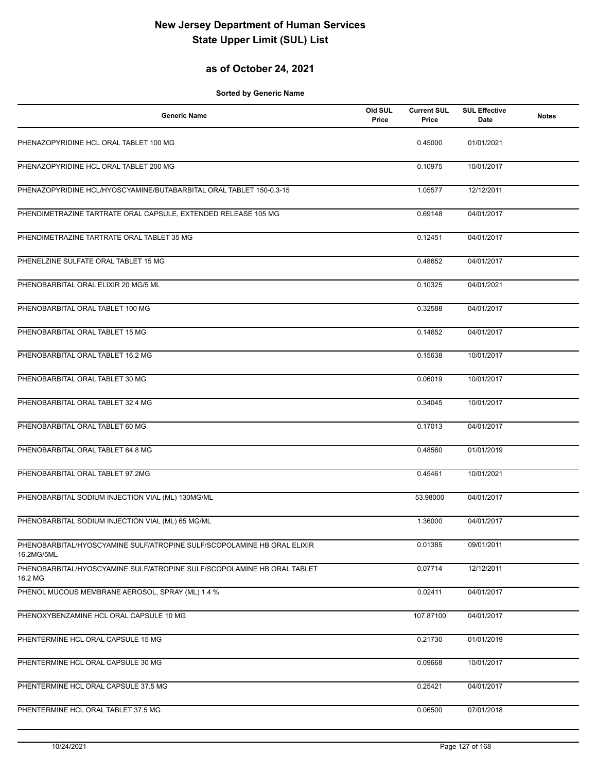## **as of October 24, 2021**

| <b>Generic Name</b>                                                                   | Old SUL<br>Price | <b>Current SUL</b><br>Price | <b>SUL Effective</b><br>Date | <b>Notes</b> |
|---------------------------------------------------------------------------------------|------------------|-----------------------------|------------------------------|--------------|
| PHENAZOPYRIDINE HCL ORAL TABLET 100 MG                                                |                  | 0.45000                     | 01/01/2021                   |              |
| PHENAZOPYRIDINE HCL ORAL TABLET 200 MG                                                |                  | 0.10975                     | 10/01/2017                   |              |
| PHENAZOPYRIDINE HCL/HYOSCYAMINE/BUTABARBITAL ORAL TABLET 150-0.3-15                   |                  | 1.05577                     | 12/12/2011                   |              |
| PHENDIMETRAZINE TARTRATE ORAL CAPSULE, EXTENDED RELEASE 105 MG                        |                  | 0.69148                     | 04/01/2017                   |              |
| PHENDIMETRAZINE TARTRATE ORAL TABLET 35 MG                                            |                  | 0.12451                     | 04/01/2017                   |              |
| PHENELZINE SULFATE ORAL TABLET 15 MG                                                  |                  | 0.48652                     | 04/01/2017                   |              |
| PHENOBARBITAL ORAL ELIXIR 20 MG/5 ML                                                  |                  | 0.10325                     | 04/01/2021                   |              |
| PHENOBARBITAL ORAL TABLET 100 MG                                                      |                  | 0.32588                     | 04/01/2017                   |              |
| PHENOBARBITAL ORAL TABLET 15 MG                                                       |                  | 0.14652                     | 04/01/2017                   |              |
| PHENOBARBITAL ORAL TABLET 16.2 MG                                                     |                  | 0.15638                     | 10/01/2017                   |              |
| PHENOBARBITAL ORAL TABLET 30 MG                                                       |                  | 0.06019                     | 10/01/2017                   |              |
| PHENOBARBITAL ORAL TABLET 32.4 MG                                                     |                  | 0.34045                     | 10/01/2017                   |              |
| PHENOBARBITAL ORAL TABLET 60 MG                                                       |                  | 0.17013                     | 04/01/2017                   |              |
| PHENOBARBITAL ORAL TABLET 64.8 MG                                                     |                  | 0.48560                     | 01/01/2019                   |              |
| PHENOBARBITAL ORAL TABLET 97.2MG                                                      |                  | 0.45461                     | 10/01/2021                   |              |
| PHENOBARBITAL SODIUM INJECTION VIAL (ML) 130MG/ML                                     |                  | 53.98000                    | 04/01/2017                   |              |
| PHENOBARBITAL SODIUM INJECTION VIAL (ML) 65 MG/ML                                     |                  | 1.36000                     | 04/01/2017                   |              |
| PHENOBARBITAL/HYOSCYAMINE SULF/ATROPINE SULF/SCOPOLAMINE HB ORAL ELIXIR<br>16.2MG/5ML |                  | 0.01385                     | 09/01/2011                   |              |
| PHENOBARBITAL/HYOSCYAMINE SULF/ATROPINE SULF/SCOPOLAMINE HB ORAL TABLET<br>16.2 MG    |                  | 0.07714                     | 12/12/2011                   |              |
| PHENOL MUCOUS MEMBRANE AEROSOL, SPRAY (ML) 1.4 %                                      |                  | 0.02411                     | 04/01/2017                   |              |
| PHENOXYBENZAMINE HCL ORAL CAPSULE 10 MG                                               |                  | 107.87100                   | 04/01/2017                   |              |
| PHENTERMINE HCL ORAL CAPSULE 15 MG                                                    |                  | 0.21730                     | 01/01/2019                   |              |
| PHENTERMINE HCL ORAL CAPSULE 30 MG                                                    |                  | 0.09668                     | 10/01/2017                   |              |
| PHENTERMINE HCL ORAL CAPSULE 37.5 MG                                                  |                  | 0.25421                     | 04/01/2017                   |              |
| PHENTERMINE HCL ORAL TABLET 37.5 MG                                                   |                  | 0.06500                     | 07/01/2018                   |              |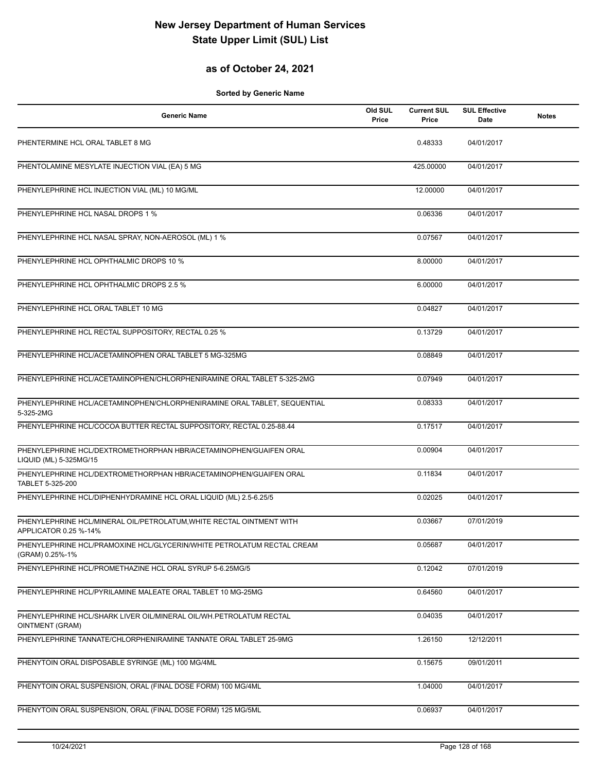## **as of October 24, 2021**

| <b>Generic Name</b>                                                                           | Old SUL<br>Price | <b>Current SUL</b><br>Price | <b>SUL Effective</b><br>Date | <b>Notes</b> |
|-----------------------------------------------------------------------------------------------|------------------|-----------------------------|------------------------------|--------------|
| PHENTERMINE HCL ORAL TABLET 8 MG                                                              |                  | 0.48333                     | 04/01/2017                   |              |
| PHENTOLAMINE MESYLATE INJECTION VIAL (EA) 5 MG                                                |                  | 425.00000                   | 04/01/2017                   |              |
| PHENYLEPHRINE HCL INJECTION VIAL (ML) 10 MG/ML                                                |                  | 12.00000                    | 04/01/2017                   |              |
| PHENYLEPHRINE HCL NASAL DROPS 1 %                                                             |                  | 0.06336                     | 04/01/2017                   |              |
| PHENYLEPHRINE HCL NASAL SPRAY, NON-AEROSOL (ML) 1 %                                           |                  | 0.07567                     | 04/01/2017                   |              |
| PHENYLEPHRINE HCL OPHTHALMIC DROPS 10 %                                                       |                  | 8.00000                     | 04/01/2017                   |              |
| PHENYLEPHRINE HCL OPHTHALMIC DROPS 2.5 %                                                      |                  | 6.00000                     | 04/01/2017                   |              |
| PHENYLEPHRINE HCL ORAL TABLET 10 MG                                                           |                  | 0.04827                     | 04/01/2017                   |              |
| PHENYLEPHRINE HCL RECTAL SUPPOSITORY, RECTAL 0.25 %                                           |                  | 0.13729                     | 04/01/2017                   |              |
| PHENYLEPHRINE HCL/ACETAMINOPHEN ORAL TABLET 5 MG-325MG                                        |                  | 0.08849                     | 04/01/2017                   |              |
| PHENYLEPHRINE HCL/ACETAMINOPHEN/CHLORPHENIRAMINE ORAL TABLET 5-325-2MG                        |                  | 0.07949                     | 04/01/2017                   |              |
| PHENYLEPHRINE HCL/ACETAMINOPHEN/CHLORPHENIRAMINE ORAL TABLET, SEQUENTIAL<br>5-325-2MG         |                  | 0.08333                     | 04/01/2017                   |              |
| PHENYLEPHRINE HCL/COCOA BUTTER RECTAL SUPPOSITORY, RECTAL 0.25-88.44                          |                  | 0.17517                     | 04/01/2017                   |              |
| PHENYLEPHRINE HCL/DEXTROMETHORPHAN HBR/ACETAMINOPHEN/GUAIFEN ORAL<br>LIQUID (ML) 5-325MG/15   |                  | 0.00904                     | 04/01/2017                   |              |
| PHENYLEPHRINE HCL/DEXTROMETHORPHAN HBR/ACETAMINOPHEN/GUAIFEN ORAL<br>TABLET 5-325-200         |                  | 0.11834                     | 04/01/2017                   |              |
| PHENYLEPHRINE HCL/DIPHENHYDRAMINE HCL ORAL LIQUID (ML) 2.5-6.25/5                             |                  | 0.02025                     | 04/01/2017                   |              |
| PHENYLEPHRINE HCL/MINERAL OIL/PETROLATUM, WHITE RECTAL OINTMENT WITH<br>APPLICATOR 0.25 %-14% |                  | 0.03667                     | 07/01/2019                   |              |
| PHENYLEPHRINE HCL/PRAMOXINE HCL/GLYCERIN/WHITE PETROLATUM RECTAL CREAM<br>(GRAM) 0.25%-1%     |                  | 0.05687                     | 04/01/2017                   |              |
| PHENYLEPHRINE HCL/PROMETHAZINE HCL ORAL SYRUP 5-6.25MG/5                                      |                  | 0.12042                     | 07/01/2019                   |              |
| PHENYLEPHRINE HCL/PYRILAMINE MALEATE ORAL TABLET 10 MG-25MG                                   |                  | 0.64560                     | 04/01/2017                   |              |
| PHENYLEPHRINE HCL/SHARK LIVER OIL/MINERAL OIL/WH.PETROLATUM RECTAL<br>OINTMENT (GRAM)         |                  | 0.04035                     | 04/01/2017                   |              |
| PHENYLEPHRINE TANNATE/CHLORPHENIRAMINE TANNATE ORAL TABLET 25-9MG                             |                  | 1.26150                     | 12/12/2011                   |              |
| PHENYTOIN ORAL DISPOSABLE SYRINGE (ML) 100 MG/4ML                                             |                  | 0.15675                     | 09/01/2011                   |              |
| PHENYTOIN ORAL SUSPENSION, ORAL (FINAL DOSE FORM) 100 MG/4ML                                  |                  | 1.04000                     | 04/01/2017                   |              |
| PHENYTOIN ORAL SUSPENSION, ORAL (FINAL DOSE FORM) 125 MG/5ML                                  |                  | 0.06937                     | 04/01/2017                   |              |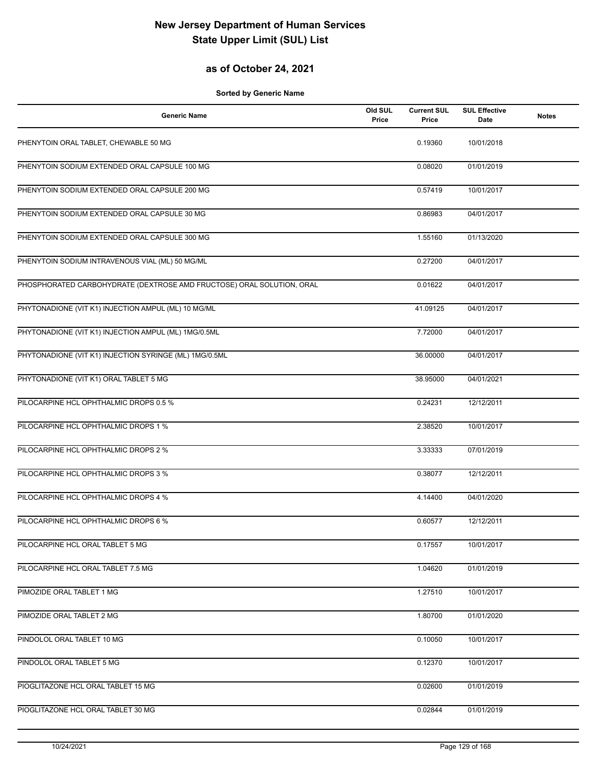## **as of October 24, 2021**

| <b>Generic Name</b>                                                   | Old SUL<br>Price | <b>Current SUL</b><br>Price | <b>SUL Effective</b><br>Date | <b>Notes</b> |
|-----------------------------------------------------------------------|------------------|-----------------------------|------------------------------|--------------|
| PHENYTOIN ORAL TABLET, CHEWABLE 50 MG                                 |                  | 0.19360                     | 10/01/2018                   |              |
| PHENYTOIN SODIUM EXTENDED ORAL CAPSULE 100 MG                         |                  | 0.08020                     | 01/01/2019                   |              |
| PHENYTOIN SODIUM EXTENDED ORAL CAPSULE 200 MG                         |                  | 0.57419                     | 10/01/2017                   |              |
| PHENYTOIN SODIUM EXTENDED ORAL CAPSULE 30 MG                          |                  | 0.86983                     | 04/01/2017                   |              |
| PHENYTOIN SODIUM EXTENDED ORAL CAPSULE 300 MG                         |                  | 1.55160                     | 01/13/2020                   |              |
| PHENYTOIN SODIUM INTRAVENOUS VIAL (ML) 50 MG/ML                       |                  | 0.27200                     | 04/01/2017                   |              |
| PHOSPHORATED CARBOHYDRATE (DEXTROSE AMD FRUCTOSE) ORAL SOLUTION, ORAL |                  | 0.01622                     | 04/01/2017                   |              |
| PHYTONADIONE (VIT K1) INJECTION AMPUL (ML) 10 MG/ML                   |                  | 41.09125                    | 04/01/2017                   |              |
| PHYTONADIONE (VIT K1) INJECTION AMPUL (ML) 1MG/0.5ML                  |                  | 7.72000                     | 04/01/2017                   |              |
| PHYTONADIONE (VIT K1) INJECTION SYRINGE (ML) 1MG/0.5ML                |                  | 36.00000                    | 04/01/2017                   |              |
| PHYTONADIONE (VIT K1) ORAL TABLET 5 MG                                |                  | 38.95000                    | 04/01/2021                   |              |
| PILOCARPINE HCL OPHTHALMIC DROPS 0.5 %                                |                  | 0.24231                     | 12/12/2011                   |              |
| PILOCARPINE HCL OPHTHALMIC DROPS 1 %                                  |                  | 2.38520                     | 10/01/2017                   |              |
| PILOCARPINE HCL OPHTHALMIC DROPS 2 %                                  |                  | 3.33333                     | 07/01/2019                   |              |
| PILOCARPINE HCL OPHTHALMIC DROPS 3 %                                  |                  | 0.38077                     | 12/12/2011                   |              |
| PILOCARPINE HCL OPHTHALMIC DROPS 4 %                                  |                  | 4.14400                     | 04/01/2020                   |              |
| PILOCARPINE HCL OPHTHALMIC DROPS 6 %                                  |                  | 0.60577                     | 12/12/2011                   |              |
| PILOCARPINE HCL ORAL TABLET 5 MG                                      |                  | 0.17557                     | 10/01/2017                   |              |
| PILOCARPINE HCL ORAL TABLET 7.5 MG                                    |                  | 1.04620                     | 01/01/2019                   |              |
| PIMOZIDE ORAL TABLET 1 MG                                             |                  | 1.27510                     | 10/01/2017                   |              |
| PIMOZIDE ORAL TABLET 2 MG                                             |                  | 1.80700                     | 01/01/2020                   |              |
| PINDOLOL ORAL TABLET 10 MG                                            |                  | 0.10050                     | 10/01/2017                   |              |
| PINDOLOL ORAL TABLET 5 MG                                             |                  | 0.12370                     | 10/01/2017                   |              |
| PIOGLITAZONE HCL ORAL TABLET 15 MG                                    |                  | 0.02600                     | 01/01/2019                   |              |
| PIOGLITAZONE HCL ORAL TABLET 30 MG                                    |                  | 0.02844                     | 01/01/2019                   |              |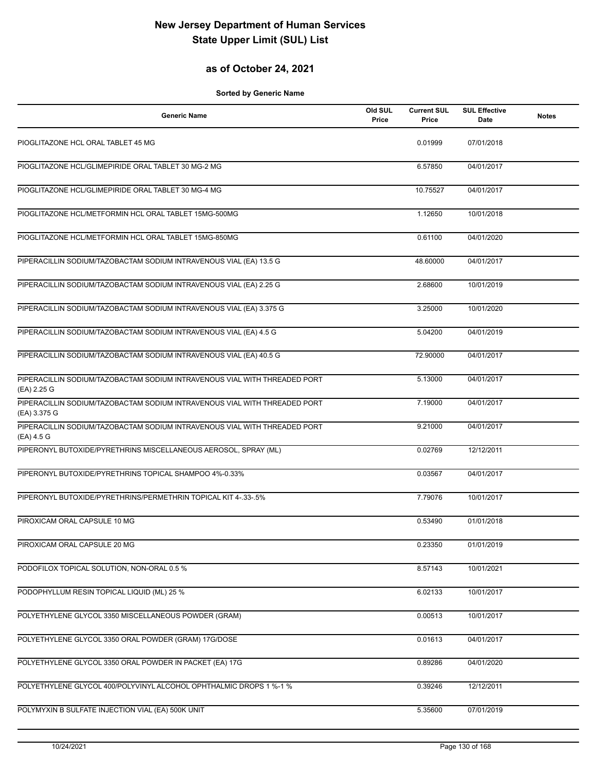## **as of October 24, 2021**

| Generic Name                                                                              | Old SUL<br>Price | <b>Current SUL</b><br>Price | <b>SUL Effective</b><br>Date | <b>Notes</b> |
|-------------------------------------------------------------------------------------------|------------------|-----------------------------|------------------------------|--------------|
| PIOGLITAZONE HCL ORAL TABLET 45 MG                                                        |                  | 0.01999                     | 07/01/2018                   |              |
| PIOGLITAZONE HCL/GLIMEPIRIDE ORAL TABLET 30 MG-2 MG                                       |                  | 6.57850                     | 04/01/2017                   |              |
| PIOGLITAZONE HCL/GLIMEPIRIDE ORAL TABLET 30 MG-4 MG                                       |                  | 10.75527                    | 04/01/2017                   |              |
| PIOGLITAZONE HCL/METFORMIN HCL ORAL TABLET 15MG-500MG                                     |                  | 1.12650                     | 10/01/2018                   |              |
| PIOGLITAZONE HCL/METFORMIN HCL ORAL TABLET 15MG-850MG                                     |                  | 0.61100                     | 04/01/2020                   |              |
| PIPERACILLIN SODIUM/TAZOBACTAM SODIUM INTRAVENOUS VIAL (EA) 13.5 G                        |                  | 48.60000                    | 04/01/2017                   |              |
| PIPERACILLIN SODIUM/TAZOBACTAM SODIUM INTRAVENOUS VIAL (EA) 2.25 G                        |                  | 2.68600                     | 10/01/2019                   |              |
| PIPERACILLIN SODIUM/TAZOBACTAM SODIUM INTRAVENOUS VIAL (EA) 3.375 G                       |                  | 3.25000                     | 10/01/2020                   |              |
| PIPERACILLIN SODIUM/TAZOBACTAM SODIUM INTRAVENOUS VIAL (EA) 4.5 G                         |                  | 5.04200                     | 04/01/2019                   |              |
| PIPERACILLIN SODIUM/TAZOBACTAM SODIUM INTRAVENOUS VIAL (EA) 40.5 G                        |                  | 72.90000                    | 04/01/2017                   |              |
| PIPERACILLIN SODIUM/TAZOBACTAM SODIUM INTRAVENOUS VIAL WITH THREADED PORT<br>(EA) 2.25 G  |                  | 5.13000                     | 04/01/2017                   |              |
| PIPERACILLIN SODIUM/TAZOBACTAM SODIUM INTRAVENOUS VIAL WITH THREADED PORT<br>(EA) 3.375 G |                  | 7.19000                     | 04/01/2017                   |              |
| PIPERACILLIN SODIUM/TAZOBACTAM SODIUM INTRAVENOUS VIAL WITH THREADED PORT<br>(EA) 4.5 G   |                  | 9.21000                     | 04/01/2017                   |              |
| PIPERONYL BUTOXIDE/PYRETHRINS MISCELLANEOUS AEROSOL, SPRAY (ML)                           |                  | 0.02769                     | 12/12/2011                   |              |
| PIPERONYL BUTOXIDE/PYRETHRINS TOPICAL SHAMPOO 4%-0.33%                                    |                  | 0.03567                     | 04/01/2017                   |              |
| PIPERONYL BUTOXIDE/PYRETHRINS/PERMETHRIN TOPICAL KIT 4-.33-.5%                            |                  | 7.79076                     | 10/01/2017                   |              |
| PIROXICAM ORAL CAPSULE 10 MG                                                              |                  | 0.53490                     | 01/01/2018                   |              |
| PIROXICAM ORAL CAPSULE 20 MG                                                              |                  | 0.23350                     | 01/01/2019                   |              |
| PODOFILOX TOPICAL SOLUTION, NON-ORAL 0.5 %                                                |                  | 8.57143                     | 10/01/2021                   |              |
| PODOPHYLLUM RESIN TOPICAL LIQUID (ML) 25 %                                                |                  | 6.02133                     | 10/01/2017                   |              |
| POLYETHYLENE GLYCOL 3350 MISCELLANEOUS POWDER (GRAM)                                      |                  | 0.00513                     | 10/01/2017                   |              |
| POLYETHYLENE GLYCOL 3350 ORAL POWDER (GRAM) 17G/DOSE                                      |                  | 0.01613                     | 04/01/2017                   |              |
| POLYETHYLENE GLYCOL 3350 ORAL POWDER IN PACKET (EA) 17G                                   |                  | 0.89286                     | 04/01/2020                   |              |
| POLYETHYLENE GLYCOL 400/POLYVINYL ALCOHOL OPHTHALMIC DROPS 1 %-1 %                        |                  | 0.39246                     | 12/12/2011                   |              |
| POLYMYXIN B SULFATE INJECTION VIAL (EA) 500K UNIT                                         |                  | 5.35600                     | 07/01/2019                   |              |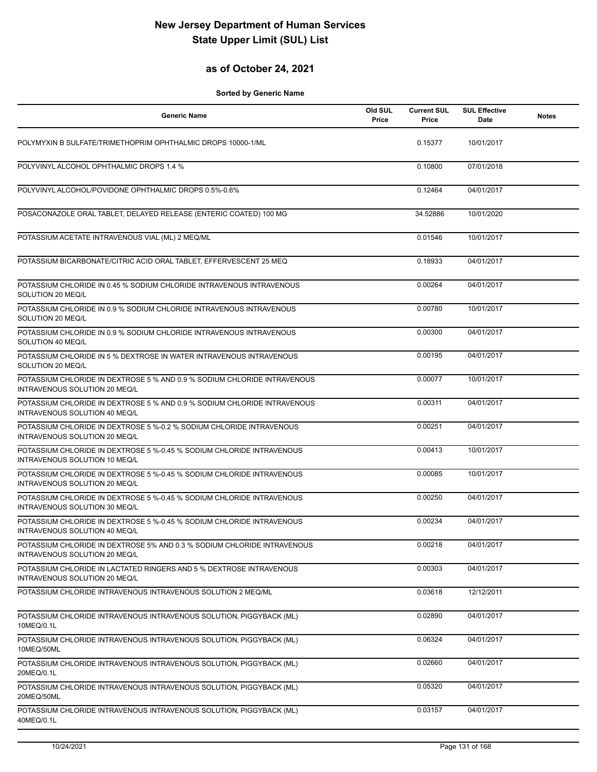#### **as of October 24, 2021**

| <b>Generic Name</b>                                                                                       | Old SUL<br>Price | <b>Current SUL</b><br>Price | <b>SUL Effective</b><br>Date | <b>Notes</b> |
|-----------------------------------------------------------------------------------------------------------|------------------|-----------------------------|------------------------------|--------------|
| POLYMYXIN B SULFATE/TRIMETHOPRIM OPHTHALMIC DROPS 10000-1/ML                                              |                  | 0.15377                     | 10/01/2017                   |              |
| POLYVINYL ALCOHOL OPHTHALMIC DROPS 1.4 %                                                                  |                  | 0.10800                     | 07/01/2018                   |              |
| POLYVINYL ALCOHOL/POVIDONE OPHTHALMIC DROPS 0.5%-0.6%                                                     |                  | 0.12464                     | 04/01/2017                   |              |
| POSACONAZOLE ORAL TABLET, DELAYED RELEASE (ENTERIC COATED) 100 MG                                         |                  | 34.52886                    | 10/01/2020                   |              |
| POTASSIUM ACETATE INTRAVENOUS VIAL (ML) 2 MEQ/ML                                                          |                  | 0.01546                     | 10/01/2017                   |              |
| POTASSIUM BICARBONATE/CITRIC ACID ORAL TABLET, EFFERVESCENT 25 MEQ                                        |                  | 0.18933                     | 04/01/2017                   |              |
| POTASSIUM CHLORIDE IN 0.45 % SODIUM CHLORIDE INTRAVENOUS INTRAVENOUS<br>SOLUTION 20 MEQ/L                 |                  | 0.00264                     | 04/01/2017                   |              |
| POTASSIUM CHLORIDE IN 0.9 % SODIUM CHLORIDE INTRAVENOUS INTRAVENOUS<br>SOLUTION 20 MEQ/L                  |                  | 0.00780                     | 10/01/2017                   |              |
| POTASSIUM CHLORIDE IN 0.9 % SODIUM CHLORIDE INTRAVENOUS INTRAVENOUS<br>SOLUTION 40 MEQ/L                  |                  | 0.00300                     | 04/01/2017                   |              |
| POTASSIUM CHLORIDE IN 5 % DEXTROSE IN WATER INTRAVENOUS INTRAVENOUS<br>SOLUTION 20 MEQ/L                  |                  | 0.00195                     | 04/01/2017                   |              |
| POTASSIUM CHLORIDE IN DEXTROSE 5 % AND 0.9 % SODIUM CHLORIDE INTRAVENOUS<br>INTRAVENOUS SOLUTION 20 MEQ/L |                  | 0.00077                     | 10/01/2017                   |              |
| POTASSIUM CHLORIDE IN DEXTROSE 5 % AND 0.9 % SODIUM CHLORIDE INTRAVENOUS<br>INTRAVENOUS SOLUTION 40 MEQ/L |                  | 0.00311                     | 04/01/2017                   |              |
| POTASSIUM CHLORIDE IN DEXTROSE 5 %-0.2 % SODIUM CHLORIDE INTRAVENOUS<br>INTRAVENOUS SOLUTION 20 MEQ/L     |                  | 0.00251                     | 04/01/2017                   |              |
| POTASSIUM CHLORIDE IN DEXTROSE 5 %-0.45 % SODIUM CHLORIDE INTRAVENOUS<br>INTRAVENOUS SOLUTION 10 MEQ/L    |                  | 0.00413                     | 10/01/2017                   |              |
| POTASSIUM CHLORIDE IN DEXTROSE 5 %-0.45 % SODIUM CHLORIDE INTRAVENOUS<br>INTRAVENOUS SOLUTION 20 MEQ/L    |                  | 0.00085                     | 10/01/2017                   |              |
| POTASSIUM CHLORIDE IN DEXTROSE 5 %-0.45 % SODIUM CHLORIDE INTRAVENOUS<br>INTRAVENOUS SOLUTION 30 MEQ/L    |                  | 0.00250                     | 04/01/2017                   |              |
| POTASSIUM CHLORIDE IN DEXTROSE 5 %-0.45 % SODIUM CHLORIDE INTRAVENOUS<br>INTRAVENOUS SOLUTION 40 MEQ/L    |                  | 0.00234                     | 04/01/2017                   |              |
| POTASSIUM CHLORIDE IN DEXTROSE 5% AND 0.3 % SODIUM CHLORIDE INTRAVENOUS<br>INTRAVENOUS SOLUTION 20 MEQ/L  |                  | 0.00218                     | 04/01/2017                   |              |
| POTASSIUM CHLORIDE IN LACTATED RINGERS AND 5 % DEXTROSE INTRAVENOUS<br>INTRAVENOUS SOLUTION 20 MEQ/L      |                  | 0.00303                     | 04/01/2017                   |              |
| POTASSIUM CHLORIDE INTRAVENOUS INTRAVENOUS SOLUTION 2 MEQ/ML                                              |                  | 0.03618                     | 12/12/2011                   |              |
| POTASSIUM CHLORIDE INTRAVENOUS INTRAVENOUS SOLUTION, PIGGYBACK (ML)<br>10MEQ/0.1L                         |                  | 0.02890                     | 04/01/2017                   |              |
| POTASSIUM CHLORIDE INTRAVENOUS INTRAVENOUS SOLUTION, PIGGYBACK (ML)<br>10MEQ/50ML                         |                  | 0.06324                     | 04/01/2017                   |              |
| POTASSIUM CHLORIDE INTRAVENOUS INTRAVENOUS SOLUTION, PIGGYBACK (ML)<br>20MEQ/0.1L                         |                  | 0.02660                     | 04/01/2017                   |              |
| POTASSIUM CHLORIDE INTRAVENOUS INTRAVENOUS SOLUTION, PIGGYBACK (ML)<br>20MEQ/50ML                         |                  | 0.05320                     | 04/01/2017                   |              |
| POTASSIUM CHLORIDE INTRAVENOUS INTRAVENOUS SOLUTION, PIGGYBACK (ML)<br>40MEQ/0.1L                         |                  | 0.03157                     | 04/01/2017                   |              |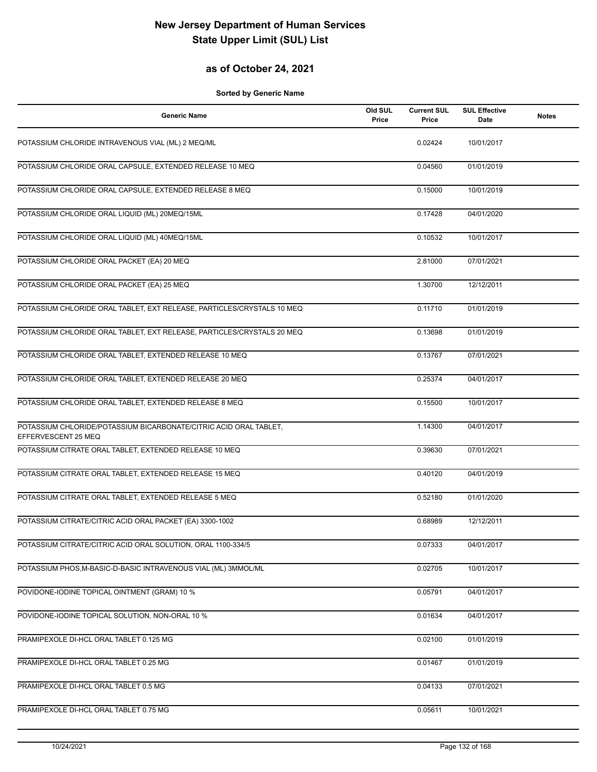#### **as of October 24, 2021**

| <b>Generic Name</b>                                                                      | Old SUL<br>Price | <b>Current SUL</b><br>Price | <b>SUL Effective</b><br>Date | <b>Notes</b> |
|------------------------------------------------------------------------------------------|------------------|-----------------------------|------------------------------|--------------|
| POTASSIUM CHLORIDE INTRAVENOUS VIAL (ML) 2 MEQ/ML                                        |                  | 0.02424                     | 10/01/2017                   |              |
| POTASSIUM CHLORIDE ORAL CAPSULE, EXTENDED RELEASE 10 MEQ                                 |                  | 0.04560                     | 01/01/2019                   |              |
| POTASSIUM CHLORIDE ORAL CAPSULE, EXTENDED RELEASE 8 MEQ                                  |                  | 0.15000                     | 10/01/2019                   |              |
| POTASSIUM CHLORIDE ORAL LIQUID (ML) 20MEQ/15ML                                           |                  | 0.17428                     | 04/01/2020                   |              |
| POTASSIUM CHLORIDE ORAL LIQUID (ML) 40MEQ/15ML                                           |                  | 0.10532                     | 10/01/2017                   |              |
| POTASSIUM CHLORIDE ORAL PACKET (EA) 20 MEQ                                               |                  | 2.81000                     | 07/01/2021                   |              |
| POTASSIUM CHLORIDE ORAL PACKET (EA) 25 MEQ                                               |                  | 1.30700                     | 12/12/2011                   |              |
| POTASSIUM CHLORIDE ORAL TABLET, EXT RELEASE, PARTICLES/CRYSTALS 10 MEQ                   |                  | 0.11710                     | 01/01/2019                   |              |
| POTASSIUM CHLORIDE ORAL TABLET, EXT RELEASE, PARTICLES/CRYSTALS 20 MEQ                   |                  | 0.13698                     | 01/01/2019                   |              |
| POTASSIUM CHLORIDE ORAL TABLET, EXTENDED RELEASE 10 MEQ                                  |                  | 0.13767                     | 07/01/2021                   |              |
| POTASSIUM CHLORIDE ORAL TABLET, EXTENDED RELEASE 20 MEQ                                  |                  | 0.25374                     | 04/01/2017                   |              |
| POTASSIUM CHLORIDE ORAL TABLET, EXTENDED RELEASE 8 MEQ                                   |                  | 0.15500                     | 10/01/2017                   |              |
| POTASSIUM CHLORIDE/POTASSIUM BICARBONATE/CITRIC ACID ORAL TABLET,<br>EFFERVESCENT 25 MEQ |                  | 1.14300                     | 04/01/2017                   |              |
| POTASSIUM CITRATE ORAL TABLET, EXTENDED RELEASE 10 MEQ                                   |                  | 0.39630                     | 07/01/2021                   |              |
| POTASSIUM CITRATE ORAL TABLET, EXTENDED RELEASE 15 MEQ                                   |                  | 0.40120                     | 04/01/2019                   |              |
| POTASSIUM CITRATE ORAL TABLET, EXTENDED RELEASE 5 MEQ                                    |                  | 0.52180                     | 01/01/2020                   |              |
| POTASSIUM CITRATE/CITRIC ACID ORAL PACKET (EA) 3300-1002                                 |                  | 0.68989                     | 12/12/2011                   |              |
| POTASSIUM CITRATE/CITRIC ACID ORAL SOLUTION, ORAL 1100-334/5                             |                  | 0.07333                     | 04/01/2017                   |              |
| POTASSIUM PHOS, M-BASIC-D-BASIC INTRAVENOUS VIAL (ML) 3MMOL/ML                           |                  | 0.02705                     | 10/01/2017                   |              |
| POVIDONE-IODINE TOPICAL OINTMENT (GRAM) 10 %                                             |                  | 0.05791                     | 04/01/2017                   |              |
| POVIDONE-IODINE TOPICAL SOLUTION, NON-ORAL 10 %                                          |                  | 0.01634                     | 04/01/2017                   |              |
| PRAMIPEXOLE DI-HCL ORAL TABLET 0.125 MG                                                  |                  | 0.02100                     | 01/01/2019                   |              |
| PRAMIPEXOLE DI-HCL ORAL TABLET 0.25 MG                                                   |                  | 0.01467                     | 01/01/2019                   |              |
| PRAMIPEXOLE DI-HCL ORAL TABLET 0.5 MG                                                    |                  | 0.04133                     | 07/01/2021                   |              |
| PRAMIPEXOLE DI-HCL ORAL TABLET 0.75 MG                                                   |                  | 0.05611                     | 10/01/2021                   |              |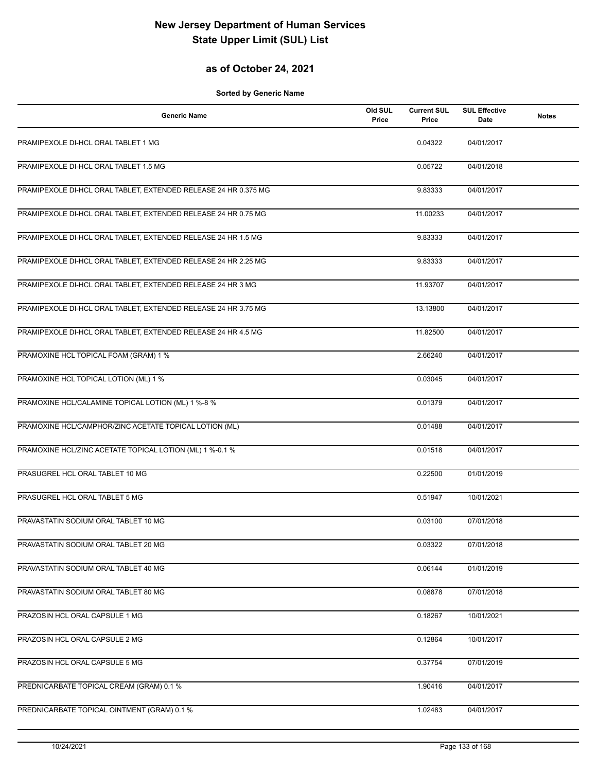## **as of October 24, 2021**

| <b>Generic Name</b>                                             | Old SUL<br>Price | <b>Current SUL</b><br>Price | <b>SUL Effective</b><br>Date | <b>Notes</b> |
|-----------------------------------------------------------------|------------------|-----------------------------|------------------------------|--------------|
| PRAMIPEXOLE DI-HCL ORAL TABLET 1 MG                             |                  | 0.04322                     | 04/01/2017                   |              |
| PRAMIPEXOLE DI-HCL ORAL TABLET 1.5 MG                           |                  | 0.05722                     | 04/01/2018                   |              |
| PRAMIPEXOLE DI-HCL ORAL TABLET, EXTENDED RELEASE 24 HR 0.375 MG |                  | 9.83333                     | 04/01/2017                   |              |
| PRAMIPEXOLE DI-HCL ORAL TABLET, EXTENDED RELEASE 24 HR 0.75 MG  |                  | 11.00233                    | 04/01/2017                   |              |
| PRAMIPEXOLE DI-HCL ORAL TABLET, EXTENDED RELEASE 24 HR 1.5 MG   |                  | 9.83333                     | 04/01/2017                   |              |
| PRAMIPEXOLE DI-HCL ORAL TABLET, EXTENDED RELEASE 24 HR 2.25 MG  |                  | 9.83333                     | 04/01/2017                   |              |
| PRAMIPEXOLE DI-HCL ORAL TABLET, EXTENDED RELEASE 24 HR 3 MG     |                  | 11.93707                    | 04/01/2017                   |              |
| PRAMIPEXOLE DI-HCL ORAL TABLET, EXTENDED RELEASE 24 HR 3.75 MG  |                  | 13.13800                    | 04/01/2017                   |              |
| PRAMIPEXOLE DI-HCL ORAL TABLET, EXTENDED RELEASE 24 HR 4.5 MG   |                  | 11.82500                    | 04/01/2017                   |              |
| PRAMOXINE HCL TOPICAL FOAM (GRAM) 1 %                           |                  | 2.66240                     | 04/01/2017                   |              |
| PRAMOXINE HCL TOPICAL LOTION (ML) 1 %                           |                  | 0.03045                     | 04/01/2017                   |              |
| PRAMOXINE HCL/CALAMINE TOPICAL LOTION (ML) 1 %-8 %              |                  | 0.01379                     | 04/01/2017                   |              |
| PRAMOXINE HCL/CAMPHOR/ZINC ACETATE TOPICAL LOTION (ML)          |                  | 0.01488                     | 04/01/2017                   |              |
| PRAMOXINE HCL/ZINC ACETATE TOPICAL LOTION (ML) 1 %-0.1 %        |                  | 0.01518                     | 04/01/2017                   |              |
| PRASUGREL HCL ORAL TABLET 10 MG                                 |                  | 0.22500                     | 01/01/2019                   |              |
| PRASUGREL HCL ORAL TABLET 5 MG                                  |                  | 0.51947                     | 10/01/2021                   |              |
| PRAVASTATIN SODIUM ORAL TABLET 10 MG                            |                  | 0.03100                     | 07/01/2018                   |              |
| PRAVASTATIN SODIUM ORAL TABLET 20 MG                            |                  | 0.03322                     | 07/01/2018                   |              |
| PRAVASTATIN SODIUM ORAL TABLET 40 MG                            |                  | 0.06144                     | 01/01/2019                   |              |
| PRAVASTATIN SODIUM ORAL TABLET 80 MG                            |                  | 0.08878                     | 07/01/2018                   |              |
| PRAZOSIN HCL ORAL CAPSULE 1 MG                                  |                  | 0.18267                     | 10/01/2021                   |              |
| PRAZOSIN HCL ORAL CAPSULE 2 MG                                  |                  | 0.12864                     | 10/01/2017                   |              |
| PRAZOSIN HCL ORAL CAPSULE 5 MG                                  |                  | 0.37754                     | 07/01/2019                   |              |
| PREDNICARBATE TOPICAL CREAM (GRAM) 0.1 %                        |                  | 1.90416                     | 04/01/2017                   |              |
| PREDNICARBATE TOPICAL OINTMENT (GRAM) 0.1 %                     |                  | 1.02483                     | 04/01/2017                   |              |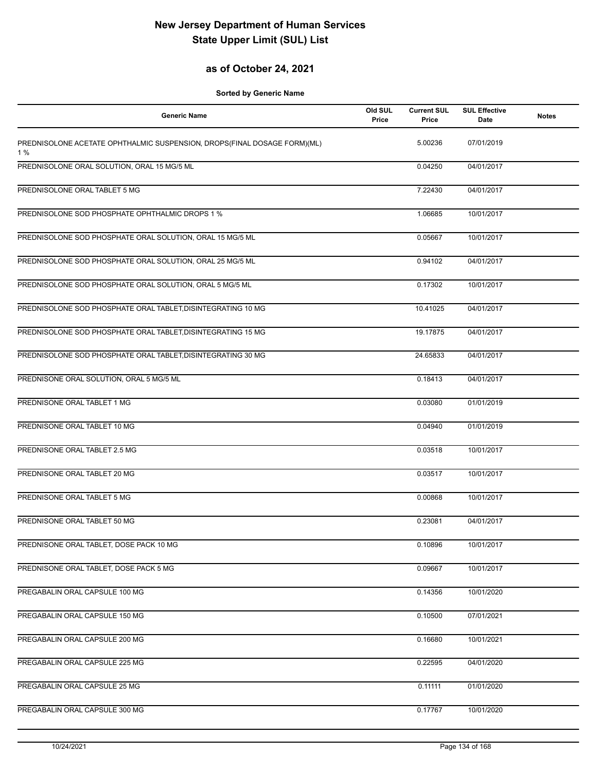## **as of October 24, 2021**

| <b>Generic Name</b>                                                            | Old SUL<br>Price | <b>Current SUL</b><br>Price | <b>SUL Effective</b><br>Date | <b>Notes</b> |
|--------------------------------------------------------------------------------|------------------|-----------------------------|------------------------------|--------------|
| PREDNISOLONE ACETATE OPHTHALMIC SUSPENSION, DROPS(FINAL DOSAGE FORM)(ML)<br>1% |                  | 5.00236                     | 07/01/2019                   |              |
| PREDNISOLONE ORAL SOLUTION, ORAL 15 MG/5 ML                                    |                  | 0.04250                     | 04/01/2017                   |              |
| PREDNISOLONE ORAL TABLET 5 MG                                                  |                  | 7.22430                     | 04/01/2017                   |              |
| PREDNISOLONE SOD PHOSPHATE OPHTHALMIC DROPS 1 %                                |                  | 1.06685                     | 10/01/2017                   |              |
| PREDNISOLONE SOD PHOSPHATE ORAL SOLUTION, ORAL 15 MG/5 ML                      |                  | 0.05667                     | 10/01/2017                   |              |
| PREDNISOLONE SOD PHOSPHATE ORAL SOLUTION, ORAL 25 MG/5 ML                      |                  | 0.94102                     | 04/01/2017                   |              |
| PREDNISOLONE SOD PHOSPHATE ORAL SOLUTION, ORAL 5 MG/5 ML                       |                  | 0.17302                     | 10/01/2017                   |              |
| PREDNISOLONE SOD PHOSPHATE ORAL TABLET, DISINTEGRATING 10 MG                   |                  | 10.41025                    | 04/01/2017                   |              |
| PREDNISOLONE SOD PHOSPHATE ORAL TABLET, DISINTEGRATING 15 MG                   |                  | 19.17875                    | 04/01/2017                   |              |
| PREDNISOLONE SOD PHOSPHATE ORAL TABLET, DISINTEGRATING 30 MG                   |                  | 24.65833                    | 04/01/2017                   |              |
| PREDNISONE ORAL SOLUTION, ORAL 5 MG/5 ML                                       |                  | 0.18413                     | 04/01/2017                   |              |
| PREDNISONE ORAL TABLET 1 MG                                                    |                  | 0.03080                     | 01/01/2019                   |              |
| PREDNISONE ORAL TABLET 10 MG                                                   |                  | 0.04940                     | 01/01/2019                   |              |
| PREDNISONE ORAL TABLET 2.5 MG                                                  |                  | 0.03518                     | 10/01/2017                   |              |
| PREDNISONE ORAL TABLET 20 MG                                                   |                  | 0.03517                     | 10/01/2017                   |              |
| PREDNISONE ORAL TABLET 5 MG                                                    |                  | 0.00868                     | 10/01/2017                   |              |
| PREDNISONE ORAL TABLET 50 MG                                                   |                  | 0.23081                     | 04/01/2017                   |              |
| PREDNISONE ORAL TABLET, DOSE PACK 10 MG                                        |                  | 0.10896                     | 10/01/2017                   |              |
| PREDNISONE ORAL TABLET, DOSE PACK 5 MG                                         |                  | 0.09667                     | 10/01/2017                   |              |
| PREGABALIN ORAL CAPSULE 100 MG                                                 |                  | 0.14356                     | 10/01/2020                   |              |
| PREGABALIN ORAL CAPSULE 150 MG                                                 |                  | 0.10500                     | 07/01/2021                   |              |
| PREGABALIN ORAL CAPSULE 200 MG                                                 |                  | 0.16680                     | 10/01/2021                   |              |
| PREGABALIN ORAL CAPSULE 225 MG                                                 |                  | 0.22595                     | 04/01/2020                   |              |
| PREGABALIN ORAL CAPSULE 25 MG                                                  |                  | 0.11111                     | 01/01/2020                   |              |
| PREGABALIN ORAL CAPSULE 300 MG                                                 |                  | 0.17767                     | 10/01/2020                   |              |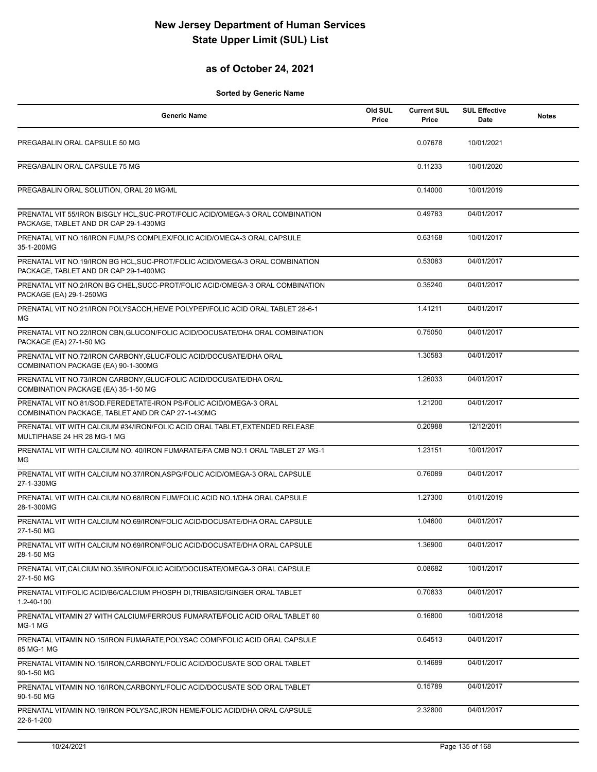## **as of October 24, 2021**

| <b>Generic Name</b>                                                                                                    | Old SUL<br>Price | <b>Current SUL</b><br>Price | <b>SUL Effective</b><br>Date | <b>Notes</b> |
|------------------------------------------------------------------------------------------------------------------------|------------------|-----------------------------|------------------------------|--------------|
| PREGABALIN ORAL CAPSULE 50 MG                                                                                          |                  | 0.07678                     | 10/01/2021                   |              |
| PREGABALIN ORAL CAPSULE 75 MG                                                                                          |                  | 0.11233                     | 10/01/2020                   |              |
| PREGABALIN ORAL SOLUTION, ORAL 20 MG/ML                                                                                |                  | 0.14000                     | 10/01/2019                   |              |
| PRENATAL VIT 55/IRON BISGLY HCL, SUC-PROT/FOLIC ACID/OMEGA-3 ORAL COMBINATION<br>PACKAGE, TABLET AND DR CAP 29-1-430MG |                  | 0.49783                     | 04/01/2017                   |              |
| PRENATAL VIT NO.16/IRON FUM, PS COMPLEX/FOLIC ACID/OMEGA-3 ORAL CAPSULE<br>35-1-200MG                                  |                  | 0.63168                     | 10/01/2017                   |              |
| PRENATAL VIT NO.19/IRON BG HCL, SUC-PROT/FOLIC ACID/OMEGA-3 ORAL COMBINATION<br>PACKAGE, TABLET AND DR CAP 29-1-400MG  |                  | 0.53083                     | 04/01/2017                   |              |
| PRENATAL VIT NO.2/IRON BG CHEL, SUCC-PROT/FOLIC ACID/OMEGA-3 ORAL COMBINATION<br>PACKAGE (EA) 29-1-250MG               |                  | 0.35240                     | 04/01/2017                   |              |
| PRENATAL VIT NO.21/IRON POLYSACCH, HEME POLYPEP/FOLIC ACID ORAL TABLET 28-6-1<br>MG                                    |                  | 1.41211                     | 04/01/2017                   |              |
| PRENATAL VIT NO.22/IRON CBN, GLUCON/FOLIC ACID/DOCUSATE/DHA ORAL COMBINATION<br>PACKAGE (EA) 27-1-50 MG                |                  | 0.75050                     | 04/01/2017                   |              |
| PRENATAL VIT NO.72/IRON CARBONY, GLUC/FOLIC ACID/DOCUSATE/DHA ORAL<br>COMBINATION PACKAGE (EA) 90-1-300MG              |                  | 1.30583                     | 04/01/2017                   |              |
| PRENATAL VIT NO.73/IRON CARBONY, GLUC/FOLIC ACID/DOCUSATE/DHA ORAL<br>COMBINATION PACKAGE (EA) 35-1-50 MG              |                  | 1.26033                     | 04/01/2017                   |              |
| PRENATAL VIT NO.81/SOD.FEREDETATE-IRON PS/FOLIC ACID/OMEGA-3 ORAL<br>COMBINATION PACKAGE, TABLET AND DR CAP 27-1-430MG |                  | 1.21200                     | 04/01/2017                   |              |
| PRENATAL VIT WITH CALCIUM #34/IRON/FOLIC ACID ORAL TABLET, EXTENDED RELEASE<br>MULTIPHASE 24 HR 28 MG-1 MG             |                  | 0.20988                     | 12/12/2011                   |              |
| PRENATAL VIT WITH CALCIUM NO. 40/IRON FUMARATE/FA CMB NO.1 ORAL TABLET 27 MG-1<br>MG.                                  |                  | 1.23151                     | 10/01/2017                   |              |
| PRENATAL VIT WITH CALCIUM NO.37/IRON, ASPG/FOLIC ACID/OMEGA-3 ORAL CAPSULE<br>27-1-330MG                               |                  | 0.76089                     | 04/01/2017                   |              |
| PRENATAL VIT WITH CALCIUM NO.68/IRON FUM/FOLIC ACID NO.1/DHA ORAL CAPSULE<br>28-1-300MG                                |                  | 1.27300                     | 01/01/2019                   |              |
| PRENATAL VIT WITH CALCIUM NO.69/IRON/FOLIC ACID/DOCUSATE/DHA ORAL CAPSULE<br>27-1-50 MG                                |                  | 1.04600                     | 04/01/2017                   |              |
| PRENATAL VIT WITH CALCIUM NO.69/IRON/FOLIC ACID/DOCUSATE/DHA ORAL CAPSULE<br>28-1-50 MG                                |                  | 1.36900                     | 04/01/2017                   |              |
| PRENATAL VIT, CALCIUM NO.35/IRON/FOLIC ACID/DOCUSATE/OMEGA-3 ORAL CAPSULE<br>27-1-50 MG                                |                  | 0.08682                     | 10/01/2017                   |              |
| PRENATAL VIT/FOLIC ACID/B6/CALCIUM PHOSPH DI, TRIBASIC/GINGER ORAL TABLET<br>1.2-40-100                                |                  | 0.70833                     | 04/01/2017                   |              |
| PRENATAL VITAMIN 27 WITH CALCIUM/FERROUS FUMARATE/FOLIC ACID ORAL TABLET 60<br>MG-1 MG                                 |                  | 0.16800                     | 10/01/2018                   |              |
| PRENATAL VITAMIN NO.15/IRON FUMARATE, POLYSAC COMP/FOLIC ACID ORAL CAPSULE<br>85 MG-1 MG                               |                  | 0.64513                     | 04/01/2017                   |              |
| PRENATAL VITAMIN NO.15/IRON, CARBONYL/FOLIC ACID/DOCUSATE SOD ORAL TABLET<br>90-1-50 MG                                |                  | 0.14689                     | 04/01/2017                   |              |
| PRENATAL VITAMIN NO.16/IRON, CARBONYL/FOLIC ACID/DOCUSATE SOD ORAL TABLET<br>90-1-50 MG                                |                  | 0.15789                     | 04/01/2017                   |              |
| PRENATAL VITAMIN NO.19/IRON POLYSAC, IRON HEME/FOLIC ACID/DHA ORAL CAPSULE<br>22-6-1-200                               |                  | 2.32800                     | 04/01/2017                   |              |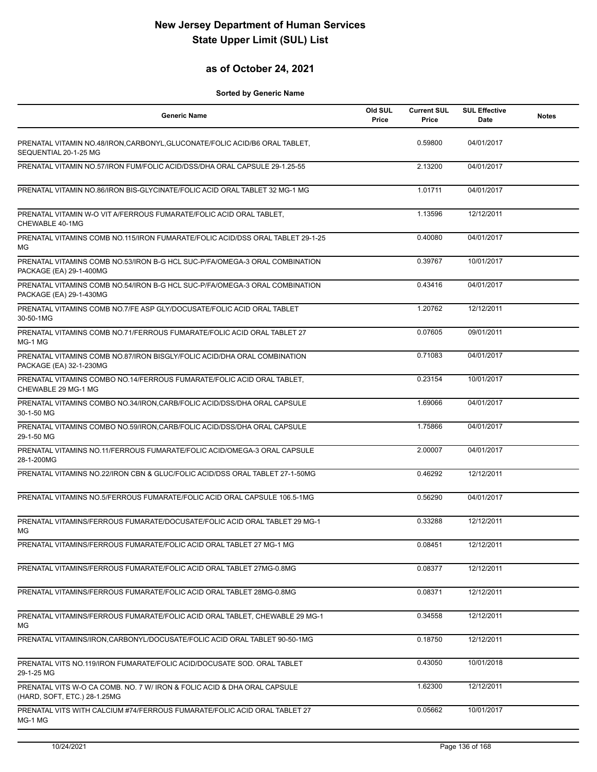## **as of October 24, 2021**

| <b>Generic Name</b>                                                                                      | Old SUL<br>Price | <b>Current SUL</b><br>Price | <b>SUL Effective</b><br>Date | <b>Notes</b> |
|----------------------------------------------------------------------------------------------------------|------------------|-----------------------------|------------------------------|--------------|
| PRENATAL VITAMIN NO.48/IRON, CARBONYL, GLUCONATE/FOLIC ACID/B6 ORAL TABLET,<br>SEQUENTIAL 20-1-25 MG     |                  | 0.59800                     | 04/01/2017                   |              |
| PRENATAL VITAMIN NO.57/IRON FUM/FOLIC ACID/DSS/DHA ORAL CAPSULE 29-1.25-55                               |                  | 2.13200                     | 04/01/2017                   |              |
| PRENATAL VITAMIN NO.86/IRON BIS-GLYCINATE/FOLIC ACID ORAL TABLET 32 MG-1 MG                              |                  | 1.01711                     | 04/01/2017                   |              |
| PRENATAL VITAMIN W-O VIT A/FERROUS FUMARATE/FOLIC ACID ORAL TABLET,<br>CHEWABLE 40-1MG                   |                  | 1.13596                     | 12/12/2011                   |              |
| PRENATAL VITAMINS COMB NO.115/IRON FUMARATE/FOLIC ACID/DSS ORAL TABLET 29-1-25<br>MG                     |                  | 0.40080                     | 04/01/2017                   |              |
| PRENATAL VITAMINS COMB NO.53/IRON B-G HCL SUC-P/FA/OMEGA-3 ORAL COMBINATION<br>PACKAGE (EA) 29-1-400MG   |                  | 0.39767                     | 10/01/2017                   |              |
| PRENATAL VITAMINS COMB NO.54/IRON B-G HCL SUC-P/FA/OMEGA-3 ORAL COMBINATION<br>PACKAGE (EA) 29-1-430MG   |                  | 0.43416                     | 04/01/2017                   |              |
| PRENATAL VITAMINS COMB NO.7/FE ASP GLY/DOCUSATE/FOLIC ACID ORAL TABLET<br>30-50-1MG                      |                  | 1.20762                     | 12/12/2011                   |              |
| PRENATAL VITAMINS COMB NO.71/FERROUS FUMARATE/FOLIC ACID ORAL TABLET 27<br>MG-1 MG                       |                  | 0.07605                     | 09/01/2011                   |              |
| PRENATAL VITAMINS COMB NO.87/IRON BISGLY/FOLIC ACID/DHA ORAL COMBINATION<br>PACKAGE (EA) 32-1-230MG      |                  | 0.71083                     | 04/01/2017                   |              |
| PRENATAL VITAMINS COMBO NO.14/FERROUS FUMARATE/FOLIC ACID ORAL TABLET,<br>CHEWABLE 29 MG-1 MG            |                  | 0.23154                     | 10/01/2017                   |              |
| PRENATAL VITAMINS COMBO NO.34/IRON, CARB/FOLIC ACID/DSS/DHA ORAL CAPSULE<br>30-1-50 MG                   |                  | 1.69066                     | 04/01/2017                   |              |
| PRENATAL VITAMINS COMBO NO.59/IRON, CARB/FOLIC ACID/DSS/DHA ORAL CAPSULE<br>29-1-50 MG                   |                  | 1.75866                     | 04/01/2017                   |              |
| PRENATAL VITAMINS NO.11/FERROUS FUMARATE/FOLIC ACID/OMEGA-3 ORAL CAPSULE<br>28-1-200MG                   |                  | 2.00007                     | 04/01/2017                   |              |
| PRENATAL VITAMINS NO.22/IRON CBN & GLUC/FOLIC ACID/DSS ORAL TABLET 27-1-50MG                             |                  | 0.46292                     | 12/12/2011                   |              |
| PRENATAL VITAMINS NO.5/FERROUS FUMARATE/FOLIC ACID ORAL CAPSULE 106.5-1MG                                |                  | 0.56290                     | 04/01/2017                   |              |
| PRENATAL VITAMINS/FERROUS FUMARATE/DOCUSATE/FOLIC ACID ORAL TABLET 29 MG-1<br>МG                         |                  | 0.33288                     | 12/12/2011                   |              |
| PRENATAL VITAMINS/FERROUS FUMARATE/FOLIC ACID ORAL TABLET 27 MG-1 MG                                     |                  | 0.08451                     | 12/12/2011                   |              |
| PRENATAL VITAMINS/FERROUS FUMARATE/FOLIC ACID ORAL TABLET 27MG-0.8MG                                     |                  | 0.08377                     | 12/12/2011                   |              |
| PRENATAL VITAMINS/FERROUS FUMARATE/FOLIC ACID ORAL TABLET 28MG-0.8MG                                     |                  | 0.08371                     | 12/12/2011                   |              |
| PRENATAL VITAMINS/FERROUS FUMARATE/FOLIC ACID ORAL TABLET, CHEWABLE 29 MG-1<br>МG                        |                  | 0.34558                     | 12/12/2011                   |              |
| PRENATAL VITAMINS/IRON, CARBONYL/DOCUSATE/FOLIC ACID ORAL TABLET 90-50-1MG                               |                  | 0.18750                     | 12/12/2011                   |              |
| PRENATAL VITS NO.119/IRON FUMARATE/FOLIC ACID/DOCUSATE SOD. ORAL TABLET<br>29-1-25 MG                    |                  | 0.43050                     | 10/01/2018                   |              |
| PRENATAL VITS W-O CA COMB. NO. 7 W/ IRON & FOLIC ACID & DHA ORAL CAPSULE<br>(HARD, SOFT, ETC.) 28-1.25MG |                  | 1.62300                     | 12/12/2011                   |              |
| PRENATAL VITS WITH CALCIUM #74/FERROUS FUMARATE/FOLIC ACID ORAL TABLET 27<br>MG-1 MG                     |                  | 0.05662                     | 10/01/2017                   |              |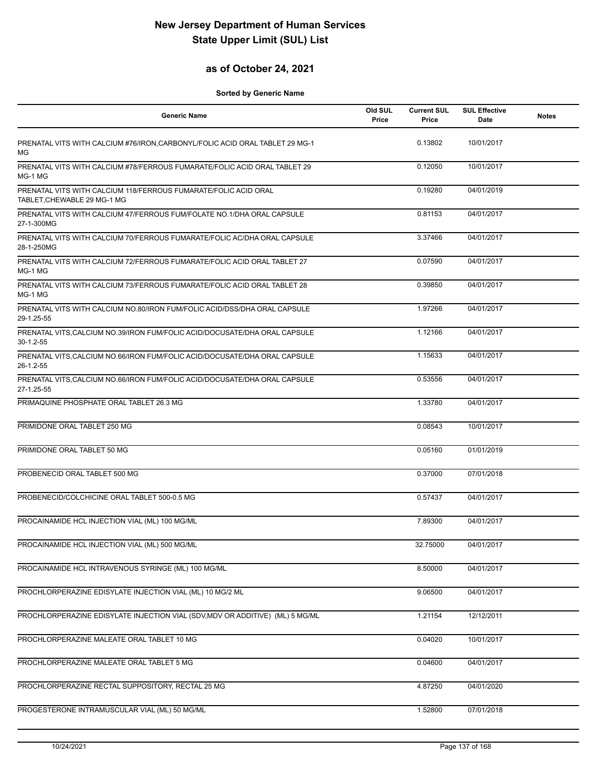## **as of October 24, 2021**

| <b>Generic Name</b>                                                                            | Old SUL<br>Price | <b>Current SUL</b><br>Price | <b>SUL Effective</b><br>Date | <b>Notes</b> |
|------------------------------------------------------------------------------------------------|------------------|-----------------------------|------------------------------|--------------|
| PRENATAL VITS WITH CALCIUM #76/IRON, CARBONYL/FOLIC ACID ORAL TABLET 29 MG-1<br>MG             |                  | 0.13802                     | 10/01/2017                   |              |
| PRENATAL VITS WITH CALCIUM #78/FERROUS FUMARATE/FOLIC ACID ORAL TABLET 29<br>MG-1 MG           |                  | 0.12050                     | 10/01/2017                   |              |
| PRENATAL VITS WITH CALCIUM 118/FERROUS FUMARATE/FOLIC ACID ORAL<br>TABLET, CHEWABLE 29 MG-1 MG |                  | 0.19280                     | 04/01/2019                   |              |
| PRENATAL VITS WITH CALCIUM 47/FERROUS FUM/FOLATE NO.1/DHA ORAL CAPSULE<br>27-1-300MG           |                  | 0.81153                     | 04/01/2017                   |              |
| PRENATAL VITS WITH CALCIUM 70/FERROUS FUMARATE/FOLIC AC/DHA ORAL CAPSULE<br>28-1-250MG         |                  | 3.37466                     | 04/01/2017                   |              |
| PRENATAL VITS WITH CALCIUM 72/FERROUS FUMARATE/FOLIC ACID ORAL TABLET 27<br>MG-1 MG            |                  | 0.07590                     | 04/01/2017                   |              |
| PRENATAL VITS WITH CALCIUM 73/FERROUS FUMARATE/FOLIC ACID ORAL TABLET 28<br>MG-1 MG            |                  | 0.39850                     | 04/01/2017                   |              |
| PRENATAL VITS WITH CALCIUM NO.80/IRON FUM/FOLIC ACID/DSS/DHA ORAL CAPSULE<br>29-1.25-55        |                  | 1.97266                     | 04/01/2017                   |              |
| PRENATAL VITS, CALCIUM NO.39/IRON FUM/FOLIC ACID/DOCUSATE/DHA ORAL CAPSULE<br>$30-1.2-55$      |                  | 1.12166                     | 04/01/2017                   |              |
| PRENATAL VITS, CALCIUM NO.66/IRON FUM/FOLIC ACID/DOCUSATE/DHA ORAL CAPSULE<br>26-1.2-55        |                  | 1.15633                     | 04/01/2017                   |              |
| PRENATAL VITS, CALCIUM NO.66/IRON FUM/FOLIC ACID/DOCUSATE/DHA ORAL CAPSULE<br>27-1.25-55       |                  | 0.53556                     | 04/01/2017                   |              |
| PRIMAQUINE PHOSPHATE ORAL TABLET 26.3 MG                                                       |                  | 1.33780                     | 04/01/2017                   |              |
| PRIMIDONE ORAL TABLET 250 MG                                                                   |                  | 0.08543                     | 10/01/2017                   |              |
| PRIMIDONE ORAL TABLET 50 MG                                                                    |                  | 0.05160                     | 01/01/2019                   |              |
| PROBENECID ORAL TABLET 500 MG                                                                  |                  | 0.37000                     | 07/01/2018                   |              |
| PROBENECID/COLCHICINE ORAL TABLET 500-0.5 MG                                                   |                  | 0.57437                     | 04/01/2017                   |              |
| PROCAINAMIDE HCL INJECTION VIAL (ML) 100 MG/ML                                                 |                  | 7.89300                     | 04/01/2017                   |              |
| PROCAINAMIDE HCL INJECTION VIAL (ML) 500 MG/ML                                                 |                  | 32.75000                    | 04/01/2017                   |              |
| PROCAINAMIDE HCL INTRAVENOUS SYRINGE (ML) 100 MG/ML                                            |                  | 8.50000                     | 04/01/2017                   |              |
| PROCHLORPERAZINE EDISYLATE INJECTION VIAL (ML) 10 MG/2 ML                                      |                  | 9.06500                     | 04/01/2017                   |              |
| PROCHLORPERAZINE EDISYLATE INJECTION VIAL (SDV, MDV OR ADDITIVE) (ML) 5 MG/ML                  |                  | 1.21154                     | 12/12/2011                   |              |
| PROCHLORPERAZINE MALEATE ORAL TABLET 10 MG                                                     |                  | 0.04020                     | 10/01/2017                   |              |
| PROCHLORPERAZINE MALEATE ORAL TABLET 5 MG                                                      |                  | 0.04600                     | 04/01/2017                   |              |
| PROCHLORPERAZINE RECTAL SUPPOSITORY, RECTAL 25 MG                                              |                  | 4.87250                     | 04/01/2020                   |              |
| PROGESTERONE INTRAMUSCULAR VIAL (ML) 50 MG/ML                                                  |                  | 1.52800                     | 07/01/2018                   |              |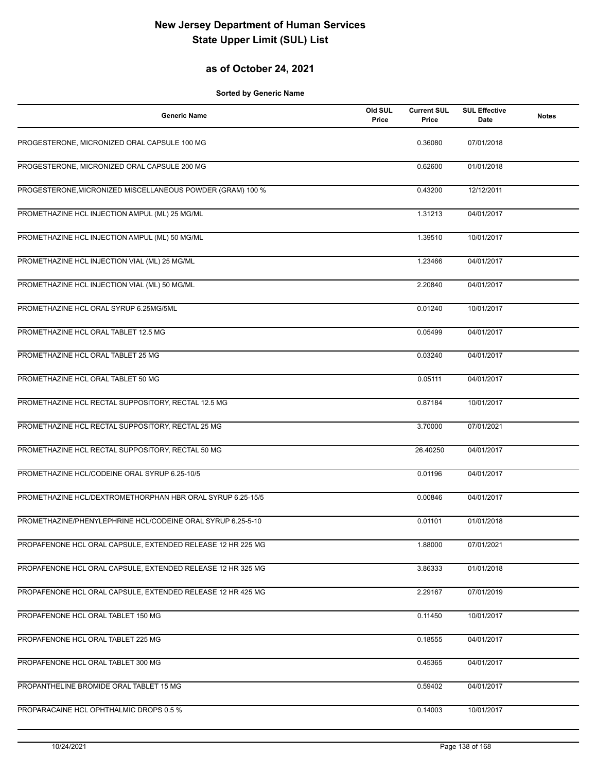## **as of October 24, 2021**

| <b>Generic Name</b>                                         | Old SUL<br>Price | <b>Current SUL</b><br>Price | <b>SUL Effective</b><br>Date | <b>Notes</b> |
|-------------------------------------------------------------|------------------|-----------------------------|------------------------------|--------------|
| PROGESTERONE, MICRONIZED ORAL CAPSULE 100 MG                |                  | 0.36080                     | 07/01/2018                   |              |
| PROGESTERONE, MICRONIZED ORAL CAPSULE 200 MG                |                  | 0.62600                     | 01/01/2018                   |              |
| PROGESTERONE, MICRONIZED MISCELLANEOUS POWDER (GRAM) 100 %  |                  | 0.43200                     | 12/12/2011                   |              |
| PROMETHAZINE HCL INJECTION AMPUL (ML) 25 MG/ML              |                  | 1.31213                     | 04/01/2017                   |              |
| PROMETHAZINE HCL INJECTION AMPUL (ML) 50 MG/ML              |                  | 1.39510                     | 10/01/2017                   |              |
| PROMETHAZINE HCL INJECTION VIAL (ML) 25 MG/ML               |                  | 1.23466                     | 04/01/2017                   |              |
| PROMETHAZINE HCL INJECTION VIAL (ML) 50 MG/ML               |                  | 2.20840                     | 04/01/2017                   |              |
| PROMETHAZINE HCL ORAL SYRUP 6.25MG/5ML                      |                  | 0.01240                     | 10/01/2017                   |              |
| PROMETHAZINE HCL ORAL TABLET 12.5 MG                        |                  | 0.05499                     | 04/01/2017                   |              |
| PROMETHAZINE HCL ORAL TABLET 25 MG                          |                  | 0.03240                     | 04/01/2017                   |              |
| PROMETHAZINE HCL ORAL TABLET 50 MG                          |                  | 0.05111                     | 04/01/2017                   |              |
| PROMETHAZINE HCL RECTAL SUPPOSITORY, RECTAL 12.5 MG         |                  | 0.87184                     | 10/01/2017                   |              |
| PROMETHAZINE HCL RECTAL SUPPOSITORY, RECTAL 25 MG           |                  | 3.70000                     | 07/01/2021                   |              |
| PROMETHAZINE HCL RECTAL SUPPOSITORY, RECTAL 50 MG           |                  | 26.40250                    | 04/01/2017                   |              |
| PROMETHAZINE HCL/CODEINE ORAL SYRUP 6.25-10/5               |                  | 0.01196                     | 04/01/2017                   |              |
| PROMETHAZINE HCL/DEXTROMETHORPHAN HBR ORAL SYRUP 6.25-15/5  |                  | 0.00846                     | 04/01/2017                   |              |
| PROMETHAZINE/PHENYLEPHRINE HCL/CODEINE ORAL SYRUP 6.25-5-10 |                  | 0.01101                     | 01/01/2018                   |              |
| PROPAFENONE HCL ORAL CAPSULE, EXTENDED RELEASE 12 HR 225 MG |                  | 1.88000                     | 07/01/2021                   |              |
| PROPAFENONE HCL ORAL CAPSULE, EXTENDED RELEASE 12 HR 325 MG |                  | 3.86333                     | 01/01/2018                   |              |
| PROPAFENONE HCL ORAL CAPSULE, EXTENDED RELEASE 12 HR 425 MG |                  | 2.29167                     | 07/01/2019                   |              |
| PROPAFENONE HCL ORAL TABLET 150 MG                          |                  | 0.11450                     | 10/01/2017                   |              |
| PROPAFENONE HCL ORAL TABLET 225 MG                          |                  | 0.18555                     | 04/01/2017                   |              |
| PROPAFENONE HCL ORAL TABLET 300 MG                          |                  | 0.45365                     | 04/01/2017                   |              |
| PROPANTHELINE BROMIDE ORAL TABLET 15 MG                     |                  | 0.59402                     | 04/01/2017                   |              |
| PROPARACAINE HCL OPHTHALMIC DROPS 0.5 %                     |                  | 0.14003                     | 10/01/2017                   |              |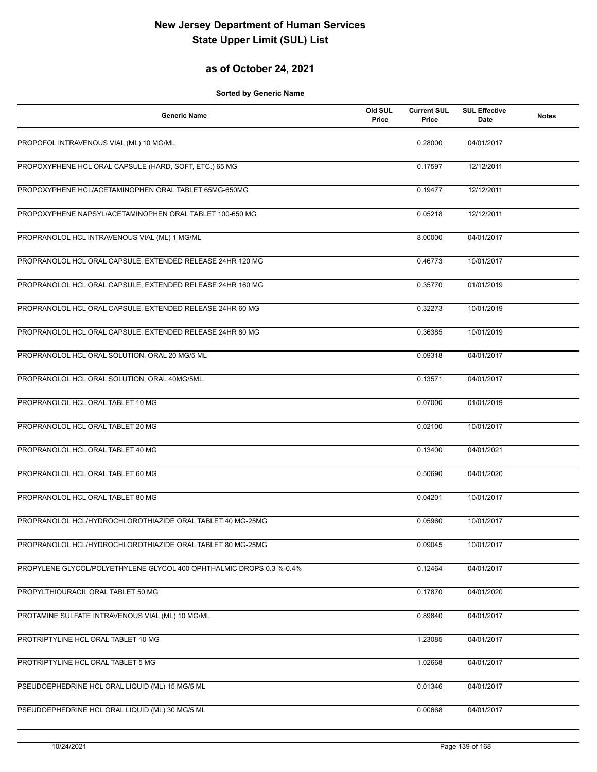## **as of October 24, 2021**

| <b>Generic Name</b>                                                  | Old SUL<br>Price | <b>Current SUL</b><br>Price | <b>SUL Effective</b><br>Date | <b>Notes</b> |
|----------------------------------------------------------------------|------------------|-----------------------------|------------------------------|--------------|
| PROPOFOL INTRAVENOUS VIAL (ML) 10 MG/ML                              |                  | 0.28000                     | 04/01/2017                   |              |
| PROPOXYPHENE HCL ORAL CAPSULE (HARD, SOFT, ETC.) 65 MG               |                  | 0.17597                     | 12/12/2011                   |              |
| PROPOXYPHENE HCL/ACETAMINOPHEN ORAL TABLET 65MG-650MG                |                  | 0.19477                     | 12/12/2011                   |              |
| PROPOXYPHENE NAPSYL/ACETAMINOPHEN ORAL TABLET 100-650 MG             |                  | 0.05218                     | 12/12/2011                   |              |
| PROPRANOLOL HCL INTRAVENOUS VIAL (ML) 1 MG/ML                        |                  | 8.00000                     | 04/01/2017                   |              |
| PROPRANOLOL HCL ORAL CAPSULE, EXTENDED RELEASE 24HR 120 MG           |                  | 0.46773                     | 10/01/2017                   |              |
| PROPRANOLOL HCL ORAL CAPSULE, EXTENDED RELEASE 24HR 160 MG           |                  | 0.35770                     | 01/01/2019                   |              |
| PROPRANOLOL HCL ORAL CAPSULE, EXTENDED RELEASE 24HR 60 MG            |                  | 0.32273                     | 10/01/2019                   |              |
| PROPRANOLOL HCL ORAL CAPSULE, EXTENDED RELEASE 24HR 80 MG            |                  | 0.36385                     | 10/01/2019                   |              |
| PROPRANOLOL HCL ORAL SOLUTION, ORAL 20 MG/5 ML                       |                  | 0.09318                     | 04/01/2017                   |              |
| PROPRANOLOL HCL ORAL SOLUTION, ORAL 40MG/5ML                         |                  | 0.13571                     | 04/01/2017                   |              |
| PROPRANOLOL HCL ORAL TABLET 10 MG                                    |                  | 0.07000                     | 01/01/2019                   |              |
| PROPRANOLOL HCL ORAL TABLET 20 MG                                    |                  | 0.02100                     | 10/01/2017                   |              |
| PROPRANOLOL HCL ORAL TABLET 40 MG                                    |                  | 0.13400                     | 04/01/2021                   |              |
| PROPRANOLOL HCL ORAL TABLET 60 MG                                    |                  | 0.50690                     | 04/01/2020                   |              |
| PROPRANOLOL HCL ORAL TABLET 80 MG                                    |                  | 0.04201                     | 10/01/2017                   |              |
| PROPRANOLOL HCL/HYDROCHLOROTHIAZIDE ORAL TABLET 40 MG-25MG           |                  | 0.05960                     | 10/01/2017                   |              |
| PROPRANOLOL HCL/HYDROCHLOROTHIAZIDE ORAL TABLET 80 MG-25MG           |                  | 0.09045                     | 10/01/2017                   |              |
| PROPYLENE GLYCOL/POLYETHYLENE GLYCOL 400 OPHTHALMIC DROPS 0.3 %-0.4% |                  | 0.12464                     | 04/01/2017                   |              |
| PROPYLTHIOURACIL ORAL TABLET 50 MG                                   |                  | 0.17870                     | 04/01/2020                   |              |
| PROTAMINE SULFATE INTRAVENOUS VIAL (ML) 10 MG/ML                     |                  | 0.89840                     | 04/01/2017                   |              |
| PROTRIPTYLINE HCL ORAL TABLET 10 MG                                  |                  | 1.23085                     | 04/01/2017                   |              |
| PROTRIPTYLINE HCL ORAL TABLET 5 MG                                   |                  | 1.02668                     | 04/01/2017                   |              |
| PSEUDOEPHEDRINE HCL ORAL LIQUID (ML) 15 MG/5 ML                      |                  | 0.01346                     | 04/01/2017                   |              |
| PSEUDOEPHEDRINE HCL ORAL LIQUID (ML) 30 MG/5 ML                      |                  | 0.00668                     | 04/01/2017                   |              |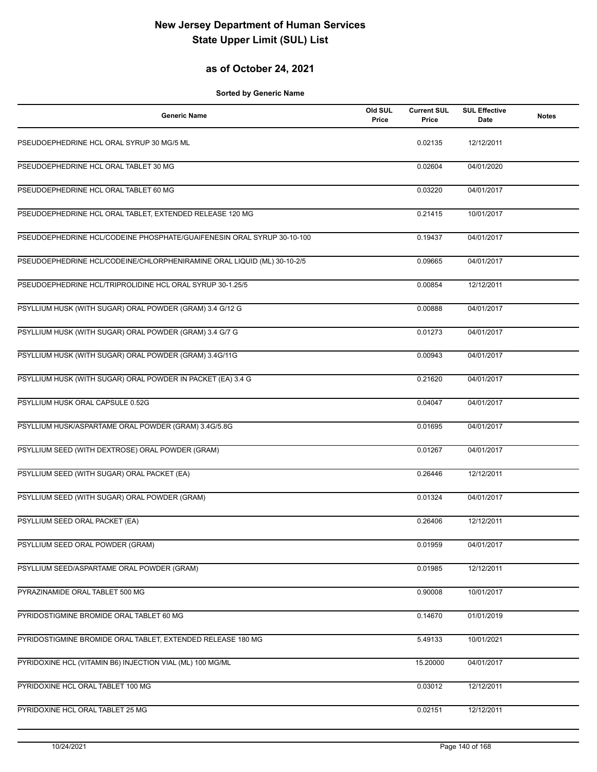## **as of October 24, 2021**

| <b>Generic Name</b>                                                     | Old SUL<br>Price | <b>Current SUL</b><br>Price | <b>SUL Effective</b><br>Date | <b>Notes</b> |
|-------------------------------------------------------------------------|------------------|-----------------------------|------------------------------|--------------|
| PSEUDOEPHEDRINE HCL ORAL SYRUP 30 MG/5 ML                               |                  | 0.02135                     | 12/12/2011                   |              |
| PSEUDOEPHEDRINE HCL ORAL TABLET 30 MG                                   |                  | 0.02604                     | 04/01/2020                   |              |
| PSEUDOEPHEDRINE HCL ORAL TABLET 60 MG                                   |                  | 0.03220                     | 04/01/2017                   |              |
| PSEUDOEPHEDRINE HCL ORAL TABLET, EXTENDED RELEASE 120 MG                |                  | 0.21415                     | 10/01/2017                   |              |
| PSEUDOEPHEDRINE HCL/CODEINE PHOSPHATE/GUAIFENESIN ORAL SYRUP 30-10-100  |                  | 0.19437                     | 04/01/2017                   |              |
| PSEUDOEPHEDRINE HCL/CODEINE/CHLORPHENIRAMINE ORAL LIQUID (ML) 30-10-2/5 |                  | 0.09665                     | 04/01/2017                   |              |
| PSEUDOEPHEDRINE HCL/TRIPROLIDINE HCL ORAL SYRUP 30-1.25/5               |                  | 0.00854                     | 12/12/2011                   |              |
| PSYLLIUM HUSK (WITH SUGAR) ORAL POWDER (GRAM) 3.4 G/12 G                |                  | 0.00888                     | 04/01/2017                   |              |
| PSYLLIUM HUSK (WITH SUGAR) ORAL POWDER (GRAM) 3.4 G/7 G                 |                  | 0.01273                     | 04/01/2017                   |              |
| PSYLLIUM HUSK (WITH SUGAR) ORAL POWDER (GRAM) 3.4G/11G                  |                  | 0.00943                     | 04/01/2017                   |              |
| PSYLLIUM HUSK (WITH SUGAR) ORAL POWDER IN PACKET (EA) 3.4 G             |                  | 0.21620                     | 04/01/2017                   |              |
| PSYLLIUM HUSK ORAL CAPSULE 0.52G                                        |                  | 0.04047                     | 04/01/2017                   |              |
| PSYLLIUM HUSK/ASPARTAME ORAL POWDER (GRAM) 3.4G/5.8G                    |                  | 0.01695                     | 04/01/2017                   |              |
| PSYLLIUM SEED (WITH DEXTROSE) ORAL POWDER (GRAM)                        |                  | 0.01267                     | 04/01/2017                   |              |
| PSYLLIUM SEED (WITH SUGAR) ORAL PACKET (EA)                             |                  | 0.26446                     | 12/12/2011                   |              |
| PSYLLIUM SEED (WITH SUGAR) ORAL POWDER (GRAM)                           |                  | 0.01324                     | 04/01/2017                   |              |
| PSYLLIUM SEED ORAL PACKET (EA)                                          |                  | 0.26406                     | 12/12/2011                   |              |
| PSYLLIUM SEED ORAL POWDER (GRAM)                                        |                  | 0.01959                     | 04/01/2017                   |              |
| PSYLLIUM SEED/ASPARTAME ORAL POWDER (GRAM)                              |                  | 0.01985                     | 12/12/2011                   |              |
| PYRAZINAMIDE ORAL TABLET 500 MG                                         |                  | 0.90008                     | 10/01/2017                   |              |
| PYRIDOSTIGMINE BROMIDE ORAL TABLET 60 MG                                |                  | 0.14670                     | 01/01/2019                   |              |
| PYRIDOSTIGMINE BROMIDE ORAL TABLET, EXTENDED RELEASE 180 MG             |                  | 5.49133                     | 10/01/2021                   |              |
| PYRIDOXINE HCL (VITAMIN B6) INJECTION VIAL (ML) 100 MG/ML               |                  | 15.20000                    | 04/01/2017                   |              |
| PYRIDOXINE HCL ORAL TABLET 100 MG                                       |                  | 0.03012                     | 12/12/2011                   |              |
| PYRIDOXINE HCL ORAL TABLET 25 MG                                        |                  | 0.02151                     | 12/12/2011                   |              |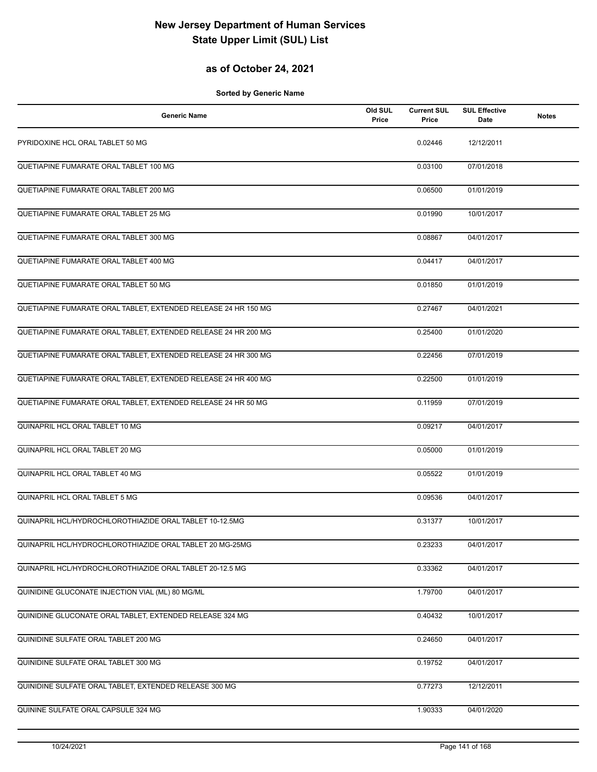## **as of October 24, 2021**

| <b>Generic Name</b>                                            | Old SUL<br>Price | <b>Current SUL</b><br>Price | <b>SUL Effective</b><br>Date | <b>Notes</b> |
|----------------------------------------------------------------|------------------|-----------------------------|------------------------------|--------------|
| PYRIDOXINE HCL ORAL TABLET 50 MG                               |                  | 0.02446                     | 12/12/2011                   |              |
| QUETIAPINE FUMARATE ORAL TABLET 100 MG                         |                  | 0.03100                     | 07/01/2018                   |              |
| QUETIAPINE FUMARATE ORAL TABLET 200 MG                         |                  | 0.06500                     | 01/01/2019                   |              |
| QUETIAPINE FUMARATE ORAL TABLET 25 MG                          |                  | 0.01990                     | 10/01/2017                   |              |
| QUETIAPINE FUMARATE ORAL TABLET 300 MG                         |                  | 0.08867                     | 04/01/2017                   |              |
| QUETIAPINE FUMARATE ORAL TABLET 400 MG                         |                  | 0.04417                     | 04/01/2017                   |              |
| QUETIAPINE FUMARATE ORAL TABLET 50 MG                          |                  | 0.01850                     | 01/01/2019                   |              |
| QUETIAPINE FUMARATE ORAL TABLET, EXTENDED RELEASE 24 HR 150 MG |                  | 0.27467                     | 04/01/2021                   |              |
| QUETIAPINE FUMARATE ORAL TABLET, EXTENDED RELEASE 24 HR 200 MG |                  | 0.25400                     | 01/01/2020                   |              |
| QUETIAPINE FUMARATE ORAL TABLET, EXTENDED RELEASE 24 HR 300 MG |                  | 0.22456                     | 07/01/2019                   |              |
| QUETIAPINE FUMARATE ORAL TABLET, EXTENDED RELEASE 24 HR 400 MG |                  | 0.22500                     | 01/01/2019                   |              |
| QUETIAPINE FUMARATE ORAL TABLET, EXTENDED RELEASE 24 HR 50 MG  |                  | 0.11959                     | 07/01/2019                   |              |
| QUINAPRIL HCL ORAL TABLET 10 MG                                |                  | 0.09217                     | 04/01/2017                   |              |
| QUINAPRIL HCL ORAL TABLET 20 MG                                |                  | 0.05000                     | 01/01/2019                   |              |
| QUINAPRIL HCL ORAL TABLET 40 MG                                |                  | 0.05522                     | 01/01/2019                   |              |
| QUINAPRIL HCL ORAL TABLET 5 MG                                 |                  | 0.09536                     | 04/01/2017                   |              |
| QUINAPRIL HCL/HYDROCHLOROTHIAZIDE ORAL TABLET 10-12.5MG        |                  | 0.31377                     | 10/01/2017                   |              |
| QUINAPRIL HCL/HYDROCHLOROTHIAZIDE ORAL TABLET 20 MG-25MG       |                  | 0.23233                     | 04/01/2017                   |              |
| QUINAPRIL HCL/HYDROCHLOROTHIAZIDE ORAL TABLET 20-12.5 MG       |                  | 0.33362                     | 04/01/2017                   |              |
| QUINIDINE GLUCONATE INJECTION VIAL (ML) 80 MG/ML               |                  | 1.79700                     | 04/01/2017                   |              |
| QUINIDINE GLUCONATE ORAL TABLET, EXTENDED RELEASE 324 MG       |                  | 0.40432                     | 10/01/2017                   |              |
| QUINIDINE SULFATE ORAL TABLET 200 MG                           |                  | 0.24650                     | 04/01/2017                   |              |
| QUINIDINE SULFATE ORAL TABLET 300 MG                           |                  | 0.19752                     | 04/01/2017                   |              |
| QUINIDINE SULFATE ORAL TABLET, EXTENDED RELEASE 300 MG         |                  | 0.77273                     | 12/12/2011                   |              |
| QUININE SULFATE ORAL CAPSULE 324 MG                            |                  | 1.90333                     | 04/01/2020                   |              |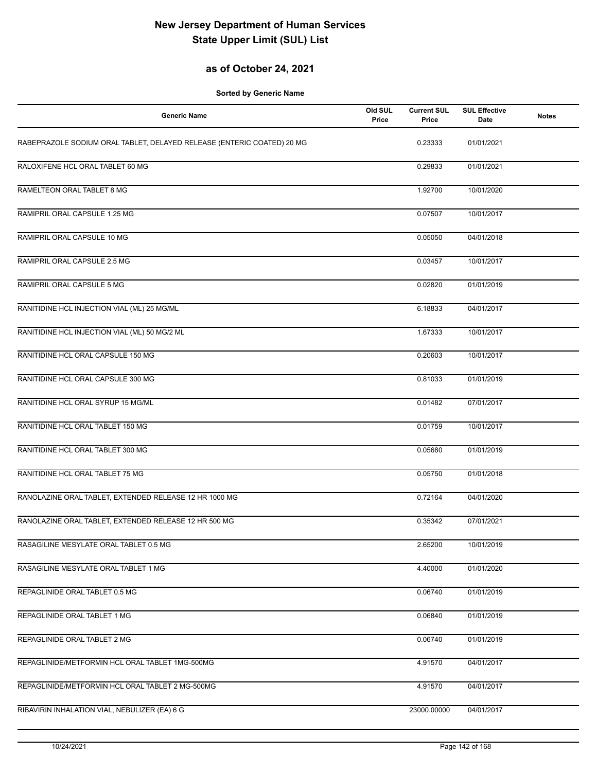## **as of October 24, 2021**

| <b>Generic Name</b>                                                    | Old SUL<br>Price | <b>Current SUL</b><br>Price | <b>SUL Effective</b><br>Date | <b>Notes</b> |
|------------------------------------------------------------------------|------------------|-----------------------------|------------------------------|--------------|
| RABEPRAZOLE SODIUM ORAL TABLET, DELAYED RELEASE (ENTERIC COATED) 20 MG |                  | 0.23333                     | 01/01/2021                   |              |
| RALOXIFENE HCL ORAL TABLET 60 MG                                       |                  | 0.29833                     | 01/01/2021                   |              |
| RAMELTEON ORAL TABLET 8 MG                                             |                  | 1.92700                     | 10/01/2020                   |              |
| RAMIPRIL ORAL CAPSULE 1.25 MG                                          |                  | 0.07507                     | 10/01/2017                   |              |
| RAMIPRIL ORAL CAPSULE 10 MG                                            |                  | 0.05050                     | 04/01/2018                   |              |
| RAMIPRIL ORAL CAPSULE 2.5 MG                                           |                  | 0.03457                     | 10/01/2017                   |              |
| RAMIPRIL ORAL CAPSULE 5 MG                                             |                  | 0.02820                     | 01/01/2019                   |              |
| RANITIDINE HCL INJECTION VIAL (ML) 25 MG/ML                            |                  | 6.18833                     | 04/01/2017                   |              |
| RANITIDINE HCL INJECTION VIAL (ML) 50 MG/2 ML                          |                  | 1.67333                     | 10/01/2017                   |              |
| RANITIDINE HCL ORAL CAPSULE 150 MG                                     |                  | 0.20603                     | 10/01/2017                   |              |
| RANITIDINE HCL ORAL CAPSULE 300 MG                                     |                  | 0.81033                     | 01/01/2019                   |              |
| RANITIDINE HCL ORAL SYRUP 15 MG/ML                                     |                  | 0.01482                     | 07/01/2017                   |              |
| RANITIDINE HCL ORAL TABLET 150 MG                                      |                  | 0.01759                     | 10/01/2017                   |              |
| RANITIDINE HCL ORAL TABLET 300 MG                                      |                  | 0.05680                     | 01/01/2019                   |              |
| RANITIDINE HCL ORAL TABLET 75 MG                                       |                  | 0.05750                     | 01/01/2018                   |              |
| RANOLAZINE ORAL TABLET, EXTENDED RELEASE 12 HR 1000 MG                 |                  | 0.72164                     | 04/01/2020                   |              |
| RANOLAZINE ORAL TABLET, EXTENDED RELEASE 12 HR 500 MG                  |                  | 0.35342                     | 07/01/2021                   |              |
| RASAGILINE MESYLATE ORAL TABLET 0.5 MG                                 |                  | 2.65200                     | 10/01/2019                   |              |
| RASAGILINE MESYLATE ORAL TABLET 1 MG                                   |                  | 4.40000                     | 01/01/2020                   |              |
| REPAGLINIDE ORAL TABLET 0.5 MG                                         |                  | 0.06740                     | 01/01/2019                   |              |
| REPAGLINIDE ORAL TABLET 1 MG                                           |                  | 0.06840                     | 01/01/2019                   |              |
| REPAGLINIDE ORAL TABLET 2 MG                                           |                  | 0.06740                     | 01/01/2019                   |              |
| REPAGLINIDE/METFORMIN HCL ORAL TABLET 1MG-500MG                        |                  | 4.91570                     | 04/01/2017                   |              |
| REPAGLINIDE/METFORMIN HCL ORAL TABLET 2 MG-500MG                       |                  | 4.91570                     | 04/01/2017                   |              |
| RIBAVIRIN INHALATION VIAL, NEBULIZER (EA) 6 G                          |                  | 23000.00000                 | 04/01/2017                   |              |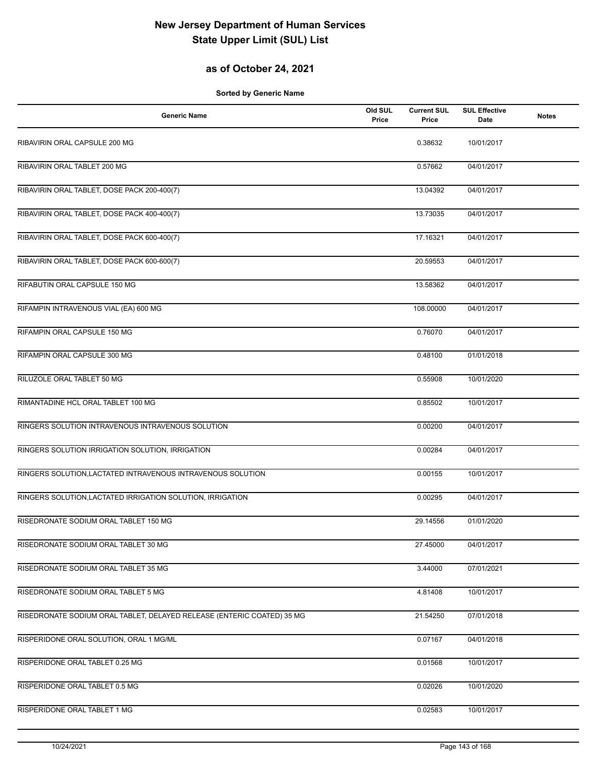## **as of October 24, 2021**

| <b>Generic Name</b>                                                    | Old SUL<br>Price | <b>Current SUL</b><br>Price | <b>SUL Effective</b><br>Date | <b>Notes</b> |
|------------------------------------------------------------------------|------------------|-----------------------------|------------------------------|--------------|
| RIBAVIRIN ORAL CAPSULE 200 MG                                          |                  | 0.38632                     | 10/01/2017                   |              |
| RIBAVIRIN ORAL TABLET 200 MG                                           |                  | 0.57662                     | 04/01/2017                   |              |
| RIBAVIRIN ORAL TABLET, DOSE PACK 200-400(7)                            |                  | 13.04392                    | 04/01/2017                   |              |
| RIBAVIRIN ORAL TABLET, DOSE PACK 400-400(7)                            |                  | 13.73035                    | 04/01/2017                   |              |
| RIBAVIRIN ORAL TABLET, DOSE PACK 600-400(7)                            |                  | 17.16321                    | 04/01/2017                   |              |
| RIBAVIRIN ORAL TABLET, DOSE PACK 600-600(7)                            |                  | 20.59553                    | 04/01/2017                   |              |
| RIFABUTIN ORAL CAPSULE 150 MG                                          |                  | 13.58362                    | 04/01/2017                   |              |
| RIFAMPIN INTRAVENOUS VIAL (EA) 600 MG                                  |                  | 108.00000                   | 04/01/2017                   |              |
| RIFAMPIN ORAL CAPSULE 150 MG                                           |                  | 0.76070                     | 04/01/2017                   |              |
| RIFAMPIN ORAL CAPSULE 300 MG                                           |                  | 0.48100                     | 01/01/2018                   |              |
| RILUZOLE ORAL TABLET 50 MG                                             |                  | 0.55908                     | 10/01/2020                   |              |
| RIMANTADINE HCL ORAL TABLET 100 MG                                     |                  | 0.85502                     | 10/01/2017                   |              |
| RINGERS SOLUTION INTRAVENOUS INTRAVENOUS SOLUTION                      |                  | 0.00200                     | 04/01/2017                   |              |
| RINGERS SOLUTION IRRIGATION SOLUTION, IRRIGATION                       |                  | 0.00284                     | 04/01/2017                   |              |
| RINGERS SOLUTION, LACTATED INTRAVENOUS INTRAVENOUS SOLUTION            |                  | 0.00155                     | 10/01/2017                   |              |
| RINGERS SOLUTION, LACTATED IRRIGATION SOLUTION, IRRIGATION             |                  | 0.00295                     | 04/01/2017                   |              |
| RISEDRONATE SODIUM ORAL TABLET 150 MG                                  |                  | 29.14556                    | 01/01/2020                   |              |
| RISEDRONATE SODIUM ORAL TABLET 30 MG                                   |                  | 27.45000                    | 04/01/2017                   |              |
| RISEDRONATE SODIUM ORAL TABLET 35 MG                                   |                  | 3.44000                     | 07/01/2021                   |              |
| RISEDRONATE SODIUM ORAL TABLET 5 MG                                    |                  | 4.81408                     | 10/01/2017                   |              |
| RISEDRONATE SODIUM ORAL TABLET, DELAYED RELEASE (ENTERIC COATED) 35 MG |                  | 21.54250                    | 07/01/2018                   |              |
| RISPERIDONE ORAL SOLUTION, ORAL 1 MG/ML                                |                  | 0.07167                     | 04/01/2018                   |              |
| RISPERIDONE ORAL TABLET 0.25 MG                                        |                  | 0.01568                     | 10/01/2017                   |              |
| RISPERIDONE ORAL TABLET 0.5 MG                                         |                  | 0.02026                     | 10/01/2020                   |              |
| RISPERIDONE ORAL TABLET 1 MG                                           |                  | 0.02583                     | 10/01/2017                   |              |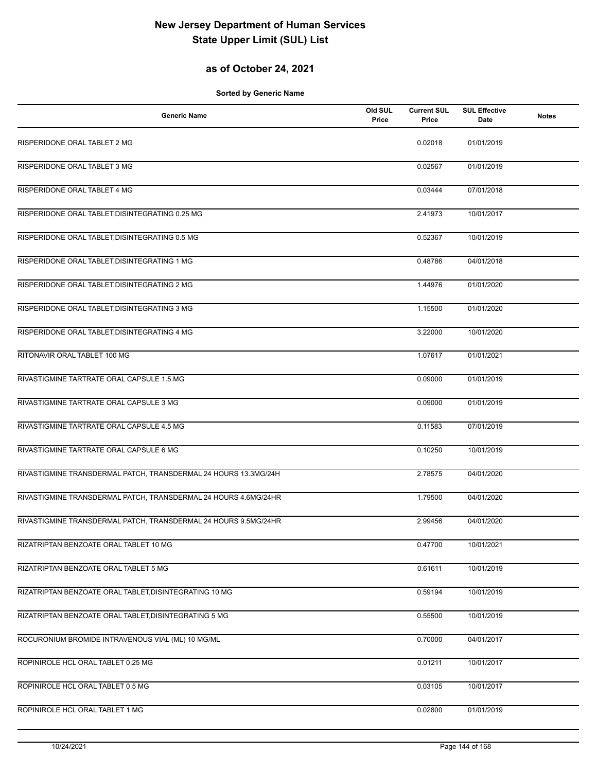## **as of October 24, 2021**

| <b>Generic Name</b>                                             | Old SUL<br>Price | <b>Current SUL</b><br>Price | <b>SUL Effective</b><br>Date | <b>Notes</b> |
|-----------------------------------------------------------------|------------------|-----------------------------|------------------------------|--------------|
| RISPERIDONE ORAL TABLET 2 MG                                    |                  | 0.02018                     | 01/01/2019                   |              |
| RISPERIDONE ORAL TABLET 3 MG                                    |                  | 0.02567                     | 01/01/2019                   |              |
| RISPERIDONE ORAL TABLET 4 MG                                    |                  | 0.03444                     | 07/01/2018                   |              |
| RISPERIDONE ORAL TABLET, DISINTEGRATING 0.25 MG                 |                  | 2.41973                     | 10/01/2017                   |              |
| RISPERIDONE ORAL TABLET, DISINTEGRATING 0.5 MG                  |                  | 0.52367                     | 10/01/2019                   |              |
| RISPERIDONE ORAL TABLET, DISINTEGRATING 1 MG                    |                  | 0.48786                     | 04/01/2018                   |              |
| RISPERIDONE ORAL TABLET, DISINTEGRATING 2 MG                    |                  | 1.44976                     | 01/01/2020                   |              |
| RISPERIDONE ORAL TABLET, DISINTEGRATING 3 MG                    |                  | 1.15500                     | 01/01/2020                   |              |
| RISPERIDONE ORAL TABLET, DISINTEGRATING 4 MG                    |                  | 3.22000                     | 10/01/2020                   |              |
| RITONAVIR ORAL TABLET 100 MG                                    |                  | 1.07617                     | 01/01/2021                   |              |
| RIVASTIGMINE TARTRATE ORAL CAPSULE 1.5 MG                       |                  | 0.09000                     | 01/01/2019                   |              |
| RIVASTIGMINE TARTRATE ORAL CAPSULE 3 MG                         |                  | 0.09000                     | 01/01/2019                   |              |
| RIVASTIGMINE TARTRATE ORAL CAPSULE 4.5 MG                       |                  | 0.11583                     | 07/01/2019                   |              |
| RIVASTIGMINE TARTRATE ORAL CAPSULE 6 MG                         |                  | 0.10250                     | 10/01/2019                   |              |
| RIVASTIGMINE TRANSDERMAL PATCH, TRANSDERMAL 24 HOURS 13.3MG/24H |                  | 2.78575                     | 04/01/2020                   |              |
| RIVASTIGMINE TRANSDERMAL PATCH, TRANSDERMAL 24 HOURS 4.6MG/24HR |                  | 1.79500                     | 04/01/2020                   |              |
| RIVASTIGMINE TRANSDERMAL PATCH, TRANSDERMAL 24 HOURS 9.5MG/24HR |                  | 2.99456                     | 04/01/2020                   |              |
| RIZATRIPTAN BENZOATE ORAL TABLET 10 MG                          |                  | 0.47700                     | 10/01/2021                   |              |
| RIZATRIPTAN BENZOATE ORAL TABLET 5 MG                           |                  | 0.61611                     | 10/01/2019                   |              |
| RIZATRIPTAN BENZOATE ORAL TABLET, DISINTEGRATING 10 MG          |                  | 0.59194                     | 10/01/2019                   |              |
| RIZATRIPTAN BENZOATE ORAL TABLET, DISINTEGRATING 5 MG           |                  | 0.55500                     | 10/01/2019                   |              |
| ROCURONIUM BROMIDE INTRAVENOUS VIAL (ML) 10 MG/ML               |                  | 0.70000                     | 04/01/2017                   |              |
| ROPINIROLE HCL ORAL TABLET 0.25 MG                              |                  | 0.01211                     | 10/01/2017                   |              |
| ROPINIROLE HCL ORAL TABLET 0.5 MG                               |                  | 0.03105                     | 10/01/2017                   |              |
| ROPINIROLE HCL ORAL TABLET 1 MG                                 |                  | 0.02800                     | 01/01/2019                   |              |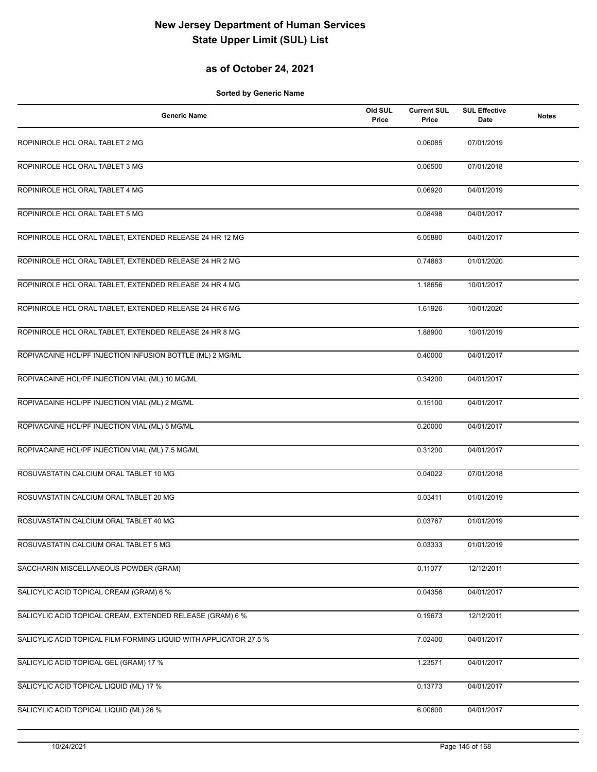### **as of October 24, 2021**

| <b>Generic Name</b>                                               | Old SUL<br>Price | <b>Current SUL</b><br>Price | <b>SUL Effective</b><br>Date | <b>Notes</b> |
|-------------------------------------------------------------------|------------------|-----------------------------|------------------------------|--------------|
| ROPINIROLE HCL ORAL TABLET 2 MG                                   |                  | 0.06085                     | 07/01/2019                   |              |
| ROPINIROLE HCL ORAL TABLET 3 MG                                   |                  | 0.06500                     | 07/01/2018                   |              |
| ROPINIROLE HCL ORAL TABLET 4 MG                                   |                  | 0.06920                     | 04/01/2019                   |              |
| ROPINIROLE HCL ORAL TABLET 5 MG                                   |                  | 0.08498                     | 04/01/2017                   |              |
| ROPINIROLE HCL ORAL TABLET, EXTENDED RELEASE 24 HR 12 MG          |                  | 6.05880                     | 04/01/2017                   |              |
| ROPINIROLE HCL ORAL TABLET, EXTENDED RELEASE 24 HR 2 MG           |                  | 0.74883                     | 01/01/2020                   |              |
| ROPINIROLE HCL ORAL TABLET, EXTENDED RELEASE 24 HR 4 MG           |                  | 1.18656                     | 10/01/2017                   |              |
| ROPINIROLE HCL ORAL TABLET, EXTENDED RELEASE 24 HR 6 MG           |                  | 1.61926                     | 10/01/2020                   |              |
| ROPINIROLE HCL ORAL TABLET, EXTENDED RELEASE 24 HR 8 MG           |                  | 1.88900                     | 10/01/2019                   |              |
| ROPIVACAINE HCL/PF INJECTION INFUSION BOTTLE (ML) 2 MG/ML         |                  | 0.40000                     | 04/01/2017                   |              |
| ROPIVACAINE HCL/PF INJECTION VIAL (ML) 10 MG/ML                   |                  | 0.34200                     | 04/01/2017                   |              |
| ROPIVACAINE HCL/PF INJECTION VIAL (ML) 2 MG/ML                    |                  | 0.15100                     | 04/01/2017                   |              |
| ROPIVACAINE HCL/PF INJECTION VIAL (ML) 5 MG/ML                    |                  | 0.20000                     | 04/01/2017                   |              |
| ROPIVACAINE HCL/PF INJECTION VIAL (ML) 7.5 MG/ML                  |                  | 0.31200                     | 04/01/2017                   |              |
| ROSUVASTATIN CALCIUM ORAL TABLET 10 MG                            |                  | 0.04022                     | 07/01/2018                   |              |
| ROSUVASTATIN CALCIUM ORAL TABLET 20 MG                            |                  | 0.03411                     | 01/01/2019                   |              |
| ROSUVASTATIN CALCIUM ORAL TABLET 40 MG                            |                  | 0.03767                     | 01/01/2019                   |              |
| ROSUVASTATIN CALCIUM ORAL TABLET 5 MG                             |                  | 0.03333                     | 01/01/2019                   |              |
| SACCHARIN MISCELLANEOUS POWDER (GRAM)                             |                  | 0.11077                     | 12/12/2011                   |              |
| SALICYLIC ACID TOPICAL CREAM (GRAM) 6 %                           |                  | 0.04356                     | 04/01/2017                   |              |
| SALICYLIC ACID TOPICAL CREAM, EXTENDED RELEASE (GRAM) 6 %         |                  | 0.19673                     | 12/12/2011                   |              |
| SALICYLIC ACID TOPICAL FILM-FORMING LIQUID WITH APPLICATOR 27.5 % |                  | 7.02400                     | 04/01/2017                   |              |
| SALICYLIC ACID TOPICAL GEL (GRAM) 17 %                            |                  | 1.23571                     | 04/01/2017                   |              |
| SALICYLIC ACID TOPICAL LIQUID (ML) 17 %                           |                  | 0.13773                     | 04/01/2017                   |              |
| SALICYLIC ACID TOPICAL LIQUID (ML) 26 %                           |                  | 6.00600                     | 04/01/2017                   |              |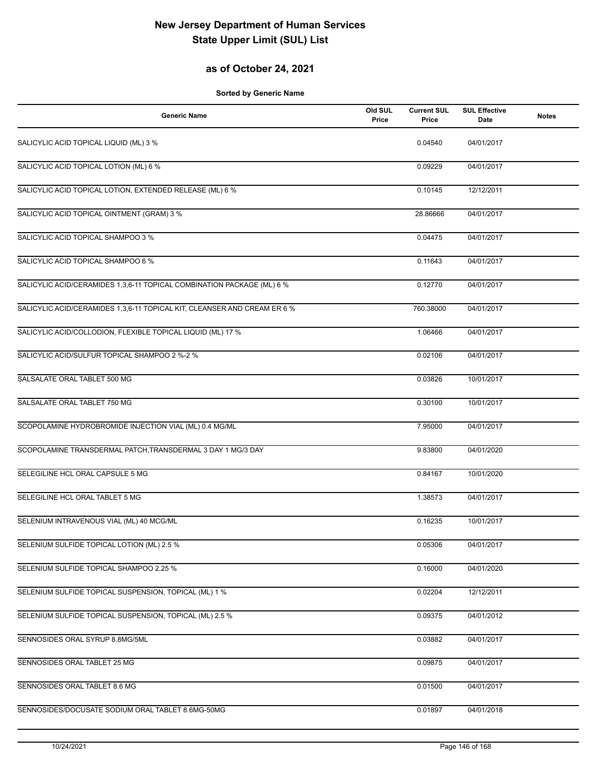### **as of October 24, 2021**

| <b>Generic Name</b>                                                      | Old SUL<br>Price | <b>Current SUL</b><br>Price | <b>SUL Effective</b><br>Date | <b>Notes</b> |
|--------------------------------------------------------------------------|------------------|-----------------------------|------------------------------|--------------|
| SALICYLIC ACID TOPICAL LIQUID (ML) 3 %                                   |                  | 0.04540                     | 04/01/2017                   |              |
| SALICYLIC ACID TOPICAL LOTION (ML) 6 %                                   |                  | 0.09229                     | 04/01/2017                   |              |
| SALICYLIC ACID TOPICAL LOTION, EXTENDED RELEASE (ML) 6 %                 |                  | 0.10145                     | 12/12/2011                   |              |
| SALICYLIC ACID TOPICAL OINTMENT (GRAM) 3 %                               |                  | 28.86666                    | 04/01/2017                   |              |
| SALICYLIC ACID TOPICAL SHAMPOO 3 %                                       |                  | 0.04475                     | 04/01/2017                   |              |
| SALICYLIC ACID TOPICAL SHAMPOO 6 %                                       |                  | 0.11643                     | 04/01/2017                   |              |
| SALICYLIC ACID/CERAMIDES 1,3,6-11 TOPICAL COMBINATION PACKAGE (ML) 6 %   |                  | 0.12770                     | 04/01/2017                   |              |
| SALICYLIC ACID/CERAMIDES 1,3,6-11 TOPICAL KIT, CLEANSER AND CREAM ER 6 % |                  | 760.38000                   | 04/01/2017                   |              |
| SALICYLIC ACID/COLLODION, FLEXIBLE TOPICAL LIQUID (ML) 17 %              |                  | 1.06466                     | 04/01/2017                   |              |
| SALICYLIC ACID/SULFUR TOPICAL SHAMPOO 2 %-2 %                            |                  | 0.02106                     | 04/01/2017                   |              |
| SALSALATE ORAL TABLET 500 MG                                             |                  | 0.03826                     | 10/01/2017                   |              |
| SALSALATE ORAL TABLET 750 MG                                             |                  | 0.30100                     | 10/01/2017                   |              |
| SCOPOLAMINE HYDROBROMIDE INJECTION VIAL (ML) 0.4 MG/ML                   |                  | 7.95000                     | 04/01/2017                   |              |
| SCOPOLAMINE TRANSDERMAL PATCH, TRANSDERMAL 3 DAY 1 MG/3 DAY              |                  | 9.83800                     | 04/01/2020                   |              |
| SELEGILINE HCL ORAL CAPSULE 5 MG                                         |                  | 0.84167                     | 10/01/2020                   |              |
| SELEGILINE HCL ORAL TABLET 5 MG                                          |                  | 1.38573                     | 04/01/2017                   |              |
| SELENIUM INTRAVENOUS VIAL (ML) 40 MCG/ML                                 |                  | 0.16235                     | 10/01/2017                   |              |
| SELENIUM SULFIDE TOPICAL LOTION (ML) 2.5 %                               |                  | 0.05306                     | 04/01/2017                   |              |
| SELENIUM SULFIDE TOPICAL SHAMPOO 2.25 %                                  |                  | 0.16000                     | 04/01/2020                   |              |
| SELENIUM SULFIDE TOPICAL SUSPENSION, TOPICAL (ML) 1 %                    |                  | 0.02204                     | 12/12/2011                   |              |
| SELENIUM SULFIDE TOPICAL SUSPENSION, TOPICAL (ML) 2.5 %                  |                  | 0.09375                     | 04/01/2012                   |              |
| SENNOSIDES ORAL SYRUP 8.8MG/5ML                                          |                  | 0.03882                     | 04/01/2017                   |              |
| SENNOSIDES ORAL TABLET 25 MG                                             |                  | 0.09875                     | 04/01/2017                   |              |
| SENNOSIDES ORAL TABLET 8.6 MG                                            |                  | 0.01500                     | 04/01/2017                   |              |
| SENNOSIDES/DOCUSATE SODIUM ORAL TABLET 8.6MG-50MG                        |                  | 0.01897                     | 04/01/2018                   |              |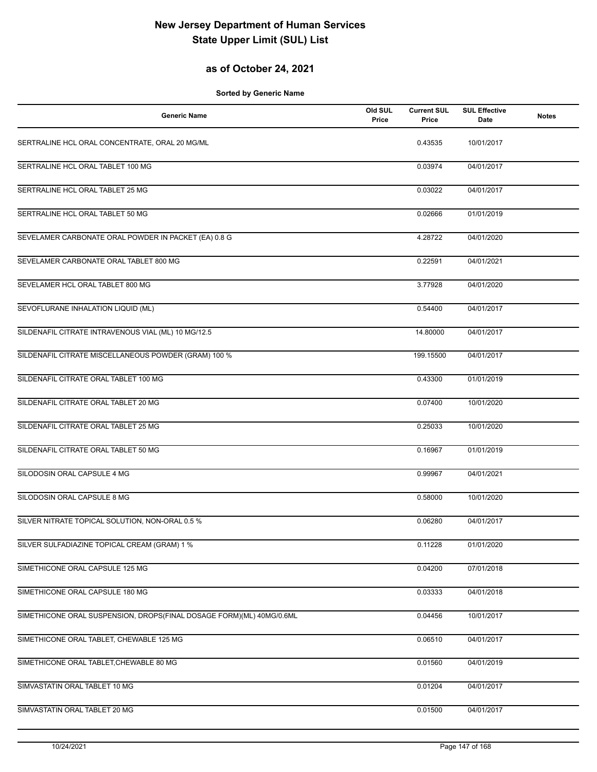### **as of October 24, 2021**

| <b>Generic Name</b>                                                  | Old SUL<br>Price | <b>Current SUL</b><br>Price | <b>SUL Effective</b><br>Date | <b>Notes</b> |
|----------------------------------------------------------------------|------------------|-----------------------------|------------------------------|--------------|
| SERTRALINE HCL ORAL CONCENTRATE, ORAL 20 MG/ML                       |                  | 0.43535                     | 10/01/2017                   |              |
| SERTRALINE HCL ORAL TABLET 100 MG                                    |                  | 0.03974                     | 04/01/2017                   |              |
| SERTRALINE HCL ORAL TABLET 25 MG                                     |                  | 0.03022                     | 04/01/2017                   |              |
| SERTRALINE HCL ORAL TABLET 50 MG                                     |                  | 0.02666                     | 01/01/2019                   |              |
| SEVELAMER CARBONATE ORAL POWDER IN PACKET (EA) 0.8 G                 |                  | 4.28722                     | 04/01/2020                   |              |
| SEVELAMER CARBONATE ORAL TABLET 800 MG                               |                  | 0.22591                     | 04/01/2021                   |              |
| SEVELAMER HCL ORAL TABLET 800 MG                                     |                  | 3.77928                     | 04/01/2020                   |              |
| SEVOFLURANE INHALATION LIQUID (ML)                                   |                  | 0.54400                     | 04/01/2017                   |              |
| SILDENAFIL CITRATE INTRAVENOUS VIAL (ML) 10 MG/12.5                  |                  | 14.80000                    | 04/01/2017                   |              |
| SILDENAFIL CITRATE MISCELLANEOUS POWDER (GRAM) 100 %                 |                  | 199.15500                   | 04/01/2017                   |              |
| SILDENAFIL CITRATE ORAL TABLET 100 MG                                |                  | 0.43300                     | 01/01/2019                   |              |
| SILDENAFIL CITRATE ORAL TABLET 20 MG                                 |                  | 0.07400                     | 10/01/2020                   |              |
| SILDENAFIL CITRATE ORAL TABLET 25 MG                                 |                  | 0.25033                     | 10/01/2020                   |              |
| SILDENAFIL CITRATE ORAL TABLET 50 MG                                 |                  | 0.16967                     | 01/01/2019                   |              |
| SILODOSIN ORAL CAPSULE 4 MG                                          |                  | 0.99967                     | 04/01/2021                   |              |
| SILODOSIN ORAL CAPSULE 8 MG                                          |                  | 0.58000                     | 10/01/2020                   |              |
| SILVER NITRATE TOPICAL SOLUTION, NON-ORAL 0.5 %                      |                  | 0.06280                     | 04/01/2017                   |              |
| SILVER SULFADIAZINE TOPICAL CREAM (GRAM) 1 %                         |                  | 0.11228                     | 01/01/2020                   |              |
| SIMETHICONE ORAL CAPSULE 125 MG                                      |                  | 0.04200                     | 07/01/2018                   |              |
| SIMETHICONE ORAL CAPSULE 180 MG                                      |                  | 0.03333                     | 04/01/2018                   |              |
| SIMETHICONE ORAL SUSPENSION, DROPS(FINAL DOSAGE FORM)(ML) 40MG/0.6ML |                  | 0.04456                     | 10/01/2017                   |              |
| SIMETHICONE ORAL TABLET, CHEWABLE 125 MG                             |                  | 0.06510                     | 04/01/2017                   |              |
| SIMETHICONE ORAL TABLET, CHEWABLE 80 MG                              |                  | 0.01560                     | 04/01/2019                   |              |
| SIMVASTATIN ORAL TABLET 10 MG                                        |                  | 0.01204                     | 04/01/2017                   |              |
| SIMVASTATIN ORAL TABLET 20 MG                                        |                  | 0.01500                     | 04/01/2017                   |              |
|                                                                      |                  |                             |                              |              |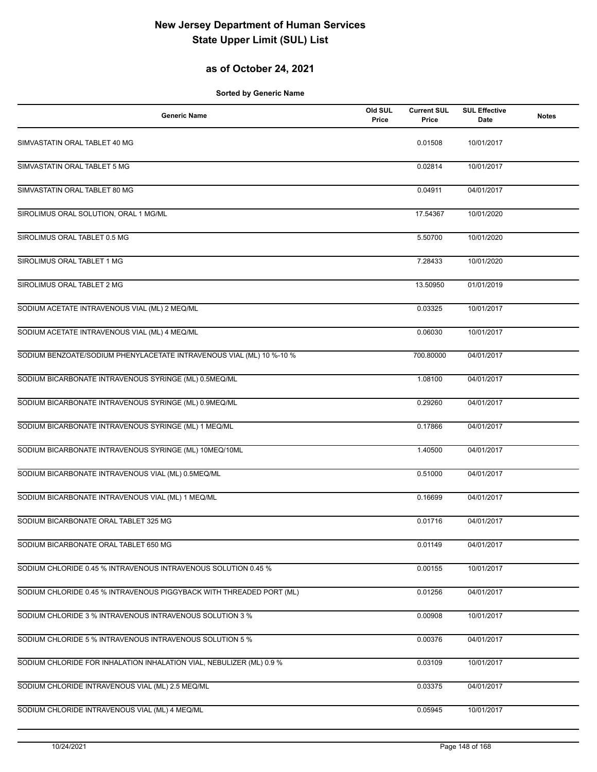### **as of October 24, 2021**

| <b>Generic Name</b>                                                  | Old SUL<br>Price | <b>Current SUL</b><br>Price | <b>SUL Effective</b><br><b>Date</b> | <b>Notes</b> |
|----------------------------------------------------------------------|------------------|-----------------------------|-------------------------------------|--------------|
| SIMVASTATIN ORAL TABLET 40 MG                                        |                  | 0.01508                     | 10/01/2017                          |              |
| SIMVASTATIN ORAL TABLET 5 MG                                         |                  | 0.02814                     | 10/01/2017                          |              |
| SIMVASTATIN ORAL TABLET 80 MG                                        |                  | 0.04911                     | 04/01/2017                          |              |
| SIROLIMUS ORAL SOLUTION, ORAL 1 MG/ML                                |                  | 17.54367                    | 10/01/2020                          |              |
| SIROLIMUS ORAL TABLET 0.5 MG                                         |                  | 5.50700                     | 10/01/2020                          |              |
| SIROLIMUS ORAL TABLET 1 MG                                           |                  | 7.28433                     | 10/01/2020                          |              |
| SIROLIMUS ORAL TABLET 2 MG                                           |                  | 13.50950                    | 01/01/2019                          |              |
| SODIUM ACETATE INTRAVENOUS VIAL (ML) 2 MEQ/ML                        |                  | 0.03325                     | 10/01/2017                          |              |
| SODIUM ACETATE INTRAVENOUS VIAL (ML) 4 MEQ/ML                        |                  | 0.06030                     | 10/01/2017                          |              |
| SODIUM BENZOATE/SODIUM PHENYLACETATE INTRAVENOUS VIAL (ML) 10 %-10 % |                  | 700.80000                   | 04/01/2017                          |              |
| SODIUM BICARBONATE INTRAVENOUS SYRINGE (ML) 0.5MEQ/ML                |                  | 1.08100                     | 04/01/2017                          |              |
| SODIUM BICARBONATE INTRAVENOUS SYRINGE (ML) 0.9MEQ/ML                |                  | 0.29260                     | 04/01/2017                          |              |
| SODIUM BICARBONATE INTRAVENOUS SYRINGE (ML) 1 MEQ/ML                 |                  | 0.17866                     | 04/01/2017                          |              |
| SODIUM BICARBONATE INTRAVENOUS SYRINGE (ML) 10MEQ/10ML               |                  | 1.40500                     | 04/01/2017                          |              |
| SODIUM BICARBONATE INTRAVENOUS VIAL (ML) 0.5MEQ/ML                   |                  | 0.51000                     | 04/01/2017                          |              |
| SODIUM BICARBONATE INTRAVENOUS VIAL (ML) 1 MEQ/ML                    |                  | 0.16699                     | 04/01/2017                          |              |
| SODIUM BICARBONATE ORAL TABLET 325 MG                                |                  | 0.01716                     | 04/01/2017                          |              |
| SODIUM BICARBONATE ORAL TABLET 650 MG                                |                  | 0.01149                     | 04/01/2017                          |              |
| SODIUM CHLORIDE 0.45 % INTRAVENOUS INTRAVENOUS SOLUTION 0.45 %       |                  | 0.00155                     | 10/01/2017                          |              |
| SODIUM CHLORIDE 0.45 % INTRAVENOUS PIGGYBACK WITH THREADED PORT (ML) |                  | 0.01256                     | 04/01/2017                          |              |
| SODIUM CHLORIDE 3 % INTRAVENOUS INTRAVENOUS SOLUTION 3 %             |                  | 0.00908                     | 10/01/2017                          |              |
| SODIUM CHLORIDE 5 % INTRAVENOUS INTRAVENOUS SOLUTION 5 %             |                  | 0.00376                     | 04/01/2017                          |              |
| SODIUM CHLORIDE FOR INHALATION INHALATION VIAL, NEBULIZER (ML) 0.9 % |                  | 0.03109                     | 10/01/2017                          |              |
| SODIUM CHLORIDE INTRAVENOUS VIAL (ML) 2.5 MEQ/ML                     |                  | 0.03375                     | 04/01/2017                          |              |
| SODIUM CHLORIDE INTRAVENOUS VIAL (ML) 4 MEQ/ML                       |                  | 0.05945                     | 10/01/2017                          |              |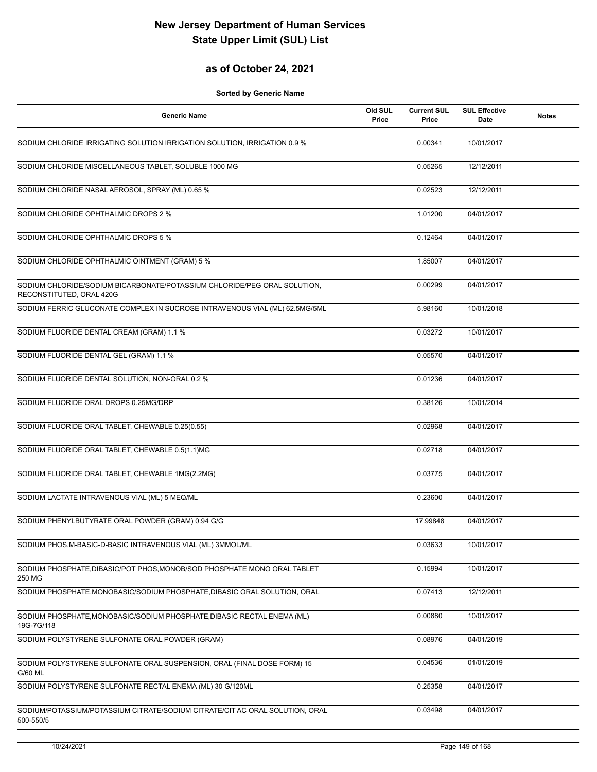### **as of October 24, 2021**

| <b>Generic Name</b>                                                                                  | Old SUL<br>Price | <b>Current SUL</b><br>Price | <b>SUL Effective</b><br>Date | <b>Notes</b> |
|------------------------------------------------------------------------------------------------------|------------------|-----------------------------|------------------------------|--------------|
| SODIUM CHLORIDE IRRIGATING SOLUTION IRRIGATION SOLUTION, IRRIGATION 0.9 %                            |                  | 0.00341                     | 10/01/2017                   |              |
| SODIUM CHLORIDE MISCELLANEOUS TABLET, SOLUBLE 1000 MG                                                |                  | 0.05265                     | 12/12/2011                   |              |
| SODIUM CHLORIDE NASAL AEROSOL, SPRAY (ML) 0.65 %                                                     |                  | 0.02523                     | 12/12/2011                   |              |
| SODIUM CHLORIDE OPHTHALMIC DROPS 2 %                                                                 |                  | 1.01200                     | 04/01/2017                   |              |
| SODIUM CHLORIDE OPHTHALMIC DROPS 5 %                                                                 |                  | 0.12464                     | 04/01/2017                   |              |
| SODIUM CHLORIDE OPHTHALMIC OINTMENT (GRAM) 5 %                                                       |                  | 1.85007                     | 04/01/2017                   |              |
| SODIUM CHLORIDE/SODIUM BICARBONATE/POTASSIUM CHLORIDE/PEG ORAL SOLUTION,<br>RECONSTITUTED, ORAL 420G |                  | 0.00299                     | 04/01/2017                   |              |
| SODIUM FERRIC GLUCONATE COMPLEX IN SUCROSE INTRAVENOUS VIAL (ML) 62.5MG/5ML                          |                  | 5.98160                     | 10/01/2018                   |              |
| SODIUM FLUORIDE DENTAL CREAM (GRAM) 1.1 %                                                            |                  | 0.03272                     | 10/01/2017                   |              |
| SODIUM FLUORIDE DENTAL GEL (GRAM) 1.1 %                                                              |                  | 0.05570                     | 04/01/2017                   |              |
| SODIUM FLUORIDE DENTAL SOLUTION, NON-ORAL 0.2 %                                                      |                  | 0.01236                     | 04/01/2017                   |              |
| SODIUM FLUORIDE ORAL DROPS 0.25MG/DRP                                                                |                  | 0.38126                     | 10/01/2014                   |              |
| SODIUM FLUORIDE ORAL TABLET, CHEWABLE 0.25(0.55)                                                     |                  | 0.02968                     | 04/01/2017                   |              |
| SODIUM FLUORIDE ORAL TABLET, CHEWABLE 0.5(1.1)MG                                                     |                  | 0.02718                     | 04/01/2017                   |              |
| SODIUM FLUORIDE ORAL TABLET, CHEWABLE 1MG(2.2MG)                                                     |                  | 0.03775                     | 04/01/2017                   |              |
| SODIUM LACTATE INTRAVENOUS VIAL (ML) 5 MEQ/ML                                                        |                  | 0.23600                     | 04/01/2017                   |              |
| SODIUM PHENYLBUTYRATE ORAL POWDER (GRAM) 0.94 G/G                                                    |                  | 17.99848                    | 04/01/2017                   |              |
| SODIUM PHOS, M-BASIC-D-BASIC INTRAVENOUS VIAL (ML) 3MMOL/ML                                          |                  | 0.03633                     | 10/01/2017                   |              |
| SODIUM PHOSPHATE, DIBASIC/POT PHOS, MONOB/SOD PHOSPHATE MONO ORAL TABLET<br>250 MG                   |                  | 0.15994                     | 10/01/2017                   |              |
| SODIUM PHOSPHATE, MONOBASIC/SODIUM PHOSPHATE, DIBASIC ORAL SOLUTION, ORAL                            |                  | 0.07413                     | 12/12/2011                   |              |
| SODIUM PHOSPHATE, MONOBASIC/SODIUM PHOSPHATE, DIBASIC RECTAL ENEMA (ML)<br>19G-7G/118                |                  | 0.00880                     | 10/01/2017                   |              |
| SODIUM POLYSTYRENE SULFONATE ORAL POWDER (GRAM)                                                      |                  | 0.08976                     | 04/01/2019                   |              |
| SODIUM POLYSTYRENE SULFONATE ORAL SUSPENSION, ORAL (FINAL DOSE FORM) 15<br>G/60 ML                   |                  | 0.04536                     | 01/01/2019                   |              |
| SODIUM POLYSTYRENE SULFONATE RECTAL ENEMA (ML) 30 G/120ML                                            |                  | 0.25358                     | 04/01/2017                   |              |
| SODIUM/POTASSIUM/POTASSIUM CITRATE/SODIUM CITRATE/CIT AC ORAL SOLUTION, ORAL<br>500-550/5            |                  | 0.03498                     | 04/01/2017                   |              |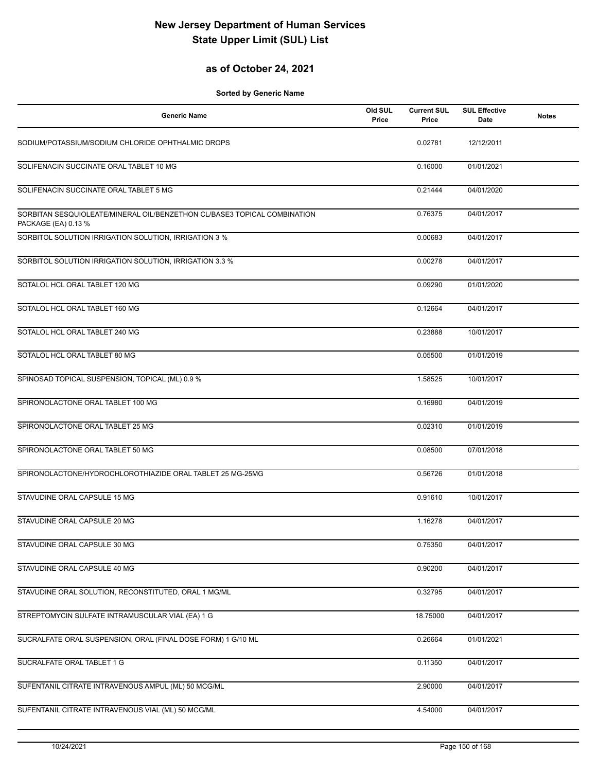### **as of October 24, 2021**

| <b>Generic Name</b>                                                                             | Old SUL<br>Price | <b>Current SUL</b><br>Price | <b>SUL Effective</b><br>Date | <b>Notes</b> |
|-------------------------------------------------------------------------------------------------|------------------|-----------------------------|------------------------------|--------------|
| SODIUM/POTASSIUM/SODIUM CHLORIDE OPHTHALMIC DROPS                                               |                  | 0.02781                     | 12/12/2011                   |              |
| SOLIFENACIN SUCCINATE ORAL TABLET 10 MG                                                         |                  | 0.16000                     | 01/01/2021                   |              |
| SOLIFENACIN SUCCINATE ORAL TABLET 5 MG                                                          |                  | 0.21444                     | 04/01/2020                   |              |
| SORBITAN SESQUIOLEATE/MINERAL OIL/BENZETHON CL/BASE3 TOPICAL COMBINATION<br>PACKAGE (EA) 0.13 % |                  | 0.76375                     | 04/01/2017                   |              |
| SORBITOL SOLUTION IRRIGATION SOLUTION, IRRIGATION 3 %                                           |                  | 0.00683                     | 04/01/2017                   |              |
| SORBITOL SOLUTION IRRIGATION SOLUTION, IRRIGATION 3.3 %                                         |                  | 0.00278                     | 04/01/2017                   |              |
| SOTALOL HCL ORAL TABLET 120 MG                                                                  |                  | 0.09290                     | 01/01/2020                   |              |
| SOTALOL HCL ORAL TABLET 160 MG                                                                  |                  | 0.12664                     | 04/01/2017                   |              |
| SOTALOL HCL ORAL TABLET 240 MG                                                                  |                  | 0.23888                     | 10/01/2017                   |              |
| SOTALOL HCL ORAL TABLET 80 MG                                                                   |                  | 0.05500                     | 01/01/2019                   |              |
| SPINOSAD TOPICAL SUSPENSION, TOPICAL (ML) 0.9 %                                                 |                  | 1.58525                     | 10/01/2017                   |              |
| SPIRONOLACTONE ORAL TABLET 100 MG                                                               |                  | 0.16980                     | 04/01/2019                   |              |
| SPIRONOLACTONE ORAL TABLET 25 MG                                                                |                  | 0.02310                     | 01/01/2019                   |              |
| SPIRONOLACTONE ORAL TABLET 50 MG                                                                |                  | 0.08500                     | 07/01/2018                   |              |
| SPIRONOLACTONE/HYDROCHLOROTHIAZIDE ORAL TABLET 25 MG-25MG                                       |                  | 0.56726                     | 01/01/2018                   |              |
| STAVUDINE ORAL CAPSULE 15 MG                                                                    |                  | 0.91610                     | 10/01/2017                   |              |
| STAVUDINE ORAL CAPSULE 20 MG                                                                    |                  | 1.16278                     | 04/01/2017                   |              |
| STAVUDINE ORAL CAPSULE 30 MG                                                                    |                  | 0.75350                     | 04/01/2017                   |              |
| STAVUDINE ORAL CAPSULE 40 MG                                                                    |                  | 0.90200                     | 04/01/2017                   |              |
| STAVUDINE ORAL SOLUTION, RECONSTITUTED, ORAL 1 MG/ML                                            |                  | 0.32795                     | 04/01/2017                   |              |
| STREPTOMYCIN SULFATE INTRAMUSCULAR VIAL (EA) 1 G                                                |                  | 18.75000                    | 04/01/2017                   |              |
| SUCRALFATE ORAL SUSPENSION, ORAL (FINAL DOSE FORM) 1 G/10 ML                                    |                  | 0.26664                     | 01/01/2021                   |              |
| SUCRALFATE ORAL TABLET 1 G                                                                      |                  | 0.11350                     | 04/01/2017                   |              |
| SUFENTANIL CITRATE INTRAVENOUS AMPUL (ML) 50 MCG/ML                                             |                  | 2.90000                     | 04/01/2017                   |              |
| SUFENTANIL CITRATE INTRAVENOUS VIAL (ML) 50 MCG/ML                                              |                  | 4.54000                     | 04/01/2017                   |              |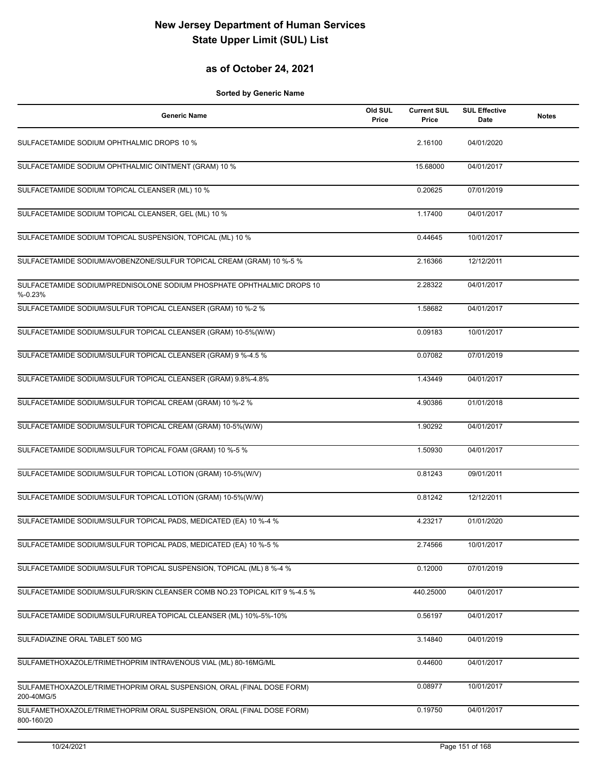### **as of October 24, 2021**

| <b>Generic Name</b>                                                                  | Old SUL<br>Price | <b>Current SUL</b><br>Price | <b>SUL Effective</b><br><b>Date</b> | <b>Notes</b> |
|--------------------------------------------------------------------------------------|------------------|-----------------------------|-------------------------------------|--------------|
| SULFACETAMIDE SODIUM OPHTHALMIC DROPS 10 %                                           |                  | 2.16100                     | 04/01/2020                          |              |
| SULFACETAMIDE SODIUM OPHTHALMIC OINTMENT (GRAM) 10 %                                 |                  | 15.68000                    | 04/01/2017                          |              |
| SULFACETAMIDE SODIUM TOPICAL CLEANSER (ML) 10 %                                      |                  | 0.20625                     | 07/01/2019                          |              |
| SULFACETAMIDE SODIUM TOPICAL CLEANSER, GEL (ML) 10 %                                 |                  | 1.17400                     | 04/01/2017                          |              |
| SULFACETAMIDE SODIUM TOPICAL SUSPENSION, TOPICAL (ML) 10 %                           |                  | 0.44645                     | 10/01/2017                          |              |
| SULFACETAMIDE SODIUM/AVOBENZONE/SULFUR TOPICAL CREAM (GRAM) 10 %-5 %                 |                  | 2.16366                     | 12/12/2011                          |              |
| SULFACETAMIDE SODIUM/PREDNISOLONE SODIUM PHOSPHATE OPHTHALMIC DROPS 10<br>$% -0.23%$ |                  | 2.28322                     | 04/01/2017                          |              |
| SULFACETAMIDE SODIUM/SULFUR TOPICAL CLEANSER (GRAM) 10 %-2 %                         |                  | 1.58682                     | 04/01/2017                          |              |
| SULFACETAMIDE SODIUM/SULFUR TOPICAL CLEANSER (GRAM) 10-5%(W/W)                       |                  | 0.09183                     | 10/01/2017                          |              |
| SULFACETAMIDE SODIUM/SULFUR TOPICAL CLEANSER (GRAM) 9 %-4.5 %                        |                  | 0.07082                     | 07/01/2019                          |              |
| SULFACETAMIDE SODIUM/SULFUR TOPICAL CLEANSER (GRAM) 9.8%-4.8%                        |                  | 1.43449                     | 04/01/2017                          |              |
| SULFACETAMIDE SODIUM/SULFUR TOPICAL CREAM (GRAM) 10 %-2 %                            |                  | 4.90386                     | 01/01/2018                          |              |
| SULFACETAMIDE SODIUM/SULFUR TOPICAL CREAM (GRAM) 10-5%(W/W)                          |                  | 1.90292                     | 04/01/2017                          |              |
| SULFACETAMIDE SODIUM/SULFUR TOPICAL FOAM (GRAM) 10 %-5 %                             |                  | 1.50930                     | 04/01/2017                          |              |
| SULFACETAMIDE SODIUM/SULFUR TOPICAL LOTION (GRAM) 10-5%(W/V)                         |                  | 0.81243                     | 09/01/2011                          |              |
| SULFACETAMIDE SODIUM/SULFUR TOPICAL LOTION (GRAM) 10-5%(W/W)                         |                  | 0.81242                     | 12/12/2011                          |              |
| SULFACETAMIDE SODIUM/SULFUR TOPICAL PADS, MEDICATED (EA) 10 %-4 %                    |                  | 4.23217                     | 01/01/2020                          |              |
| SULFACETAMIDE SODIUM/SULFUR TOPICAL PADS, MEDICATED (EA) 10 %-5 %                    |                  | 2.74566                     | 10/01/2017                          |              |
| SULFACETAMIDE SODIUM/SULFUR TOPICAL SUSPENSION, TOPICAL (ML) 8 %-4 %                 |                  | 0.12000                     | 07/01/2019                          |              |
| SULFACETAMIDE SODIUM/SULFUR/SKIN CLEANSER COMB NO.23 TOPICAL KIT 9 %-4.5 %           |                  | 440.25000                   | 04/01/2017                          |              |
| SULFACETAMIDE SODIUM/SULFUR/UREA TOPICAL CLEANSER (ML) 10%-5%-10%                    |                  | 0.56197                     | 04/01/2017                          |              |
| SULFADIAZINE ORAL TABLET 500 MG                                                      |                  | 3.14840                     | 04/01/2019                          |              |
| SULFAMETHOXAZOLE/TRIMETHOPRIM INTRAVENOUS VIAL (ML) 80-16MG/ML                       |                  | 0.44600                     | 04/01/2017                          |              |
| SULFAMETHOXAZOLE/TRIMETHOPRIM ORAL SUSPENSION, ORAL (FINAL DOSE FORM)<br>200-40MG/5  |                  | 0.08977                     | 10/01/2017                          |              |
| SULFAMETHOXAZOLE/TRIMETHOPRIM ORAL SUSPENSION, ORAL (FINAL DOSE FORM)<br>800-160/20  |                  | 0.19750                     | 04/01/2017                          |              |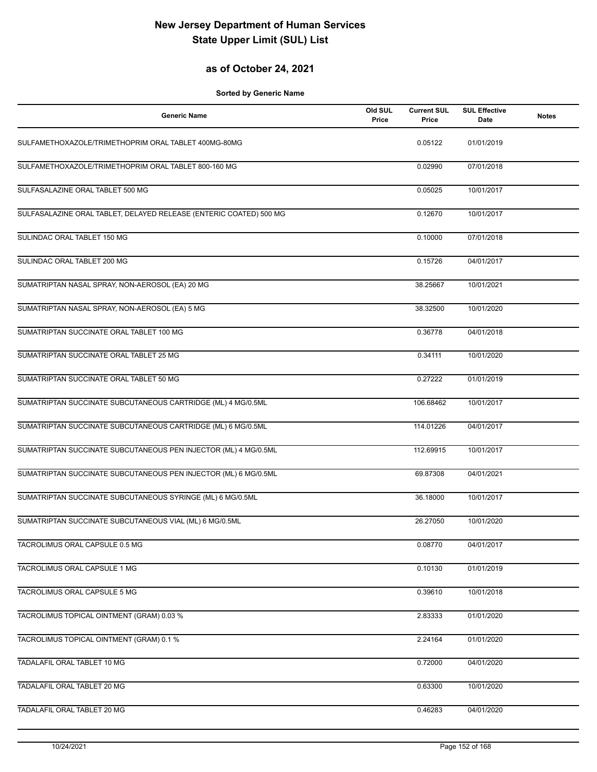### **as of October 24, 2021**

| <b>Generic Name</b>                                                | Old SUL<br>Price | <b>Current SUL</b><br>Price | <b>SUL Effective</b><br><b>Date</b> | <b>Notes</b> |
|--------------------------------------------------------------------|------------------|-----------------------------|-------------------------------------|--------------|
| SULFAMETHOXAZOLE/TRIMETHOPRIM ORAL TABLET 400MG-80MG               |                  | 0.05122                     | 01/01/2019                          |              |
| SULFAMETHOXAZOLE/TRIMETHOPRIM ORAL TABLET 800-160 MG               |                  | 0.02990                     | 07/01/2018                          |              |
| SULFASALAZINE ORAL TABLET 500 MG                                   |                  | 0.05025                     | 10/01/2017                          |              |
| SULFASALAZINE ORAL TABLET, DELAYED RELEASE (ENTERIC COATED) 500 MG |                  | 0.12670                     | 10/01/2017                          |              |
| SULINDAC ORAL TABLET 150 MG                                        |                  | 0.10000                     | 07/01/2018                          |              |
| SULINDAC ORAL TABLET 200 MG                                        |                  | 0.15726                     | 04/01/2017                          |              |
| SUMATRIPTAN NASAL SPRAY, NON-AEROSOL (EA) 20 MG                    |                  | 38.25667                    | 10/01/2021                          |              |
| SUMATRIPTAN NASAL SPRAY, NON-AEROSOL (EA) 5 MG                     |                  | 38.32500                    | 10/01/2020                          |              |
| SUMATRIPTAN SUCCINATE ORAL TABLET 100 MG                           |                  | 0.36778                     | 04/01/2018                          |              |
| SUMATRIPTAN SUCCINATE ORAL TABLET 25 MG                            |                  | 0.34111                     | 10/01/2020                          |              |
| SUMATRIPTAN SUCCINATE ORAL TABLET 50 MG                            |                  | 0.27222                     | 01/01/2019                          |              |
| SUMATRIPTAN SUCCINATE SUBCUTANEOUS CARTRIDGE (ML) 4 MG/0.5ML       |                  | 106.68462                   | 10/01/2017                          |              |
| SUMATRIPTAN SUCCINATE SUBCUTANEOUS CARTRIDGE (ML) 6 MG/0.5ML       |                  | 114.01226                   | 04/01/2017                          |              |
| SUMATRIPTAN SUCCINATE SUBCUTANEOUS PEN INJECTOR (ML) 4 MG/0.5ML    |                  | 112.69915                   | 10/01/2017                          |              |
| SUMATRIPTAN SUCCINATE SUBCUTANEOUS PEN INJECTOR (ML) 6 MG/0.5ML    |                  | 69.87308                    | 04/01/2021                          |              |
| SUMATRIPTAN SUCCINATE SUBCUTANEOUS SYRINGE (ML) 6 MG/0.5ML         |                  | 36.18000                    | 10/01/2017                          |              |
| SUMATRIPTAN SUCCINATE SUBCUTANEOUS VIAL (ML) 6 MG/0.5ML            |                  | 26.27050                    | 10/01/2020                          |              |
| TACROLIMUS ORAL CAPSULE 0.5 MG                                     |                  | 0.08770                     | 04/01/2017                          |              |
| TACROLIMUS ORAL CAPSULE 1 MG                                       |                  | 0.10130                     | 01/01/2019                          |              |
| TACROLIMUS ORAL CAPSULE 5 MG                                       |                  | 0.39610                     | 10/01/2018                          |              |
| TACROLIMUS TOPICAL OINTMENT (GRAM) 0.03 %                          |                  | 2.83333                     | 01/01/2020                          |              |
| TACROLIMUS TOPICAL OINTMENT (GRAM) 0.1 %                           |                  | 2.24164                     | 01/01/2020                          |              |
| TADALAFIL ORAL TABLET 10 MG                                        |                  | 0.72000                     | 04/01/2020                          |              |
| TADALAFIL ORAL TABLET 20 MG                                        |                  | 0.63300                     | 10/01/2020                          |              |
| TADALAFIL ORAL TABLET 20 MG                                        |                  | 0.46283                     | 04/01/2020                          |              |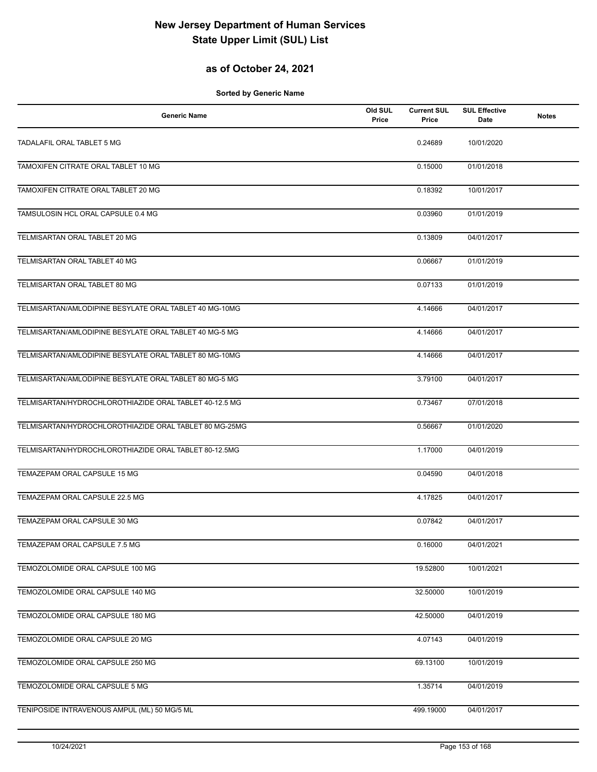### **as of October 24, 2021**

| <b>Generic Name</b>                                    | Old SUL<br>Price | <b>Current SUL</b><br>Price | <b>SUL Effective</b><br>Date | <b>Notes</b> |
|--------------------------------------------------------|------------------|-----------------------------|------------------------------|--------------|
| TADALAFIL ORAL TABLET 5 MG                             |                  | 0.24689                     | 10/01/2020                   |              |
| TAMOXIFEN CITRATE ORAL TABLET 10 MG                    |                  | 0.15000                     | 01/01/2018                   |              |
| TAMOXIFEN CITRATE ORAL TABLET 20 MG                    |                  | 0.18392                     | 10/01/2017                   |              |
| TAMSULOSIN HCL ORAL CAPSULE 0.4 MG                     |                  | 0.03960                     | 01/01/2019                   |              |
| TELMISARTAN ORAL TABLET 20 MG                          |                  | 0.13809                     | 04/01/2017                   |              |
| TELMISARTAN ORAL TABLET 40 MG                          |                  | 0.06667                     | 01/01/2019                   |              |
| TELMISARTAN ORAL TABLET 80 MG                          |                  | 0.07133                     | 01/01/2019                   |              |
| TELMISARTAN/AMLODIPINE BESYLATE ORAL TABLET 40 MG-10MG |                  | 4.14666                     | 04/01/2017                   |              |
| TELMISARTAN/AMLODIPINE BESYLATE ORAL TABLET 40 MG-5 MG |                  | 4.14666                     | 04/01/2017                   |              |
| TELMISARTAN/AMLODIPINE BESYLATE ORAL TABLET 80 MG-10MG |                  | 4.14666                     | 04/01/2017                   |              |
| TELMISARTAN/AMLODIPINE BESYLATE ORAL TABLET 80 MG-5 MG |                  | 3.79100                     | 04/01/2017                   |              |
| TELMISARTAN/HYDROCHLOROTHIAZIDE ORAL TABLET 40-12.5 MG |                  | 0.73467                     | 07/01/2018                   |              |
| TELMISARTAN/HYDROCHLOROTHIAZIDE ORAL TABLET 80 MG-25MG |                  | 0.56667                     | 01/01/2020                   |              |
| TELMISARTAN/HYDROCHLOROTHIAZIDE ORAL TABLET 80-12.5MG  |                  | 1.17000                     | 04/01/2019                   |              |
| TEMAZEPAM ORAL CAPSULE 15 MG                           |                  | 0.04590                     | 04/01/2018                   |              |
| TEMAZEPAM ORAL CAPSULE 22.5 MG                         |                  | 4.17825                     | 04/01/2017                   |              |
| TEMAZEPAM ORAL CAPSULE 30 MG                           |                  | 0.07842                     | 04/01/2017                   |              |
| TEMAZEPAM ORAL CAPSULE 7.5 MG                          |                  | 0.16000                     | 04/01/2021                   |              |
| TEMOZOLOMIDE ORAL CAPSULE 100 MG                       |                  | 19.52800                    | 10/01/2021                   |              |
| TEMOZOLOMIDE ORAL CAPSULE 140 MG                       |                  | 32.50000                    | 10/01/2019                   |              |
| TEMOZOLOMIDE ORAL CAPSULE 180 MG                       |                  | 42.50000                    | 04/01/2019                   |              |
| TEMOZOLOMIDE ORAL CAPSULE 20 MG                        |                  | 4.07143                     | 04/01/2019                   |              |
| TEMOZOLOMIDE ORAL CAPSULE 250 MG                       |                  | 69.13100                    | 10/01/2019                   |              |
| TEMOZOLOMIDE ORAL CAPSULE 5 MG                         |                  | 1.35714                     | 04/01/2019                   |              |
| TENIPOSIDE INTRAVENOUS AMPUL (ML) 50 MG/5 ML           |                  | 499.19000                   | 04/01/2017                   |              |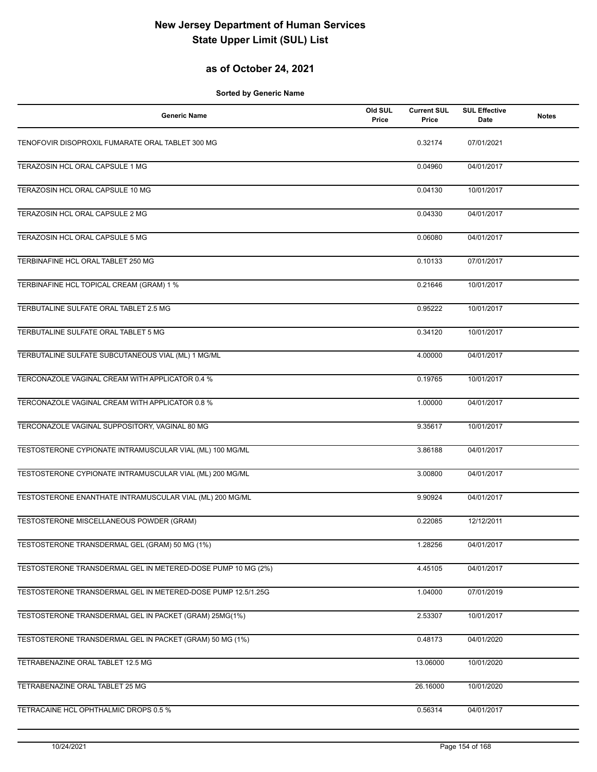### **as of October 24, 2021**

| <b>Generic Name</b>                                          | Old SUL<br>Price | <b>Current SUL</b><br>Price | <b>SUL Effective</b><br>Date | <b>Notes</b> |
|--------------------------------------------------------------|------------------|-----------------------------|------------------------------|--------------|
| TENOFOVIR DISOPROXIL FUMARATE ORAL TABLET 300 MG             |                  | 0.32174                     | 07/01/2021                   |              |
| TERAZOSIN HCL ORAL CAPSULE 1 MG                              |                  | 0.04960                     | 04/01/2017                   |              |
| TERAZOSIN HCL ORAL CAPSULE 10 MG                             |                  | 0.04130                     | 10/01/2017                   |              |
| TERAZOSIN HCL ORAL CAPSULE 2 MG                              |                  | 0.04330                     | 04/01/2017                   |              |
| TERAZOSIN HCL ORAL CAPSULE 5 MG                              |                  | 0.06080                     | 04/01/2017                   |              |
| TERBINAFINE HCL ORAL TABLET 250 MG                           |                  | 0.10133                     | 07/01/2017                   |              |
| TERBINAFINE HCL TOPICAL CREAM (GRAM) 1 %                     |                  | 0.21646                     | 10/01/2017                   |              |
| TERBUTALINE SULFATE ORAL TABLET 2.5 MG                       |                  | 0.95222                     | 10/01/2017                   |              |
| TERBUTALINE SULFATE ORAL TABLET 5 MG                         |                  | 0.34120                     | 10/01/2017                   |              |
| TERBUTALINE SULFATE SUBCUTANEOUS VIAL (ML) 1 MG/ML           |                  | 4.00000                     | 04/01/2017                   |              |
| TERCONAZOLE VAGINAL CREAM WITH APPLICATOR 0.4 %              |                  | 0.19765                     | 10/01/2017                   |              |
| TERCONAZOLE VAGINAL CREAM WITH APPLICATOR 0.8 %              |                  | 1.00000                     | 04/01/2017                   |              |
| TERCONAZOLE VAGINAL SUPPOSITORY, VAGINAL 80 MG               |                  | 9.35617                     | 10/01/2017                   |              |
| TESTOSTERONE CYPIONATE INTRAMUSCULAR VIAL (ML) 100 MG/ML     |                  | 3.86188                     | 04/01/2017                   |              |
| TESTOSTERONE CYPIONATE INTRAMUSCULAR VIAL (ML) 200 MG/ML     |                  | 3.00800                     | 04/01/2017                   |              |
| TESTOSTERONE ENANTHATE INTRAMUSCULAR VIAL (ML) 200 MG/ML     |                  | 9.90924                     | 04/01/2017                   |              |
| TESTOSTERONE MISCELLANEOUS POWDER (GRAM)                     |                  | 0.22085                     | 12/12/2011                   |              |
| TESTOSTERONE TRANSDERMAL GEL (GRAM) 50 MG (1%)               |                  | 1.28256                     | 04/01/2017                   |              |
| TESTOSTERONE TRANSDERMAL GEL IN METERED-DOSE PUMP 10 MG (2%) |                  | 4.45105                     | 04/01/2017                   |              |
| TESTOSTERONE TRANSDERMAL GEL IN METERED-DOSE PUMP 12.5/1.25G |                  | 1.04000                     | 07/01/2019                   |              |
| TESTOSTERONE TRANSDERMAL GEL IN PACKET (GRAM) 25MG(1%)       |                  | 2.53307                     | 10/01/2017                   |              |
| TESTOSTERONE TRANSDERMAL GEL IN PACKET (GRAM) 50 MG (1%)     |                  | 0.48173                     | 04/01/2020                   |              |
| TETRABENAZINE ORAL TABLET 12.5 MG                            |                  | 13.06000                    | 10/01/2020                   |              |
| TETRABENAZINE ORAL TABLET 25 MG                              |                  | 26.16000                    | 10/01/2020                   |              |
| TETRACAINE HCL OPHTHALMIC DROPS 0.5 %                        |                  | 0.56314                     | 04/01/2017                   |              |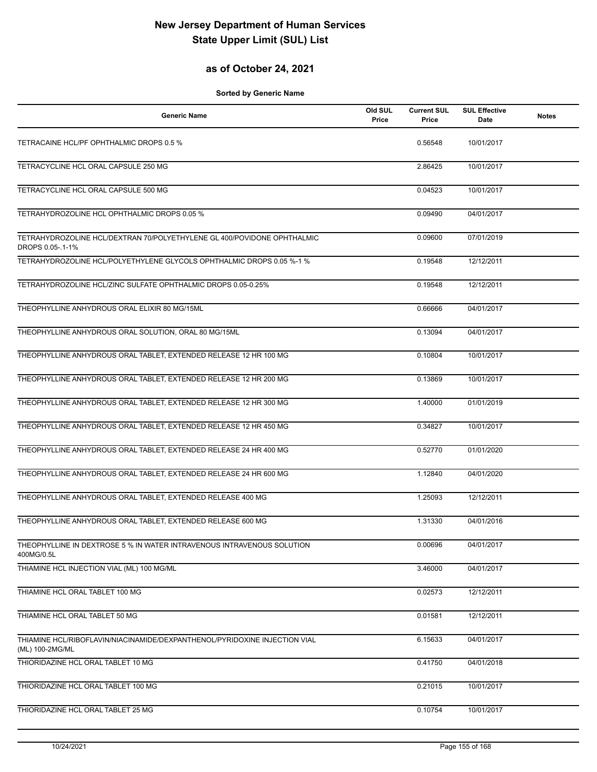### **as of October 24, 2021**

| Generic Name                                                                                  | Old SUL<br>Price | <b>Current SUL</b><br>Price | <b>SUL Effective</b><br>Date | <b>Notes</b> |
|-----------------------------------------------------------------------------------------------|------------------|-----------------------------|------------------------------|--------------|
| TETRACAINE HCL/PF OPHTHALMIC DROPS 0.5 %                                                      |                  | 0.56548                     | 10/01/2017                   |              |
| TETRACYCLINE HCL ORAL CAPSULE 250 MG                                                          |                  | 2.86425                     | 10/01/2017                   |              |
| TETRACYCLINE HCL ORAL CAPSULE 500 MG                                                          |                  | 0.04523                     | 10/01/2017                   |              |
| TETRAHYDROZOLINE HCL OPHTHALMIC DROPS 0.05 %                                                  |                  | 0.09490                     | 04/01/2017                   |              |
| TETRAHYDROZOLINE HCL/DEXTRAN 70/POLYETHYLENE GL 400/POVIDONE OPHTHALMIC<br>DROPS 0.05-.1-1%   |                  | 0.09600                     | 07/01/2019                   |              |
| TETRAHYDROZOLINE HCL/POLYETHYLENE GLYCOLS OPHTHALMIC DROPS 0.05 %-1 %                         |                  | 0.19548                     | 12/12/2011                   |              |
| TETRAHYDROZOLINE HCL/ZINC SULFATE OPHTHALMIC DROPS 0.05-0.25%                                 |                  | 0.19548                     | 12/12/2011                   |              |
| THEOPHYLLINE ANHYDROUS ORAL ELIXIR 80 MG/15ML                                                 |                  | 0.66666                     | 04/01/2017                   |              |
| THEOPHYLLINE ANHYDROUS ORAL SOLUTION, ORAL 80 MG/15ML                                         |                  | 0.13094                     | 04/01/2017                   |              |
| THEOPHYLLINE ANHYDROUS ORAL TABLET, EXTENDED RELEASE 12 HR 100 MG                             |                  | 0.10804                     | 10/01/2017                   |              |
| THEOPHYLLINE ANHYDROUS ORAL TABLET, EXTENDED RELEASE 12 HR 200 MG                             |                  | 0.13869                     | 10/01/2017                   |              |
| THEOPHYLLINE ANHYDROUS ORAL TABLET, EXTENDED RELEASE 12 HR 300 MG                             |                  | 1.40000                     | 01/01/2019                   |              |
| THEOPHYLLINE ANHYDROUS ORAL TABLET, EXTENDED RELEASE 12 HR 450 MG                             |                  | 0.34827                     | 10/01/2017                   |              |
| THEOPHYLLINE ANHYDROUS ORAL TABLET, EXTENDED RELEASE 24 HR 400 MG                             |                  | 0.52770                     | 01/01/2020                   |              |
| THEOPHYLLINE ANHYDROUS ORAL TABLET, EXTENDED RELEASE 24 HR 600 MG                             |                  | 1.12840                     | 04/01/2020                   |              |
| THEOPHYLLINE ANHYDROUS ORAL TABLET, EXTENDED RELEASE 400 MG                                   |                  | 1.25093                     | 12/12/2011                   |              |
| THEOPHYLLINE ANHYDROUS ORAL TABLET, EXTENDED RELEASE 600 MG                                   |                  | 1.31330                     | 04/01/2016                   |              |
| THEOPHYLLINE IN DEXTROSE 5 % IN WATER INTRAVENOUS INTRAVENOUS SOLUTION<br>400MG/0.5L          |                  | 0.00696                     | 04/01/2017                   |              |
| THIAMINE HCL INJECTION VIAL (ML) 100 MG/ML                                                    |                  | 3.46000                     | 04/01/2017                   |              |
| THIAMINE HCL ORAL TABLET 100 MG                                                               |                  | 0.02573                     | 12/12/2011                   |              |
| THIAMINE HCL ORAL TABLET 50 MG                                                                |                  | 0.01581                     | 12/12/2011                   |              |
| THIAMINE HCL/RIBOFLAVIN/NIACINAMIDE/DEXPANTHENOL/PYRIDOXINE INJECTION VIAL<br>(ML) 100-2MG/ML |                  | 6.15633                     | 04/01/2017                   |              |
| THIORIDAZINE HCL ORAL TABLET 10 MG                                                            |                  | 0.41750                     | 04/01/2018                   |              |
| THIORIDAZINE HCL ORAL TABLET 100 MG                                                           |                  | 0.21015                     | 10/01/2017                   |              |
| THIORIDAZINE HCL ORAL TABLET 25 MG                                                            |                  | 0.10754                     | 10/01/2017                   |              |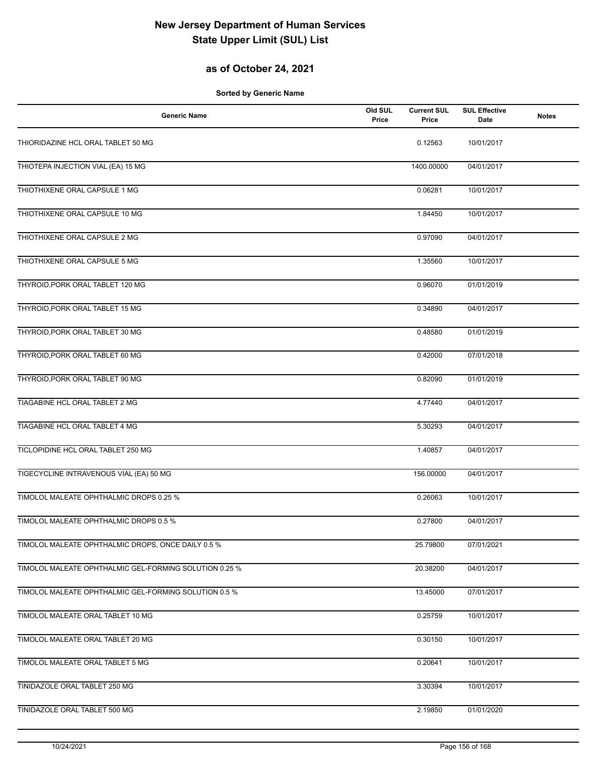### **as of October 24, 2021**

| <b>Generic Name</b>                                    | Old SUL<br>Price | <b>Current SUL</b><br>Price | <b>SUL Effective</b><br>Date | <b>Notes</b> |
|--------------------------------------------------------|------------------|-----------------------------|------------------------------|--------------|
| THIORIDAZINE HCL ORAL TABLET 50 MG                     |                  | 0.12563                     | 10/01/2017                   |              |
| THIOTEPA INJECTION VIAL (EA) 15 MG                     |                  | 1400.00000                  | 04/01/2017                   |              |
| THIOTHIXENE ORAL CAPSULE 1 MG                          |                  | 0.06281                     | 10/01/2017                   |              |
| THIOTHIXENE ORAL CAPSULE 10 MG                         |                  | 1.84450                     | 10/01/2017                   |              |
| THIOTHIXENE ORAL CAPSULE 2 MG                          |                  | 0.97090                     | 04/01/2017                   |              |
| THIOTHIXENE ORAL CAPSULE 5 MG                          |                  | 1.35560                     | 10/01/2017                   |              |
| THYROID, PORK ORAL TABLET 120 MG                       |                  | 0.96070                     | 01/01/2019                   |              |
| THYROID, PORK ORAL TABLET 15 MG                        |                  | 0.34890                     | 04/01/2017                   |              |
| THYROID, PORK ORAL TABLET 30 MG                        |                  | 0.48580                     | 01/01/2019                   |              |
| THYROID, PORK ORAL TABLET 60 MG                        |                  | 0.42000                     | 07/01/2018                   |              |
| THYROID, PORK ORAL TABLET 90 MG                        |                  | 0.82090                     | 01/01/2019                   |              |
| TIAGABINE HCL ORAL TABLET 2 MG                         |                  | 4.77440                     | 04/01/2017                   |              |
| TIAGABINE HCL ORAL TABLET 4 MG                         |                  | 5.30293                     | 04/01/2017                   |              |
| TICLOPIDINE HCL ORAL TABLET 250 MG                     |                  | 1.40857                     | 04/01/2017                   |              |
| TIGECYCLINE INTRAVENOUS VIAL (EA) 50 MG                |                  | 156.00000                   | 04/01/2017                   |              |
| TIMOLOL MALEATE OPHTHALMIC DROPS 0.25 %                |                  | 0.26063                     | 10/01/2017                   |              |
| TIMOLOL MALEATE OPHTHALMIC DROPS 0.5 %                 |                  | 0.27800                     | 04/01/2017                   |              |
| TIMOLOL MALEATE OPHTHALMIC DROPS, ONCE DAILY 0.5 %     |                  | 25.79800                    | 07/01/2021                   |              |
| TIMOLOL MALEATE OPHTHALMIC GEL-FORMING SOLUTION 0.25 % |                  | 20.38200                    | 04/01/2017                   |              |
| TIMOLOL MALEATE OPHTHALMIC GEL-FORMING SOLUTION 0.5 %  |                  | 13.45000                    | 07/01/2017                   |              |
| TIMOLOL MALEATE ORAL TABLET 10 MG                      |                  | 0.25759                     | 10/01/2017                   |              |
| TIMOLOL MALEATE ORAL TABLET 20 MG                      |                  | 0.30150                     | 10/01/2017                   |              |
| TIMOLOL MALEATE ORAL TABLET 5 MG                       |                  | 0.20641                     | 10/01/2017                   |              |
| TINIDAZOLE ORAL TABLET 250 MG                          |                  | 3.30394                     | 10/01/2017                   |              |
| TINIDAZOLE ORAL TABLET 500 MG                          |                  | 2.19850                     | 01/01/2020                   |              |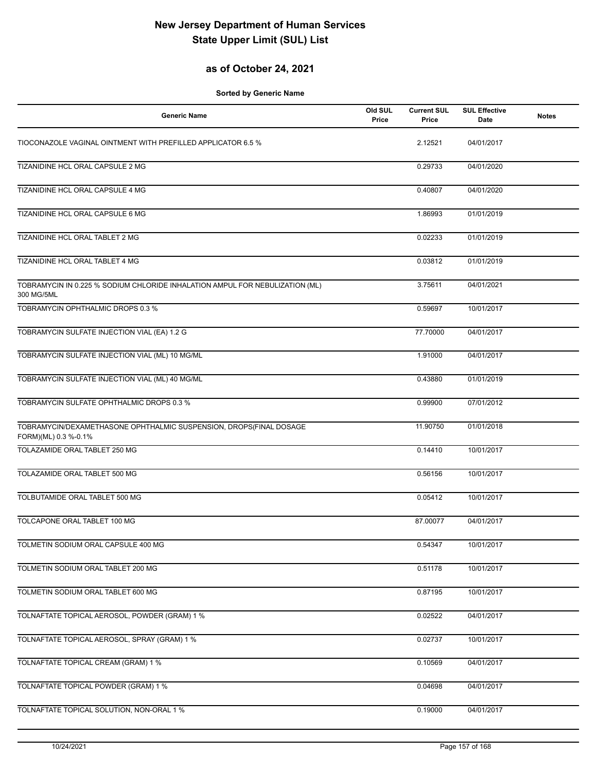### **as of October 24, 2021**

| <b>Generic Name</b>                                                                        | Old SUL<br>Price | <b>Current SUL</b><br>Price | <b>SUL Effective</b><br>Date | <b>Notes</b> |
|--------------------------------------------------------------------------------------------|------------------|-----------------------------|------------------------------|--------------|
| TIOCONAZOLE VAGINAL OINTMENT WITH PREFILLED APPLICATOR 6.5 %                               |                  | 2.12521                     | 04/01/2017                   |              |
| TIZANIDINE HCL ORAL CAPSULE 2 MG                                                           |                  | 0.29733                     | 04/01/2020                   |              |
| TIZANIDINE HCL ORAL CAPSULE 4 MG                                                           |                  | 0.40807                     | 04/01/2020                   |              |
| TIZANIDINE HCL ORAL CAPSULE 6 MG                                                           |                  | 1.86993                     | 01/01/2019                   |              |
| TIZANIDINE HCL ORAL TABLET 2 MG                                                            |                  | 0.02233                     | 01/01/2019                   |              |
| TIZANIDINE HCL ORAL TABLET 4 MG                                                            |                  | 0.03812                     | 01/01/2019                   |              |
| TOBRAMYCIN IN 0.225 % SODIUM CHLORIDE INHALATION AMPUL FOR NEBULIZATION (ML)<br>300 MG/5ML |                  | 3.75611                     | 04/01/2021                   |              |
| TOBRAMYCIN OPHTHALMIC DROPS 0.3 %                                                          |                  | 0.59697                     | 10/01/2017                   |              |
| TOBRAMYCIN SULFATE INJECTION VIAL (EA) 1.2 G                                               |                  | 77.70000                    | 04/01/2017                   |              |
| TOBRAMYCIN SULFATE INJECTION VIAL (ML) 10 MG/ML                                            |                  | 1.91000                     | 04/01/2017                   |              |
| TOBRAMYCIN SULFATE INJECTION VIAL (ML) 40 MG/ML                                            |                  | 0.43880                     | 01/01/2019                   |              |
| TOBRAMYCIN SULFATE OPHTHALMIC DROPS 0.3 %                                                  |                  | 0.99900                     | 07/01/2012                   |              |
| TOBRAMYCIN/DEXAMETHASONE OPHTHALMIC SUSPENSION, DROPS(FINAL DOSAGE<br>FORM)(ML) 0.3 %-0.1% |                  | 11.90750                    | 01/01/2018                   |              |
| TOLAZAMIDE ORAL TABLET 250 MG                                                              |                  | 0.14410                     | 10/01/2017                   |              |
| TOLAZAMIDE ORAL TABLET 500 MG                                                              |                  | 0.56156                     | 10/01/2017                   |              |
| TOLBUTAMIDE ORAL TABLET 500 MG                                                             |                  | 0.05412                     | 10/01/2017                   |              |
| TOLCAPONE ORAL TABLET 100 MG                                                               |                  | 87.00077                    | 04/01/2017                   |              |
| TOLMETIN SODIUM ORAL CAPSULE 400 MG                                                        |                  | 0.54347                     | 10/01/2017                   |              |
| TOLMETIN SODIUM ORAL TABLET 200 MG                                                         |                  | 0.51178                     | 10/01/2017                   |              |
| TOLMETIN SODIUM ORAL TABLET 600 MG                                                         |                  | 0.87195                     | 10/01/2017                   |              |
| TOLNAFTATE TOPICAL AEROSOL, POWDER (GRAM) 1 %                                              |                  | 0.02522                     | 04/01/2017                   |              |
| TOLNAFTATE TOPICAL AEROSOL, SPRAY (GRAM) 1 %                                               |                  | 0.02737                     | 10/01/2017                   |              |
| TOLNAFTATE TOPICAL CREAM (GRAM) 1 %                                                        |                  | 0.10569                     | 04/01/2017                   |              |
| TOLNAFTATE TOPICAL POWDER (GRAM) 1 %                                                       |                  | 0.04698                     | 04/01/2017                   |              |
| TOLNAFTATE TOPICAL SOLUTION, NON-ORAL 1 %                                                  |                  | 0.19000                     | 04/01/2017                   |              |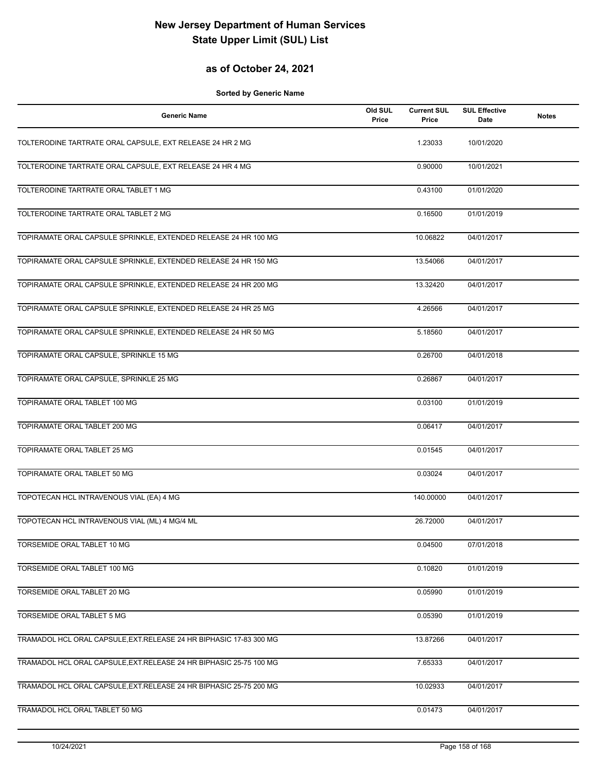#### **as of October 24, 2021**

| <b>Generic Name</b>                                                 | Old SUL<br>Price | <b>Current SUL</b><br>Price | <b>SUL Effective</b><br>Date | <b>Notes</b> |
|---------------------------------------------------------------------|------------------|-----------------------------|------------------------------|--------------|
| TOLTERODINE TARTRATE ORAL CAPSULE, EXT RELEASE 24 HR 2 MG           |                  | 1.23033                     | 10/01/2020                   |              |
| TOLTERODINE TARTRATE ORAL CAPSULE, EXT RELEASE 24 HR 4 MG           |                  | 0.90000                     | 10/01/2021                   |              |
| TOLTERODINE TARTRATE ORAL TABLET 1 MG                               |                  | 0.43100                     | 01/01/2020                   |              |
| TOLTERODINE TARTRATE ORAL TABLET 2 MG                               |                  | 0.16500                     | 01/01/2019                   |              |
| TOPIRAMATE ORAL CAPSULE SPRINKLE, EXTENDED RELEASE 24 HR 100 MG     |                  | 10.06822                    | 04/01/2017                   |              |
| TOPIRAMATE ORAL CAPSULE SPRINKLE, EXTENDED RELEASE 24 HR 150 MG     |                  | 13.54066                    | 04/01/2017                   |              |
| TOPIRAMATE ORAL CAPSULE SPRINKLE, EXTENDED RELEASE 24 HR 200 MG     |                  | 13.32420                    | 04/01/2017                   |              |
| TOPIRAMATE ORAL CAPSULE SPRINKLE, EXTENDED RELEASE 24 HR 25 MG      |                  | 4.26566                     | 04/01/2017                   |              |
| TOPIRAMATE ORAL CAPSULE SPRINKLE, EXTENDED RELEASE 24 HR 50 MG      |                  | 5.18560                     | 04/01/2017                   |              |
| TOPIRAMATE ORAL CAPSULE, SPRINKLE 15 MG                             |                  | 0.26700                     | 04/01/2018                   |              |
| TOPIRAMATE ORAL CAPSULE, SPRINKLE 25 MG                             |                  | 0.26867                     | 04/01/2017                   |              |
| TOPIRAMATE ORAL TABLET 100 MG                                       |                  | 0.03100                     | 01/01/2019                   |              |
| TOPIRAMATE ORAL TABLET 200 MG                                       |                  | 0.06417                     | 04/01/2017                   |              |
| TOPIRAMATE ORAL TABLET 25 MG                                        |                  | 0.01545                     | 04/01/2017                   |              |
| TOPIRAMATE ORAL TABLET 50 MG                                        |                  | 0.03024                     | 04/01/2017                   |              |
| TOPOTECAN HCL INTRAVENOUS VIAL (EA) 4 MG                            |                  | 140.00000                   | 04/01/2017                   |              |
| TOPOTECAN HCL INTRAVENOUS VIAL (ML) 4 MG/4 ML                       |                  | 26.72000                    | 04/01/2017                   |              |
| TORSEMIDE ORAL TABLET 10 MG                                         |                  | 0.04500                     | 07/01/2018                   |              |
| TORSEMIDE ORAL TABLET 100 MG                                        |                  | 0.10820                     | 01/01/2019                   |              |
| TORSEMIDE ORAL TABLET 20 MG                                         |                  | 0.05990                     | 01/01/2019                   |              |
| TORSEMIDE ORAL TABLET 5 MG                                          |                  | 0.05390                     | 01/01/2019                   |              |
| TRAMADOL HCL ORAL CAPSULE, EXT. RELEASE 24 HR BIPHASIC 17-83 300 MG |                  | 13.87266                    | 04/01/2017                   |              |
| TRAMADOL HCL ORAL CAPSULE, EXT. RELEASE 24 HR BIPHASIC 25-75 100 MG |                  | 7.65333                     | 04/01/2017                   |              |
| TRAMADOL HCL ORAL CAPSULE, EXT.RELEASE 24 HR BIPHASIC 25-75 200 MG  |                  | 10.02933                    | 04/01/2017                   |              |
| TRAMADOL HCL ORAL TABLET 50 MG                                      |                  | 0.01473                     | 04/01/2017                   |              |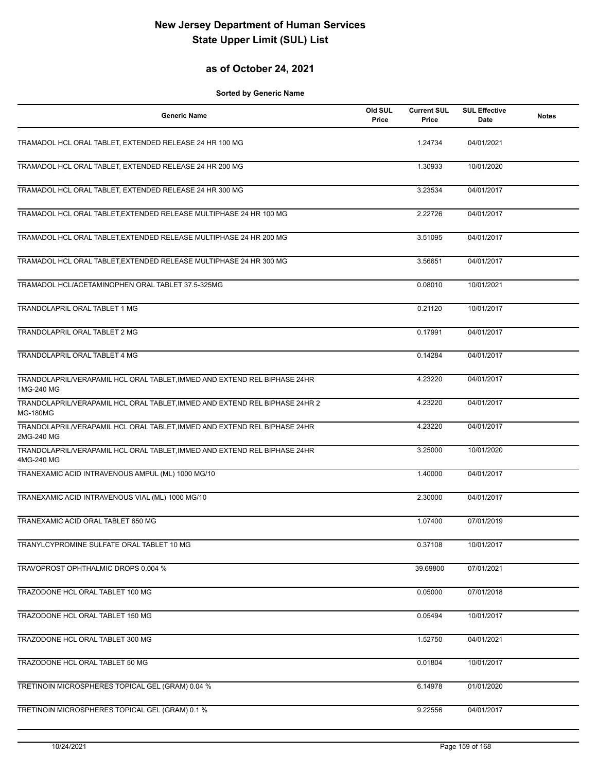### **as of October 24, 2021**

| <b>Generic Name</b>                                                                            | Old SUL<br>Price | <b>Current SUL</b><br>Price | <b>SUL Effective</b><br>Date | <b>Notes</b> |
|------------------------------------------------------------------------------------------------|------------------|-----------------------------|------------------------------|--------------|
| TRAMADOL HCL ORAL TABLET, EXTENDED RELEASE 24 HR 100 MG                                        |                  | 1.24734                     | 04/01/2021                   |              |
| TRAMADOL HCL ORAL TABLET, EXTENDED RELEASE 24 HR 200 MG                                        |                  | 1.30933                     | 10/01/2020                   |              |
| TRAMADOL HCL ORAL TABLET, EXTENDED RELEASE 24 HR 300 MG                                        |                  | 3.23534                     | 04/01/2017                   |              |
| TRAMADOL HCL ORAL TABLET, EXTENDED RELEASE MULTIPHASE 24 HR 100 MG                             |                  | 2.22726                     | 04/01/2017                   |              |
| TRAMADOL HCL ORAL TABLET, EXTENDED RELEASE MULTIPHASE 24 HR 200 MG                             |                  | 3.51095                     | 04/01/2017                   |              |
| TRAMADOL HCL ORAL TABLET, EXTENDED RELEASE MULTIPHASE 24 HR 300 MG                             |                  | 3.56651                     | 04/01/2017                   |              |
| TRAMADOL HCL/ACETAMINOPHEN ORAL TABLET 37.5-325MG                                              |                  | 0.08010                     | 10/01/2021                   |              |
| TRANDOLAPRIL ORAL TABLET 1 MG                                                                  |                  | 0.21120                     | 10/01/2017                   |              |
| TRANDOLAPRIL ORAL TABLET 2 MG                                                                  |                  | 0.17991                     | 04/01/2017                   |              |
| TRANDOLAPRIL ORAL TABLET 4 MG                                                                  |                  | 0.14284                     | 04/01/2017                   |              |
| TRANDOLAPRIL/VERAPAMIL HCL ORAL TABLET, IMMED AND EXTEND REL BIPHASE 24HR<br>1MG-240 MG        |                  | 4.23220                     | 04/01/2017                   |              |
| TRANDOLAPRIL/VERAPAMIL HCL ORAL TABLET, IMMED AND EXTEND REL BIPHASE 24HR 2<br><b>MG-180MG</b> |                  | 4.23220                     | 04/01/2017                   |              |
| TRANDOLAPRIL/VERAPAMIL HCL ORAL TABLET, IMMED AND EXTEND REL BIPHASE 24HR<br>2MG-240 MG        |                  | 4.23220                     | 04/01/2017                   |              |
| TRANDOLAPRIL/VERAPAMIL HCL ORAL TABLET, IMMED AND EXTEND REL BIPHASE 24HR<br>4MG-240 MG        |                  | 3.25000                     | 10/01/2020                   |              |
| TRANEXAMIC ACID INTRAVENOUS AMPUL (ML) 1000 MG/10                                              |                  | 1.40000                     | 04/01/2017                   |              |
| TRANEXAMIC ACID INTRAVENOUS VIAL (ML) 1000 MG/10                                               |                  | 2.30000                     | 04/01/2017                   |              |
| TRANEXAMIC ACID ORAL TABLET 650 MG                                                             |                  | 1.07400                     | 07/01/2019                   |              |
| TRANYLCYPROMINE SULFATE ORAL TABLET 10 MG                                                      |                  | 0.37108                     | 10/01/2017                   |              |
| TRAVOPROST OPHTHALMIC DROPS 0.004 %                                                            |                  | 39.69800                    | 07/01/2021                   |              |
| TRAZODONE HCL ORAL TABLET 100 MG                                                               |                  | 0.05000                     | 07/01/2018                   |              |
| TRAZODONE HCL ORAL TABLET 150 MG                                                               |                  | 0.05494                     | 10/01/2017                   |              |
| TRAZODONE HCL ORAL TABLET 300 MG                                                               |                  | 1.52750                     | 04/01/2021                   |              |
| TRAZODONE HCL ORAL TABLET 50 MG                                                                |                  | 0.01804                     | 10/01/2017                   |              |
| TRETINOIN MICROSPHERES TOPICAL GEL (GRAM) 0.04 %                                               |                  | 6.14978                     | 01/01/2020                   |              |
| TRETINOIN MICROSPHERES TOPICAL GEL (GRAM) 0.1 %                                                |                  | 9.22556                     | 04/01/2017                   |              |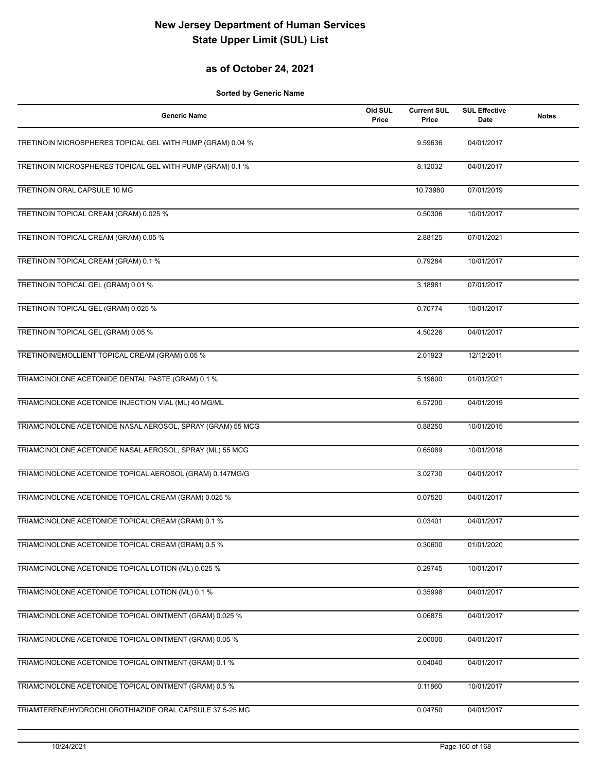### **as of October 24, 2021**

| <b>Generic Name</b>                                        | Old SUL<br>Price | <b>Current SUL</b><br>Price | <b>SUL Effective</b><br><b>Date</b> | <b>Notes</b> |
|------------------------------------------------------------|------------------|-----------------------------|-------------------------------------|--------------|
| TRETINOIN MICROSPHERES TOPICAL GEL WITH PUMP (GRAM) 0.04 % |                  | 9.59636                     | 04/01/2017                          |              |
| TRETINOIN MICROSPHERES TOPICAL GEL WITH PUMP (GRAM) 0.1 %  |                  | 8.12032                     | 04/01/2017                          |              |
| <b>TRETINOIN ORAL CAPSULE 10 MG</b>                        |                  | 10.73980                    | 07/01/2019                          |              |
| TRETINOIN TOPICAL CREAM (GRAM) 0.025 %                     |                  | 0.50306                     | 10/01/2017                          |              |
| TRETINOIN TOPICAL CREAM (GRAM) 0.05 %                      |                  | 2.88125                     | 07/01/2021                          |              |
| TRETINOIN TOPICAL CREAM (GRAM) 0.1 %                       |                  | 0.79284                     | 10/01/2017                          |              |
| TRETINOIN TOPICAL GEL (GRAM) 0.01 %                        |                  | 3.18981                     | 07/01/2017                          |              |
| TRETINOIN TOPICAL GEL (GRAM) 0.025 %                       |                  | 0.70774                     | 10/01/2017                          |              |
| TRETINOIN TOPICAL GEL (GRAM) 0.05 %                        |                  | 4.50226                     | 04/01/2017                          |              |
| TRETINOIN/EMOLLIENT TOPICAL CREAM (GRAM) 0.05 %            |                  | 2.01923                     | 12/12/2011                          |              |
| TRIAMCINOLONE ACETONIDE DENTAL PASTE (GRAM) 0.1 %          |                  | 5.19600                     | 01/01/2021                          |              |
| TRIAMCINOLONE ACETONIDE INJECTION VIAL (ML) 40 MG/ML       |                  | 6.57200                     | 04/01/2019                          |              |
| TRIAMCINOLONE ACETONIDE NASAL AEROSOL, SPRAY (GRAM) 55 MCG |                  | 0.88250                     | 10/01/2015                          |              |
| TRIAMCINOLONE ACETONIDE NASAL AEROSOL, SPRAY (ML) 55 MCG   |                  | 0.65089                     | 10/01/2018                          |              |
| TRIAMCINOLONE ACETONIDE TOPICAL AEROSOL (GRAM) 0.147MG/G   |                  | 3.02730                     | 04/01/2017                          |              |
| TRIAMCINOLONE ACETONIDE TOPICAL CREAM (GRAM) 0.025 %       |                  | 0.07520                     | 04/01/2017                          |              |
| TRIAMCINOLONE ACETONIDE TOPICAL CREAM (GRAM) 0.1 %         |                  | 0.03401                     | 04/01/2017                          |              |
| TRIAMCINOLONE ACETONIDE TOPICAL CREAM (GRAM) 0.5 %         |                  | 0.30600                     | 01/01/2020                          |              |
| TRIAMCINOLONE ACETONIDE TOPICAL LOTION (ML) 0.025 %        |                  | 0.29745                     | 10/01/2017                          |              |
| TRIAMCINOLONE ACETONIDE TOPICAL LOTION (ML) 0.1 %          |                  | 0.35998                     | 04/01/2017                          |              |
| TRIAMCINOLONE ACETONIDE TOPICAL OINTMENT (GRAM) 0.025 %    |                  | 0.06875                     | 04/01/2017                          |              |
| TRIAMCINOLONE ACETONIDE TOPICAL OINTMENT (GRAM) 0.05 %     |                  | 2.00000                     | 04/01/2017                          |              |
| TRIAMCINOLONE ACETONIDE TOPICAL OINTMENT (GRAM) 0.1 %      |                  | 0.04040                     | 04/01/2017                          |              |
| TRIAMCINOLONE ACETONIDE TOPICAL OINTMENT (GRAM) 0.5 %      |                  | 0.11860                     | 10/01/2017                          |              |
| TRIAMTERENE/HYDROCHLOROTHIAZIDE ORAL CAPSULE 37.5-25 MG    |                  | 0.04750                     | 04/01/2017                          |              |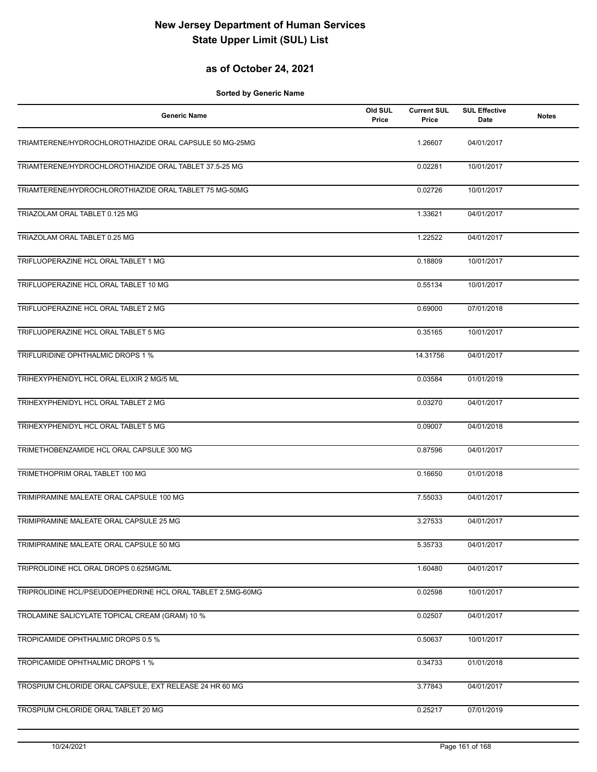#### **as of October 24, 2021**

| <b>Generic Name</b>                                         | Old SUL<br>Price | <b>Current SUL</b><br>Price | <b>SUL Effective</b><br>Date | <b>Notes</b> |
|-------------------------------------------------------------|------------------|-----------------------------|------------------------------|--------------|
| TRIAMTERENE/HYDROCHLOROTHIAZIDE ORAL CAPSULE 50 MG-25MG     |                  | 1.26607                     | 04/01/2017                   |              |
| TRIAMTERENE/HYDROCHLOROTHIAZIDE ORAL TABLET 37.5-25 MG      |                  | 0.02281                     | 10/01/2017                   |              |
| TRIAMTERENE/HYDROCHLOROTHIAZIDE ORAL TABLET 75 MG-50MG      |                  | 0.02726                     | 10/01/2017                   |              |
| TRIAZOLAM ORAL TABLET 0.125 MG                              |                  | 1.33621                     | 04/01/2017                   |              |
| TRIAZOLAM ORAL TABLET 0.25 MG                               |                  | 1.22522                     | 04/01/2017                   |              |
| TRIFLUOPERAZINE HCL ORAL TABLET 1 MG                        |                  | 0.18809                     | 10/01/2017                   |              |
| TRIFLUOPERAZINE HCL ORAL TABLET 10 MG                       |                  | 0.55134                     | 10/01/2017                   |              |
| TRIFLUOPERAZINE HCL ORAL TABLET 2 MG                        |                  | 0.69000                     | 07/01/2018                   |              |
| TRIFLUOPERAZINE HCL ORAL TABLET 5 MG                        |                  | 0.35165                     | 10/01/2017                   |              |
| TRIFLURIDINE OPHTHALMIC DROPS 1 %                           |                  | 14.31756                    | 04/01/2017                   |              |
| TRIHEXYPHENIDYL HCL ORAL ELIXIR 2 MG/5 ML                   |                  | 0.03584                     | 01/01/2019                   |              |
| TRIHEXYPHENIDYL HCL ORAL TABLET 2 MG                        |                  | 0.03270                     | 04/01/2017                   |              |
| TRIHEXYPHENIDYL HCL ORAL TABLET 5 MG                        |                  | 0.09007                     | 04/01/2018                   |              |
| TRIMETHOBENZAMIDE HCL ORAL CAPSULE 300 MG                   |                  | 0.87596                     | 04/01/2017                   |              |
| TRIMETHOPRIM ORAL TABLET 100 MG                             |                  | 0.16650                     | 01/01/2018                   |              |
| TRIMIPRAMINE MALEATE ORAL CAPSULE 100 MG                    |                  | 7.55033                     | 04/01/2017                   |              |
| TRIMIPRAMINE MALEATE ORAL CAPSULE 25 MG                     |                  | 3.27533                     | 04/01/2017                   |              |
| TRIMIPRAMINE MALEATE ORAL CAPSULE 50 MG                     |                  | 5.35733                     | 04/01/2017                   |              |
| TRIPROLIDINE HCL ORAL DROPS 0.625MG/ML                      |                  | 1.60480                     | 04/01/2017                   |              |
| TRIPROLIDINE HCL/PSEUDOEPHEDRINE HCL ORAL TABLET 2.5MG-60MG |                  | 0.02598                     | 10/01/2017                   |              |
| TROLAMINE SALICYLATE TOPICAL CREAM (GRAM) 10 %              |                  | 0.02507                     | 04/01/2017                   |              |
| TROPICAMIDE OPHTHALMIC DROPS 0.5 %                          |                  | 0.50637                     | 10/01/2017                   |              |
| TROPICAMIDE OPHTHALMIC DROPS 1 %                            |                  | 0.34733                     | 01/01/2018                   |              |
| TROSPIUM CHLORIDE ORAL CAPSULE, EXT RELEASE 24 HR 60 MG     |                  | 3.77843                     | 04/01/2017                   |              |
| TROSPIUM CHLORIDE ORAL TABLET 20 MG                         |                  | 0.25217                     | 07/01/2019                   |              |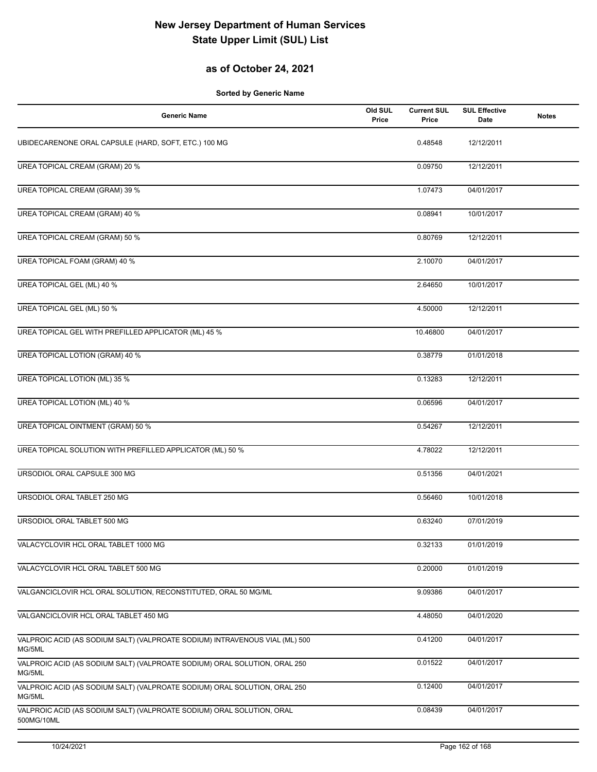### **as of October 24, 2021**

| <b>Generic Name</b>                                                                   | Old SUL<br>Price | <b>Current SUL</b><br>Price | <b>SUL Effective</b><br>Date | <b>Notes</b> |
|---------------------------------------------------------------------------------------|------------------|-----------------------------|------------------------------|--------------|
| UBIDECARENONE ORAL CAPSULE (HARD, SOFT, ETC.) 100 MG                                  |                  | 0.48548                     | 12/12/2011                   |              |
| UREA TOPICAL CREAM (GRAM) 20 %                                                        |                  | 0.09750                     | 12/12/2011                   |              |
| UREA TOPICAL CREAM (GRAM) 39 %                                                        |                  | 1.07473                     | 04/01/2017                   |              |
| UREA TOPICAL CREAM (GRAM) 40 %                                                        |                  | 0.08941                     | 10/01/2017                   |              |
| UREA TOPICAL CREAM (GRAM) 50 %                                                        |                  | 0.80769                     | 12/12/2011                   |              |
| UREA TOPICAL FOAM (GRAM) 40 %                                                         |                  | 2.10070                     | 04/01/2017                   |              |
| UREA TOPICAL GEL (ML) 40 %                                                            |                  | 2.64650                     | 10/01/2017                   |              |
| UREA TOPICAL GEL (ML) 50 %                                                            |                  | 4.50000                     | 12/12/2011                   |              |
| UREA TOPICAL GEL WITH PREFILLED APPLICATOR (ML) 45 %                                  |                  | 10.46800                    | 04/01/2017                   |              |
| UREA TOPICAL LOTION (GRAM) 40 %                                                       |                  | 0.38779                     | 01/01/2018                   |              |
| UREA TOPICAL LOTION (ML) 35 %                                                         |                  | 0.13283                     | 12/12/2011                   |              |
| UREA TOPICAL LOTION (ML) 40 %                                                         |                  | 0.06596                     | 04/01/2017                   |              |
| UREA TOPICAL OINTMENT (GRAM) 50 %                                                     |                  | 0.54267                     | 12/12/2011                   |              |
| UREA TOPICAL SOLUTION WITH PREFILLED APPLICATOR (ML) 50 %                             |                  | 4.78022                     | 12/12/2011                   |              |
| URSODIOL ORAL CAPSULE 300 MG                                                          |                  | 0.51356                     | 04/01/2021                   |              |
| URSODIOL ORAL TABLET 250 MG                                                           |                  | 0.56460                     | 10/01/2018                   |              |
| URSODIOL ORAL TABLET 500 MG                                                           |                  | 0.63240                     | 07/01/2019                   |              |
| VALACYCLOVIR HCL ORAL TABLET 1000 MG                                                  |                  | 0.32133                     | 01/01/2019                   |              |
| VALACYCLOVIR HCL ORAL TABLET 500 MG                                                   |                  | 0.20000                     | 01/01/2019                   |              |
| VALGANCICLOVIR HCL ORAL SOLUTION, RECONSTITUTED, ORAL 50 MG/ML                        |                  | 9.09386                     | 04/01/2017                   |              |
| VALGANCICLOVIR HCL ORAL TABLET 450 MG                                                 |                  | 4.48050                     | 04/01/2020                   |              |
| VALPROIC ACID (AS SODIUM SALT) (VALPROATE SODIUM) INTRAVENOUS VIAL (ML) 500<br>MG/5ML |                  | 0.41200                     | 04/01/2017                   |              |
| VALPROIC ACID (AS SODIUM SALT) (VALPROATE SODIUM) ORAL SOLUTION, ORAL 250<br>MG/5ML   |                  | 0.01522                     | 04/01/2017                   |              |
| VALPROIC ACID (AS SODIUM SALT) (VALPROATE SODIUM) ORAL SOLUTION, ORAL 250<br>MG/5ML   |                  | 0.12400                     | 04/01/2017                   |              |
| VALPROIC ACID (AS SODIUM SALT) (VALPROATE SODIUM) ORAL SOLUTION, ORAL<br>500MG/10ML   |                  | 0.08439                     | 04/01/2017                   |              |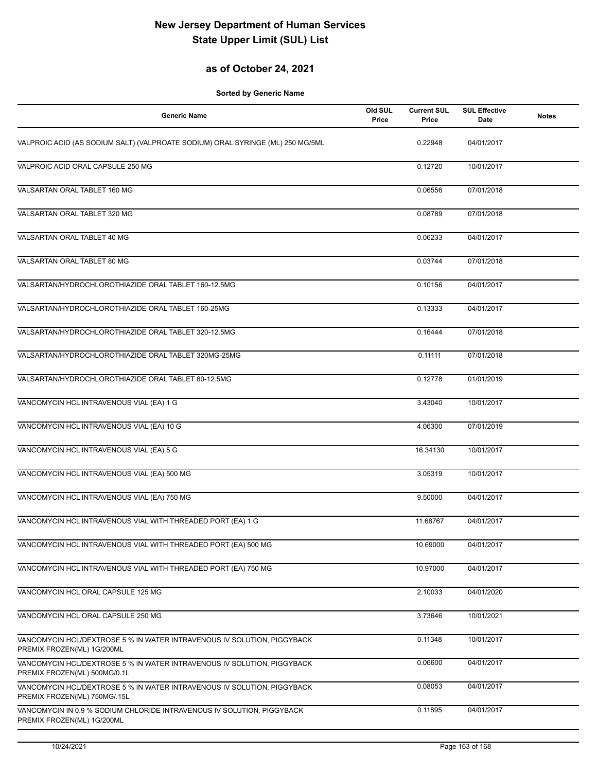### **as of October 24, 2021**

| <b>Generic Name</b>                                                                                     | Old SUL<br>Price | <b>Current SUL</b><br>Price | <b>SUL Effective</b><br>Date | <b>Notes</b> |
|---------------------------------------------------------------------------------------------------------|------------------|-----------------------------|------------------------------|--------------|
| VALPROIC ACID (AS SODIUM SALT) (VALPROATE SODIUM) ORAL SYRINGE (ML) 250 MG/5ML                          |                  | 0.22948                     | 04/01/2017                   |              |
| VALPROIC ACID ORAL CAPSULE 250 MG                                                                       |                  | 0.12720                     | 10/01/2017                   |              |
| VALSARTAN ORAL TABLET 160 MG                                                                            |                  | 0.06556                     | 07/01/2018                   |              |
| VALSARTAN ORAL TABLET 320 MG                                                                            |                  | 0.08789                     | 07/01/2018                   |              |
| VALSARTAN ORAL TABLET 40 MG                                                                             |                  | 0.06233                     | 04/01/2017                   |              |
| VALSARTAN ORAL TABLET 80 MG                                                                             |                  | 0.03744                     | 07/01/2018                   |              |
| VALSARTAN/HYDROCHLOROTHIAZIDE ORAL TABLET 160-12.5MG                                                    |                  | 0.10156                     | 04/01/2017                   |              |
| VALSARTAN/HYDROCHLOROTHIAZIDE ORAL TABLET 160-25MG                                                      |                  | 0.13333                     | 04/01/2017                   |              |
| VALSARTAN/HYDROCHLOROTHIAZIDE ORAL TABLET 320-12.5MG                                                    |                  | 0.16444                     | 07/01/2018                   |              |
| VALSARTAN/HYDROCHLOROTHIAZIDE ORAL TABLET 320MG-25MG                                                    |                  | 0.11111                     | 07/01/2018                   |              |
| VALSARTAN/HYDROCHLOROTHIAZIDE ORAL TABLET 80-12.5MG                                                     |                  | 0.12778                     | 01/01/2019                   |              |
| VANCOMYCIN HCL INTRAVENOUS VIAL (EA) 1 G                                                                |                  | 3.43040                     | 10/01/2017                   |              |
| VANCOMYCIN HCL INTRAVENOUS VIAL (EA) 10 G                                                               |                  | 4.06300                     | 07/01/2019                   |              |
| VANCOMYCIN HCL INTRAVENOUS VIAL (EA) 5 G                                                                |                  | 16.34130                    | 10/01/2017                   |              |
| VANCOMYCIN HCL INTRAVENOUS VIAL (EA) 500 MG                                                             |                  | 3.05319                     | 10/01/2017                   |              |
| VANCOMYCIN HCL INTRAVENOUS VIAL (EA) 750 MG                                                             |                  | 9.50000                     | 04/01/2017                   |              |
| VANCOMYCIN HCL INTRAVENOUS VIAL WITH THREADED PORT (EA) 1 G                                             |                  | 11.68767                    | 04/01/2017                   |              |
| VANCOMYCIN HCL INTRAVENOUS VIAL WITH THREADED PORT (EA) 500 MG                                          |                  | 10.69000                    | 04/01/2017                   |              |
| VANCOMYCIN HCL INTRAVENOUS VIAL WITH THREADED PORT (EA) 750 MG                                          |                  | 10.97000                    | 04/01/2017                   |              |
| VANCOMYCIN HCL ORAL CAPSULE 125 MG                                                                      |                  | 2.10033                     | 04/01/2020                   |              |
| VANCOMYCIN HCL ORAL CAPSULE 250 MG                                                                      |                  | 3.73646                     | 10/01/2021                   |              |
| VANCOMYCIN HCL/DEXTROSE 5 % IN WATER INTRAVENOUS IV SOLUTION, PIGGYBACK<br>PREMIX FROZEN(ML) 1G/200ML   |                  | 0.11348                     | 10/01/2017                   |              |
| VANCOMYCIN HCL/DEXTROSE 5 % IN WATER INTRAVENOUS IV SOLUTION, PIGGYBACK<br>PREMIX FROZEN(ML) 500MG/0.1L |                  | 0.06600                     | 04/01/2017                   |              |
| VANCOMYCIN HCL/DEXTROSE 5 % IN WATER INTRAVENOUS IV SOLUTION, PIGGYBACK<br>PREMIX FROZEN(ML) 750MG/.15L |                  | 0.08053                     | 04/01/2017                   |              |
| VANCOMYCIN IN 0.9 % SODIUM CHLORIDE INTRAVENOUS IV SOLUTION, PIGGYBACK<br>PREMIX FROZEN(ML) 1G/200ML    |                  | 0.11895                     | 04/01/2017                   |              |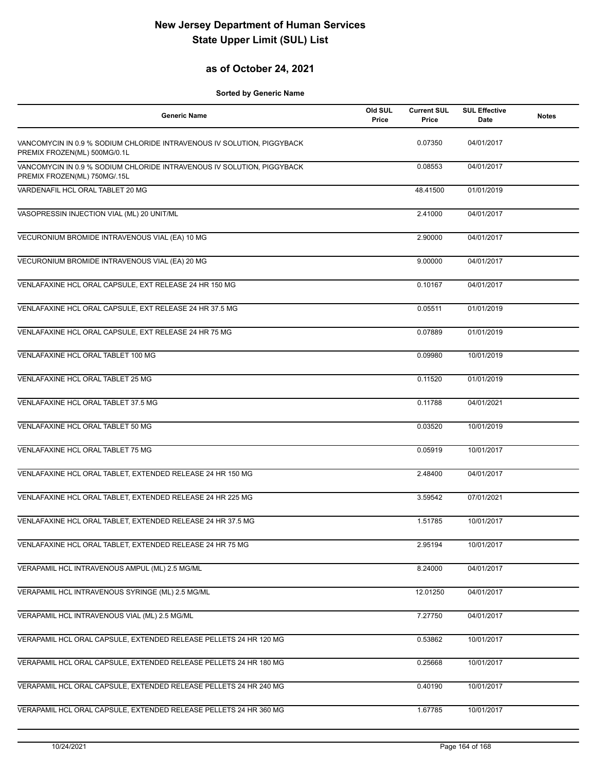### **as of October 24, 2021**

| <b>Generic Name</b>                                                                                    | Old SUL<br>Price | <b>Current SUL</b><br>Price | <b>SUL Effective</b><br><b>Date</b> | <b>Notes</b> |
|--------------------------------------------------------------------------------------------------------|------------------|-----------------------------|-------------------------------------|--------------|
| VANCOMYCIN IN 0.9 % SODIUM CHLORIDE INTRAVENOUS IV SOLUTION, PIGGYBACK<br>PREMIX FROZEN(ML) 500MG/0.1L |                  | 0.07350                     | 04/01/2017                          |              |
| VANCOMYCIN IN 0.9 % SODIUM CHLORIDE INTRAVENOUS IV SOLUTION, PIGGYBACK<br>PREMIX FROZEN(ML) 750MG/.15L |                  | 0.08553                     | 04/01/2017                          |              |
| VARDENAFIL HCL ORAL TABLET 20 MG                                                                       |                  | 48.41500                    | 01/01/2019                          |              |
| VASOPRESSIN INJECTION VIAL (ML) 20 UNIT/ML                                                             |                  | 2.41000                     | 04/01/2017                          |              |
| VECURONIUM BROMIDE INTRAVENOUS VIAL (EA) 10 MG                                                         |                  | 2.90000                     | 04/01/2017                          |              |
| VECURONIUM BROMIDE INTRAVENOUS VIAL (EA) 20 MG                                                         |                  | 9.00000                     | 04/01/2017                          |              |
| VENLAFAXINE HCL ORAL CAPSULE, EXT RELEASE 24 HR 150 MG                                                 |                  | 0.10167                     | 04/01/2017                          |              |
| VENLAFAXINE HCL ORAL CAPSULE, EXT RELEASE 24 HR 37.5 MG                                                |                  | 0.05511                     | 01/01/2019                          |              |
| VENLAFAXINE HCL ORAL CAPSULE, EXT RELEASE 24 HR 75 MG                                                  |                  | 0.07889                     | 01/01/2019                          |              |
| VENLAFAXINE HCL ORAL TABLET 100 MG                                                                     |                  | 0.09980                     | 10/01/2019                          |              |
| VENLAFAXINE HCL ORAL TABLET 25 MG                                                                      |                  | 0.11520                     | 01/01/2019                          |              |
| VENLAFAXINE HCL ORAL TABLET 37.5 MG                                                                    |                  | 0.11788                     | 04/01/2021                          |              |
| VENLAFAXINE HCL ORAL TABLET 50 MG                                                                      |                  | 0.03520                     | 10/01/2019                          |              |
| VENLAFAXINE HCL ORAL TABLET 75 MG                                                                      |                  | 0.05919                     | 10/01/2017                          |              |
| VENLAFAXINE HCL ORAL TABLET, EXTENDED RELEASE 24 HR 150 MG                                             |                  | 2.48400                     | 04/01/2017                          |              |
| VENLAFAXINE HCL ORAL TABLET, EXTENDED RELEASE 24 HR 225 MG                                             |                  | 3.59542                     | 07/01/2021                          |              |
| VENLAFAXINE HCL ORAL TABLET, EXTENDED RELEASE 24 HR 37.5 MG                                            |                  | 1.51785                     | 10/01/2017                          |              |
| VENLAFAXINE HCL ORAL TABLET, EXTENDED RELEASE 24 HR 75 MG                                              |                  | 2.95194                     | 10/01/2017                          |              |
| VERAPAMIL HCL INTRAVENOUS AMPUL (ML) 2.5 MG/ML                                                         |                  | 8.24000                     | 04/01/2017                          |              |
| VERAPAMIL HCL INTRAVENOUS SYRINGE (ML) 2.5 MG/ML                                                       |                  | 12.01250                    | 04/01/2017                          |              |
| VERAPAMIL HCL INTRAVENOUS VIAL (ML) 2.5 MG/ML                                                          |                  | 7.27750                     | 04/01/2017                          |              |
| VERAPAMIL HCL ORAL CAPSULE, EXTENDED RELEASE PELLETS 24 HR 120 MG                                      |                  | 0.53862                     | 10/01/2017                          |              |
| VERAPAMIL HCL ORAL CAPSULE, EXTENDED RELEASE PELLETS 24 HR 180 MG                                      |                  | 0.25668                     | 10/01/2017                          |              |
| VERAPAMIL HCL ORAL CAPSULE, EXTENDED RELEASE PELLETS 24 HR 240 MG                                      |                  | 0.40190                     | 10/01/2017                          |              |
| VERAPAMIL HCL ORAL CAPSULE, EXTENDED RELEASE PELLETS 24 HR 360 MG                                      |                  | 1.67785                     | 10/01/2017                          |              |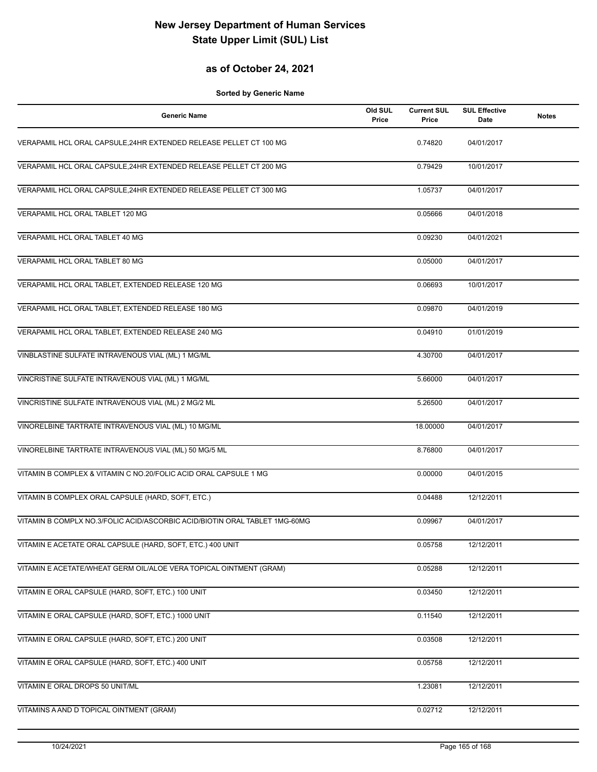#### **as of October 24, 2021**

| <b>Generic Name</b>                                                        | Old SUL<br>Price | <b>Current SUL</b><br>Price | <b>SUL Effective</b><br>Date | <b>Notes</b> |
|----------------------------------------------------------------------------|------------------|-----------------------------|------------------------------|--------------|
| VERAPAMIL HCL ORAL CAPSULE, 24HR EXTENDED RELEASE PELLET CT 100 MG         |                  | 0.74820                     | 04/01/2017                   |              |
| VERAPAMIL HCL ORAL CAPSULE, 24HR EXTENDED RELEASE PELLET CT 200 MG         |                  | 0.79429                     | 10/01/2017                   |              |
| VERAPAMIL HCL ORAL CAPSULE, 24HR EXTENDED RELEASE PELLET CT 300 MG         |                  | 1.05737                     | 04/01/2017                   |              |
| VERAPAMIL HCL ORAL TABLET 120 MG                                           |                  | 0.05666                     | 04/01/2018                   |              |
| VERAPAMIL HCL ORAL TABLET 40 MG                                            |                  | 0.09230                     | 04/01/2021                   |              |
| VERAPAMIL HCL ORAL TABLET 80 MG                                            |                  | 0.05000                     | 04/01/2017                   |              |
| VERAPAMIL HCL ORAL TABLET, EXTENDED RELEASE 120 MG                         |                  | 0.06693                     | 10/01/2017                   |              |
| VERAPAMIL HCL ORAL TABLET, EXTENDED RELEASE 180 MG                         |                  | 0.09870                     | 04/01/2019                   |              |
| VERAPAMIL HCL ORAL TABLET, EXTENDED RELEASE 240 MG                         |                  | 0.04910                     | 01/01/2019                   |              |
| VINBLASTINE SULFATE INTRAVENOUS VIAL (ML) 1 MG/ML                          |                  | 4.30700                     | 04/01/2017                   |              |
| VINCRISTINE SULFATE INTRAVENOUS VIAL (ML) 1 MG/ML                          |                  | 5.66000                     | 04/01/2017                   |              |
| VINCRISTINE SULFATE INTRAVENOUS VIAL (ML) 2 MG/2 ML                        |                  | 5.26500                     | 04/01/2017                   |              |
| VINORELBINE TARTRATE INTRAVENOUS VIAL (ML) 10 MG/ML                        |                  | 18.00000                    | 04/01/2017                   |              |
| VINORELBINE TARTRATE INTRAVENOUS VIAL (ML) 50 MG/5 ML                      |                  | 8.76800                     | 04/01/2017                   |              |
| VITAMIN B COMPLEX & VITAMIN C NO.20/FOLIC ACID ORAL CAPSULE 1 MG           |                  | 0.00000                     | 04/01/2015                   |              |
| VITAMIN B COMPLEX ORAL CAPSULE (HARD, SOFT, ETC.)                          |                  | 0.04488                     | 12/12/2011                   |              |
| VITAMIN B COMPLX NO.3/FOLIC ACID/ASCORBIC ACID/BIOTIN ORAL TABLET 1MG-60MG |                  | 0.09967                     | 04/01/2017                   |              |
| VITAMIN E ACETATE ORAL CAPSULE (HARD, SOFT, ETC.) 400 UNIT                 |                  | 0.05758                     | 12/12/2011                   |              |
| VITAMIN E ACETATE/WHEAT GERM OIL/ALOE VERA TOPICAL OINTMENT (GRAM)         |                  | 0.05288                     | 12/12/2011                   |              |
| VITAMIN E ORAL CAPSULE (HARD, SOFT, ETC.) 100 UNIT                         |                  | 0.03450                     | 12/12/2011                   |              |
| VITAMIN E ORAL CAPSULE (HARD, SOFT, ETC.) 1000 UNIT                        |                  | 0.11540                     | 12/12/2011                   |              |
| VITAMIN E ORAL CAPSULE (HARD, SOFT, ETC.) 200 UNIT                         |                  | 0.03508                     | 12/12/2011                   |              |
| VITAMIN E ORAL CAPSULE (HARD, SOFT, ETC.) 400 UNIT                         |                  | 0.05758                     | 12/12/2011                   |              |
| VITAMIN E ORAL DROPS 50 UNIT/ML                                            |                  | 1.23081                     | 12/12/2011                   |              |
| VITAMINS A AND D TOPICAL OINTMENT (GRAM)                                   |                  | 0.02712                     | 12/12/2011                   |              |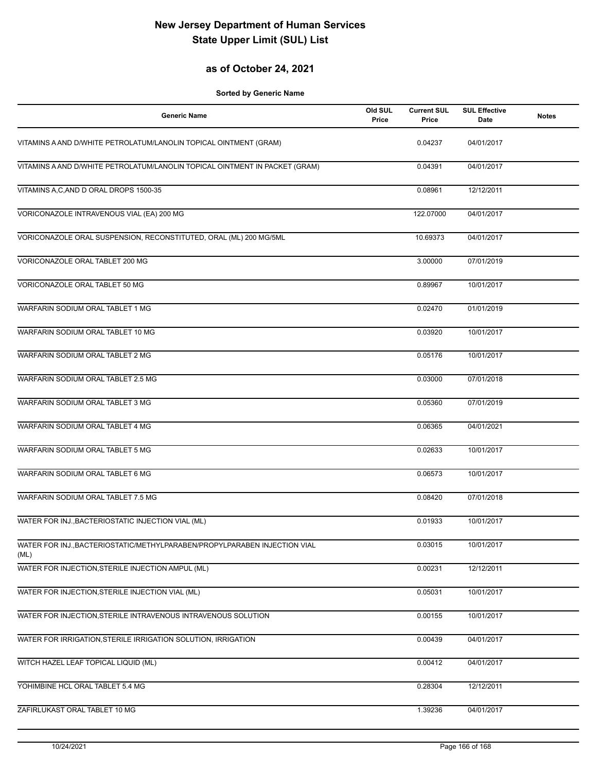### **as of October 24, 2021**

| <b>Generic Name</b>                                                               | Old SUL<br>Price | <b>Current SUL</b><br>Price | <b>SUL Effective</b><br>Date | <b>Notes</b> |
|-----------------------------------------------------------------------------------|------------------|-----------------------------|------------------------------|--------------|
| VITAMINS A AND D/WHITE PETROLATUM/LANOLIN TOPICAL OINTMENT (GRAM)                 |                  | 0.04237                     | 04/01/2017                   |              |
| VITAMINS A AND D/WHITE PETROLATUM/LANOLIN TOPICAL OINTMENT IN PACKET (GRAM)       |                  | 0.04391                     | 04/01/2017                   |              |
| VITAMINS A, C, AND D ORAL DROPS 1500-35                                           |                  | 0.08961                     | 12/12/2011                   |              |
| VORICONAZOLE INTRAVENOUS VIAL (EA) 200 MG                                         |                  | 122.07000                   | 04/01/2017                   |              |
| VORICONAZOLE ORAL SUSPENSION, RECONSTITUTED, ORAL (ML) 200 MG/5ML                 |                  | 10.69373                    | 04/01/2017                   |              |
| VORICONAZOLE ORAL TABLET 200 MG                                                   |                  | 3.00000                     | 07/01/2019                   |              |
| VORICONAZOLE ORAL TABLET 50 MG                                                    |                  | 0.89967                     | 10/01/2017                   |              |
| WARFARIN SODIUM ORAL TABLET 1 MG                                                  |                  | 0.02470                     | 01/01/2019                   |              |
| WARFARIN SODIUM ORAL TABLET 10 MG                                                 |                  | 0.03920                     | 10/01/2017                   |              |
| WARFARIN SODIUM ORAL TABLET 2 MG                                                  |                  | 0.05176                     | 10/01/2017                   |              |
| WARFARIN SODIUM ORAL TABLET 2.5 MG                                                |                  | 0.03000                     | 07/01/2018                   |              |
| WARFARIN SODIUM ORAL TABLET 3 MG                                                  |                  | 0.05360                     | 07/01/2019                   |              |
| WARFARIN SODIUM ORAL TABLET 4 MG                                                  |                  | 0.06365                     | 04/01/2021                   |              |
| WARFARIN SODIUM ORAL TABLET 5 MG                                                  |                  | 0.02633                     | 10/01/2017                   |              |
| WARFARIN SODIUM ORAL TABLET 6 MG                                                  |                  | 0.06573                     | 10/01/2017                   |              |
| WARFARIN SODIUM ORAL TABLET 7.5 MG                                                |                  | 0.08420                     | 07/01/2018                   |              |
| WATER FOR INJ., BACTERIOSTATIC INJECTION VIAL (ML)                                |                  | 0.01933                     | 10/01/2017                   |              |
| WATER FOR INJ., BACTERIOSTATIC/METHYLPARABEN/PROPYLPARABEN INJECTION VIAL<br>(ML) |                  | 0.03015                     | 10/01/2017                   |              |
| WATER FOR INJECTION, STERILE INJECTION AMPUL (ML)                                 |                  | 0.00231                     | 12/12/2011                   |              |
| WATER FOR INJECTION, STERILE INJECTION VIAL (ML)                                  |                  | 0.05031                     | 10/01/2017                   |              |
| WATER FOR INJECTION, STERILE INTRAVENOUS INTRAVENOUS SOLUTION                     |                  | 0.00155                     | 10/01/2017                   |              |
| WATER FOR IRRIGATION, STERILE IRRIGATION SOLUTION, IRRIGATION                     |                  | 0.00439                     | 04/01/2017                   |              |
| WITCH HAZEL LEAF TOPICAL LIQUID (ML)                                              |                  | 0.00412                     | 04/01/2017                   |              |
| YOHIMBINE HCL ORAL TABLET 5.4 MG                                                  |                  | 0.28304                     | 12/12/2011                   |              |
| ZAFIRLUKAST ORAL TABLET 10 MG                                                     |                  | 1.39236                     | 04/01/2017                   |              |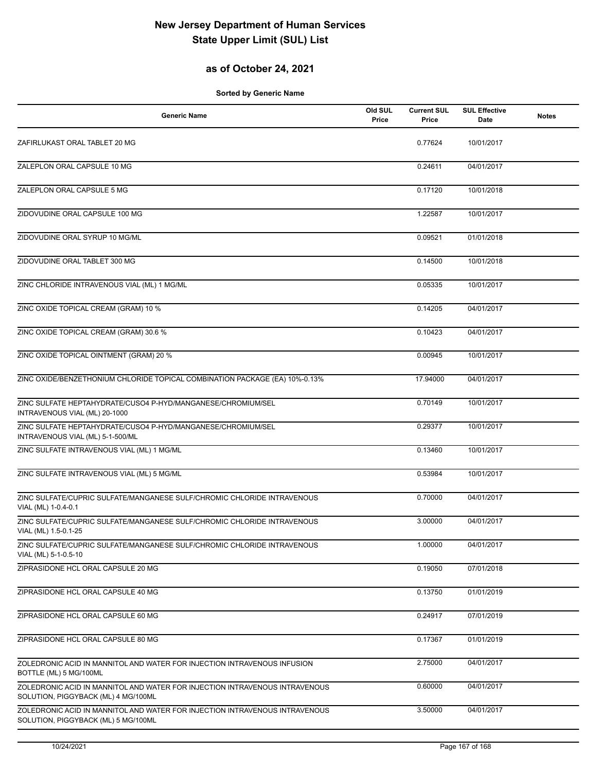### **as of October 24, 2021**

| <b>Generic Name</b>                                                                                                | Old SUL<br>Price | <b>Current SUL</b><br>Price | <b>SUL Effective</b><br><b>Date</b> | <b>Notes</b> |
|--------------------------------------------------------------------------------------------------------------------|------------------|-----------------------------|-------------------------------------|--------------|
| ZAFIRLUKAST ORAL TABLET 20 MG                                                                                      |                  | 0.77624                     | 10/01/2017                          |              |
| ZALEPLON ORAL CAPSULE 10 MG                                                                                        |                  | 0.24611                     | 04/01/2017                          |              |
| ZALEPLON ORAL CAPSULE 5 MG                                                                                         |                  | 0.17120                     | 10/01/2018                          |              |
| ZIDOVUDINE ORAL CAPSULE 100 MG                                                                                     |                  | 1.22587                     | 10/01/2017                          |              |
| ZIDOVUDINE ORAL SYRUP 10 MG/ML                                                                                     |                  | 0.09521                     | 01/01/2018                          |              |
| ZIDOVUDINE ORAL TABLET 300 MG                                                                                      |                  | 0.14500                     | 10/01/2018                          |              |
| ZINC CHLORIDE INTRAVENOUS VIAL (ML) 1 MG/ML                                                                        |                  | 0.05335                     | 10/01/2017                          |              |
| ZINC OXIDE TOPICAL CREAM (GRAM) 10 %                                                                               |                  | 0.14205                     | 04/01/2017                          |              |
| ZINC OXIDE TOPICAL CREAM (GRAM) 30.6 %                                                                             |                  | 0.10423                     | 04/01/2017                          |              |
| ZINC OXIDE TOPICAL OINTMENT (GRAM) 20 %                                                                            |                  | 0.00945                     | 10/01/2017                          |              |
| ZINC OXIDE/BENZETHONIUM CHLORIDE TOPICAL COMBINATION PACKAGE (EA) 10%-0.13%                                        |                  | 17.94000                    | 04/01/2017                          |              |
| ZINC SULFATE HEPTAHYDRATE/CUSO4 P-HYD/MANGANESE/CHROMIUM/SEL<br>INTRAVENOUS VIAL (ML) 20-1000                      |                  | 0.70149                     | 10/01/2017                          |              |
| ZINC SULFATE HEPTAHYDRATE/CUSO4 P-HYD/MANGANESE/CHROMIUM/SEL<br>INTRAVENOUS VIAL (ML) 5-1-500/ML                   |                  | 0.29377                     | 10/01/2017                          |              |
| ZINC SULFATE INTRAVENOUS VIAL (ML) 1 MG/ML                                                                         |                  | 0.13460                     | 10/01/2017                          |              |
| ZINC SULFATE INTRAVENOUS VIAL (ML) 5 MG/ML                                                                         |                  | 0.53984                     | 10/01/2017                          |              |
| ZINC SULFATE/CUPRIC SULFATE/MANGANESE SULF/CHROMIC CHLORIDE INTRAVENOUS<br>VIAL (ML) 1-0.4-0.1                     |                  | 0.70000                     | 04/01/2017                          |              |
| ZINC SULFATE/CUPRIC SULFATE/MANGANESE SULF/CHROMIC CHLORIDE INTRAVENOUS<br>VIAL (ML) 1.5-0.1-25                    |                  | 3.00000                     | 04/01/2017                          |              |
| ZINC SULFATE/CUPRIC SULFATE/MANGANESE SULF/CHROMIC CHLORIDE INTRAVENOUS<br>VIAL (ML) 5-1-0.5-10                    |                  | 1.00000                     | 04/01/2017                          |              |
| ZIPRASIDONE HCL ORAL CAPSULE 20 MG                                                                                 |                  | 0.19050                     | 07/01/2018                          |              |
| ZIPRASIDONE HCL ORAL CAPSULE 40 MG                                                                                 |                  | 0.13750                     | 01/01/2019                          |              |
| ZIPRASIDONE HCL ORAL CAPSULE 60 MG                                                                                 |                  | 0.24917                     | 07/01/2019                          |              |
| ZIPRASIDONE HCL ORAL CAPSULE 80 MG                                                                                 |                  | 0.17367                     | 01/01/2019                          |              |
| ZOLEDRONIC ACID IN MANNITOL AND WATER FOR INJECTION INTRAVENOUS INFUSION<br>BOTTLE (ML) 5 MG/100ML                 |                  | 2.75000                     | 04/01/2017                          |              |
| ZOLEDRONIC ACID IN MANNITOL AND WATER FOR INJECTION INTRAVENOUS INTRAVENOUS<br>SOLUTION, PIGGYBACK (ML) 4 MG/100ML |                  | 0.60000                     | 04/01/2017                          |              |
| ZOLEDRONIC ACID IN MANNITOL AND WATER FOR INJECTION INTRAVENOUS INTRAVENOUS<br>SOLUTION, PIGGYBACK (ML) 5 MG/100ML |                  | 3.50000                     | 04/01/2017                          |              |